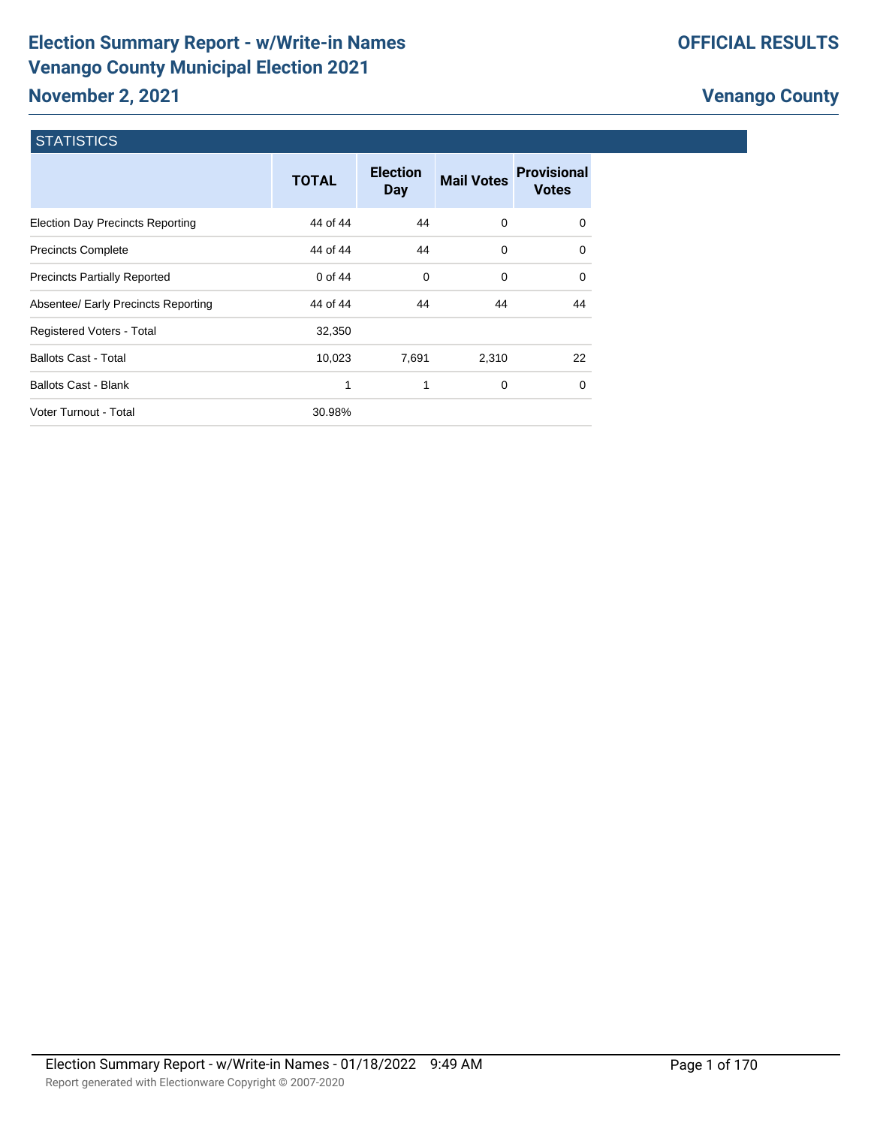# **Election Summary Report - w/Write-in Names Venango County Municipal Election 2021 November 2, 2021**

# **Venango County**

#### **STATISTICS**

|                                         | <b>TOTAL</b> | <b>Election</b><br><b>Day</b> | <b>Mail Votes</b> | <b>Provisional</b><br><b>Votes</b> |
|-----------------------------------------|--------------|-------------------------------|-------------------|------------------------------------|
| <b>Election Day Precincts Reporting</b> | 44 of 44     | 44                            | 0                 | $\Omega$                           |
| <b>Precincts Complete</b>               | 44 of 44     | 44                            | $\Omega$          | $\Omega$                           |
| <b>Precincts Partially Reported</b>     | 0 of 44      | 0                             | $\Omega$          | $\Omega$                           |
| Absentee/ Early Precincts Reporting     | 44 of 44     | 44                            | 44                | 44                                 |
| Registered Voters - Total               | 32,350       |                               |                   |                                    |
| <b>Ballots Cast - Total</b>             | 10,023       | 7,691                         | 2,310             | 22                                 |
| <b>Ballots Cast - Blank</b>             | 1            | 1                             | 0                 | $\Omega$                           |
| Voter Turnout - Total                   | 30.98%       |                               |                   |                                    |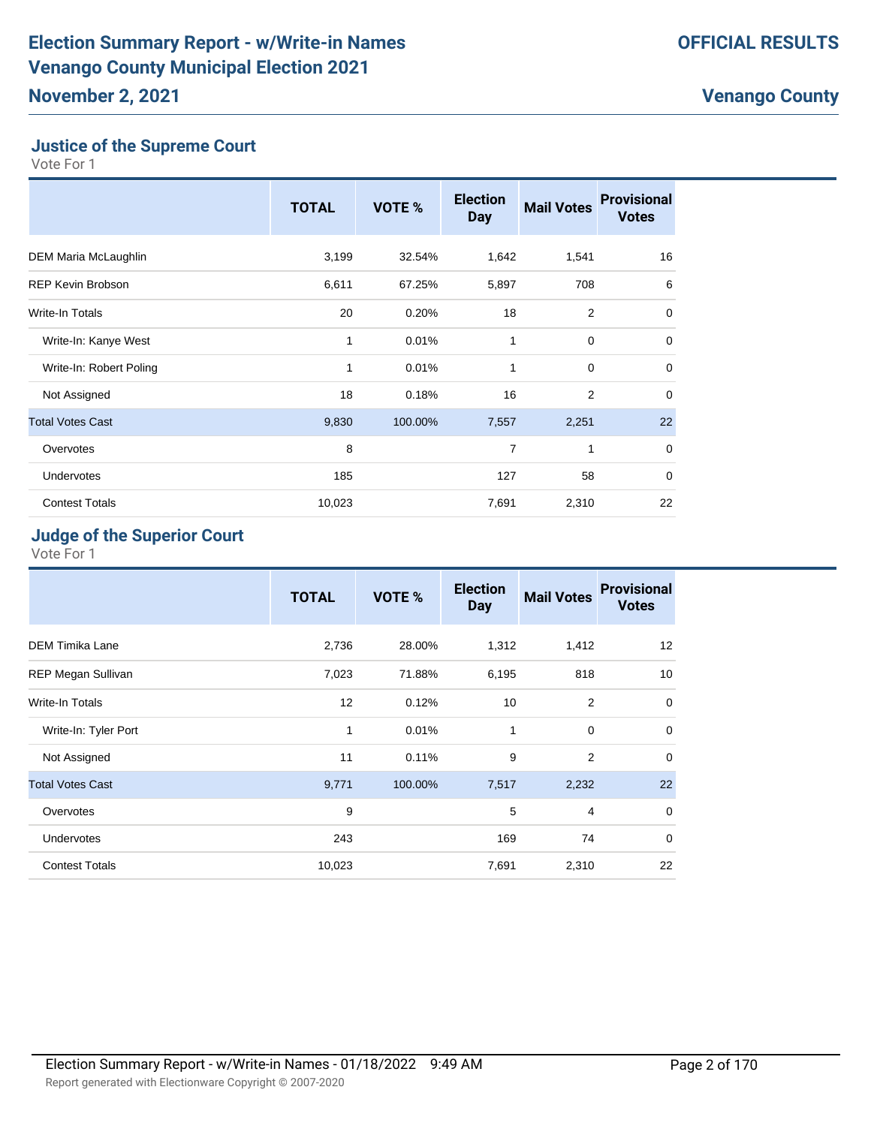#### **Justice of the Supreme Court**

Vote For 1

|                          | <b>TOTAL</b> | VOTE %  | <b>Election</b><br><b>Day</b> | <b>Mail Votes</b> | <b>Provisional</b><br><b>Votes</b> |
|--------------------------|--------------|---------|-------------------------------|-------------------|------------------------------------|
| DEM Maria McLaughlin     | 3,199        | 32.54%  | 1,642                         | 1,541             | 16                                 |
| <b>REP Kevin Brobson</b> | 6,611        | 67.25%  | 5,897                         | 708               | 6                                  |
| Write-In Totals          | 20           | 0.20%   | 18                            | $\overline{2}$    | $\mathbf 0$                        |
| Write-In: Kanye West     | 1            | 0.01%   | 1                             | $\mathbf 0$       | $\mathbf 0$                        |
| Write-In: Robert Poling  | 1            | 0.01%   | 1                             | $\mathbf 0$       | $\mathbf 0$                        |
| Not Assigned             | 18           | 0.18%   | 16                            | $\overline{2}$    | $\mathbf 0$                        |
| <b>Total Votes Cast</b>  | 9,830        | 100.00% | 7,557                         | 2,251             | 22                                 |
| Overvotes                | 8            |         | 7                             | 1                 | $\mathbf 0$                        |
| <b>Undervotes</b>        | 185          |         | 127                           | 58                | $\mathbf 0$                        |
| <b>Contest Totals</b>    | 10,023       |         | 7,691                         | 2,310             | 22                                 |

#### **Judge of the Superior Court**

|                         | <b>TOTAL</b> | VOTE %  | <b>Election</b><br><b>Day</b> | <b>Mail Votes</b> | <b>Provisional</b><br><b>Votes</b> |
|-------------------------|--------------|---------|-------------------------------|-------------------|------------------------------------|
| <b>DEM Timika Lane</b>  | 2,736        | 28.00%  | 1,312                         | 1,412             | 12                                 |
| REP Megan Sullivan      | 7,023        | 71.88%  | 6,195                         | 818               | 10                                 |
| <b>Write-In Totals</b>  | 12           | 0.12%   | 10                            | $\overline{2}$    | $\mathbf 0$                        |
| Write-In: Tyler Port    | 1            | 0.01%   | 1                             | $\mathbf 0$       | $\mathbf 0$                        |
| Not Assigned            | 11           | 0.11%   | 9                             | $\overline{2}$    | $\mathbf 0$                        |
| <b>Total Votes Cast</b> | 9,771        | 100.00% | 7,517                         | 2,232             | 22                                 |
| Overvotes               | 9            |         | 5                             | $\overline{4}$    | $\mathbf 0$                        |
| <b>Undervotes</b>       | 243          |         | 169                           | 74                | $\mathbf 0$                        |
| <b>Contest Totals</b>   | 10,023       |         | 7,691                         | 2,310             | 22                                 |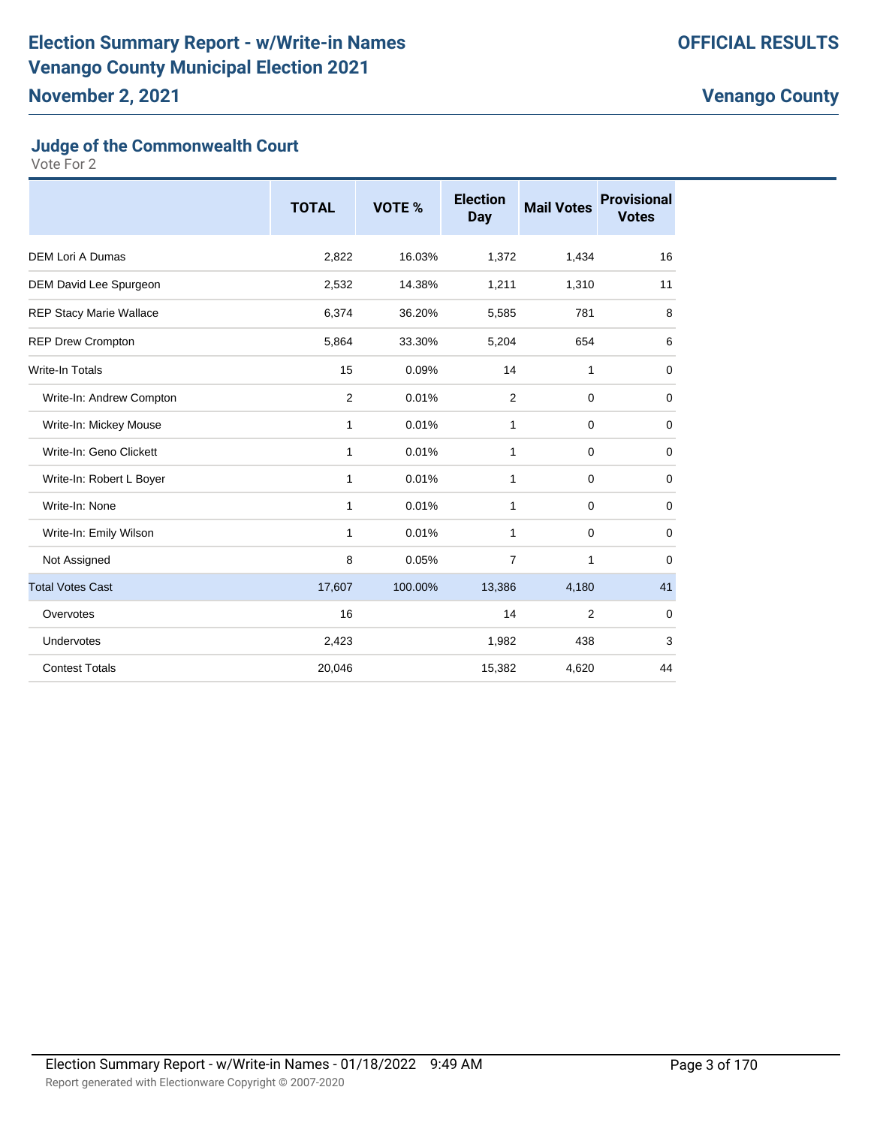# **Judge of the Commonwealth Court**

|                                | <b>TOTAL</b>   | VOTE %  | <b>Election</b><br><b>Day</b> | <b>Mail Votes</b> | <b>Provisional</b><br><b>Votes</b> |
|--------------------------------|----------------|---------|-------------------------------|-------------------|------------------------------------|
| <b>DEM Lori A Dumas</b>        | 2,822          | 16.03%  | 1,372                         | 1,434             | 16                                 |
| DEM David Lee Spurgeon         | 2,532          | 14.38%  | 1,211                         | 1,310             | 11                                 |
| <b>REP Stacy Marie Wallace</b> | 6,374          | 36.20%  | 5,585                         | 781               | 8                                  |
| <b>REP Drew Crompton</b>       | 5,864          | 33.30%  | 5,204                         | 654               | 6                                  |
| Write-In Totals                | 15             | 0.09%   | 14                            | 1                 | $\mathbf 0$                        |
| Write-In: Andrew Compton       | $\overline{2}$ | 0.01%   | 2                             | $\mathbf 0$       | $\mathbf 0$                        |
| Write-In: Mickey Mouse         | 1              | 0.01%   | 1                             | 0                 | $\mathbf 0$                        |
| Write-In: Geno Clickett        | 1              | 0.01%   | 1                             | $\mathbf 0$       | 0                                  |
| Write-In: Robert L Boyer       | 1              | 0.01%   | 1                             | $\mathbf 0$       | $\mathbf 0$                        |
| Write-In: None                 | $\mathbf{1}$   | 0.01%   | $\mathbf{1}$                  | $\mathbf 0$       | $\mathbf 0$                        |
| Write-In: Emily Wilson         | 1              | 0.01%   | 1                             | $\mathbf 0$       | $\mathbf 0$                        |
| Not Assigned                   | 8              | 0.05%   | $\overline{7}$                | 1                 | $\mathbf 0$                        |
| <b>Total Votes Cast</b>        | 17,607         | 100.00% | 13,386                        | 4,180             | 41                                 |
| Overvotes                      | 16             |         | 14                            | $\overline{2}$    | $\mathbf 0$                        |
| Undervotes                     | 2,423          |         | 1,982                         | 438               | 3                                  |
| <b>Contest Totals</b>          | 20,046         |         | 15,382                        | 4,620             | 44                                 |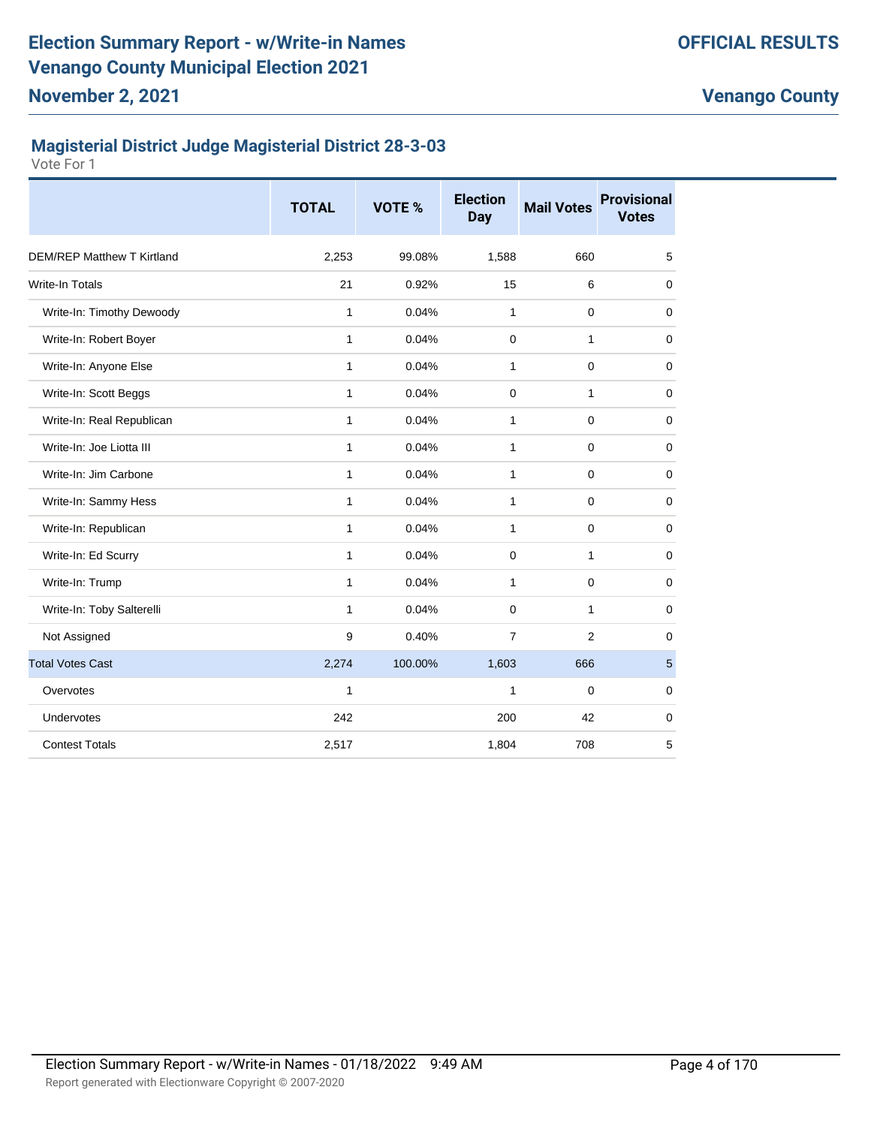# **Magisterial District Judge Magisterial District 28-3-03**

|                                   | <b>TOTAL</b> | VOTE %  | <b>Election</b><br><b>Day</b> | <b>Mail Votes</b> | <b>Provisional</b><br><b>Votes</b> |
|-----------------------------------|--------------|---------|-------------------------------|-------------------|------------------------------------|
| <b>DEM/REP Matthew T Kirtland</b> | 2,253        | 99.08%  | 1,588                         | 660               | 5                                  |
| <b>Write-In Totals</b>            | 21           | 0.92%   | 15                            | 6                 | 0                                  |
| Write-In: Timothy Dewoody         | 1            | 0.04%   | 1                             | $\mathbf 0$       | $\mathbf 0$                        |
| Write-In: Robert Boyer            | 1            | 0.04%   | 0                             | $\mathbf{1}$      | $\mathbf 0$                        |
| Write-In: Anyone Else             | 1            | 0.04%   | 1                             | $\mathbf 0$       | 0                                  |
| Write-In: Scott Beggs             | 1            | 0.04%   | 0                             | $\mathbf{1}$      | 0                                  |
| Write-In: Real Republican         | 1            | 0.04%   | 1                             | $\mathbf 0$       | $\mathbf 0$                        |
| Write-In: Joe Liotta III          | 1            | 0.04%   | 1                             | $\mathbf 0$       | $\mathbf 0$                        |
| Write-In: Jim Carbone             | 1            | 0.04%   | 1                             | $\mathbf 0$       | $\mathbf 0$                        |
| Write-In: Sammy Hess              | 1            | 0.04%   | 1                             | $\mathbf 0$       | $\mathbf 0$                        |
| Write-In: Republican              | 1            | 0.04%   | 1                             | $\mathbf 0$       | $\mathbf 0$                        |
| Write-In: Ed Scurry               | 1            | 0.04%   | 0                             | 1                 | $\mathbf 0$                        |
| Write-In: Trump                   | 1            | 0.04%   | 1                             | $\mathbf 0$       | $\mathbf 0$                        |
| Write-In: Toby Salterelli         | 1            | 0.04%   | $\Omega$                      | $\mathbf{1}$      | $\mathbf 0$                        |
| Not Assigned                      | 9            | 0.40%   | $\overline{7}$                | 2                 | 0                                  |
| <b>Total Votes Cast</b>           | 2,274        | 100.00% | 1,603                         | 666               | $\overline{5}$                     |
| Overvotes                         | 1            |         | $\mathbf{1}$                  | $\mathbf 0$       | 0                                  |
| Undervotes                        | 242          |         | 200                           | 42                | $\mathbf 0$                        |
| <b>Contest Totals</b>             | 2,517        |         | 1,804                         | 708               | 5                                  |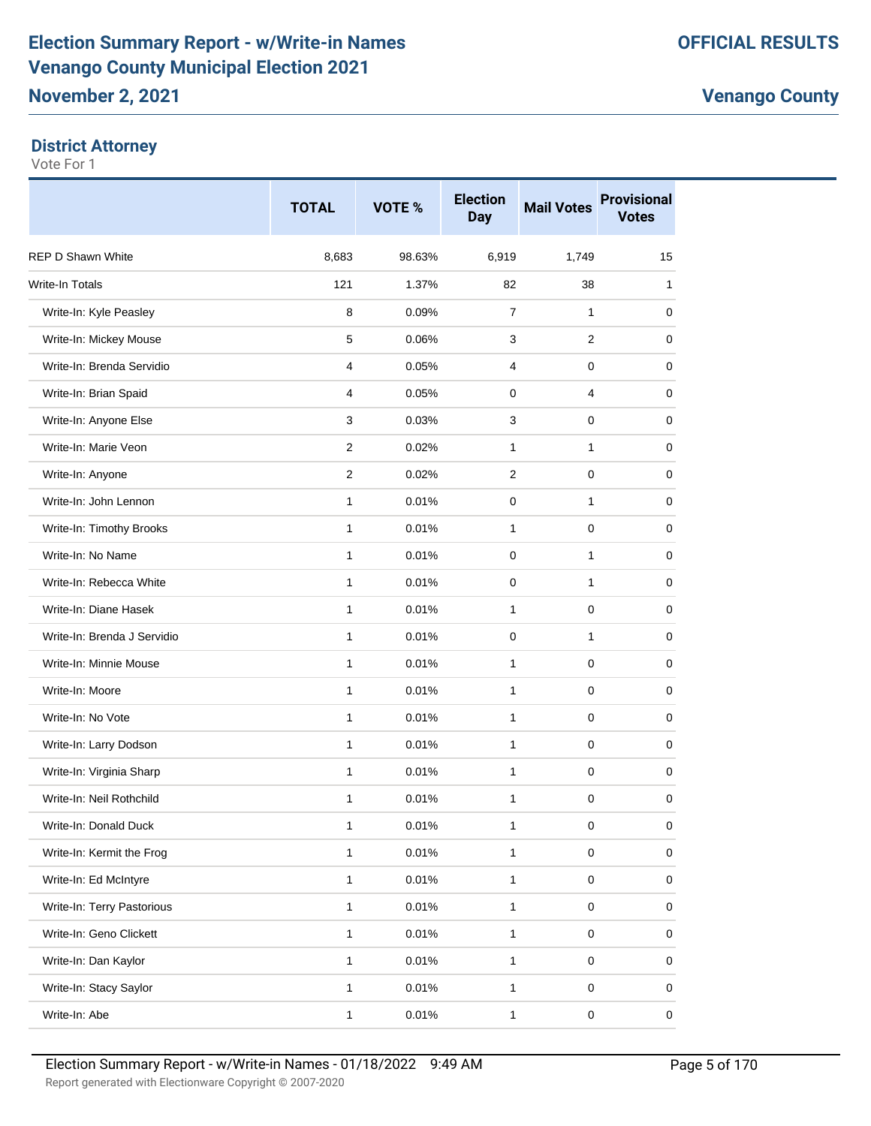#### **District Attorney**

|                             | <b>TOTAL</b> | VOTE % | <b>Election</b><br><b>Day</b> | <b>Mail Votes</b>   | <b>Provisional</b><br><b>Votes</b> |
|-----------------------------|--------------|--------|-------------------------------|---------------------|------------------------------------|
| <b>REP D Shawn White</b>    | 8,683        | 98.63% | 6,919                         | 1,749               | 15                                 |
| <b>Write-In Totals</b>      | 121          | 1.37%  | 82                            | 38                  | 1                                  |
| Write-In: Kyle Peasley      | 8            | 0.09%  | $\overline{7}$                | 1                   | 0                                  |
| Write-In: Mickey Mouse      | 5            | 0.06%  | 3                             | $\overline{2}$      | 0                                  |
| Write-In: Brenda Servidio   | 4            | 0.05%  | 4                             | 0                   | 0                                  |
| Write-In: Brian Spaid       | 4            | 0.05%  | 0                             | 4                   | 0                                  |
| Write-In: Anyone Else       | 3            | 0.03%  | 3                             | 0                   | 0                                  |
| Write-In: Marie Veon        | 2            | 0.02%  | 1                             | 1                   | 0                                  |
| Write-In: Anyone            | 2            | 0.02%  | 2                             | 0                   | 0                                  |
| Write-In: John Lennon       | $\mathbf{1}$ | 0.01%  | $\mathbf 0$                   | 1                   | 0                                  |
| Write-In: Timothy Brooks    | $\mathbf{1}$ | 0.01%  | 1                             | 0                   | 0                                  |
| Write-In: No Name           | $\mathbf{1}$ | 0.01%  | $\mathbf 0$                   | 1                   | 0                                  |
| Write-In: Rebecca White     | 1            | 0.01%  | 0                             | 1                   | 0                                  |
| Write-In: Diane Hasek       | $\mathbf{1}$ | 0.01%  | 1                             | 0                   | 0                                  |
| Write-In: Brenda J Servidio | 1            | 0.01%  | $\mathbf 0$                   | 1                   | 0                                  |
| Write-In: Minnie Mouse      | 1            | 0.01%  | 1                             | 0                   | 0                                  |
| Write-In: Moore             | $\mathbf{1}$ | 0.01%  | $\mathbf{1}$                  | 0                   | 0                                  |
| Write-In: No Vote           | 1            | 0.01%  | $\mathbf{1}$                  | 0                   | 0                                  |
| Write-In: Larry Dodson      | $\mathbf{1}$ | 0.01%  | $\mathbf{1}$                  | 0                   | 0                                  |
| Write-In: Virginia Sharp    | $\mathbf{1}$ | 0.01%  | 1                             | 0                   | 0                                  |
| Write-In: Neil Rothchild    | 1            | 0.01%  | 1                             | 0                   | 0                                  |
| Write-In: Donald Duck       | 1            | 0.01%  | $\mathbf 1$                   | $\pmb{0}$           | $\pmb{0}$                          |
| Write-In: Kermit the Frog   | 1            | 0.01%  | 1                             | $\mathbf 0$         | 0                                  |
| Write-In: Ed McIntyre       | 1            | 0.01%  | $\mathbf{1}$                  | $\pmb{0}$           | 0                                  |
| Write-In: Terry Pastorious  | $\mathbf{1}$ | 0.01%  | 1                             | $\pmb{0}$           | 0                                  |
| Write-In: Geno Clickett     | 1            | 0.01%  | 1                             | $\pmb{0}$           | 0                                  |
| Write-In: Dan Kaylor        | $\mathbf{1}$ | 0.01%  | $\mathbf{1}$                  | $\mathsf{O}\xspace$ | 0                                  |
| Write-In: Stacy Saylor      | 1            | 0.01%  | $\mathbf{1}$                  | 0                   | 0                                  |
| Write-In: Abe               | 1            | 0.01%  | $\mathbf{1}$                  | $\pmb{0}$           | 0                                  |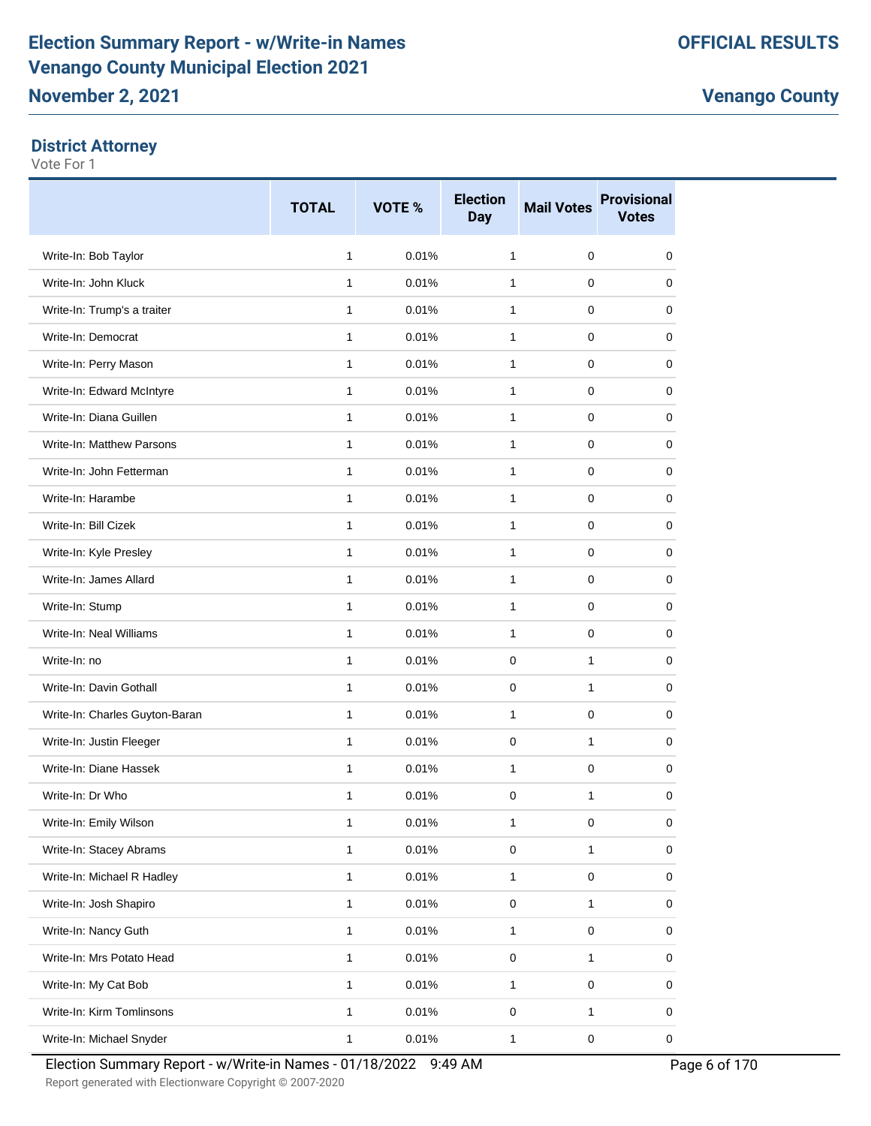#### **District Attorney**

|                                | <b>TOTAL</b> | <b>VOTE %</b> | <b>Election</b><br><b>Day</b> | <b>Mail Votes</b> | <b>Provisional</b><br><b>Votes</b> |
|--------------------------------|--------------|---------------|-------------------------------|-------------------|------------------------------------|
| Write-In: Bob Taylor           | $\mathbf{1}$ | 0.01%         | $\mathbf{1}$                  | 0                 | 0                                  |
| Write-In: John Kluck           | $\mathbf{1}$ | 0.01%         | 1                             | 0                 | 0                                  |
| Write-In: Trump's a traiter    | $\mathbf{1}$ | 0.01%         | $\mathbf{1}$                  | $\mathbf 0$       | 0                                  |
| Write-In: Democrat             | $\mathbf{1}$ | 0.01%         | $\mathbf{1}$                  | $\mathbf 0$       | 0                                  |
| Write-In: Perry Mason          | $\mathbf{1}$ | 0.01%         | 1                             | 0                 | 0                                  |
| Write-In: Edward McIntyre      | 1            | 0.01%         | $\mathbf{1}$                  | $\mathbf 0$       | 0                                  |
| Write-In: Diana Guillen        | $\mathbf{1}$ | 0.01%         | $\mathbf{1}$                  | 0                 | 0                                  |
| Write-In: Matthew Parsons      | $\mathbf{1}$ | 0.01%         | $\mathbf{1}$                  | 0                 | 0                                  |
| Write-In: John Fetterman       | $\mathbf{1}$ | 0.01%         | $\mathbf{1}$                  | 0                 | 0                                  |
| Write-In: Harambe              | 1            | 0.01%         | 1                             | 0                 | 0                                  |
| Write-In: Bill Cizek           | $\mathbf{1}$ | 0.01%         | $\mathbf{1}$                  | 0                 | 0                                  |
| Write-In: Kyle Presley         | $\mathbf{1}$ | 0.01%         | 1                             | $\mathbf 0$       | 0                                  |
| Write-In: James Allard         | $\mathbf{1}$ | 0.01%         | $\mathbf{1}$                  | $\mathbf 0$       | 0                                  |
| Write-In: Stump                | $\mathbf{1}$ | 0.01%         | 1                             | 0                 | 0                                  |
| Write-In: Neal Williams        | $\mathbf{1}$ | 0.01%         | $\mathbf{1}$                  | 0                 | 0                                  |
| Write-In: no                   | $\mathbf{1}$ | 0.01%         | 0                             | $\mathbf{1}$      | 0                                  |
| Write-In: Davin Gothall        | $\mathbf{1}$ | 0.01%         | 0                             | 1                 | 0                                  |
| Write-In: Charles Guyton-Baran | $\mathbf{1}$ | 0.01%         | 1                             | 0                 | 0                                  |
| Write-In: Justin Fleeger       | $\mathbf{1}$ | 0.01%         | 0                             | $\mathbf{1}$      | 0                                  |
| Write-In: Diane Hassek         | $\mathbf{1}$ | 0.01%         | $\mathbf{1}$                  | 0                 | 0                                  |
| Write-In: Dr Who               | $\mathbf{1}$ | 0.01%         | $\mathbf 0$                   | 1                 | 0                                  |
| Write-In: Emily Wilson         |              | 0.01%         | 1                             | 0                 | 0                                  |
| Write-In: Stacey Abrams        | $\mathbf{1}$ | 0.01%         | $\pmb{0}$                     | 1                 | 0                                  |
| Write-In: Michael R Hadley     | $\mathbf{1}$ | 0.01%         | $\mathbf{1}$                  | $\mathsf 0$       | 0                                  |
| Write-In: Josh Shapiro         | $\mathbf{1}$ | 0.01%         | $\pmb{0}$                     | 1                 | 0                                  |
| Write-In: Nancy Guth           | $\mathbf{1}$ | 0.01%         | $\mathbf{1}$                  | $\mathsf 0$       | 0                                  |
| Write-In: Mrs Potato Head      | $\mathbf{1}$ | 0.01%         | $\pmb{0}$                     | 1                 | $\pmb{0}$                          |
| Write-In: My Cat Bob           | $\mathbf{1}$ | 0.01%         | $\mathbf{1}$                  | $\mathsf 0$       | 0                                  |
| Write-In: Kirm Tomlinsons      | $\mathbf{1}$ | 0.01%         | 0                             | $\mathbf{1}$      | 0                                  |
| Write-In: Michael Snyder       | $\mathbf{1}$ | 0.01%         | $\mathbf{1}$                  | $\pmb{0}$         | $\mathsf 0$                        |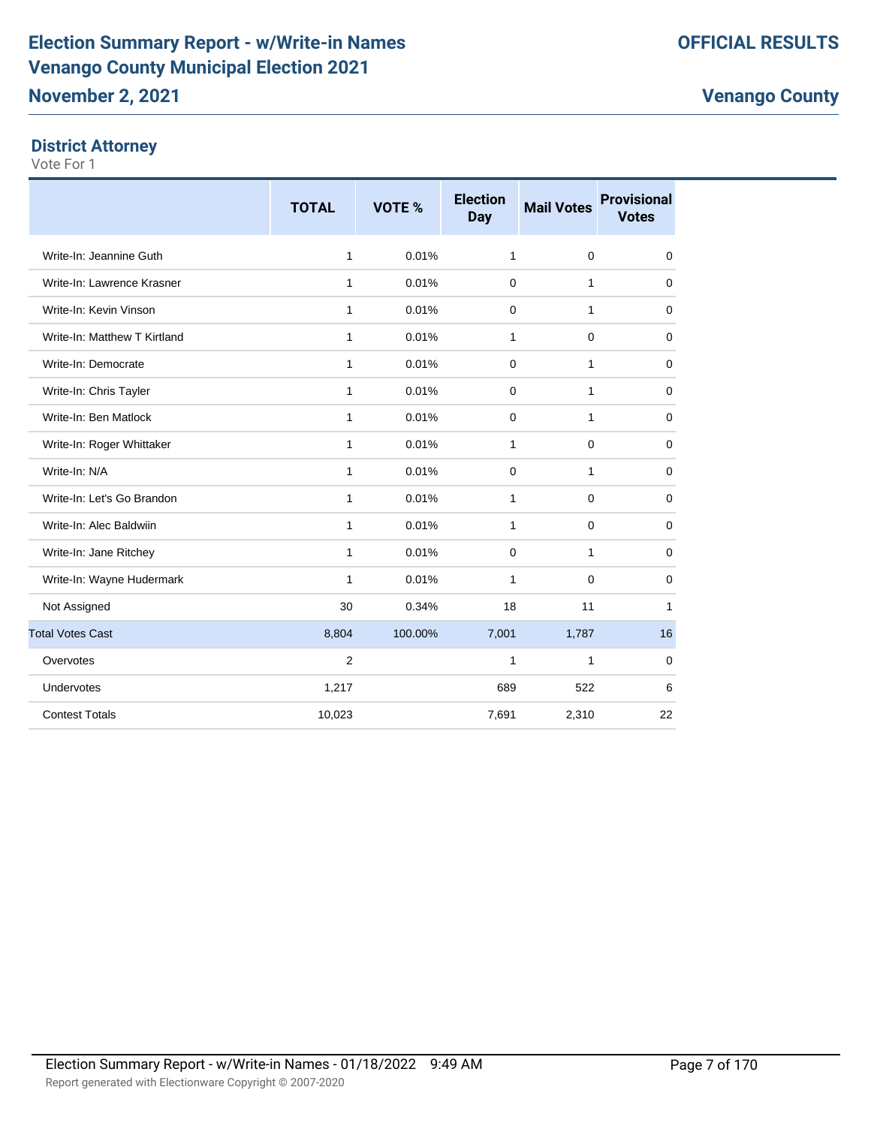# **District Attorney**

|                              | <b>TOTAL</b> | VOTE %  | <b>Election</b><br><b>Day</b> | <b>Mail Votes</b> | <b>Provisional</b><br><b>Votes</b> |
|------------------------------|--------------|---------|-------------------------------|-------------------|------------------------------------|
| Write-In: Jeannine Guth      | $\mathbf{1}$ | 0.01%   | $\mathbf{1}$                  | $\mathbf 0$       | $\mathbf 0$                        |
| Write-In: Lawrence Krasner   | 1            | 0.01%   | $\mathbf 0$                   | 1                 | 0                                  |
| Write-In: Kevin Vinson       | 1            | 0.01%   | 0                             | 1                 | 0                                  |
| Write-In: Matthew T Kirtland | $\mathbf{1}$ | 0.01%   | 1                             | $\mathbf 0$       | $\mathbf 0$                        |
| Write-In: Democrate          | $\mathbf{1}$ | 0.01%   | $\mathbf 0$                   | $\mathbf{1}$      | $\mathbf 0$                        |
| Write-In: Chris Tayler       | $\mathbf{1}$ | 0.01%   | $\mathbf 0$                   | 1                 | $\mathbf 0$                        |
| Write-In: Ben Matlock        | $\mathbf{1}$ | 0.01%   | 0                             | $\mathbf{1}$      | $\mathbf 0$                        |
| Write-In: Roger Whittaker    | 1            | 0.01%   | 1                             | 0                 | 0                                  |
| Write-In: N/A                | 1            | 0.01%   | 0                             | 1                 | 0                                  |
| Write-In: Let's Go Brandon   | 1            | 0.01%   | 1                             | 0                 | 0                                  |
| Write-In: Alec Baldwiin      | $\mathbf{1}$ | 0.01%   | 1                             | 0                 | $\mathbf 0$                        |
| Write-In: Jane Ritchey       | $\mathbf{1}$ | 0.01%   | 0                             | 1                 | $\mathbf 0$                        |
| Write-In: Wayne Hudermark    | $\mathbf{1}$ | 0.01%   | 1                             | $\mathbf 0$       | 0                                  |
| Not Assigned                 | 30           | 0.34%   | 18                            | 11                | 1                                  |
| <b>Total Votes Cast</b>      | 8,804        | 100.00% | 7,001                         | 1,787             | 16                                 |
| Overvotes                    | $\mathbf{2}$ |         | 1                             | 1                 | 0                                  |
| Undervotes                   | 1,217        |         | 689                           | 522               | 6                                  |
| <b>Contest Totals</b>        | 10,023       |         | 7,691                         | 2,310             | 22                                 |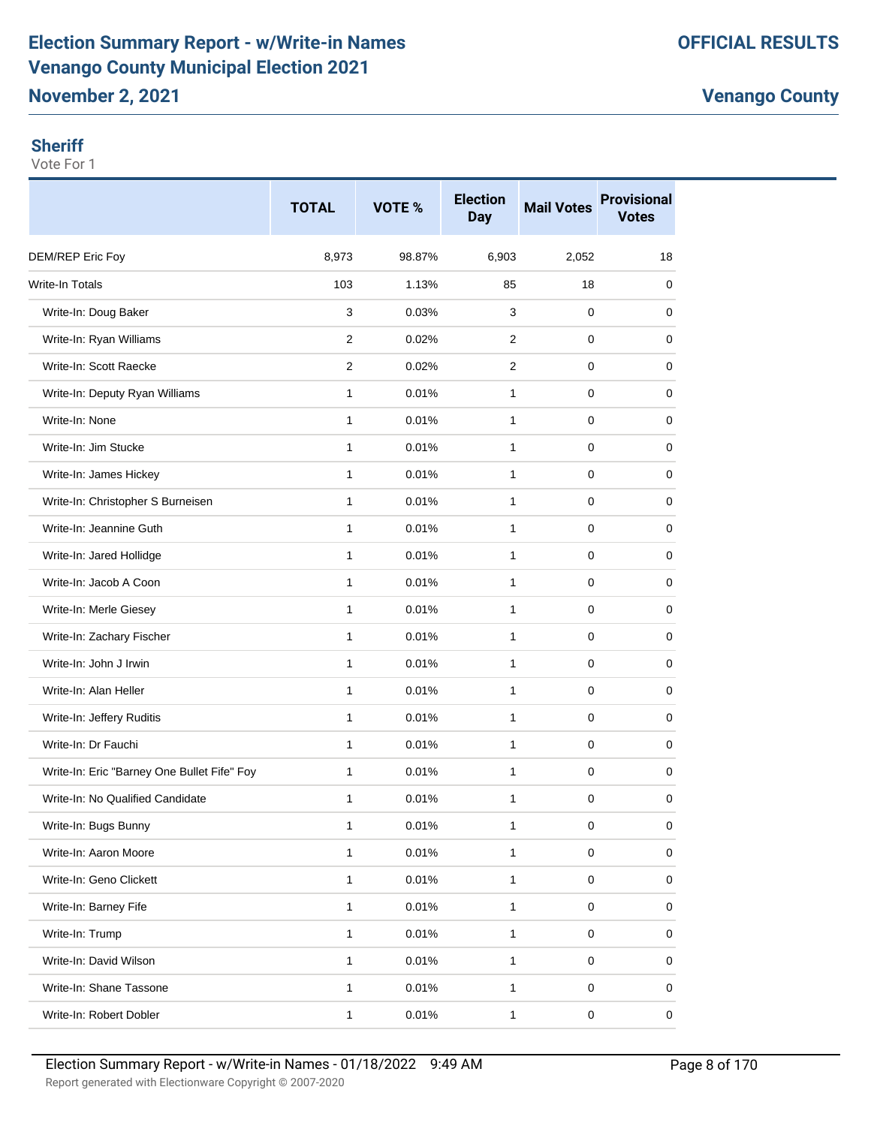# **Election Summary Report - w/Write-in Names Venango County Municipal Election 2021 November 2, 2021**

**Venango County**

#### **Sheriff**

|                                             | <b>TOTAL</b>   | VOTE % | <b>Election</b><br><b>Day</b> | <b>Mail Votes</b> | <b>Provisional</b><br><b>Votes</b> |
|---------------------------------------------|----------------|--------|-------------------------------|-------------------|------------------------------------|
| DEM/REP Eric Foy                            | 8,973          | 98.87% | 6,903                         | 2,052             | 18                                 |
| <b>Write-In Totals</b>                      | 103            | 1.13%  | 85                            | 18                | 0                                  |
| Write-In: Doug Baker                        | 3              | 0.03%  | 3                             | 0                 | 0                                  |
| Write-In: Ryan Williams                     | 2              | 0.02%  | $\overline{2}$                | $\pmb{0}$         | 0                                  |
| Write-In: Scott Raecke                      | $\overline{2}$ | 0.02%  | 2                             | 0                 | 0                                  |
| Write-In: Deputy Ryan Williams              | 1              | 0.01%  | 1                             | $\pmb{0}$         | 0                                  |
| Write-In: None                              | $\mathbf{1}$   | 0.01%  | 1                             | $\pmb{0}$         | 0                                  |
| Write-In: Jim Stucke                        | $\mathbf{1}$   | 0.01%  | 1                             | 0                 | 0                                  |
| Write-In: James Hickey                      | 1              | 0.01%  | 1                             | $\pmb{0}$         | 0                                  |
| Write-In: Christopher S Burneisen           | $\mathbf{1}$   | 0.01%  | 1                             | 0                 | 0                                  |
| Write-In: Jeannine Guth                     | 1              | 0.01%  | 1                             | 0                 | 0                                  |
| Write-In: Jared Hollidge                    | $\mathbf{1}$   | 0.01%  | $\mathbf{1}$                  | $\pmb{0}$         | 0                                  |
| Write-In: Jacob A Coon                      | $\mathbf{1}$   | 0.01%  | 1                             | 0                 | 0                                  |
| Write-In: Merle Giesey                      | 1              | 0.01%  | 1                             | 0                 | 0                                  |
| Write-In: Zachary Fischer                   | 1              | 0.01%  | 1                             | $\pmb{0}$         | 0                                  |
| Write-In: John J Irwin                      | $\mathbf{1}$   | 0.01%  | 1                             | $\pmb{0}$         | 0                                  |
| Write-In: Alan Heller                       | 1              | 0.01%  | 1                             | 0                 | 0                                  |
| Write-In: Jeffery Ruditis                   | 1              | 0.01%  | 1                             | $\pmb{0}$         | 0                                  |
| Write-In: Dr Fauchi                         | $\mathbf{1}$   | 0.01%  | 1                             | $\pmb{0}$         | 0                                  |
| Write-In: Eric "Barney One Bullet Fife" Foy | 1              | 0.01%  | 1                             | 0                 | 0                                  |
| Write-In: No Qualified Candidate            | 1              | 0.01%  | 1                             | $\pmb{0}$         | 0                                  |
| Write-In: Bugs Bunny                        | $\mathbf{1}$   | 0.01%  | $\mathbf{1}$                  | $\pmb{0}$         | 0                                  |
| Write-In: Aaron Moore                       | $\mathbf{1}$   | 0.01%  | $\mathbf{1}$                  | $\pmb{0}$         | 0                                  |
| Write-In: Geno Clickett                     | 1              | 0.01%  | $\mathbf{1}$                  | $\mathbf 0$       | 0                                  |
| Write-In: Barney Fife                       | $\mathbf{1}$   | 0.01%  | $\mathbf{1}$                  | $\pmb{0}$         | 0                                  |
| Write-In: Trump                             | $\mathbf{1}$   | 0.01%  | 1                             | 0                 | 0                                  |
| Write-In: David Wilson                      | $\mathbf{1}$   | 0.01%  | $\mathbf{1}$                  | $\pmb{0}$         | 0                                  |
| Write-In: Shane Tassone                     | $\mathbf{1}$   | 0.01%  | $\mathbf{1}$                  | $\pmb{0}$         | 0                                  |
| Write-In: Robert Dobler                     | $\mathbf{1}$   | 0.01%  | $\mathbf{1}$                  | $\mathbf 0$       | 0                                  |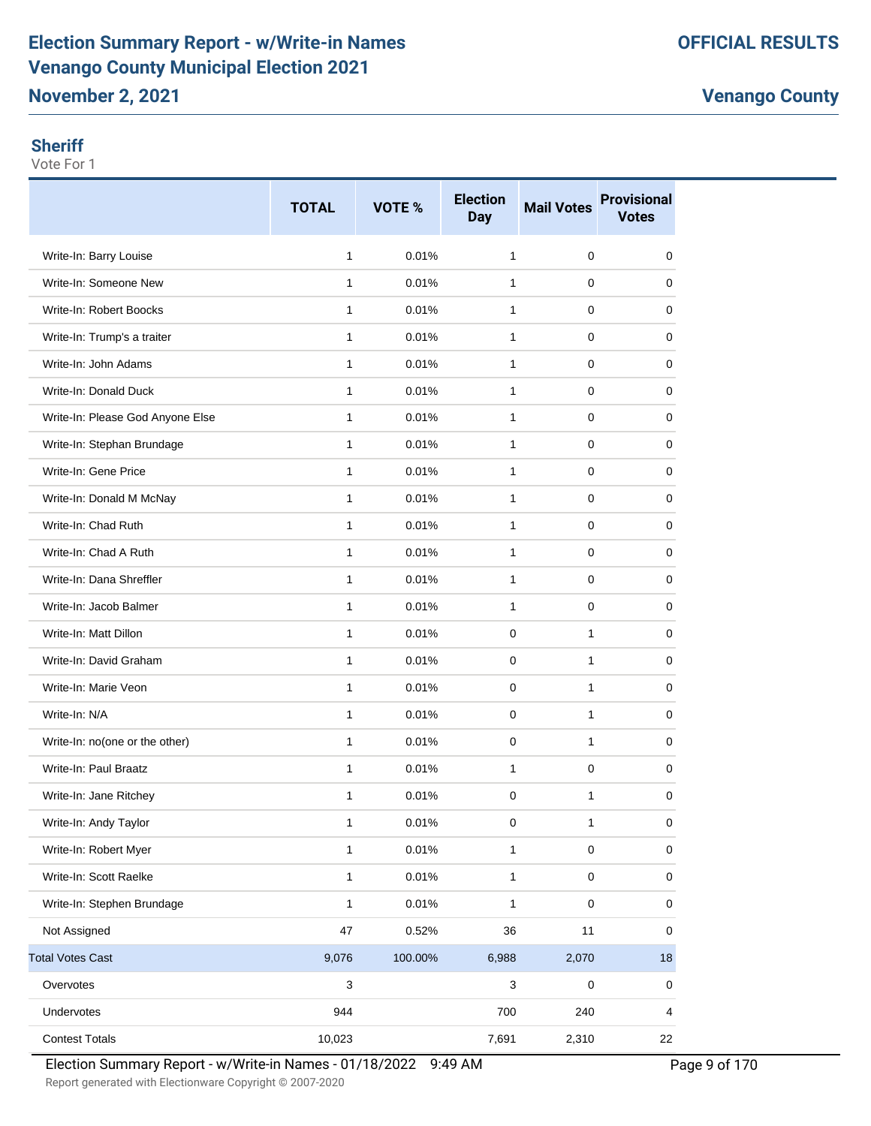# **Election Summary Report - w/Write-in Names Venango County Municipal Election 2021**

**Venango County**

#### **Sheriff**

Vote For 1

|                                  | <b>TOTAL</b> | VOTE %  | <b>Election</b><br><b>Day</b> | <b>Mail Votes</b> | <b>Provisional</b><br><b>Votes</b> |
|----------------------------------|--------------|---------|-------------------------------|-------------------|------------------------------------|
| Write-In: Barry Louise           | 1            | 0.01%   | 1                             | $\mathbf 0$       | 0                                  |
| Write-In: Someone New            | $\mathbf{1}$ | 0.01%   | 1                             | 0                 | 0                                  |
| Write-In: Robert Boocks          | $\mathbf{1}$ | 0.01%   | 1                             | $\mathbf 0$       | 0                                  |
| Write-In: Trump's a traiter      | 1            | 0.01%   | 1                             | 0                 | 0                                  |
| Write-In: John Adams             | 1            | 0.01%   | 1                             | 0                 | 0                                  |
| Write-In: Donald Duck            | 1            | 0.01%   | 1                             | $\mathbf 0$       | 0                                  |
| Write-In: Please God Anyone Else | 1            | 0.01%   | 1                             | 0                 | 0                                  |
| Write-In: Stephan Brundage       | $\mathbf{1}$ | 0.01%   | 1                             | 0                 | 0                                  |
| Write-In: Gene Price             | $\mathbf{1}$ | 0.01%   | $\mathbf{1}$                  | $\mathbf 0$       | 0                                  |
| Write-In: Donald M McNay         | 1            | 0.01%   | 1                             | 0                 | 0                                  |
| Write-In: Chad Ruth              | 1            | 0.01%   | 1                             | 0                 | 0                                  |
| Write-In: Chad A Ruth            | 1            | 0.01%   | 1                             | 0                 | 0                                  |
| Write-In: Dana Shreffler         | 1            | 0.01%   | 1                             | $\mathbf 0$       | 0                                  |
| Write-In: Jacob Balmer           | $\mathbf{1}$ | 0.01%   | 1                             | $\mathbf 0$       | 0                                  |
| Write-In: Matt Dillon            | $\mathbf{1}$ | 0.01%   | 0                             | 1                 | 0                                  |
| Write-In: David Graham           | 1            | 0.01%   | 0                             | 1                 | 0                                  |
| Write-In: Marie Veon             | 1            | 0.01%   | 0                             | 1                 | 0                                  |
| Write-In: N/A                    | 1            | 0.01%   | 0                             | 1                 | 0                                  |
| Write-In: no(one or the other)   | 1            | 0.01%   | 0                             | 1                 | 0                                  |
| Write-In: Paul Braatz            | 1            | 0.01%   | 1                             | 0                 | 0                                  |
| Write-In: Jane Ritchey           | 1            | 0.01%   | $\pmb{0}$                     | 1                 | 0                                  |
| Write-In: Andy Taylor            | 1            | 0.01%   | 0                             | 1                 | 0                                  |
| Write-In: Robert Myer            | 1            | 0.01%   | $\mathbf{1}$                  | $\pmb{0}$         | 0                                  |
| Write-In: Scott Raelke           | 1            | 0.01%   | 1                             | $\pmb{0}$         | $\pmb{0}$                          |
| Write-In: Stephen Brundage       | 1            | 0.01%   | 1                             | $\pmb{0}$         | $\pmb{0}$                          |
| Not Assigned                     | 47           | 0.52%   | 36                            | 11                | 0                                  |
| <b>Total Votes Cast</b>          | 9,076        | 100.00% | 6,988                         | 2,070             | 18                                 |
| Overvotes                        | 3            |         | 3                             | $\pmb{0}$         | 0                                  |
| Undervotes                       | 944          |         | 700                           | 240               | 4                                  |
| <b>Contest Totals</b>            | 10,023       |         | 7,691                         | 2,310             | 22                                 |

Report generated with Electionware Copyright © 2007-2020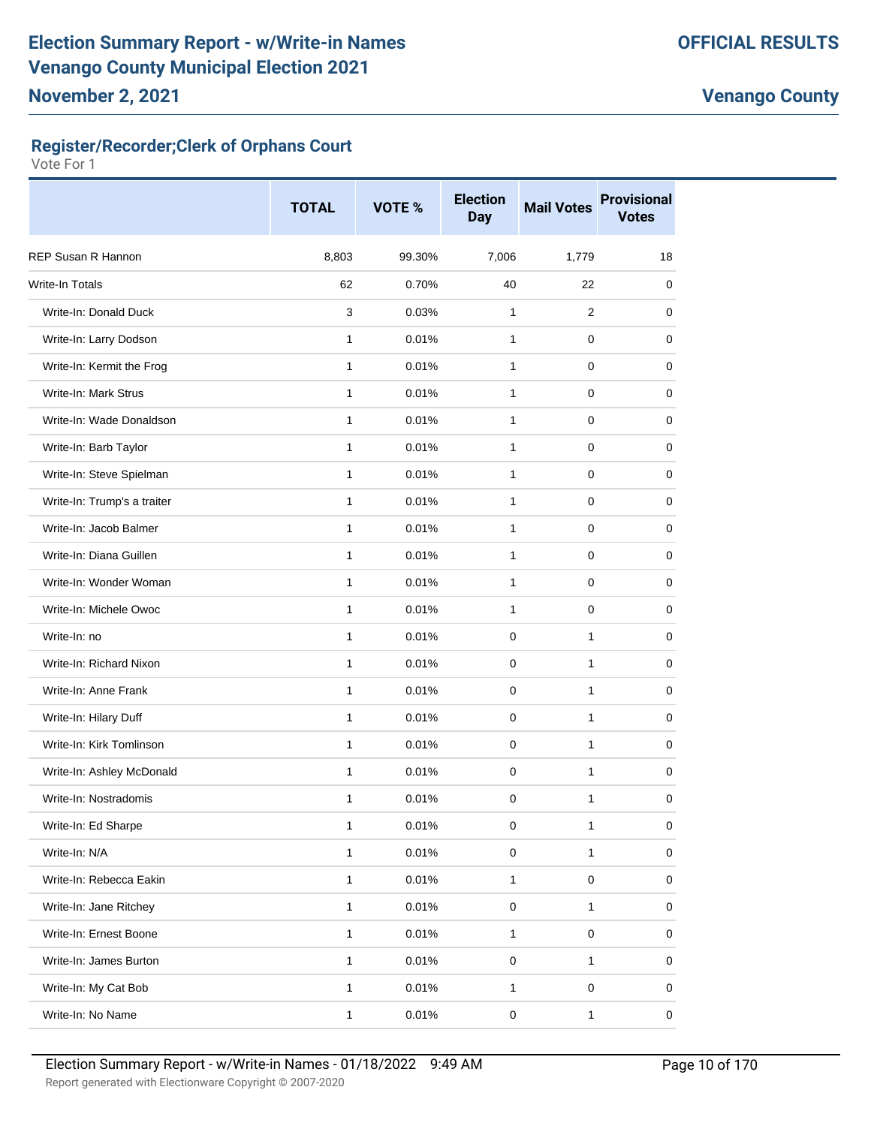# **Register/Recorder;Clerk of Orphans Court**

|                             | <b>TOTAL</b> | VOTE % | <b>Election</b><br><b>Day</b> | <b>Mail Votes</b> | <b>Provisional</b><br><b>Votes</b> |
|-----------------------------|--------------|--------|-------------------------------|-------------------|------------------------------------|
| <b>REP Susan R Hannon</b>   | 8,803        | 99.30% | 7,006                         | 1,779             | 18                                 |
| Write-In Totals             | 62           | 0.70%  | 40                            | 22                | 0                                  |
| Write-In: Donald Duck       | 3            | 0.03%  | 1                             | $\overline{2}$    | 0                                  |
| Write-In: Larry Dodson      | $\mathbf{1}$ | 0.01%  | $\mathbf{1}$                  | 0                 | 0                                  |
| Write-In: Kermit the Frog   | $\mathbf{1}$ | 0.01%  | 1                             | 0                 | 0                                  |
| Write-In: Mark Strus        | $\mathbf{1}$ | 0.01%  | 1                             | 0                 | 0                                  |
| Write-In: Wade Donaldson    | $\mathbf{1}$ | 0.01%  | $\mathbf{1}$                  | 0                 | 0                                  |
| Write-In: Barb Taylor       | 1            | 0.01%  | 1                             | 0                 | 0                                  |
| Write-In: Steve Spielman    | $\mathbf{1}$ | 0.01%  | 1                             | 0                 | 0                                  |
| Write-In: Trump's a traiter | $\mathbf{1}$ | 0.01%  | $\mathbf{1}$                  | 0                 | 0                                  |
| Write-In: Jacob Balmer      | 1            | 0.01%  | $\mathbf{1}$                  | 0                 | 0                                  |
| Write-In: Diana Guillen     | $\mathbf{1}$ | 0.01%  | $\mathbf{1}$                  | 0                 | 0                                  |
| Write-In: Wonder Woman      | $\mathbf{1}$ | 0.01%  | $\mathbf{1}$                  | 0                 | 0                                  |
| Write-In: Michele Owoc      | 1            | 0.01%  | $\mathbf{1}$                  | 0                 | 0                                  |
| Write-In: no                | 1            | 0.01%  | $\mathbf 0$                   | 1                 | 0                                  |
| Write-In: Richard Nixon     | $\mathbf{1}$ | 0.01%  | $\mathbf 0$                   | 1                 | 0                                  |
| Write-In: Anne Frank        | $\mathbf{1}$ | 0.01%  | $\Omega$                      | 1                 | 0                                  |
| Write-In: Hilary Duff       | $\mathbf{1}$ | 0.01%  | $\mathbf 0$                   | $\mathbf{1}$      | 0                                  |
| Write-In: Kirk Tomlinson    | $\mathbf{1}$ | 0.01%  | $\mathbf 0$                   | 1                 | 0                                  |
| Write-In: Ashley McDonald   | 1            | 0.01%  | 0                             | 1                 | 0                                  |
| Write-In: Nostradomis       | 1            | 0.01%  | 0                             | 1                 | 0                                  |
| Write-In: Ed Sharpe         | 1            | 0.01%  | 0                             | 1                 | $\pmb{0}$                          |
| Write-In: N/A               | 1            | 0.01%  | $\pmb{0}$                     | 1                 | 0                                  |
| Write-In: Rebecca Eakin     | $\mathbf{1}$ | 0.01%  | $\mathbf{1}$                  | $\mathsf 0$       | $\mathsf 0$                        |
| Write-In: Jane Ritchey      | 1            | 0.01%  | $\pmb{0}$                     | $\mathbf{1}$      | 0                                  |
| Write-In: Ernest Boone      | 1            | 0.01%  | $\mathbf{1}$                  | $\pmb{0}$         | 0                                  |
| Write-In: James Burton      | $\mathbf{1}$ | 0.01%  | $\mathsf 0$                   | $\mathbf{1}$      | 0                                  |
| Write-In: My Cat Bob        | 1            | 0.01%  | $\mathbf{1}$                  | 0                 | 0                                  |
| Write-In: No Name           | $\mathbf{1}$ | 0.01%  | $\pmb{0}$                     | 1                 | 0                                  |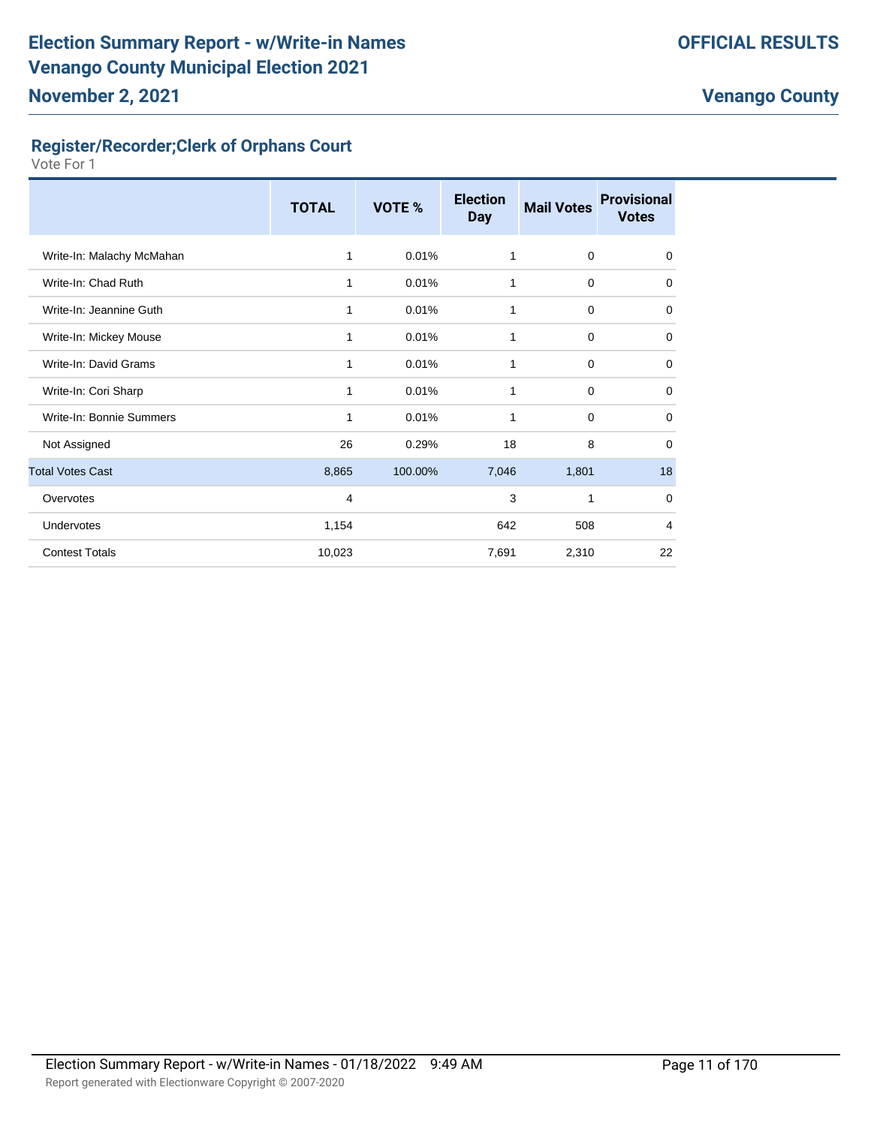# **Register/Recorder;Clerk of Orphans Court**

|                           | <b>TOTAL</b> | VOTE %  | <b>Election</b><br><b>Day</b> | <b>Mail Votes</b> | <b>Provisional</b><br><b>Votes</b> |
|---------------------------|--------------|---------|-------------------------------|-------------------|------------------------------------|
| Write-In: Malachy McMahan | 1            | 0.01%   | 1                             | $\mathbf 0$       | $\mathbf 0$                        |
| Write-In: Chad Ruth       | 1            | 0.01%   | 1                             | $\mathbf 0$       | 0                                  |
| Write-In: Jeannine Guth   | 1            | 0.01%   | 1                             | 0                 | 0                                  |
| Write-In: Mickey Mouse    | 1            | 0.01%   | 1                             | $\mathbf 0$       | $\mathbf 0$                        |
| Write-In: David Grams     | 1            | 0.01%   | 1                             | $\mathbf 0$       | $\mathbf 0$                        |
| Write-In: Cori Sharp      | 1            | 0.01%   | 1                             | $\mathbf 0$       | $\mathbf 0$                        |
| Write-In: Bonnie Summers  | $\mathbf{1}$ | 0.01%   | 1                             | $\mathbf 0$       | $\mathbf 0$                        |
| Not Assigned              | 26           | 0.29%   | 18                            | 8                 | 0                                  |
| <b>Total Votes Cast</b>   | 8,865        | 100.00% | 7,046                         | 1,801             | 18                                 |
| Overvotes                 | 4            |         | 3                             | 1                 | $\mathbf 0$                        |
| Undervotes                | 1,154        |         | 642                           | 508               | $\overline{4}$                     |
| <b>Contest Totals</b>     | 10,023       |         | 7,691                         | 2,310             | 22                                 |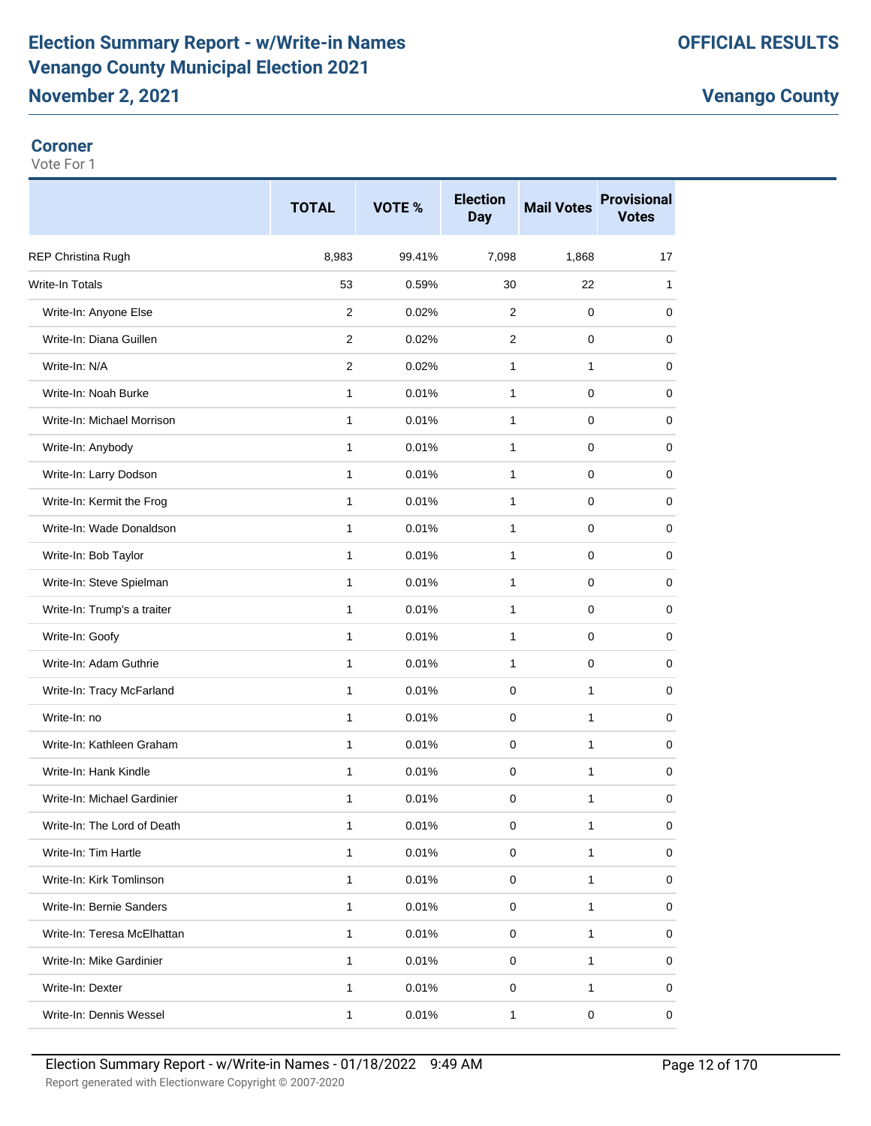# **Election Summary Report - w/Write-in Names Venango County Municipal Election 2021 November 2, 2021**

**Venango County**

#### **Coroner**

|                             | <b>TOTAL</b>   | VOTE % | <b>Election</b><br><b>Day</b> | <b>Mail Votes</b> | <b>Provisional</b><br><b>Votes</b> |
|-----------------------------|----------------|--------|-------------------------------|-------------------|------------------------------------|
| REP Christina Rugh          | 8,983          | 99.41% | 7,098                         | 1,868             | 17                                 |
| <b>Write-In Totals</b>      | 53             | 0.59%  | 30                            | 22                | 1                                  |
| Write-In: Anyone Else       | 2              | 0.02%  | 2                             | 0                 | 0                                  |
| Write-In: Diana Guillen     | $\overline{2}$ | 0.02%  | 2                             | 0                 | 0                                  |
| Write-In: N/A               | $\overline{2}$ | 0.02%  | $\mathbf{1}$                  | $\mathbf{1}$      | 0                                  |
| Write-In: Noah Burke        | 1              | 0.01%  | $\mathbf{1}$                  | 0                 | 0                                  |
| Write-In: Michael Morrison  | $\mathbf{1}$   | 0.01%  | $\mathbf{1}$                  | 0                 | 0                                  |
| Write-In: Anybody           | $\mathbf{1}$   | 0.01%  | 1                             | 0                 | 0                                  |
| Write-In: Larry Dodson      | 1              | 0.01%  | 1                             | 0                 | 0                                  |
| Write-In: Kermit the Frog   | $\mathbf{1}$   | 0.01%  | 1                             | 0                 | 0                                  |
| Write-In: Wade Donaldson    | $\mathbf{1}$   | 0.01%  | $\mathbf{1}$                  | 0                 | 0                                  |
| Write-In: Bob Taylor        | $\mathbf{1}$   | 0.01%  | $\mathbf{1}$                  | $\mathbf 0$       | 0                                  |
| Write-In: Steve Spielman    | $\mathbf{1}$   | 0.01%  | 1                             | 0                 | 0                                  |
| Write-In: Trump's a traiter | $\mathbf{1}$   | 0.01%  | $\mathbf{1}$                  | 0                 | 0                                  |
| Write-In: Goofy             | 1              | 0.01%  | $\mathbf{1}$                  | 0                 | 0                                  |
| Write-In: Adam Guthrie      | $\mathbf{1}$   | 0.01%  | $\mathbf{1}$                  | 0                 | 0                                  |
| Write-In: Tracy McFarland   | $\mathbf{1}$   | 0.01%  | $\mathbf 0$                   | $\mathbf{1}$      | 0                                  |
| Write-In: no                | 1              | 0.01%  | 0                             | $\mathbf{1}$      | 0                                  |
| Write-In: Kathleen Graham   | $\mathbf{1}$   | 0.01%  | 0                             | 1                 | 0                                  |
| Write-In: Hank Kindle       | $\mathbf{1}$   | 0.01%  | $\mathbf 0$                   | 1                 | 0                                  |
| Write-In: Michael Gardinier | 1              | 0.01%  | $\mathbf 0$                   | $\mathbf{1}$      | 0                                  |
| Write-In: The Lord of Death | $\mathbf{1}$   | 0.01%  | $\mathbf 0$                   | 1                 | 0                                  |
| Write-In: Tim Hartle        | $\mathbf{1}$   | 0.01%  | $\mathbf 0$                   | 1                 | 0                                  |
| Write-In: Kirk Tomlinson    | $\mathbf{1}$   | 0.01%  | 0                             | 1                 | 0                                  |
| Write-In: Bernie Sanders    | $\mathbf{1}$   | 0.01%  | 0                             | $\mathbf{1}$      | 0                                  |
| Write-In: Teresa McElhattan | $\mathbf{1}$   | 0.01%  | 0                             | 1                 | 0                                  |
| Write-In: Mike Gardinier    | $\mathbf{1}$   | 0.01%  | 0                             | 1                 | 0                                  |
| Write-In: Dexter            | $\mathbf{1}$   | 0.01%  | $\mathbf 0$                   | 1                 | 0                                  |
| Write-In: Dennis Wessel     | $\mathbf{1}$   | 0.01%  | $\mathbf{1}$                  | $\pmb{0}$         | 0                                  |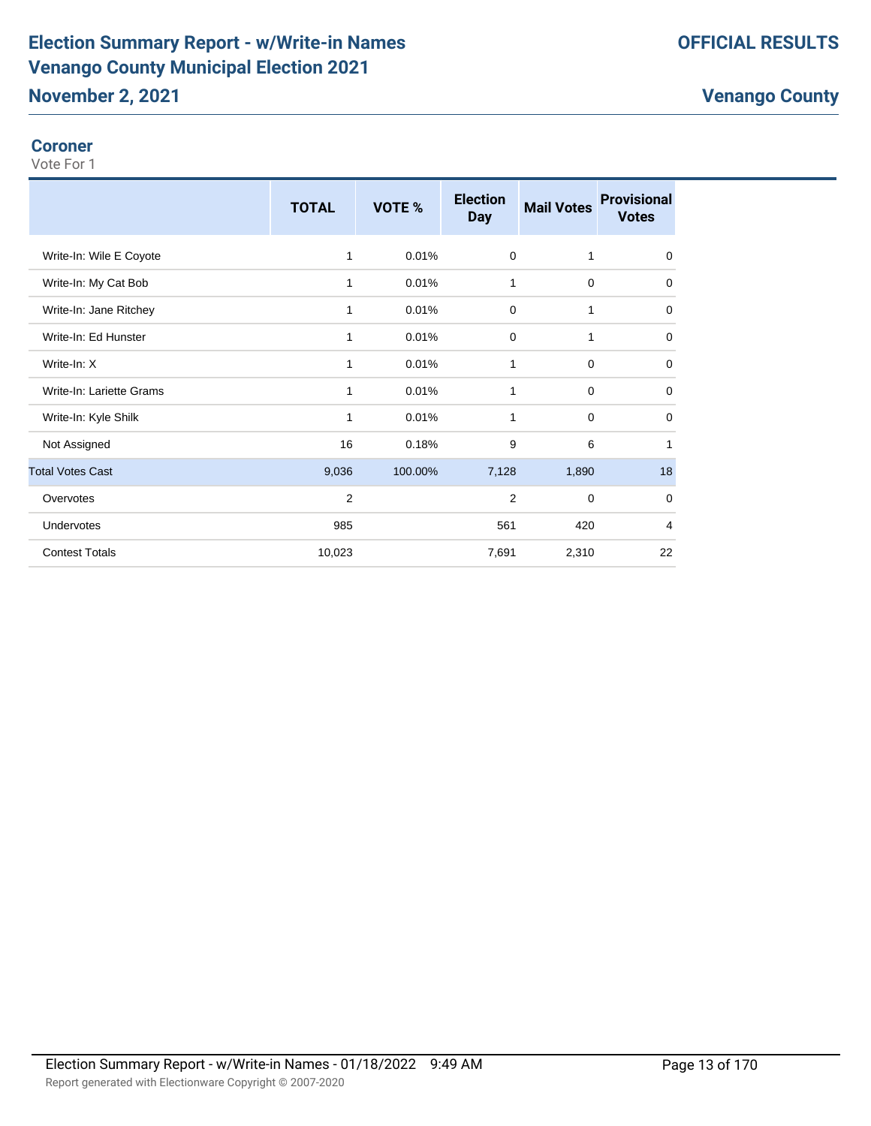# **Election Summary Report - w/Write-in Names Venango County Municipal Election 2021**

# **OFFICIAL RESULTS**

# **Venango County**

#### **Coroner**

|                          | <b>TOTAL</b>   | VOTE %  | <b>Election</b><br><b>Day</b> | <b>Mail Votes</b> | <b>Provisional</b><br><b>Votes</b> |
|--------------------------|----------------|---------|-------------------------------|-------------------|------------------------------------|
| Write-In: Wile E Coyote  | 1              | 0.01%   | 0                             | 1                 | 0                                  |
| Write-In: My Cat Bob     | 1              | 0.01%   | 1                             | $\mathbf 0$       | $\mathbf 0$                        |
| Write-In: Jane Ritchey   | 1              | 0.01%   | 0                             | 1                 | $\mathbf 0$                        |
| Write-In: Ed Hunster     | 1              | 0.01%   | $\mathbf 0$                   | 1                 | $\mathbf 0$                        |
| Write-In: X              | 1              | 0.01%   | 1                             | $\mathbf 0$       | $\mathbf 0$                        |
| Write-In: Lariette Grams | 1              | 0.01%   | 1                             | 0                 | $\mathbf 0$                        |
| Write-In: Kyle Shilk     | 1              | 0.01%   | 1                             | $\mathbf 0$       | 0                                  |
| Not Assigned             | 16             | 0.18%   | 9                             | 6                 | 1                                  |
| <b>Total Votes Cast</b>  | 9,036          | 100.00% | 7,128                         | 1,890             | 18                                 |
| Overvotes                | $\overline{2}$ |         | 2                             | $\mathbf 0$       | 0                                  |
| <b>Undervotes</b>        | 985            |         | 561                           | 420               | $\overline{4}$                     |
| <b>Contest Totals</b>    | 10,023         |         | 7,691                         | 2,310             | 22                                 |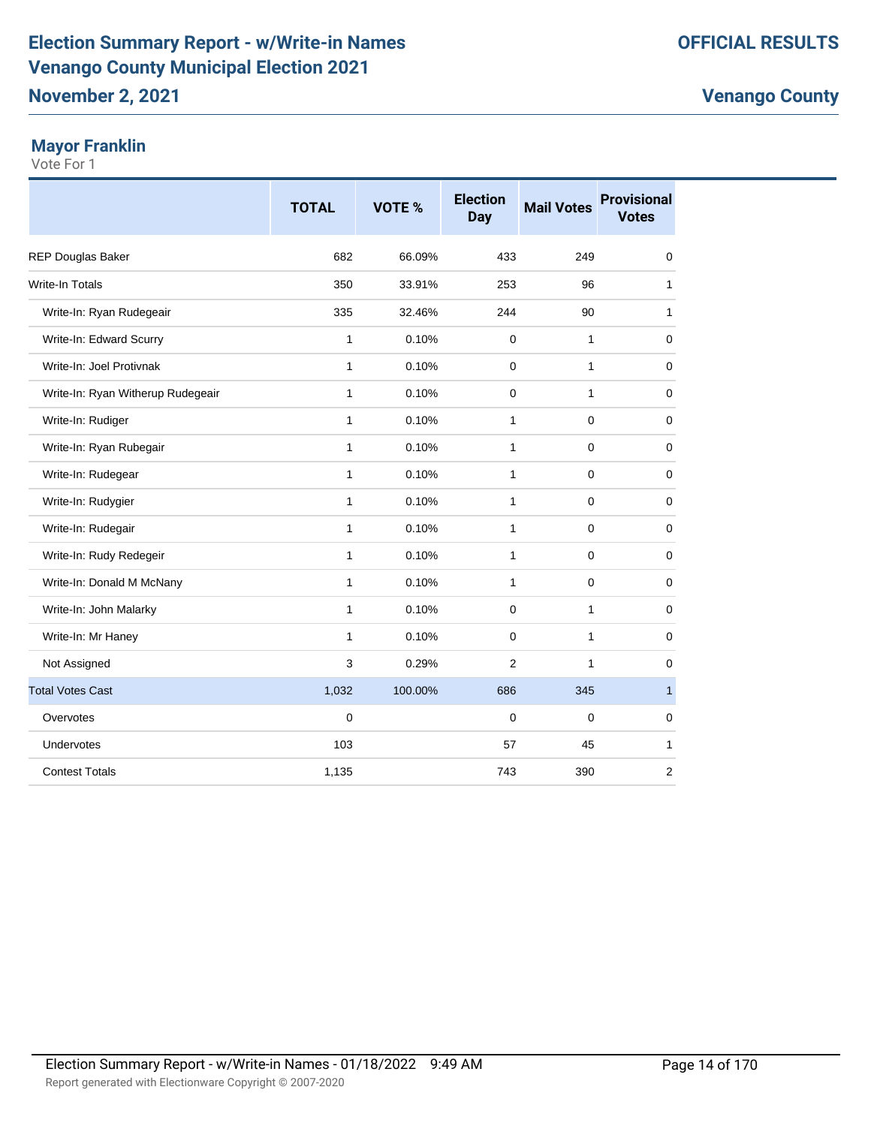# **November 2, 2021**

# **Mayor Franklin**

|                                   | <b>TOTAL</b> | VOTE %  | <b>Election</b><br>Day | <b>Mail Votes</b> | <b>Provisional</b><br><b>Votes</b> |
|-----------------------------------|--------------|---------|------------------------|-------------------|------------------------------------|
| REP Douglas Baker                 | 682          | 66.09%  | 433                    | 249               | $\mathbf 0$                        |
| <b>Write-In Totals</b>            | 350          | 33.91%  | 253                    | 96                | 1                                  |
| Write-In: Ryan Rudegeair          | 335          | 32.46%  | 244                    | 90                | 1                                  |
| Write-In: Edward Scurry           | 1            | 0.10%   | 0                      | $\mathbf{1}$      | 0                                  |
| Write-In: Joel Protivnak          | 1            | 0.10%   | 0                      | $\mathbf{1}$      | $\mathbf 0$                        |
| Write-In: Ryan Witherup Rudegeair | 1            | 0.10%   | 0                      | $\mathbf{1}$      | $\mathbf 0$                        |
| Write-In: Rudiger                 | 1            | 0.10%   | $\mathbf{1}$           | $\mathbf 0$       | $\mathbf 0$                        |
| Write-In: Ryan Rubegair           | 1            | 0.10%   | 1                      | $\mathbf 0$       | $\mathbf 0$                        |
| Write-In: Rudegear                | 1            | 0.10%   | $\mathbf{1}$           | $\mathbf 0$       | 0                                  |
| Write-In: Rudygier                | 1            | 0.10%   | $\mathbf{1}$           | $\mathbf 0$       | $\mathbf 0$                        |
| Write-In: Rudegair                | 1            | 0.10%   | 1                      | $\mathbf 0$       | $\mathbf 0$                        |
| Write-In: Rudy Redegeir           | 1            | 0.10%   | $\mathbf{1}$           | $\mathbf 0$       | 0                                  |
| Write-In: Donald M McNany         | 1            | 0.10%   | 1                      | $\mathbf 0$       | $\mathbf 0$                        |
| Write-In: John Malarky            | 1            | 0.10%   | $\Omega$               | 1                 | $\mathbf 0$                        |
| Write-In: Mr Haney                | $\mathbf{1}$ | 0.10%   | 0                      | $\mathbf{1}$      | 0                                  |
| Not Assigned                      | 3            | 0.29%   | $\overline{2}$         | 1                 | $\mathbf 0$                        |
| <b>Total Votes Cast</b>           | 1,032        | 100.00% | 686                    | 345               | $\mathbf{1}$                       |
| Overvotes                         | 0            |         | 0                      | 0                 | 0                                  |
| Undervotes                        | 103          |         | 57                     | 45                | 1                                  |
| <b>Contest Totals</b>             | 1,135        |         | 743                    | 390               | 2                                  |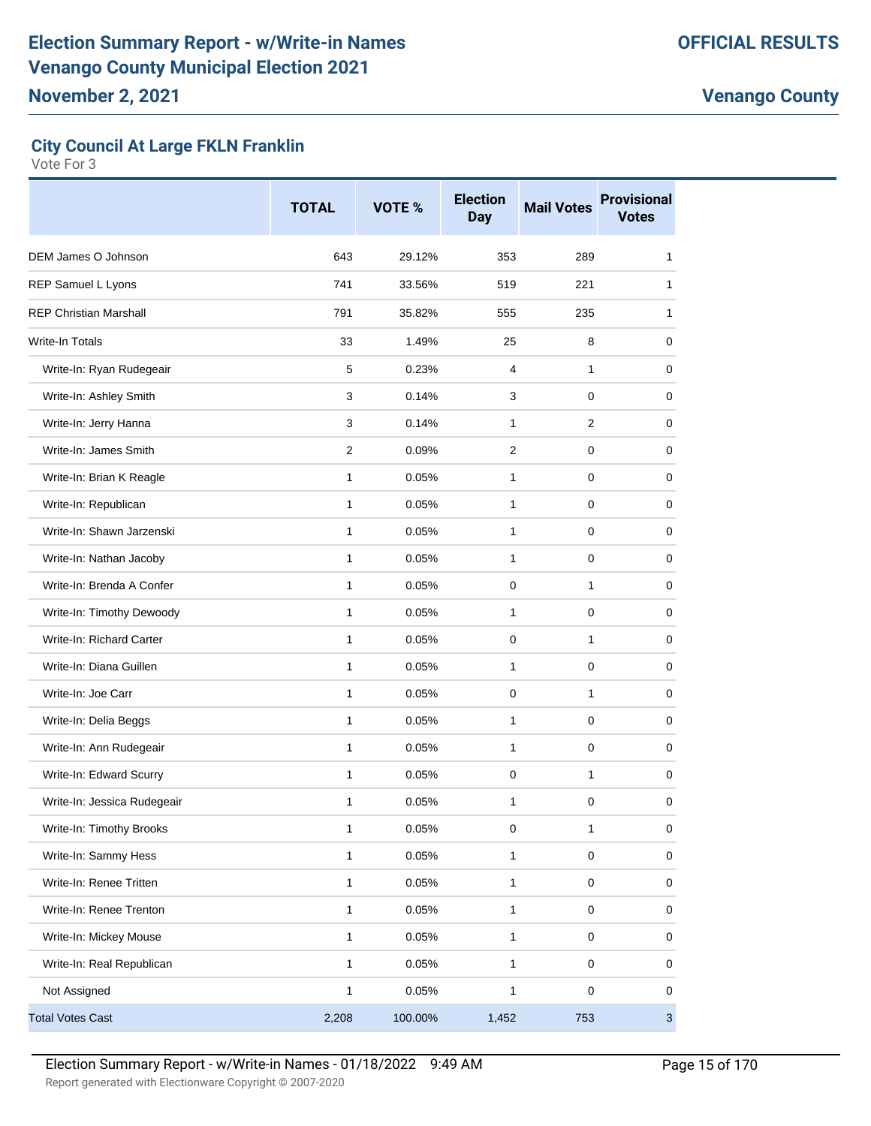# **City Council At Large FKLN Franklin**

|                               | <b>TOTAL</b> | VOTE %  | <b>Election</b><br><b>Day</b> | <b>Mail Votes</b> | <b>Provisional</b><br><b>Votes</b> |
|-------------------------------|--------------|---------|-------------------------------|-------------------|------------------------------------|
| DEM James O Johnson           | 643          | 29.12%  | 353                           | 289               | 1                                  |
| REP Samuel L Lyons            | 741          | 33.56%  | 519                           | 221               | $\mathbf{1}$                       |
| <b>REP Christian Marshall</b> | 791          | 35.82%  | 555                           | 235               | 1                                  |
| <b>Write-In Totals</b>        | 33           | 1.49%   | 25                            | 8                 | 0                                  |
| Write-In: Ryan Rudegeair      | 5            | 0.23%   | 4                             | $\mathbf{1}$      | 0                                  |
| Write-In: Ashley Smith        | 3            | 0.14%   | 3                             | 0                 | 0                                  |
| Write-In: Jerry Hanna         | 3            | 0.14%   | 1                             | 2                 | 0                                  |
| Write-In: James Smith         | 2            | 0.09%   | $\overline{2}$                | $\mathbf 0$       | 0                                  |
| Write-In: Brian K Reagle      | 1            | 0.05%   | 1                             | 0                 | 0                                  |
| Write-In: Republican          | 1            | 0.05%   | 1                             | 0                 | 0                                  |
| Write-In: Shawn Jarzenski     | 1            | 0.05%   | 1                             | 0                 | 0                                  |
| Write-In: Nathan Jacoby       | $\mathbf{1}$ | 0.05%   | 1                             | $\mathbf 0$       | 0                                  |
| Write-In: Brenda A Confer     | $\mathbf{1}$ | 0.05%   | 0                             | $\mathbf{1}$      | 0                                  |
| Write-In: Timothy Dewoody     | $\mathbf{1}$ | 0.05%   | 1                             | 0                 | 0                                  |
| Write-In: Richard Carter      | 1            | 0.05%   | 0                             | $\mathbf{1}$      | 0                                  |
| Write-In: Diana Guillen       | 1            | 0.05%   | 1                             | 0                 | 0                                  |
| Write-In: Joe Carr            | 1            | 0.05%   | 0                             | $\mathbf{1}$      | 0                                  |
| Write-In: Delia Beggs         | $\mathbf{1}$ | 0.05%   | 1                             | $\mathbf 0$       | 0                                  |
| Write-In: Ann Rudegeair       | 1            | 0.05%   | 1                             | 0                 | 0                                  |
| Write-In: Edward Scurry       | 1            | 0.05%   | $\pmb{0}$                     | $\mathbf{1}$      | 0                                  |
| Write-In: Jessica Rudegeair   | 1            | 0.05%   | 1                             | 0                 | 0                                  |
| Write-In: Timothy Brooks      | 1            | 0.05%   | 0                             | $\mathbf{1}$      | 0                                  |
| Write-In: Sammy Hess          | 1            | 0.05%   | 1                             | $\pmb{0}$         | 0                                  |
| Write-In: Renee Tritten       | 1            | 0.05%   | 1                             | $\pmb{0}$         | 0                                  |
| Write-In: Renee Trenton       | 1            | 0.05%   | $\mathbf{1}$                  | $\pmb{0}$         | 0                                  |
| Write-In: Mickey Mouse        | 1            | 0.05%   | $\mathbf{1}$                  | $\mathbf 0$       | 0                                  |
| Write-In: Real Republican     | 1            | 0.05%   | 1                             | $\pmb{0}$         | 0                                  |
| Not Assigned                  | 1            | 0.05%   | $\mathbf{1}$                  | $\pmb{0}$         | 0                                  |
| <b>Total Votes Cast</b>       | 2,208        | 100.00% | 1,452                         | 753               | $\mathbf{3}$                       |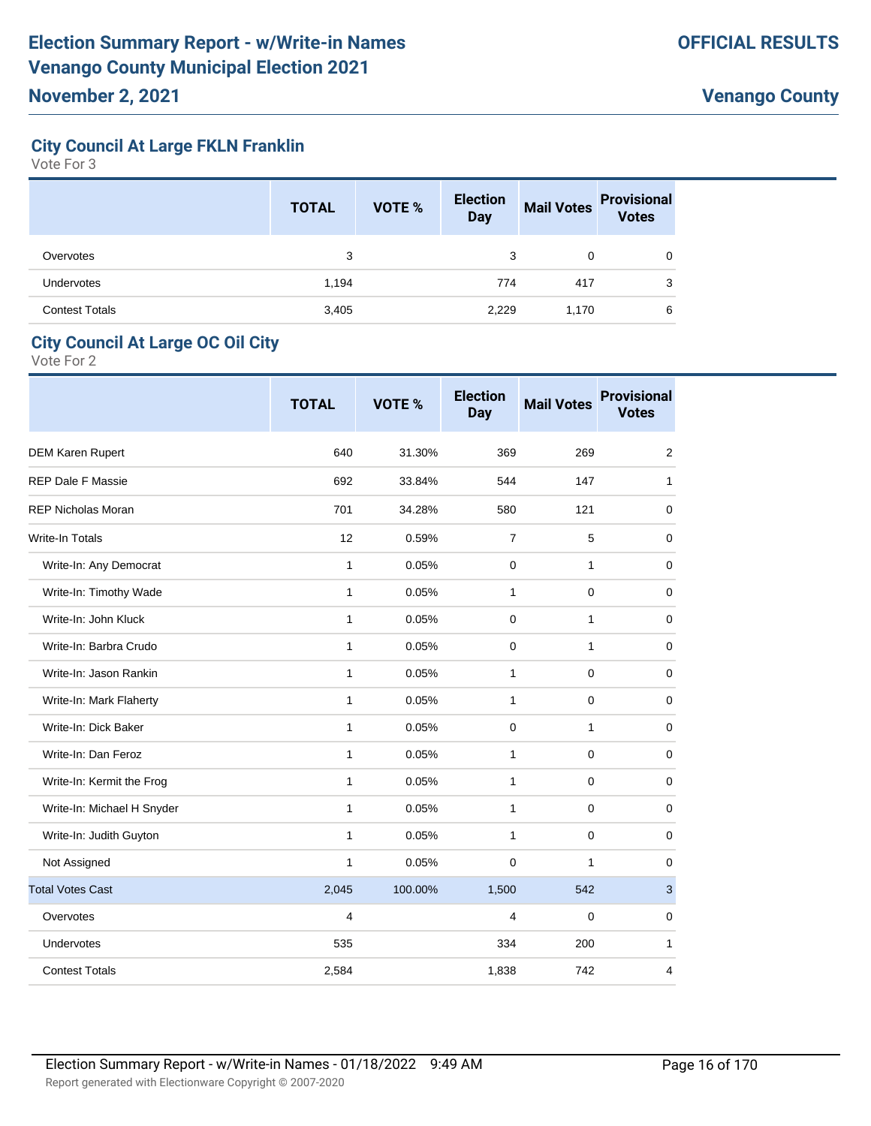# **City Council At Large FKLN Franklin**

Vote For 3

|                       | <b>TOTAL</b> | <b>VOTE %</b> | <b>Election</b><br><b>Day</b> | <b>Mail Votes</b> | <b>Provisional</b><br><b>Votes</b> |
|-----------------------|--------------|---------------|-------------------------------|-------------------|------------------------------------|
| Overvotes             | 3            |               | 3                             | 0                 | 0                                  |
| <b>Undervotes</b>     | 1,194        |               | 774                           | 417               | 3                                  |
| <b>Contest Totals</b> | 3,405        |               | 2,229                         | 1,170             | 6                                  |

#### **City Council At Large OC Oil City**

|                            | <b>TOTAL</b> | <b>VOTE %</b> | <b>Election</b><br><b>Day</b> | <b>Mail Votes</b> | <b>Provisional</b><br><b>Votes</b> |
|----------------------------|--------------|---------------|-------------------------------|-------------------|------------------------------------|
| <b>DEM Karen Rupert</b>    | 640          | 31.30%        | 369                           | 269               | 2                                  |
| <b>REP Dale F Massie</b>   | 692          | 33.84%        | 544                           | 147               | 1                                  |
| <b>REP Nicholas Moran</b>  | 701          | 34.28%        | 580                           | 121               | 0                                  |
| <b>Write-In Totals</b>     | 12           | 0.59%         | $\overline{7}$                | 5                 | 0                                  |
| Write-In: Any Democrat     | $\mathbf{1}$ | 0.05%         | 0                             | $\mathbf{1}$      | $\mathbf 0$                        |
| Write-In: Timothy Wade     | $\mathbf{1}$ | 0.05%         | $\mathbf{1}$                  | $\mathbf 0$       | $\mathbf 0$                        |
| Write-In: John Kluck       | 1            | 0.05%         | 0                             | 1                 | 0                                  |
| Write-In: Barbra Crudo     | $\mathbf{1}$ | 0.05%         | 0                             | 1                 | 0                                  |
| Write-In: Jason Rankin     | $\mathbf{1}$ | 0.05%         | $\mathbf{1}$                  | 0                 | 0                                  |
| Write-In: Mark Flaherty    | 1            | 0.05%         | $\mathbf{1}$                  | $\mathbf 0$       | 0                                  |
| Write-In: Dick Baker       | $\mathbf{1}$ | 0.05%         | 0                             | 1                 | $\mathbf 0$                        |
| Write-In: Dan Feroz        | $\mathbf{1}$ | 0.05%         | $\mathbf{1}$                  | $\mathbf 0$       | 0                                  |
| Write-In: Kermit the Frog  | $\mathbf{1}$ | 0.05%         | $\mathbf{1}$                  | $\mathbf 0$       | $\mathbf 0$                        |
| Write-In: Michael H Snyder | 1            | 0.05%         | $\mathbf{1}$                  | $\Omega$          | $\Omega$                           |
| Write-In: Judith Guyton    | 1            | 0.05%         | $\mathbf{1}$                  | $\mathbf 0$       | $\Omega$                           |
| Not Assigned               | $\mathbf{1}$ | 0.05%         | 0                             | 1                 | 0                                  |
| <b>Total Votes Cast</b>    | 2,045        | 100.00%       | 1,500                         | 542               | 3                                  |
| Overvotes                  | 4            |               | 4                             | 0                 | $\Omega$                           |
| <b>Undervotes</b>          | 535          |               | 334                           | 200               | 1                                  |
| <b>Contest Totals</b>      | 2,584        |               | 1,838                         | 742               | 4                                  |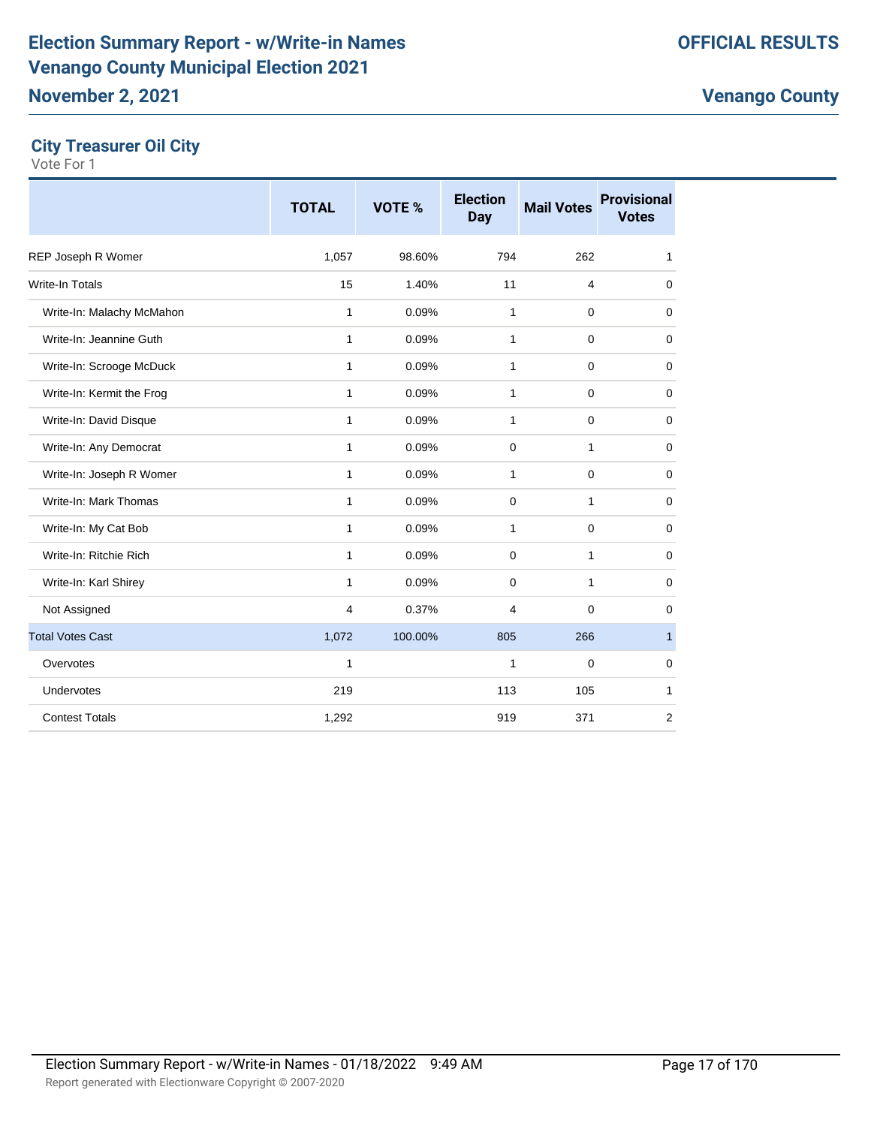# **City Treasurer Oil City**

|                           | <b>TOTAL</b> | VOTE %  | <b>Election</b><br><b>Day</b> | <b>Mail Votes</b> | <b>Provisional</b><br><b>Votes</b> |
|---------------------------|--------------|---------|-------------------------------|-------------------|------------------------------------|
| REP Joseph R Womer        | 1,057        | 98.60%  | 794                           | 262               | 1                                  |
| <b>Write-In Totals</b>    | 15           | 1.40%   | 11                            | 4                 | $\mathbf 0$                        |
| Write-In: Malachy McMahon | $\mathbf{1}$ | 0.09%   | $\mathbf{1}$                  | $\mathbf 0$       | $\mathbf 0$                        |
| Write-In: Jeannine Guth   | 1            | 0.09%   | $\mathbf{1}$                  | $\mathbf 0$       | $\mathbf 0$                        |
| Write-In: Scrooge McDuck  | 1            | 0.09%   | 1                             | 0                 | 0                                  |
| Write-In: Kermit the Frog | 1            | 0.09%   | $\mathbf{1}$                  | $\mathbf 0$       | $\mathbf 0$                        |
| Write-In: David Disque    | 1            | 0.09%   | $\mathbf{1}$                  | $\mathbf 0$       | $\mathbf 0$                        |
| Write-In: Any Democrat    | 1            | 0.09%   | $\mathbf 0$                   | $\mathbf{1}$      | $\mathbf 0$                        |
| Write-In: Joseph R Womer  | $\mathbf{1}$ | 0.09%   | $\mathbf{1}$                  | $\mathbf 0$       | $\mathbf 0$                        |
| Write-In: Mark Thomas     | 1            | 0.09%   | 0                             | 1                 | $\mathbf 0$                        |
| Write-In: My Cat Bob      | 1            | 0.09%   | 1                             | 0                 | $\mathbf 0$                        |
| Write-In: Ritchie Rich    | 1            | 0.09%   | 0                             | 1                 | $\mathbf 0$                        |
| Write-In: Karl Shirey     | 1            | 0.09%   | 0                             | 1                 | $\mathbf 0$                        |
| Not Assigned              | 4            | 0.37%   | 4                             | 0                 | $\mathbf 0$                        |
| <b>Total Votes Cast</b>   | 1,072        | 100.00% | 805                           | 266               | $\mathbf{1}$                       |
| Overvotes                 | 1            |         | $\mathbf{1}$                  | 0                 | $\mathbf 0$                        |
| Undervotes                | 219          |         | 113                           | 105               | 1                                  |
| <b>Contest Totals</b>     | 1,292        |         | 919                           | 371               | 2                                  |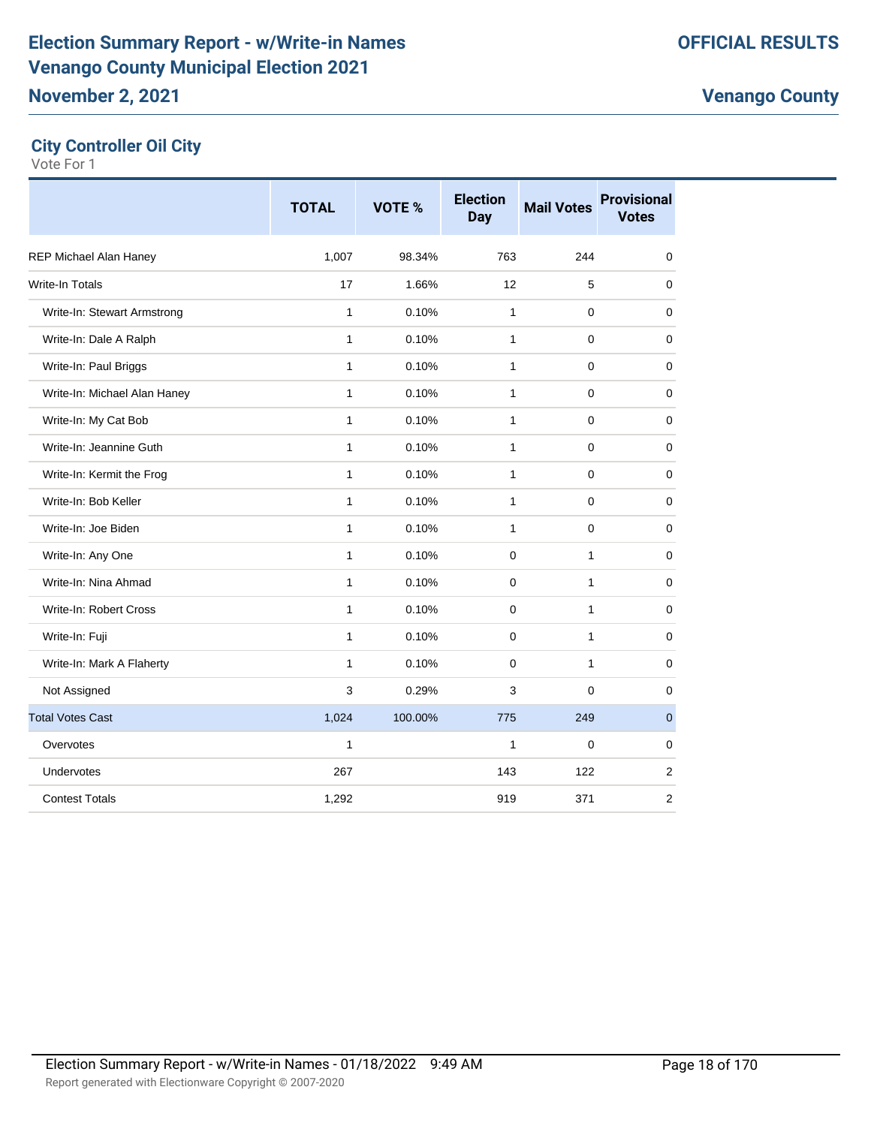| <b>City Controller Oil City</b> |  |  |
|---------------------------------|--|--|
|---------------------------------|--|--|

|                              | <b>TOTAL</b> | <b>VOTE %</b> | <b>Election</b><br><b>Day</b> | <b>Mail Votes</b> | <b>Provisional</b><br><b>Votes</b> |
|------------------------------|--------------|---------------|-------------------------------|-------------------|------------------------------------|
| REP Michael Alan Haney       | 1,007        | 98.34%        | 763                           | 244               | $\mathbf 0$                        |
| <b>Write-In Totals</b>       | 17           | 1.66%         | 12                            | 5                 | $\mathbf 0$                        |
| Write-In: Stewart Armstrong  | 1            | 0.10%         | $\mathbf{1}$                  | $\mathbf 0$       | $\mathbf 0$                        |
| Write-In: Dale A Ralph       | $\mathbf{1}$ | 0.10%         | $\mathbf{1}$                  | $\mathbf 0$       | $\mathbf 0$                        |
| Write-In: Paul Briggs        | $\mathbf{1}$ | 0.10%         | $\mathbf{1}$                  | 0                 | $\mathbf 0$                        |
| Write-In: Michael Alan Haney | 1            | 0.10%         | 1                             | $\mathbf 0$       | 0                                  |
| Write-In: My Cat Bob         | 1            | 0.10%         | 1                             | 0                 | 0                                  |
| Write-In: Jeannine Guth      | 1            | 0.10%         | $\mathbf{1}$                  | $\mathbf 0$       | $\mathbf 0$                        |
| Write-In: Kermit the Frog    | 1            | 0.10%         | $\mathbf{1}$                  | $\mathbf 0$       | $\mathbf 0$                        |
| Write-In: Bob Keller         | $\mathbf{1}$ | 0.10%         | $\mathbf{1}$                  | $\mathbf 0$       | $\pmb{0}$                          |
| Write-In: Joe Biden          | 1            | 0.10%         | 1                             | $\mathbf 0$       | 0                                  |
| Write-In: Any One            | $\mathbf{1}$ | 0.10%         | $\mathbf 0$                   | 1                 | $\mathbf 0$                        |
| Write-In: Nina Ahmad         | 1            | 0.10%         | $\mathbf 0$                   | $\mathbf{1}$      | $\mathbf 0$                        |
| Write-In: Robert Cross       | $\mathbf{1}$ | 0.10%         | $\mathbf 0$                   | $\mathbf{1}$      | $\mathbf 0$                        |
| Write-In: Fuji               | $\mathbf{1}$ | 0.10%         | $\mathbf 0$                   | $\mathbf{1}$      | $\mathbf 0$                        |
| Write-In: Mark A Flaherty    | $\mathbf{1}$ | 0.10%         | 0                             | 1                 | 0                                  |
| Not Assigned                 | 3            | 0.29%         | 3                             | $\mathbf 0$       | 0                                  |
| <b>Total Votes Cast</b>      | 1,024        | 100.00%       | 775                           | 249               | $\mathbf{0}$                       |
| Overvotes                    | 1            |               | 1                             | $\mathbf 0$       | $\pmb{0}$                          |
| Undervotes                   | 267          |               | 143                           | 122               | $\overline{2}$                     |
| <b>Contest Totals</b>        | 1,292        |               | 919                           | 371               | 2                                  |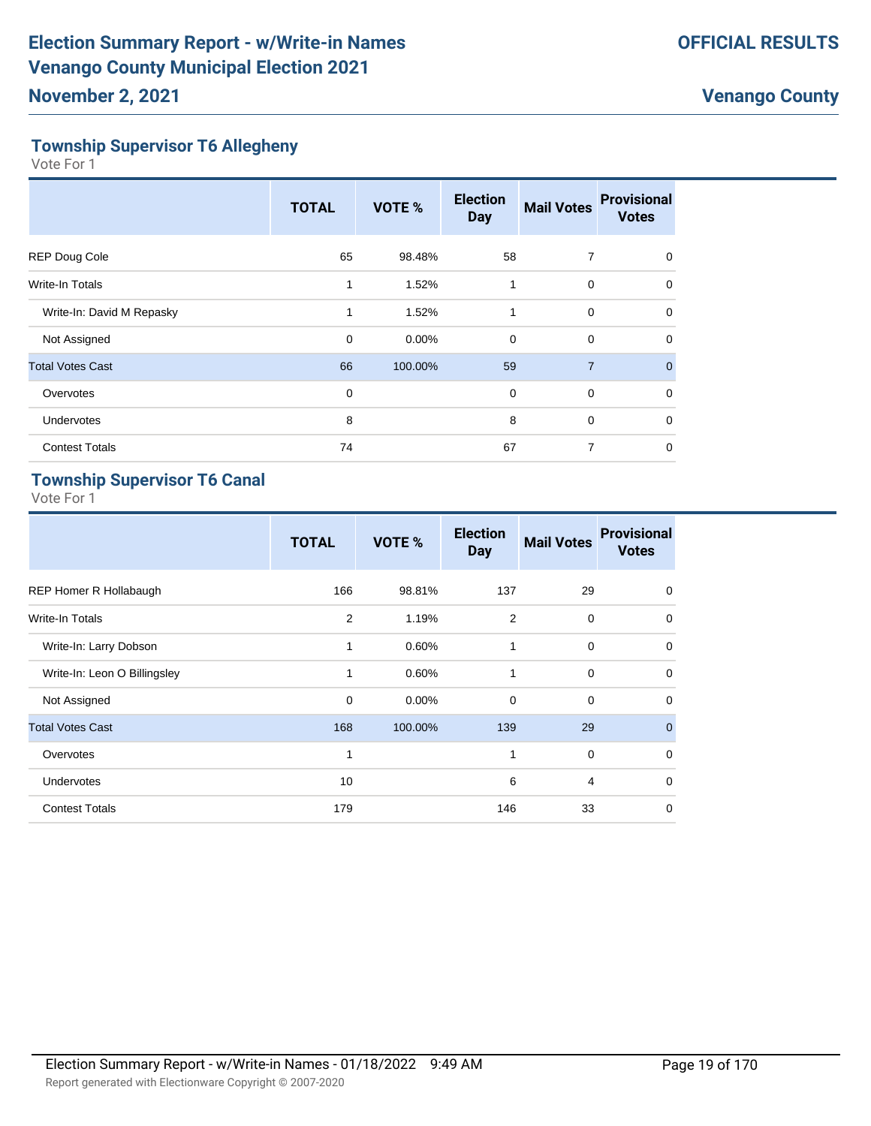# **Township Supervisor T6 Allegheny**

Vote For 1

|                           | <b>TOTAL</b> | VOTE %  | <b>Election</b><br><b>Day</b> | <b>Mail Votes</b> | <b>Provisional</b><br><b>Votes</b> |
|---------------------------|--------------|---------|-------------------------------|-------------------|------------------------------------|
| <b>REP Doug Cole</b>      | 65           | 98.48%  | 58                            | 7                 | $\Omega$                           |
| Write-In Totals           | 1            | 1.52%   | 1                             | $\mathbf 0$       | $\Omega$                           |
| Write-In: David M Repasky | 1            | 1.52%   | 1                             | $\mathbf 0$       | 0                                  |
| Not Assigned              | 0            | 0.00%   | $\mathbf 0$                   | $\mathbf 0$       | $\Omega$                           |
| <b>Total Votes Cast</b>   | 66           | 100.00% | 59                            | $\overline{7}$    | $\Omega$                           |
| Overvotes                 | 0            |         | $\mathbf 0$                   | $\mathbf 0$       | $\Omega$                           |
| <b>Undervotes</b>         | 8            |         | 8                             | $\mathbf 0$       | $\Omega$                           |
| <b>Contest Totals</b>     | 74           |         | 67                            | 7                 | 0                                  |

# **Township Supervisor T6 Canal**

|                               | <b>TOTAL</b> | VOTE %   | <b>Election</b><br><b>Day</b> | <b>Mail Votes</b> | <b>Provisional</b><br><b>Votes</b> |
|-------------------------------|--------------|----------|-------------------------------|-------------------|------------------------------------|
| <b>REP Homer R Hollabaugh</b> | 166          | 98.81%   | 137                           | 29                | $\mathbf 0$                        |
| <b>Write-In Totals</b>        | 2            | 1.19%    | 2                             | $\mathbf 0$       | $\mathbf 0$                        |
| Write-In: Larry Dobson        | 1            | 0.60%    | 1                             | $\mathbf 0$       | $\mathbf 0$                        |
| Write-In: Leon O Billingsley  |              | 0.60%    | 1                             | $\mathbf 0$       | $\Omega$                           |
| Not Assigned                  | $\mathbf 0$  | $0.00\%$ | $\Omega$                      | $\mathbf 0$       | $\Omega$                           |
| <b>Total Votes Cast</b>       | 168          | 100.00%  | 139                           | 29                | $\mathbf{0}$                       |
| Overvotes                     | 1            |          | 1                             | $\mathbf 0$       | $\mathbf 0$                        |
| Undervotes                    | 10           |          | 6                             | $\overline{4}$    | $\Omega$                           |
| <b>Contest Totals</b>         | 179          |          | 146                           | 33                | 0                                  |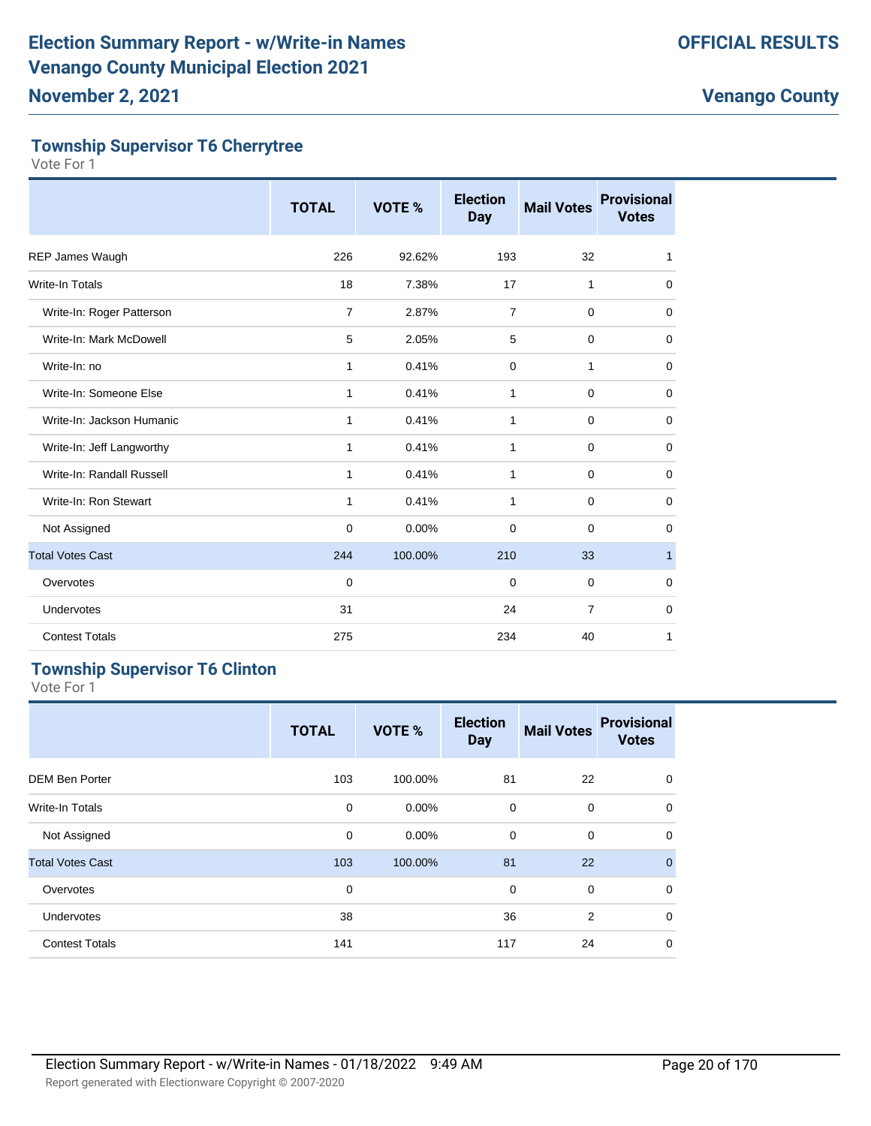# **Township Supervisor T6 Cherrytree**

Vote For 1

|                           | <b>TOTAL</b> | VOTE %   | <b>Election</b><br><b>Day</b> | <b>Mail Votes</b> | <b>Provisional</b><br><b>Votes</b> |
|---------------------------|--------------|----------|-------------------------------|-------------------|------------------------------------|
| REP James Waugh           | 226          | 92.62%   | 193                           | 32                | 1                                  |
| Write-In Totals           | 18           | 7.38%    | 17                            | 1                 | $\mathbf 0$                        |
| Write-In: Roger Patterson | 7            | 2.87%    | $\overline{7}$                | $\mathbf 0$       | $\mathbf 0$                        |
| Write-In: Mark McDowell   | 5            | 2.05%    | 5                             | 0                 | 0                                  |
| Write-In: no              | 1            | 0.41%    | 0                             | 1                 | $\mathbf 0$                        |
| Write-In: Someone Else    | 1            | 0.41%    | 1                             | $\mathbf 0$       | $\mathbf 0$                        |
| Write-In: Jackson Humanic | 1            | 0.41%    | 1                             | 0                 | 0                                  |
| Write-In: Jeff Langworthy | 1            | 0.41%    | 1                             | $\mathbf 0$       | $\mathbf 0$                        |
| Write-In: Randall Russell | 1            | 0.41%    | 1                             | $\mathbf 0$       | 0                                  |
| Write-In: Ron Stewart     | 1            | 0.41%    | 1                             | $\mathbf 0$       | $\mathbf 0$                        |
| Not Assigned              | 0            | $0.00\%$ | 0                             | $\mathbf 0$       | 0                                  |
| <b>Total Votes Cast</b>   | 244          | 100.00%  | 210                           | 33                | $\mathbf{1}$                       |
| Overvotes                 | $\mathbf 0$  |          | $\mathbf 0$                   | $\mathbf 0$       | $\mathbf 0$                        |
| Undervotes                | 31           |          | 24                            | $\overline{7}$    | $\mathbf 0$                        |
| <b>Contest Totals</b>     | 275          |          | 234                           | 40                | 1                                  |

# **Township Supervisor T6 Clinton**

|                         | <b>TOTAL</b> | VOTE %   | <b>Election</b><br><b>Day</b> | <b>Mail Votes</b> | <b>Provisional</b><br><b>Votes</b> |
|-------------------------|--------------|----------|-------------------------------|-------------------|------------------------------------|
| <b>DEM Ben Porter</b>   | 103          | 100.00%  | 81                            | 22                | $\mathbf 0$                        |
| <b>Write-In Totals</b>  | 0            | $0.00\%$ | $\mathbf 0$                   | $\mathbf 0$       | $\mathbf 0$                        |
| Not Assigned            | 0            | 0.00%    | $\mathbf 0$                   | $\mathbf 0$       | $\mathbf 0$                        |
| <b>Total Votes Cast</b> | 103          | 100.00%  | 81                            | 22                | $\mathbf{0}$                       |
| Overvotes               | 0            |          | $\mathbf 0$                   | $\mathbf 0$       | $\mathbf 0$                        |
| <b>Undervotes</b>       | 38           |          | 36                            | 2                 | $\mathbf 0$                        |
| <b>Contest Totals</b>   | 141          |          | 117                           | 24                | $\mathbf 0$                        |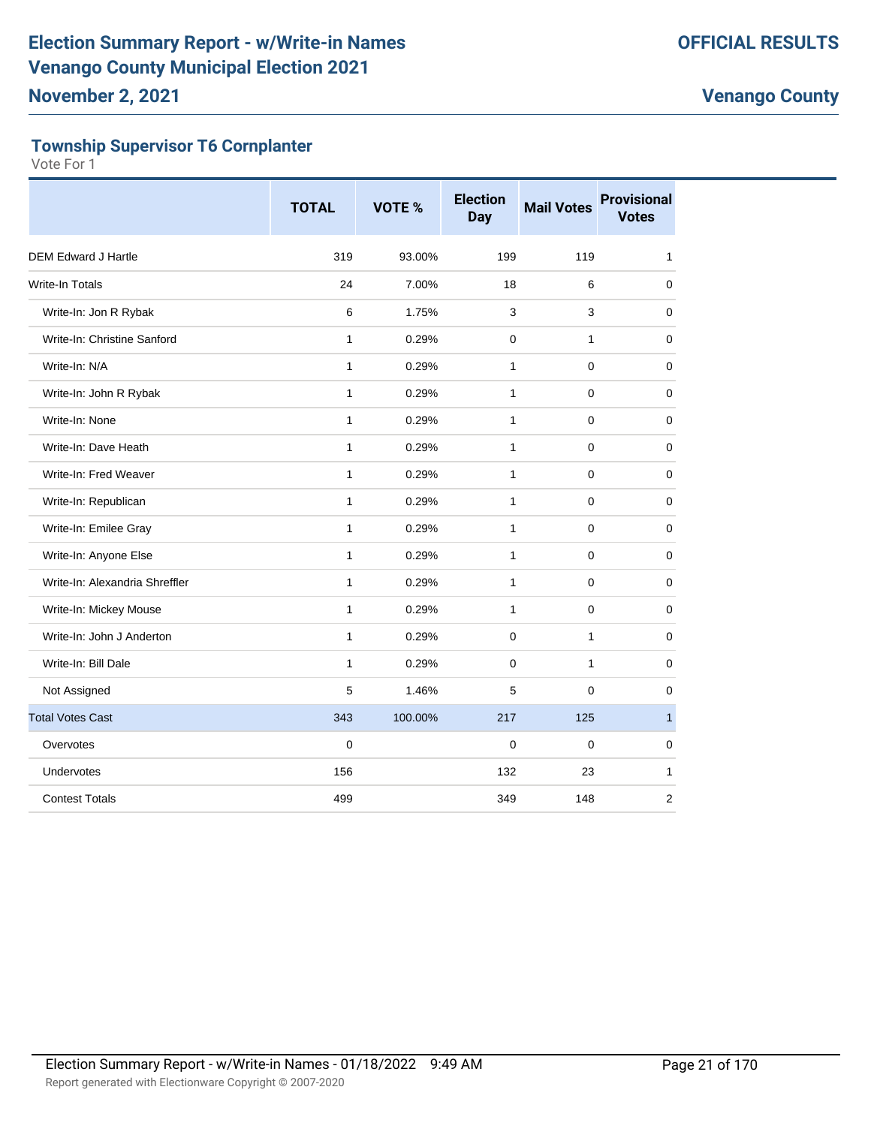# **Township Supervisor T6 Cornplanter**

|                                | <b>TOTAL</b> | <b>VOTE %</b> | <b>Election</b><br><b>Day</b> | <b>Mail Votes</b> | <b>Provisional</b><br><b>Votes</b> |
|--------------------------------|--------------|---------------|-------------------------------|-------------------|------------------------------------|
| <b>DEM Edward J Hartle</b>     | 319          | 93.00%        | 199                           | 119               | $\mathbf{1}$                       |
| Write-In Totals                | 24           | 7.00%         | 18                            | 6                 | $\mathbf 0$                        |
| Write-In: Jon R Rybak          | 6            | 1.75%         | 3                             | 3                 | $\mathbf 0$                        |
| Write-In: Christine Sanford    | $\mathbf{1}$ | 0.29%         | $\mathbf 0$                   | 1                 | 0                                  |
| Write-In: N/A                  | $\mathbf{1}$ | 0.29%         | $\mathbf{1}$                  | $\mathbf 0$       | $\mathbf 0$                        |
| Write-In: John R Rybak         | 1            | 0.29%         | 1                             | $\mathbf 0$       | $\mathbf 0$                        |
| Write-In: None                 | $\mathbf{1}$ | 0.29%         | $\mathbf{1}$                  | $\mathbf 0$       | $\mathbf 0$                        |
| Write-In: Dave Heath           | $\mathbf{1}$ | 0.29%         | 1                             | $\mathbf 0$       | $\mathbf 0$                        |
| Write-In: Fred Weaver          | $\mathbf{1}$ | 0.29%         | $\mathbf{1}$                  | $\mathbf 0$       | $\pmb{0}$                          |
| Write-In: Republican           | 1            | 0.29%         | 1                             | $\mathbf 0$       | 0                                  |
| Write-In: Emilee Gray          | 1            | 0.29%         | 1                             | $\mathbf 0$       | 0                                  |
| Write-In: Anyone Else          | $\mathbf{1}$ | 0.29%         | 1                             | $\mathbf 0$       | $\mathbf 0$                        |
| Write-In: Alexandria Shreffler | $\mathbf{1}$ | 0.29%         | $\mathbf{1}$                  | 0                 | $\mathbf 0$                        |
| Write-In: Mickey Mouse         | $\mathbf{1}$ | 0.29%         | $\mathbf{1}$                  | $\mathbf 0$       | $\mathbf 0$                        |
| Write-In: John J Anderton      | $\mathbf{1}$ | 0.29%         | $\Omega$                      | $\mathbf{1}$      | 0                                  |
| Write-In: Bill Dale            | $\mathbf{1}$ | 0.29%         | $\mathbf 0$                   | 1                 | $\mathbf 0$                        |
| Not Assigned                   | 5            | 1.46%         | 5                             | 0                 | $\mathbf 0$                        |
| <b>Total Votes Cast</b>        | 343          | 100.00%       | 217                           | 125               | $\mathbf{1}$                       |
| Overvotes                      | $\mathbf 0$  |               | $\mathbf 0$                   | $\mathbf 0$       | $\mathbf 0$                        |
| <b>Undervotes</b>              | 156          |               | 132                           | 23                | $\mathbf{1}$                       |
| <b>Contest Totals</b>          | 499          |               | 349                           | 148               | $\overline{2}$                     |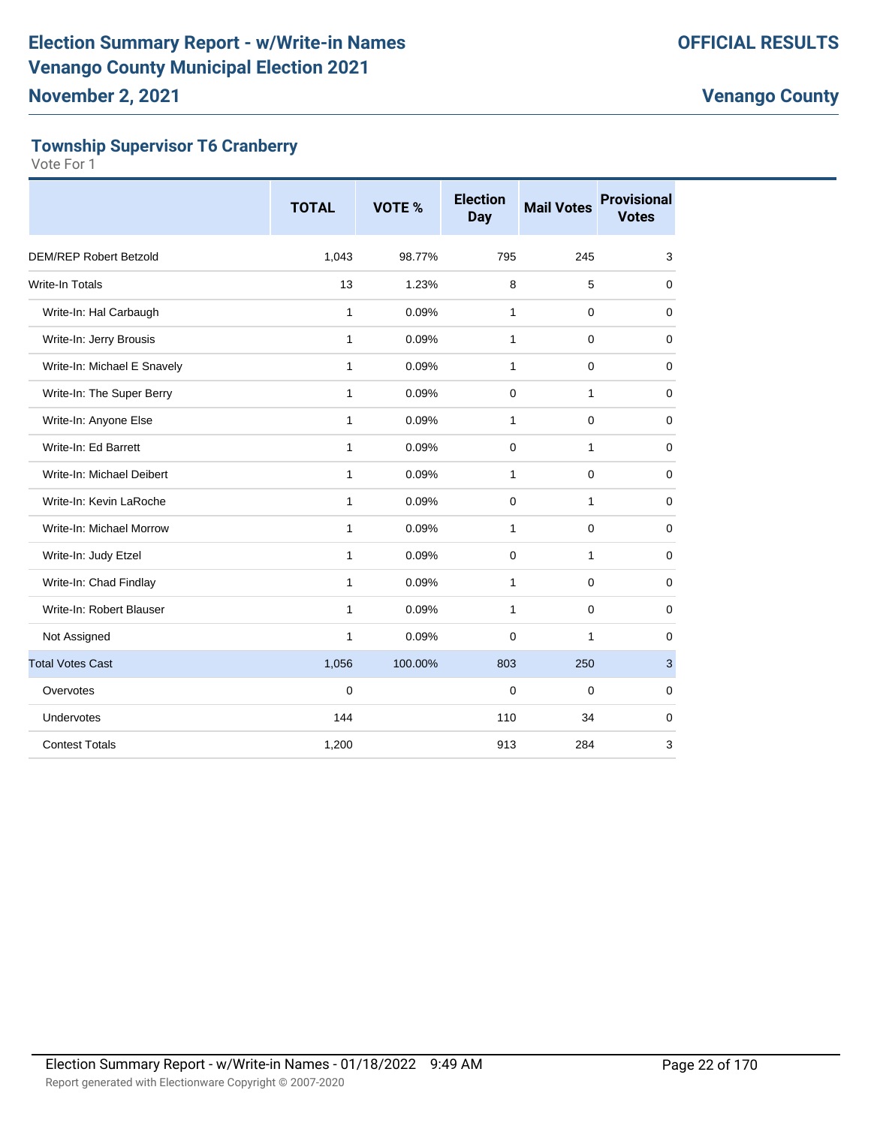# **Township Supervisor T6 Cranberry**

|                               | <b>TOTAL</b> | <b>VOTE %</b> | <b>Election</b><br><b>Day</b> | <b>Mail Votes</b> | <b>Provisional</b><br><b>Votes</b> |
|-------------------------------|--------------|---------------|-------------------------------|-------------------|------------------------------------|
| <b>DEM/REP Robert Betzold</b> | 1,043        | 98.77%        | 795                           | 245               | 3                                  |
| <b>Write-In Totals</b>        | 13           | 1.23%         | 8                             | 5                 | 0                                  |
| Write-In: Hal Carbaugh        | $\mathbf{1}$ | 0.09%         | 1                             | 0                 | 0                                  |
| Write-In: Jerry Brousis       | 1            | 0.09%         | 1                             | $\Omega$          | $\mathbf 0$                        |
| Write-In: Michael E Snavely   | $\mathbf{1}$ | 0.09%         | 1                             | $\mathbf 0$       | $\mathbf 0$                        |
| Write-In: The Super Berry     | 1            | 0.09%         | 0                             | $\mathbf{1}$      | 0                                  |
| Write-In: Anyone Else         | 1            | 0.09%         | 1                             | $\Omega$          | 0                                  |
| Write-In: Ed Barrett          | 1            | 0.09%         | $\Omega$                      | $\mathbf{1}$      | $\mathbf 0$                        |
| Write-In: Michael Deibert     | $\mathbf{1}$ | 0.09%         | 1                             | $\mathbf 0$       | $\mathbf 0$                        |
| Write-In: Kevin LaRoche       | 1            | 0.09%         | $\mathbf 0$                   | $\mathbf{1}$      | $\mathbf 0$                        |
| Write-In: Michael Morrow      | 1            | 0.09%         | 1                             | $\Omega$          | 0                                  |
| Write-In: Judy Etzel          | 1            | 0.09%         | $\Omega$                      | 1                 | $\mathbf 0$                        |
| Write-In: Chad Findlay        | 1            | 0.09%         | 1                             | $\mathbf 0$       | 0                                  |
| Write-In: Robert Blauser      | 1            | 0.09%         | 1                             | $\mathbf 0$       | $\mathbf 0$                        |
| Not Assigned                  | $\mathbf{1}$ | 0.09%         | $\Omega$                      | $\mathbf{1}$      | 0                                  |
| <b>Total Votes Cast</b>       | 1,056        | 100.00%       | 803                           | 250               | $\mathbf{3}$                       |
| Overvotes                     | 0            |               | 0                             | 0                 | 0                                  |
| Undervotes                    | 144          |               | 110                           | 34                | $\mathbf 0$                        |
| <b>Contest Totals</b>         | 1,200        |               | 913                           | 284               | 3                                  |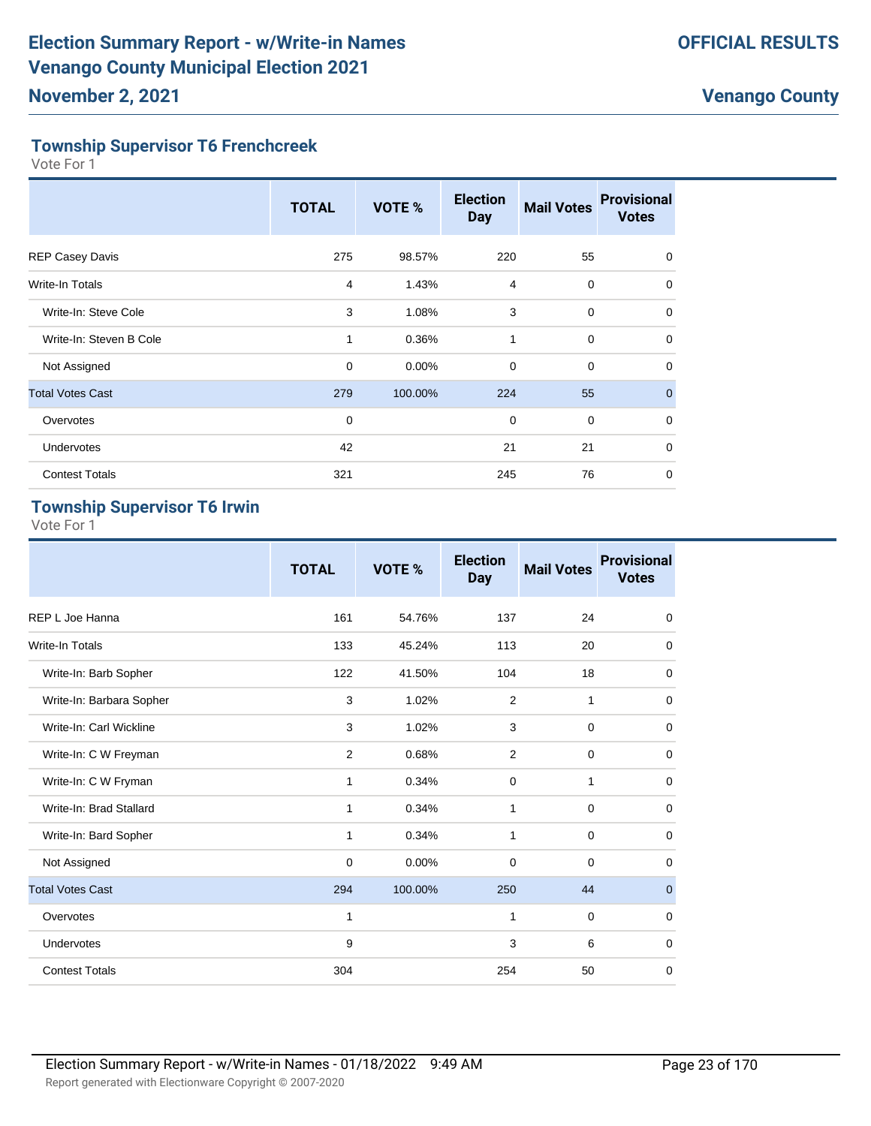## **Township Supervisor T6 Frenchcreek**

Vote For 1

|                         | <b>TOTAL</b> | VOTE %  | <b>Election</b><br><b>Day</b> | <b>Mail Votes</b> | <b>Provisional</b><br><b>Votes</b> |
|-------------------------|--------------|---------|-------------------------------|-------------------|------------------------------------|
| <b>REP Casey Davis</b>  | 275          | 98.57%  | 220                           | 55                | $\Omega$                           |
| Write-In Totals         | 4            | 1.43%   | 4                             | $\mathbf 0$       | 0                                  |
| Write-In: Steve Cole    | 3            | 1.08%   | 3                             | $\mathbf 0$       | $\mathbf 0$                        |
| Write-In: Steven B Cole | 1            | 0.36%   | 1                             | $\mathbf 0$       | $\mathbf 0$                        |
| Not Assigned            | $\mathbf 0$  | 0.00%   | $\mathbf 0$                   | $\mathbf 0$       | $\mathbf 0$                        |
| <b>Total Votes Cast</b> | 279          | 100.00% | 224                           | 55                | $\mathbf{0}$                       |
| Overvotes               | $\mathbf 0$  |         | $\mathbf 0$                   | $\mathbf 0$       | $\mathbf 0$                        |
| <b>Undervotes</b>       | 42           |         | 21                            | 21                | $\mathbf 0$                        |
| <b>Contest Totals</b>   | 321          |         | 245                           | 76                | 0                                  |

# **Township Supervisor T6 Irwin**

|                          | <b>TOTAL</b>   | <b>VOTE %</b> | <b>Election</b><br><b>Day</b> | <b>Mail Votes</b> | <b>Provisional</b><br><b>Votes</b> |
|--------------------------|----------------|---------------|-------------------------------|-------------------|------------------------------------|
| REP L Joe Hanna          | 161            | 54.76%        | 137                           | 24                | $\mathbf 0$                        |
| Write-In Totals          | 133            | 45.24%        | 113                           | 20                | $\mathbf 0$                        |
| Write-In: Barb Sopher    | 122            | 41.50%        | 104                           | 18                | $\mathbf 0$                        |
| Write-In: Barbara Sopher | 3              | 1.02%         | $\overline{2}$                | 1                 | $\mathbf 0$                        |
| Write-In: Carl Wickline  | 3              | 1.02%         | 3                             | $\mathbf 0$       | 0                                  |
| Write-In: C W Freyman    | $\overline{2}$ | 0.68%         | 2                             | $\mathbf 0$       | $\mathbf 0$                        |
| Write-In: C W Fryman     | 1              | 0.34%         | $\mathbf 0$                   | 1                 | $\mathbf 0$                        |
| Write-In: Brad Stallard  | 1              | 0.34%         | 1                             | $\mathbf 0$       | $\mathbf 0$                        |
| Write-In: Bard Sopher    | 1              | 0.34%         | 1                             | $\mathbf 0$       | 0                                  |
| Not Assigned             | 0              | 0.00%         | $\mathbf 0$                   | $\mathbf 0$       | 0                                  |
| <b>Total Votes Cast</b>  | 294            | 100.00%       | 250                           | 44                | $\mathbf 0$                        |
| Overvotes                | 1              |               | 1                             | $\mathbf 0$       | $\mathbf 0$                        |
| Undervotes               | 9              |               | 3                             | 6                 | $\mathbf 0$                        |
| <b>Contest Totals</b>    | 304            |               | 254                           | 50                | $\mathbf 0$                        |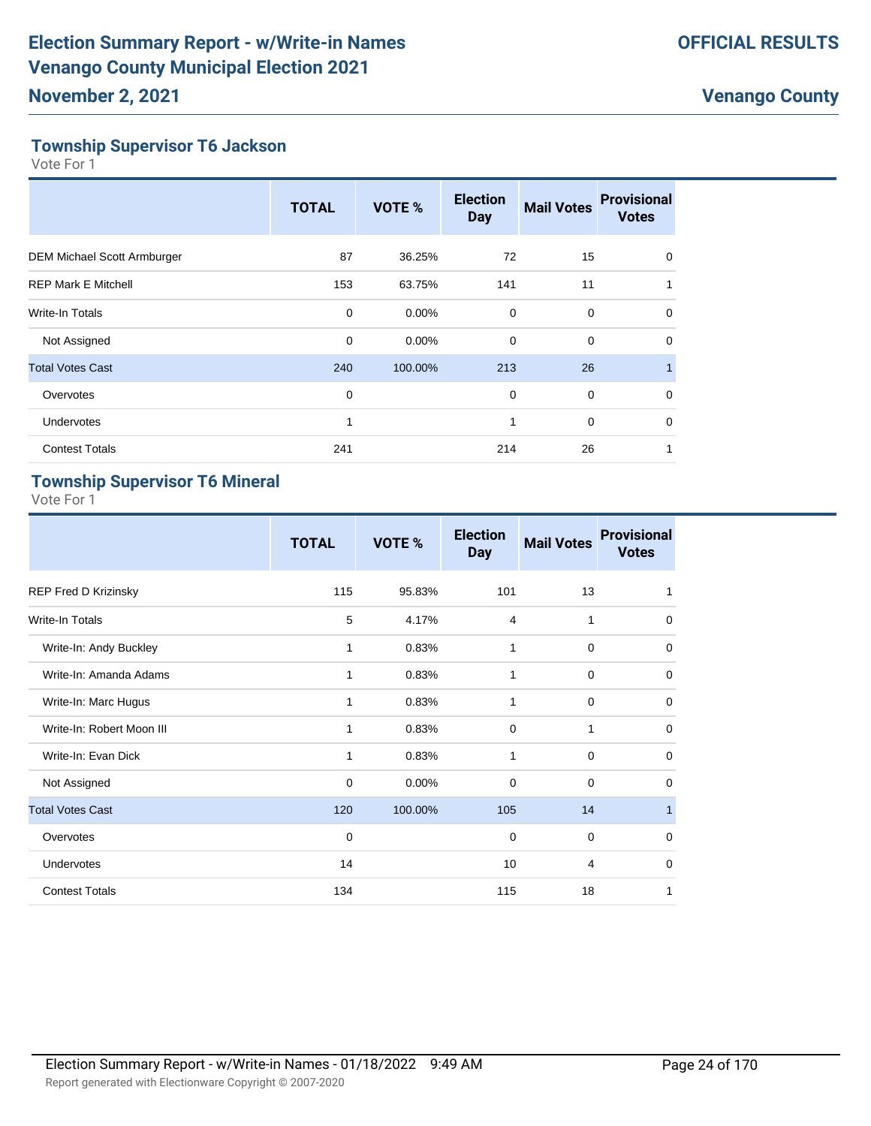# **Township Supervisor T6 Jackson**

Vote For 1

|                                    | <b>TOTAL</b> | VOTE %   | <b>Election</b><br><b>Day</b> | <b>Mail Votes</b> | <b>Provisional</b><br><b>Votes</b> |
|------------------------------------|--------------|----------|-------------------------------|-------------------|------------------------------------|
| <b>DEM Michael Scott Armburger</b> | 87           | 36.25%   | 72                            | 15                | $\Omega$                           |
| <b>REP Mark E Mitchell</b>         | 153          | 63.75%   | 141                           | 11                |                                    |
| Write-In Totals                    | $\mathbf 0$  | $0.00\%$ | 0                             | $\mathbf 0$       | $\mathbf 0$                        |
| Not Assigned                       | $\mathbf 0$  | $0.00\%$ | $\mathbf 0$                   | $\mathbf 0$       | $\mathbf 0$                        |
| <b>Total Votes Cast</b>            | 240          | 100.00%  | 213                           | 26                |                                    |
| Overvotes                          | 0            |          | $\mathbf 0$                   | $\mathbf 0$       | $\Omega$                           |
| Undervotes                         | $\mathbf{1}$ |          | 1                             | $\mathbf 0$       | $\Omega$                           |
| <b>Contest Totals</b>              | 241          |          | 214                           | 26                | 1                                  |

# **Township Supervisor T6 Mineral**

|                             | <b>TOTAL</b> | VOTE %  | <b>Election</b><br><b>Day</b> | <b>Mail Votes</b> | <b>Provisional</b><br><b>Votes</b> |
|-----------------------------|--------------|---------|-------------------------------|-------------------|------------------------------------|
| <b>REP Fred D Krizinsky</b> | 115          | 95.83%  | 101                           | 13                | 1                                  |
| Write-In Totals             | 5            | 4.17%   | $\overline{4}$                | 1                 | $\mathbf 0$                        |
| Write-In: Andy Buckley      | 1            | 0.83%   | 1                             | $\mathbf 0$       | 0                                  |
| Write-In: Amanda Adams      | 1            | 0.83%   | 1                             | $\mathbf 0$       | $\mathbf 0$                        |
| Write-In: Marc Hugus        | 1            | 0.83%   | 1                             | $\mathbf 0$       | $\mathbf 0$                        |
| Write-In: Robert Moon III   | 1            | 0.83%   | $\Omega$                      | 1                 | $\mathbf 0$                        |
| Write-In: Evan Dick         | 1            | 0.83%   | 1                             | $\mathbf 0$       | $\mathbf 0$                        |
| Not Assigned                | 0            | 0.00%   | 0                             | 0                 | 0                                  |
| <b>Total Votes Cast</b>     | 120          | 100.00% | 105                           | 14                | $\mathbf{1}$                       |
| Overvotes                   | 0            |         | 0                             | $\mathbf 0$       | $\mathbf 0$                        |
| Undervotes                  | 14           |         | 10                            | 4                 | $\mathbf 0$                        |
| <b>Contest Totals</b>       | 134          |         | 115                           | 18                | 1                                  |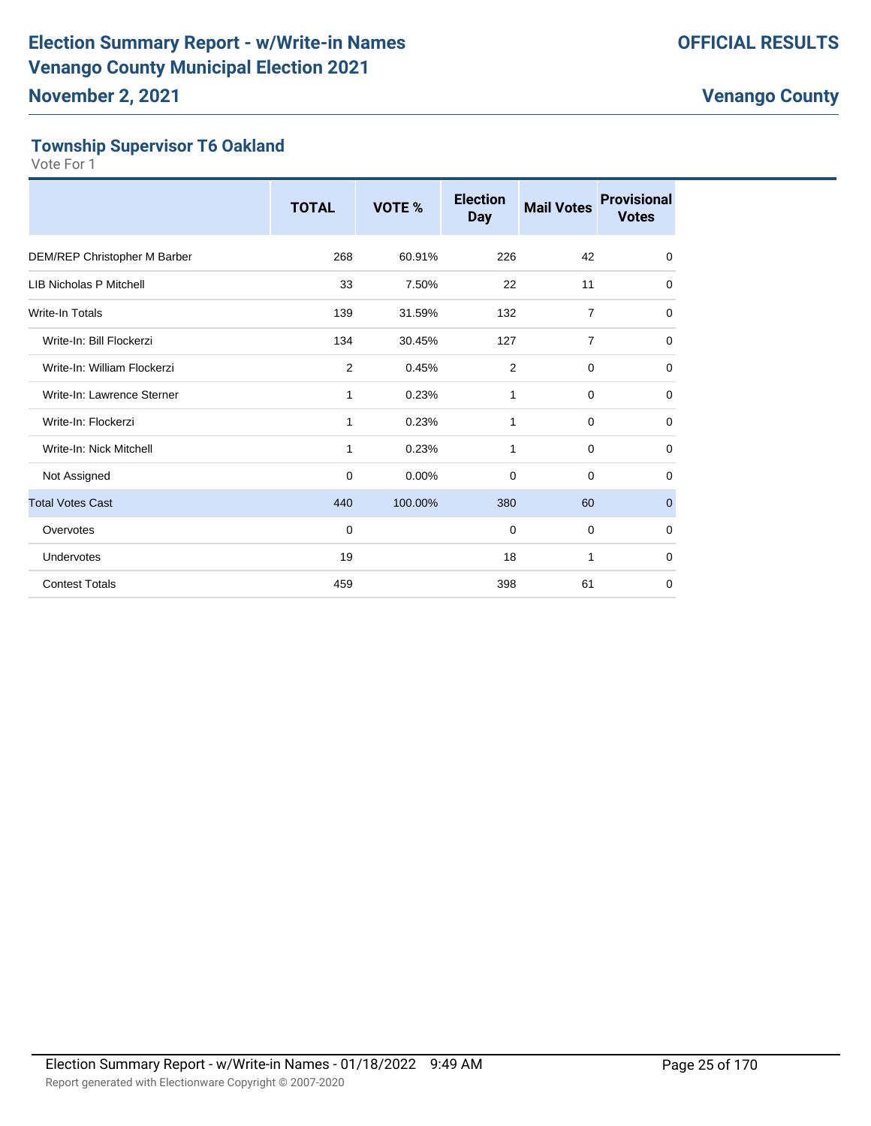# **Township Supervisor T6 Oakland**

|                                | <b>TOTAL</b> | VOTE %  | <b>Election</b><br><b>Day</b> | <b>Mail Votes</b> | <b>Provisional</b><br><b>Votes</b> |
|--------------------------------|--------------|---------|-------------------------------|-------------------|------------------------------------|
| DEM/REP Christopher M Barber   | 268          | 60.91%  | 226                           | 42                | $\mathbf 0$                        |
| <b>LIB Nicholas P Mitchell</b> | 33           | 7.50%   | 22                            | 11                | 0                                  |
| Write-In Totals                | 139          | 31.59%  | 132                           | $\overline{7}$    | 0                                  |
| Write-In: Bill Flockerzi       | 134          | 30.45%  | 127                           | $\overline{7}$    | 0                                  |
| Write-In: William Flockerzi    | $\mathbf{2}$ | 0.45%   | $\overline{2}$                | 0                 | $\mathbf 0$                        |
| Write-In: Lawrence Sterner     | 1            | 0.23%   | 1                             | $\mathbf 0$       | $\mathbf 0$                        |
| Write-In: Flockerzi            | 1            | 0.23%   | 1                             | 0                 | 0                                  |
| Write-In: Nick Mitchell        | 1            | 0.23%   | 1                             | 0                 | 0                                  |
| Not Assigned                   | 0            | 0.00%   | $\mathbf 0$                   | $\mathbf 0$       | 0                                  |
| <b>Total Votes Cast</b>        | 440          | 100.00% | 380                           | 60                | $\mathbf 0$                        |
| Overvotes                      | $\Omega$     |         | $\mathbf 0$                   | $\mathbf 0$       | 0                                  |
| Undervotes                     | 19           |         | 18                            | 1                 | $\mathbf 0$                        |
| <b>Contest Totals</b>          | 459          |         | 398                           | 61                | $\Omega$                           |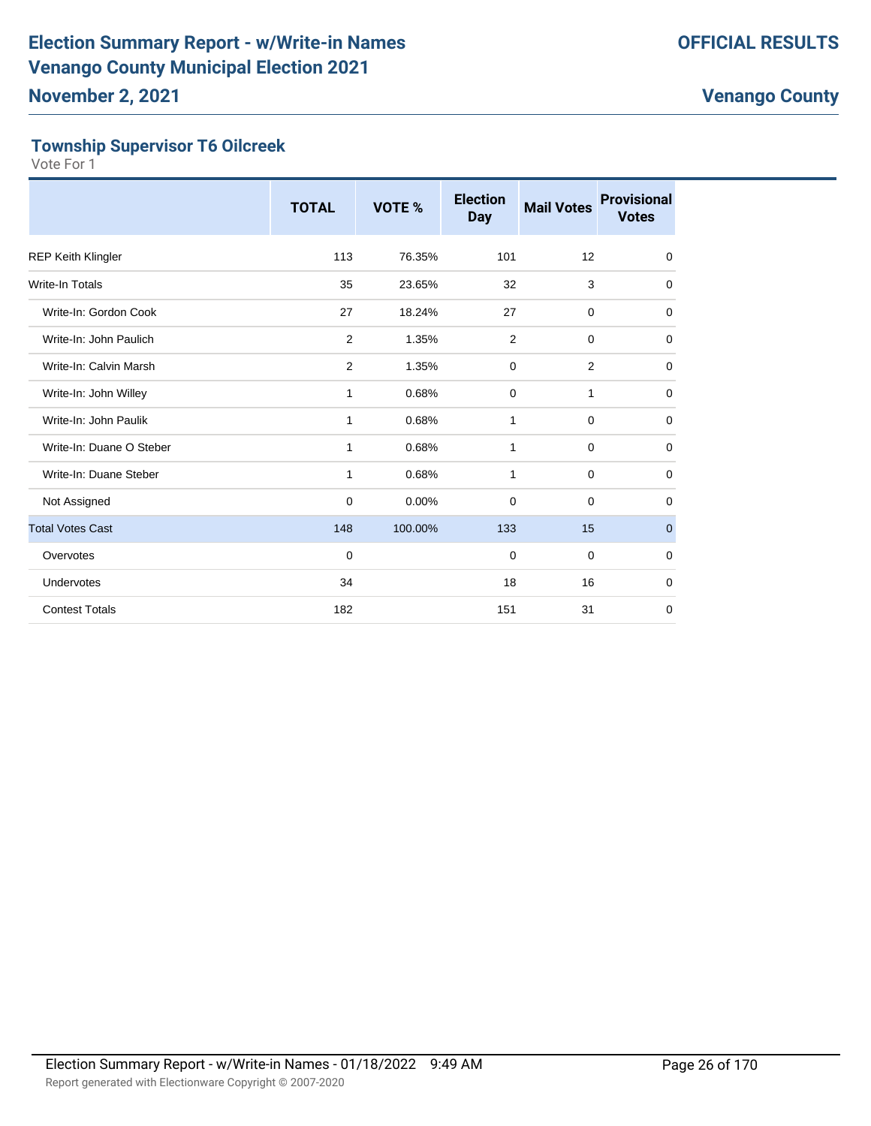# **Township Supervisor T6 Oilcreek**

|                           | <b>TOTAL</b> | VOTE %  | <b>Election</b><br><b>Day</b> | <b>Mail Votes</b> | <b>Provisional</b><br><b>Votes</b> |
|---------------------------|--------------|---------|-------------------------------|-------------------|------------------------------------|
| <b>REP Keith Klingler</b> | 113          | 76.35%  | 101                           | 12                | $\mathbf 0$                        |
| <b>Write-In Totals</b>    | 35           | 23.65%  | 32                            | 3                 | $\mathbf 0$                        |
| Write-In: Gordon Cook     | 27           | 18.24%  | 27                            | $\mathbf 0$       | $\mathbf 0$                        |
| Write-In: John Paulich    | 2            | 1.35%   | 2                             | $\mathbf 0$       | 0                                  |
| Write-In: Calvin Marsh    | 2            | 1.35%   | $\mathbf 0$                   | $\overline{2}$    | 0                                  |
| Write-In: John Willey     | $\mathbf{1}$ | 0.68%   | $\mathbf 0$                   | $\mathbf{1}$      | $\mathbf 0$                        |
| Write-In: John Paulik     | $\mathbf{1}$ | 0.68%   | $\mathbf{1}$                  | $\mathbf 0$       | $\mathbf 0$                        |
| Write-In: Duane O Steber  | 1            | 0.68%   | 1                             | $\mathbf 0$       | $\mathbf 0$                        |
| Write-In: Duane Steber    | $\mathbf{1}$ | 0.68%   | 1                             | $\mathbf 0$       | $\mathbf 0$                        |
| Not Assigned              | $\mathbf 0$  | 0.00%   | 0                             | $\mathbf 0$       | $\mathbf 0$                        |
| <b>Total Votes Cast</b>   | 148          | 100.00% | 133                           | 15                | $\pmb{0}$                          |
| Overvotes                 | 0            |         | 0                             | $\mathbf 0$       | 0                                  |
| Undervotes                | 34           |         | 18                            | 16                | $\mathbf 0$                        |
| <b>Contest Totals</b>     | 182          |         | 151                           | 31                | $\mathbf 0$                        |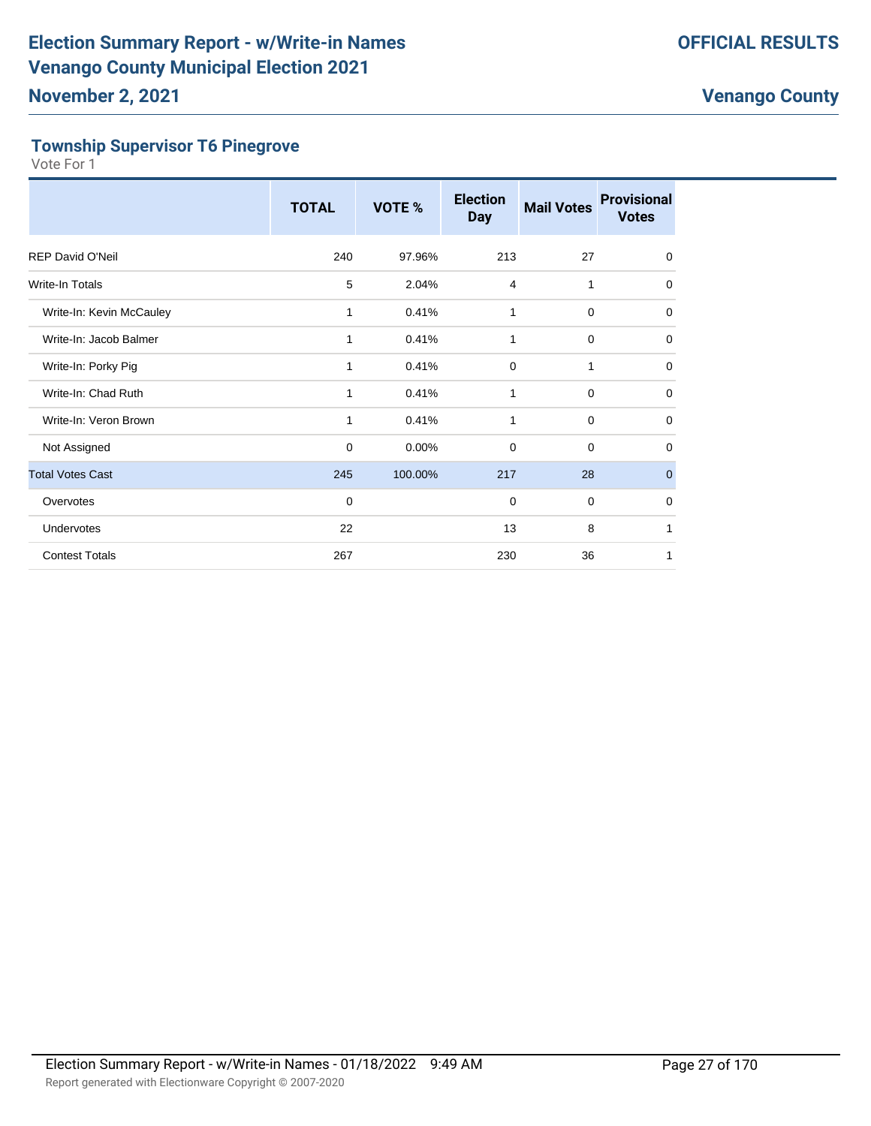# **Township Supervisor T6 Pinegrove**

|                          | <b>TOTAL</b> | VOTE %  | <b>Election</b><br><b>Day</b> | <b>Mail Votes</b> | <b>Provisional</b><br><b>Votes</b> |
|--------------------------|--------------|---------|-------------------------------|-------------------|------------------------------------|
| <b>REP David O'Neil</b>  | 240          | 97.96%  | 213                           | 27                | $\mathbf 0$                        |
| Write-In Totals          | 5            | 2.04%   | $\overline{4}$                | 1                 | 0                                  |
| Write-In: Kevin McCauley | 1            | 0.41%   | 1                             | $\mathbf 0$       | $\mathbf 0$                        |
| Write-In: Jacob Balmer   | 1            | 0.41%   | 1                             | $\mathbf 0$       | 0                                  |
| Write-In: Porky Pig      | $\mathbf{1}$ | 0.41%   | $\mathbf 0$                   | 1                 | 0                                  |
| Write-In: Chad Ruth      | 1            | 0.41%   | 1                             | $\mathbf 0$       | 0                                  |
| Write-In: Veron Brown    | 1            | 0.41%   | 1                             | $\mathbf 0$       | 0                                  |
| Not Assigned             | $\mathbf 0$  | 0.00%   | 0                             | $\mathbf 0$       | $\mathbf 0$                        |
| <b>Total Votes Cast</b>  | 245          | 100.00% | 217                           | 28                | $\mathbf{0}$                       |
| Overvotes                | 0            |         | $\mathbf 0$                   | $\mathbf 0$       | 0                                  |
| Undervotes               | 22           |         | 13                            | 8                 | 1                                  |
| <b>Contest Totals</b>    | 267          |         | 230                           | 36                | 1                                  |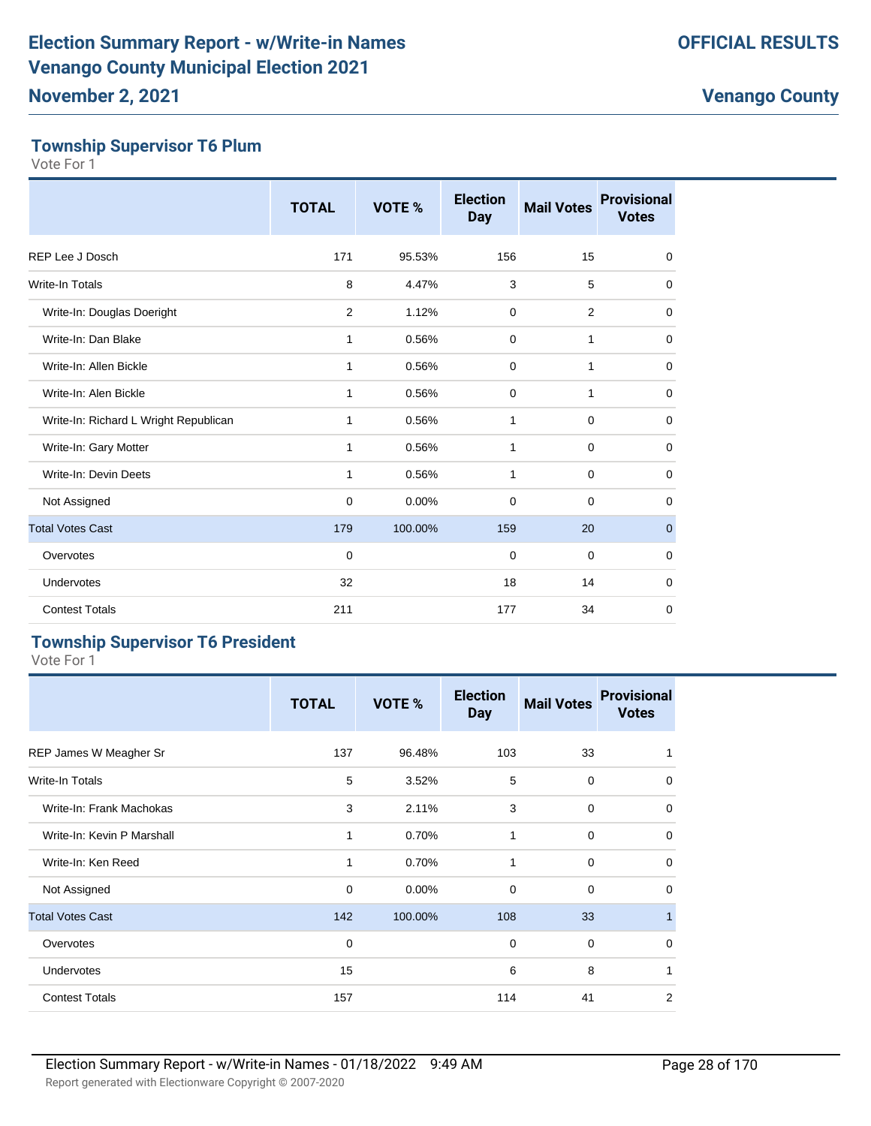# **Township Supervisor T6 Plum**

Vote For 1

|                                       | <b>TOTAL</b> | VOTE %  | <b>Election</b><br><b>Day</b> | <b>Mail Votes</b> | <b>Provisional</b><br><b>Votes</b> |
|---------------------------------------|--------------|---------|-------------------------------|-------------------|------------------------------------|
| REP Lee J Dosch                       | 171          | 95.53%  | 156                           | 15                | $\mathbf 0$                        |
| Write-In Totals                       | 8            | 4.47%   | 3                             | 5                 | 0                                  |
| Write-In: Douglas Doeright            | 2            | 1.12%   | $\mathbf 0$                   | 2                 | 0                                  |
| Write-In: Dan Blake                   | 1            | 0.56%   | $\Omega$                      | 1                 | 0                                  |
| Write-In: Allen Bickle                | 1            | 0.56%   | 0                             | 1                 | 0                                  |
| Write-In: Alen Bickle                 | 1            | 0.56%   | $\mathbf 0$                   | $\mathbf{1}$      | $\mathbf 0$                        |
| Write-In: Richard L Wright Republican | 1            | 0.56%   | 1                             | $\mathbf 0$       | $\mathbf 0$                        |
| Write-In: Gary Motter                 | 1            | 0.56%   | 1                             | 0                 | $\mathbf 0$                        |
| Write-In: Devin Deets                 | 1            | 0.56%   | 1                             | $\mathbf 0$       | 0                                  |
| Not Assigned                          | 0            | 0.00%   | $\Omega$                      | $\mathbf 0$       | $\mathbf 0$                        |
| <b>Total Votes Cast</b>               | 179          | 100.00% | 159                           | 20                | $\mathbf{0}$                       |
| Overvotes                             | $\mathbf 0$  |         | $\mathbf 0$                   | $\mathbf 0$       | $\mathbf 0$                        |
| Undervotes                            | 32           |         | 18                            | 14                | $\mathbf 0$                        |
| <b>Contest Totals</b>                 | 211          |         | 177                           | 34                | $\mathbf 0$                        |

# **Township Supervisor T6 President**

|                            | <b>TOTAL</b> | VOTE %  | <b>Election</b><br><b>Day</b> | <b>Mail Votes</b> | <b>Provisional</b><br><b>Votes</b> |
|----------------------------|--------------|---------|-------------------------------|-------------------|------------------------------------|
| REP James W Meagher Sr     | 137          | 96.48%  | 103                           | 33                | 1                                  |
| <b>Write-In Totals</b>     | 5            | 3.52%   | 5                             | $\mathbf 0$       | $\mathbf 0$                        |
| Write-In: Frank Machokas   | 3            | 2.11%   | 3                             | $\mathbf 0$       | $\mathbf 0$                        |
| Write-In: Kevin P Marshall | 1            | 0.70%   | 1                             | $\mathbf 0$       | $\mathbf 0$                        |
| Write-In: Ken Reed         | 1            | 0.70%   | 1                             | $\mathbf 0$       | $\mathbf 0$                        |
| Not Assigned               | 0            | 0.00%   | 0                             | $\mathbf 0$       | $\mathbf 0$                        |
| <b>Total Votes Cast</b>    | 142          | 100.00% | 108                           | 33                | $\mathbf{1}$                       |
| Overvotes                  | $\mathbf 0$  |         | 0                             | $\mathbf 0$       | $\mathbf 0$                        |
| Undervotes                 | 15           |         | 6                             | 8                 | $\mathbf{1}$                       |
| <b>Contest Totals</b>      | 157          |         | 114                           | 41                | $\overline{2}$                     |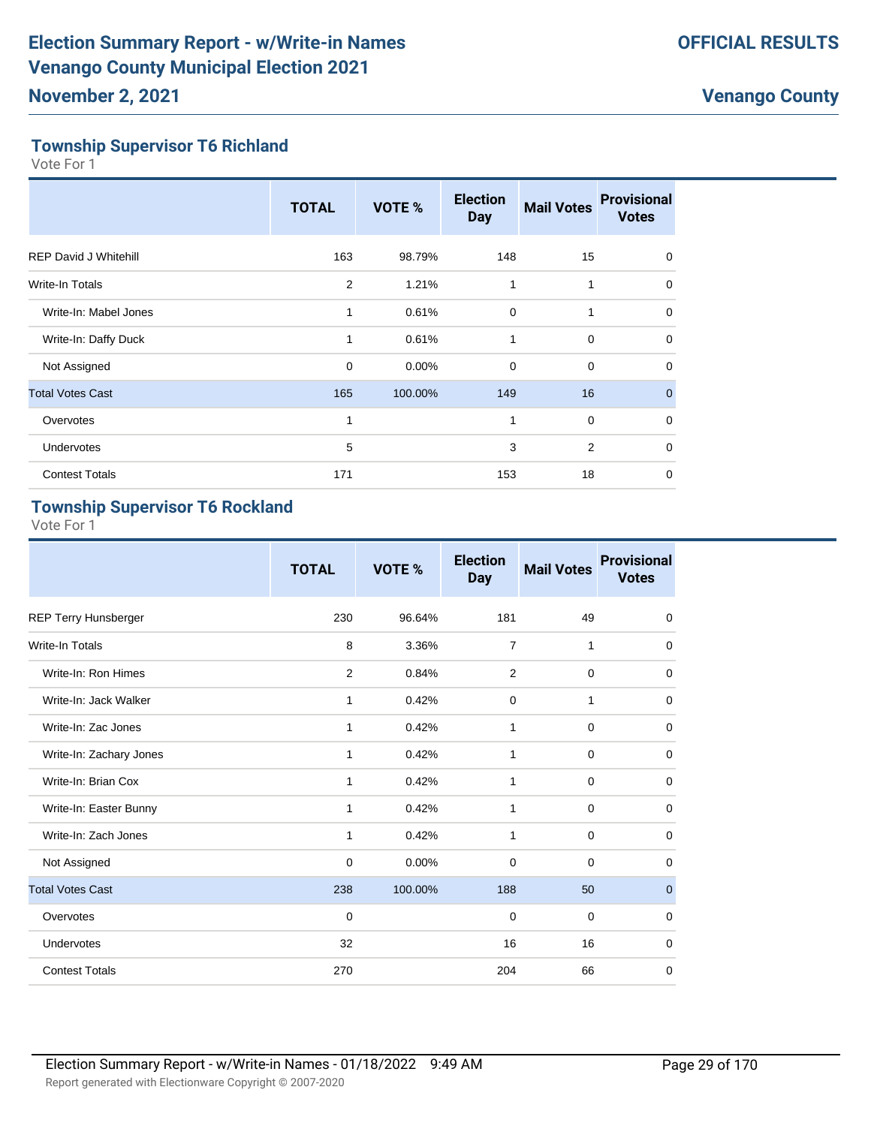# **Township Supervisor T6 Richland**

Vote For 1

|                              | <b>TOTAL</b> | <b>VOTE %</b> | <b>Election</b><br><b>Day</b> | <b>Mail Votes</b> | <b>Provisional</b><br><b>Votes</b> |
|------------------------------|--------------|---------------|-------------------------------|-------------------|------------------------------------|
| <b>REP David J Whitehill</b> | 163          | 98.79%        | 148                           | 15                | $\Omega$                           |
| <b>Write-In Totals</b>       | 2            | 1.21%         | $\mathbf{1}$                  | 1                 | 0                                  |
| Write-In: Mabel Jones        | 1            | 0.61%         | $\mathbf 0$                   | 1                 | $\Omega$                           |
| Write-In: Daffy Duck         | 1            | 0.61%         | $\mathbf{1}$                  | $\mathbf 0$       | $\Omega$                           |
| Not Assigned                 | $\mathbf 0$  | 0.00%         | 0                             | $\mathbf 0$       | 0                                  |
| <b>Total Votes Cast</b>      | 165          | 100.00%       | 149                           | 16                | $\Omega$                           |
| Overvotes                    | 1            |               | 1                             | $\mathbf 0$       | $\Omega$                           |
| Undervotes                   | 5            |               | 3                             | $\overline{2}$    | $\Omega$                           |
| <b>Contest Totals</b>        | 171          |               | 153                           | 18                | 0                                  |

# **Township Supervisor T6 Rockland**

|                         | <b>TOTAL</b> | VOTE %   | <b>Election</b><br><b>Day</b> | <b>Mail Votes</b> | <b>Provisional</b><br><b>Votes</b> |
|-------------------------|--------------|----------|-------------------------------|-------------------|------------------------------------|
| REP Terry Hunsberger    | 230          | 96.64%   | 181                           | 49                | $\mathbf 0$                        |
| <b>Write-In Totals</b>  | 8            | 3.36%    | $\overline{7}$                | 1                 | $\mathbf 0$                        |
| Write-In: Ron Himes     | 2            | 0.84%    | 2                             | $\mathbf 0$       | 0                                  |
| Write-In: Jack Walker   | 1            | 0.42%    | 0                             | 1                 | $\mathbf 0$                        |
| Write-In: Zac Jones     | 1            | 0.42%    | 1                             | $\mathbf 0$       | $\mathbf 0$                        |
| Write-In: Zachary Jones | 1            | 0.42%    | 1                             | $\mathbf 0$       | $\mathbf 0$                        |
| Write-In: Brian Cox     | 1            | 0.42%    | 1                             | $\mathbf 0$       | $\mathbf 0$                        |
| Write-In: Easter Bunny  | 1            | 0.42%    | 1                             | $\mathbf 0$       | $\mathbf 0$                        |
| Write-In: Zach Jones    | 1            | 0.42%    | 1                             | $\mathbf 0$       | 0                                  |
| Not Assigned            | $\mathbf 0$  | $0.00\%$ | $\mathbf 0$                   | $\mathbf 0$       | $\mathbf 0$                        |
| <b>Total Votes Cast</b> | 238          | 100.00%  | 188                           | 50                | $\mathbf{0}$                       |
| Overvotes               | $\mathbf 0$  |          | $\mathbf 0$                   | $\mathbf 0$       | $\mathbf 0$                        |
| Undervotes              | 32           |          | 16                            | 16                | 0                                  |
| <b>Contest Totals</b>   | 270          |          | 204                           | 66                | $\mathbf 0$                        |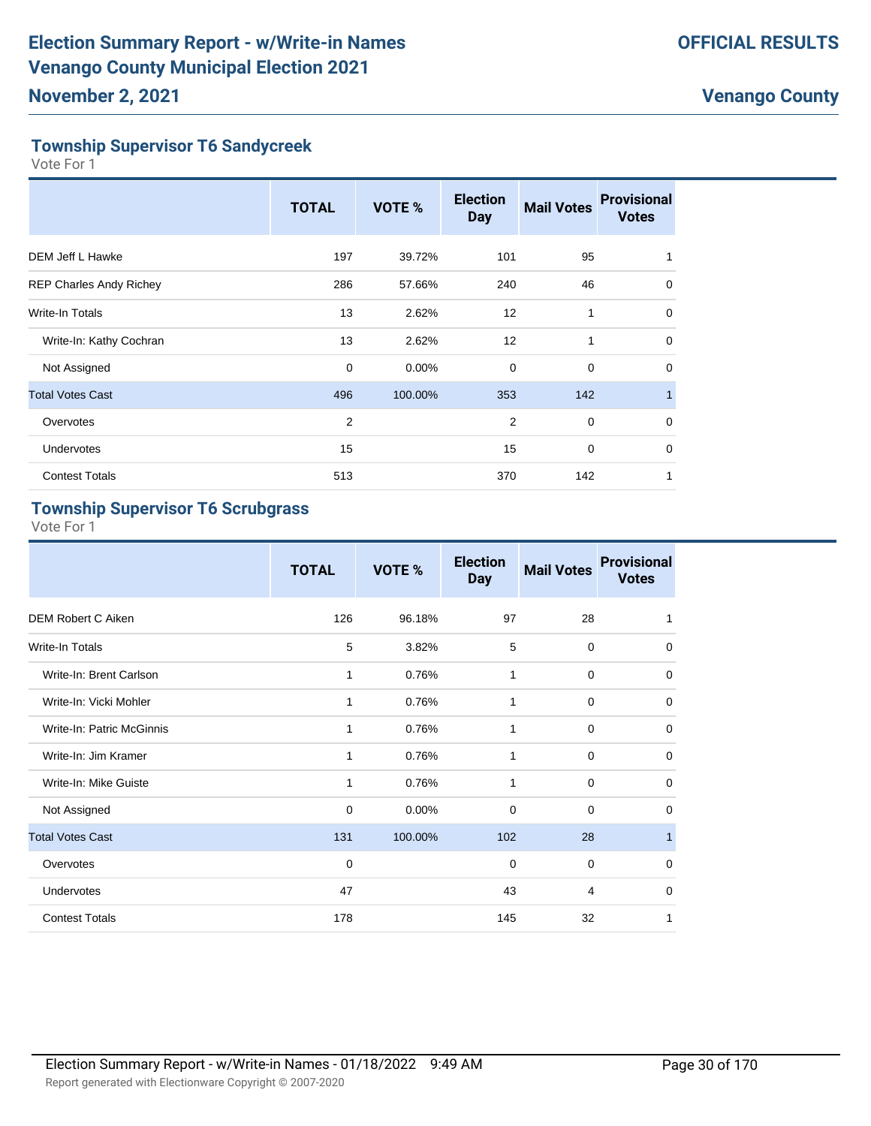# **Township Supervisor T6 Sandycreek**

Vote For 1

|                                | <b>TOTAL</b> | VOTE %   | <b>Election</b><br><b>Day</b> | <b>Mail Votes</b> | <b>Provisional</b><br><b>Votes</b> |
|--------------------------------|--------------|----------|-------------------------------|-------------------|------------------------------------|
| DEM Jeff L Hawke               | 197          | 39.72%   | 101                           | 95                |                                    |
| <b>REP Charles Andy Richey</b> | 286          | 57.66%   | 240                           | 46                | 0                                  |
| Write-In Totals                | 13           | 2.62%    | 12                            | 1                 | 0                                  |
| Write-In: Kathy Cochran        | 13           | 2.62%    | 12                            | 1                 | $\Omega$                           |
| Not Assigned                   | $\mathbf 0$  | $0.00\%$ | $\mathbf 0$                   | $\mathbf 0$       | 0                                  |
| <b>Total Votes Cast</b>        | 496          | 100.00%  | 353                           | 142               |                                    |
| Overvotes                      | 2            |          | $\overline{2}$                | $\mathbf 0$       | $\mathbf 0$                        |
| Undervotes                     | 15           |          | 15                            | $\mathbf 0$       | $\Omega$                           |
| <b>Contest Totals</b>          | 513          |          | 370                           | 142               | 1                                  |

# **Township Supervisor T6 Scrubgrass**

|                           | <b>TOTAL</b> | VOTE %  | <b>Election</b><br><b>Day</b> | <b>Mail Votes</b> | <b>Provisional</b><br><b>Votes</b> |
|---------------------------|--------------|---------|-------------------------------|-------------------|------------------------------------|
| DEM Robert C Aiken        | 126          | 96.18%  | 97                            | 28                | 1                                  |
| Write-In Totals           | 5            | 3.82%   | 5                             | $\mathbf 0$       | $\mathbf 0$                        |
| Write-In: Brent Carlson   | 1            | 0.76%   | 1                             | 0                 | 0                                  |
| Write-In: Vicki Mohler    | 1            | 0.76%   | $\mathbf{1}$                  | $\mathbf 0$       | $\mathbf 0$                        |
| Write-In: Patric McGinnis | 1            | 0.76%   | 1                             | 0                 | 0                                  |
| Write-In: Jim Kramer      | 1            | 0.76%   | 1                             | 0                 | $\mathbf 0$                        |
| Write-In: Mike Guiste     | 1            | 0.76%   | 1                             | $\mathbf 0$       | $\mathbf 0$                        |
| Not Assigned              | $\mathbf 0$  | 0.00%   | $\Omega$                      | $\Omega$          | $\mathbf 0$                        |
| <b>Total Votes Cast</b>   | 131          | 100.00% | 102                           | 28                | $\mathbf{1}$                       |
| Overvotes                 | 0            |         | 0                             | $\mathbf 0$       | $\mathbf 0$                        |
| <b>Undervotes</b>         | 47           |         | 43                            | 4                 | $\mathbf 0$                        |
| <b>Contest Totals</b>     | 178          |         | 145                           | 32                | 1                                  |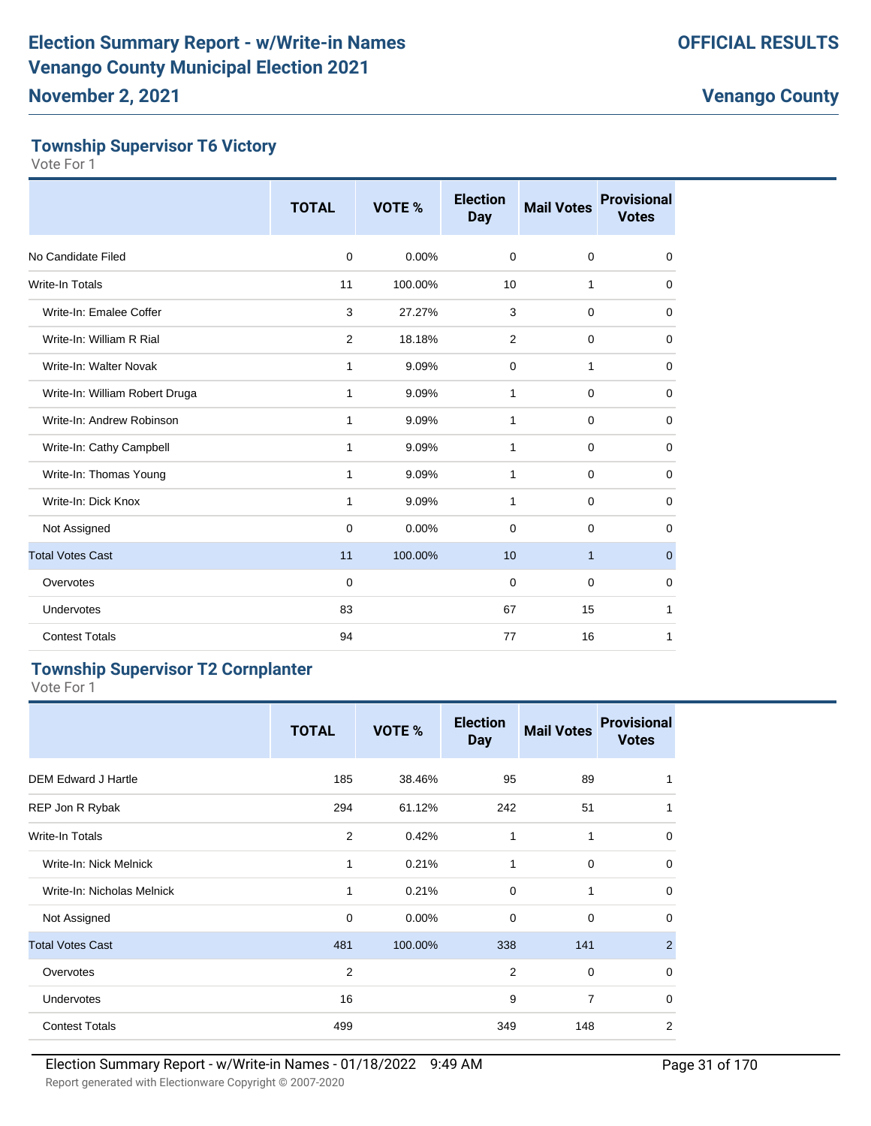#### **Township Supervisor T6 Victory**

Vote For 1

|                                | <b>TOTAL</b>   | <b>VOTE %</b> | <b>Election</b><br><b>Day</b> | <b>Mail Votes</b> | <b>Provisional</b><br><b>Votes</b> |
|--------------------------------|----------------|---------------|-------------------------------|-------------------|------------------------------------|
| No Candidate Filed             | 0              | 0.00%         | $\mathbf 0$                   | $\mathbf 0$       | 0                                  |
| <b>Write-In Totals</b>         | 11             | 100.00%       | 10                            | 1                 | $\mathbf 0$                        |
| Write-In: Emalee Coffer        | 3              | 27.27%        | 3                             | $\mathbf 0$       | 0                                  |
| Write-In: William R Rial       | $\overline{2}$ | 18.18%        | 2                             | 0                 | $\mathbf 0$                        |
| Write-In: Walter Novak         | 1              | 9.09%         | 0                             | 1                 | $\mathbf 0$                        |
| Write-In: William Robert Druga | 1              | 9.09%         | 1                             | $\mathbf 0$       | 0                                  |
| Write-In: Andrew Robinson      | 1              | 9.09%         | $\mathbf{1}$                  | $\mathbf 0$       | $\mathbf 0$                        |
| Write-In: Cathy Campbell       | 1              | 9.09%         | 1                             | $\mathbf 0$       | $\mathbf 0$                        |
| Write-In: Thomas Young         | 1              | 9.09%         | 1                             | $\mathbf 0$       | 0                                  |
| Write-In: Dick Knox            | 1              | 9.09%         | 1                             | 0                 | $\mathbf 0$                        |
| Not Assigned                   | 0              | $0.00\%$      | $\Omega$                      | 0                 | $\mathbf 0$                        |
| <b>Total Votes Cast</b>        | 11             | 100.00%       | 10                            | $\mathbf{1}$      | $\mathbf 0$                        |
| Overvotes                      | $\mathbf 0$    |               | $\mathbf 0$                   | $\mathbf 0$       | 0                                  |
| <b>Undervotes</b>              | 83             |               | 67                            | 15                | 1                                  |
| <b>Contest Totals</b>          | 94             |               | 77                            | 16                | 1                                  |

#### **Township Supervisor T2 Cornplanter**

|                            | <b>TOTAL</b> | VOTE %  | <b>Election</b><br><b>Day</b> | <b>Mail Votes</b> | <b>Provisional</b><br><b>Votes</b> |
|----------------------------|--------------|---------|-------------------------------|-------------------|------------------------------------|
| <b>DEM Edward J Hartle</b> | 185          | 38.46%  | 95                            | 89                |                                    |
| REP Jon R Rybak            | 294          | 61.12%  | 242                           | 51                | 1                                  |
| <b>Write-In Totals</b>     | 2            | 0.42%   | 1                             | 1                 | $\mathbf 0$                        |
| Write-In: Nick Melnick     | 1            | 0.21%   | 1                             | $\mathbf 0$       | $\mathbf 0$                        |
| Write-In: Nicholas Melnick | 1            | 0.21%   | $\mathbf 0$                   | 1                 | $\mathbf 0$                        |
| Not Assigned               | $\mathbf 0$  | 0.00%   | $\mathbf 0$                   | $\mathbf 0$       | $\Omega$                           |
| <b>Total Votes Cast</b>    | 481          | 100.00% | 338                           | 141               | 2                                  |
| Overvotes                  | 2            |         | $\overline{2}$                | $\mathbf 0$       | $\mathbf 0$                        |
| <b>Undervotes</b>          | 16           |         | 9                             | $\overline{7}$    | $\mathbf 0$                        |
| <b>Contest Totals</b>      | 499          |         | 349                           | 148               | $\overline{2}$                     |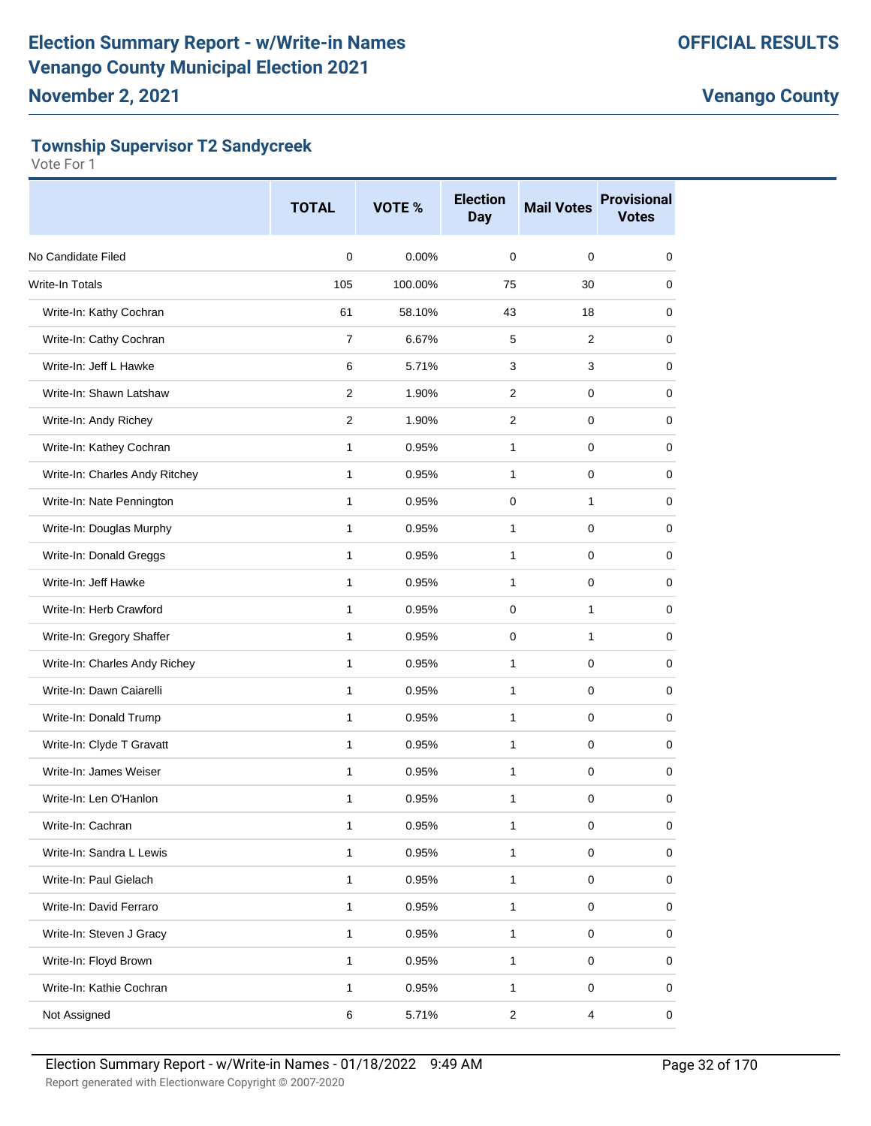# **Township Supervisor T2 Sandycreek**

|                                | <b>TOTAL</b>   | VOTE %  | <b>Election</b><br><b>Day</b> | <b>Mail Votes</b>       | <b>Provisional</b><br><b>Votes</b> |
|--------------------------------|----------------|---------|-------------------------------|-------------------------|------------------------------------|
| No Candidate Filed             | $\mathbf 0$    | 0.00%   | 0                             | 0                       | 0                                  |
| Write-In Totals                | 105            | 100.00% | 75                            | 30                      | 0                                  |
| Write-In: Kathy Cochran        | 61             | 58.10%  | 43                            | 18                      | 0                                  |
| Write-In: Cathy Cochran        | $\overline{7}$ | 6.67%   | 5                             | $\overline{2}$          | 0                                  |
| Write-In: Jeff L Hawke         | 6              | 5.71%   | 3                             | 3                       | 0                                  |
| Write-In: Shawn Latshaw        | 2              | 1.90%   | $\overline{2}$                | 0                       | 0                                  |
| Write-In: Andy Richey          | $\overline{2}$ | 1.90%   | $\overline{2}$                | 0                       | 0                                  |
| Write-In: Kathey Cochran       | 1              | 0.95%   | 1                             | 0                       | 0                                  |
| Write-In: Charles Andy Ritchey | 1              | 0.95%   | 1                             | 0                       | 0                                  |
| Write-In: Nate Pennington      | $\mathbf{1}$   | 0.95%   | 0                             | 1                       | 0                                  |
| Write-In: Douglas Murphy       | 1              | 0.95%   | 1                             | 0                       | 0                                  |
| Write-In: Donald Greggs        | 1              | 0.95%   | 1                             | 0                       | 0                                  |
| Write-In: Jeff Hawke           | $\mathbf{1}$   | 0.95%   | 1                             | 0                       | 0                                  |
| Write-In: Herb Crawford        | 1              | 0.95%   | 0                             | 1                       | 0                                  |
| Write-In: Gregory Shaffer      | $\mathbf{1}$   | 0.95%   | 0                             | 1                       | 0                                  |
| Write-In: Charles Andy Richey  | $\mathbf{1}$   | 0.95%   | $\mathbf{1}$                  | 0                       | 0                                  |
| Write-In: Dawn Caiarelli       | 1              | 0.95%   | 1                             | 0                       | 0                                  |
| Write-In: Donald Trump         | 1              | 0.95%   | 1                             | 0                       | 0                                  |
| Write-In: Clyde T Gravatt      | 1              | 0.95%   | $\mathbf{1}$                  | 0                       | 0                                  |
| Write-In: James Weiser         | 1              | 0.95%   | 1                             | 0                       | 0                                  |
| Write-In: Len O'Hanlon         | 1              | 0.95%   | 1                             | 0                       | 0                                  |
| Write-In: Cachran              | 1              | 0.95%   | $\mathbf{1}$                  | $\pmb{0}$               | 0                                  |
| Write-In: Sandra L Lewis       | 1              | 0.95%   | 1                             | $\pmb{0}$               | 0                                  |
| Write-In: Paul Gielach         | 1              | 0.95%   | 1                             | 0                       | 0                                  |
| Write-In: David Ferraro        | $\mathbf{1}$   | 0.95%   | $\mathbf{1}$                  | 0                       | 0                                  |
| Write-In: Steven J Gracy       | 1              | 0.95%   | 1                             | $\pmb{0}$               | 0                                  |
| Write-In: Floyd Brown          | $\mathbf{1}$   | 0.95%   | $\mathbf{1}$                  | $\pmb{0}$               | 0                                  |
| Write-In: Kathie Cochran       | 1              | 0.95%   | $\mathbf{1}$                  | 0                       | 0                                  |
| Not Assigned                   | 6              | 5.71%   | $\overline{c}$                | $\overline{\mathbf{4}}$ | 0                                  |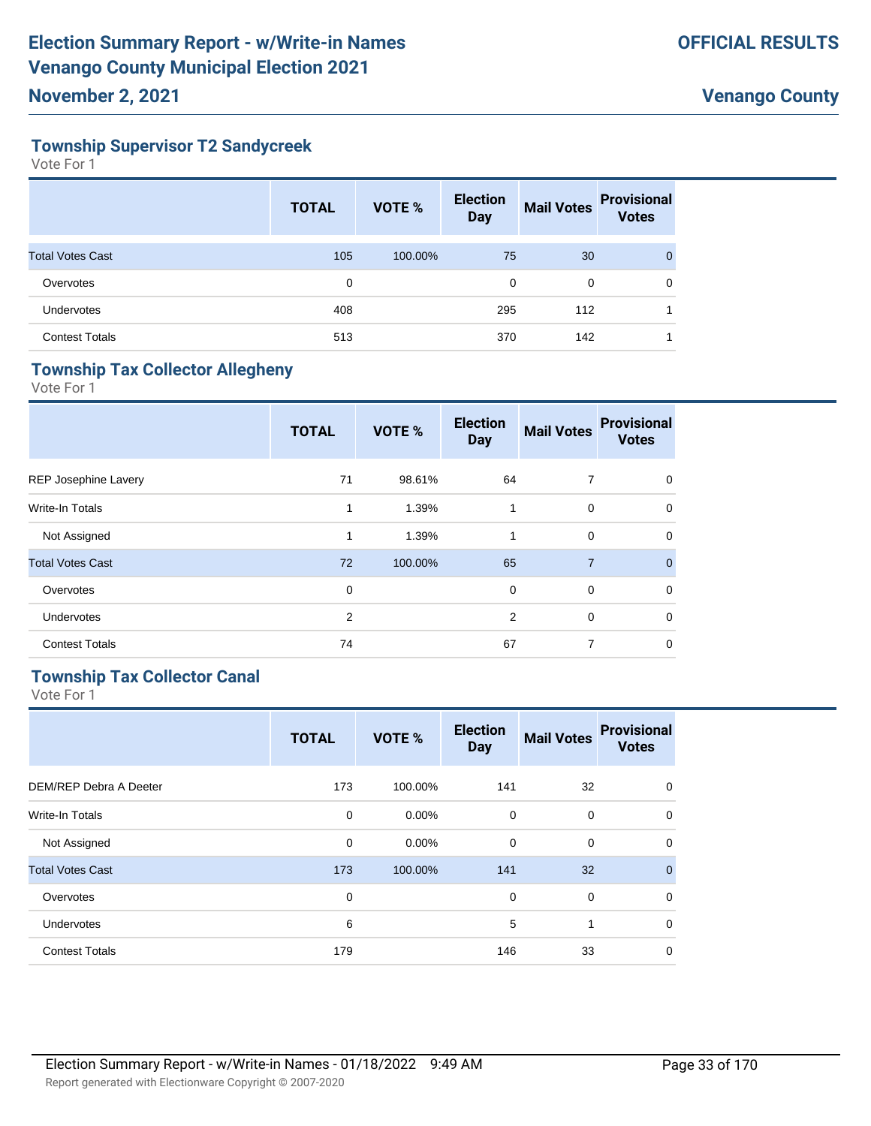# **Township Supervisor T2 Sandycreek**

Vote For 1

|                         | <b>TOTAL</b> | <b>VOTE %</b> | <b>Election</b><br><b>Day</b> | <b>Mail Votes</b> | <b>Provisional</b><br><b>Votes</b> |
|-------------------------|--------------|---------------|-------------------------------|-------------------|------------------------------------|
| <b>Total Votes Cast</b> | 105          | 100.00%       | 75                            | 30                | $\mathbf{0}$                       |
| Overvotes               | 0            |               | 0                             | 0                 | 0                                  |
| Undervotes              | 408          |               | 295                           | 112               |                                    |
| <b>Contest Totals</b>   | 513          |               | 370                           | 142               |                                    |

# **Township Tax Collector Allegheny**

Vote For 1

|                         | <b>TOTAL</b>   | <b>VOTE %</b> | <b>Election</b><br><b>Day</b> | <b>Mail Votes</b> | <b>Provisional</b><br><b>Votes</b> |
|-------------------------|----------------|---------------|-------------------------------|-------------------|------------------------------------|
| REP Josephine Lavery    | 71             | 98.61%        | 64                            | 7                 | 0                                  |
| <b>Write-In Totals</b>  | $\mathbf{1}$   | 1.39%         | $\mathbf{1}$                  | $\mathbf 0$       | 0                                  |
| Not Assigned            | 1              | 1.39%         | 1                             | $\mathbf 0$       | 0                                  |
| <b>Total Votes Cast</b> | 72             | 100.00%       | 65                            | $\overline{7}$    | $\Omega$                           |
| Overvotes               | 0              |               | 0                             | $\mathbf 0$       | 0                                  |
| <b>Undervotes</b>       | $\overline{2}$ |               | 2                             | 0                 | 0                                  |
| <b>Contest Totals</b>   | 74             |               | 67                            | 7                 | 0                                  |
|                         |                |               |                               |                   |                                    |

# **Township Tax Collector Canal**

|                         | <b>TOTAL</b> | <b>VOTE %</b> | <b>Election</b><br><b>Day</b> | <b>Mail Votes</b> | <b>Provisional</b><br><b>Votes</b> |
|-------------------------|--------------|---------------|-------------------------------|-------------------|------------------------------------|
| DEM/REP Debra A Deeter  | 173          | 100.00%       | 141                           | 32                | $\mathbf 0$                        |
| Write-In Totals         | $\mathbf 0$  | $0.00\%$      | 0                             | $\mathbf 0$       | $\mathbf 0$                        |
| Not Assigned            | $\mathbf 0$  | 0.00%         | 0                             | $\mathbf 0$       | $\Omega$                           |
| <b>Total Votes Cast</b> | 173          | 100.00%       | 141                           | 32                | $\Omega$                           |
| Overvotes               | $\mathbf 0$  |               | $\mathbf 0$                   | $\mathbf 0$       | $\Omega$                           |
| <b>Undervotes</b>       | 6            |               | 5                             | 1                 | $\Omega$                           |
| <b>Contest Totals</b>   | 179          |               | 146                           | 33                | $\Omega$                           |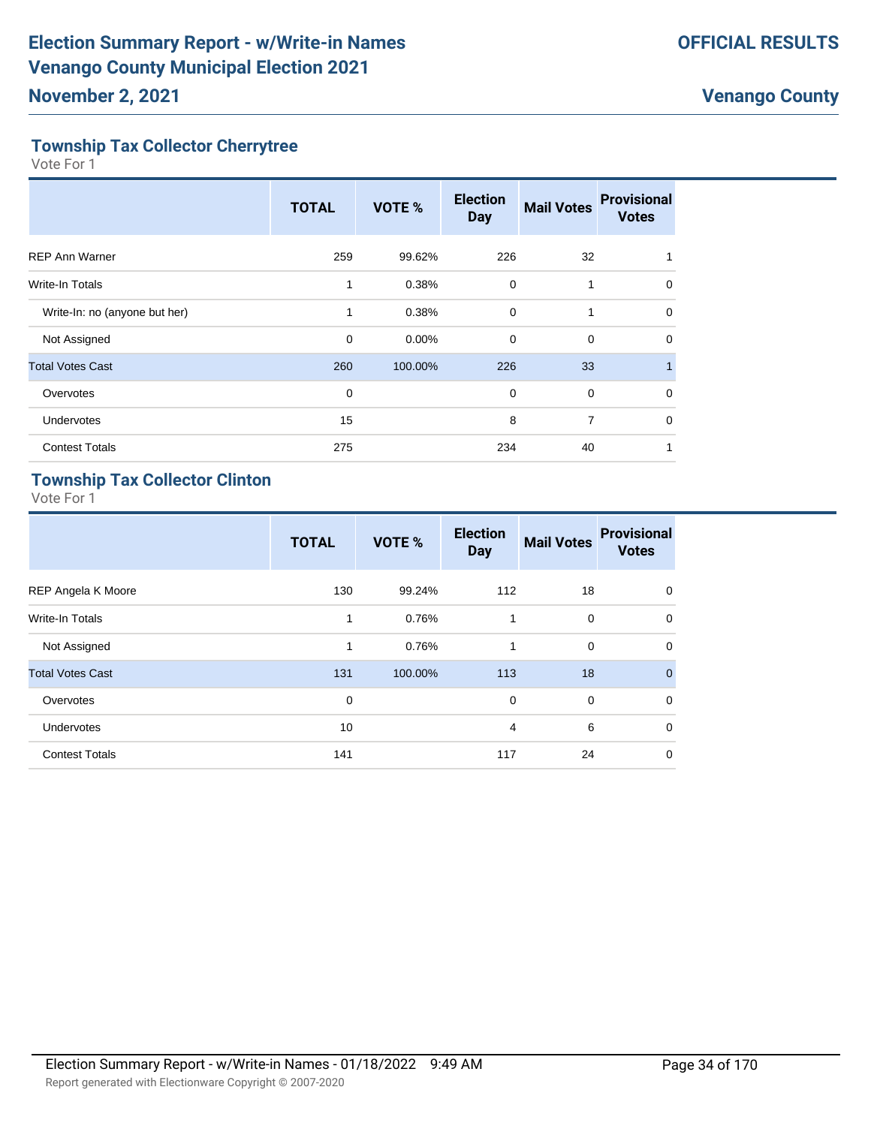# **Township Tax Collector Cherrytree**

Vote For 1

|                               | <b>TOTAL</b> | VOTE %  | <b>Election</b><br><b>Day</b> | <b>Mail Votes</b> | <b>Provisional</b><br><b>Votes</b> |
|-------------------------------|--------------|---------|-------------------------------|-------------------|------------------------------------|
| <b>REP Ann Warner</b>         | 259          | 99.62%  | 226                           | 32                |                                    |
| <b>Write-In Totals</b>        | 1            | 0.38%   | 0                             | 1                 | $\mathbf 0$                        |
| Write-In: no (anyone but her) | 1            | 0.38%   | $\mathbf 0$                   |                   | 0                                  |
| Not Assigned                  | $\mathbf 0$  | 0.00%   | $\mathbf 0$                   | $\mathbf 0$       | $\Omega$                           |
| <b>Total Votes Cast</b>       | 260          | 100.00% | 226                           | 33                |                                    |
| Overvotes                     | $\mathbf 0$  |         | $\mathbf 0$                   | $\mathbf 0$       | $\Omega$                           |
| <b>Undervotes</b>             | 15           |         | 8                             | 7                 | 0                                  |
| <b>Contest Totals</b>         | 275          |         | 234                           | 40                |                                    |

# **Township Tax Collector Clinton**

|                           | <b>TOTAL</b> | VOTE %  | <b>Election</b><br><b>Day</b> | <b>Mail Votes</b> | <b>Provisional</b><br><b>Votes</b> |
|---------------------------|--------------|---------|-------------------------------|-------------------|------------------------------------|
| <b>REP Angela K Moore</b> | 130          | 99.24%  | 112                           | 18                | $\mathbf 0$                        |
| Write-In Totals           | 1            | 0.76%   | 1                             | 0                 | $\mathbf 0$                        |
| Not Assigned              | 1            | 0.76%   | 1                             | 0                 | $\mathbf 0$                        |
| <b>Total Votes Cast</b>   | 131          | 100.00% | 113                           | 18                | $\mathbf{0}$                       |
| Overvotes                 | $\mathbf 0$  |         | $\mathbf 0$                   | $\mathbf 0$       | $\mathbf 0$                        |
| <b>Undervotes</b>         | 10           |         | 4                             | 6                 | $\mathbf 0$                        |
| <b>Contest Totals</b>     | 141          |         | 117                           | 24                | $\mathbf 0$                        |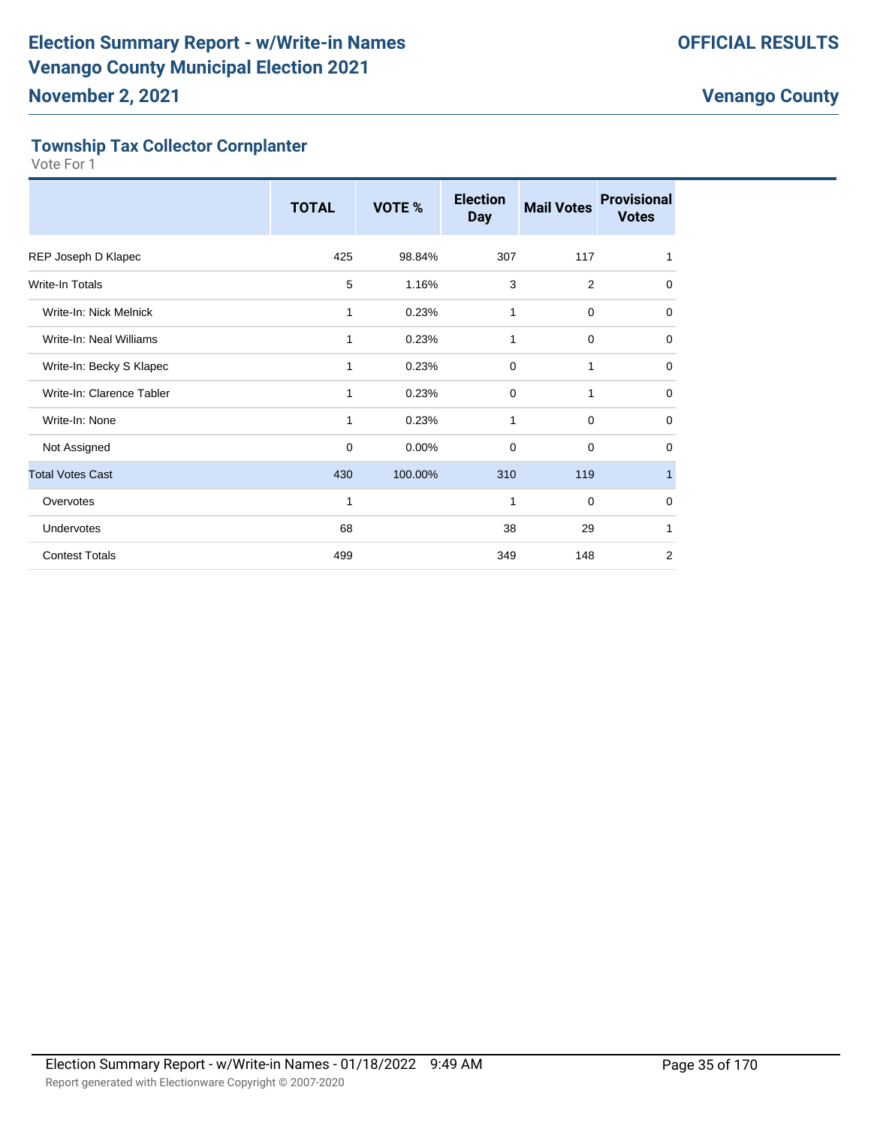# **Township Tax Collector Cornplanter**

|                           | <b>TOTAL</b> | VOTE %  | <b>Election</b><br><b>Day</b> | <b>Mail Votes</b> | <b>Provisional</b><br><b>Votes</b> |
|---------------------------|--------------|---------|-------------------------------|-------------------|------------------------------------|
| REP Joseph D Klapec       | 425          | 98.84%  | 307                           | 117               | 1                                  |
| Write-In Totals           | 5            | 1.16%   | 3                             | 2                 | 0                                  |
| Write-In: Nick Melnick    | 1            | 0.23%   | 1                             | $\mathbf 0$       | $\mathbf 0$                        |
| Write-In: Neal Williams   | 1            | 0.23%   | 1                             | $\mathbf 0$       | 0                                  |
| Write-In: Becky S Klapec  | 1            | 0.23%   | $\mathbf 0$                   | 1                 | $\mathbf 0$                        |
| Write-In: Clarence Tabler | 1            | 0.23%   | 0                             | 1                 | 0                                  |
| Write-In: None            | 1            | 0.23%   | 1                             | $\mathbf 0$       | 0                                  |
| Not Assigned              | $\mathbf 0$  | 0.00%   | 0                             | $\mathbf 0$       | 0                                  |
| <b>Total Votes Cast</b>   | 430          | 100.00% | 310                           | 119               | $\mathbf{1}$                       |
| Overvotes                 | $\mathbf{1}$ |         | 1                             | $\mathbf 0$       | 0                                  |
| Undervotes                | 68           |         | 38                            | 29                | 1                                  |
| <b>Contest Totals</b>     | 499          |         | 349                           | 148               | 2                                  |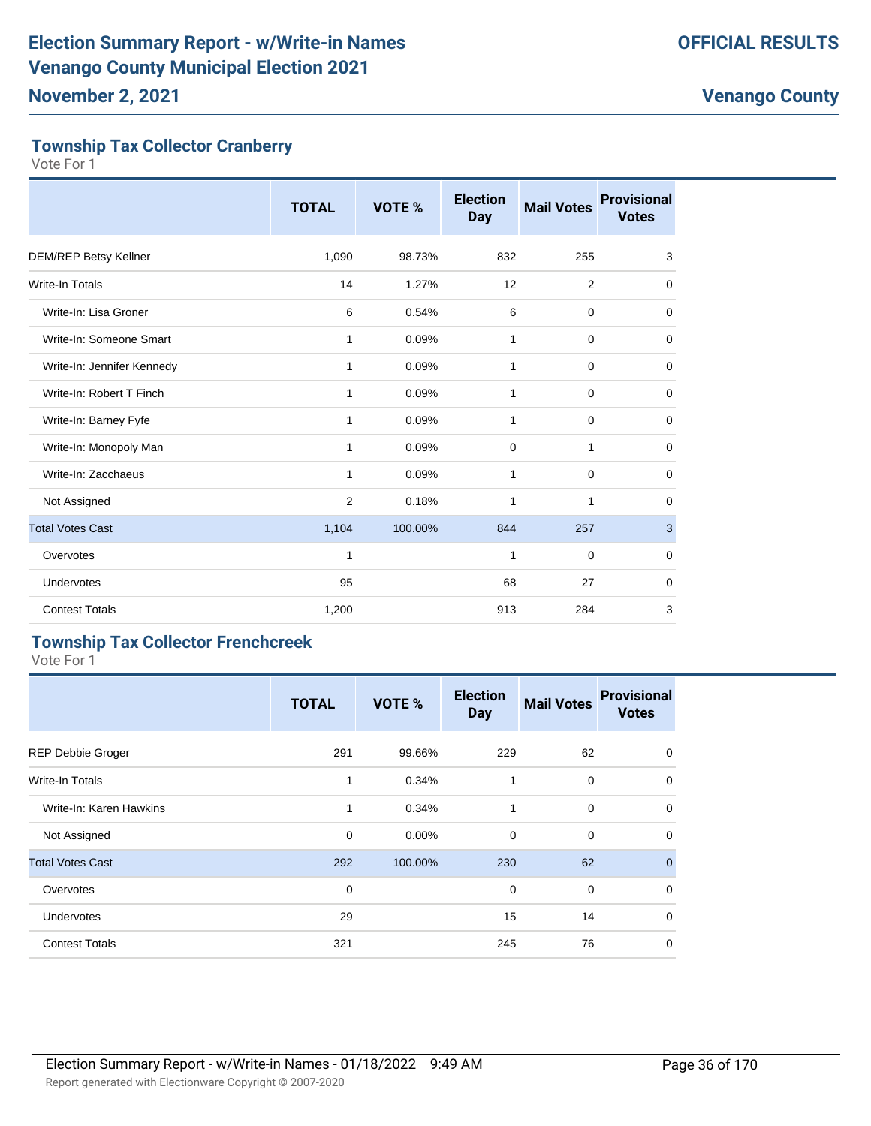# **Township Tax Collector Cranberry**

Vote For 1

|                              | <b>TOTAL</b> | <b>VOTE %</b> | <b>Election</b><br><b>Day</b> | <b>Mail Votes</b> | <b>Provisional</b><br><b>Votes</b> |
|------------------------------|--------------|---------------|-------------------------------|-------------------|------------------------------------|
| <b>DEM/REP Betsy Kellner</b> | 1,090        | 98.73%        | 832                           | 255               | 3                                  |
| Write-In Totals              | 14           | 1.27%         | 12                            | 2                 | 0                                  |
| Write-In: Lisa Groner        | 6            | 0.54%         | 6                             | $\mathbf 0$       | 0                                  |
| Write-In: Someone Smart      | 1            | 0.09%         | 1                             | 0                 | 0                                  |
| Write-In: Jennifer Kennedy   | 1            | 0.09%         | 1                             | 0                 | 0                                  |
| Write-In: Robert T Finch     | 1            | 0.09%         | $\mathbf{1}$                  | $\mathbf 0$       | $\mathbf 0$                        |
| Write-In: Barney Fyfe        | 1            | 0.09%         | 1                             | $\mathbf 0$       | $\mathbf 0$                        |
| Write-In: Monopoly Man       | 1            | 0.09%         | 0                             | 1                 | $\mathbf 0$                        |
| Write-In: Zacchaeus          | 1            | 0.09%         | 1                             | $\mathbf 0$       | 0                                  |
| Not Assigned                 | 2            | 0.18%         | $\mathbf{1}$                  | 1                 | $\mathbf 0$                        |
| <b>Total Votes Cast</b>      | 1,104        | 100.00%       | 844                           | 257               | 3                                  |
| Overvotes                    | 1            |               | 1                             | $\mathbf 0$       | 0                                  |
| Undervotes                   | 95           |               | 68                            | 27                | $\mathbf 0$                        |
| <b>Contest Totals</b>        | 1,200        |               | 913                           | 284               | 3                                  |

# **Township Tax Collector Frenchcreek**

|                          | <b>TOTAL</b> | VOTE %   | <b>Election</b><br><b>Day</b> | <b>Mail Votes</b> | <b>Provisional</b><br><b>Votes</b> |
|--------------------------|--------------|----------|-------------------------------|-------------------|------------------------------------|
| <b>REP Debbie Groger</b> | 291          | 99.66%   | 229                           | 62                | $\mathbf 0$                        |
| <b>Write-In Totals</b>   | 1            | 0.34%    | 1                             | 0                 | $\mathbf 0$                        |
| Write-In: Karen Hawkins  | 1            | 0.34%    | 1                             | $\mathbf 0$       | $\mathbf 0$                        |
| Not Assigned             | 0            | $0.00\%$ | 0                             | $\mathbf 0$       | $\mathbf 0$                        |
| <b>Total Votes Cast</b>  | 292          | 100.00%  | 230                           | 62                | $\overline{0}$                     |
| Overvotes                | 0            |          | $\mathbf 0$                   | $\mathbf 0$       | $\mathbf 0$                        |
| <b>Undervotes</b>        | 29           |          | 15                            | 14                | $\Omega$                           |
| <b>Contest Totals</b>    | 321          |          | 245                           | 76                | $\mathbf 0$                        |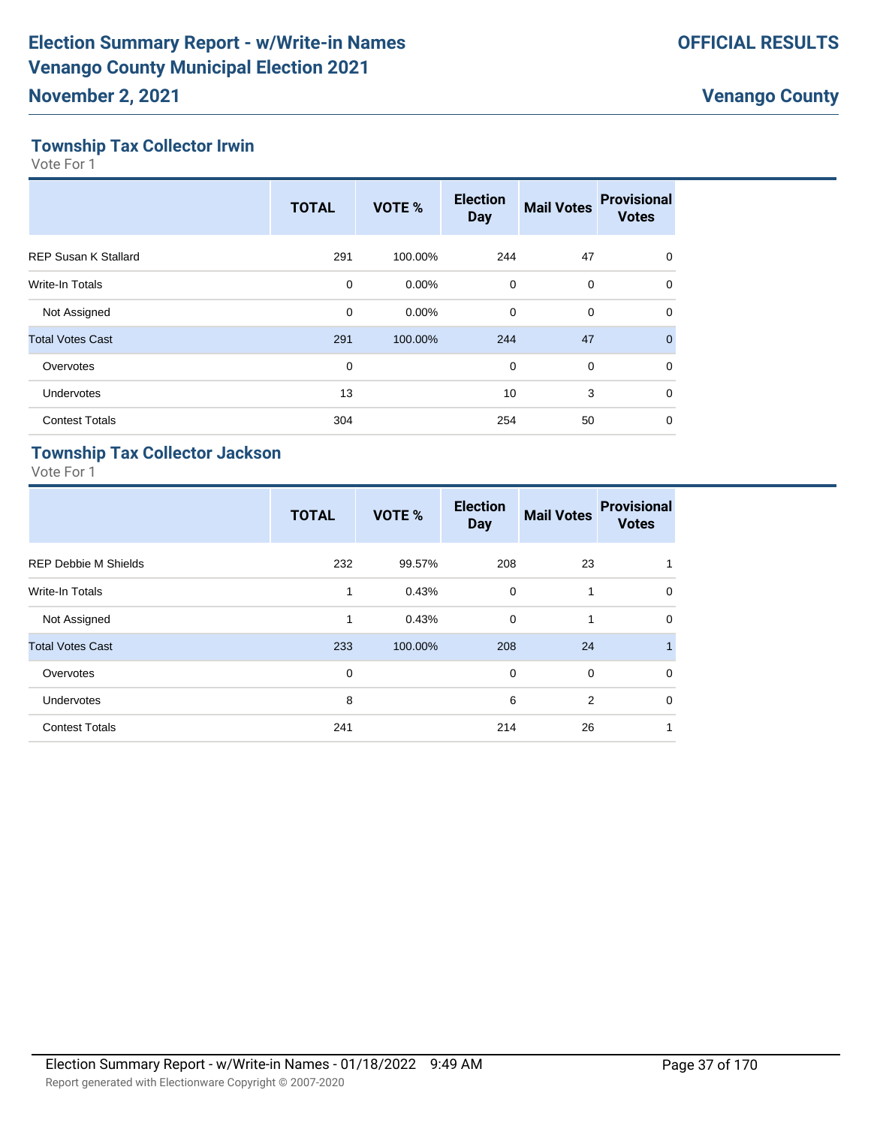#### **Township Tax Collector Irwin**

Vote For 1

|                             | <b>TOTAL</b> | VOTE %   | <b>Election</b><br><b>Day</b> | <b>Mail Votes</b> | <b>Provisional</b><br><b>Votes</b> |
|-----------------------------|--------------|----------|-------------------------------|-------------------|------------------------------------|
| <b>REP Susan K Stallard</b> | 291          | 100.00%  | 244                           | 47                | 0                                  |
| <b>Write-In Totals</b>      | 0            | $0.00\%$ | $\mathbf 0$                   | 0                 | 0                                  |
| Not Assigned                | 0            | $0.00\%$ | $\mathbf 0$                   | $\mathbf 0$       | $\mathbf 0$                        |
| <b>Total Votes Cast</b>     | 291          | 100.00%  | 244                           | 47                | $\mathbf{0}$                       |
| Overvotes                   | 0            |          | $\mathbf 0$                   | $\mathbf 0$       | $\Omega$                           |
| <b>Undervotes</b>           | 13           |          | 10                            | 3                 | $\mathbf 0$                        |
| <b>Contest Totals</b>       | 304          |          | 254                           | 50                | 0                                  |

#### **Township Tax Collector Jackson**

|                             | <b>TOTAL</b> | VOTE %  | <b>Election</b><br><b>Day</b> | <b>Mail Votes</b> | <b>Provisional</b><br><b>Votes</b> |
|-----------------------------|--------------|---------|-------------------------------|-------------------|------------------------------------|
| <b>REP Debbie M Shields</b> | 232          | 99.57%  | 208                           | 23                |                                    |
| <b>Write-In Totals</b>      | 1            | 0.43%   | 0                             | 1                 | $\mathbf 0$                        |
| Not Assigned                | $\mathbf{1}$ | 0.43%   | 0                             | 1                 | $\mathbf 0$                        |
| <b>Total Votes Cast</b>     | 233          | 100.00% | 208                           | 24                | 1                                  |
| Overvotes                   | $\mathbf 0$  |         | $\mathbf 0$                   | $\Omega$          | $\mathbf 0$                        |
| <b>Undervotes</b>           | 8            |         | 6                             | 2                 | $\mathbf 0$                        |
| <b>Contest Totals</b>       | 241          |         | 214                           | 26                | 1                                  |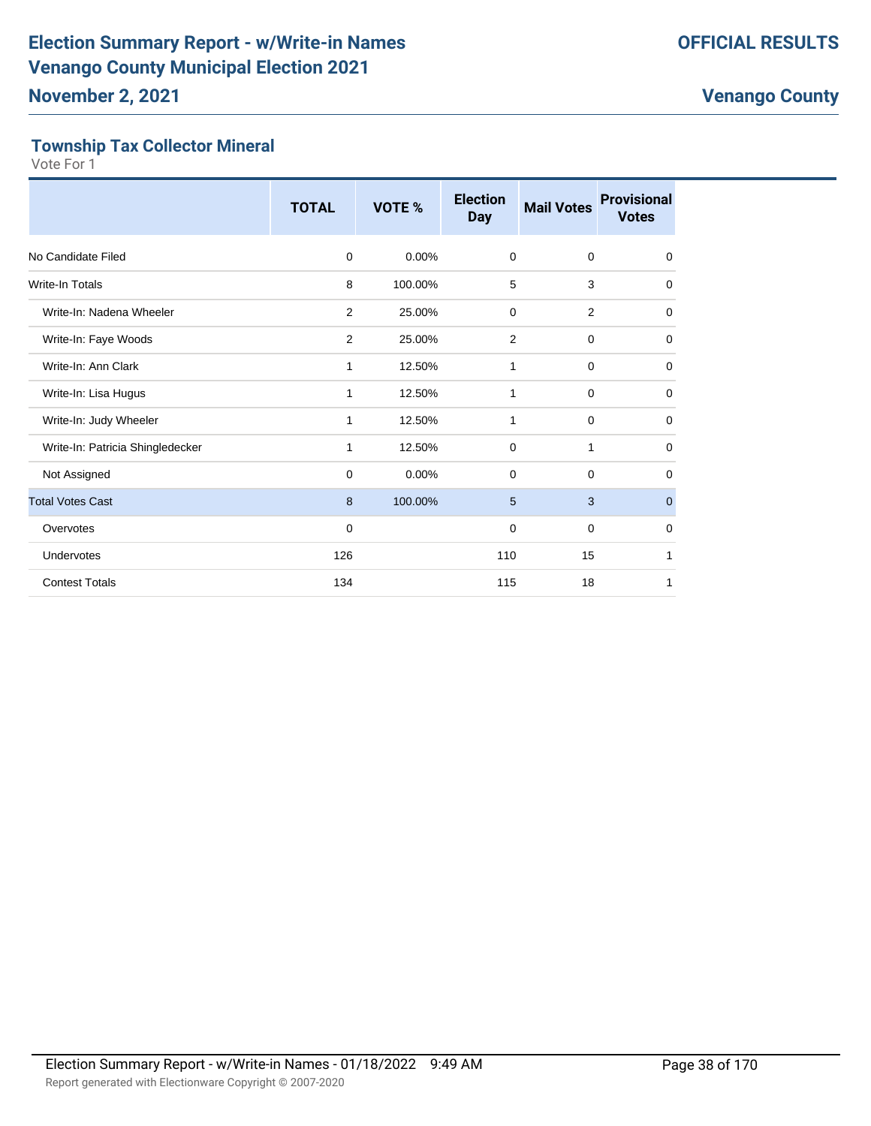#### **Township Tax Collector Mineral**

|                                  | <b>TOTAL</b> | VOTE %   | <b>Election</b><br><b>Day</b> | <b>Mail Votes</b> | <b>Provisional</b><br><b>Votes</b> |
|----------------------------------|--------------|----------|-------------------------------|-------------------|------------------------------------|
| No Candidate Filed               | $\mathbf 0$  | $0.00\%$ | $\mathbf 0$                   | $\mathbf 0$       | $\mathbf 0$                        |
| <b>Write-In Totals</b>           | 8            | 100.00%  | 5                             | 3                 | $\mathbf 0$                        |
| Write-In: Nadena Wheeler         | 2            | 25.00%   | 0                             | 2                 | $\mathbf 0$                        |
| Write-In: Faye Woods             | 2            | 25.00%   | 2                             | $\mathbf 0$       | $\mathbf 0$                        |
| Write-In: Ann Clark              | 1            | 12.50%   | 1                             | $\mathbf 0$       | $\mathbf 0$                        |
| Write-In: Lisa Hugus             | 1            | 12.50%   | 1                             | $\mathbf 0$       | $\mathbf 0$                        |
| Write-In: Judy Wheeler           | 1            | 12.50%   | 1                             | 0                 | 0                                  |
| Write-In: Patricia Shingledecker | 1            | 12.50%   | $\mathbf 0$                   | $\mathbf{1}$      | $\mathbf 0$                        |
| Not Assigned                     | 0            | 0.00%    | 0                             | 0                 | 0                                  |
| <b>Total Votes Cast</b>          | 8            | 100.00%  | 5                             | 3                 | $\mathbf 0$                        |
| Overvotes                        | $\mathbf 0$  |          | 0                             | $\mathbf 0$       | $\mathbf 0$                        |
| Undervotes                       | 126          |          | 110                           | 15                | 1                                  |
| <b>Contest Totals</b>            | 134          |          | 115                           | 18                | 1                                  |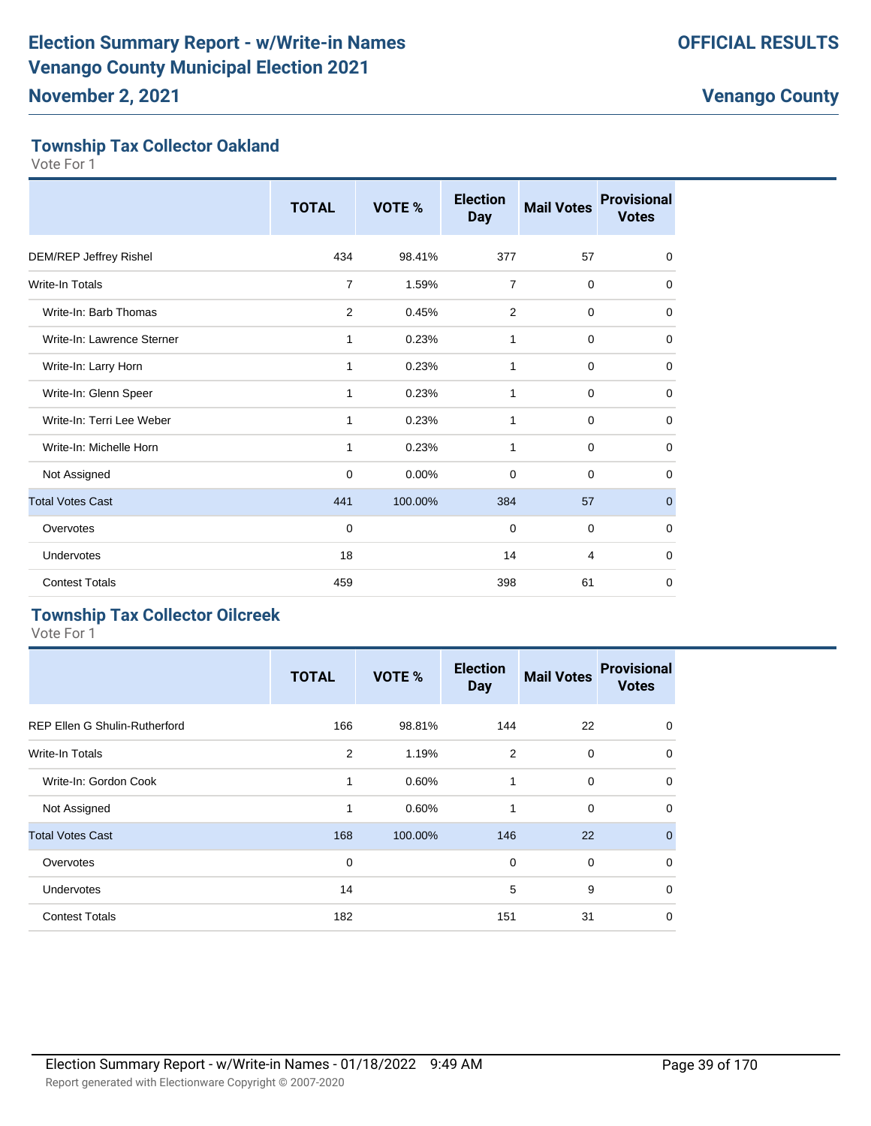#### **Township Tax Collector Oakland**

Vote For 1

|                            | <b>TOTAL</b>   | VOTE %   | <b>Election</b><br><b>Day</b> | <b>Mail Votes</b> | <b>Provisional</b><br><b>Votes</b> |
|----------------------------|----------------|----------|-------------------------------|-------------------|------------------------------------|
| DEM/REP Jeffrey Rishel     | 434            | 98.41%   | 377                           | 57                | 0                                  |
| <b>Write-In Totals</b>     | 7              | 1.59%    | $\overline{7}$                | $\mathbf 0$       | 0                                  |
| Write-In: Barb Thomas      | $\overline{2}$ | 0.45%    | 2                             | $\mathbf 0$       | 0                                  |
| Write-In: Lawrence Sterner | 1              | 0.23%    | 1                             | $\mathbf 0$       | $\mathbf 0$                        |
| Write-In: Larry Horn       | 1              | 0.23%    | 1                             | $\mathbf 0$       | $\mathbf 0$                        |
| Write-In: Glenn Speer      | 1              | 0.23%    | 1                             | $\mathbf 0$       | $\mathbf 0$                        |
| Write-In: Terri Lee Weber  | 1              | 0.23%    | 1                             | 0                 | 0                                  |
| Write-In: Michelle Horn    | 1              | 0.23%    | $\mathbf{1}$                  | $\mathbf 0$       | $\mathbf 0$                        |
| Not Assigned               | $\mathbf 0$    | $0.00\%$ | 0                             | $\mathbf 0$       | 0                                  |
| <b>Total Votes Cast</b>    | 441            | 100.00%  | 384                           | 57                | $\mathbf{0}$                       |
| Overvotes                  | $\mathbf 0$    |          | 0                             | $\mathbf 0$       | $\mathbf 0$                        |
| Undervotes                 | 18             |          | 14                            | $\overline{4}$    | $\mathbf 0$                        |
| <b>Contest Totals</b>      | 459            |          | 398                           | 61                | 0                                  |

#### **Township Tax Collector Oilcreek**

|                                      | <b>TOTAL</b> | VOTE %  | <b>Election</b><br><b>Day</b> | <b>Mail Votes</b> | <b>Provisional</b><br><b>Votes</b> |
|--------------------------------------|--------------|---------|-------------------------------|-------------------|------------------------------------|
| <b>REP Ellen G Shulin-Rutherford</b> | 166          | 98.81%  | 144                           | 22                | $\mathbf 0$                        |
| <b>Write-In Totals</b>               | 2            | 1.19%   | 2                             | $\mathbf 0$       | $\mathbf 0$                        |
| Write-In: Gordon Cook                | $\mathbf{1}$ | 0.60%   | 1                             | $\mathbf 0$       | $\mathbf 0$                        |
| Not Assigned                         | 1            | 0.60%   | 1                             | $\mathbf 0$       | $\mathbf 0$                        |
| <b>Total Votes Cast</b>              | 168          | 100.00% | 146                           | 22                | $\overline{0}$                     |
| Overvotes                            | 0            |         | $\mathbf 0$                   | $\mathbf 0$       | $\mathbf 0$                        |
| <b>Undervotes</b>                    | 14           |         | 5                             | 9                 | $\mathbf 0$                        |
| <b>Contest Totals</b>                | 182          |         | 151                           | 31                | $\mathbf 0$                        |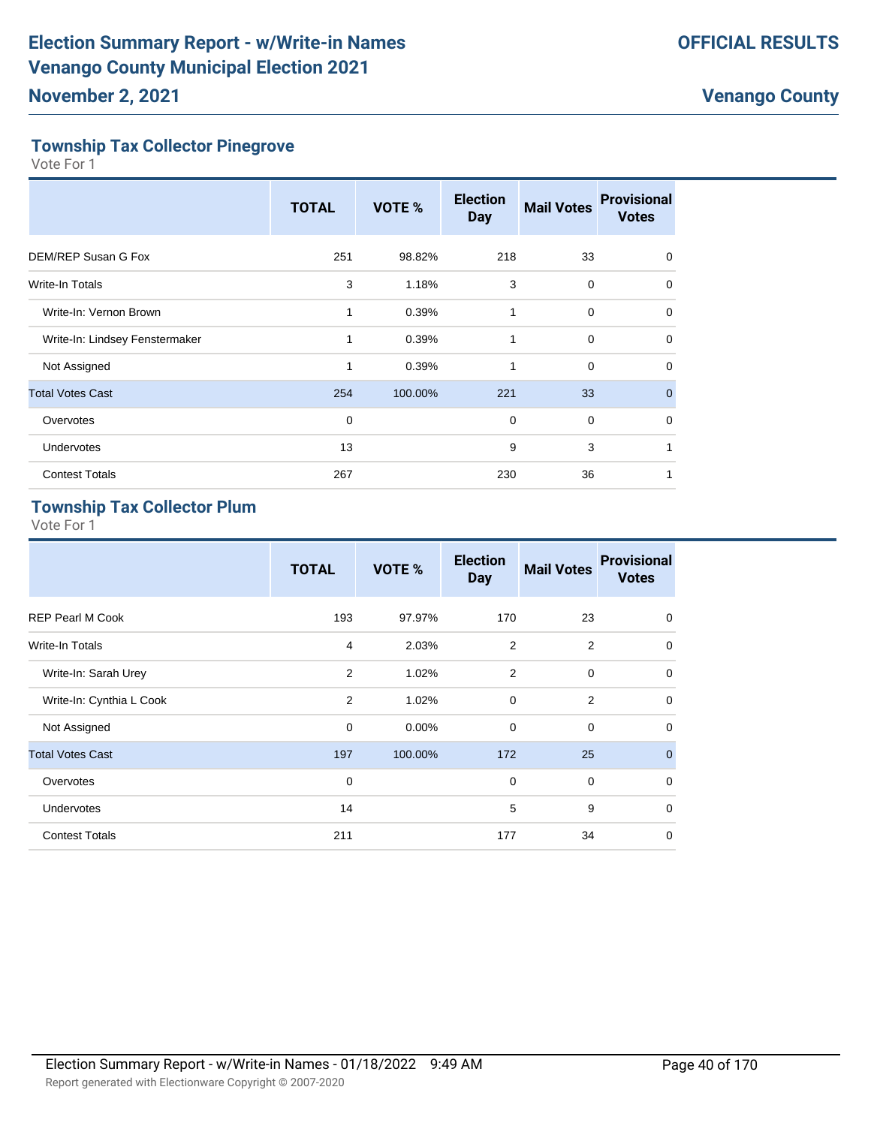#### **Township Tax Collector Pinegrove**

Vote For 1

|                                | <b>TOTAL</b> | VOTE %  | <b>Election</b><br><b>Day</b> | <b>Mail Votes</b> | <b>Provisional</b><br><b>Votes</b> |
|--------------------------------|--------------|---------|-------------------------------|-------------------|------------------------------------|
| DEM/REP Susan G Fox            | 251          | 98.82%  | 218                           | 33                | $\Omega$                           |
| <b>Write-In Totals</b>         | 3            | 1.18%   | 3                             | 0                 | 0                                  |
| Write-In: Vernon Brown         | 1            | 0.39%   | 1                             | $\mathbf 0$       | 0                                  |
| Write-In: Lindsey Fenstermaker | 1            | 0.39%   | 1                             | $\mathbf 0$       | $\Omega$                           |
| Not Assigned                   | 1            | 0.39%   | 1                             | 0                 | 0                                  |
| <b>Total Votes Cast</b>        | 254          | 100.00% | 221                           | 33                | $\mathbf{0}$                       |
| Overvotes                      | $\mathbf 0$  |         | 0                             | $\mathbf 0$       | $\Omega$                           |
| <b>Undervotes</b>              | 13           |         | 9                             | 3                 | 1                                  |
| <b>Contest Totals</b>          | 267          |         | 230                           | 36                |                                    |

#### **Township Tax Collector Plum**

|                          | <b>TOTAL</b>   | <b>VOTE %</b> | <b>Election</b><br><b>Day</b> | <b>Mail Votes</b> | <b>Provisional</b><br><b>Votes</b> |
|--------------------------|----------------|---------------|-------------------------------|-------------------|------------------------------------|
| <b>REP Pearl M Cook</b>  | 193            | 97.97%        | 170                           | 23                | $\mathbf 0$                        |
| Write-In Totals          | $\overline{4}$ | 2.03%         | 2                             | 2                 | $\mathbf 0$                        |
| Write-In: Sarah Urey     | 2              | 1.02%         | 2                             | $\mathbf 0$       | $\mathbf 0$                        |
| Write-In: Cynthia L Cook | 2              | 1.02%         | $\mathbf 0$                   | 2                 | $\mathbf 0$                        |
| Not Assigned             | $\mathbf 0$    | 0.00%         | $\mathbf 0$                   | $\mathbf 0$       | $\mathbf 0$                        |
| <b>Total Votes Cast</b>  | 197            | 100.00%       | 172                           | 25                | $\overline{0}$                     |
| Overvotes                | $\mathbf 0$    |               | $\mathbf 0$                   | $\mathbf 0$       | $\mathbf 0$                        |
| <b>Undervotes</b>        | 14             |               | 5                             | 9                 | $\mathbf 0$                        |
| <b>Contest Totals</b>    | 211            |               | 177                           | 34                | $\mathbf 0$                        |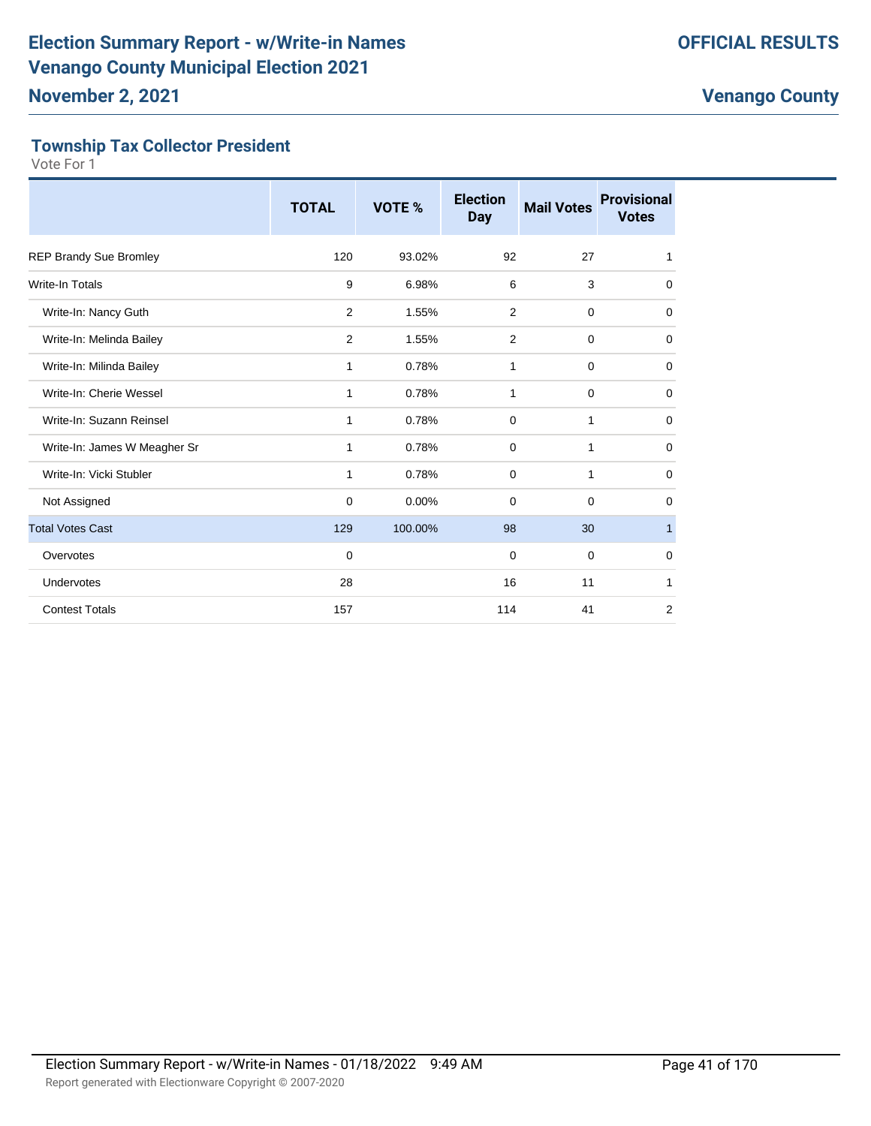#### **Township Tax Collector President**

|                               | <b>TOTAL</b>   | VOTE %  | <b>Election</b><br><b>Day</b> | <b>Mail Votes</b> | <b>Provisional</b><br><b>Votes</b> |
|-------------------------------|----------------|---------|-------------------------------|-------------------|------------------------------------|
| <b>REP Brandy Sue Bromley</b> | 120            | 93.02%  | 92                            | 27                | 1                                  |
| <b>Write-In Totals</b>        | 9              | 6.98%   | 6                             | 3                 | 0                                  |
| Write-In: Nancy Guth          | 2              | 1.55%   | 2                             | $\mathbf 0$       | 0                                  |
| Write-In: Melinda Bailey      | $\overline{2}$ | 1.55%   | $\overline{2}$                | $\mathbf 0$       | $\mathbf 0$                        |
| Write-In: Milinda Bailey      | 1              | 0.78%   | 1                             | 0                 | $\mathbf 0$                        |
| Write-In: Cherie Wessel       | 1              | 0.78%   | $\mathbf{1}$                  | $\mathbf 0$       | $\mathbf 0$                        |
| Write-In: Suzann Reinsel      | 1              | 0.78%   | $\mathbf 0$                   | 1                 | $\mathbf 0$                        |
| Write-In: James W Meagher Sr  | 1              | 0.78%   | 0                             | 1                 | $\mathbf 0$                        |
| Write-In: Vicki Stubler       | 1              | 0.78%   | 0                             | 1                 | $\mathbf 0$                        |
| Not Assigned                  | $\mathbf 0$    | 0.00%   | $\mathbf 0$                   | 0                 | 0                                  |
| <b>Total Votes Cast</b>       | 129            | 100.00% | 98                            | 30                | $\mathbf{1}$                       |
| Overvotes                     | 0              |         | $\mathbf 0$                   | 0                 | $\mathbf 0$                        |
| Undervotes                    | 28             |         | 16                            | 11                | 1                                  |
| <b>Contest Totals</b>         | 157            |         | 114                           | 41                | $\overline{2}$                     |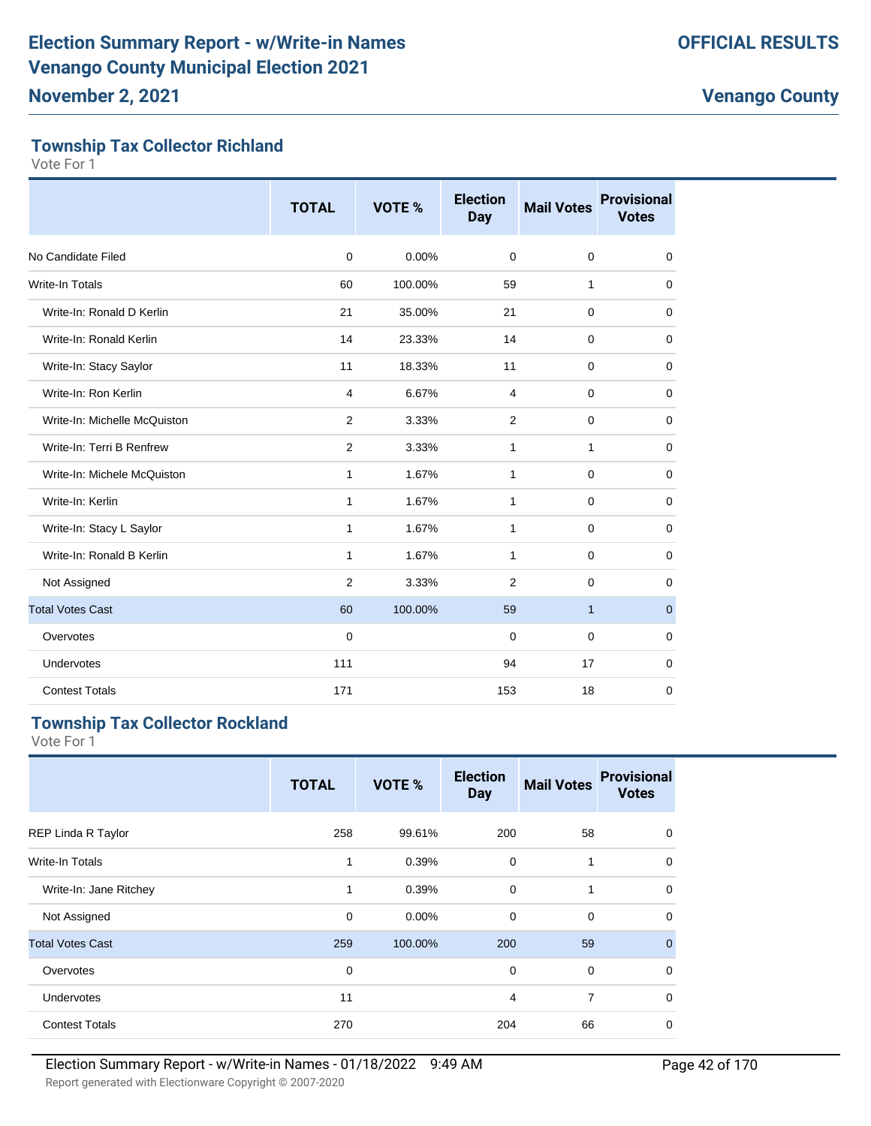#### **Township Tax Collector Richland**

Vote For 1

|                              | <b>TOTAL</b>   | VOTE %  | <b>Election</b><br>Day | <b>Mail Votes</b> | <b>Provisional</b><br><b>Votes</b> |
|------------------------------|----------------|---------|------------------------|-------------------|------------------------------------|
| No Candidate Filed           | $\mathbf 0$    | 0.00%   | $\mathbf 0$            | $\mathbf 0$       | $\mathbf 0$                        |
| <b>Write-In Totals</b>       | 60             | 100.00% | 59                     | 1                 | $\mathbf 0$                        |
| Write-In: Ronald D Kerlin    | 21             | 35.00%  | 21                     | $\mathbf 0$       | $\mathbf 0$                        |
| Write-In: Ronald Kerlin      | 14             | 23.33%  | 14                     | $\mathbf 0$       | $\mathbf 0$                        |
| Write-In: Stacy Saylor       | 11             | 18.33%  | 11                     | $\mathbf 0$       | $\mathbf 0$                        |
| Write-In: Ron Kerlin         | 4              | 6.67%   | 4                      | $\mathbf 0$       | $\mathbf 0$                        |
| Write-In: Michelle McQuiston | 2              | 3.33%   | 2                      | $\mathbf 0$       | 0                                  |
| Write-In: Terri B Renfrew    | $\overline{2}$ | 3.33%   | 1                      | 1                 | $\mathbf 0$                        |
| Write-In: Michele McQuiston  | 1              | 1.67%   | 1                      | $\mathbf 0$       | 0                                  |
| Write-In: Kerlin             | $\mathbf{1}$   | 1.67%   | $\mathbf{1}$           | $\mathbf 0$       | $\mathbf 0$                        |
| Write-In: Stacy L Saylor     | $\mathbf{1}$   | 1.67%   | 1                      | $\mathbf 0$       | $\mathbf 0$                        |
| Write-In: Ronald B Kerlin    | 1              | 1.67%   | 1                      | $\mathbf 0$       | $\mathbf 0$                        |
| Not Assigned                 | 2              | 3.33%   | $\overline{2}$         | $\mathbf 0$       | $\mathbf 0$                        |
| <b>Total Votes Cast</b>      | 60             | 100.00% | 59                     | $\mathbf{1}$      | $\mathbf{0}$                       |
| Overvotes                    | $\mathbf 0$    |         | 0                      | $\mathbf 0$       | 0                                  |
| Undervotes                   | 111            |         | 94                     | 17                | 0                                  |
| <b>Contest Totals</b>        | 171            |         | 153                    | 18                | 0                                  |

#### **Township Tax Collector Rockland**

|                         | <b>TOTAL</b> | VOTE %  | <b>Election</b><br><b>Day</b> | <b>Mail Votes</b> | <b>Provisional</b><br><b>Votes</b> |
|-------------------------|--------------|---------|-------------------------------|-------------------|------------------------------------|
| REP Linda R Taylor      | 258          | 99.61%  | 200                           | 58                | $\mathbf 0$                        |
| Write-In Totals         | 1            | 0.39%   | 0                             | 1                 | $\mathbf 0$                        |
| Write-In: Jane Ritchey  | 1            | 0.39%   | $\mathbf 0$                   | 1                 | $\mathbf 0$                        |
| Not Assigned            | $\mathbf 0$  | 0.00%   | 0                             | $\mathbf 0$       | $\mathbf 0$                        |
| <b>Total Votes Cast</b> | 259          | 100.00% | 200                           | 59                | $\mathbf{0}$                       |
| Overvotes               | $\mathbf 0$  |         | $\mathbf 0$                   | $\mathbf 0$       | $\mathbf 0$                        |
| Undervotes              | 11           |         | 4                             | $\overline{7}$    | $\mathbf 0$                        |
| <b>Contest Totals</b>   | 270          |         | 204                           | 66                | 0                                  |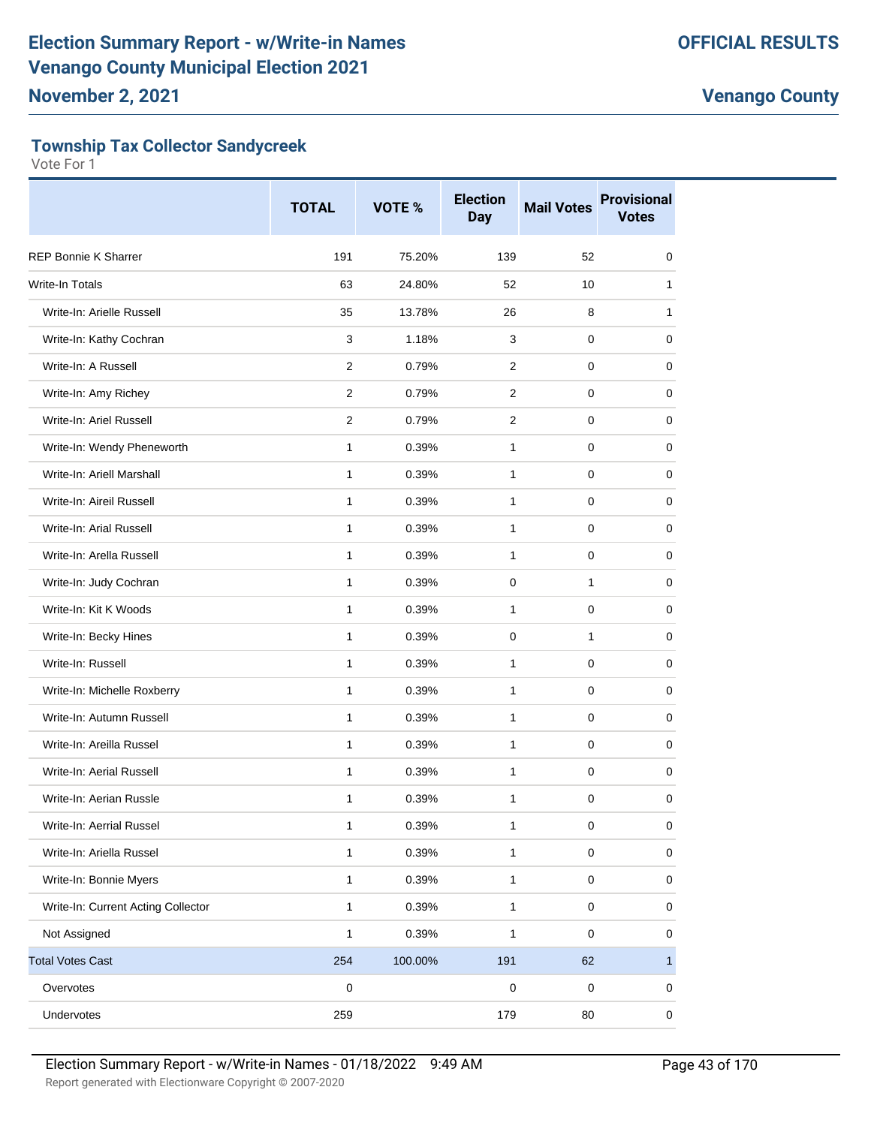#### **Township Tax Collector Sandycreek**

|                                    | <b>TOTAL</b>   | VOTE %  | <b>Election</b><br><b>Day</b> | <b>Mail Votes</b> | <b>Provisional</b><br><b>Votes</b> |
|------------------------------------|----------------|---------|-------------------------------|-------------------|------------------------------------|
| <b>REP Bonnie K Sharrer</b>        | 191            | 75.20%  | 139                           | 52                | 0                                  |
| Write-In Totals                    | 63             | 24.80%  | 52                            | 10                | 1                                  |
| Write-In: Arielle Russell          | 35             | 13.78%  | 26                            | 8                 | 1                                  |
| Write-In: Kathy Cochran            | 3              | 1.18%   | 3                             | $\mathbf 0$       | 0                                  |
| Write-In: A Russell                | 2              | 0.79%   | 2                             | 0                 | 0                                  |
| Write-In: Amy Richey               | 2              | 0.79%   | 2                             | 0                 | 0                                  |
| Write-In: Ariel Russell            | $\overline{2}$ | 0.79%   | 2                             | 0                 | 0                                  |
| Write-In: Wendy Pheneworth         | 1              | 0.39%   | $\mathbf{1}$                  | 0                 | 0                                  |
| Write-In: Ariell Marshall          | $\mathbf{1}$   | 0.39%   | $\mathbf{1}$                  | 0                 | 0                                  |
| Write-In: Aireil Russell           | $\mathbf{1}$   | 0.39%   | $\mathbf{1}$                  | $\mathbf 0$       | 0                                  |
| Write-In: Arial Russell            | 1              | 0.39%   | $\mathbf{1}$                  | 0                 | 0                                  |
| Write-In: Arella Russell           | $\mathbf{1}$   | 0.39%   | $\mathbf{1}$                  | 0                 | 0                                  |
| Write-In: Judy Cochran             | $\mathbf{1}$   | 0.39%   | 0                             | $\mathbf{1}$      | 0                                  |
| Write-In: Kit K Woods              | 1              | 0.39%   | $\mathbf{1}$                  | 0                 | 0                                  |
| Write-In: Becky Hines              | $\mathbf{1}$   | 0.39%   | 0                             | $\mathbf{1}$      | 0                                  |
| Write-In: Russell                  | $\mathbf{1}$   | 0.39%   | $\mathbf{1}$                  | $\mathbf 0$       | 0                                  |
| Write-In: Michelle Roxberry        | 1              | 0.39%   | $\mathbf{1}$                  | 0                 | 0                                  |
| Write-In: Autumn Russell           | 1              | 0.39%   | 1                             | 0                 | 0                                  |
| Write-In: Areilla Russel           | $\mathbf{1}$   | 0.39%   | $\mathbf{1}$                  | $\mathbf 0$       | 0                                  |
| Write-In: Aerial Russell           | 1              | 0.39%   | $\mathbf{1}$                  | 0                 | 0                                  |
| Write-In: Aerian Russle            | 1              | 0.39%   | 1                             | 0                 | 0                                  |
| Write-In: Aerrial Russel           | 1              | 0.39%   | $\mathbf 1$                   | $\pmb{0}$         | $\pmb{0}$                          |
| Write-In: Ariella Russel           | $\mathbf{1}$   | 0.39%   | 1                             | $\mathsf 0$       | 0                                  |
| Write-In: Bonnie Myers             | $\mathbf{1}$   | 0.39%   | 1                             | $\pmb{0}$         | 0                                  |
| Write-In: Current Acting Collector | $\mathbf{1}$   | 0.39%   | $\mathbf{1}$                  | $\mathsf 0$       | 0                                  |
| Not Assigned                       | 1              | 0.39%   | 1                             | $\pmb{0}$         | 0                                  |
| <b>Total Votes Cast</b>            | 254            | 100.00% | 191                           | 62                | $\mathbf{1}$                       |
| Overvotes                          | $\mathbf 0$    |         | $\mathsf 0$                   | $\pmb{0}$         | 0                                  |
| Undervotes                         | 259            |         | 179                           | 80                | $\pmb{0}$                          |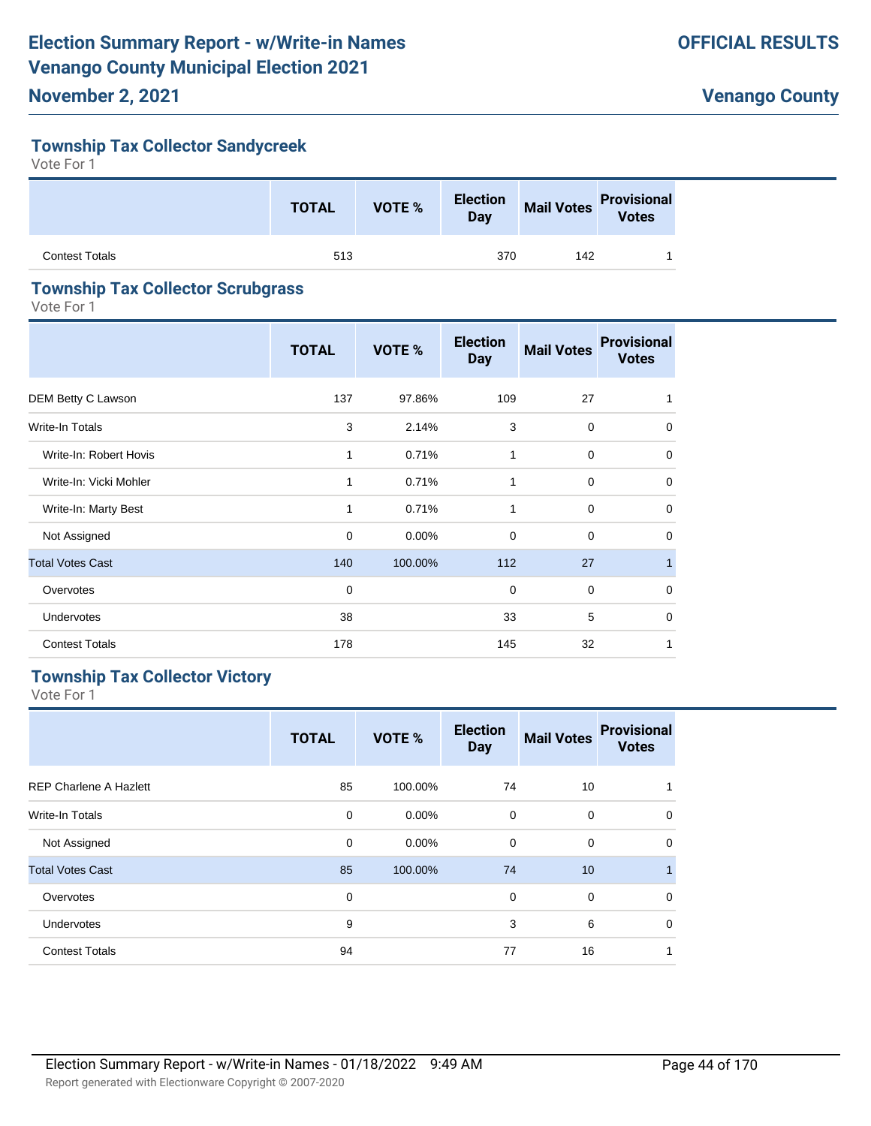#### **Township Tax Collector Sandycreek**

Vote For 1

|                | <b>TOTAL</b> | VOTE % | <b>Election</b><br>Day |     | Mail Votes<br>Votes |
|----------------|--------------|--------|------------------------|-----|---------------------|
| Contest Totals | 513          |        | 370                    | 142 |                     |

#### **Township Tax Collector Scrubgrass**

Vote For 1

|                         | <b>TOTAL</b> | VOTE %   | <b>Election</b><br><b>Day</b> | <b>Mail Votes</b> | <b>Provisional</b><br><b>Votes</b> |
|-------------------------|--------------|----------|-------------------------------|-------------------|------------------------------------|
| DEM Betty C Lawson      | 137          | 97.86%   | 109                           | 27                | 1                                  |
| <b>Write-In Totals</b>  | 3            | 2.14%    | 3                             | $\mathbf 0$       | $\Omega$                           |
| Write-In: Robert Hovis  | 1            | 0.71%    | 1                             | 0                 | 0                                  |
| Write-In: Vicki Mohler  | 1            | 0.71%    | 1                             | $\mathbf 0$       | $\mathbf 0$                        |
| Write-In: Marty Best    | 1            | 0.71%    | $\mathbf{1}$                  | $\mathbf 0$       | 0                                  |
| Not Assigned            | $\mathbf 0$  | $0.00\%$ | $\mathbf 0$                   | $\mathbf 0$       | 0                                  |
| <b>Total Votes Cast</b> | 140          | 100.00%  | 112                           | 27                | $\mathbf{1}$                       |
| Overvotes               | $\mathbf 0$  |          | $\mathbf 0$                   | $\mathbf 0$       | $\mathbf 0$                        |
| <b>Undervotes</b>       | 38           |          | 33                            | 5                 | 0                                  |
| <b>Contest Totals</b>   | 178          |          | 145                           | 32                | 1                                  |

#### **Township Tax Collector Victory**

|                               | <b>TOTAL</b> | <b>VOTE %</b> | <b>Election</b><br><b>Day</b> | <b>Mail Votes</b> | <b>Provisional</b><br><b>Votes</b> |
|-------------------------------|--------------|---------------|-------------------------------|-------------------|------------------------------------|
| <b>REP Charlene A Hazlett</b> | 85           | 100.00%       | 74                            | 10                |                                    |
| Write-In Totals               | 0            | $0.00\%$      | 0                             | 0                 | $\mathbf 0$                        |
| Not Assigned                  | 0            | $0.00\%$      | 0                             | $\mathbf 0$       | $\mathbf 0$                        |
| <b>Total Votes Cast</b>       | 85           | 100.00%       | 74                            | 10                | 1                                  |
| Overvotes                     | 0            |               | 0                             | $\mathbf 0$       | $\Omega$                           |
| Undervotes                    | 9            |               | 3                             | 6                 | $\Omega$                           |
| <b>Contest Totals</b>         | 94           |               | 77                            | 16                | 1                                  |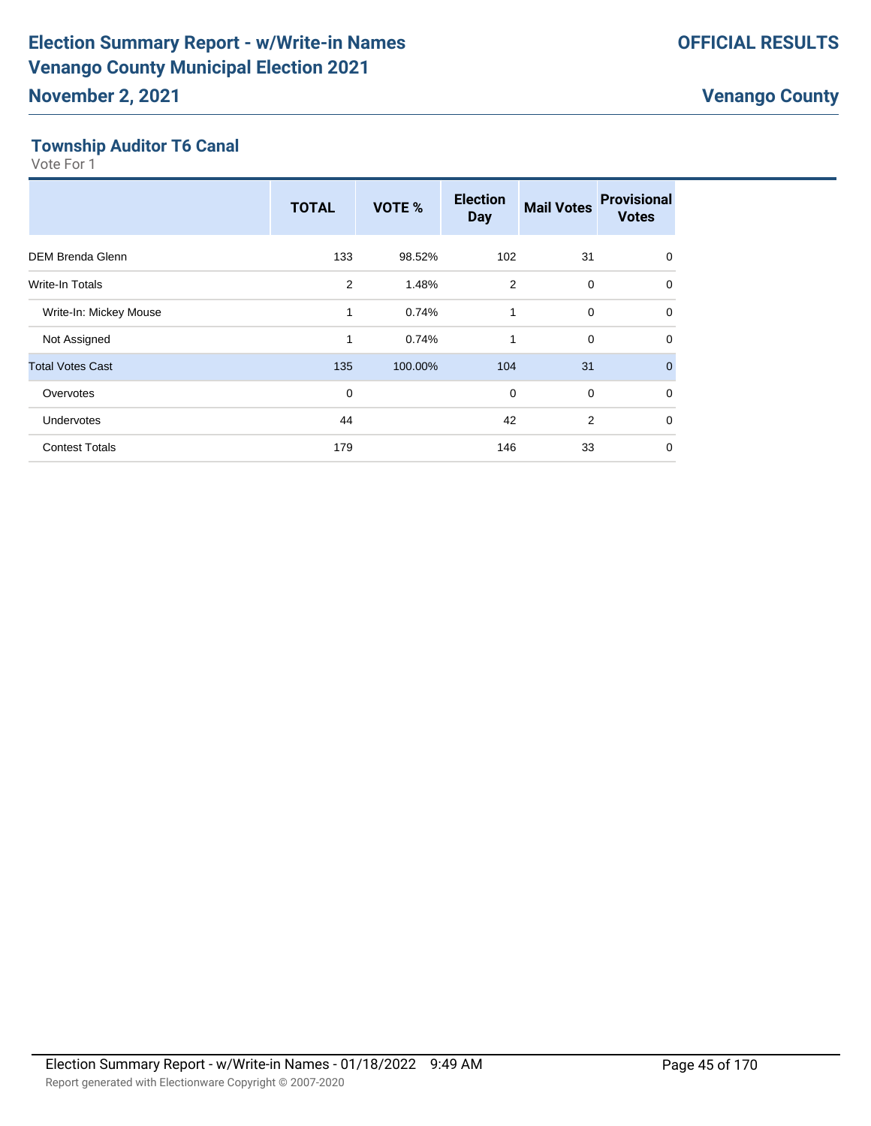#### **Township Auditor T6 Canal**

|                         | <b>TOTAL</b>   | VOTE %  | <b>Election</b><br><b>Day</b> | <b>Mail Votes</b> | <b>Provisional</b><br><b>Votes</b> |
|-------------------------|----------------|---------|-------------------------------|-------------------|------------------------------------|
| <b>DEM Brenda Glenn</b> | 133            | 98.52%  | 102                           | 31                | $\mathbf 0$                        |
| <b>Write-In Totals</b>  | $\overline{2}$ | 1.48%   | $\overline{2}$                | $\mathbf 0$       | $\mathbf 0$                        |
| Write-In: Mickey Mouse  | 1              | 0.74%   | 1                             | $\mathbf 0$       | $\Omega$                           |
| Not Assigned            | 1              | 0.74%   | 1                             | $\mathbf 0$       | $\Omega$                           |
| <b>Total Votes Cast</b> | 135            | 100.00% | 104                           | 31                | $\mathbf{0}$                       |
| Overvotes               | $\mathbf 0$    |         | 0                             | $\mathbf 0$       | $\Omega$                           |
| <b>Undervotes</b>       | 44             |         | 42                            | $\overline{2}$    | 0                                  |
| <b>Contest Totals</b>   | 179            |         | 146                           | 33                | $\mathbf 0$                        |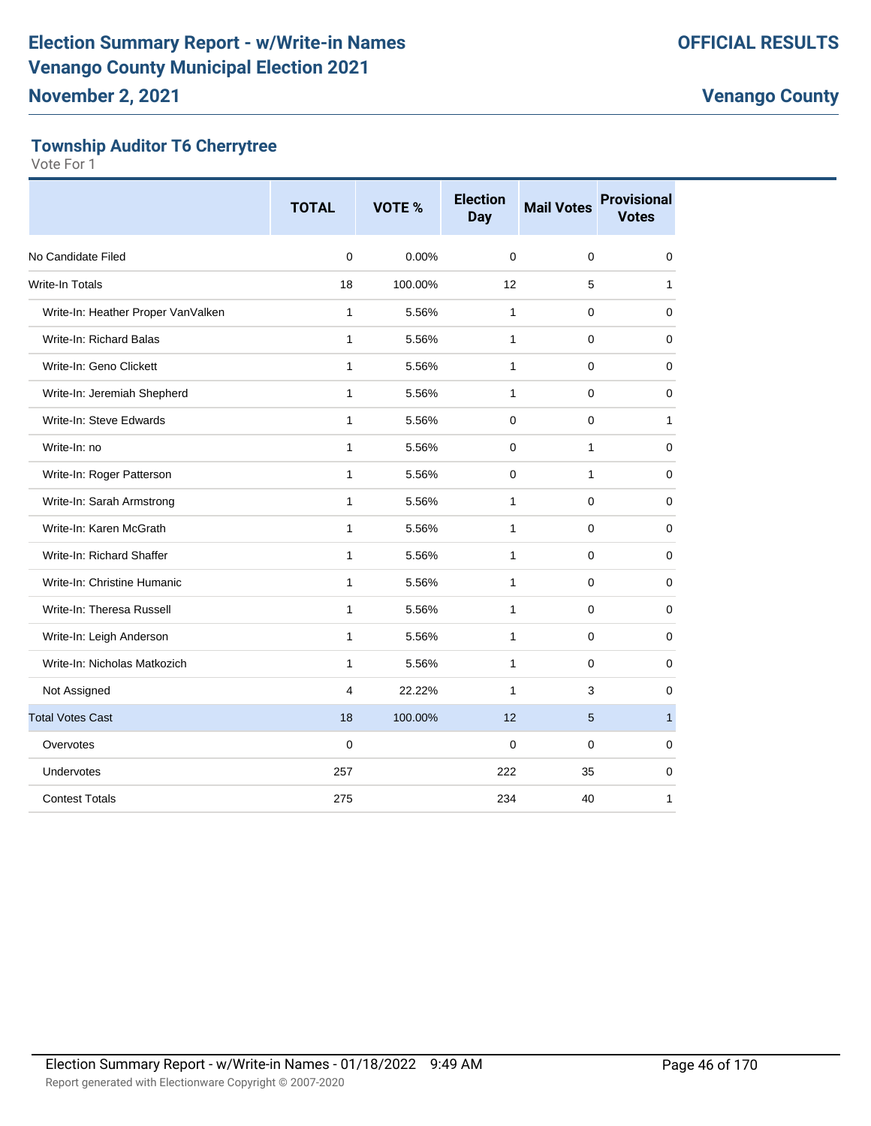#### **Township Auditor T6 Cherrytree**

|                                    | <b>TOTAL</b>   | <b>VOTE %</b> | <b>Election</b><br><b>Day</b> | <b>Mail Votes</b> | <b>Provisional</b><br><b>Votes</b> |
|------------------------------------|----------------|---------------|-------------------------------|-------------------|------------------------------------|
| No Candidate Filed                 | 0              | 0.00%         | $\mathbf 0$                   | $\pmb{0}$         | $\mathbf 0$                        |
| <b>Write-In Totals</b>             | 18             | 100.00%       | 12                            | 5                 | 1                                  |
| Write-In: Heather Proper VanValken | 1              | 5.56%         | $\mathbf{1}$                  | $\Omega$          | 0                                  |
| Write-In: Richard Balas            | $\mathbf{1}$   | 5.56%         | $\mathbf{1}$                  | $\mathbf 0$       | 0                                  |
| Write-In: Geno Clickett            | $\mathbf{1}$   | 5.56%         | $\mathbf{1}$                  | $\mathbf 0$       | $\mathbf 0$                        |
| Write-In: Jeremiah Shepherd        | 1              | 5.56%         | 1                             | 0                 | 0                                  |
| Write-In: Steve Edwards            | $\mathbf{1}$   | 5.56%         | $\mathbf 0$                   | $\pmb{0}$         | $\mathbf{1}$                       |
| Write-In: no                       | 1              | 5.56%         | $\Omega$                      | 1                 | 0                                  |
| Write-In: Roger Patterson          | $\mathbf{1}$   | 5.56%         | $\Omega$                      | $\mathbf{1}$      | $\mathbf 0$                        |
| Write-In: Sarah Armstrong          | $\mathbf{1}$   | 5.56%         | $\mathbf{1}$                  | $\mathbf 0$       | $\mathbf 0$                        |
| Write-In: Karen McGrath            | 1              | 5.56%         | 1                             | 0                 | 0                                  |
| Write-In: Richard Shaffer          | $\mathbf{1}$   | 5.56%         | $\mathbf{1}$                  | $\pmb{0}$         | $\mathbf 0$                        |
| Write-In: Christine Humanic        | 1              | 5.56%         | $\mathbf{1}$                  | $\Omega$          | $\mathbf 0$                        |
| Write-In: Theresa Russell          | $\mathbf{1}$   | 5.56%         | $\mathbf{1}$                  | $\mathbf 0$       | $\mathbf 0$                        |
| Write-In: Leigh Anderson           | $\mathbf{1}$   | 5.56%         | $\mathbf{1}$                  | $\mathbf 0$       | $\mathbf 0$                        |
| Write-In: Nicholas Matkozich       | 1              | 5.56%         | $\mathbf{1}$                  | 0                 | 0                                  |
| Not Assigned                       | 4              | 22.22%        | $\mathbf{1}$                  | 3                 | $\mathbf 0$                        |
| <b>Total Votes Cast</b>            | 18             | 100.00%       | 12                            | 5                 | $\mathbf{1}$                       |
| Overvotes                          | $\overline{0}$ |               | $\mathbf 0$                   | $\mathbf 0$       | $\mathbf 0$                        |
| Undervotes                         | 257            |               | 222                           | 35                | $\mathbf 0$                        |
| <b>Contest Totals</b>              | 275            |               | 234                           | 40                | 1                                  |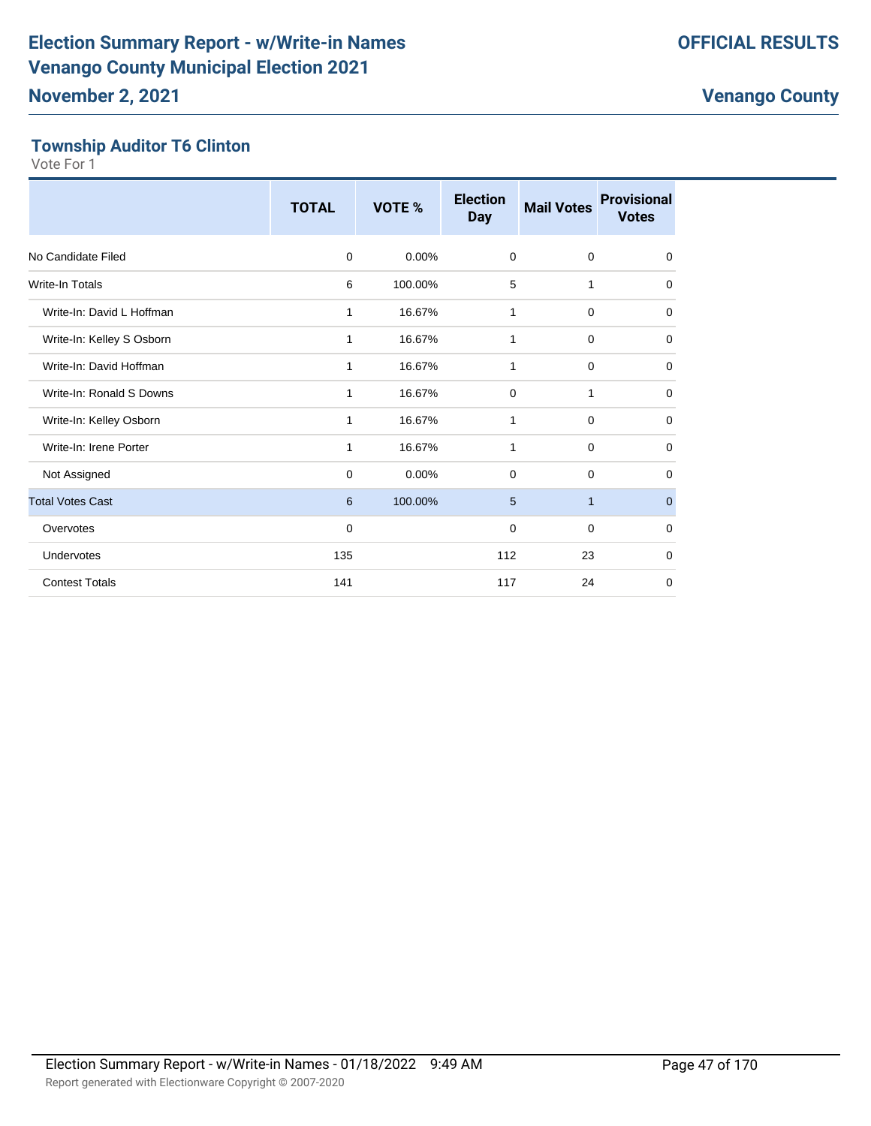#### **Township Auditor T6 Clinton**

|                           | <b>TOTAL</b> | <b>VOTE %</b> | <b>Election</b><br><b>Day</b> | <b>Mail Votes</b> | <b>Provisional</b><br><b>Votes</b> |
|---------------------------|--------------|---------------|-------------------------------|-------------------|------------------------------------|
| No Candidate Filed        | 0            | $0.00\%$      | 0                             | 0                 | $\mathbf 0$                        |
| <b>Write-In Totals</b>    | 6            | 100.00%       | 5                             | 1                 | $\mathbf 0$                        |
| Write-In: David L Hoffman | 1            | 16.67%        | 1                             | $\mathbf 0$       | $\mathbf 0$                        |
| Write-In: Kelley S Osborn | 1            | 16.67%        | 1                             | $\mathbf 0$       | $\mathbf 0$                        |
| Write-In: David Hoffman   | 1            | 16.67%        | 1                             | 0                 | $\mathbf 0$                        |
| Write-In: Ronald S Downs  | 1            | 16.67%        | $\mathbf 0$                   | $\mathbf{1}$      | $\mathbf 0$                        |
| Write-In: Kelley Osborn   | 1            | 16.67%        | 1                             | 0                 | 0                                  |
| Write-In: Irene Porter    | 1            | 16.67%        | 1                             | $\mathbf 0$       | $\mathbf 0$                        |
| Not Assigned              | 0            | 0.00%         | 0                             | 0                 | $\mathbf 0$                        |
| <b>Total Votes Cast</b>   | 6            | 100.00%       | 5                             | $\mathbf{1}$      | $\mathbf{0}$                       |
| Overvotes                 | $\mathbf 0$  |               | 0                             | $\mathbf 0$       | $\mathbf 0$                        |
| Undervotes                | 135          |               | 112                           | 23                | $\mathbf 0$                        |
| <b>Contest Totals</b>     | 141          |               | 117                           | 24                | 0                                  |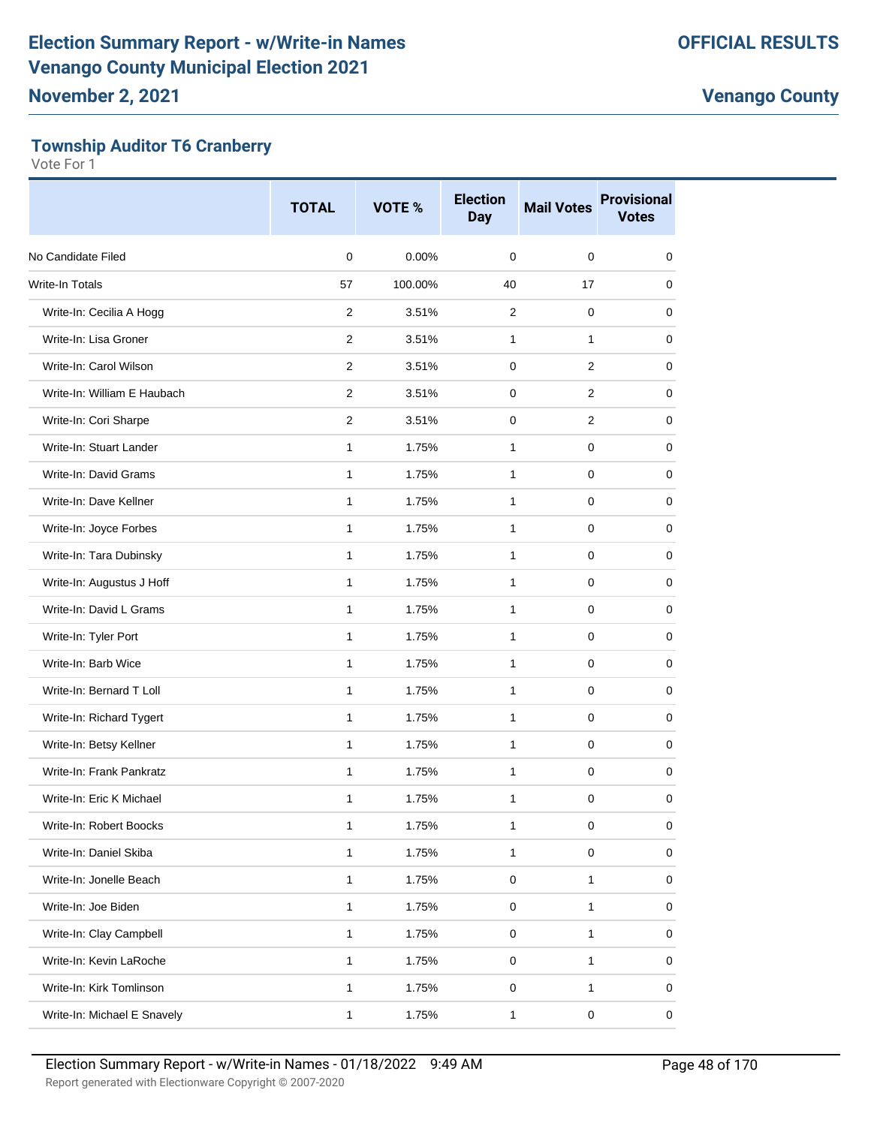#### **Township Auditor T6 Cranberry**

|                             | <b>TOTAL</b>   | VOTE %  | <b>Election</b><br><b>Day</b> | <b>Mail Votes</b> | <b>Provisional</b><br><b>Votes</b> |
|-----------------------------|----------------|---------|-------------------------------|-------------------|------------------------------------|
| No Candidate Filed          | $\mathbf 0$    | 0.00%   | $\Omega$                      | $\Omega$          | 0                                  |
| <b>Write-In Totals</b>      | 57             | 100.00% | 40                            | 17                | 0                                  |
| Write-In: Cecilia A Hogg    | 2              | 3.51%   | 2                             | $\mathbf 0$       | 0                                  |
| Write-In: Lisa Groner       | $\overline{2}$ | 3.51%   | 1                             | 1                 | 0                                  |
| Write-In: Carol Wilson      | $\overline{2}$ | 3.51%   | $\mathbf 0$                   | 2                 | 0                                  |
| Write-In: William E Haubach | 2              | 3.51%   | 0                             | 2                 | 0                                  |
| Write-In: Cori Sharpe       | $\overline{2}$ | 3.51%   | 0                             | 2                 | 0                                  |
| Write-In: Stuart Lander     | 1              | 1.75%   | 1                             | $\mathbf 0$       | 0                                  |
| Write-In: David Grams       | $\mathbf{1}$   | 1.75%   | $\mathbf{1}$                  | 0                 | 0                                  |
| Write-In: Dave Kellner      | $\mathbf{1}$   | 1.75%   | 1                             | 0                 | 0                                  |
| Write-In: Joyce Forbes      | 1              | 1.75%   | 1                             | 0                 | 0                                  |
| Write-In: Tara Dubinsky     | 1              | 1.75%   | $\mathbf{1}$                  | 0                 | 0                                  |
| Write-In: Augustus J Hoff   | 1              | 1.75%   | 1                             | 0                 | 0                                  |
| Write-In: David L Grams     | 1              | 1.75%   | $\mathbf{1}$                  | 0                 | 0                                  |
| Write-In: Tyler Port        | 1              | 1.75%   | $\mathbf{1}$                  | 0                 | 0                                  |
| Write-In: Barb Wice         | $\mathbf{1}$   | 1.75%   | 1                             | 0                 | 0                                  |
| Write-In: Bernard T Loll    | $\mathbf{1}$   | 1.75%   | 1                             | $\mathbf 0$       | 0                                  |
| Write-In: Richard Tygert    | 1              | 1.75%   | 1                             | 0                 | 0                                  |
| Write-In: Betsy Kellner     | $\mathbf{1}$   | 1.75%   | 1                             | 0                 | 0                                  |
| Write-In: Frank Pankratz    | 1              | 1.75%   | $\mathbf{1}$                  | $\mathbf 0$       | 0                                  |
| Write-In: Eric K Michael    | 1              | 1.75%   | 1                             | 0                 | 0                                  |
| Write-In: Robert Boocks     | 1              | 1.75%   | 1                             | $\pmb{0}$         | 0                                  |
| Write-In: Daniel Skiba      | 1              | 1.75%   | 1                             | $\mathbf 0$       | 0                                  |
| Write-In: Jonelle Beach     | 1              | 1.75%   | 0                             | 1                 | 0                                  |
| Write-In: Joe Biden         | $\mathbf{1}$   | 1.75%   | 0                             | 1                 | 0                                  |
| Write-In: Clay Campbell     | 1              | 1.75%   | $\mathbf 0$                   | 1                 | 0                                  |
| Write-In: Kevin LaRoche     | 1              | 1.75%   | $\pmb{0}$                     | 1                 | 0                                  |
| Write-In: Kirk Tomlinson    | 1              | 1.75%   | $\mathbf 0$                   | 1                 | 0                                  |
| Write-In: Michael E Snavely | 1              | 1.75%   | 1                             | $\pmb{0}$         | 0                                  |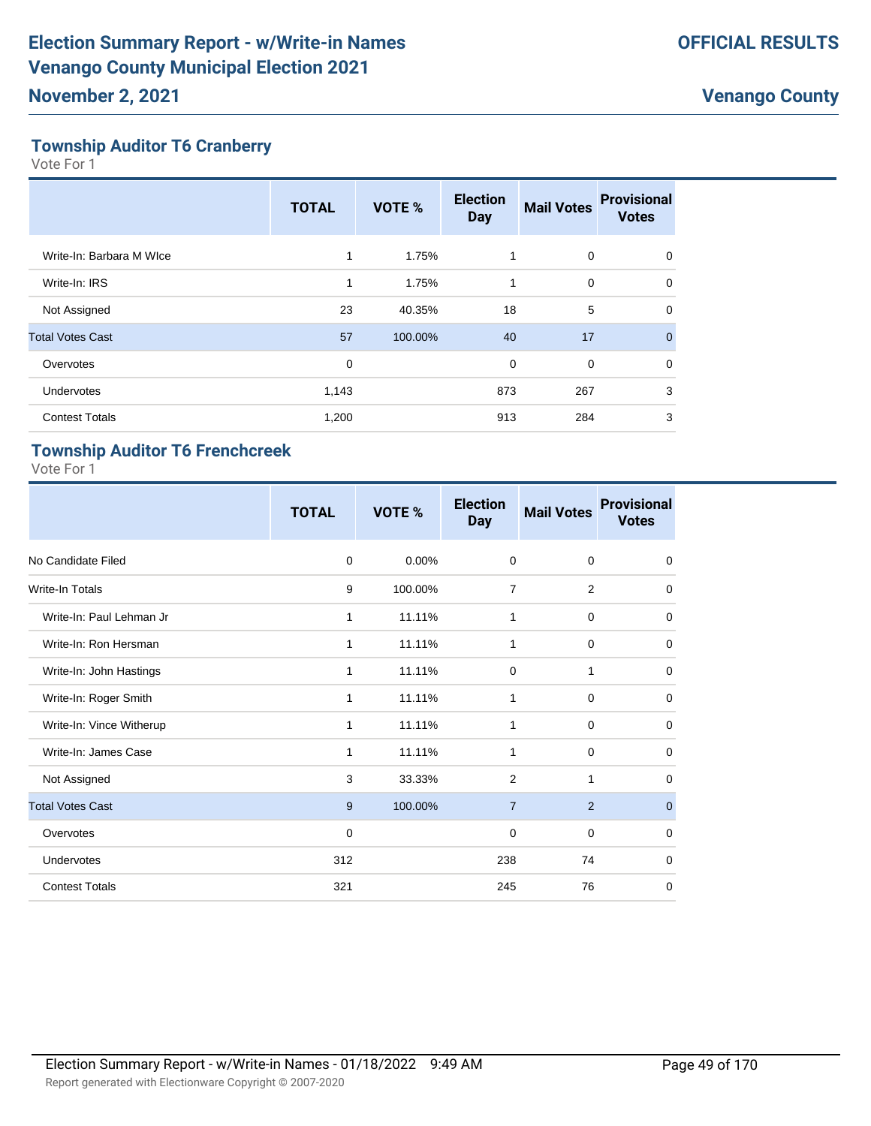#### **Township Auditor T6 Cranberry**

Vote For 1

|                          | <b>TOTAL</b> | VOTE %  | <b>Election</b><br><b>Day</b> | <b>Mail Votes</b> | <b>Provisional</b><br><b>Votes</b> |
|--------------------------|--------------|---------|-------------------------------|-------------------|------------------------------------|
| Write-In: Barbara M WIce | $\mathbf{1}$ | 1.75%   | 1                             | 0                 | 0                                  |
| Write-In: IRS            | $\mathbf{1}$ | 1.75%   | 1                             | $\mathbf 0$       | 0                                  |
| Not Assigned             | 23           | 40.35%  | 18                            | 5                 | 0                                  |
| <b>Total Votes Cast</b>  | 57           | 100.00% | 40                            | 17                | $\mathbf{0}$                       |
| Overvotes                | $\mathbf 0$  |         | 0                             | $\mathbf 0$       | $\mathbf 0$                        |
| <b>Undervotes</b>        | 1,143        |         | 873                           | 267               | 3                                  |
| <b>Contest Totals</b>    | 1,200        |         | 913                           | 284               | 3                                  |

#### **Township Auditor T6 Frenchcreek**

|                          | <b>TOTAL</b> | VOTE %  | <b>Election</b><br><b>Day</b> | <b>Mail Votes</b> | <b>Provisional</b><br><b>Votes</b> |
|--------------------------|--------------|---------|-------------------------------|-------------------|------------------------------------|
| No Candidate Filed       | 0            | 0.00%   | $\mathbf 0$                   | $\mathbf 0$       | $\mathbf 0$                        |
| <b>Write-In Totals</b>   | 9            | 100.00% | $\overline{7}$                | $\overline{2}$    | 0                                  |
| Write-In: Paul Lehman Jr | 1            | 11.11%  | 1                             | $\mathbf 0$       | 0                                  |
| Write-In: Ron Hersman    | 1            | 11.11%  | 1                             | $\mathbf 0$       | $\mathbf 0$                        |
| Write-In: John Hastings  | 1            | 11.11%  | 0                             | 1                 | $\mathbf 0$                        |
| Write-In: Roger Smith    | 1            | 11.11%  | 1                             | $\mathbf 0$       | $\mathbf 0$                        |
| Write-In: Vince Witherup | 1            | 11.11%  | 1                             | $\mathbf 0$       | $\mathbf 0$                        |
| Write-In: James Case     | 1            | 11.11%  | 1                             | $\mathbf 0$       | $\mathbf 0$                        |
| Not Assigned             | 3            | 33.33%  | 2                             | 1                 | $\mathbf 0$                        |
| <b>Total Votes Cast</b>  | 9            | 100.00% | $\overline{7}$                | $\overline{2}$    | $\mathbf{0}$                       |
| Overvotes                | 0            |         | 0                             | $\mathbf 0$       | 0                                  |
| Undervotes               | 312          |         | 238                           | 74                | $\mathbf 0$                        |
| <b>Contest Totals</b>    | 321          |         | 245                           | 76                | 0                                  |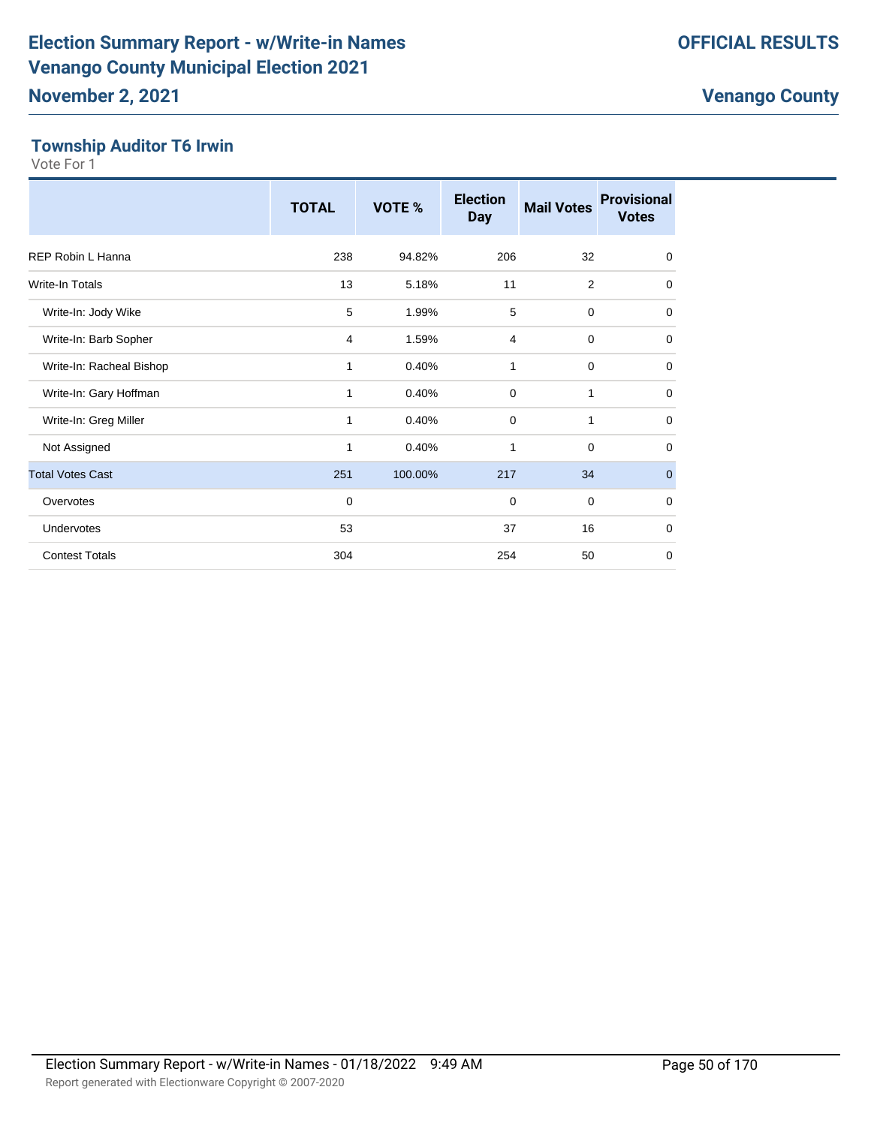#### **Township Auditor T6 Irwin**

|                          | <b>TOTAL</b>   | VOTE %  | <b>Election</b><br><b>Day</b> | <b>Mail Votes</b> | <b>Provisional</b><br><b>Votes</b> |
|--------------------------|----------------|---------|-------------------------------|-------------------|------------------------------------|
| REP Robin L Hanna        | 238            | 94.82%  | 206                           | 32                | $\mathbf 0$                        |
| Write-In Totals          | 13             | 5.18%   | 11                            | 2                 | 0                                  |
| Write-In: Jody Wike      | 5              | 1.99%   | 5                             | 0                 | 0                                  |
| Write-In: Barb Sopher    | $\overline{4}$ | 1.59%   | $\overline{4}$                | $\mathbf 0$       | $\mathbf 0$                        |
| Write-In: Racheal Bishop | 1              | 0.40%   | 1                             | $\mathbf 0$       | $\mathbf 0$                        |
| Write-In: Gary Hoffman   | 1              | 0.40%   | $\mathbf 0$                   | 1                 | $\mathbf 0$                        |
| Write-In: Greg Miller    | 1              | 0.40%   | $\mathbf 0$                   | 1                 | $\mathbf 0$                        |
| Not Assigned             | 1              | 0.40%   | 1                             | $\mathbf 0$       | $\mathbf 0$                        |
| <b>Total Votes Cast</b>  | 251            | 100.00% | 217                           | 34                | $\mathbf 0$                        |
| Overvotes                | 0              |         | $\mathbf 0$                   | $\mathbf 0$       | $\mathbf 0$                        |
| Undervotes               | 53             |         | 37                            | 16                | $\mathbf 0$                        |
| <b>Contest Totals</b>    | 304            |         | 254                           | 50                | $\mathbf 0$                        |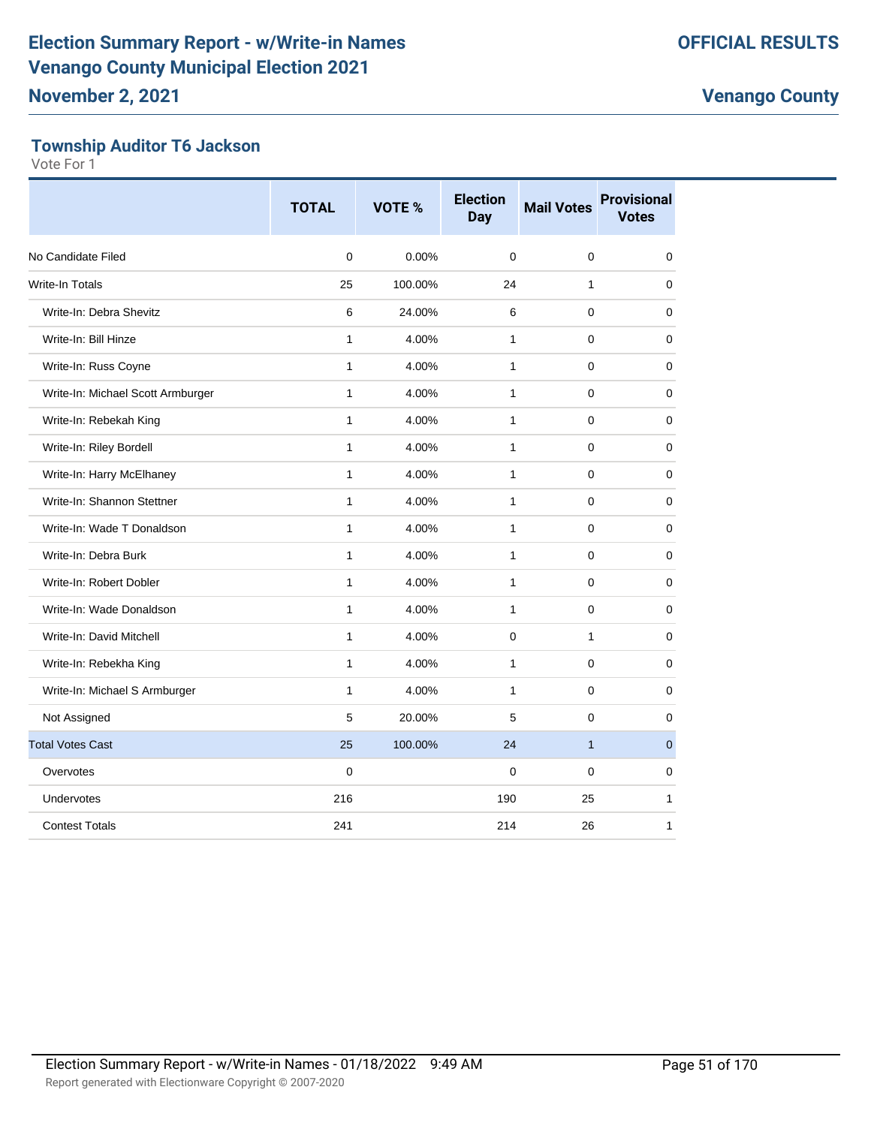#### **Township Auditor T6 Jackson**

|                                   | <b>TOTAL</b> | <b>VOTE %</b> | <b>Election</b><br><b>Day</b> | <b>Mail Votes</b> | <b>Provisional</b><br><b>Votes</b> |
|-----------------------------------|--------------|---------------|-------------------------------|-------------------|------------------------------------|
| No Candidate Filed                | 0            | 0.00%         | $\Omega$                      | $\mathbf 0$       | 0                                  |
| <b>Write-In Totals</b>            | 25           | 100.00%       | 24                            | $\mathbf{1}$      | 0                                  |
| Write-In: Debra Shevitz           | 6            | 24.00%        | 6                             | $\Omega$          | 0                                  |
| Write-In: Bill Hinze              | $\mathbf{1}$ | 4.00%         | $\mathbf{1}$                  | 0                 | 0                                  |
| Write-In: Russ Coyne              | $\mathbf{1}$ | 4.00%         | $\mathbf{1}$                  | 0                 | 0                                  |
| Write-In: Michael Scott Armburger | $\mathbf{1}$ | 4.00%         | 1                             | 0                 | 0                                  |
| Write-In: Rebekah King            | 1            | 4.00%         | 1                             | $\mathbf 0$       | 0                                  |
| Write-In: Riley Bordell           | $\mathbf{1}$ | 4.00%         | 1                             | $\mathbf 0$       | $\mathbf 0$                        |
| Write-In: Harry McElhaney         | $\mathbf{1}$ | 4.00%         | 1                             | $\mathbf 0$       | 0                                  |
| Write-In: Shannon Stettner        | 1            | 4.00%         | 1                             | $\mathbf 0$       | 0                                  |
| Write-In: Wade T Donaldson        | $\mathbf{1}$ | 4.00%         | $\mathbf{1}$                  | $\mathbf 0$       | 0                                  |
| Write-In: Debra Burk              | $\mathbf{1}$ | 4.00%         | 1                             | $\mathbf 0$       | 0                                  |
| Write-In: Robert Dobler           | $\mathbf{1}$ | 4.00%         | $\mathbf{1}$                  | $\mathbf 0$       | 0                                  |
| Write-In: Wade Donaldson          | $\mathbf{1}$ | 4.00%         | $\mathbf{1}$                  | $\mathbf 0$       | 0                                  |
| Write-In: David Mitchell          | $\mathbf{1}$ | 4.00%         | $\mathbf 0$                   | $\mathbf{1}$      | $\mathbf 0$                        |
| Write-In: Rebekha King            | $\mathbf{1}$ | 4.00%         | 1                             | $\mathbf 0$       | 0                                  |
| Write-In: Michael S Armburger     | 1            | 4.00%         | 1                             | $\mathbf 0$       | 0                                  |
| Not Assigned                      | 5            | 20.00%        | 5                             | $\mathbf 0$       | 0                                  |
| <b>Total Votes Cast</b>           | 25           | 100.00%       | 24                            | $\mathbf{1}$      | $\mathbf{0}$                       |
| Overvotes                         | $\mathbf 0$  |               | $\mathbf 0$                   | 0                 | 0                                  |
| Undervotes                        | 216          |               | 190                           | 25                | 1                                  |
| <b>Contest Totals</b>             | 241          |               | 214                           | 26                | 1                                  |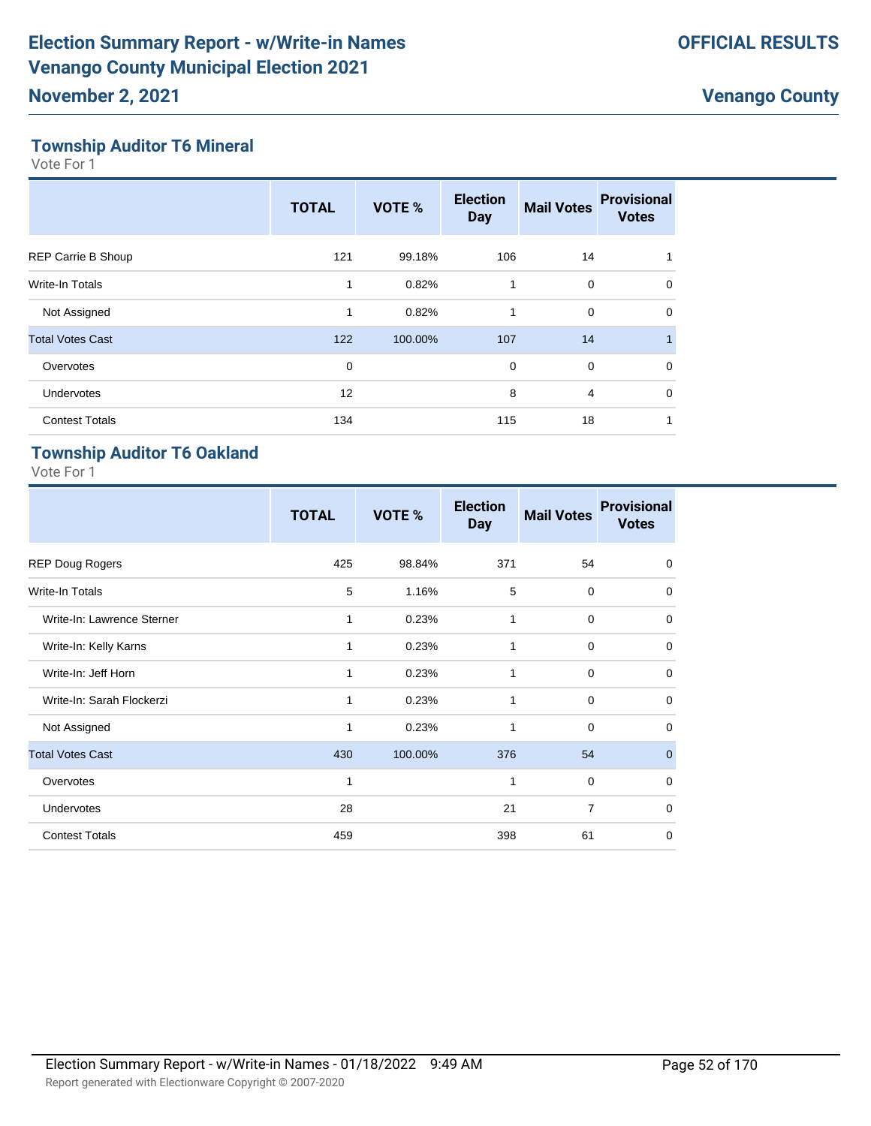#### **Township Auditor T6 Mineral**

Vote For 1

|                           | <b>TOTAL</b> | VOTE %  | <b>Election</b><br><b>Day</b> | <b>Mail Votes</b> | <b>Provisional</b><br><b>Votes</b> |
|---------------------------|--------------|---------|-------------------------------|-------------------|------------------------------------|
| <b>REP Carrie B Shoup</b> | 121          | 99.18%  | 106                           | 14                |                                    |
| <b>Write-In Totals</b>    | 1            | 0.82%   | 1                             | 0                 | $\Omega$                           |
| Not Assigned              | 1            | 0.82%   | 1                             | 0                 | $\mathbf 0$                        |
| <b>Total Votes Cast</b>   | 122          | 100.00% | 107                           | 14                | $\blacksquare$                     |
| Overvotes                 | $\mathbf 0$  |         | $\mathbf 0$                   | $\mathbf 0$       | $\Omega$                           |
| <b>Undervotes</b>         | 12           |         | 8                             | $\overline{4}$    | $\Omega$                           |
| <b>Contest Totals</b>     | 134          |         | 115                           | 18                |                                    |

### **Township Auditor T6 Oakland**

|                            | <b>TOTAL</b> | VOTE %  | <b>Election</b><br><b>Day</b> | <b>Mail Votes</b> | <b>Provisional</b><br><b>Votes</b> |
|----------------------------|--------------|---------|-------------------------------|-------------------|------------------------------------|
| <b>REP Doug Rogers</b>     | 425          | 98.84%  | 371                           | 54                | 0                                  |
| <b>Write-In Totals</b>     | 5            | 1.16%   | 5                             | $\mathbf 0$       | $\mathbf 0$                        |
| Write-In: Lawrence Sterner | 1            | 0.23%   | 1                             | $\Omega$          | $\mathbf 0$                        |
| Write-In: Kelly Karns      | 1            | 0.23%   | 1                             | $\mathbf 0$       | $\mathbf 0$                        |
| Write-In: Jeff Horn        | 1            | 0.23%   | 1                             | $\mathbf 0$       | $\mathbf 0$                        |
| Write-In: Sarah Flockerzi  | 1            | 0.23%   | 1                             | $\mathbf 0$       | $\mathbf 0$                        |
| Not Assigned               | 1            | 0.23%   | 1                             | $\mathbf 0$       | $\mathbf 0$                        |
| <b>Total Votes Cast</b>    | 430          | 100.00% | 376                           | 54                | $\mathbf 0$                        |
| Overvotes                  | 1            |         | 1                             | $\mathbf 0$       | $\mathbf 0$                        |
| Undervotes                 | 28           |         | 21                            | $\overline{7}$    | $\mathbf 0$                        |
| <b>Contest Totals</b>      | 459          |         | 398                           | 61                | $\mathbf 0$                        |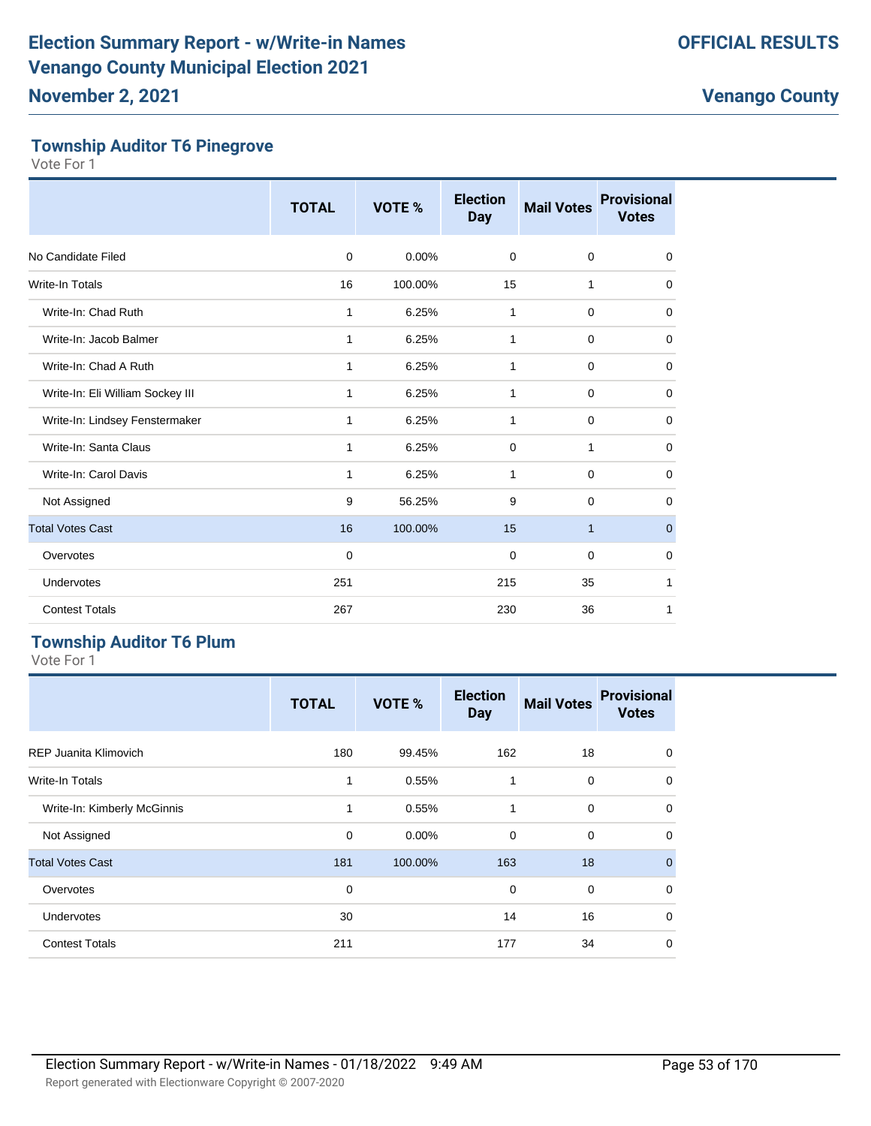#### **Township Auditor T6 Pinegrove**

Vote For 1

|                                  | <b>TOTAL</b> | VOTE %  | <b>Election</b><br><b>Day</b> | <b>Mail Votes</b> | <b>Provisional</b><br><b>Votes</b> |
|----------------------------------|--------------|---------|-------------------------------|-------------------|------------------------------------|
| No Candidate Filed               | $\mathbf 0$  | 0.00%   | 0                             | 0                 | $\mathbf 0$                        |
| Write-In Totals                  | 16           | 100.00% | 15                            | 1                 | $\mathbf 0$                        |
| Write-In: Chad Ruth              | 1            | 6.25%   | 1                             | 0                 | 0                                  |
| Write-In: Jacob Balmer           | 1            | 6.25%   | 1                             | 0                 | $\mathbf 0$                        |
| Write-In: Chad A Ruth            | 1            | 6.25%   | 1                             | 0                 | $\mathbf 0$                        |
| Write-In: Eli William Sockey III | 1            | 6.25%   | 1                             | 0                 | 0                                  |
| Write-In: Lindsey Fenstermaker   | 1            | 6.25%   | 1                             | 0                 | $\mathbf 0$                        |
| Write-In: Santa Claus            | 1            | 6.25%   | $\mathbf 0$                   | 1                 | 0                                  |
| Write-In: Carol Davis            | 1            | 6.25%   | 1                             | 0                 | $\mathbf 0$                        |
| Not Assigned                     | 9            | 56.25%  | 9                             | 0                 | $\mathbf 0$                        |
| <b>Total Votes Cast</b>          | 16           | 100.00% | 15                            | $\mathbf{1}$      | $\mathbf 0$                        |
| Overvotes                        | 0            |         | 0                             | 0                 | 0                                  |
| Undervotes                       | 251          |         | 215                           | 35                | 1                                  |
| <b>Contest Totals</b>            | 267          |         | 230                           | 36                | 1                                  |

#### **Township Auditor T6 Plum**

|                             | <b>TOTAL</b> | VOTE %   | <b>Election</b><br><b>Day</b> | <b>Mail Votes</b> | <b>Provisional</b><br><b>Votes</b> |
|-----------------------------|--------------|----------|-------------------------------|-------------------|------------------------------------|
| REP Juanita Klimovich       | 180          | 99.45%   | 162                           | 18                | $\mathbf 0$                        |
| Write-In Totals             | 1            | 0.55%    | 1                             | 0                 | $\mathbf 0$                        |
| Write-In: Kimberly McGinnis | 1            | 0.55%    | $\mathbf{1}$                  | 0                 | $\mathbf 0$                        |
| Not Assigned                | 0            | $0.00\%$ | 0                             | 0                 | $\mathbf 0$                        |
| <b>Total Votes Cast</b>     | 181          | 100.00%  | 163                           | 18                | $\overline{0}$                     |
| Overvotes                   | 0            |          | $\mathbf 0$                   | $\mathbf 0$       | $\mathbf 0$                        |
| Undervotes                  | 30           |          | 14                            | 16                | $\mathbf 0$                        |
| <b>Contest Totals</b>       | 211          |          | 177                           | 34                | $\mathbf 0$                        |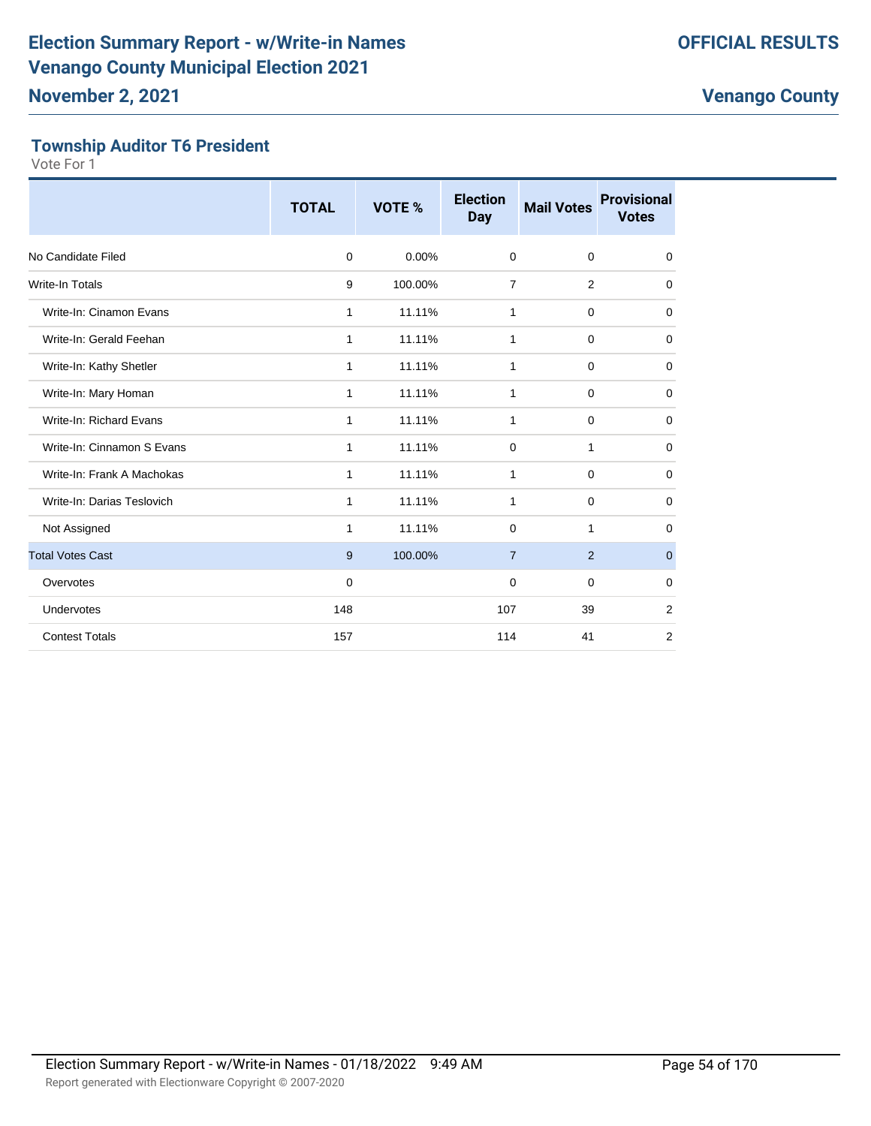#### **Township Auditor T6 President**

|                            | <b>TOTAL</b> | VOTE %   | <b>Election</b><br><b>Day</b> | <b>Mail Votes</b> | <b>Provisional</b><br><b>Votes</b> |
|----------------------------|--------------|----------|-------------------------------|-------------------|------------------------------------|
| No Candidate Filed         | $\mathbf 0$  | $0.00\%$ | $\Omega$                      | 0                 | 0                                  |
| <b>Write-In Totals</b>     | 9            | 100.00%  | $\overline{7}$                | 2                 | $\mathbf 0$                        |
| Write-In: Cinamon Evans    | 1            | 11.11%   | 1                             | 0                 | 0                                  |
| Write-In: Gerald Feehan    | 1            | 11.11%   | 1                             | $\mathbf 0$       | 0                                  |
| Write-In: Kathy Shetler    | 1            | 11.11%   | 1                             | 0                 | $\mathbf 0$                        |
| Write-In: Mary Homan       | 1            | 11.11%   | 1                             | 0                 | $\mathbf 0$                        |
| Write-In: Richard Evans    | 1            | 11.11%   | 1                             | $\mathbf 0$       | 0                                  |
| Write-In: Cinnamon S Evans | 1            | 11.11%   | $\mathbf 0$                   | 1                 | $\mathbf 0$                        |
| Write-In: Frank A Machokas | 1            | 11.11%   | 1                             | $\mathbf 0$       | $\mathbf 0$                        |
| Write-In: Darias Teslovich | 1            | 11.11%   | 1                             | $\mathbf 0$       | 0                                  |
| Not Assigned               | 1            | 11.11%   | 0                             | 1                 | $\mathbf 0$                        |
| <b>Total Votes Cast</b>    | 9            | 100.00%  | $\overline{7}$                | 2                 | $\mathbf{0}$                       |
| Overvotes                  | $\mathbf 0$  |          | $\mathbf 0$                   | 0                 | 0                                  |
| Undervotes                 | 148          |          | 107                           | 39                | $\overline{2}$                     |
| <b>Contest Totals</b>      | 157          |          | 114                           | 41                | 2                                  |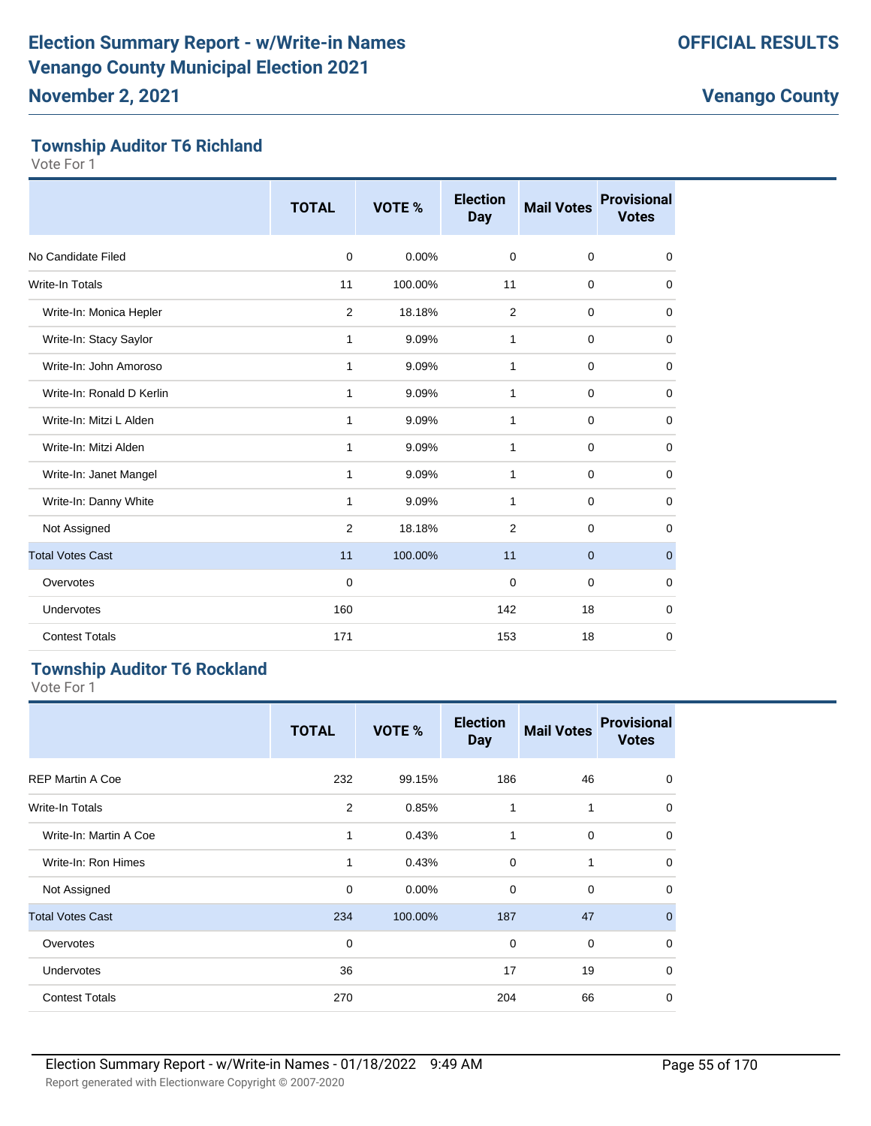#### **Township Auditor T6 Richland**

Vote For 1

|                           | <b>TOTAL</b>   | VOTE %  | <b>Election</b><br><b>Day</b> | <b>Mail Votes</b> | <b>Provisional</b><br><b>Votes</b> |
|---------------------------|----------------|---------|-------------------------------|-------------------|------------------------------------|
| No Candidate Filed        | 0              | 0.00%   | $\mathbf 0$                   | $\mathbf 0$       | 0                                  |
| Write-In Totals           | 11             | 100.00% | 11                            | $\mathbf 0$       | $\mathbf 0$                        |
| Write-In: Monica Hepler   | $\overline{2}$ | 18.18%  | $\overline{2}$                | $\mathbf 0$       | $\mathbf 0$                        |
| Write-In: Stacy Saylor    | 1              | 9.09%   | 1                             | 0                 | 0                                  |
| Write-In: John Amoroso    | 1              | 9.09%   | 1                             | $\mathbf 0$       | $\mathbf 0$                        |
| Write-In: Ronald D Kerlin | 1              | 9.09%   | 1                             | $\mathbf 0$       | $\mathbf 0$                        |
| Write-In: Mitzi L Alden   | 1              | 9.09%   | $\mathbf{1}$                  | $\mathbf 0$       | $\mathbf 0$                        |
| Write-In: Mitzi Alden     | 1              | 9.09%   | $\mathbf{1}$                  | $\mathbf 0$       | $\mathbf 0$                        |
| Write-In: Janet Mangel    | 1              | 9.09%   | 1                             | $\mathbf 0$       | 0                                  |
| Write-In: Danny White     | 1              | 9.09%   | 1                             | $\mathbf 0$       | $\mathbf 0$                        |
| Not Assigned              | $\overline{2}$ | 18.18%  | $\overline{2}$                | $\mathbf 0$       | 0                                  |
| <b>Total Votes Cast</b>   | 11             | 100.00% | 11                            | $\mathbf{0}$      | $\mathbf{0}$                       |
| Overvotes                 | $\mathbf 0$    |         | $\mathbf 0$                   | $\mathbf 0$       | $\mathbf 0$                        |
| <b>Undervotes</b>         | 160            |         | 142                           | 18                | $\mathbf 0$                        |
| <b>Contest Totals</b>     | 171            |         | 153                           | 18                | 0                                  |

#### **Township Auditor T6 Rockland**

|                         | <b>TOTAL</b> | VOTE %  | <b>Election</b><br><b>Day</b> | <b>Mail Votes</b> | <b>Provisional</b><br><b>Votes</b> |
|-------------------------|--------------|---------|-------------------------------|-------------------|------------------------------------|
| <b>REP Martin A Coe</b> | 232          | 99.15%  | 186                           | 46                | $\mathbf 0$                        |
| Write-In Totals         | 2            | 0.85%   | 1                             | 1                 | $\mathbf 0$                        |
| Write-In: Martin A Coe  | 1            | 0.43%   | 1                             | $\mathbf 0$       | $\mathbf 0$                        |
| Write-In: Ron Himes     | $\mathbf{1}$ | 0.43%   | $\mathbf 0$                   | 1                 | $\mathbf 0$                        |
| Not Assigned            | $\mathbf 0$  | 0.00%   | $\mathbf 0$                   | $\mathbf 0$       | $\mathbf 0$                        |
| <b>Total Votes Cast</b> | 234          | 100.00% | 187                           | 47                | $\mathbf 0$                        |
| Overvotes               | 0            |         | 0                             | $\mathbf 0$       | $\mathbf 0$                        |
| Undervotes              | 36           |         | 17                            | 19                | $\mathbf 0$                        |
| <b>Contest Totals</b>   | 270          |         | 204                           | 66                | $\mathbf 0$                        |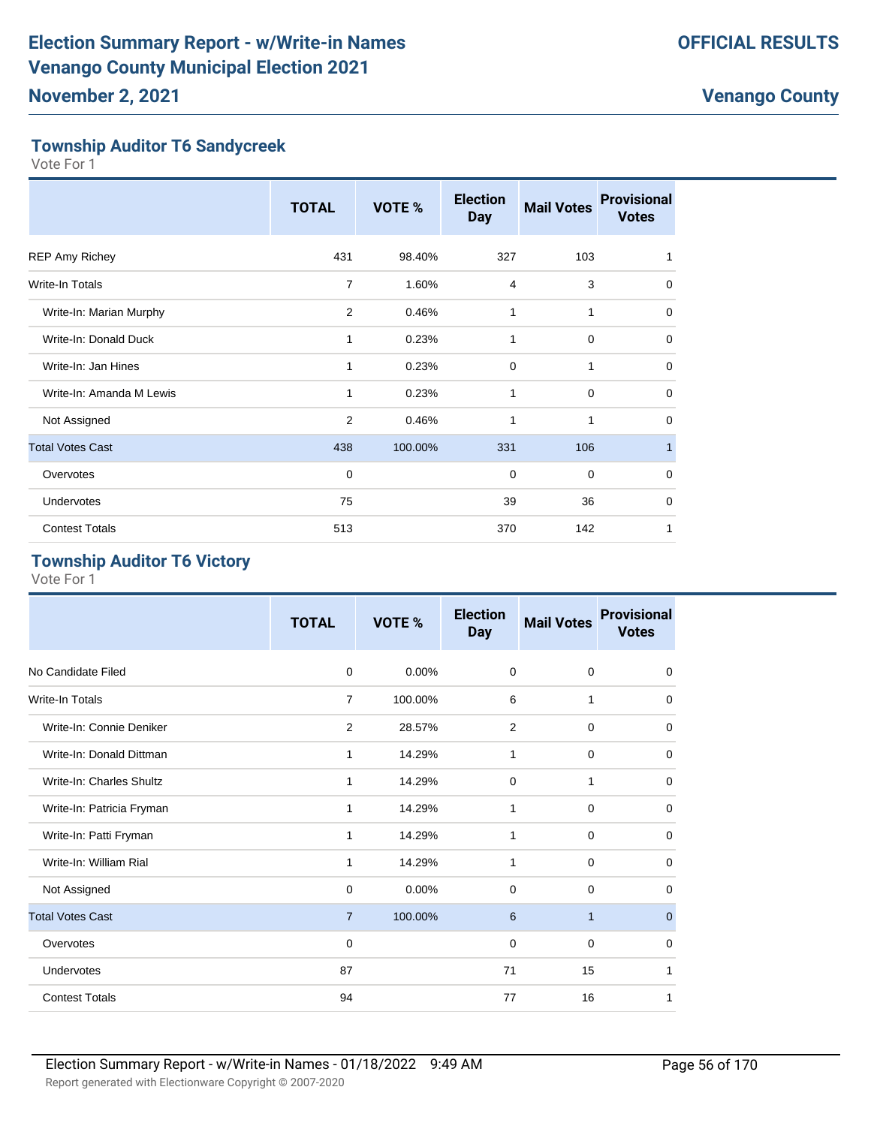#### **Township Auditor T6 Sandycreek**

Vote For 1

|                          | <b>TOTAL</b>   | VOTE %  | <b>Election</b><br><b>Day</b> | <b>Mail Votes</b> | <b>Provisional</b><br><b>Votes</b> |
|--------------------------|----------------|---------|-------------------------------|-------------------|------------------------------------|
| <b>REP Amy Richey</b>    | 431            | 98.40%  | 327                           | 103               | 1                                  |
| <b>Write-In Totals</b>   | 7              | 1.60%   | $\overline{4}$                | 3                 | $\mathbf 0$                        |
| Write-In: Marian Murphy  | 2              | 0.46%   | 1                             | $\mathbf{1}$      | $\mathbf 0$                        |
| Write-In: Donald Duck    | 1              | 0.23%   | 1                             | $\mathbf 0$       | $\mathbf 0$                        |
| Write-In: Jan Hines      | 1              | 0.23%   | $\mathbf 0$                   | 1                 | $\mathbf 0$                        |
| Write-In: Amanda M Lewis | 1              | 0.23%   | 1                             | $\mathbf 0$       | $\mathbf 0$                        |
| Not Assigned             | $\overline{2}$ | 0.46%   | 1                             | 1                 | $\mathbf 0$                        |
| <b>Total Votes Cast</b>  | 438            | 100.00% | 331                           | 106               | 1                                  |
| Overvotes                | $\mathbf 0$    |         | $\mathbf 0$                   | $\mathbf 0$       | $\mathbf 0$                        |
| Undervotes               | 75             |         | 39                            | 36                | $\mathbf 0$                        |
| <b>Contest Totals</b>    | 513            |         | 370                           | 142               | 1                                  |

#### **Township Auditor T6 Victory**

| <b>TOTAL</b>   | <b>VOTE %</b> | <b>Election</b><br><b>Day</b> | <b>Mail Votes</b> | <b>Provisional</b><br><b>Votes</b> |
|----------------|---------------|-------------------------------|-------------------|------------------------------------|
| $\Omega$       | $0.00\%$      | 0                             | $\mathbf 0$       | $\Omega$                           |
| 7              | 100.00%       | 6                             | 1                 | $\Omega$                           |
| 2              | 28.57%        |                               | $\mathbf 0$       | 0                                  |
| 1              | 14.29%        | 1                             |                   | $\mathbf 0$                        |
| 1              | 14.29%        | 0                             | 1                 | 0                                  |
| 1              | 14.29%        | 1                             | $\mathbf 0$       | 0                                  |
| 1              | 14.29%        | 1                             | $\mathbf 0$       | $\Omega$                           |
| 1              | 14.29%        | 1                             | $\mathbf 0$       | 0                                  |
| $\Omega$       | $0.00\%$      | 0                             | $\mathbf 0$       | $\Omega$                           |
| $\overline{7}$ | 100.00%       | 6                             | $\mathbf{1}$      | $\mathbf{0}$                       |
| 0              |               | 0                             | $\mathbf 0$       | $\Omega$                           |
| 87             |               | 71                            | 15                | 1                                  |
| 94             |               | 77                            | 16                | 1                                  |
|                |               |                               |                   | $\overline{2}$<br>$\mathbf 0$      |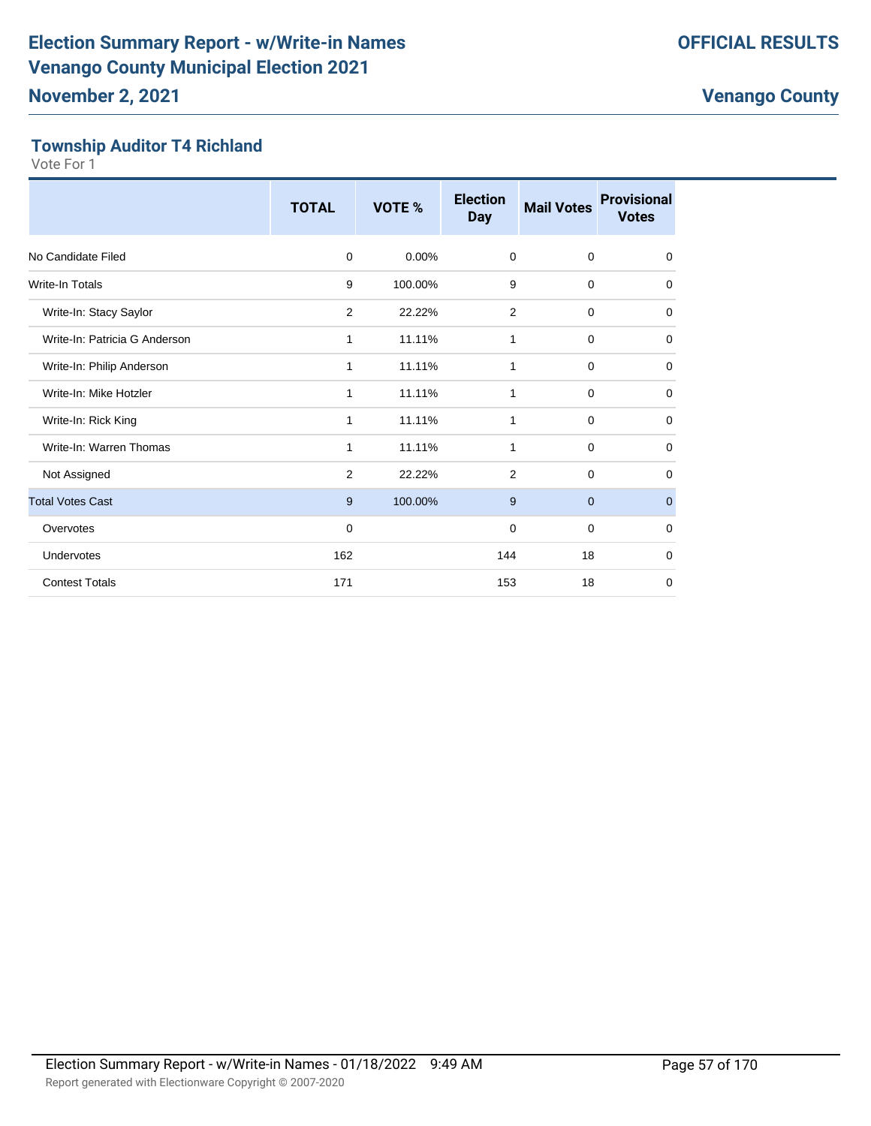#### **Township Auditor T4 Richland**

|                               | <b>TOTAL</b> | VOTE %  | <b>Election</b><br><b>Day</b> | <b>Mail Votes</b> | <b>Provisional</b><br><b>Votes</b> |
|-------------------------------|--------------|---------|-------------------------------|-------------------|------------------------------------|
| No Candidate Filed            | $\mathbf 0$  | 0.00%   | $\mathbf 0$                   | $\mathbf 0$       | $\mathbf 0$                        |
| <b>Write-In Totals</b>        | 9            | 100.00% | 9                             | $\mathbf 0$       | $\mathbf 0$                        |
| Write-In: Stacy Saylor        | 2            | 22.22%  | $\overline{2}$                | $\mathbf 0$       | $\mathbf 0$                        |
| Write-In: Patricia G Anderson | $\mathbf{1}$ | 11.11%  | 1                             | $\mathbf 0$       | 0                                  |
| Write-In: Philip Anderson     | 1            | 11.11%  | 1                             | 0                 | $\mathbf 0$                        |
| Write-In: Mike Hotzler        | 1            | 11.11%  | 1                             | $\mathbf 0$       | $\mathbf 0$                        |
| Write-In: Rick King           | 1            | 11.11%  | 1                             | $\mathbf 0$       | 0                                  |
| Write-In: Warren Thomas       | 1            | 11.11%  | 1                             | $\mathbf 0$       | $\mathbf 0$                        |
| Not Assigned                  | 2            | 22.22%  | $\overline{2}$                | 0                 | 0                                  |
| <b>Total Votes Cast</b>       | 9            | 100.00% | 9                             | $\overline{0}$    | $\mathbf{0}$                       |
| Overvotes                     | $\mathbf 0$  |         | 0                             | $\mathbf 0$       | $\mathbf 0$                        |
| Undervotes                    | 162          |         | 144                           | 18                | $\mathbf 0$                        |
| <b>Contest Totals</b>         | 171          |         | 153                           | 18                | 0                                  |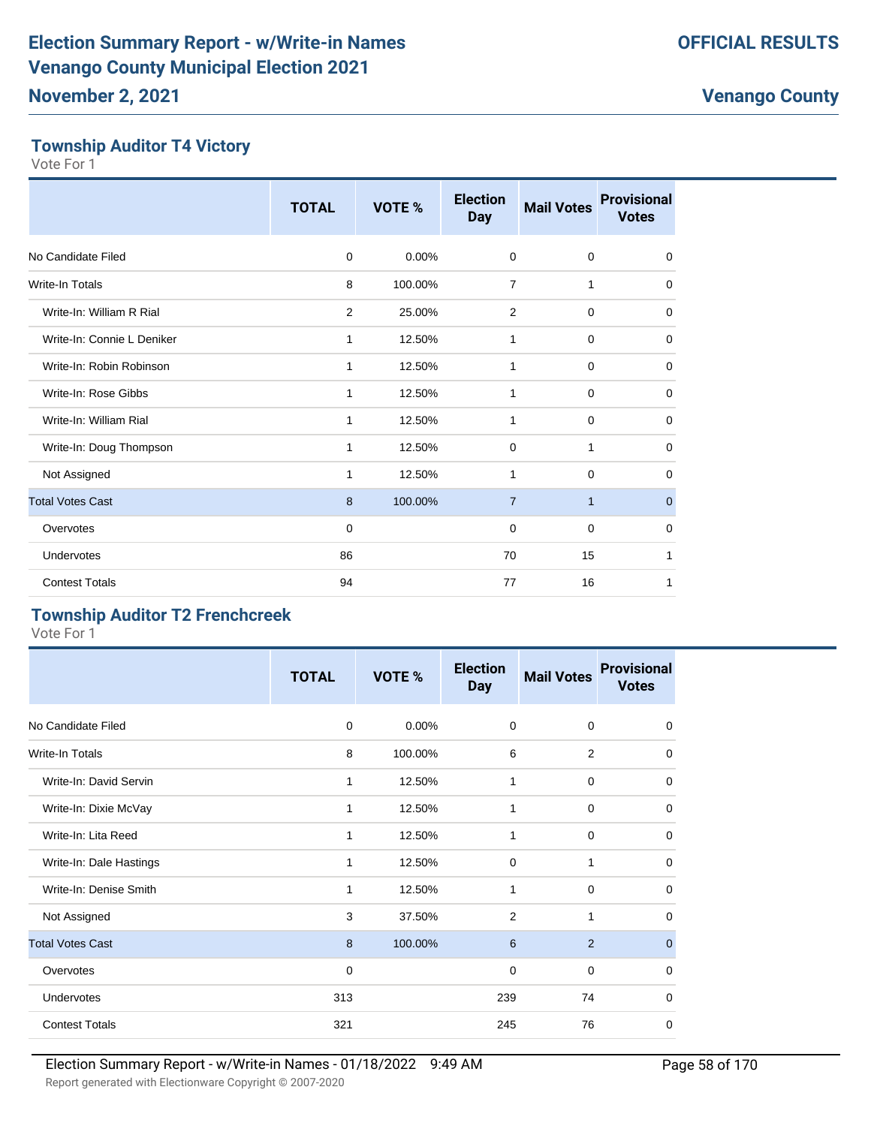#### **Township Auditor T4 Victory**

Vote For 1

|                            | <b>TOTAL</b> | VOTE %   | <b>Election</b><br><b>Day</b> | <b>Mail Votes</b> | <b>Provisional</b><br><b>Votes</b> |
|----------------------------|--------------|----------|-------------------------------|-------------------|------------------------------------|
| No Candidate Filed         | $\mathbf 0$  | $0.00\%$ | $\mathbf 0$                   | $\mathbf 0$       | $\mathbf 0$                        |
| Write-In Totals            | 8            | 100.00%  | $\overline{7}$                | 1                 | $\mathbf 0$                        |
| Write-In: William R Rial   | $\mathbf{2}$ | 25.00%   | 2                             | $\mathbf 0$       | $\mathbf 0$                        |
| Write-In: Connie L Deniker | 1            | 12.50%   | 1                             | $\mathbf 0$       | 0                                  |
| Write-In: Robin Robinson   | 1            | 12.50%   | 1                             | $\mathbf 0$       | $\mathbf 0$                        |
| Write-In: Rose Gibbs       | 1            | 12.50%   | 1                             | $\mathbf 0$       | 0                                  |
| Write-In: William Rial     | 1            | 12.50%   | 1                             | $\mathbf 0$       | 0                                  |
| Write-In: Doug Thompson    | 1            | 12.50%   | $\mathbf 0$                   | 1                 | 0                                  |
| Not Assigned               | 1            | 12.50%   | 1                             | $\Omega$          | 0                                  |
| <b>Total Votes Cast</b>    | 8            | 100.00%  | $\overline{7}$                | $\mathbf{1}$      | $\mathbf{0}$                       |
| Overvotes                  | $\mathbf 0$  |          | 0                             | $\mathbf 0$       | 0                                  |
| <b>Undervotes</b>          | 86           |          | 70                            | 15                | 1                                  |
| <b>Contest Totals</b>      | 94           |          | 77                            | 16                | 1                                  |

#### **Township Auditor T2 Frenchcreek**

|                         | <b>TOTAL</b> | VOTE %  | <b>Election</b><br><b>Day</b> | <b>Mail Votes</b> | <b>Provisional</b><br><b>Votes</b> |
|-------------------------|--------------|---------|-------------------------------|-------------------|------------------------------------|
| No Candidate Filed      | $\Omega$     | 0.00%   | $\mathbf 0$                   | $\mathbf 0$       | $\mathbf 0$                        |
| Write-In Totals         | 8            | 100.00% | 6                             | $\overline{2}$    | $\mathbf 0$                        |
| Write-In: David Servin  | 1            | 12.50%  | 1                             | $\mathbf 0$       | $\mathbf 0$                        |
| Write-In: Dixie McVay   | 1            | 12.50%  | 1                             | $\mathbf 0$       | $\mathbf 0$                        |
| Write-In: Lita Reed     | 1            | 12.50%  | 1                             | $\mathbf 0$       | $\mathbf 0$                        |
| Write-In: Dale Hastings | 1            | 12.50%  | $\mathbf 0$                   | 1                 | $\mathbf 0$                        |
| Write-In: Denise Smith  | 1            | 12.50%  | 1                             | $\mathbf 0$       | $\mathbf 0$                        |
| Not Assigned            | 3            | 37.50%  | $\overline{2}$                | 1                 | 0                                  |
| <b>Total Votes Cast</b> | 8            | 100.00% | 6                             | 2                 | $\mathbf{0}$                       |
| Overvotes               | $\mathbf 0$  |         | 0                             | $\mathbf 0$       | $\mathbf 0$                        |
| Undervotes              | 313          |         | 239                           | 74                | $\mathbf 0$                        |
| <b>Contest Totals</b>   | 321          |         | 245                           | 76                | $\mathbf 0$                        |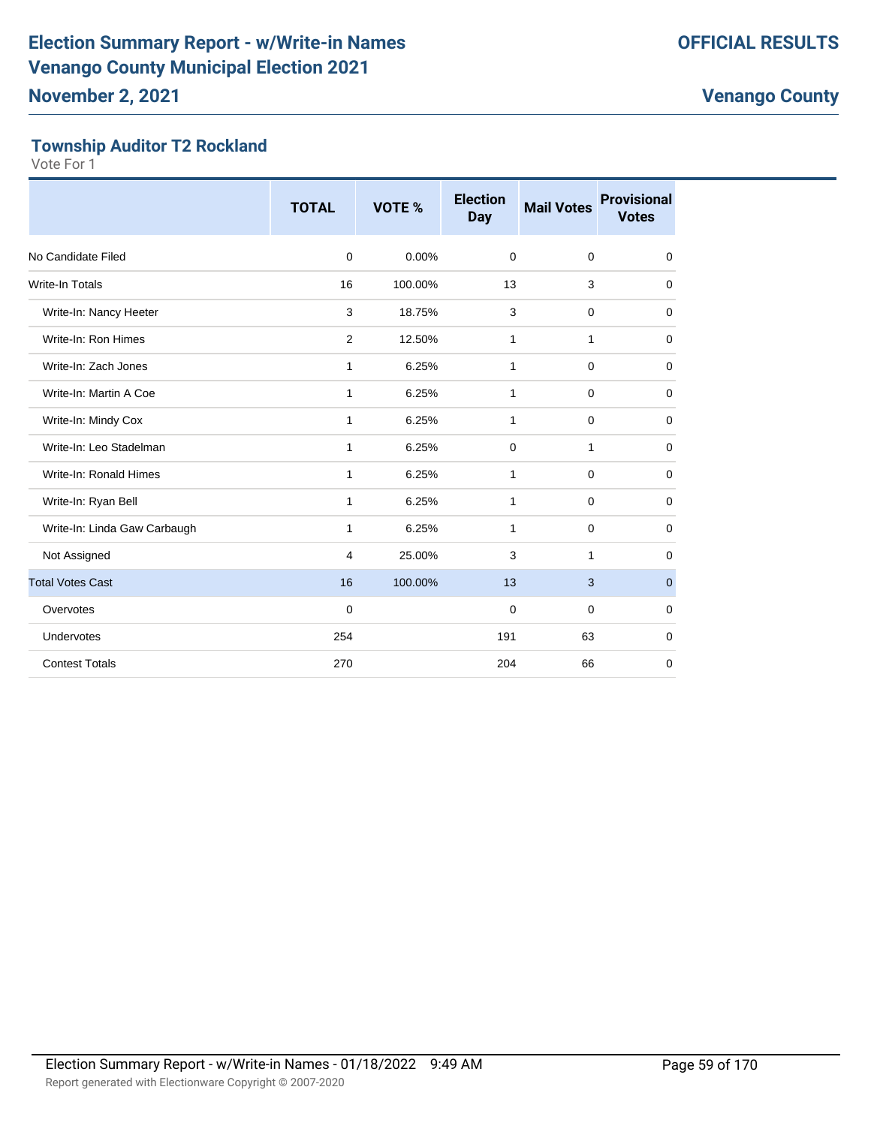#### **Township Auditor T2 Rockland**

|                              | <b>TOTAL</b> | VOTE %   | <b>Election</b><br><b>Day</b> | <b>Mail Votes</b> | <b>Provisional</b><br><b>Votes</b> |
|------------------------------|--------------|----------|-------------------------------|-------------------|------------------------------------|
| No Candidate Filed           | $\mathbf 0$  | $0.00\%$ | $\mathbf 0$                   | $\mathbf 0$       | 0                                  |
| <b>Write-In Totals</b>       | 16           | 100.00%  | 13                            | 3                 | 0                                  |
| Write-In: Nancy Heeter       | 3            | 18.75%   | 3                             | $\mathbf 0$       | $\mathbf 0$                        |
| Write-In: Ron Himes          | 2            | 12.50%   | 1                             | 1                 | $\mathbf 0$                        |
| Write-In: Zach Jones         | 1            | 6.25%    | 1                             | $\mathbf 0$       | 0                                  |
| Write-In: Martin A Coe       | 1            | 6.25%    | 1                             | $\mathbf 0$       | 0                                  |
| Write-In: Mindy Cox          | 1            | 6.25%    | 1                             | $\mathbf 0$       | 0                                  |
| Write-In: Leo Stadelman      | 1            | 6.25%    | $\Omega$                      | $\mathbf{1}$      | 0                                  |
| Write-In: Ronald Himes       | 1            | 6.25%    | 1                             | $\mathbf 0$       | 0                                  |
| Write-In: Ryan Bell          | 1            | 6.25%    | 1                             | $\mathbf 0$       | $\mathbf 0$                        |
| Write-In: Linda Gaw Carbaugh | 1            | 6.25%    | 1                             | $\mathbf 0$       | $\mathbf 0$                        |
| Not Assigned                 | 4            | 25.00%   | 3                             | 1                 | 0                                  |
| <b>Total Votes Cast</b>      | 16           | 100.00%  | 13                            | 3                 | $\mathbf{0}$                       |
| Overvotes                    | $\mathbf 0$  |          | 0                             | $\mathbf 0$       | $\mathbf 0$                        |
| Undervotes                   | 254          |          | 191                           | 63                | 0                                  |
| <b>Contest Totals</b>        | 270          |          | 204                           | 66                | $\mathbf 0$                        |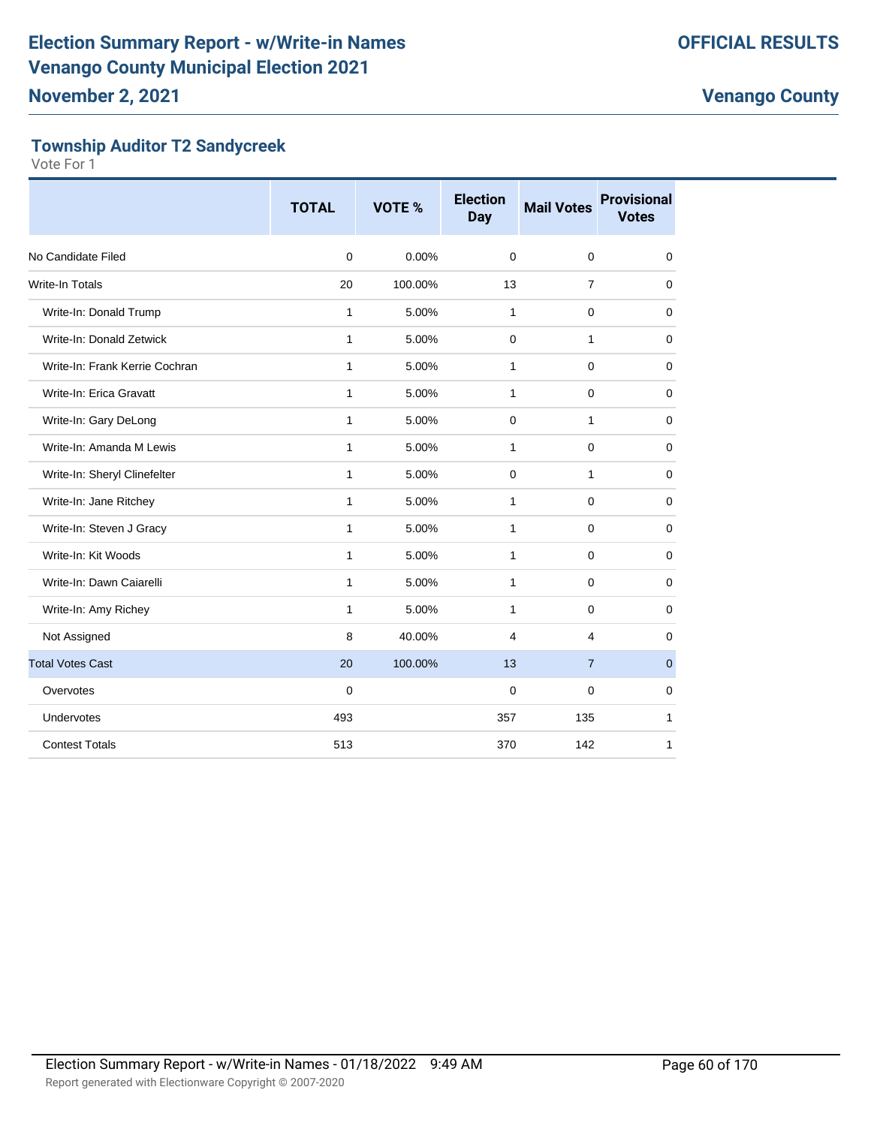#### **Township Auditor T2 Sandycreek**

|                                | <b>TOTAL</b> | VOTE %  | <b>Election</b><br><b>Day</b> | <b>Mail Votes</b> | <b>Provisional</b><br><b>Votes</b> |
|--------------------------------|--------------|---------|-------------------------------|-------------------|------------------------------------|
| No Candidate Filed             | $\mathbf 0$  | 0.00%   | $\Omega$                      | $\mathbf 0$       | 0                                  |
| Write-In Totals                | 20           | 100.00% | 13                            | $\overline{7}$    | $\mathbf 0$                        |
| Write-In: Donald Trump         | 1            | 5.00%   | 1                             | $\mathbf 0$       | 0                                  |
| Write-In: Donald Zetwick       | 1            | 5.00%   | 0                             | 1                 | $\mathbf 0$                        |
| Write-In: Frank Kerrie Cochran | $\mathbf{1}$ | 5.00%   | 1                             | $\mathbf 0$       | 0                                  |
| Write-In: Erica Gravatt        | 1            | 5.00%   | $\mathbf{1}$                  | $\mathbf 0$       | $\mathbf 0$                        |
| Write-In: Gary DeLong          | 1            | 5.00%   | 0                             | $\mathbf{1}$      | 0                                  |
| Write-In: Amanda M Lewis       | 1            | 5.00%   | $\mathbf{1}$                  | $\mathbf 0$       | $\mathbf 0$                        |
| Write-In: Sheryl Clinefelter   | $\mathbf{1}$ | 5.00%   | 0                             | $\mathbf{1}$      | 0                                  |
| Write-In: Jane Ritchey         | $\mathbf{1}$ | 5.00%   | $\mathbf{1}$                  | $\mathbf 0$       | $\mathbf 0$                        |
| Write-In: Steven J Gracy       | 1            | 5.00%   | 1                             | $\mathbf 0$       | $\mathbf 0$                        |
| Write-In: Kit Woods            | $\mathbf{1}$ | 5.00%   | $\mathbf{1}$                  | $\mathbf 0$       | $\mathbf 0$                        |
| Write-In: Dawn Caiarelli       | $\mathbf{1}$ | 5.00%   | $\mathbf{1}$                  | $\mathbf 0$       | 0                                  |
| Write-In: Amy Richey           | $\mathbf{1}$ | 5.00%   | $\mathbf{1}$                  | $\mathbf 0$       | 0                                  |
| Not Assigned                   | 8            | 40.00%  | 4                             | 4                 | $\mathbf 0$                        |
| <b>Total Votes Cast</b>        | 20           | 100.00% | 13                            | $\overline{7}$    | $\mathbf 0$                        |
| Overvotes                      | $\mathbf 0$  |         | $\Omega$                      | $\mathbf 0$       | $\mathbf 0$                        |
| Undervotes                     | 493          |         | 357                           | 135               | 1                                  |
| <b>Contest Totals</b>          | 513          |         | 370                           | 142               | 1                                  |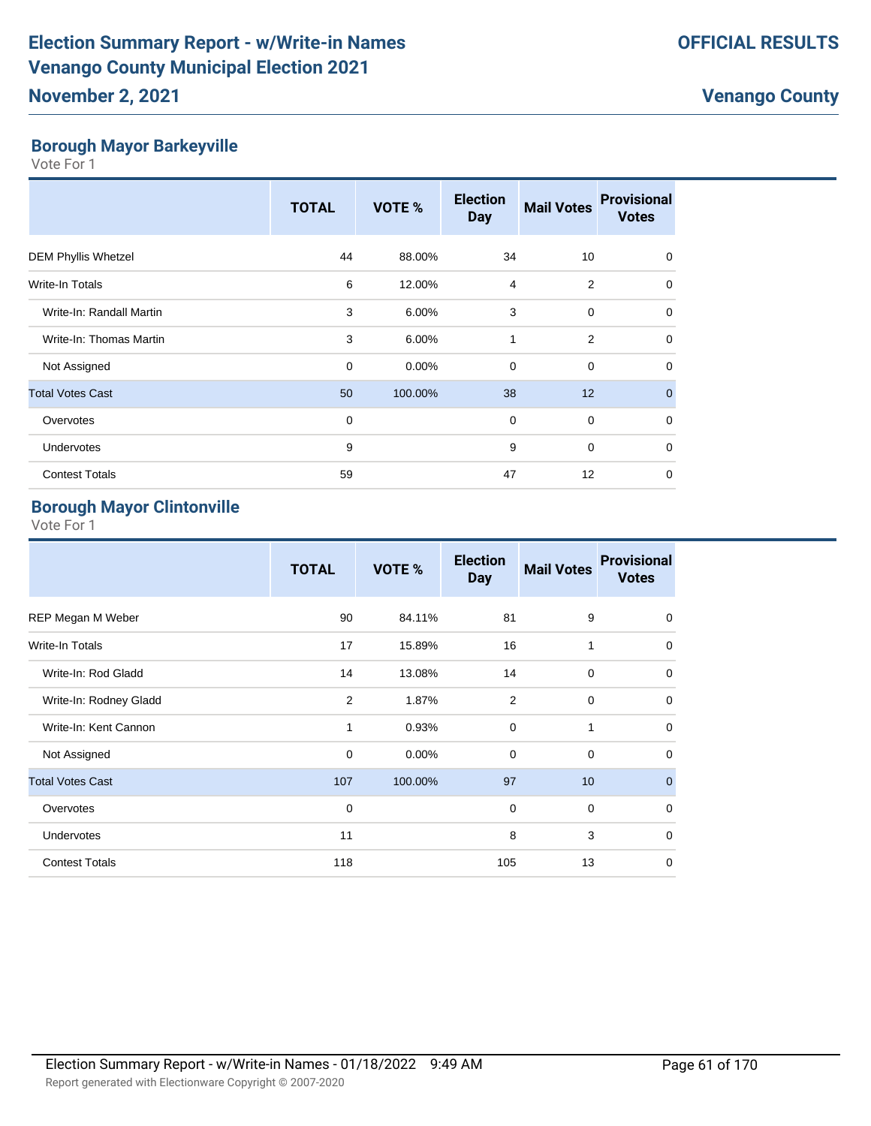**Borough Mayor Barkeyville** Vote For 1

|                            | <b>TOTAL</b> | VOTE %   | <b>Election</b><br><b>Day</b> | <b>Mail Votes</b> | <b>Provisional</b><br><b>Votes</b> |
|----------------------------|--------------|----------|-------------------------------|-------------------|------------------------------------|
| <b>DEM Phyllis Whetzel</b> | 44           | 88.00%   | 34                            | 10                | $\Omega$                           |
| <b>Write-In Totals</b>     | 6            | 12.00%   | $\overline{4}$                | $\overline{2}$    | $\mathbf 0$                        |
| Write-In: Randall Martin   | 3            | 6.00%    | 3                             | $\mathbf 0$       | $\mathbf 0$                        |
| Write-In: Thomas Martin    | 3            | 6.00%    | 1                             | $\overline{2}$    | $\Omega$                           |
| Not Assigned               | $\Omega$     | $0.00\%$ | $\Omega$                      | $\mathbf 0$       | $\mathbf 0$                        |
| <b>Total Votes Cast</b>    | 50           | 100.00%  | 38                            | 12                | $\mathbf{0}$                       |
| Overvotes                  | $\mathbf 0$  |          | $\mathbf 0$                   | $\mathbf 0$       | $\Omega$                           |
| Undervotes                 | 9            |          | 9                             | $\mathbf 0$       | $\mathbf 0$                        |
| <b>Contest Totals</b>      | 59           |          | 47                            | 12                | $\mathbf 0$                        |

#### **Borough Mayor Clintonville**

|                         | <b>TOTAL</b> | <b>VOTE %</b> | <b>Election</b><br><b>Day</b> | <b>Mail Votes</b> | <b>Provisional</b><br><b>Votes</b> |
|-------------------------|--------------|---------------|-------------------------------|-------------------|------------------------------------|
| REP Megan M Weber       | 90           | 84.11%        | 81                            | 9                 | $\mathbf 0$                        |
| <b>Write-In Totals</b>  | 17           | 15.89%        | 16                            | 1                 | $\mathbf 0$                        |
| Write-In: Rod Gladd     | 14           | 13.08%        | 14                            | $\mathbf 0$       | $\mathbf 0$                        |
| Write-In: Rodney Gladd  | 2            | 1.87%         | 2                             | $\mathbf 0$       | $\mathbf 0$                        |
| Write-In: Kent Cannon   | 1            | 0.93%         | $\mathbf 0$                   | 1                 | $\mathbf 0$                        |
| Not Assigned            | 0            | $0.00\%$      | $\mathbf 0$                   | 0                 | $\mathbf 0$                        |
| <b>Total Votes Cast</b> | 107          | 100.00%       | 97                            | 10 <sup>1</sup>   | $\mathbf 0$                        |
| Overvotes               | $\mathbf 0$  |               | $\mathbf 0$                   | $\mathbf 0$       | $\mathbf 0$                        |
| Undervotes              | 11           |               | 8                             | 3                 | $\mathbf 0$                        |
| <b>Contest Totals</b>   | 118          |               | 105                           | 13                | $\mathbf 0$                        |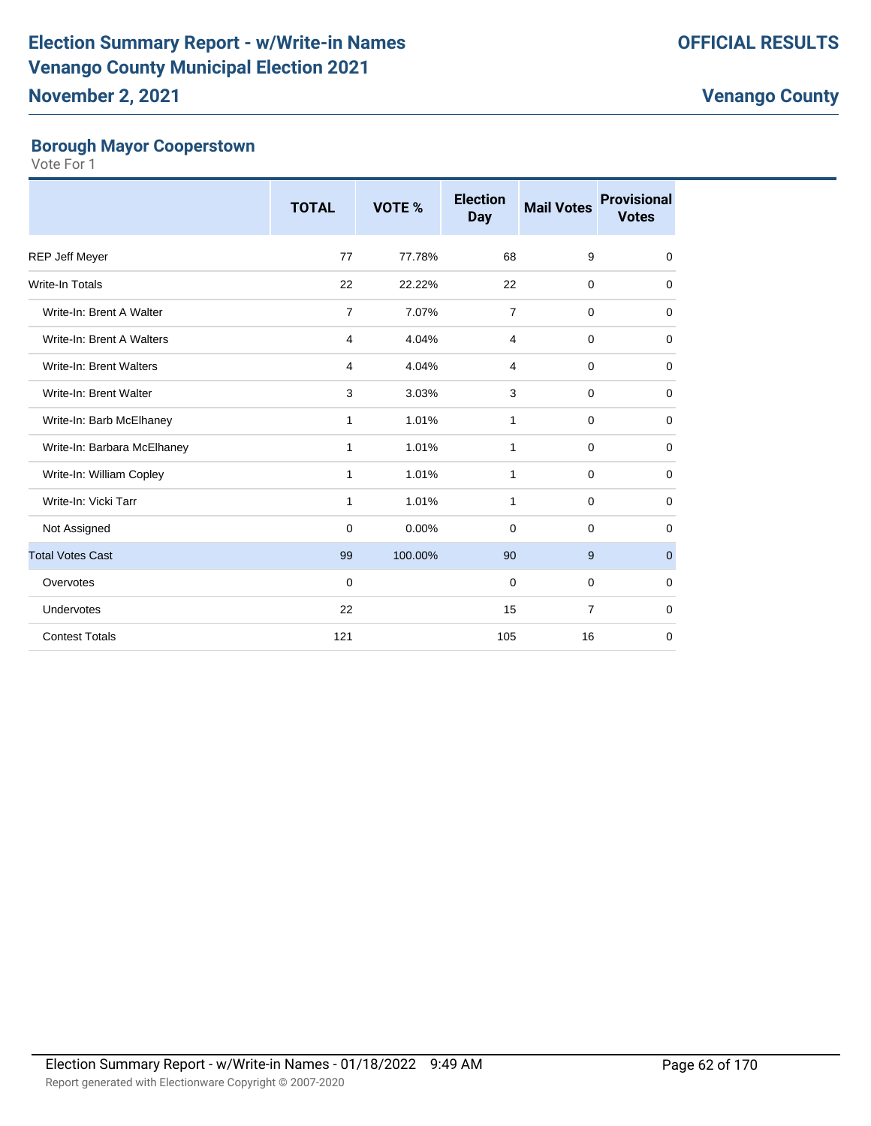## **November 2, 2021**

#### **Borough Mayor Cooperstown**

|                             | <b>TOTAL</b>   | VOTE %   | <b>Election</b><br><b>Day</b> | <b>Mail Votes</b> | <b>Provisional</b><br><b>Votes</b> |
|-----------------------------|----------------|----------|-------------------------------|-------------------|------------------------------------|
| <b>REP Jeff Meyer</b>       | 77             | 77.78%   | 68                            | 9                 | 0                                  |
| <b>Write-In Totals</b>      | 22             | 22.22%   | 22                            | $\mathbf 0$       | $\mathbf 0$                        |
| Write-In: Brent A Walter    | $\overline{7}$ | 7.07%    | $\overline{7}$                | $\mathbf 0$       | 0                                  |
| Write-In: Brent A Walters   | 4              | 4.04%    | $\overline{4}$                | $\mathbf 0$       | $\mathbf 0$                        |
| Write-In: Brent Walters     | 4              | 4.04%    | $\overline{4}$                | $\mathbf 0$       | $\mathbf 0$                        |
| Write-In: Brent Walter      | 3              | 3.03%    | 3                             | $\mathbf 0$       | 0                                  |
| Write-In: Barb McElhaney    | $\mathbf{1}$   | 1.01%    | 1                             | $\mathbf 0$       | $\mathbf 0$                        |
| Write-In: Barbara McElhaney | $\mathbf{1}$   | 1.01%    | 1                             | $\mathbf 0$       | $\mathbf 0$                        |
| Write-In: William Copley    | 1              | 1.01%    | 1                             | $\mathbf 0$       | $\mathbf 0$                        |
| Write-In: Vicki Tarr        | 1              | 1.01%    | 1                             | 0                 | 0                                  |
| Not Assigned                | 0              | $0.00\%$ | 0                             | $\mathbf 0$       | 0                                  |
| <b>Total Votes Cast</b>     | 99             | 100.00%  | 90                            | 9                 | $\mathbf{0}$                       |
| Overvotes                   | $\mathbf 0$    |          | $\mathbf 0$                   | $\mathbf 0$       | 0                                  |
| Undervotes                  | 22             |          | 15                            | $\overline{7}$    | $\mathbf 0$                        |
| <b>Contest Totals</b>       | 121            |          | 105                           | 16                | $\mathbf 0$                        |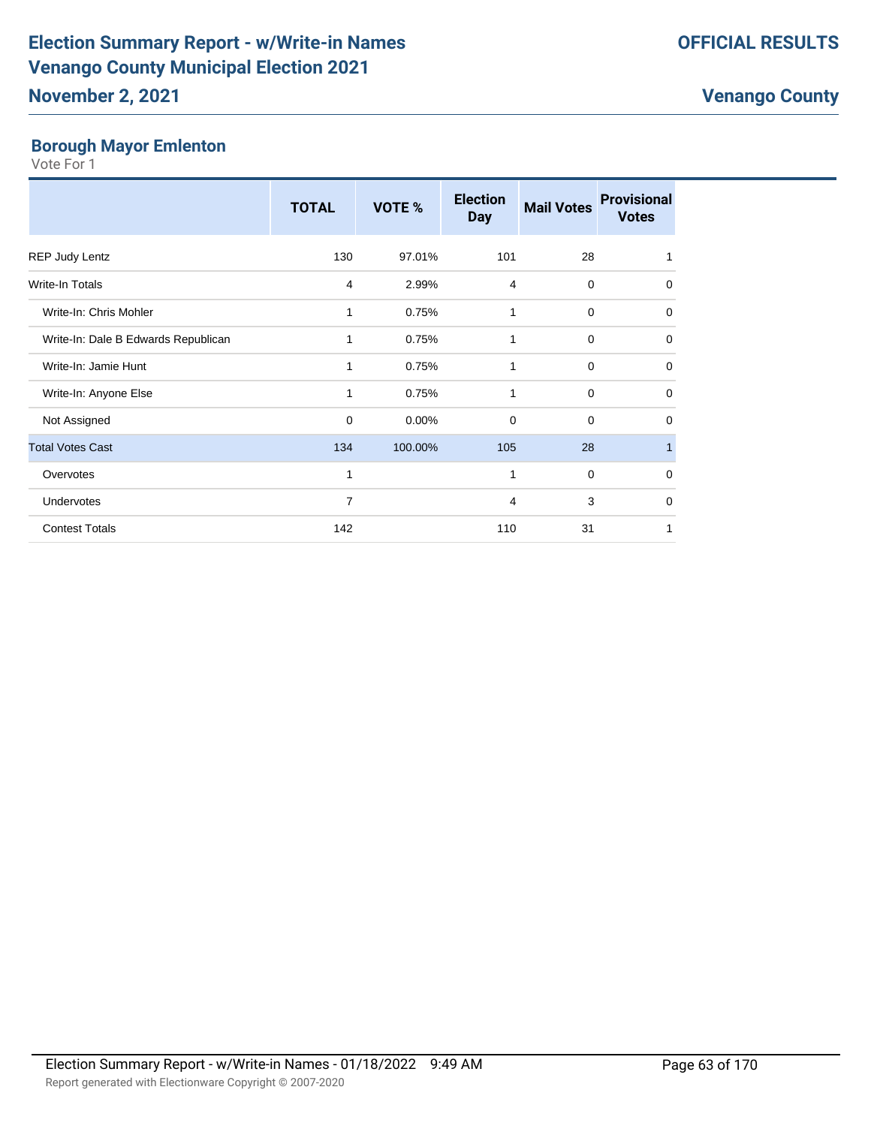**Borough Mayor Emlenton** Vote For 1

|                                     | <b>TOTAL</b> | VOTE %  | <b>Election</b><br><b>Day</b> | <b>Mail Votes</b> | <b>Provisional</b><br><b>Votes</b> |
|-------------------------------------|--------------|---------|-------------------------------|-------------------|------------------------------------|
| <b>REP Judy Lentz</b>               | 130          | 97.01%  | 101                           | 28                | 1                                  |
| Write-In Totals                     | 4            | 2.99%   | 4                             | $\mathbf 0$       | $\mathbf 0$                        |
| Write-In: Chris Mohler              | 1            | 0.75%   | 1                             | $\mathbf 0$       | 0                                  |
| Write-In: Dale B Edwards Republican | 1            | 0.75%   | 1                             | $\mathbf 0$       | $\mathbf 0$                        |
| Write-In: Jamie Hunt                | 1            | 0.75%   | 1                             | $\mathbf 0$       | $\mathbf 0$                        |
| Write-In: Anyone Else               | 1            | 0.75%   | 1                             | $\mathbf 0$       | $\mathbf 0$                        |
| Not Assigned                        | $\mathbf 0$  | 0.00%   | $\Omega$                      | $\mathbf 0$       | $\mathbf 0$                        |
| <b>Total Votes Cast</b>             | 134          | 100.00% | 105                           | 28                | $\mathbf{1}$                       |
| Overvotes                           | 1            |         | 1                             | $\mathbf 0$       | $\mathbf 0$                        |
| Undervotes                          | 7            |         | 4                             | 3                 | $\mathbf 0$                        |
| <b>Contest Totals</b>               | 142          |         | 110                           | 31                | 1                                  |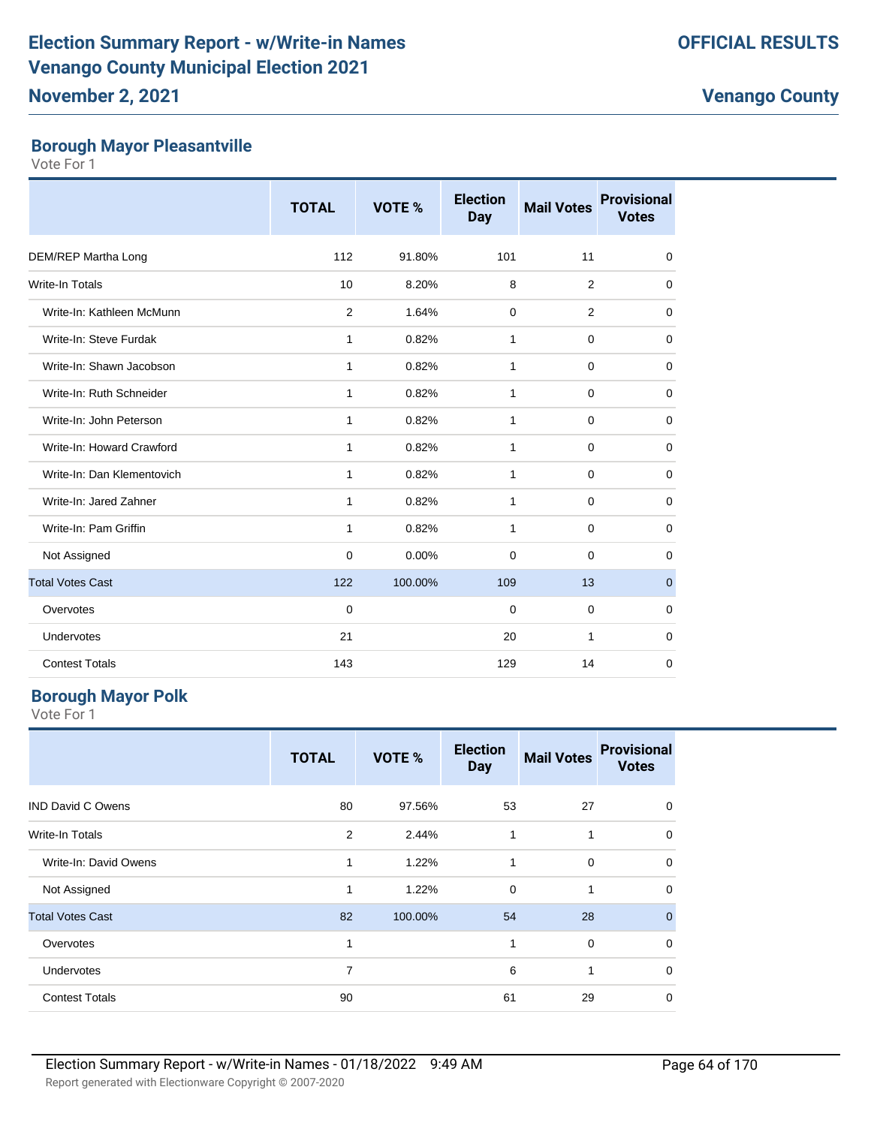#### **Borough Mayor Pleasantville**

Vote For 1

|                            | <b>TOTAL</b> | VOTE %   | <b>Election</b><br><b>Day</b> | <b>Mail Votes</b> | <b>Provisional</b><br><b>Votes</b> |
|----------------------------|--------------|----------|-------------------------------|-------------------|------------------------------------|
| DEM/REP Martha Long        | 112          | 91.80%   | 101                           | 11                | 0                                  |
| Write-In Totals            | 10           | 8.20%    | 8                             | $\overline{2}$    | 0                                  |
| Write-In: Kathleen McMunn  | 2            | 1.64%    | $\mathbf 0$                   | $\overline{2}$    | 0                                  |
| Write-In: Steve Furdak     | 1            | 0.82%    | $\mathbf{1}$                  | 0                 | 0                                  |
| Write-In: Shawn Jacobson   | $\mathbf{1}$ | 0.82%    | $\mathbf{1}$                  | 0                 | 0                                  |
| Write-In: Ruth Schneider   | 1            | 0.82%    | $\mathbf{1}$                  | 0                 | 0                                  |
| Write-In: John Peterson    | 1            | 0.82%    | 1                             | $\mathbf 0$       | 0                                  |
| Write-In: Howard Crawford  | 1            | 0.82%    | 1                             | 0                 | 0                                  |
| Write-In: Dan Klementovich | 1            | 0.82%    | $\mathbf{1}$                  | 0                 | 0                                  |
| Write-In: Jared Zahner     | 1            | 0.82%    | $\mathbf{1}$                  | 0                 | 0                                  |
| Write-In: Pam Griffin      | 1            | 0.82%    | $\mathbf{1}$                  | 0                 | 0                                  |
| Not Assigned               | $\mathbf 0$  | $0.00\%$ | $\mathbf 0$                   | 0                 | 0                                  |
| <b>Total Votes Cast</b>    | 122          | 100.00%  | 109                           | 13                | $\overline{0}$                     |
| Overvotes                  | $\mathbf 0$  |          | 0                             | 0                 | 0                                  |
| Undervotes                 | 21           |          | 20                            | 1                 | 0                                  |
| <b>Contest Totals</b>      | 143          |          | 129                           | 14                | 0                                  |

#### **Borough Mayor Polk**

|                          | <b>TOTAL</b> | VOTE %  | <b>Election</b><br><b>Day</b> | <b>Mail Votes</b> | <b>Provisional</b><br><b>Votes</b> |
|--------------------------|--------------|---------|-------------------------------|-------------------|------------------------------------|
| <b>IND David C Owens</b> | 80           | 97.56%  | 53                            | 27                | 0                                  |
| Write-In Totals          | 2            | 2.44%   | $\mathbf{1}$                  | 1                 | $\mathbf 0$                        |
| Write-In: David Owens    | 1            | 1.22%   | 1                             | $\mathbf 0$       | $\mathbf 0$                        |
| Not Assigned             | $\mathbf{1}$ | 1.22%   | $\mathbf 0$                   | 1                 | 0                                  |
| <b>Total Votes Cast</b>  | 82           | 100.00% | 54                            | 28                | $\mathbf{0}$                       |
| Overvotes                | 1            |         | 1                             | $\mathbf 0$       | $\mathbf 0$                        |
| Undervotes               | 7            |         | 6                             | 1                 | $\mathbf 0$                        |
| <b>Contest Totals</b>    | 90           |         | 61                            | 29                | $\mathbf 0$                        |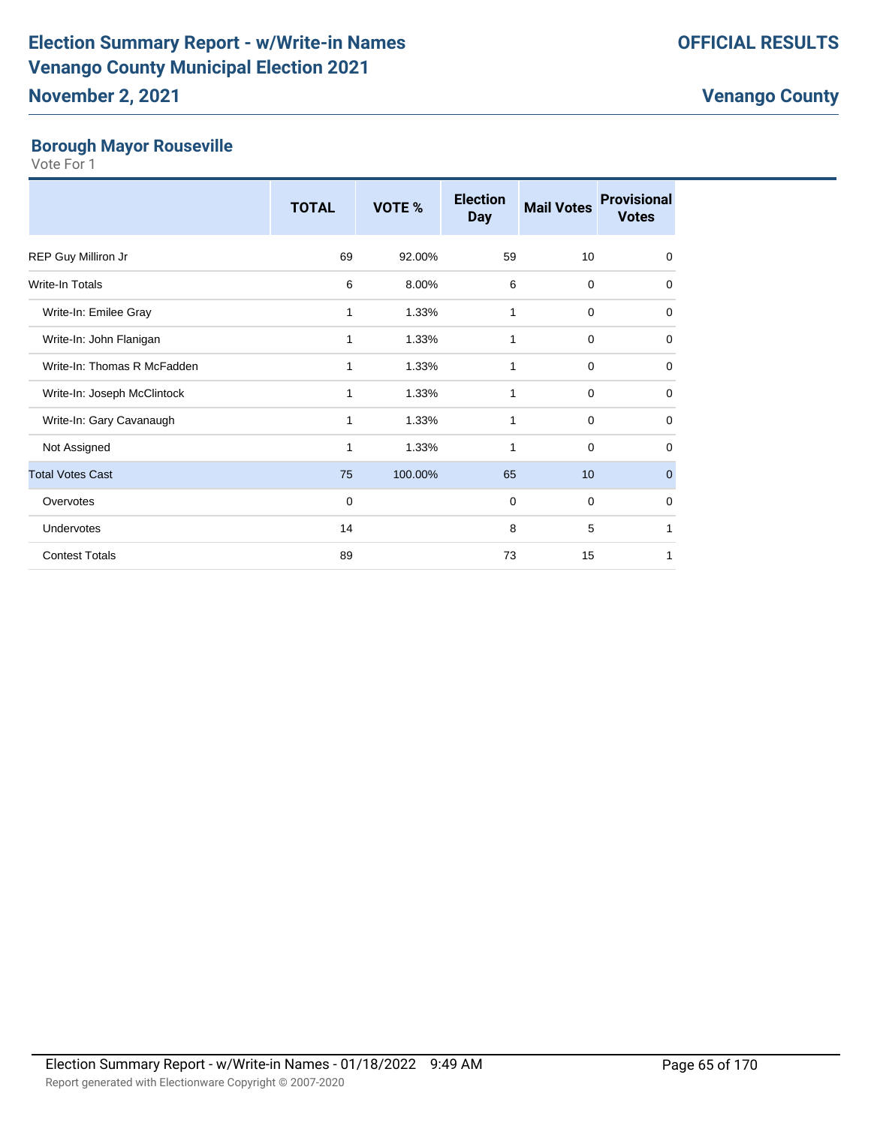# **Borough Mayor Rouseville**

|                             | <b>TOTAL</b> | VOTE %  | <b>Election</b><br><b>Day</b> | <b>Mail Votes</b> | <b>Provisional</b><br><b>Votes</b> |
|-----------------------------|--------------|---------|-------------------------------|-------------------|------------------------------------|
| REP Guy Milliron Jr         | 69           | 92.00%  | 59                            | 10                | $\mathbf 0$                        |
| Write-In Totals             | 6            | 8.00%   | 6                             | $\mathbf 0$       | $\mathbf 0$                        |
| Write-In: Emilee Gray       | 1            | 1.33%   | 1                             | 0                 | $\mathbf 0$                        |
| Write-In: John Flanigan     | 1            | 1.33%   | 1                             | $\mathbf 0$       | $\mathbf 0$                        |
| Write-In: Thomas R McFadden | 1            | 1.33%   | 1                             | $\mathbf 0$       | $\mathbf 0$                        |
| Write-In: Joseph McClintock | 1            | 1.33%   | 1                             | $\mathbf 0$       | 0                                  |
| Write-In: Gary Cavanaugh    | 1            | 1.33%   | 1                             | $\Omega$          | $\mathbf 0$                        |
| Not Assigned                | 1            | 1.33%   | 1                             | 0                 | $\mathbf 0$                        |
| <b>Total Votes Cast</b>     | 75           | 100.00% | 65                            | 10                | $\mathbf{0}$                       |
| Overvotes                   | $\mathbf 0$  |         | $\mathbf 0$                   | $\mathbf 0$       | $\mathbf 0$                        |
| Undervotes                  | 14           |         | 8                             | 5                 | 1                                  |
| <b>Contest Totals</b>       | 89           |         | 73                            | 15                | 1                                  |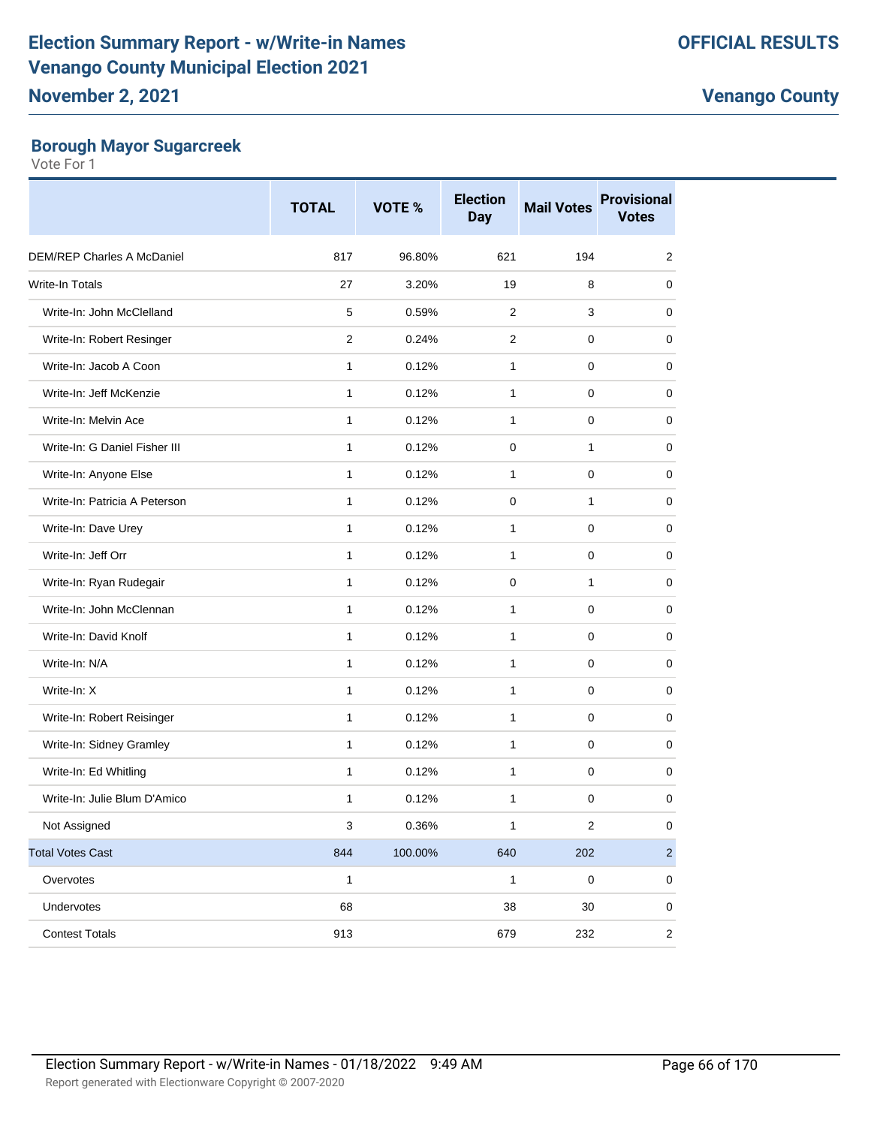#### **Borough Mayor Sugarcreek**

|                                   | <b>TOTAL</b> | VOTE %  | <b>Election</b><br><b>Day</b> | <b>Mail Votes</b> | <b>Provisional</b><br><b>Votes</b> |
|-----------------------------------|--------------|---------|-------------------------------|-------------------|------------------------------------|
| <b>DEM/REP Charles A McDaniel</b> | 817          | 96.80%  | 621                           | 194               | $\overline{2}$                     |
| Write-In Totals                   | 27           | 3.20%   | 19                            | 8                 | 0                                  |
| Write-In: John McClelland         | 5            | 0.59%   | $\overline{2}$                | 3                 | 0                                  |
| Write-In: Robert Resinger         | 2            | 0.24%   | 2                             | $\mathbf 0$       | 0                                  |
| Write-In: Jacob A Coon            | 1            | 0.12%   | 1                             | 0                 | 0                                  |
| Write-In: Jeff McKenzie           | 1            | 0.12%   | 1                             | 0                 | $\mathbf 0$                        |
| Write-In: Melvin Ace              | $\mathbf{1}$ | 0.12%   | 1                             | $\mathbf 0$       | 0                                  |
| Write-In: G Daniel Fisher III     | 1            | 0.12%   | 0                             | 1                 | 0                                  |
| Write-In: Anyone Else             | 1            | 0.12%   | $\mathbf{1}$                  | $\mathbf 0$       | 0                                  |
| Write-In: Patricia A Peterson     | 1            | 0.12%   | $\mathbf 0$                   | 1                 | 0                                  |
| Write-In: Dave Urey               | 1            | 0.12%   | 1                             | 0                 | 0                                  |
| Write-In: Jeff Orr                | 1            | 0.12%   | $\mathbf{1}$                  | 0                 | $\mathbf 0$                        |
| Write-In: Ryan Rudegair           | 1            | 0.12%   | 0                             | 1                 | 0                                  |
| Write-In: John McClennan          | 1            | 0.12%   | 1                             | 0                 | 0                                  |
| Write-In: David Knolf             | 1            | 0.12%   | $\mathbf{1}$                  | $\mathbf 0$       | 0                                  |
| Write-In: N/A                     | 1            | 0.12%   | 1                             | 0                 | 0                                  |
| Write-In: X                       | 1            | 0.12%   | $\mathbf{1}$                  | 0                 | 0                                  |
| Write-In: Robert Reisinger        | 1            | 0.12%   | $\mathbf{1}$                  | $\mathbf 0$       | 0                                  |
| Write-In: Sidney Gramley          | $\mathbf{1}$ | 0.12%   | 1                             | $\mathbf 0$       | 0                                  |
| Write-In: Ed Whitling             | 1            | 0.12%   | 1                             | 0                 | 0                                  |
| Write-In: Julie Blum D'Amico      | 1            | 0.12%   | $\mathbf{1}$                  | $\mathbf 0$       | 0                                  |
| Not Assigned                      | 3            | 0.36%   | 1                             | 2                 | 0                                  |
| <b>Total Votes Cast</b>           | 844          | 100.00% | 640                           | 202               | $\overline{2}$                     |
| Overvotes                         | $\mathbf{1}$ |         | $\mathbf{1}$                  | $\pmb{0}$         | 0                                  |
| Undervotes                        | 68           |         | 38                            | 30                | 0                                  |
| <b>Contest Totals</b>             | 913          |         | 679                           | 232               | $\overline{2}$                     |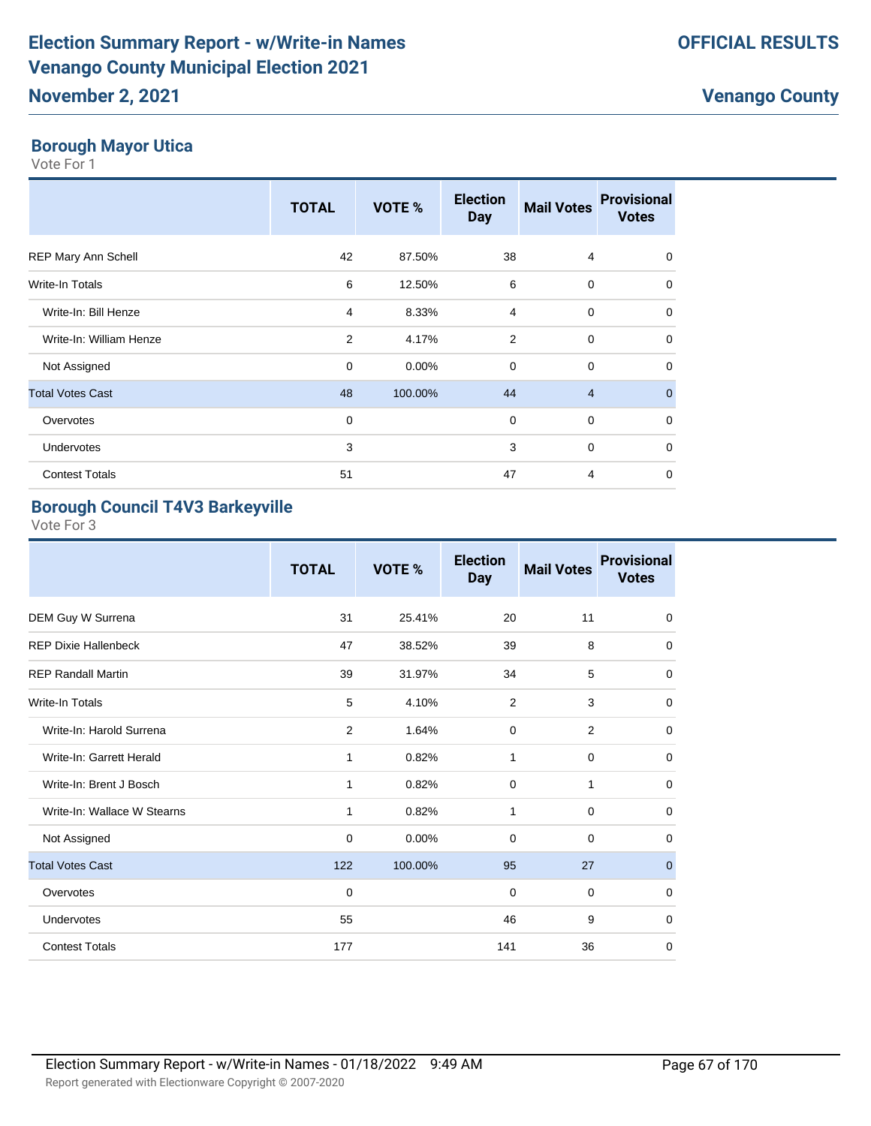#### **Borough Mayor Utica**

Vote For 1

|                         | <b>TOTAL</b> | VOTE %  | <b>Election</b><br><b>Day</b> | <b>Mail Votes</b> | <b>Provisional</b><br><b>Votes</b> |
|-------------------------|--------------|---------|-------------------------------|-------------------|------------------------------------|
| REP Mary Ann Schell     | 42           | 87.50%  | 38                            | $\overline{4}$    | $\mathbf 0$                        |
| Write-In Totals         | 6            | 12.50%  | 6                             | $\mathbf 0$       | $\mathbf 0$                        |
| Write-In: Bill Henze    | 4            | 8.33%   | 4                             | $\mathbf 0$       | $\mathbf 0$                        |
| Write-In: William Henze | 2            | 4.17%   | 2                             | $\mathbf 0$       | $\mathbf 0$                        |
| Not Assigned            | 0            | 0.00%   | $\mathbf 0$                   | $\mathbf 0$       | $\Omega$                           |
| <b>Total Votes Cast</b> | 48           | 100.00% | 44                            | $\overline{4}$    | $\Omega$                           |
| Overvotes               | 0            |         | 0                             | $\mathbf 0$       | $\mathbf 0$                        |
| Undervotes              | 3            |         | 3                             | $\mathbf 0$       | $\Omega$                           |
| <b>Contest Totals</b>   | 51           |         | 47                            | 4                 | $\mathbf 0$                        |

### **Borough Council T4V3 Barkeyville**

|                             | <b>TOTAL</b> | VOTE %  | <b>Election</b><br><b>Day</b> | <b>Mail Votes</b> | <b>Provisional</b><br><b>Votes</b> |
|-----------------------------|--------------|---------|-------------------------------|-------------------|------------------------------------|
| DEM Guy W Surrena           | 31           | 25.41%  | 20                            | 11                | $\mathbf 0$                        |
| <b>REP Dixie Hallenbeck</b> | 47           | 38.52%  | 39                            | 8                 | $\mathbf 0$                        |
| <b>REP Randall Martin</b>   | 39           | 31.97%  | 34                            | 5                 | $\mathbf 0$                        |
| Write-In Totals             | 5            | 4.10%   | 2                             | 3                 | $\mathbf 0$                        |
| Write-In: Harold Surrena    | 2            | 1.64%   | $\mathbf 0$                   | 2                 | $\mathbf 0$                        |
| Write-In: Garrett Herald    | $\mathbf{1}$ | 0.82%   | 1                             | $\mathbf 0$       | $\mathbf 0$                        |
| Write-In: Brent J Bosch     | 1            | 0.82%   | 0                             | 1                 | 0                                  |
| Write-In: Wallace W Stearns | $\mathbf{1}$ | 0.82%   | $\mathbf{1}$                  | $\mathbf 0$       | $\mathbf 0$                        |
| Not Assigned                | $\mathbf 0$  | 0.00%   | 0                             | $\mathbf 0$       | $\mathbf 0$                        |
| <b>Total Votes Cast</b>     | 122          | 100.00% | 95                            | 27                | $\mathbf 0$                        |
| Overvotes                   | 0            |         | $\mathbf 0$                   | $\mathbf 0$       | $\mathbf 0$                        |
| Undervotes                  | 55           |         | 46                            | 9                 | 0                                  |
| <b>Contest Totals</b>       | 177          |         | 141                           | 36                | $\mathbf 0$                        |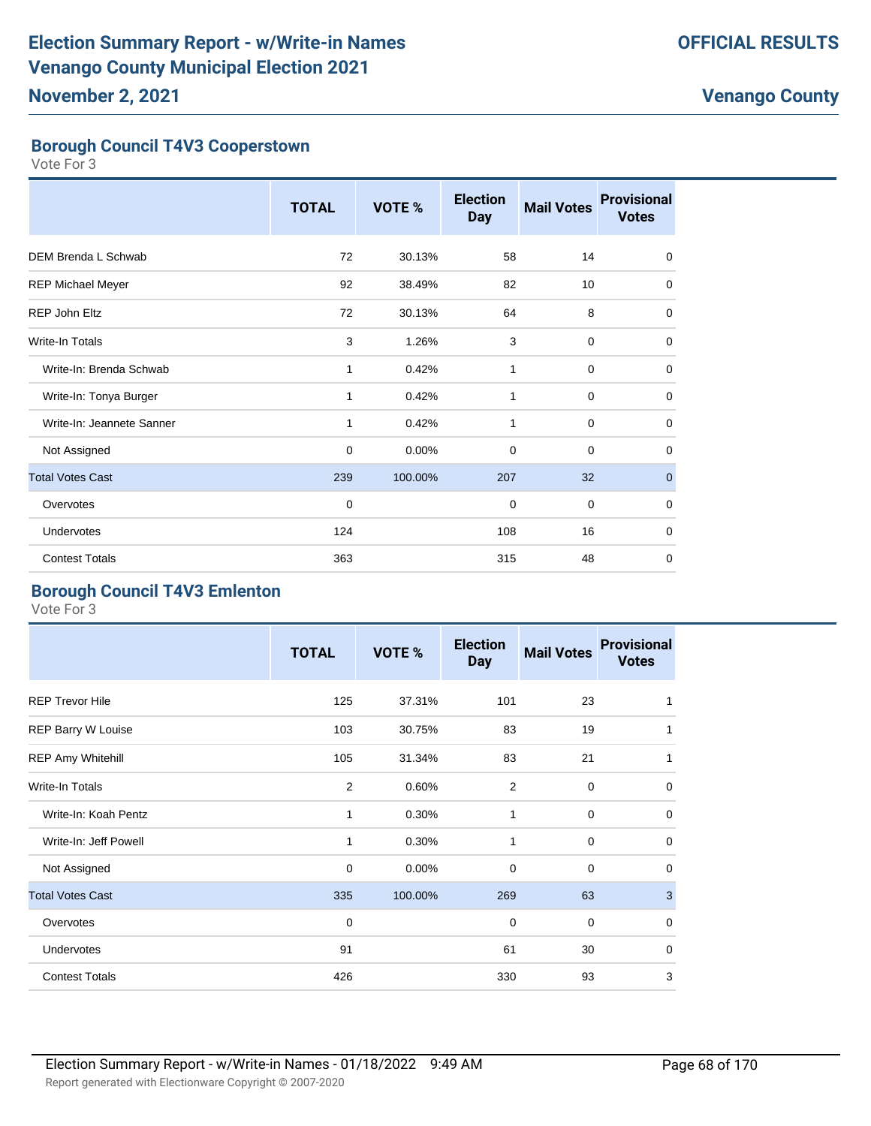#### **Borough Council T4V3 Cooperstown**

Vote For 3

|                            | <b>TOTAL</b> | VOTE %  | <b>Election</b><br><b>Day</b> | <b>Mail Votes</b> | <b>Provisional</b><br><b>Votes</b> |
|----------------------------|--------------|---------|-------------------------------|-------------------|------------------------------------|
| <b>DEM Brenda L Schwab</b> | 72           | 30.13%  | 58                            | 14                | $\mathbf 0$                        |
| <b>REP Michael Meyer</b>   | 92           | 38.49%  | 82                            | 10                | 0                                  |
| REP John Eltz              | 72           | 30.13%  | 64                            | 8                 | $\mathbf 0$                        |
| <b>Write-In Totals</b>     | 3            | 1.26%   | 3                             | 0                 | 0                                  |
| Write-In: Brenda Schwab    | 1            | 0.42%   | 1                             | 0                 | 0                                  |
| Write-In: Tonya Burger     | 1            | 0.42%   | 1                             | 0                 | 0                                  |
| Write-In: Jeannete Sanner  | 1            | 0.42%   | 1                             | 0                 | $\mathbf 0$                        |
| Not Assigned               | 0            | 0.00%   | 0                             | 0                 | $\mathbf 0$                        |
| <b>Total Votes Cast</b>    | 239          | 100.00% | 207                           | 32                | $\mathbf{0}$                       |
| Overvotes                  | $\mathbf 0$  |         | $\mathbf 0$                   | $\mathbf 0$       | $\mathbf 0$                        |
| Undervotes                 | 124          |         | 108                           | 16                | 0                                  |
| <b>Contest Totals</b>      | 363          |         | 315                           | 48                | $\mathbf 0$                        |

#### **Borough Council T4V3 Emlenton**

|                           | <b>TOTAL</b>   | VOTE %  | <b>Election</b><br><b>Day</b> | <b>Mail Votes</b> | <b>Provisional</b><br><b>Votes</b> |
|---------------------------|----------------|---------|-------------------------------|-------------------|------------------------------------|
| <b>REP Trevor Hile</b>    | 125            | 37.31%  | 101                           | 23                | 1                                  |
| <b>REP Barry W Louise</b> | 103            | 30.75%  | 83                            | 19                | 1                                  |
| REP Amy Whitehill         | 105            | 31.34%  | 83                            | 21                | 1                                  |
| <b>Write-In Totals</b>    | $\overline{2}$ | 0.60%   | 2                             | $\mathbf 0$       | $\mathbf 0$                        |
| Write-In: Koah Pentz      | 1              | 0.30%   | $\mathbf{1}$                  | $\mathbf 0$       | $\mathbf 0$                        |
| Write-In: Jeff Powell     | 1              | 0.30%   | 1                             | $\mathbf 0$       | $\mathbf 0$                        |
| Not Assigned              | $\mathbf 0$    | 0.00%   | $\mathbf 0$                   | $\mathbf 0$       | 0                                  |
| <b>Total Votes Cast</b>   | 335            | 100.00% | 269                           | 63                | $\mathbf{3}$                       |
| Overvotes                 | $\mathbf 0$    |         | $\mathbf 0$                   | $\mathbf 0$       | $\mathbf 0$                        |
| Undervotes                | 91             |         | 61                            | 30                | $\mathbf 0$                        |
| <b>Contest Totals</b>     | 426            |         | 330                           | 93                | 3                                  |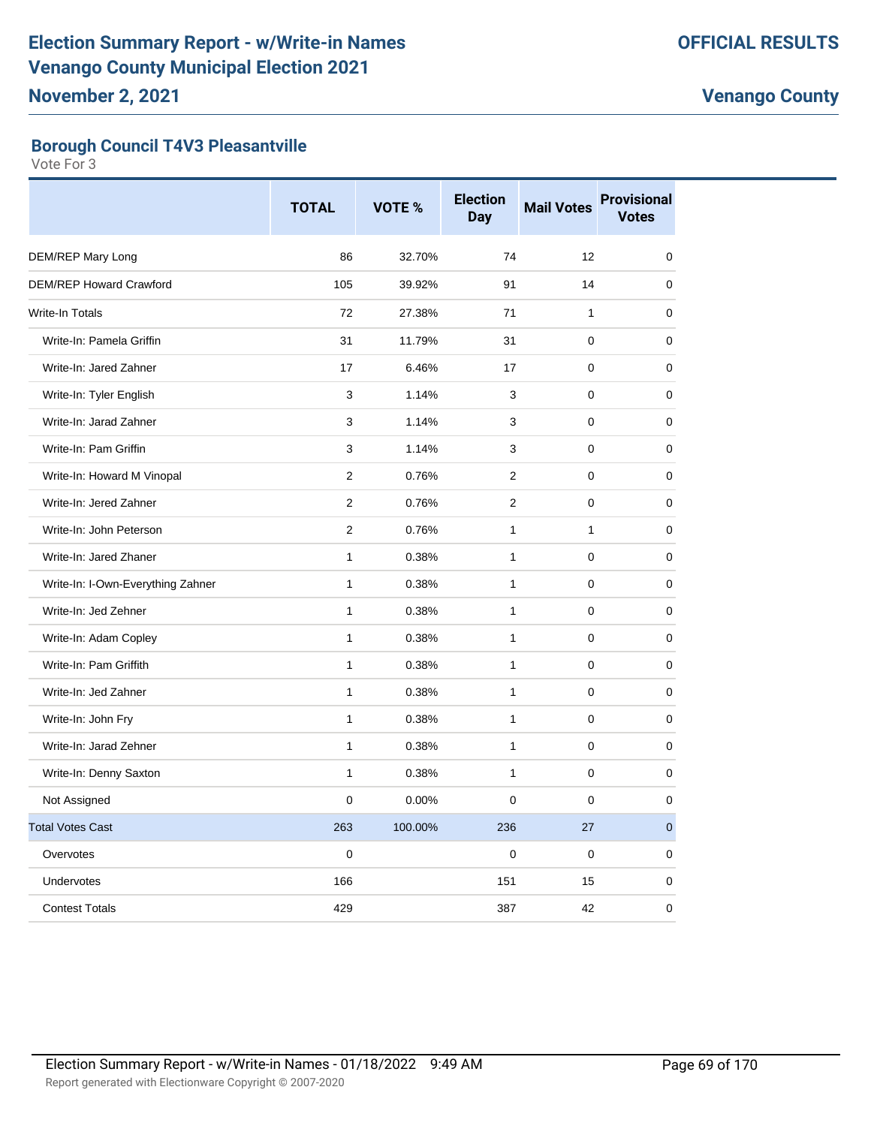#### **Borough Council T4V3 Pleasantville**

|                                   | <b>TOTAL</b>   | VOTE %  | <b>Election</b><br>Day | <b>Mail Votes</b> | <b>Provisional</b><br><b>Votes</b> |
|-----------------------------------|----------------|---------|------------------------|-------------------|------------------------------------|
| DEM/REP Mary Long                 | 86             | 32.70%  | 74                     | 12                | $\mathbf 0$                        |
| <b>DEM/REP Howard Crawford</b>    | 105            | 39.92%  | 91                     | 14                | 0                                  |
| <b>Write-In Totals</b>            | 72             | 27.38%  | 71                     | $\mathbf{1}$      | $\mathbf 0$                        |
| Write-In: Pamela Griffin          | 31             | 11.79%  | 31                     | $\mathbf 0$       | 0                                  |
| Write-In: Jared Zahner            | 17             | 6.46%   | 17                     | $\mathbf 0$       | 0                                  |
| Write-In: Tyler English           | 3              | 1.14%   | 3                      | $\mathbf 0$       | $\mathbf 0$                        |
| Write-In: Jarad Zahner            | 3              | 1.14%   | 3                      | $\mathbf 0$       | $\mathbf 0$                        |
| Write-In: Pam Griffin             | 3              | 1.14%   | 3                      | $\mathbf 0$       | $\mathbf 0$                        |
| Write-In: Howard M Vinopal        | $\overline{2}$ | 0.76%   | $\mathcal{P}$          | $\Omega$          | 0                                  |
| Write-In: Jered Zahner            | $\overline{2}$ | 0.76%   | $\overline{2}$         | $\mathbf 0$       | $\mathbf 0$                        |
| Write-In: John Peterson           | $\overline{2}$ | 0.76%   | $\mathbf{1}$           | $\mathbf{1}$      | 0                                  |
| Write-In: Jared Zhaner            | $\mathbf{1}$   | 0.38%   | $\mathbf{1}$           | $\mathbf 0$       | 0                                  |
| Write-In: I-Own-Everything Zahner | $\mathbf{1}$   | 0.38%   | $\mathbf{1}$           | $\mathbf 0$       | $\mathbf 0$                        |
| Write-In: Jed Zehner              | $\mathbf{1}$   | 0.38%   | $\mathbf{1}$           | $\mathbf 0$       | $\mathbf 0$                        |
| Write-In: Adam Copley             | $\mathbf{1}$   | 0.38%   | $\mathbf{1}$           | $\mathbf 0$       | $\mathbf 0$                        |
| Write-In: Pam Griffith            | $\mathbf{1}$   | 0.38%   | 1                      | $\Omega$          | 0                                  |
| Write-In: Jed Zahner              | $\mathbf{1}$   | 0.38%   | $\mathbf{1}$           | $\mathbf 0$       | 0                                  |
| Write-In: John Fry                | $\mathbf{1}$   | 0.38%   | $\mathbf{1}$           | $\mathbf 0$       | 0                                  |
| Write-In: Jarad Zehner            | $\mathbf{1}$   | 0.38%   | $\mathbf{1}$           | $\mathbf 0$       | 0                                  |
| Write-In: Denny Saxton            | $\mathbf{1}$   | 0.38%   | 1                      | $\mathbf 0$       | $\mathbf 0$                        |
| Not Assigned                      | 0              | 0.00%   | 0                      | $\mathbf 0$       | $\mathbf 0$                        |
| <b>Total Votes Cast</b>           | 263            | 100.00% | 236                    | 27                | $\mathbf 0$                        |
| Overvotes                         | 0              |         | 0                      | $\mathbf 0$       | 0                                  |
| Undervotes                        | 166            |         | 151                    | 15                | 0                                  |
| <b>Contest Totals</b>             | 429            |         | 387                    | 42                | 0                                  |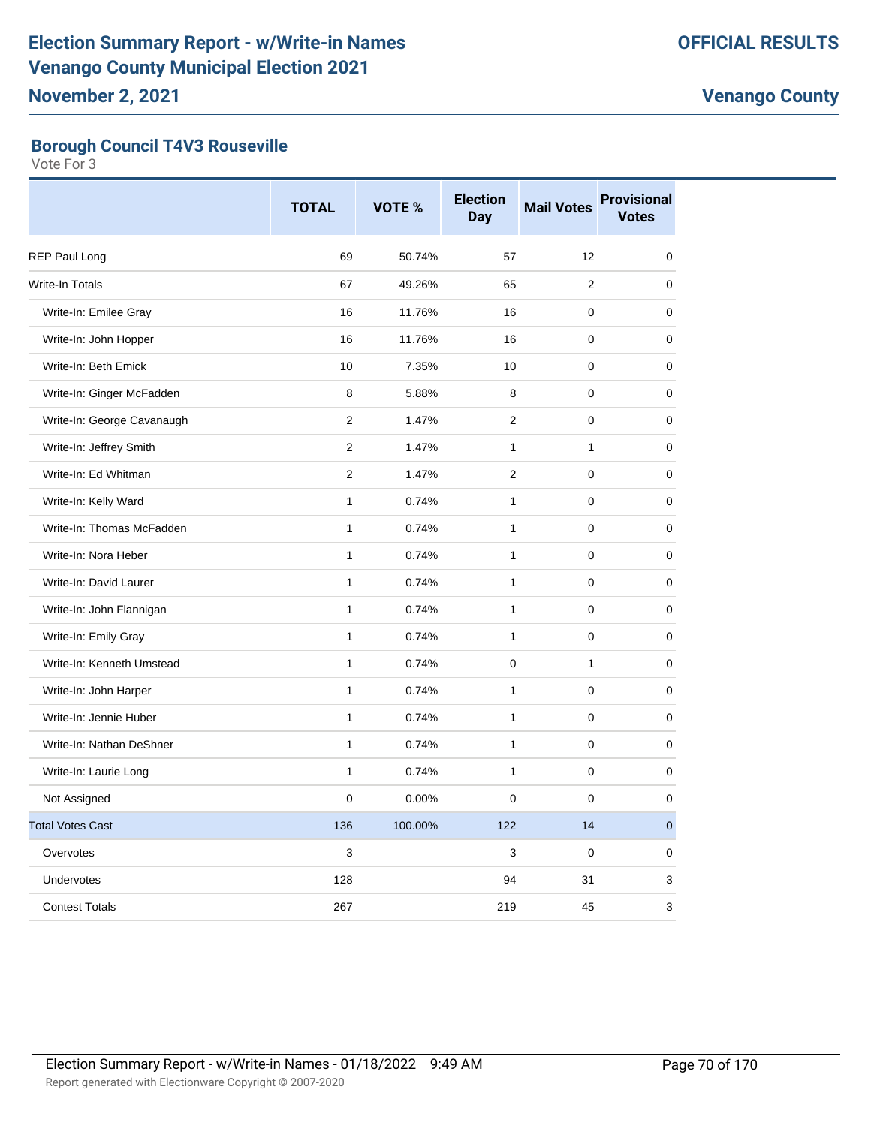#### **Borough Council T4V3 Rouseville**

|                            | <b>TOTAL</b>   | VOTE %  | <b>Election</b><br><b>Day</b> | <b>Mail Votes</b> | <b>Provisional</b><br><b>Votes</b> |
|----------------------------|----------------|---------|-------------------------------|-------------------|------------------------------------|
| <b>REP Paul Long</b>       | 69             | 50.74%  | 57                            | 12                | 0                                  |
| Write-In Totals            | 67             | 49.26%  | 65                            | $\overline{2}$    | $\mathbf 0$                        |
| Write-In: Emilee Gray      | 16             | 11.76%  | 16                            | $\mathbf 0$       | 0                                  |
| Write-In: John Hopper      | 16             | 11.76%  | 16                            | $\mathbf 0$       | $\mathbf 0$                        |
| Write-In: Beth Emick       | 10             | 7.35%   | 10                            | $\mathbf 0$       | 0                                  |
| Write-In: Ginger McFadden  | 8              | 5.88%   | 8                             | $\mathbf 0$       | $\mathbf 0$                        |
| Write-In: George Cavanaugh | $\overline{2}$ | 1.47%   | $\overline{2}$                | $\mathbf 0$       | 0                                  |
| Write-In: Jeffrey Smith    | $\overline{2}$ | 1.47%   | $\mathbf{1}$                  | $\mathbf{1}$      | 0                                  |
| Write-In: Ed Whitman       | $\overline{2}$ | 1.47%   | $\overline{2}$                | $\mathbf 0$       | 0                                  |
| Write-In: Kelly Ward       | $\mathbf{1}$   | 0.74%   | $\mathbf{1}$                  | $\mathbf 0$       | 0                                  |
| Write-In: Thomas McFadden  | 1              | 0.74%   | $\mathbf{1}$                  | $\pmb{0}$         | 0                                  |
| Write-In: Nora Heber       | $\mathbf{1}$   | 0.74%   | $\mathbf{1}$                  | $\mathbf 0$       | 0                                  |
| Write-In: David Laurer     | $\mathbf{1}$   | 0.74%   | $\mathbf{1}$                  | $\mathbf 0$       | $\mathbf 0$                        |
| Write-In: John Flannigan   | $\mathbf{1}$   | 0.74%   | $\mathbf{1}$                  | 0                 | 0                                  |
| Write-In: Emily Gray       | 1              | 0.74%   | $\mathbf{1}$                  | 0                 | 0                                  |
| Write-In: Kenneth Umstead  | $\mathbf{1}$   | 0.74%   | $\mathbf 0$                   | $\mathbf{1}$      | 0                                  |
| Write-In: John Harper      | $\mathbf{1}$   | 0.74%   | $\mathbf{1}$                  | $\Omega$          | 0                                  |
| Write-In: Jennie Huber     | 1              | 0.74%   | $\mathbf{1}$                  | $\pmb{0}$         | 0                                  |
| Write-In: Nathan DeShner   | 1              | 0.74%   | $\mathbf{1}$                  | 0                 | 0                                  |
| Write-In: Laurie Long      | $\mathbf{1}$   | 0.74%   | $\mathbf{1}$                  | $\Omega$          | $\mathbf 0$                        |
| Not Assigned               | $\Omega$       | 0.00%   | $\Omega$                      | $\Omega$          | $\mathbf 0$                        |
| <b>Total Votes Cast</b>    | 136            | 100.00% | 122                           | 14                | $\pmb{0}$                          |
| Overvotes                  | 3              |         | 3                             | $\mathbf 0$       | $\mathbf 0$                        |
| <b>Undervotes</b>          | 128            |         | 94                            | 31                | 3                                  |
| <b>Contest Totals</b>      | 267            |         | 219                           | 45                | 3                                  |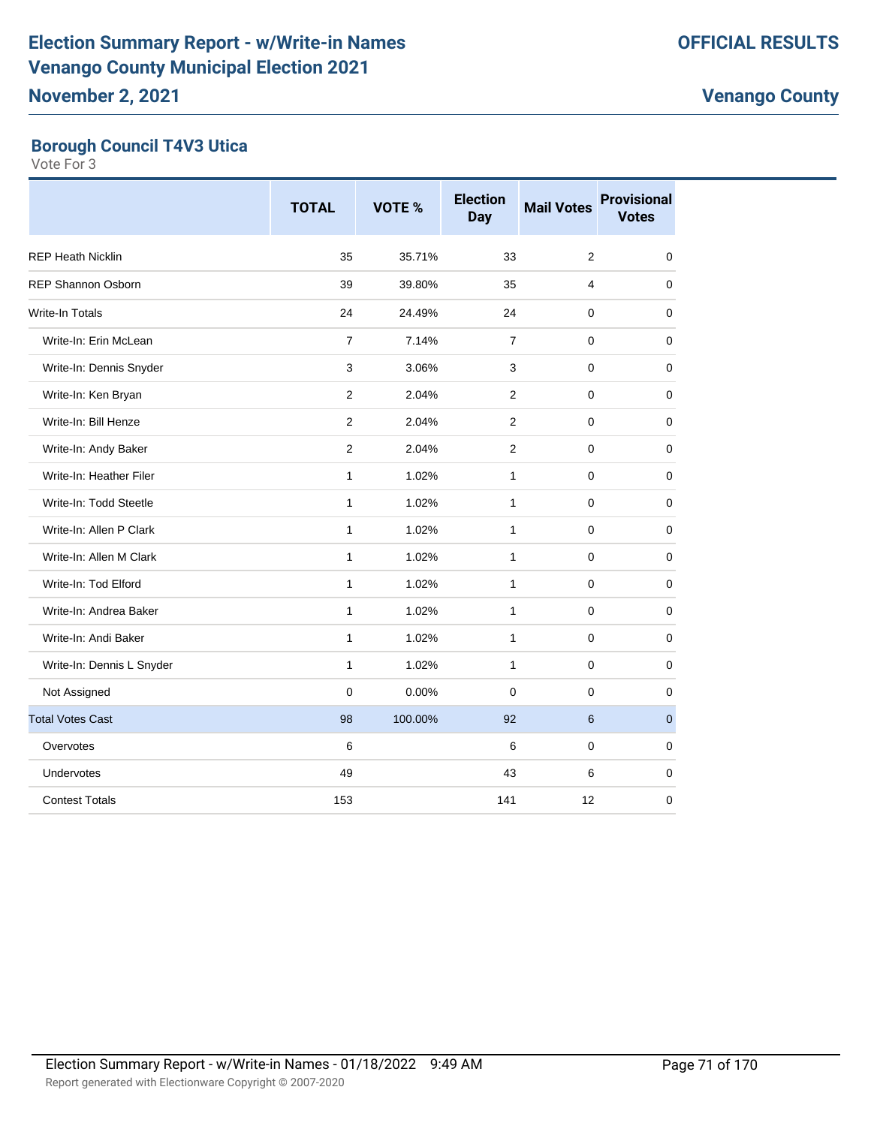#### **Borough Council T4V3 Utica**

|                           | <b>TOTAL</b>   | <b>VOTE %</b> | <b>Election</b><br><b>Day</b> | <b>Mail Votes</b> | <b>Provisional</b><br><b>Votes</b> |
|---------------------------|----------------|---------------|-------------------------------|-------------------|------------------------------------|
| <b>REP Heath Nicklin</b>  | 35             | 35.71%        | 33                            | $\overline{2}$    | 0                                  |
| <b>REP Shannon Osborn</b> | 39             | 39.80%        | 35                            | 4                 | 0                                  |
| <b>Write-In Totals</b>    | 24             | 24.49%        | 24                            | $\mathbf 0$       | 0                                  |
| Write-In: Erin McLean     | $\overline{7}$ | 7.14%         | $\overline{7}$                | $\mathbf 0$       | 0                                  |
| Write-In: Dennis Snyder   | 3              | 3.06%         | 3                             | $\mathbf 0$       | 0                                  |
| Write-In: Ken Bryan       | $\overline{2}$ | 2.04%         | $\overline{2}$                | 0                 | 0                                  |
| Write-In: Bill Henze      | $\overline{2}$ | 2.04%         | $\overline{2}$                | $\mathbf 0$       | 0                                  |
| Write-In: Andy Baker      | $\overline{2}$ | 2.04%         | $\overline{2}$                | $\mathbf 0$       | 0                                  |
| Write-In: Heather Filer   | 1              | 1.02%         | $\mathbf{1}$                  | $\pmb{0}$         | 0                                  |
| Write-In: Todd Steetle    | $\mathbf{1}$   | 1.02%         | $\mathbf{1}$                  | $\mathbf 0$       | 0                                  |
| Write-In: Allen P Clark   | 1              | 1.02%         | $\mathbf{1}$                  | $\mathbf 0$       | 0                                  |
| Write-In: Allen M Clark   | $\mathbf{1}$   | 1.02%         | $\mathbf{1}$                  | $\mathbf 0$       | 0                                  |
| Write-In: Tod Elford      | 1              | 1.02%         | $\mathbf{1}$                  | $\mathbf 0$       | 0                                  |
| Write-In: Andrea Baker    | 1              | 1.02%         | $\mathbf{1}$                  | $\mathbf 0$       | 0                                  |
| Write-In: Andi Baker      | $\mathbf{1}$   | 1.02%         | $\mathbf{1}$                  | $\mathbf 0$       | 0                                  |
| Write-In: Dennis L Snyder | 1              | 1.02%         | $\mathbf{1}$                  | $\mathbf 0$       | 0                                  |
| Not Assigned              | $\mathbf 0$    | 0.00%         | $\mathbf 0$                   | $\mathbf 0$       | 0                                  |
| <b>Total Votes Cast</b>   | 98             | 100.00%       | 92                            | 6                 | $\mathbf 0$                        |
| Overvotes                 | 6              |               | 6                             | $\mathbf 0$       | 0                                  |
| Undervotes                | 49             |               | 43                            | 6                 | 0                                  |
| <b>Contest Totals</b>     | 153            |               | 141                           | 12                | 0                                  |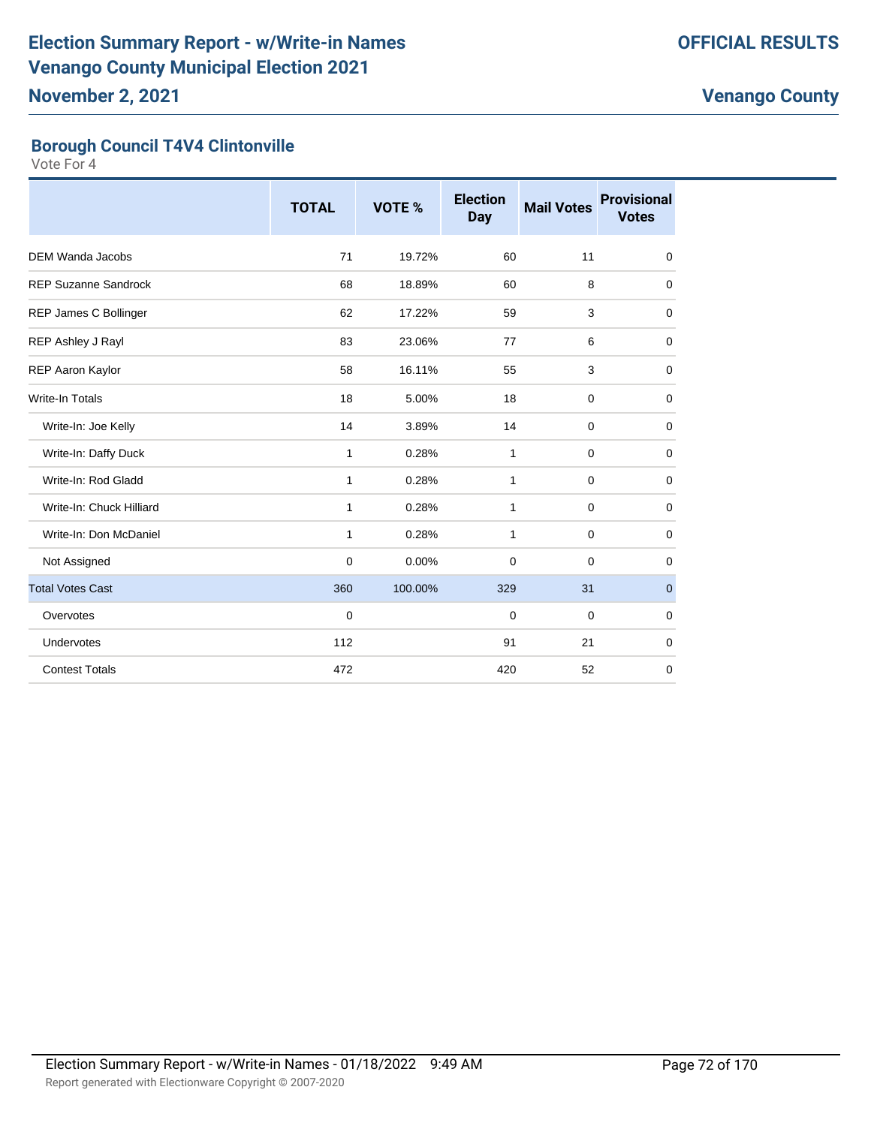#### **Borough Council T4V4 Clintonville**

|                             | <b>TOTAL</b> | <b>VOTE %</b> | <b>Election</b><br><b>Day</b> | <b>Mail Votes</b> | <b>Provisional</b><br><b>Votes</b> |
|-----------------------------|--------------|---------------|-------------------------------|-------------------|------------------------------------|
| <b>DEM Wanda Jacobs</b>     | 71           | 19.72%        | 60                            | 11                | $\mathbf 0$                        |
| <b>REP Suzanne Sandrock</b> | 68           | 18.89%        | 60                            | 8                 | 0                                  |
| REP James C Bollinger       | 62           | 17.22%        | 59                            | 3                 | 0                                  |
| REP Ashley J Rayl           | 83           | 23.06%        | 77                            | 6                 | 0                                  |
| REP Aaron Kaylor            | 58           | 16.11%        | 55                            | 3                 | 0                                  |
| Write-In Totals             | 18           | 5.00%         | 18                            | $\mathbf 0$       | $\mathbf 0$                        |
| Write-In: Joe Kelly         | 14           | 3.89%         | 14                            | $\mathbf 0$       | 0                                  |
| Write-In: Daffy Duck        | 1            | 0.28%         | 1                             | $\mathbf 0$       | $\mathbf 0$                        |
| Write-In: Rod Gladd         | $\mathbf{1}$ | 0.28%         | $\mathbf{1}$                  | $\mathbf 0$       | 0                                  |
| Write-In: Chuck Hilliard    | $\mathbf{1}$ | 0.28%         | 1                             | $\mathbf 0$       | $\mathbf 0$                        |
| Write-In: Don McDaniel      | $\mathbf{1}$ | 0.28%         | $\mathbf{1}$                  | $\mathbf 0$       | $\mathbf 0$                        |
| Not Assigned                | $\mathbf 0$  | 0.00%         | $\Omega$                      | $\mathbf 0$       | $\mathbf 0$                        |
| <b>Total Votes Cast</b>     | 360          | 100.00%       | 329                           | 31                | $\mathbf{0}$                       |
| Overvotes                   | $\mathbf 0$  |               | $\mathbf 0$                   | $\mathbf 0$       | $\mathbf 0$                        |
| Undervotes                  | 112          |               | 91                            | 21                | $\mathbf 0$                        |
| <b>Contest Totals</b>       | 472          |               | 420                           | 52                | $\mathbf 0$                        |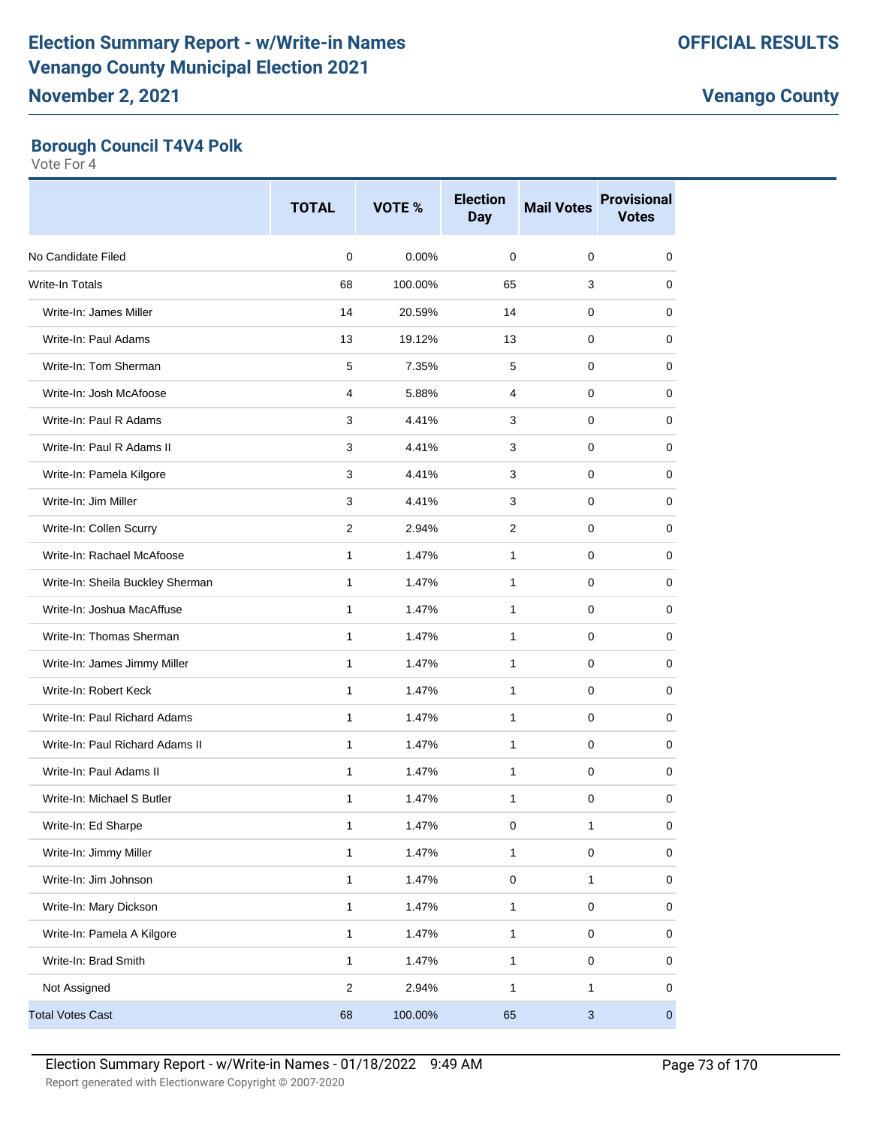#### **Borough Council T4V4 Polk**

|                                  | <b>TOTAL</b>   | VOTE %  | <b>Election</b><br><b>Day</b> | <b>Mail Votes</b>         | <b>Provisional</b><br><b>Votes</b> |
|----------------------------------|----------------|---------|-------------------------------|---------------------------|------------------------------------|
| No Candidate Filed               | $\mathbf 0$    | 0.00%   | 0                             | 0                         | 0                                  |
| <b>Write-In Totals</b>           | 68             | 100.00% | 65                            | 3                         | 0                                  |
| Write-In: James Miller           | 14             | 20.59%  | 14                            | 0                         | 0                                  |
| Write-In: Paul Adams             | 13             | 19.12%  | 13                            | 0                         | 0                                  |
| Write-In: Tom Sherman            | 5              | 7.35%   | 5                             | 0                         | 0                                  |
| Write-In: Josh McAfoose          | 4              | 5.88%   | 4                             | 0                         | 0                                  |
| Write-In: Paul R Adams           | 3              | 4.41%   | 3                             | 0                         | 0                                  |
| Write-In: Paul R Adams II        | 3              | 4.41%   | 3                             | 0                         | 0                                  |
| Write-In: Pamela Kilgore         | 3              | 4.41%   | 3                             | 0                         | 0                                  |
| Write-In: Jim Miller             | 3              | 4.41%   | 3                             | 0                         | 0                                  |
| Write-In: Collen Scurry          | 2              | 2.94%   | $\overline{2}$                | 0                         | 0                                  |
| Write-In: Rachael McAfoose       | $\mathbf{1}$   | 1.47%   | $\mathbf{1}$                  | 0                         | 0                                  |
| Write-In: Sheila Buckley Sherman | $\mathbf{1}$   | 1.47%   | 1                             | 0                         | 0                                  |
| Write-In: Joshua MacAffuse       | 1              | 1.47%   | 1                             | 0                         | 0                                  |
| Write-In: Thomas Sherman         | $\mathbf{1}$   | 1.47%   | 1                             | 0                         | 0                                  |
| Write-In: James Jimmy Miller     | $\mathbf{1}$   | 1.47%   | $\mathbf{1}$                  | 0                         | 0                                  |
| Write-In: Robert Keck            | $\mathbf{1}$   | 1.47%   | $\mathbf{1}$                  | $\pmb{0}$                 | 0                                  |
| Write-In: Paul Richard Adams     | 1              | 1.47%   | 1                             | 0                         | 0                                  |
| Write-In: Paul Richard Adams II  | $\mathbf{1}$   | 1.47%   | $\mathbf{1}$                  | 0                         | 0                                  |
| Write-In: Paul Adams II          | 1              | 1.47%   | 1                             | 0                         | 0                                  |
| Write-In: Michael S Butler       | 1              | 1.47%   | 1                             | 0                         | 0                                  |
| Write-In: Ed Sharpe              | 1              | 1.47%   | 0                             | 1                         | 0                                  |
| Write-In: Jimmy Miller           | 1              | 1.47%   | $\mathbf{1}$                  | 0                         | $\pmb{0}$                          |
| Write-In: Jim Johnson            | 1              | 1.47%   | $\pmb{0}$                     | 1                         | 0                                  |
| Write-In: Mary Dickson           | 1              | 1.47%   | $\mathbf{1}$                  | 0                         | 0                                  |
| Write-In: Pamela A Kilgore       | 1              | 1.47%   | $\mathbf{1}$                  | 0                         | 0                                  |
| Write-In: Brad Smith             | 1              | 1.47%   | $\mathbf{1}$                  | 0                         | 0                                  |
| Not Assigned                     | $\overline{2}$ | 2.94%   | $\mathbf{1}$                  | 1                         | 0                                  |
| <b>Total Votes Cast</b>          | 68             | 100.00% | 65                            | $\ensuremath{\mathsf{3}}$ | $\overline{0}$                     |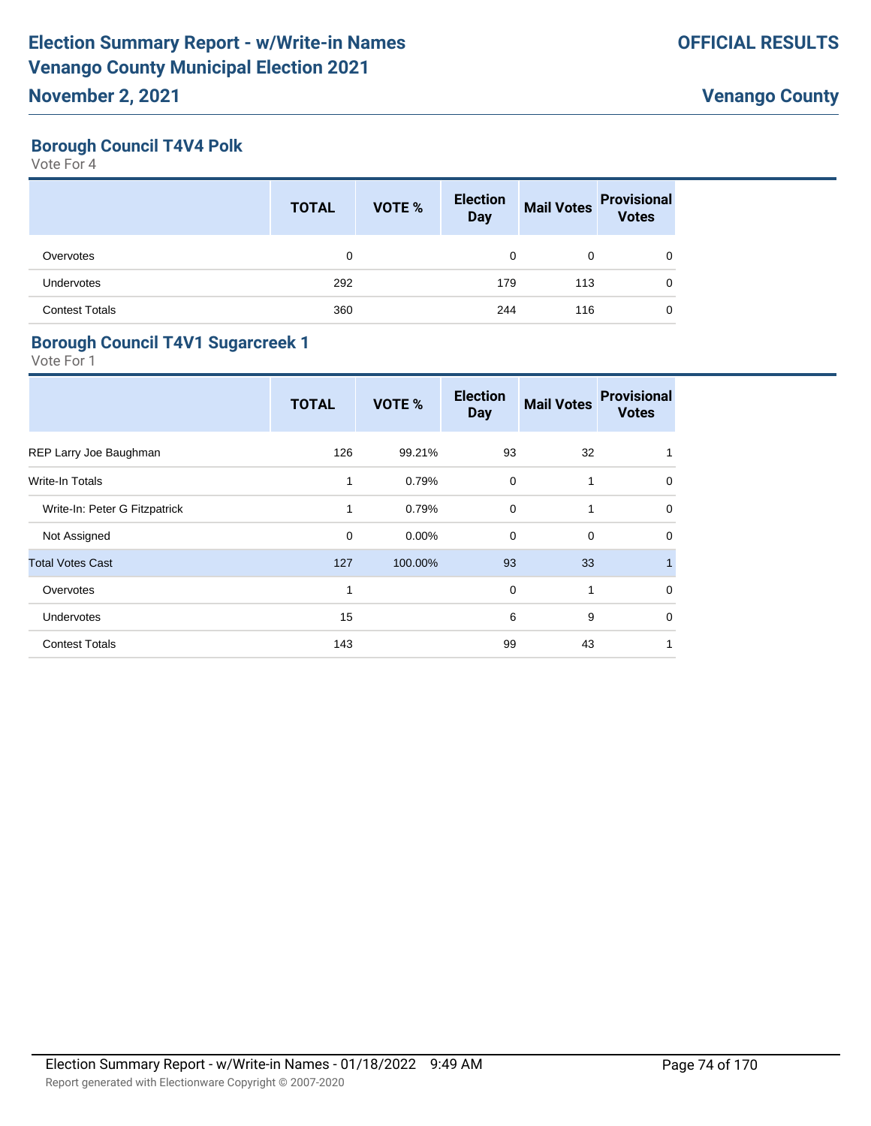#### **Borough Council T4V4 Polk**

Vote For 4

|                       | <b>TOTAL</b> | <b>VOTE %</b> | <b>Election</b><br><b>Day</b> | <b>Mail Votes</b> | <b>Provisional</b><br><b>Votes</b> |
|-----------------------|--------------|---------------|-------------------------------|-------------------|------------------------------------|
| Overvotes             | 0            |               | 0                             | 0                 | 0                                  |
| Undervotes            | 292          |               | 179                           | 113               | 0                                  |
| <b>Contest Totals</b> | 360          |               | 244                           | 116               | 0                                  |

#### **Borough Council T4V1 Sugarcreek 1**

|                               | <b>TOTAL</b> | VOTE %  | <b>Election</b><br><b>Day</b> | <b>Mail Votes</b> | <b>Provisional</b><br><b>Votes</b> |
|-------------------------------|--------------|---------|-------------------------------|-------------------|------------------------------------|
| REP Larry Joe Baughman        | 126          | 99.21%  | 93                            | 32                |                                    |
| Write-In Totals               | 1            | 0.79%   | $\mathbf 0$                   | $\mathbf{1}$      | 0                                  |
| Write-In: Peter G Fitzpatrick | 1            | 0.79%   | $\Omega$                      | 1                 | $\Omega$                           |
| Not Assigned                  | $\mathbf 0$  | 0.00%   | $\mathbf 0$                   | $\mathbf 0$       | $\Omega$                           |
| <b>Total Votes Cast</b>       | 127          | 100.00% | 93                            | 33                |                                    |
| Overvotes                     | 1            |         | $\mathbf 0$                   | 1                 | 0                                  |
| Undervotes                    | 15           |         | 6                             | 9                 | 0                                  |
| <b>Contest Totals</b>         | 143          |         | 99                            | 43                |                                    |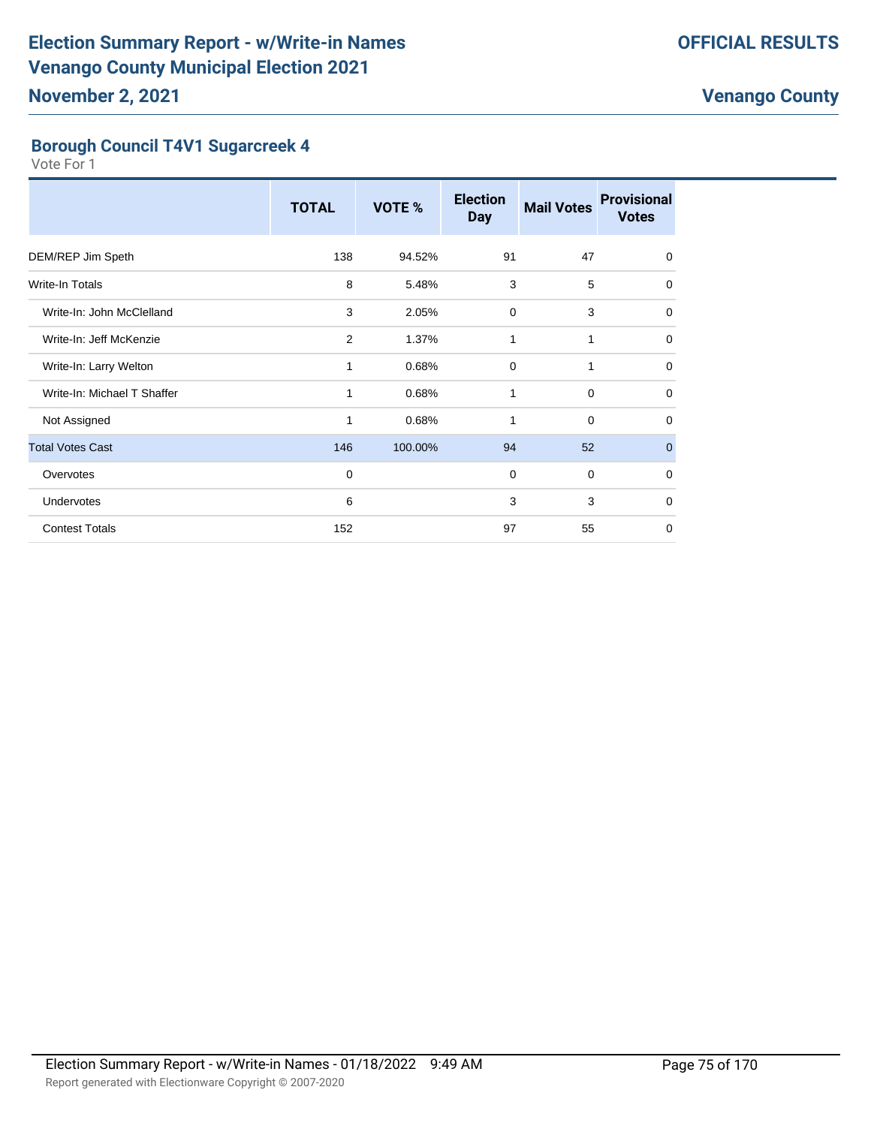#### **Borough Council T4V1 Sugarcreek 4**

|                             | <b>TOTAL</b>   | VOTE %  | <b>Election</b><br><b>Day</b> | <b>Mail Votes</b> | <b>Provisional</b><br><b>Votes</b> |
|-----------------------------|----------------|---------|-------------------------------|-------------------|------------------------------------|
| DEM/REP Jim Speth           | 138            | 94.52%  | 91                            | 47                | $\mathbf 0$                        |
| Write-In Totals             | 8              | 5.48%   | 3                             | 5                 | $\mathbf 0$                        |
| Write-In: John McClelland   | 3              | 2.05%   | $\mathbf 0$                   | 3                 | 0                                  |
| Write-In: Jeff McKenzie     | $\overline{2}$ | 1.37%   | 1                             | 1                 | $\Omega$                           |
| Write-In: Larry Welton      | $\mathbf{1}$   | 0.68%   | $\mathbf 0$                   | 1                 | 0                                  |
| Write-In: Michael T Shaffer | 1              | 0.68%   | 1                             | $\mathbf 0$       | $\Omega$                           |
| Not Assigned                | 1              | 0.68%   | 1                             | $\mathbf 0$       | 0                                  |
| <b>Total Votes Cast</b>     | 146            | 100.00% | 94                            | 52                | $\mathbf{0}$                       |
| Overvotes                   | $\mathbf 0$    |         | $\mathbf 0$                   | $\mathbf 0$       | 0                                  |
| <b>Undervotes</b>           | 6              |         | 3                             | 3                 | $\Omega$                           |
| <b>Contest Totals</b>       | 152            |         | 97                            | 55                | $\Omega$                           |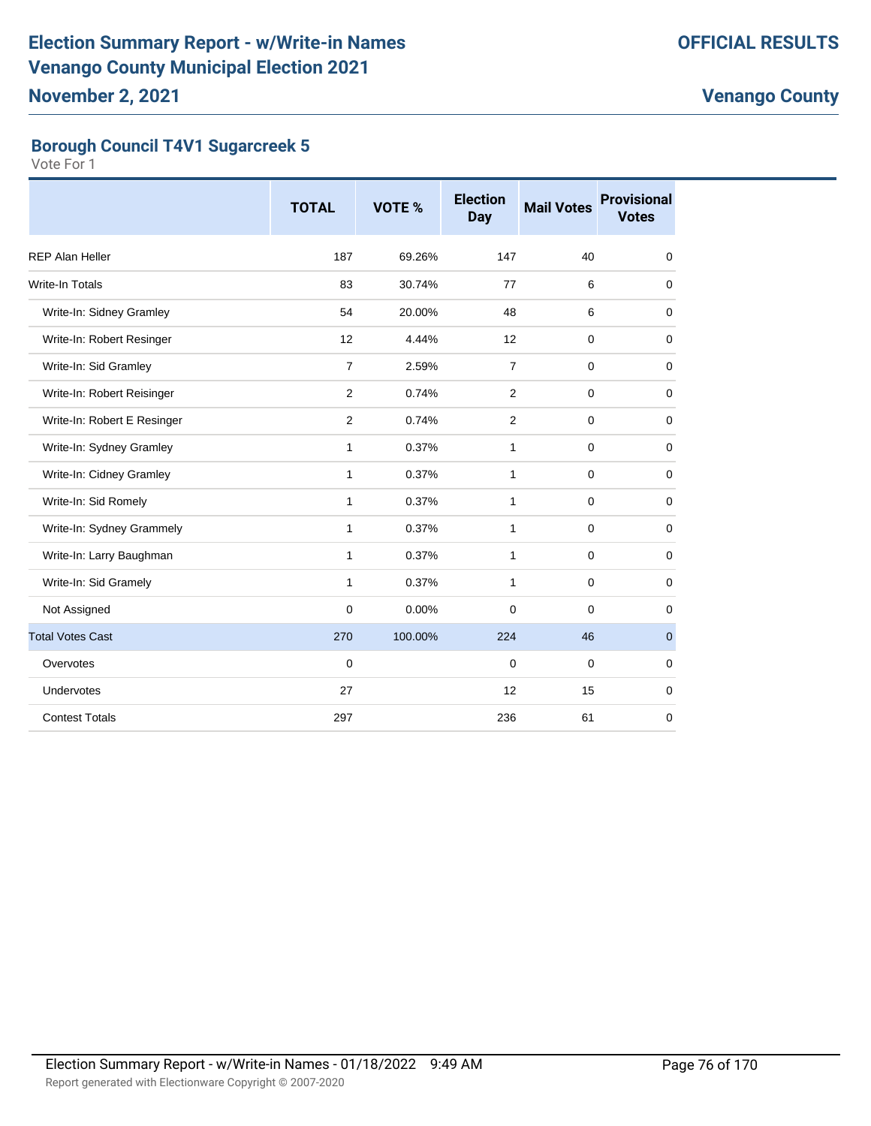### **Borough Council T4V1 Sugarcreek 5**

|                             | <b>TOTAL</b>   | VOTE %  | <b>Election</b><br><b>Day</b> | <b>Mail Votes</b> | <b>Provisional</b><br><b>Votes</b> |
|-----------------------------|----------------|---------|-------------------------------|-------------------|------------------------------------|
| <b>REP Alan Heller</b>      | 187            | 69.26%  | 147                           | 40                | 0                                  |
| Write-In Totals             | 83             | 30.74%  | 77                            | 6                 | $\mathbf 0$                        |
| Write-In: Sidney Gramley    | 54             | 20.00%  | 48                            | 6                 | 0                                  |
| Write-In: Robert Resinger   | 12             | 4.44%   | 12                            | $\mathbf 0$       | $\mathbf 0$                        |
| Write-In: Sid Gramley       | $\overline{7}$ | 2.59%   | $\overline{7}$                | $\mathbf 0$       | $\mathbf 0$                        |
| Write-In: Robert Reisinger  | 2              | 0.74%   | 2                             | $\mathbf 0$       | $\mathbf 0$                        |
| Write-In: Robert E Resinger | 2              | 0.74%   | 2                             | $\mathbf 0$       | $\mathbf 0$                        |
| Write-In: Sydney Gramley    | $\mathbf{1}$   | 0.37%   | 1                             | $\mathbf 0$       | 0                                  |
| Write-In: Cidney Gramley    | 1              | 0.37%   | $\mathbf{1}$                  | $\mathbf 0$       | 0                                  |
| Write-In: Sid Romely        | $\mathbf{1}$   | 0.37%   | $\mathbf{1}$                  | $\mathbf 0$       | $\mathbf 0$                        |
| Write-In: Sydney Grammely   | 1              | 0.37%   | 1                             | $\mathbf 0$       | $\mathbf 0$                        |
| Write-In: Larry Baughman    | $\mathbf{1}$   | 0.37%   | 1                             | 0                 | $\mathbf 0$                        |
| Write-In: Sid Gramely       | $\mathbf{1}$   | 0.37%   | 1                             | $\mathbf 0$       | $\mathbf 0$                        |
| Not Assigned                | $\mathbf 0$    | 0.00%   | 0                             | $\mathbf 0$       | 0                                  |
| <b>Total Votes Cast</b>     | 270            | 100.00% | 224                           | 46                | $\mathbf{0}$                       |
| Overvotes                   | $\mathbf 0$    |         | $\mathbf 0$                   | $\mathbf 0$       | 0                                  |
| Undervotes                  | 27             |         | 12                            | 15                | 0                                  |
| <b>Contest Totals</b>       | 297            |         | 236                           | 61                | 0                                  |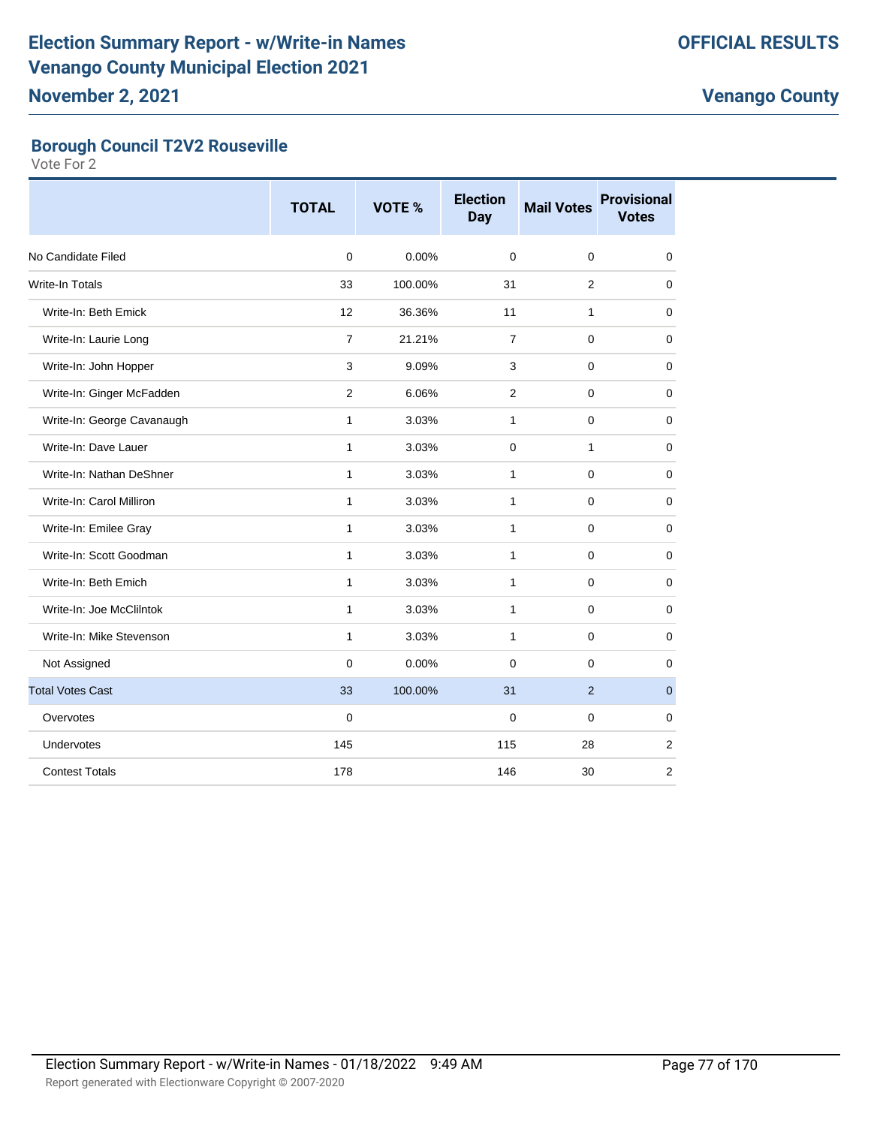## **Borough Council T2V2 Rouseville**

|                            | <b>TOTAL</b>   | <b>VOTE %</b> | <b>Election</b><br><b>Day</b> | <b>Mail Votes</b> | <b>Provisional</b><br><b>Votes</b> |
|----------------------------|----------------|---------------|-------------------------------|-------------------|------------------------------------|
| No Candidate Filed         | $\Omega$       | 0.00%         | $\Omega$                      | $\mathbf 0$       | $\mathbf 0$                        |
| <b>Write-In Totals</b>     | 33             | 100.00%       | 31                            | $\overline{2}$    | 0                                  |
| Write-In: Beth Emick       | 12             | 36.36%        | 11                            | $\mathbf{1}$      | $\mathbf 0$                        |
| Write-In: Laurie Long      | $\overline{7}$ | 21.21%        | $\overline{7}$                | 0                 | $\mathbf 0$                        |
| Write-In: John Hopper      | 3              | 9.09%         | 3                             | 0                 | 0                                  |
| Write-In: Ginger McFadden  | $\mathbf{2}$   | 6.06%         | 2                             | $\mathbf 0$       | $\mathbf 0$                        |
| Write-In: George Cavanaugh | $\mathbf{1}$   | 3.03%         | $\mathbf{1}$                  | $\mathbf 0$       | $\mathbf 0$                        |
| Write-In: Dave Lauer       | 1              | 3.03%         | 0                             | 1                 | $\mathbf 0$                        |
| Write-In: Nathan DeShner   | $\mathbf{1}$   | 3.03%         | 1                             | $\mathbf 0$       | $\mathbf 0$                        |
| Write-In: Carol Milliron   | $\mathbf{1}$   | 3.03%         | $\mathbf{1}$                  | 0                 | $\mathbf 0$                        |
| Write-In: Emilee Gray      | $\mathbf{1}$   | 3.03%         | $\mathbf{1}$                  | $\Omega$          | 0                                  |
| Write-In: Scott Goodman    | $\mathbf{1}$   | 3.03%         | $\mathbf{1}$                  | $\mathbf 0$       | $\mathbf 0$                        |
| Write-In: Beth Emich       | $\mathbf{1}$   | 3.03%         | 1                             | 0                 | $\mathbf 0$                        |
| Write-In: Joe McClilntok   | $\mathbf{1}$   | 3.03%         | 1                             | $\Omega$          | 0                                  |
| Write-In: Mike Stevenson   | $\mathbf{1}$   | 3.03%         | $\mathbf{1}$                  | $\mathbf 0$       | $\mathbf 0$                        |
| Not Assigned               | $\mathbf 0$    | 0.00%         | $\mathbf 0$                   | $\mathbf 0$       | $\mathbf 0$                        |
| <b>Total Votes Cast</b>    | 33             | 100.00%       | 31                            | $\overline{2}$    | $\mathbf{0}$                       |
| Overvotes                  | $\mathbf 0$    |               | $\mathbf 0$                   | $\mathbf 0$       | 0                                  |
| Undervotes                 | 145            |               | 115                           | 28                | $\overline{2}$                     |
| <b>Contest Totals</b>      | 178            |               | 146                           | 30                | $\overline{2}$                     |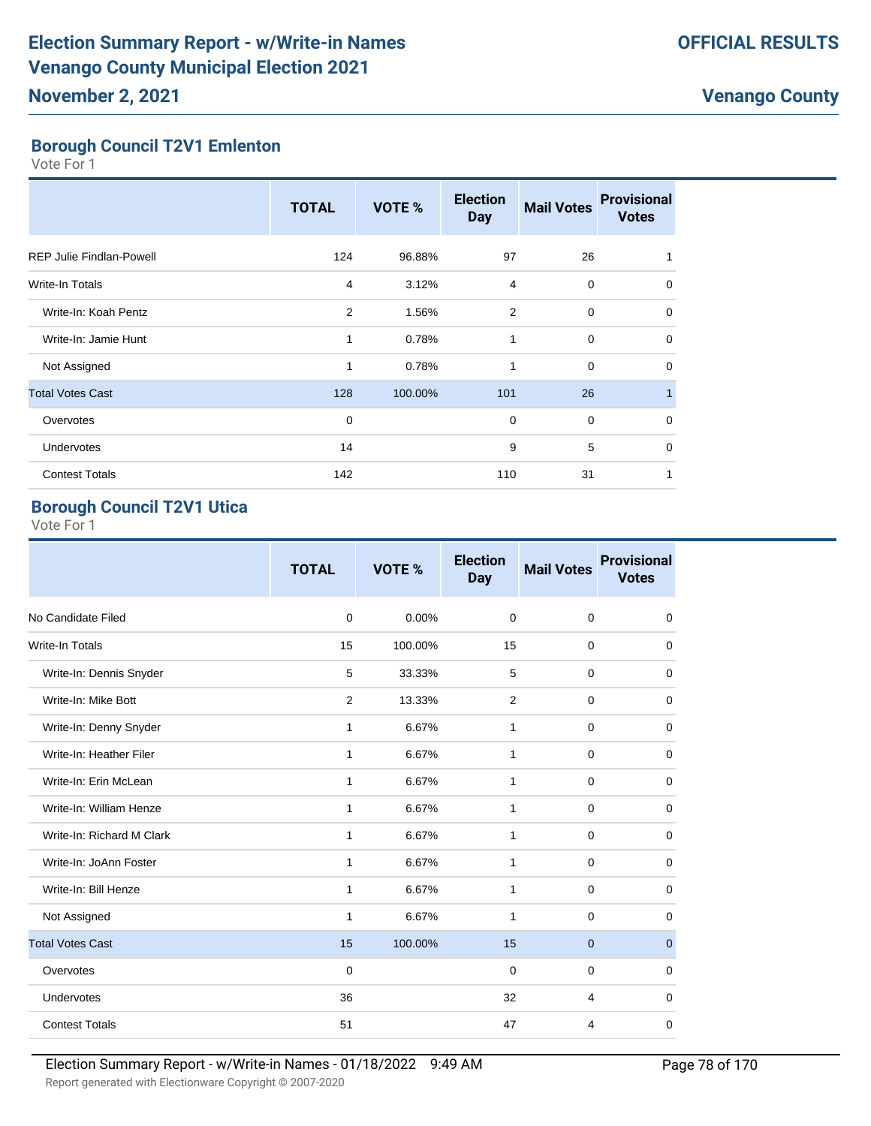## **Borough Council T2V1 Emlenton**

Vote For 1

|                                 | <b>TOTAL</b> | VOTE %  | <b>Election</b><br><b>Day</b> | <b>Mail Votes</b> | <b>Provisional</b><br><b>Votes</b> |
|---------------------------------|--------------|---------|-------------------------------|-------------------|------------------------------------|
| <b>REP Julie Findlan-Powell</b> | 124          | 96.88%  | 97                            | 26                |                                    |
| <b>Write-In Totals</b>          | 4            | 3.12%   | 4                             | 0                 | 0                                  |
| Write-In: Koah Pentz            | 2            | 1.56%   | $\overline{2}$                | $\mathbf 0$       | 0                                  |
| Write-In: Jamie Hunt            | $\mathbf{1}$ | 0.78%   | $\mathbf{1}$                  | $\mathbf 0$       | $\Omega$                           |
| Not Assigned                    | 1            | 0.78%   | 1                             | 0                 | $\mathbf 0$                        |
| <b>Total Votes Cast</b>         | 128          | 100.00% | 101                           | 26                | 1                                  |
| Overvotes                       | $\mathbf 0$  |         | $\mathbf 0$                   | $\mathbf 0$       | $\mathbf 0$                        |
| Undervotes                      | 14           |         | 9                             | 5                 | $\Omega$                           |
| <b>Contest Totals</b>           | 142          |         | 110                           | 31                | 1                                  |

## **Borough Council T2V1 Utica**

|                           | <b>TOTAL</b> | VOTE %  | <b>Election</b><br><b>Day</b> | <b>Mail Votes</b> | <b>Provisional</b><br><b>Votes</b> |
|---------------------------|--------------|---------|-------------------------------|-------------------|------------------------------------|
| No Candidate Filed        | $\mathbf 0$  | 0.00%   | $\mathbf 0$                   | $\mathbf 0$       | 0                                  |
| <b>Write-In Totals</b>    | 15           | 100.00% | 15                            | $\mathbf 0$       | 0                                  |
| Write-In: Dennis Snyder   | 5            | 33.33%  | 5                             | $\mathbf 0$       | 0                                  |
| Write-In: Mike Bott       | 2            | 13.33%  | $\overline{2}$                | $\mathbf 0$       | 0                                  |
| Write-In: Denny Snyder    | 1            | 6.67%   | 1                             | $\mathbf 0$       | 0                                  |
| Write-In: Heather Filer   | $\mathbf{1}$ | 6.67%   | $\mathbf{1}$                  | $\mathbf 0$       | 0                                  |
| Write-In: Erin McLean     | 1            | 6.67%   | $\mathbf{1}$                  | $\mathbf 0$       | 0                                  |
| Write-In: William Henze   | 1            | 6.67%   | 1                             | $\mathbf 0$       | 0                                  |
| Write-In: Richard M Clark | 1            | 6.67%   | $\mathbf{1}$                  | $\mathbf 0$       | 0                                  |
| Write-In: JoAnn Foster    | 1            | 6.67%   | $\mathbf{1}$                  | $\mathbf 0$       | 0                                  |
| Write-In: Bill Henze      | $\mathbf{1}$ | 6.67%   | $\mathbf{1}$                  | $\mathbf 0$       | 0                                  |
| Not Assigned              | 1            | 6.67%   | $\mathbf{1}$                  | $\mathbf 0$       | 0                                  |
| <b>Total Votes Cast</b>   | 15           | 100.00% | 15                            | $\mathbf 0$       | $\mathbf{0}$                       |
| Overvotes                 | $\mathbf 0$  |         | $\mathbf 0$                   | $\mathbf 0$       | 0                                  |
| <b>Undervotes</b>         | 36           |         | 32                            | 4                 | 0                                  |
| <b>Contest Totals</b>     | 51           |         | 47                            | 4                 | 0                                  |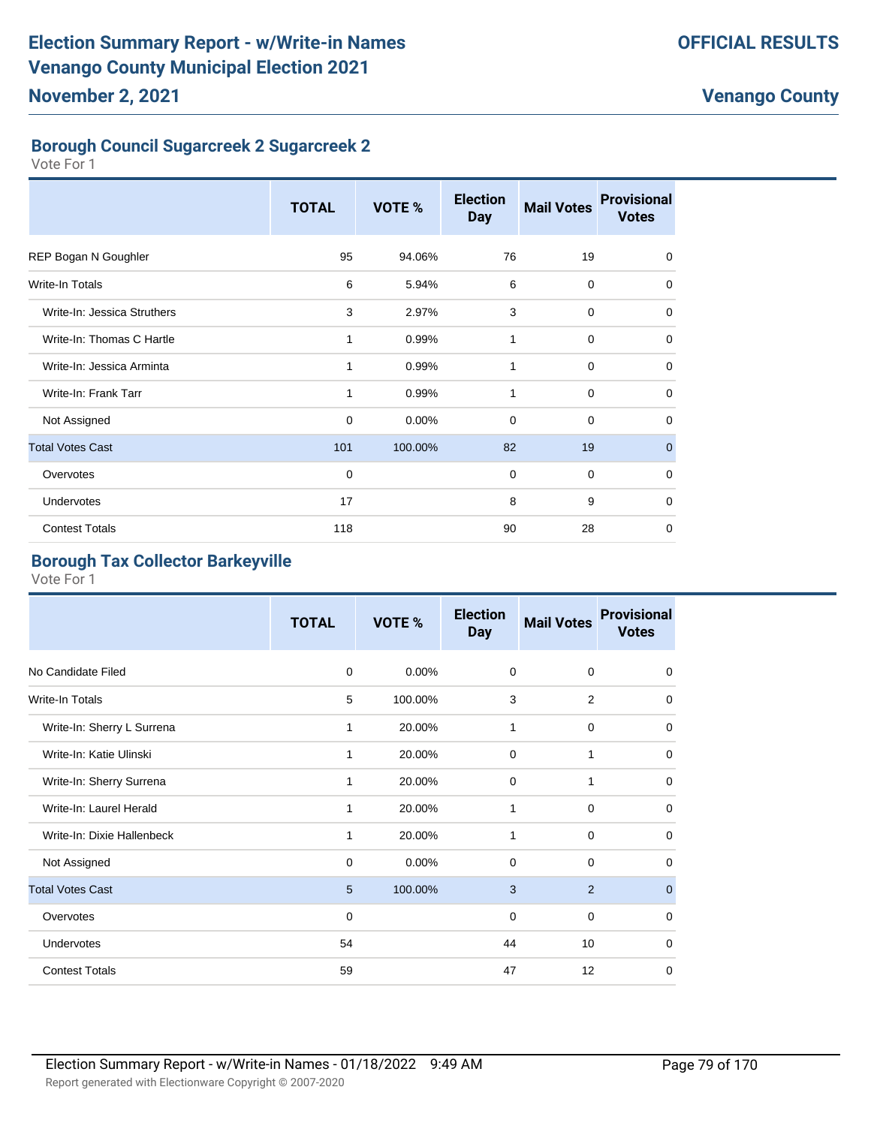## **Borough Council Sugarcreek 2 Sugarcreek 2**

Vote For 1

|                             | <b>TOTAL</b> | VOTE %  | <b>Election</b><br><b>Day</b> | <b>Mail Votes</b> | <b>Provisional</b><br><b>Votes</b> |
|-----------------------------|--------------|---------|-------------------------------|-------------------|------------------------------------|
| REP Bogan N Goughler        | 95           | 94.06%  | 76                            | 19                | $\mathbf 0$                        |
| <b>Write-In Totals</b>      | 6            | 5.94%   | 6                             | $\mathbf 0$       | $\mathbf 0$                        |
| Write-In: Jessica Struthers | 3            | 2.97%   | 3                             | 0                 | $\mathbf 0$                        |
| Write-In: Thomas C Hartle   | 1            | 0.99%   | 1                             | $\mathbf 0$       | $\mathbf 0$                        |
| Write-In: Jessica Arminta   | 1            | 0.99%   | 1                             | $\mathbf 0$       | $\mathbf 0$                        |
| Write-In: Frank Tarr        | 1            | 0.99%   | 1                             | $\mathbf 0$       | $\mathbf 0$                        |
| Not Assigned                | $\mathbf 0$  | 0.00%   | $\mathbf 0$                   | $\mathbf 0$       | $\mathbf 0$                        |
| <b>Total Votes Cast</b>     | 101          | 100.00% | 82                            | 19                | $\mathbf 0$                        |
| Overvotes                   | 0            |         | $\mathbf 0$                   | $\mathbf 0$       | $\mathbf 0$                        |
| Undervotes                  | 17           |         | 8                             | 9                 | $\mathbf 0$                        |
| <b>Contest Totals</b>       | 118          |         | 90                            | 28                | $\mathbf 0$                        |

#### **Borough Tax Collector Barkeyville**

|                            | <b>TOTAL</b> | VOTE %   | <b>Election</b><br><b>Day</b> | <b>Mail Votes</b> | <b>Provisional</b><br><b>Votes</b> |
|----------------------------|--------------|----------|-------------------------------|-------------------|------------------------------------|
| No Candidate Filed         | $\mathbf 0$  | $0.00\%$ | 0                             | 0                 | 0                                  |
| Write-In Totals            | 5            | 100.00%  | 3                             | 2                 | 0                                  |
| Write-In: Sherry L Surrena | 1            | 20.00%   | $\mathbf{1}$                  | 0                 | 0                                  |
| Write-In: Katie Ulinski    | 1            | 20.00%   | $\mathbf 0$                   | 1                 | 0                                  |
| Write-In: Sherry Surrena   | 1            | 20.00%   | $\mathbf 0$                   | 1                 | 0                                  |
| Write-In: Laurel Herald    | 1            | 20.00%   | 1                             | 0                 | 0                                  |
| Write-In: Dixie Hallenbeck | 1            | 20.00%   | 1                             | 0                 | 0                                  |
| Not Assigned               | $\mathbf 0$  | 0.00%    | 0                             | 0                 | 0                                  |
| <b>Total Votes Cast</b>    | 5            | 100.00%  | 3                             | 2                 | $\mathbf{0}$                       |
| Overvotes                  | $\mathbf 0$  |          | $\mathbf 0$                   | 0                 | 0                                  |
| Undervotes                 | 54           |          | 44                            | 10                | 0                                  |
| <b>Contest Totals</b>      | 59           |          | 47                            | 12                | $\Omega$                           |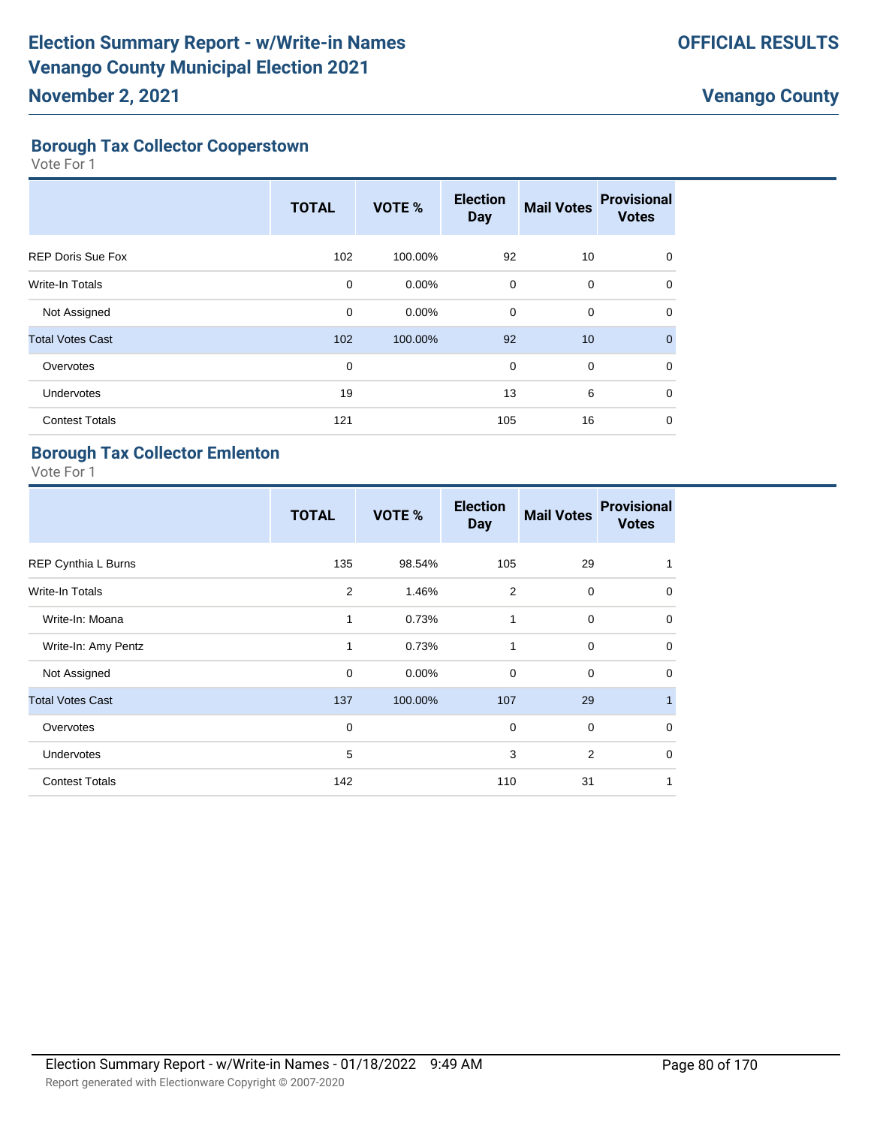#### **Borough Tax Collector Cooperstown**

Vote For 1

|                          | <b>TOTAL</b> | VOTE %   | <b>Election</b><br><b>Day</b> | <b>Mail Votes</b> | <b>Provisional</b><br><b>Votes</b> |
|--------------------------|--------------|----------|-------------------------------|-------------------|------------------------------------|
| <b>REP Doris Sue Fox</b> | 102          | 100.00%  | 92                            | 10                | 0                                  |
| <b>Write-In Totals</b>   | 0            | $0.00\%$ | $\mathbf 0$                   | 0                 | 0                                  |
| Not Assigned             | 0            | $0.00\%$ | 0                             | $\mathbf 0$       | 0                                  |
| <b>Total Votes Cast</b>  | 102          | 100.00%  | 92                            | 10                | $\Omega$                           |
| Overvotes                | 0            |          | $\mathbf 0$                   | 0                 | $\Omega$                           |
| Undervotes               | 19           |          | 13                            | 6                 | $\Omega$                           |
| <b>Contest Totals</b>    | 121          |          | 105                           | 16                | $\mathbf 0$                        |

#### **Borough Tax Collector Emlenton**

|                         | <b>TOTAL</b> | VOTE %  | <b>Election</b><br><b>Day</b> | <b>Mail Votes</b> | <b>Provisional</b><br><b>Votes</b> |
|-------------------------|--------------|---------|-------------------------------|-------------------|------------------------------------|
| REP Cynthia L Burns     | 135          | 98.54%  | 105                           | 29                | 1                                  |
| <b>Write-In Totals</b>  | 2            | 1.46%   | $\overline{2}$                | $\mathbf 0$       | $\mathbf 0$                        |
| Write-In: Moana         | 1            | 0.73%   | 1                             | $\mathbf 0$       | $\mathbf 0$                        |
| Write-In: Amy Pentz     | 1            | 0.73%   | 1                             | $\mathbf 0$       | $\mathbf 0$                        |
| Not Assigned            | $\mathbf 0$  | 0.00%   | $\mathbf 0$                   | $\Omega$          | $\mathbf 0$                        |
| <b>Total Votes Cast</b> | 137          | 100.00% | 107                           | 29                | 1                                  |
| Overvotes               | 0            |         | $\mathbf 0$                   | $\mathbf 0$       | $\mathbf 0$                        |
| Undervotes              | 5            |         | 3                             | 2                 | $\mathbf 0$                        |
| <b>Contest Totals</b>   | 142          |         | 110                           | 31                | 1                                  |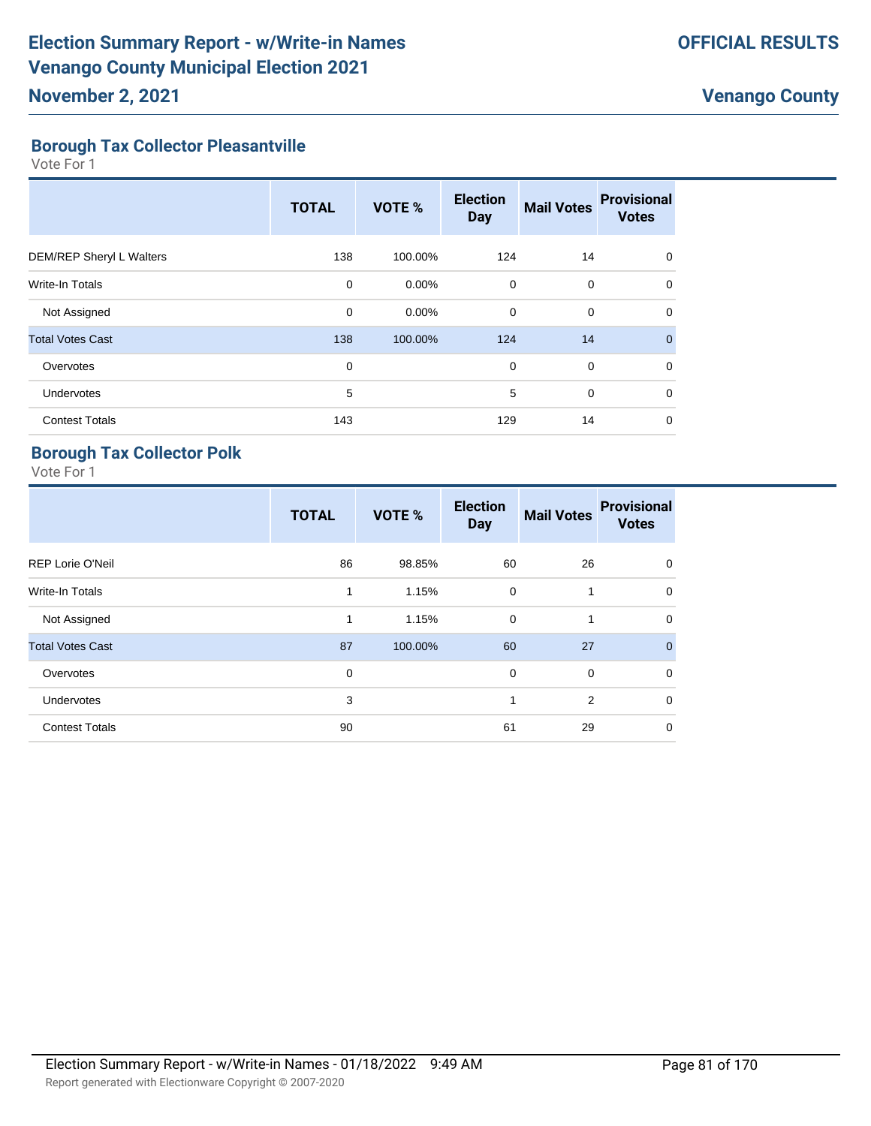### **Borough Tax Collector Pleasantville**

Vote For 1

|                          | <b>TOTAL</b> | VOTE %   | <b>Election</b><br><b>Day</b> | <b>Mail Votes</b> | <b>Provisional</b><br><b>Votes</b> |
|--------------------------|--------------|----------|-------------------------------|-------------------|------------------------------------|
| DEM/REP Sheryl L Walters | 138          | 100.00%  | 124                           | 14                | 0                                  |
| Write-In Totals          | 0            | $0.00\%$ | $\mathbf 0$                   | 0                 | 0                                  |
| Not Assigned             | $\mathbf 0$  | $0.00\%$ | $\mathbf 0$                   | $\mathbf 0$       | 0                                  |
| <b>Total Votes Cast</b>  | 138          | 100.00%  | 124                           | 14                | $\Omega$                           |
| Overvotes                | $\mathbf 0$  |          | $\mathbf 0$                   | 0                 | 0                                  |
| Undervotes               | 5            |          | 5                             | $\mathbf 0$       | 0                                  |
| <b>Contest Totals</b>    | 143          |          | 129                           | 14                | 0                                  |

## **Borough Tax Collector Polk**

|                         | <b>TOTAL</b> | VOTE %  | <b>Election</b><br><b>Day</b> | <b>Mail Votes</b> | <b>Provisional</b><br><b>Votes</b> |
|-------------------------|--------------|---------|-------------------------------|-------------------|------------------------------------|
| <b>REP Lorie O'Neil</b> | 86           | 98.85%  | 60                            | 26                | $\mathbf 0$                        |
| <b>Write-In Totals</b>  | 1            | 1.15%   | $\mathbf 0$                   | 1                 | $\mathbf 0$                        |
| Not Assigned            | $\mathbf{1}$ | 1.15%   | $\mathbf 0$                   | 1                 | $\mathbf 0$                        |
| <b>Total Votes Cast</b> | 87           | 100.00% | 60                            | 27                | $\overline{0}$                     |
| Overvotes               | $\mathbf 0$  |         | $\mathbf 0$                   | $\mathbf 0$       | $\mathbf 0$                        |
| Undervotes              | 3            |         | 1                             | 2                 | $\mathbf 0$                        |
| <b>Contest Totals</b>   | 90           |         | 61                            | 29                | $\mathbf 0$                        |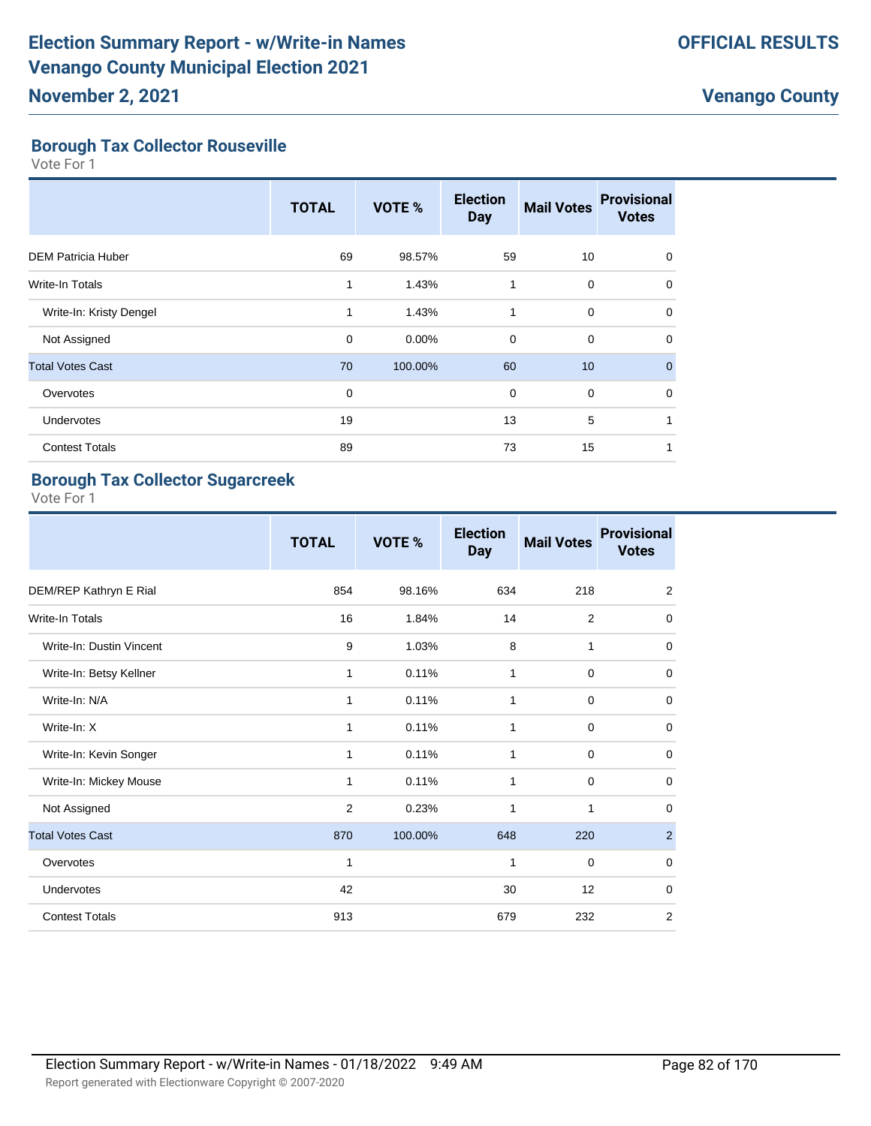#### **Borough Tax Collector Rouseville**

Vote For 1

|                           | <b>TOTAL</b> | VOTE %  | <b>Election</b><br><b>Day</b> | <b>Mail Votes</b> | <b>Provisional</b><br><b>Votes</b> |
|---------------------------|--------------|---------|-------------------------------|-------------------|------------------------------------|
| <b>DEM Patricia Huber</b> | 69           | 98.57%  | 59                            | 10                | $\mathbf 0$                        |
| <b>Write-In Totals</b>    | 1            | 1.43%   | 1                             | 0                 | $\mathbf 0$                        |
| Write-In: Kristy Dengel   | 1            | 1.43%   | 1                             | $\mathbf 0$       | $\mathbf 0$                        |
| Not Assigned              | 0            | 0.00%   | 0                             | 0                 | $\mathbf 0$                        |
| <b>Total Votes Cast</b>   | 70           | 100.00% | 60                            | 10                | $\mathbf{0}$                       |
| Overvotes                 | $\mathbf 0$  |         | $\mathbf 0$                   | 0                 | $\Omega$                           |
| Undervotes                | 19           |         | 13                            | 5                 |                                    |
| <b>Contest Totals</b>     | 89           |         | 73                            | 15                |                                    |

## **Borough Tax Collector Sugarcreek**

|                          | <b>TOTAL</b> | VOTE %  | <b>Election</b><br><b>Day</b> | <b>Mail Votes</b> | <b>Provisional</b><br><b>Votes</b> |
|--------------------------|--------------|---------|-------------------------------|-------------------|------------------------------------|
| DEM/REP Kathryn E Rial   | 854          | 98.16%  | 634                           | 218               | $\overline{2}$                     |
| <b>Write-In Totals</b>   | 16           | 1.84%   | 14                            | 2                 | $\mathbf 0$                        |
| Write-In: Dustin Vincent | 9            | 1.03%   | 8                             | 1                 | 0                                  |
| Write-In: Betsy Kellner  | 1            | 0.11%   | 1                             | $\mathbf 0$       | $\mathbf 0$                        |
| Write-In: N/A            | 1            | 0.11%   | 1                             | 0                 | $\mathbf 0$                        |
| Write-In: X              | 1            | 0.11%   | 1                             | $\mathbf 0$       | 0                                  |
| Write-In: Kevin Songer   | 1            | 0.11%   | 1                             | $\mathbf 0$       | 0                                  |
| Write-In: Mickey Mouse   | 1            | 0.11%   | 1                             | $\mathbf 0$       | 0                                  |
| Not Assigned             | 2            | 0.23%   | 1                             | 1                 | $\mathbf 0$                        |
| <b>Total Votes Cast</b>  | 870          | 100.00% | 648                           | 220               | $\overline{2}$                     |
| Overvotes                | 1            |         | 1                             | $\mathbf 0$       | $\mathbf 0$                        |
| Undervotes               | 42           |         | 30                            | 12                | 0                                  |
| <b>Contest Totals</b>    | 913          |         | 679                           | 232               | $\overline{2}$                     |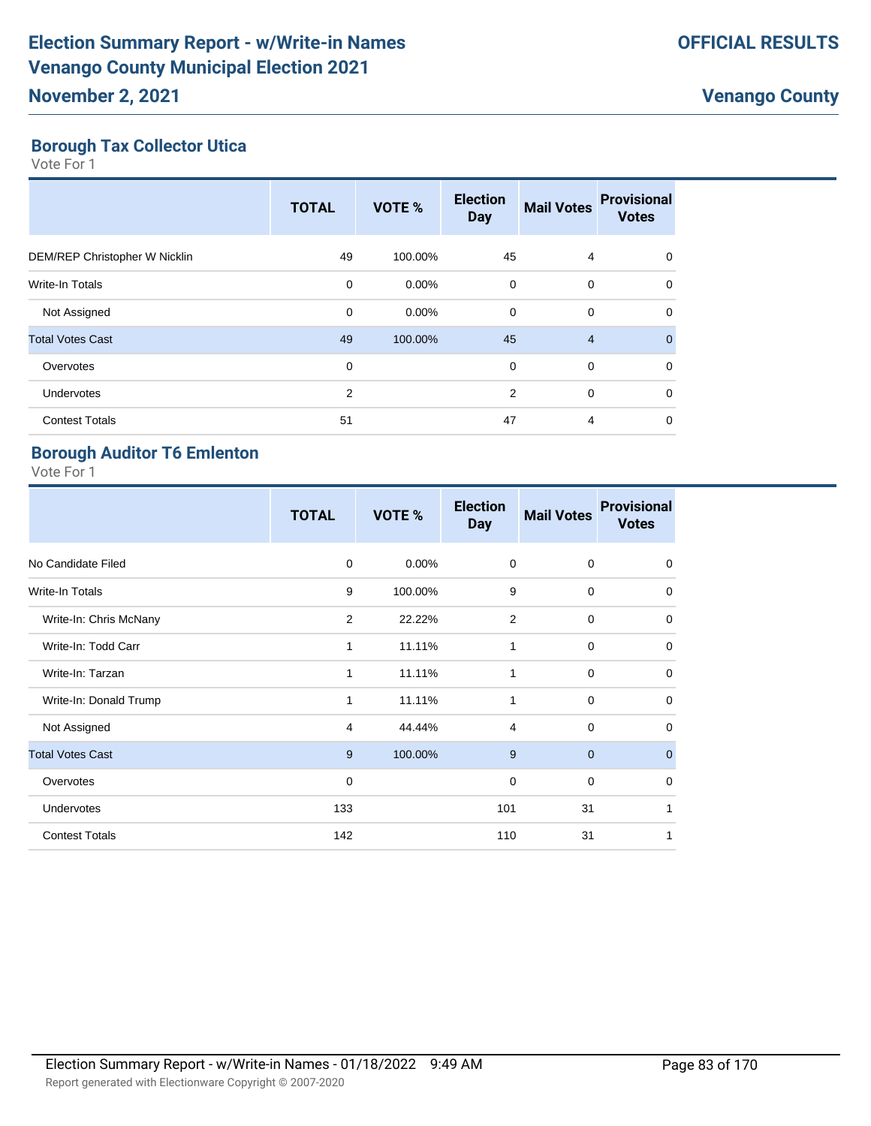## **Borough Tax Collector Utica**

Vote For 1

|                               | <b>TOTAL</b> | VOTE %   | <b>Election</b><br><b>Day</b> | <b>Mail Votes</b> | <b>Provisional</b><br><b>Votes</b> |
|-------------------------------|--------------|----------|-------------------------------|-------------------|------------------------------------|
| DEM/REP Christopher W Nicklin | 49           | 100.00%  | 45                            | 4                 | $\Omega$                           |
| <b>Write-In Totals</b>        | $\mathbf 0$  | $0.00\%$ | 0                             | 0                 | $\Omega$                           |
| Not Assigned                  | $\mathbf 0$  | $0.00\%$ | $\mathbf 0$                   | $\mathbf 0$       | $\Omega$                           |
| <b>Total Votes Cast</b>       | 49           | 100.00%  | 45                            | $\overline{4}$    | $\Omega$                           |
| Overvotes                     | $\mathbf 0$  |          | $\mathbf 0$                   | $\mathbf 0$       | $\Omega$                           |
| Undervotes                    | 2            |          | $\overline{2}$                | $\mathbf 0$       | $\Omega$                           |
| <b>Contest Totals</b>         | 51           |          | 47                            | 4                 | 0                                  |

#### **Borough Auditor T6 Emlenton**

|                         | <b>TOTAL</b>   | VOTE %   | <b>Election</b><br><b>Day</b> | <b>Mail Votes</b> | <b>Provisional</b><br><b>Votes</b> |
|-------------------------|----------------|----------|-------------------------------|-------------------|------------------------------------|
| No Candidate Filed      | 0              | $0.00\%$ | 0                             | 0                 | 0                                  |
| <b>Write-In Totals</b>  | 9              | 100.00%  | 9                             | $\Omega$          | $\mathbf 0$                        |
| Write-In: Chris McNany  | $\overline{2}$ | 22.22%   | 2                             | $\Omega$          | $\mathbf 0$                        |
| Write-In: Todd Carr     | 1              | 11.11%   | 1                             | $\mathbf 0$       | $\mathbf 0$                        |
| Write-In: Tarzan        | 1              | 11.11%   | 1                             | $\mathbf 0$       | $\mathbf 0$                        |
| Write-In: Donald Trump  | 1              | 11.11%   | 1                             | $\mathbf 0$       | $\mathbf 0$                        |
| Not Assigned            | 4              | 44.44%   | 4                             | $\mathbf 0$       | $\mathbf 0$                        |
| <b>Total Votes Cast</b> | 9              | 100.00%  | 9                             | $\mathbf{0}$      | $\mathbf 0$                        |
| Overvotes               | $\mathbf 0$    |          | $\mathbf 0$                   | $\mathbf 0$       | $\mathbf 0$                        |
| Undervotes              | 133            |          | 101                           | 31                | 1                                  |
| <b>Contest Totals</b>   | 142            |          | 110                           | 31                | 1                                  |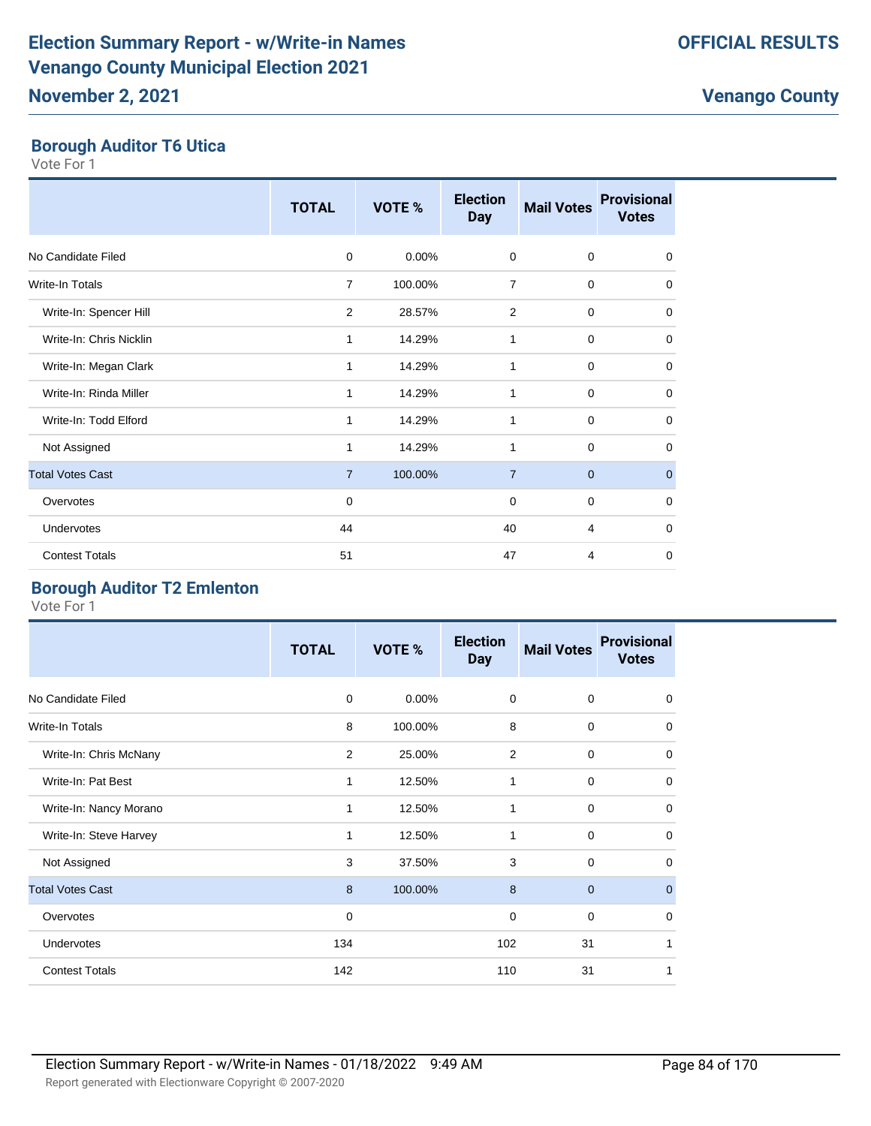#### **Borough Auditor T6 Utica**

Vote For 1

|                         | <b>TOTAL</b>   | VOTE %   | <b>Election</b><br><b>Day</b> | <b>Mail Votes</b> | <b>Provisional</b><br><b>Votes</b> |
|-------------------------|----------------|----------|-------------------------------|-------------------|------------------------------------|
| No Candidate Filed      | $\mathbf 0$    | $0.00\%$ | 0                             | $\mathbf 0$       | $\mathbf 0$                        |
| Write-In Totals         | 7              | 100.00%  | 7                             | 0                 | 0                                  |
| Write-In: Spencer Hill  | 2              | 28.57%   | 2                             | 0                 | $\mathbf 0$                        |
| Write-In: Chris Nicklin | 1              | 14.29%   | 1                             | 0                 | $\mathbf 0$                        |
| Write-In: Megan Clark   | 1              | 14.29%   | 1                             | $\mathbf 0$       | $\mathbf 0$                        |
| Write-In: Rinda Miller  | 1              | 14.29%   | 1                             | 0                 | $\mathbf 0$                        |
| Write-In: Todd Elford   | 1              | 14.29%   | 1                             | $\mathbf 0$       | 0                                  |
| Not Assigned            | $\mathbf{1}$   | 14.29%   | 1                             | $\mathbf 0$       | 0                                  |
| <b>Total Votes Cast</b> | $\overline{7}$ | 100.00%  | $\overline{7}$                | $\mathbf{0}$      | $\mathbf 0$                        |
| Overvotes               | $\mathbf 0$    |          | 0                             | $\mathbf 0$       | 0                                  |
| Undervotes              | 44             |          | 40                            | $\overline{4}$    | 0                                  |
| <b>Contest Totals</b>   | 51             |          | 47                            | 4                 | 0                                  |

## **Borough Auditor T2 Emlenton**

|                         | <b>TOTAL</b> | VOTE %   | <b>Election</b><br><b>Day</b> | <b>Mail Votes</b> | <b>Provisional</b><br><b>Votes</b> |
|-------------------------|--------------|----------|-------------------------------|-------------------|------------------------------------|
| No Candidate Filed      | $\mathbf 0$  | $0.00\%$ | $\mathbf 0$                   | $\mathbf 0$       | 0                                  |
| <b>Write-In Totals</b>  | 8            | 100.00%  | 8                             | $\mathbf 0$       | 0                                  |
| Write-In: Chris McNany  | 2            | 25.00%   | 2                             | $\mathbf 0$       | $\mathbf 0$                        |
| Write-In: Pat Best      | $\mathbf{1}$ | 12.50%   | 1                             | $\mathbf 0$       | $\mathbf 0$                        |
| Write-In: Nancy Morano  | 1            | 12.50%   | 1                             | $\mathbf 0$       | $\Omega$                           |
| Write-In: Steve Harvey  |              | 12.50%   | 1                             | $\mathbf 0$       | $\mathbf 0$                        |
| Not Assigned            | 3            | 37.50%   | 3                             | $\mathbf 0$       | $\mathbf 0$                        |
| <b>Total Votes Cast</b> | 8            | 100.00%  | 8                             | $\mathbf{0}$      | $\mathbf{0}$                       |
| Overvotes               | 0            |          | 0                             | $\mathbf 0$       | 0                                  |
| <b>Undervotes</b>       | 134          |          | 102                           | 31                | 1                                  |
| <b>Contest Totals</b>   | 142          |          | 110                           | 31                |                                    |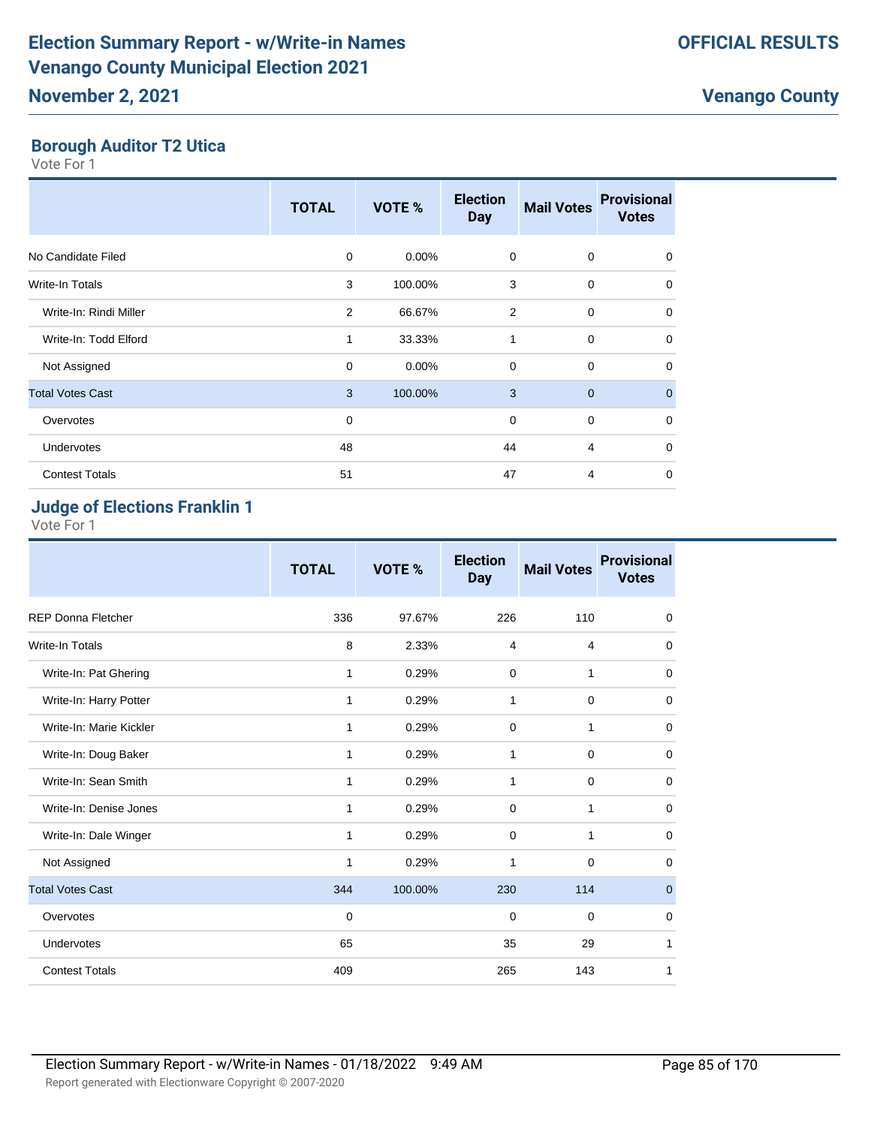#### **Borough Auditor T2 Utica**

Vote For 1

|                         | <b>TOTAL</b> | <b>VOTE %</b> | <b>Election</b><br><b>Day</b> | <b>Mail Votes</b> | <b>Provisional</b><br><b>Votes</b> |
|-------------------------|--------------|---------------|-------------------------------|-------------------|------------------------------------|
| No Candidate Filed      | 0            | 0.00%         | $\mathbf 0$                   | 0                 | 0                                  |
| Write-In Totals         | 3            | 100.00%       | 3                             | $\mathbf 0$       | $\Omega$                           |
| Write-In: Rindi Miller  | 2            | 66.67%        | $\overline{2}$                | $\mathbf 0$       | $\mathbf 0$                        |
| Write-In: Todd Elford   | 1            | 33.33%        | 1                             | $\mathbf 0$       | $\mathbf 0$                        |
| Not Assigned            | 0            | 0.00%         | $\Omega$                      | $\mathbf 0$       | $\Omega$                           |
| <b>Total Votes Cast</b> | 3            | 100.00%       | 3                             | $\overline{0}$    | $\mathbf{0}$                       |
| Overvotes               | 0            |               | $\mathbf 0$                   | $\mathbf 0$       | $\mathbf 0$                        |
| Undervotes              | 48           |               | 44                            | 4                 | $\Omega$                           |
| <b>Contest Totals</b>   | 51           |               | 47                            | 4                 | 0                                  |

## **Judge of Elections Franklin 1**

|                           | <b>TOTAL</b> | VOTE %  | <b>Election</b><br><b>Day</b> | <b>Mail Votes</b> | <b>Provisional</b><br><b>Votes</b> |
|---------------------------|--------------|---------|-------------------------------|-------------------|------------------------------------|
| <b>REP Donna Fletcher</b> | 336          | 97.67%  | 226                           | 110               | $\mathbf 0$                        |
| <b>Write-In Totals</b>    | 8            | 2.33%   | 4                             | $\overline{4}$    | $\mathbf 0$                        |
| Write-In: Pat Ghering     | 1            | 0.29%   | $\mathbf 0$                   | 1                 | $\mathbf 0$                        |
| Write-In: Harry Potter    | 1            | 0.29%   | 1                             | $\mathbf 0$       | $\mathbf 0$                        |
| Write-In: Marie Kickler   | $\mathbf{1}$ | 0.29%   | 0                             | 1                 | 0                                  |
| Write-In: Doug Baker      | 1            | 0.29%   | 1                             | $\mathbf 0$       | 0                                  |
| Write-In: Sean Smith      | 1            | 0.29%   | $\mathbf{1}$                  | $\mathbf 0$       | $\mathbf 0$                        |
| Write-In: Denise Jones    | 1            | 0.29%   | 0                             | 1                 | $\mathbf 0$                        |
| Write-In: Dale Winger     | 1            | 0.29%   | 0                             | 1                 | 0                                  |
| Not Assigned              | 1            | 0.29%   | 1                             | $\mathbf 0$       | $\mathbf 0$                        |
| <b>Total Votes Cast</b>   | 344          | 100.00% | 230                           | 114               | $\pmb{0}$                          |
| Overvotes                 | 0            |         | 0                             | $\mathbf 0$       | 0                                  |
| Undervotes                | 65           |         | 35                            | 29                | 1                                  |
| <b>Contest Totals</b>     | 409          |         | 265                           | 143               | 1                                  |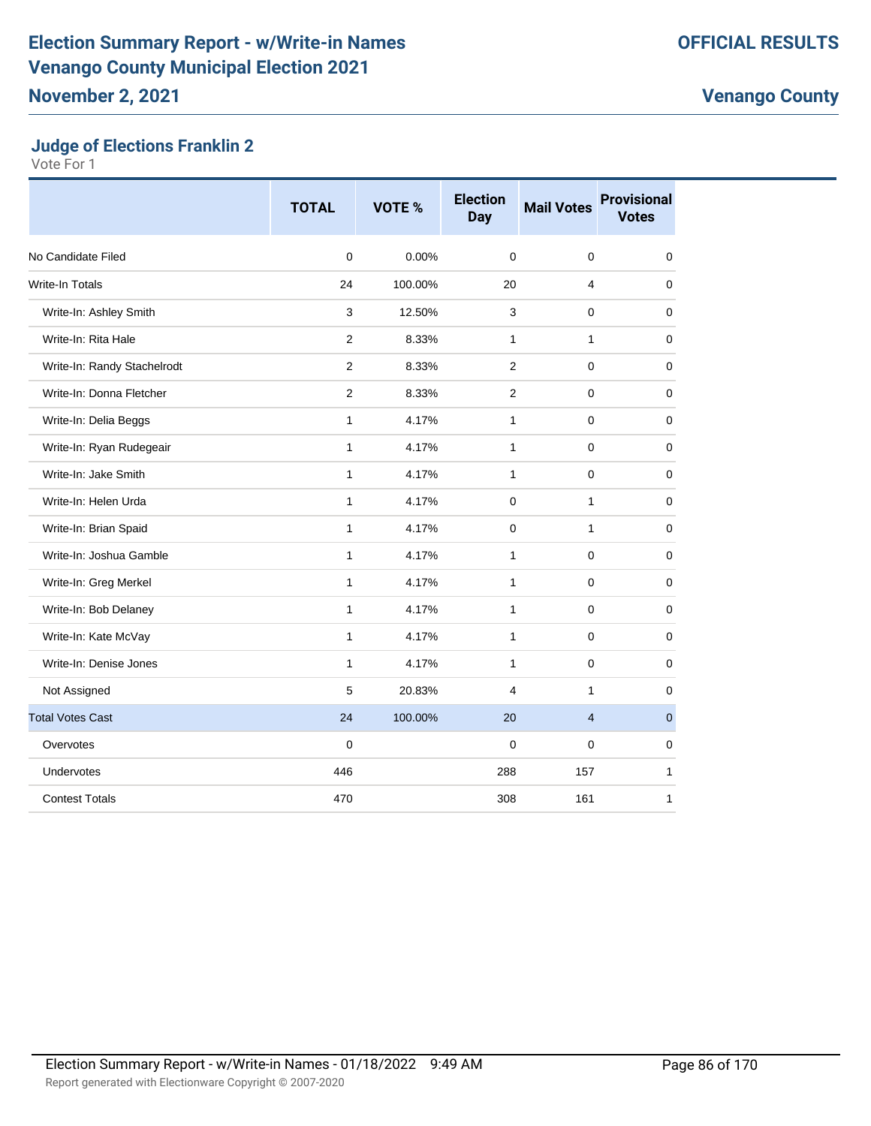#### **Judge of Elections Franklin 2**

|                             | <b>TOTAL</b>   | <b>VOTE %</b> | <b>Election</b><br><b>Day</b> | <b>Mail Votes</b> | <b>Provisional</b><br><b>Votes</b> |
|-----------------------------|----------------|---------------|-------------------------------|-------------------|------------------------------------|
| No Candidate Filed          | 0              | 0.00%         | $\mathbf 0$                   | $\mathbf 0$       | 0                                  |
| <b>Write-In Totals</b>      | 24             | 100.00%       | 20                            | 4                 | 0                                  |
| Write-In: Ashley Smith      | 3              | 12.50%        | 3                             | $\Omega$          | $\overline{0}$                     |
| Write-In: Rita Hale         | $\overline{2}$ | 8.33%         | $\mathbf{1}$                  | 1                 | $\mathbf 0$                        |
| Write-In: Randy Stachelrodt | $\overline{2}$ | 8.33%         | 2                             | 0                 | $\mathbf 0$                        |
| Write-In: Donna Fletcher    | 2              | 8.33%         | 2                             | 0                 | 0                                  |
| Write-In: Delia Beggs       | 1              | 4.17%         | 1                             | $\pmb{0}$         | 0                                  |
| Write-In: Ryan Rudegeair    | $\mathbf{1}$   | 4.17%         | $\mathbf{1}$                  | 0                 | $\mathbf 0$                        |
| Write-In: Jake Smith        | 1              | 4.17%         | $\mathbf{1}$                  | 0                 | 0                                  |
| Write-In: Helen Urda        | $\mathbf{1}$   | 4.17%         | $\mathbf 0$                   | 1                 | 0                                  |
| Write-In: Brian Spaid       | $\mathbf{1}$   | 4.17%         | 0                             | 1                 | 0                                  |
| Write-In: Joshua Gamble     | $\mathbf{1}$   | 4.17%         | 1                             | 0                 | 0                                  |
| Write-In: Greg Merkel       | $\mathbf{1}$   | 4.17%         | $\mathbf{1}$                  | 0                 | $\mathbf 0$                        |
| Write-In: Bob Delaney       | $\mathbf{1}$   | 4.17%         | $\mathbf{1}$                  | 0                 | $\mathbf 0$                        |
| Write-In: Kate McVay        | $\mathbf{1}$   | 4.17%         | $\mathbf{1}$                  | 0                 | 0                                  |
| Write-In: Denise Jones      | $\mathbf{1}$   | 4.17%         | $\mathbf{1}$                  | 0                 | 0                                  |
| Not Assigned                | 5              | 20.83%        | $\overline{4}$                | $\mathbf{1}$      | $\mathbf 0$                        |
| <b>Total Votes Cast</b>     | 24             | 100.00%       | 20                            | $\overline{4}$    | $\mathbf{0}$                       |
| Overvotes                   | 0              |               | $\mathbf 0$                   | $\mathbf 0$       | $\mathbf 0$                        |
| Undervotes                  | 446            |               | 288                           | 157               | $\mathbf{1}$                       |
| <b>Contest Totals</b>       | 470            |               | 308                           | 161               | 1                                  |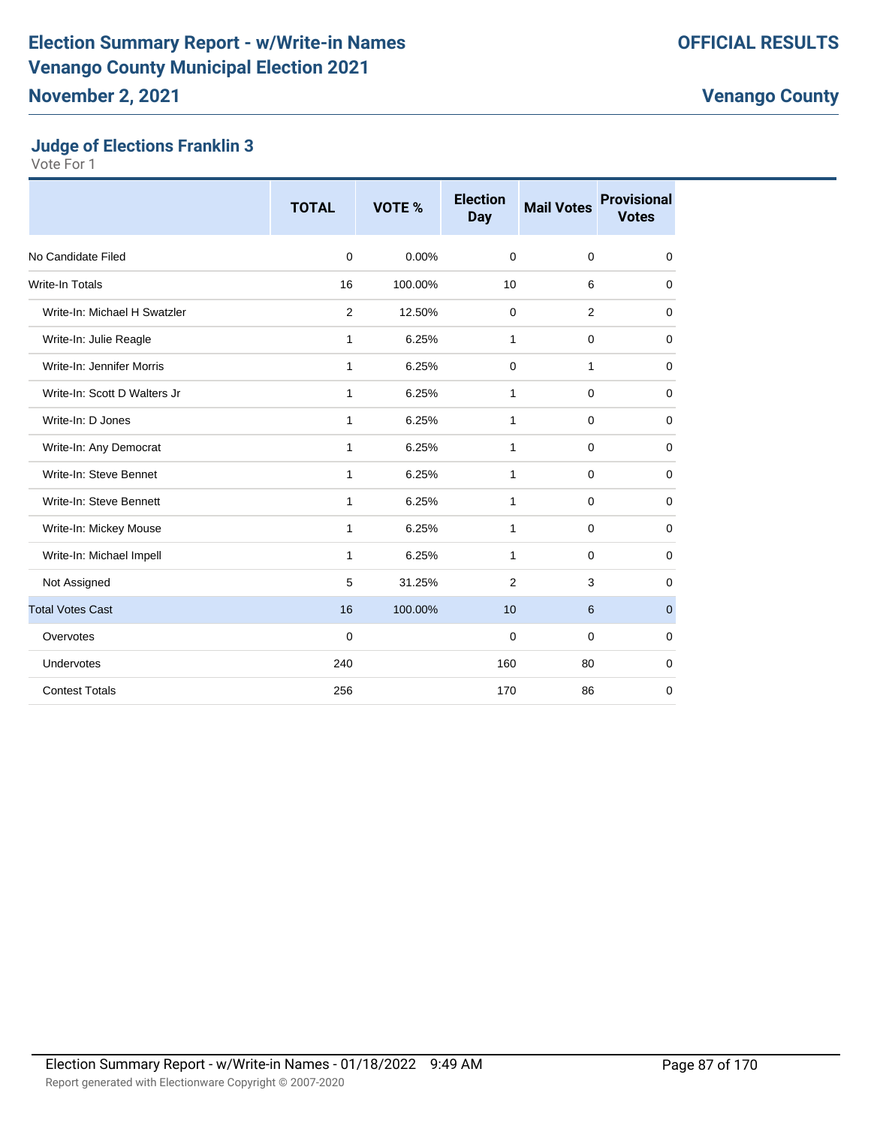#### **Judge of Elections Franklin 3**

|                              | <b>TOTAL</b> | VOTE %  | <b>Election</b><br><b>Day</b> | <b>Mail Votes</b> | <b>Provisional</b><br><b>Votes</b> |
|------------------------------|--------------|---------|-------------------------------|-------------------|------------------------------------|
| No Candidate Filed           | $\mathbf 0$  | 0.00%   | $\mathbf 0$                   | $\mathbf 0$       | 0                                  |
| <b>Write-In Totals</b>       | 16           | 100.00% | 10                            | 6                 | $\mathbf 0$                        |
| Write-In: Michael H Swatzler | 2            | 12.50%  | $\mathbf 0$                   | 2                 | $\mathbf 0$                        |
| Write-In: Julie Reagle       | 1            | 6.25%   | $\mathbf{1}$                  | $\mathbf 0$       | $\mathbf 0$                        |
| Write-In: Jennifer Morris    | 1            | 6.25%   | 0                             | 1                 | 0                                  |
| Write-In: Scott D Walters Jr | 1            | 6.25%   | 1                             | $\mathbf 0$       | $\mathbf 0$                        |
| Write-In: D Jones            | 1            | 6.25%   | 1                             | $\mathbf 0$       | 0                                  |
| Write-In: Any Democrat       | 1            | 6.25%   | 1                             | $\mathbf 0$       | 0                                  |
| Write-In: Steve Bennet       | 1            | 6.25%   | $\mathbf{1}$                  | $\mathbf 0$       | $\mathbf 0$                        |
| Write-In: Steve Bennett      | 1            | 6.25%   | $\mathbf{1}$                  | $\mathbf 0$       | 0                                  |
| Write-In: Mickey Mouse       | 1            | 6.25%   | 1                             | $\mathbf 0$       | 0                                  |
| Write-In: Michael Impell     | 1            | 6.25%   | $\mathbf{1}$                  | $\mathbf 0$       | 0                                  |
| Not Assigned                 | 5            | 31.25%  | $\overline{2}$                | 3                 | 0                                  |
| <b>Total Votes Cast</b>      | 16           | 100.00% | 10                            | 6                 | $\mathbf 0$                        |
| Overvotes                    | $\mathbf 0$  |         | 0                             | $\mathbf 0$       | 0                                  |
| Undervotes                   | 240          |         | 160                           | 80                | $\mathbf 0$                        |
| <b>Contest Totals</b>        | 256          |         | 170                           | 86                | $\mathbf 0$                        |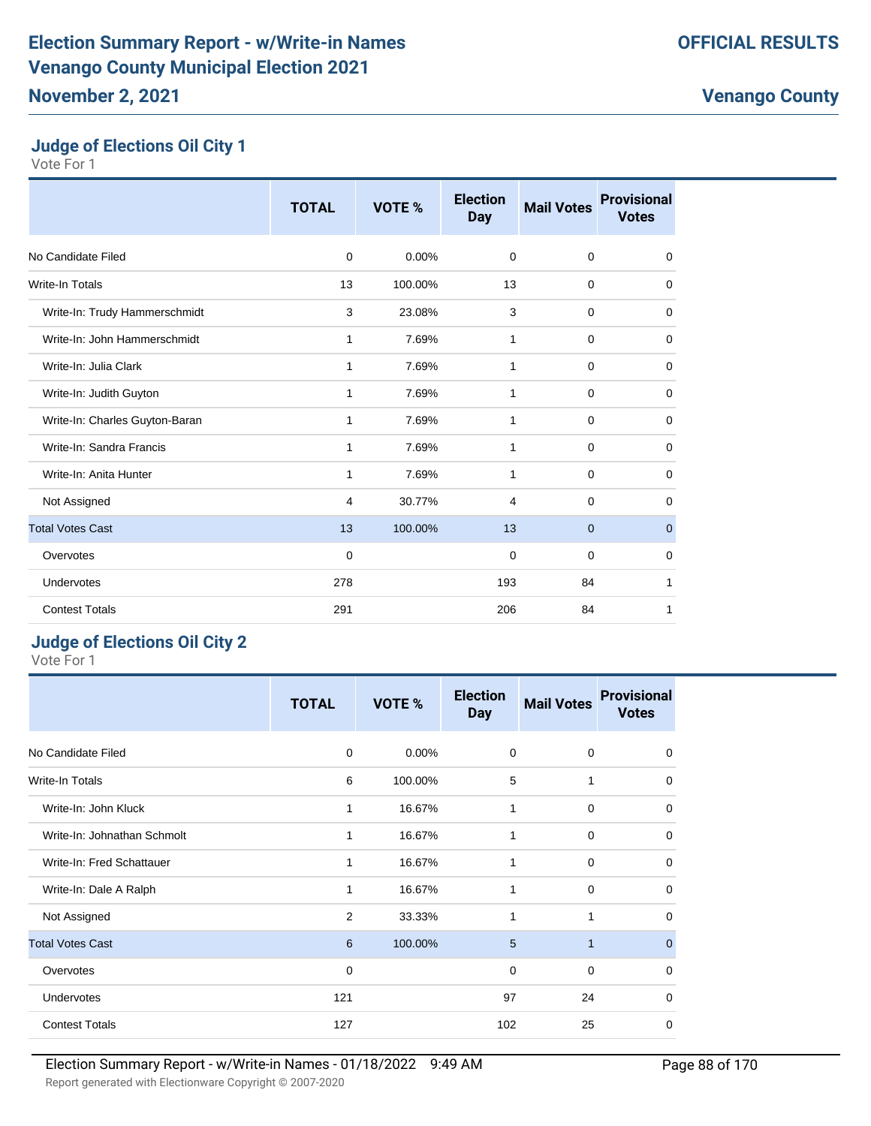## **Judge of Elections Oil City 1**

Vote For 1

|                                | <b>TOTAL</b> | VOTE %   | <b>Election</b><br><b>Day</b> | <b>Mail Votes</b> | <b>Provisional</b><br><b>Votes</b> |
|--------------------------------|--------------|----------|-------------------------------|-------------------|------------------------------------|
| No Candidate Filed             | $\mathbf 0$  | $0.00\%$ | $\mathbf 0$                   | $\mathbf 0$       | $\mathbf 0$                        |
| <b>Write-In Totals</b>         | 13           | 100.00%  | 13                            | 0                 | $\mathbf 0$                        |
| Write-In: Trudy Hammerschmidt  | 3            | 23.08%   | 3                             | $\mathbf 0$       | $\mathbf 0$                        |
| Write-In: John Hammerschmidt   | 1            | 7.69%    | 1                             | $\mathbf 0$       | $\mathbf 0$                        |
| Write-In: Julia Clark          | 1            | 7.69%    | 1                             | $\mathbf 0$       | $\mathbf 0$                        |
| Write-In: Judith Guyton        | 1            | 7.69%    | $\mathbf{1}$                  | $\mathbf 0$       | $\mathbf 0$                        |
| Write-In: Charles Guyton-Baran | 1            | 7.69%    | 1                             | $\mathbf 0$       | $\mathbf 0$                        |
| Write-In: Sandra Francis       | 1            | 7.69%    | 1                             | 0                 | 0                                  |
| Write-In: Anita Hunter         | 1            | 7.69%    | 1                             | $\mathbf 0$       | $\mathbf 0$                        |
| Not Assigned                   | 4            | 30.77%   | $\overline{4}$                | $\mathbf 0$       | 0                                  |
| <b>Total Votes Cast</b>        | 13           | 100.00%  | 13                            | $\overline{0}$    | $\pmb{0}$                          |
| Overvotes                      | 0            |          | $\mathbf 0$                   | $\mathbf 0$       | $\mathbf 0$                        |
| Undervotes                     | 278          |          | 193                           | 84                | 1                                  |
| <b>Contest Totals</b>          | 291          |          | 206                           | 84                | 1                                  |

## **Judge of Elections Oil City 2**

|                             | <b>TOTAL</b> | VOTE %  | <b>Election</b><br><b>Day</b> | <b>Mail Votes</b> | <b>Provisional</b><br><b>Votes</b> |
|-----------------------------|--------------|---------|-------------------------------|-------------------|------------------------------------|
| No Candidate Filed          | $\mathbf 0$  | 0.00%   | 0                             | $\mathbf 0$       | 0                                  |
| Write-In Totals             | 6            | 100.00% | 5                             | 1                 | 0                                  |
| Write-In: John Kluck        | 1            | 16.67%  | 1                             | $\mathbf 0$       | $\Omega$                           |
| Write-In: Johnathan Schmolt | 1            | 16.67%  | 1                             | $\mathbf 0$       | $\mathbf 0$                        |
| Write-In: Fred Schattauer   | 1            | 16.67%  | $\mathbf{1}$                  | $\mathbf 0$       | 0                                  |
| Write-In: Dale A Ralph      | 1            | 16.67%  | 1                             | $\mathbf 0$       | 0                                  |
| Not Assigned                | 2            | 33.33%  | 1                             | 1                 | 0                                  |
| <b>Total Votes Cast</b>     | 6            | 100.00% | 5                             | 1                 | $\mathbf{0}$                       |
| Overvotes                   | 0            |         | $\mathbf 0$                   | $\mathbf 0$       | $\mathbf 0$                        |
| <b>Undervotes</b>           | 121          |         | 97                            | 24                | $\mathbf 0$                        |
| <b>Contest Totals</b>       | 127          |         | 102                           | 25                | 0                                  |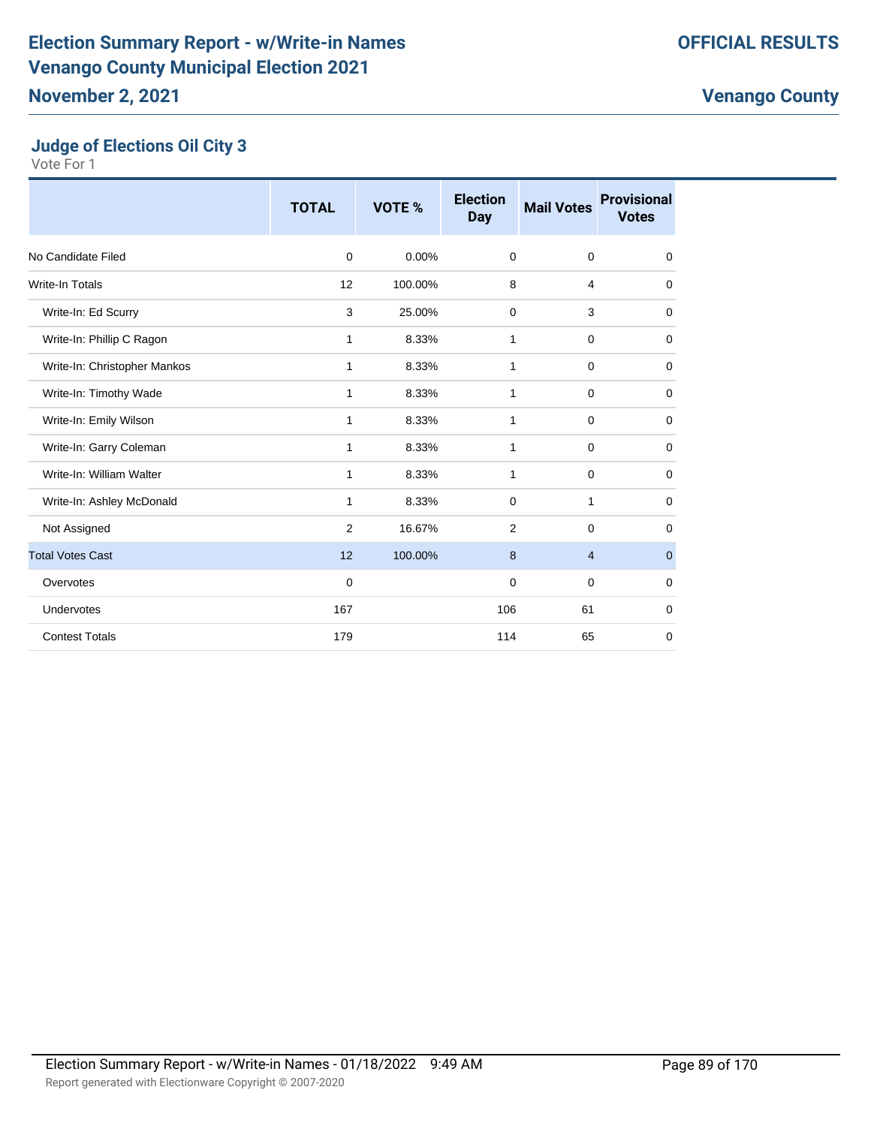## **Judge of Elections Oil City 3**

|                              | <b>TOTAL</b> | VOTE %   | <b>Election</b><br><b>Day</b> | <b>Mail Votes</b> | <b>Provisional</b><br><b>Votes</b> |
|------------------------------|--------------|----------|-------------------------------|-------------------|------------------------------------|
| No Candidate Filed           | $\mathbf 0$  | $0.00\%$ | $\mathbf 0$                   | $\mathbf 0$       | $\mathbf 0$                        |
| <b>Write-In Totals</b>       | 12           | 100.00%  | 8                             | $\overline{4}$    | $\mathbf 0$                        |
| Write-In: Ed Scurry          | 3            | 25.00%   | 0                             | 3                 | 0                                  |
| Write-In: Phillip C Ragon    | 1            | 8.33%    | 1                             | $\mathbf 0$       | $\mathbf 0$                        |
| Write-In: Christopher Mankos | 1            | 8.33%    | 1                             | 0                 | $\mathbf 0$                        |
| Write-In: Timothy Wade       | 1            | 8.33%    | 1                             | $\mathbf 0$       | 0                                  |
| Write-In: Emily Wilson       | 1            | 8.33%    | 1                             | $\mathbf 0$       | $\mathbf 0$                        |
| Write-In: Garry Coleman      | 1            | 8.33%    | 1                             | $\mathbf 0$       | $\mathbf 0$                        |
| Write-In: William Walter     | 1            | 8.33%    | 1                             | $\mathbf 0$       | $\mathbf 0$                        |
| Write-In: Ashley McDonald    | 1            | 8.33%    | $\mathbf 0$                   | 1                 | 0                                  |
| Not Assigned                 | 2            | 16.67%   | 2                             | 0                 | 0                                  |
| <b>Total Votes Cast</b>      | 12           | 100.00%  | 8                             | $\overline{4}$    | $\mathbf{0}$                       |
| Overvotes                    | $\mathbf 0$  |          | 0                             | 0                 | 0                                  |
| Undervotes                   | 167          |          | 106                           | 61                | 0                                  |
| <b>Contest Totals</b>        | 179          |          | 114                           | 65                | $\mathbf 0$                        |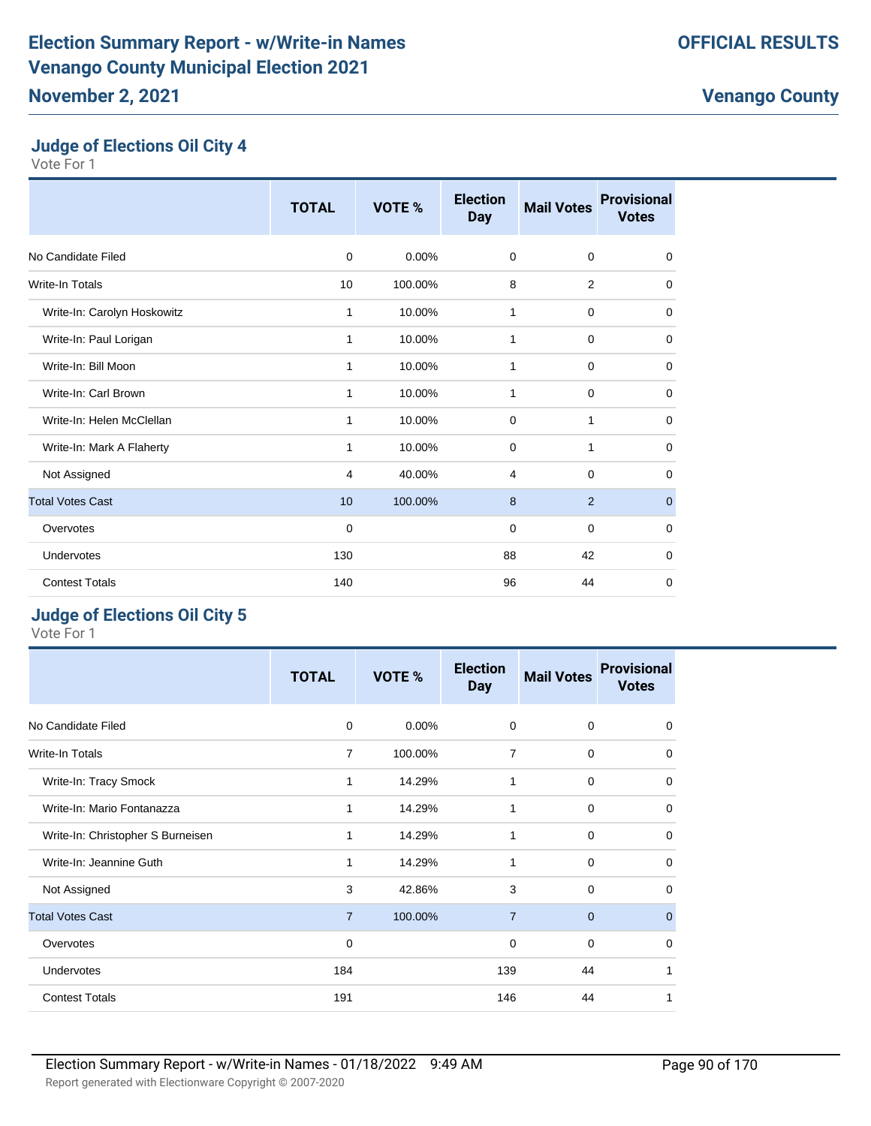## **Judge of Elections Oil City 4**

Vote For 1

|                             | <b>TOTAL</b> | VOTE %   | <b>Election</b><br><b>Day</b> | <b>Mail Votes</b> | <b>Provisional</b><br><b>Votes</b> |
|-----------------------------|--------------|----------|-------------------------------|-------------------|------------------------------------|
| No Candidate Filed          | 0            | $0.00\%$ | $\mathbf 0$                   | 0                 | $\mathbf 0$                        |
| <b>Write-In Totals</b>      | 10           | 100.00%  | 8                             | $\overline{2}$    | $\mathbf 0$                        |
| Write-In: Carolyn Hoskowitz | 1            | 10.00%   | 1                             | $\mathbf 0$       | $\mathbf 0$                        |
| Write-In: Paul Lorigan      | 1            | 10.00%   | 1                             | $\mathbf 0$       | $\mathbf 0$                        |
| Write-In: Bill Moon         | 1            | 10.00%   | 1                             | 0                 | 0                                  |
| Write-In: Carl Brown        | 1            | 10.00%   | 1                             | $\mathbf 0$       | $\mathbf 0$                        |
| Write-In: Helen McClellan   | 1            | 10.00%   | 0                             | 1                 | $\mathbf 0$                        |
| Write-In: Mark A Flaherty   | $\mathbf{1}$ | 10.00%   | $\mathbf 0$                   | $\mathbf{1}$      | $\mathbf 0$                        |
| Not Assigned                | 4            | 40.00%   | 4                             | $\mathbf 0$       | $\mathbf 0$                        |
| <b>Total Votes Cast</b>     | 10           | 100.00%  | 8                             | 2                 | $\mathbf 0$                        |
| Overvotes                   | $\mathbf 0$  |          | 0                             | $\mathbf 0$       | $\mathbf 0$                        |
| Undervotes                  | 130          |          | 88                            | 42                | $\mathbf 0$                        |
| <b>Contest Totals</b>       | 140          |          | 96                            | 44                | $\mathbf 0$                        |

## **Judge of Elections Oil City 5**

|                                   | <b>TOTAL</b>   | VOTE %   | <b>Election</b><br><b>Day</b> | <b>Mail Votes</b> | <b>Provisional</b><br><b>Votes</b> |
|-----------------------------------|----------------|----------|-------------------------------|-------------------|------------------------------------|
| No Candidate Filed                | 0              | $0.00\%$ | 0                             | 0                 | 0                                  |
| <b>Write-In Totals</b>            | $\overline{7}$ | 100.00%  | 7                             | $\Omega$          | $\Omega$                           |
| Write-In: Tracy Smock             | 1              | 14.29%   | 1                             | $\mathbf 0$       | $\mathbf 0$                        |
| Write-In: Mario Fontanazza        | 1              | 14.29%   | 1                             | $\mathbf 0$       | $\mathbf 0$                        |
| Write-In: Christopher S Burneisen |                | 14.29%   | 1                             | $\mathbf 0$       | $\mathbf 0$                        |
| Write-In: Jeannine Guth           | 1              | 14.29%   | 1                             | $\mathbf 0$       | $\mathbf 0$                        |
| Not Assigned                      | 3              | 42.86%   | 3                             | $\Omega$          | $\mathbf 0$                        |
| <b>Total Votes Cast</b>           | $\overline{7}$ | 100.00%  | $\overline{7}$                | $\overline{0}$    | $\mathbf 0$                        |
| Overvotes                         | $\Omega$       |          | 0                             | $\mathbf 0$       | $\Omega$                           |
| Undervotes                        | 184            |          | 139                           | 44                | 1                                  |
| <b>Contest Totals</b>             | 191            |          | 146                           | 44                | 1                                  |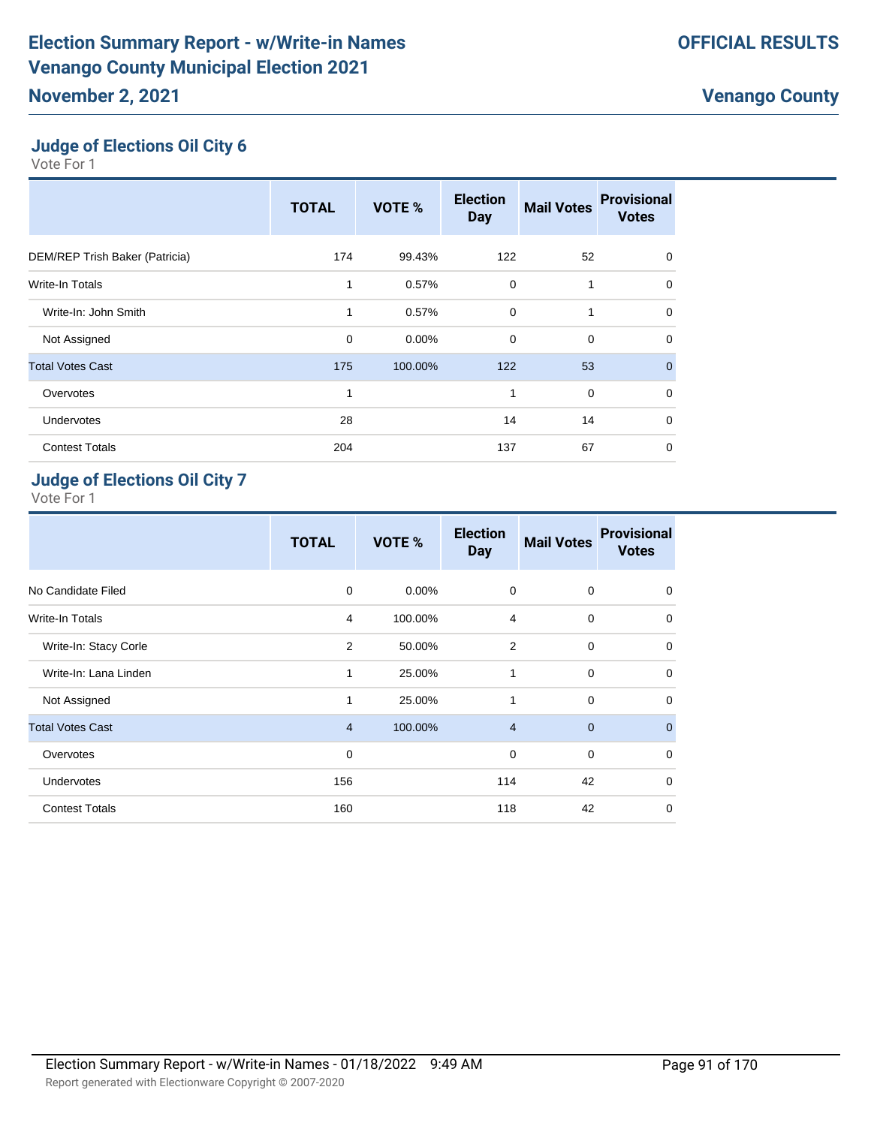# **Judge of Elections Oil City 6**

Vote For 1

|                                | <b>TOTAL</b> | VOTE %  | <b>Election</b><br><b>Day</b> | <b>Mail Votes</b> | <b>Provisional</b><br><b>Votes</b> |
|--------------------------------|--------------|---------|-------------------------------|-------------------|------------------------------------|
| DEM/REP Trish Baker (Patricia) | 174          | 99.43%  | 122                           | 52                | $\mathbf 0$                        |
| <b>Write-In Totals</b>         | 1            | 0.57%   | 0                             | 1                 | $\mathbf 0$                        |
| Write-In: John Smith           | 1            | 0.57%   | $\mathbf 0$                   | 1                 | $\Omega$                           |
| Not Assigned                   | 0            | 0.00%   | $\mathbf 0$                   | $\mathbf 0$       | $\mathbf 0$                        |
| <b>Total Votes Cast</b>        | 175          | 100.00% | 122                           | 53                | $\mathbf{0}$                       |
| Overvotes                      | 1            |         | 1                             | $\mathbf 0$       | $\mathbf 0$                        |
| Undervotes                     | 28           |         | 14                            | 14                | $\mathbf 0$                        |
| <b>Contest Totals</b>          | 204          |         | 137                           | 67                | $\mathbf 0$                        |

## **Judge of Elections Oil City 7**

|                         | <b>TOTAL</b>   | VOTE %   | <b>Election</b><br><b>Day</b> | <b>Mail Votes</b> | <b>Provisional</b><br><b>Votes</b> |
|-------------------------|----------------|----------|-------------------------------|-------------------|------------------------------------|
| No Candidate Filed      | $\mathbf 0$    | $0.00\%$ | 0                             | $\mathbf 0$       | $\mathbf 0$                        |
| <b>Write-In Totals</b>  | $\overline{4}$ | 100.00%  | $\overline{4}$                | $\mathbf 0$       | $\mathbf 0$                        |
| Write-In: Stacy Corle   | 2              | 50.00%   | $\overline{2}$                | $\mathbf 0$       | $\mathbf 0$                        |
| Write-In: Lana Linden   | 1              | 25.00%   | 1                             | $\mathbf 0$       | $\mathbf 0$                        |
| Not Assigned            | $\mathbf{1}$   | 25.00%   | 1                             | $\mathbf 0$       | $\mathbf 0$                        |
| <b>Total Votes Cast</b> | $\overline{4}$ | 100.00%  | $\overline{4}$                | $\mathbf 0$       | $\mathbf{0}$                       |
| Overvotes               | 0              |          | 0                             | $\mathbf 0$       | $\mathbf 0$                        |
| Undervotes              | 156            |          | 114                           | 42                | $\mathbf 0$                        |
| <b>Contest Totals</b>   | 160            |          | 118                           | 42                | $\mathbf 0$                        |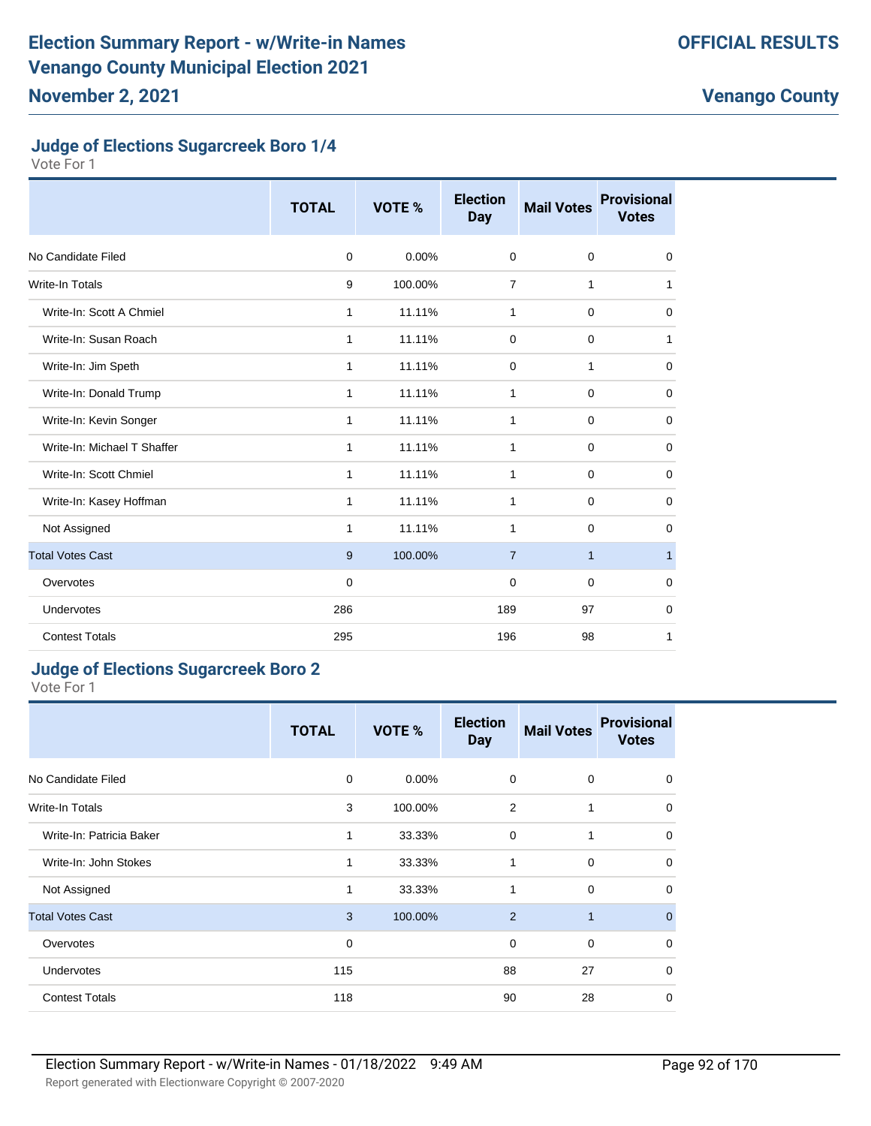#### **Judge of Elections Sugarcreek Boro 1/4**

Vote For 1

|                             | <b>TOTAL</b> | VOTE %  | <b>Election</b><br><b>Day</b> | <b>Mail Votes</b> | <b>Provisional</b><br><b>Votes</b> |
|-----------------------------|--------------|---------|-------------------------------|-------------------|------------------------------------|
| No Candidate Filed          | $\mathbf 0$  | 0.00%   | $\mathbf 0$                   | $\mathbf 0$       | 0                                  |
| <b>Write-In Totals</b>      | 9            | 100.00% | $\overline{7}$                | 1                 | 1                                  |
| Write-In: Scott A Chmiel    | 1            | 11.11%  | 1                             | $\mathbf 0$       | $\mathbf 0$                        |
| Write-In: Susan Roach       | 1            | 11.11%  | $\mathbf 0$                   | 0                 | 1                                  |
| Write-In: Jim Speth         | 1            | 11.11%  | 0                             | 1                 | 0                                  |
| Write-In: Donald Trump      | 1            | 11.11%  | 1                             | $\mathbf 0$       | 0                                  |
| Write-In: Kevin Songer      | 1            | 11.11%  | 1                             | $\mathbf 0$       | 0                                  |
| Write-In: Michael T Shaffer | 1            | 11.11%  | 1                             | 0                 | 0                                  |
| Write-In: Scott Chmiel      | $\mathbf{1}$ | 11.11%  | $\mathbf{1}$                  | $\mathbf 0$       | $\mathbf 0$                        |
| Write-In: Kasey Hoffman     | 1            | 11.11%  | 1                             | $\mathbf 0$       | 0                                  |
| Not Assigned                | 1            | 11.11%  | 1                             | $\mathbf 0$       | 0                                  |
| <b>Total Votes Cast</b>     | 9            | 100.00% | $\overline{7}$                | $\mathbf{1}$      | $\mathbf{1}$                       |
| Overvotes                   | $\Omega$     |         | 0                             | $\mathbf 0$       | 0                                  |
| Undervotes                  | 286          |         | 189                           | 97                | $\mathbf 0$                        |
| <b>Contest Totals</b>       | 295          |         | 196                           | 98                | 1                                  |

#### **Judge of Elections Sugarcreek Boro 2**

Vote For 1

|                          | <b>TOTAL</b> | VOTE %   | <b>Election</b><br><b>Day</b> | <b>Mail Votes</b> | <b>Provisional</b><br><b>Votes</b> |
|--------------------------|--------------|----------|-------------------------------|-------------------|------------------------------------|
| No Candidate Filed       | 0            | $0.00\%$ | $\mathbf 0$                   | $\mathbf 0$       | $\mathbf 0$                        |
| Write-In Totals          | 3            | 100.00%  | 2                             | 1                 | $\mathbf 0$                        |
| Write-In: Patricia Baker | 1            | 33.33%   | 0                             | 1                 | $\mathbf 0$                        |
| Write-In: John Stokes    | 1            | 33.33%   | 1                             | 0                 | $\mathbf 0$                        |
| Not Assigned             | 1            | 33.33%   | 1                             | $\Omega$          | $\Omega$                           |
| <b>Total Votes Cast</b>  | 3            | 100.00%  | 2                             | 1                 | $\mathbf 0$                        |
| Overvotes                | $\mathbf 0$  |          | 0                             | $\mathbf 0$       | $\mathbf 0$                        |
| Undervotes               | 115          |          | 88                            | 27                | $\mathbf 0$                        |
| <b>Contest Totals</b>    | 118          |          | 90                            | 28                | $\mathbf 0$                        |

**Venango County**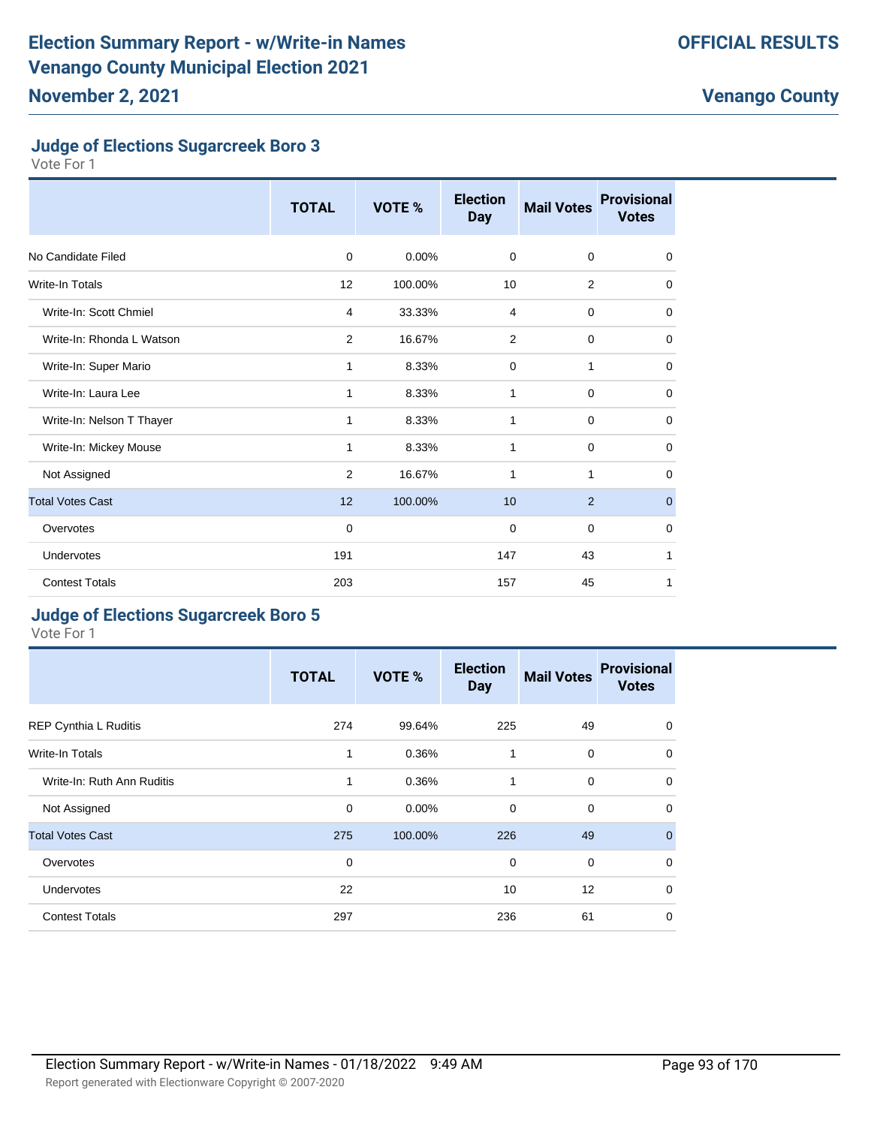#### **Judge of Elections Sugarcreek Boro 3**

Vote For 1

|                           | <b>TOTAL</b> | VOTE %  | <b>Election</b><br><b>Day</b> | <b>Mail Votes</b> | <b>Provisional</b><br><b>Votes</b> |
|---------------------------|--------------|---------|-------------------------------|-------------------|------------------------------------|
| No Candidate Filed        | $\mathbf 0$  | 0.00%   | 0                             | $\mathbf 0$       | 0                                  |
| Write-In Totals           | 12           | 100.00% | 10                            | 2                 | $\mathbf 0$                        |
| Write-In: Scott Chmiel    | 4            | 33.33%  | 4                             | $\mathbf 0$       | $\mathbf 0$                        |
| Write-In: Rhonda L Watson | 2            | 16.67%  | $\overline{2}$                | $\mathbf 0$       | $\mathbf 0$                        |
| Write-In: Super Mario     | 1            | 8.33%   | $\mathbf 0$                   | 1                 | $\mathbf 0$                        |
| Write-In: Laura Lee       | 1            | 8.33%   | 1                             | $\mathbf 0$       | $\mathbf 0$                        |
| Write-In: Nelson T Thayer | 1            | 8.33%   | 1                             | $\mathbf 0$       | $\mathbf 0$                        |
| Write-In: Mickey Mouse    | 1            | 8.33%   | 1                             | $\mathbf 0$       | 0                                  |
| Not Assigned              | 2            | 16.67%  | 1                             | 1                 | $\Omega$                           |
| <b>Total Votes Cast</b>   | 12           | 100.00% | 10                            | 2                 | $\mathbf 0$                        |
| Overvotes                 | $\mathbf 0$  |         | 0                             | $\mathbf 0$       | $\mathbf 0$                        |
| <b>Undervotes</b>         | 191          |         | 147                           | 43                | 1                                  |
| <b>Contest Totals</b>     | 203          |         | 157                           | 45                | 1                                  |

#### **Judge of Elections Sugarcreek Boro 5**

|                              | <b>TOTAL</b> | VOTE %   | <b>Election</b><br><b>Day</b> | <b>Mail Votes</b> | <b>Provisional</b><br><b>Votes</b> |
|------------------------------|--------------|----------|-------------------------------|-------------------|------------------------------------|
| <b>REP Cynthia L Ruditis</b> | 274          | 99.64%   | 225                           | 49                | $\mathbf 0$                        |
| Write-In Totals              | $\mathbf{1}$ | 0.36%    | 1                             | $\mathbf 0$       | $\mathbf 0$                        |
| Write-In: Ruth Ann Ruditis   | 1            | 0.36%    | 1                             | $\Omega$          | $\mathbf 0$                        |
| Not Assigned                 | $\mathbf 0$  | $0.00\%$ | $\mathbf 0$                   | $\Omega$          | $\mathbf 0$                        |
| <b>Total Votes Cast</b>      | 275          | 100.00%  | 226                           | 49                | $\mathbf{0}$                       |
| Overvotes                    | $\mathbf 0$  |          | $\mathbf 0$                   | $\Omega$          | $\Omega$                           |
| <b>Undervotes</b>            | 22           |          | 10                            | 12                | $\mathbf 0$                        |
| <b>Contest Totals</b>        | 297          |          | 236                           | 61                | $\mathbf 0$                        |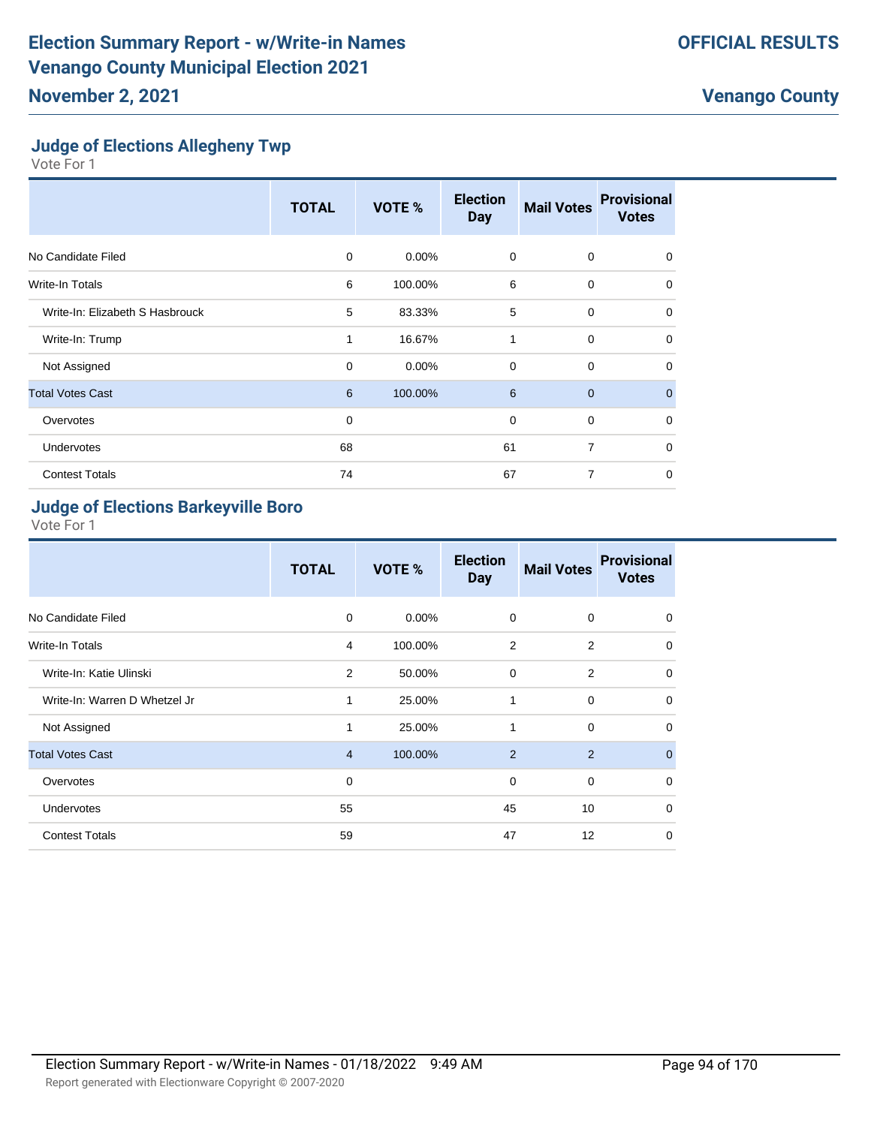## **Judge of Elections Allegheny Twp**

Vote For 1

|                                 | <b>TOTAL</b> | <b>VOTE %</b> | <b>Election</b><br><b>Day</b> | <b>Mail Votes</b> | <b>Provisional</b><br><b>Votes</b> |
|---------------------------------|--------------|---------------|-------------------------------|-------------------|------------------------------------|
| No Candidate Filed              | 0            | $0.00\%$      | $\mathbf 0$                   | $\mathbf 0$       | $\Omega$                           |
| Write-In Totals                 | 6            | 100.00%       | 6                             | 0                 | 0                                  |
| Write-In: Elizabeth S Hasbrouck | 5            | 83.33%        | 5                             | $\mathbf 0$       | 0                                  |
| Write-In: Trump                 | 1            | 16.67%        | $\mathbf{1}$                  | $\mathbf 0$       | $\Omega$                           |
| Not Assigned                    | $\mathbf 0$  | 0.00%         | $\mathbf 0$                   | $\mathbf 0$       | 0                                  |
| <b>Total Votes Cast</b>         | 6            | 100.00%       | 6                             | $\overline{0}$    | $\mathbf{0}$                       |
| Overvotes                       | $\mathbf 0$  |               | $\mathbf 0$                   | $\mathbf 0$       | 0                                  |
| Undervotes                      | 68           |               | 61                            | $\overline{7}$    | $\Omega$                           |
| <b>Contest Totals</b>           | 74           |               | 67                            | 7                 | 0                                  |

## **Judge of Elections Barkeyville Boro**

|                               | <b>TOTAL</b>   | <b>VOTE %</b> | <b>Election</b><br><b>Day</b> | <b>Mail Votes</b> | <b>Provisional</b><br><b>Votes</b> |
|-------------------------------|----------------|---------------|-------------------------------|-------------------|------------------------------------|
| No Candidate Filed            | 0              | $0.00\%$      | 0                             | $\mathbf 0$       | 0                                  |
| Write-In Totals               | 4              | 100.00%       | 2                             | 2                 | 0                                  |
| Write-In: Katie Ulinski       | 2              | 50.00%        | 0                             | 2                 | $\mathbf 0$                        |
| Write-In: Warren D Whetzel Jr | 1              | 25.00%        | 1                             | $\mathbf 0$       | $\mathbf 0$                        |
| Not Assigned                  | $\mathbf{1}$   | 25.00%        | 1                             | $\Omega$          | $\mathbf 0$                        |
| <b>Total Votes Cast</b>       | $\overline{4}$ | 100.00%       | 2                             | 2                 | $\overline{0}$                     |
| Overvotes                     | $\mathbf 0$    |               | 0                             | $\mathbf 0$       | $\mathbf 0$                        |
| <b>Undervotes</b>             | 55             |               | 45                            | 10                | $\mathbf 0$                        |
| <b>Contest Totals</b>         | 59             |               | 47                            | 12                | $\mathbf 0$                        |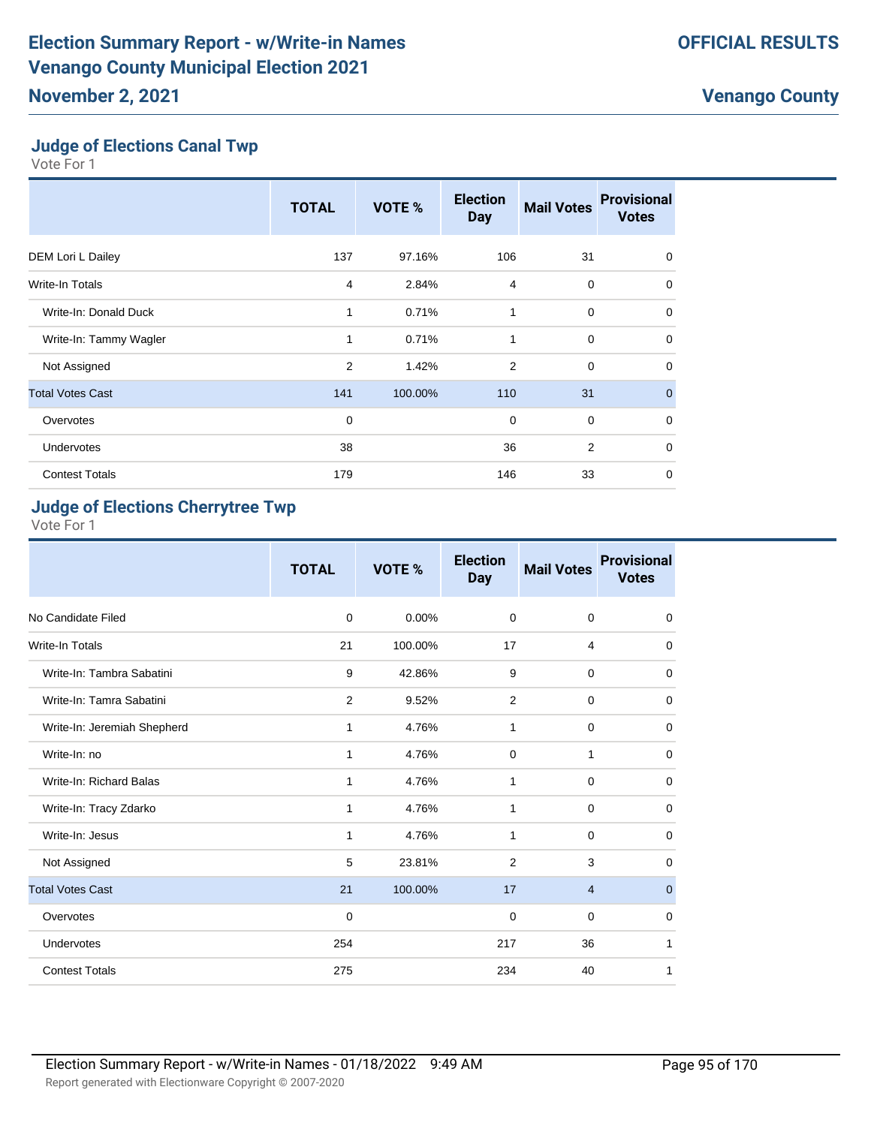## **Judge of Elections Canal Twp**

Vote For 1

|                         | <b>TOTAL</b> | <b>VOTE %</b> | <b>Election</b><br><b>Day</b> | <b>Mail Votes</b> | <b>Provisional</b><br><b>Votes</b> |
|-------------------------|--------------|---------------|-------------------------------|-------------------|------------------------------------|
| DEM Lori L Dailey       | 137          | 97.16%        | 106                           | 31                | 0                                  |
| Write-In Totals         | 4            | 2.84%         | 4                             | $\mathbf 0$       | 0                                  |
| Write-In: Donald Duck   | 1            | 0.71%         | 1                             | $\mathbf 0$       | $\mathbf 0$                        |
| Write-In: Tammy Wagler  | 1            | 0.71%         | 1                             | $\mathbf 0$       | $\Omega$                           |
| Not Assigned            | 2            | 1.42%         | 2                             | $\mathbf 0$       | $\mathbf 0$                        |
| <b>Total Votes Cast</b> | 141          | 100.00%       | 110                           | 31                | $\mathbf{0}$                       |
| Overvotes               | $\mathbf 0$  |               | $\mathbf 0$                   | $\mathbf 0$       | $\mathbf 0$                        |
| Undervotes              | 38           |               | 36                            | $\overline{2}$    | $\Omega$                           |
| <b>Contest Totals</b>   | 179          |               | 146                           | 33                | 0                                  |

## **Judge of Elections Cherrytree Twp**

|                             | <b>TOTAL</b> | VOTE %   | <b>Election</b><br><b>Day</b> | <b>Mail Votes</b> | <b>Provisional</b><br><b>Votes</b> |
|-----------------------------|--------------|----------|-------------------------------|-------------------|------------------------------------|
| No Candidate Filed          | $\mathbf 0$  | $0.00\%$ | $\mathbf 0$                   | $\mathbf 0$       | $\mathbf 0$                        |
| <b>Write-In Totals</b>      | 21           | 100.00%  | 17                            | 4                 | $\mathbf 0$                        |
| Write-In: Tambra Sabatini   | 9            | 42.86%   | 9                             | $\mathbf 0$       | $\mathbf 0$                        |
| Write-In: Tamra Sabatini    | 2            | 9.52%    | 2                             | $\mathbf 0$       | $\mathbf 0$                        |
| Write-In: Jeremiah Shepherd | 1            | 4.76%    | 1                             | $\mathbf 0$       | 0                                  |
| Write-In: no                | 1            | 4.76%    | $\mathbf 0$                   | 1                 | $\mathbf 0$                        |
| Write-In: Richard Balas     | 1            | 4.76%    | 1                             | $\mathbf 0$       | $\mathbf 0$                        |
| Write-In: Tracy Zdarko      | $\mathbf{1}$ | 4.76%    | 1                             | $\mathbf 0$       | $\mathbf 0$                        |
| Write-In: Jesus             | 1            | 4.76%    | 1                             | 0                 | $\mathbf 0$                        |
| Not Assigned                | 5            | 23.81%   | 2                             | 3                 | $\mathbf 0$                        |
| <b>Total Votes Cast</b>     | 21           | 100.00%  | 17                            | $\overline{4}$    | $\pmb{0}$                          |
| Overvotes                   | $\mathbf 0$  |          | $\mathbf 0$                   | $\mathbf 0$       | $\mathbf 0$                        |
| Undervotes                  | 254          |          | 217                           | 36                | 1                                  |
| <b>Contest Totals</b>       | 275          |          | 234                           | 40                | 1                                  |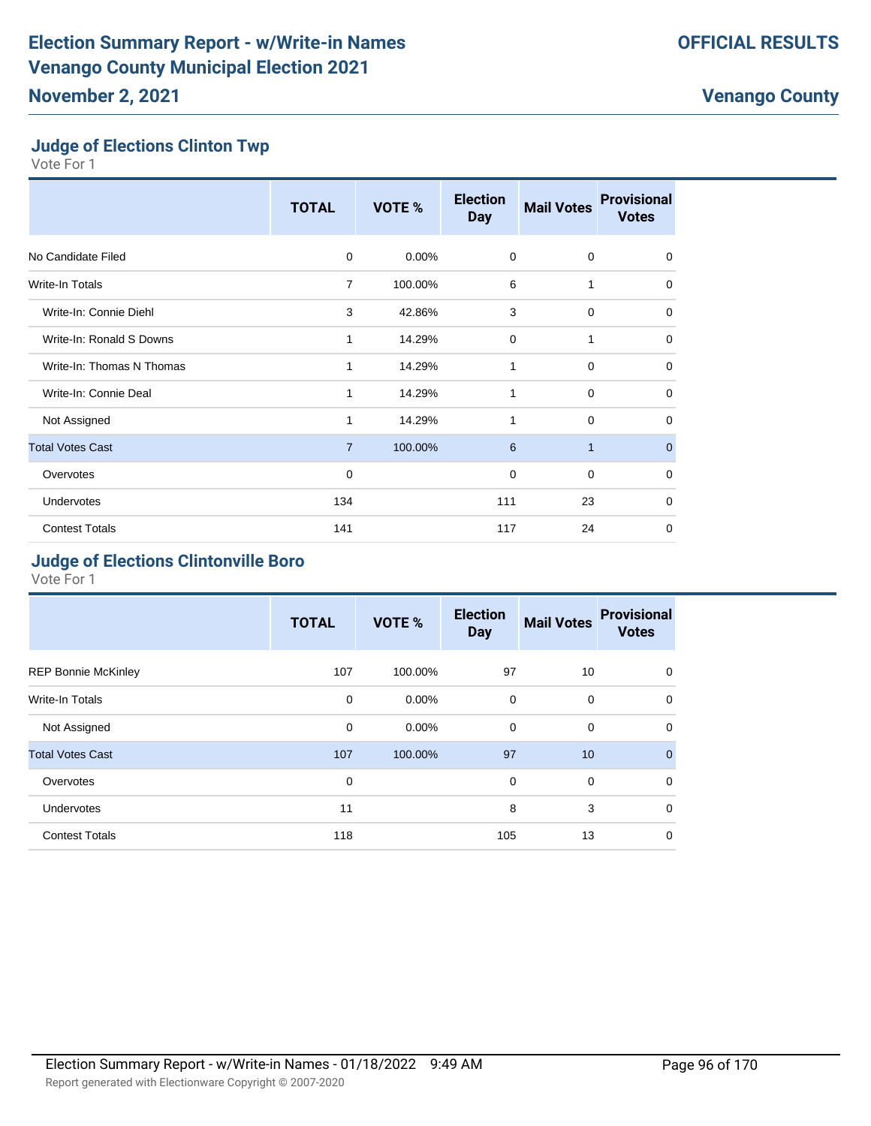#### **Judge of Elections Clinton Twp**

Vote For 1

|                           | <b>TOTAL</b>   | VOTE %   | <b>Election</b><br><b>Day</b> | <b>Mail Votes</b> | <b>Provisional</b><br><b>Votes</b> |
|---------------------------|----------------|----------|-------------------------------|-------------------|------------------------------------|
| No Candidate Filed        | 0              | $0.00\%$ | $\mathbf 0$                   | $\mathbf 0$       | 0                                  |
| <b>Write-In Totals</b>    | $\overline{7}$ | 100.00%  | 6                             | 1                 | $\mathbf 0$                        |
| Write-In: Connie Diehl    | 3              | 42.86%   | 3                             | $\mathbf 0$       | 0                                  |
| Write-In: Ronald S Downs  | 1              | 14.29%   | $\mathbf 0$                   | 1                 | $\mathbf 0$                        |
| Write-In: Thomas N Thomas | 1              | 14.29%   | 1                             | $\mathbf 0$       | $\mathbf 0$                        |
| Write-In: Connie Deal     | 1              | 14.29%   | 1                             | $\mathbf 0$       | $\mathbf 0$                        |
| Not Assigned              | 1              | 14.29%   | 1                             | $\mathbf 0$       | $\mathbf 0$                        |
| <b>Total Votes Cast</b>   | $\overline{7}$ | 100.00%  | 6                             | $\mathbf{1}$      | $\mathbf{0}$                       |
| Overvotes                 | 0              |          | 0                             | $\mathbf 0$       | $\mathbf 0$                        |
| Undervotes                | 134            |          | 111                           | 23                | $\mathbf 0$                        |
| <b>Contest Totals</b>     | 141            |          | 117                           | 24                | 0                                  |

## **Judge of Elections Clintonville Boro**

|                            | <b>TOTAL</b> | VOTE %   | <b>Election</b><br><b>Day</b> | <b>Mail Votes</b> | <b>Provisional</b><br><b>Votes</b> |
|----------------------------|--------------|----------|-------------------------------|-------------------|------------------------------------|
| <b>REP Bonnie McKinley</b> | 107          | 100.00%  | 97                            | 10                | 0                                  |
| Write-In Totals            | 0            | $0.00\%$ | $\mathbf 0$                   | $\mathbf 0$       | $\Omega$                           |
| Not Assigned               | 0            | $0.00\%$ | $\mathbf 0$                   | $\mathbf 0$       | $\Omega$                           |
| <b>Total Votes Cast</b>    | 107          | 100.00%  | 97                            | 10                | $\Omega$                           |
| Overvotes                  | 0            |          | $\mathbf 0$                   | $\mathbf 0$       | $\Omega$                           |
| <b>Undervotes</b>          | 11           |          | 8                             | 3                 | $\Omega$                           |
| <b>Contest Totals</b>      | 118          |          | 105                           | 13                | $\mathbf 0$                        |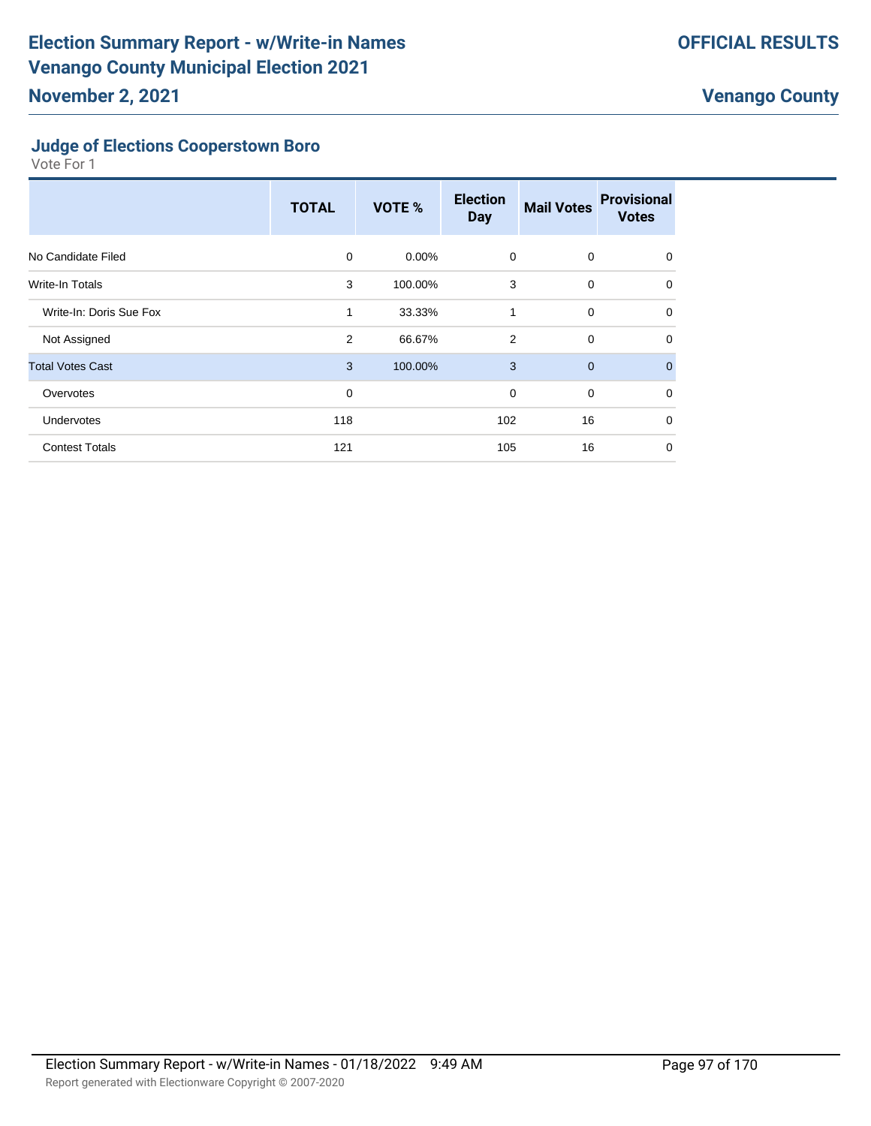#### **Judge of Elections Cooperstown Boro**

|                         | <b>TOTAL</b> | <b>VOTE %</b> | <b>Election</b><br><b>Day</b> | <b>Mail Votes</b> | <b>Provisional</b><br><b>Votes</b> |
|-------------------------|--------------|---------------|-------------------------------|-------------------|------------------------------------|
| No Candidate Filed      | $\mathbf 0$  | $0.00\%$      | 0                             | 0                 | $\Omega$                           |
| <b>Write-In Totals</b>  | 3            | 100.00%       | 3                             | $\mathbf 0$       | $\Omega$                           |
| Write-In: Doris Sue Fox | 1            | 33.33%        | 1                             | $\mathbf 0$       | 0                                  |
| Not Assigned            | 2            | 66.67%        | $\overline{2}$                | $\mathbf 0$       | 0                                  |
| <b>Total Votes Cast</b> | 3            | 100.00%       | 3                             | $\mathbf 0$       | $\mathbf{0}$                       |
| Overvotes               | $\mathbf 0$  |               | $\mathbf 0$                   | $\mathbf 0$       | $\Omega$                           |
| <b>Undervotes</b>       | 118          |               | 102                           | 16                | 0                                  |
| <b>Contest Totals</b>   | 121          |               | 105                           | 16                | 0                                  |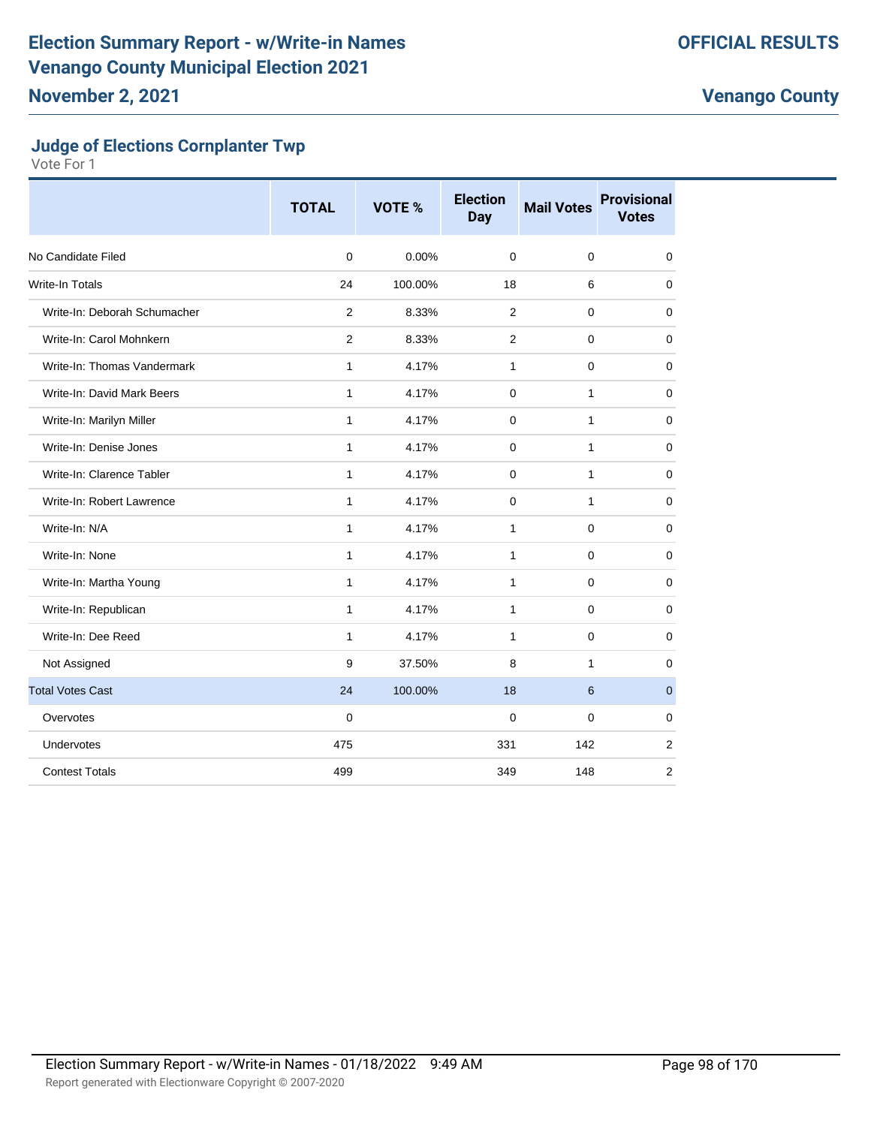## **Judge of Elections Cornplanter Twp**

|                              | <b>TOTAL</b>   | <b>VOTE %</b> | <b>Election</b><br><b>Day</b> | <b>Mail Votes</b> | <b>Provisional</b><br><b>Votes</b> |
|------------------------------|----------------|---------------|-------------------------------|-------------------|------------------------------------|
| No Candidate Filed           | $\Omega$       | 0.00%         | $\Omega$                      | $\mathbf 0$       | 0                                  |
| Write-In Totals              | 24             | 100.00%       | 18                            | 6                 | 0                                  |
| Write-In: Deborah Schumacher | $\overline{2}$ | 8.33%         | 2                             | $\mathbf 0$       | $\mathbf 0$                        |
| Write-In: Carol Mohnkern     | $\overline{2}$ | 8.33%         | 2                             | 0                 | $\mathbf 0$                        |
| Write-In: Thomas Vandermark  | $\mathbf{1}$   | 4.17%         | 1                             | 0                 | 0                                  |
| Write-In: David Mark Beers   | $\mathbf{1}$   | 4.17%         | $\mathbf 0$                   | $\mathbf{1}$      | $\mathbf 0$                        |
| Write-In: Marilyn Miller     | $\mathbf{1}$   | 4.17%         | 0                             | 1                 | $\mathbf 0$                        |
| Write-In: Denise Jones       | $\mathbf{1}$   | 4.17%         | $\Omega$                      | 1                 | 0                                  |
| Write-In: Clarence Tabler    | $\mathbf{1}$   | 4.17%         | $\mathbf 0$                   | $\mathbf{1}$      | $\mathbf 0$                        |
| Write-In: Robert Lawrence    | $\mathbf{1}$   | 4.17%         | $\mathbf 0$                   | $\mathbf{1}$      | $\mathbf 0$                        |
| Write-In: N/A                | $\mathbf{1}$   | 4.17%         | 1                             | 0                 | 0                                  |
| Write-In: None               | $\mathbf{1}$   | 4.17%         | $\mathbf{1}$                  | $\mathbf 0$       | $\mathbf 0$                        |
| Write-In: Martha Young       | $\mathbf{1}$   | 4.17%         | $\mathbf{1}$                  | $\mathbf 0$       | $\mathbf 0$                        |
| Write-In: Republican         | 1              | 4.17%         | 1                             | 0                 | 0                                  |
| Write-In: Dee Reed           | $\mathbf{1}$   | 4.17%         | $\mathbf{1}$                  | $\mathbf 0$       | $\mathbf 0$                        |
| Not Assigned                 | 9              | 37.50%        | 8                             | $\mathbf{1}$      | $\mathbf 0$                        |
| <b>Total Votes Cast</b>      | 24             | 100.00%       | 18                            | 6                 | $\mathbf{0}$                       |
| Overvotes                    | $\mathbf 0$    |               | $\mathbf 0$                   | 0                 | 0                                  |
| Undervotes                   | 475            |               | 331                           | 142               | $\overline{2}$                     |
| <b>Contest Totals</b>        | 499            |               | 349                           | 148               | 2                                  |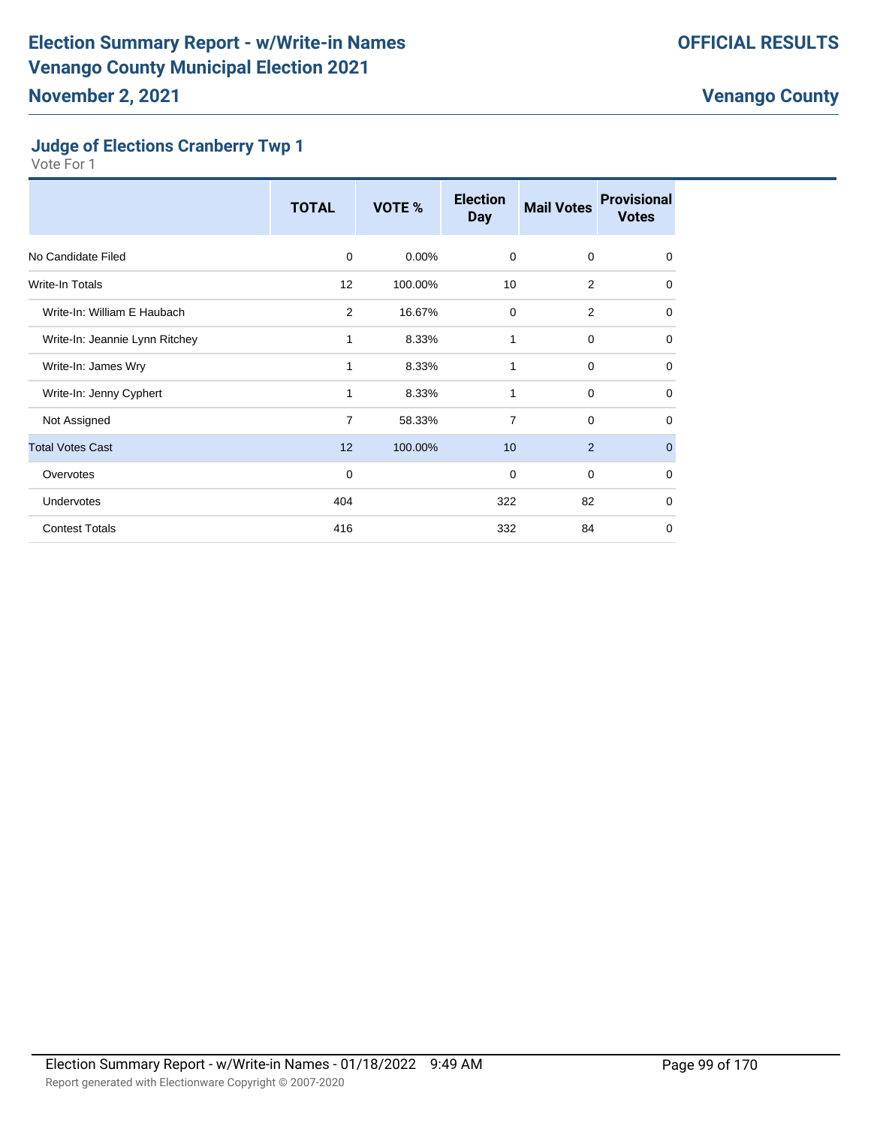#### **Judge of Elections Cranberry Twp 1**

|                                | <b>TOTAL</b>   | VOTE %   | <b>Election</b><br><b>Day</b> | <b>Mail Votes</b> | <b>Provisional</b><br><b>Votes</b> |
|--------------------------------|----------------|----------|-------------------------------|-------------------|------------------------------------|
| No Candidate Filed             | 0              | $0.00\%$ | $\mathbf 0$                   | $\mathbf 0$       | $\mathbf 0$                        |
| Write-In Totals                | 12             | 100.00%  | 10                            | 2                 | 0                                  |
| Write-In: William E Haubach    | 2              | 16.67%   | $\mathbf 0$                   | 2                 | $\mathbf 0$                        |
| Write-In: Jeannie Lynn Ritchey | 1              | 8.33%    | 1                             | 0                 | $\mathbf 0$                        |
| Write-In: James Wry            | 1              | 8.33%    | 1                             | $\mathbf 0$       | $\mathbf 0$                        |
| Write-In: Jenny Cyphert        | 1              | 8.33%    | 1                             | 0                 | $\mathbf 0$                        |
| Not Assigned                   | $\overline{7}$ | 58.33%   | $\overline{7}$                | $\mathbf 0$       | $\mathbf 0$                        |
| <b>Total Votes Cast</b>        | 12             | 100.00%  | 10                            | 2                 | $\mathbf 0$                        |
| Overvotes                      | $\mathbf 0$    |          | 0                             | $\mathbf 0$       | $\mathbf 0$                        |
| Undervotes                     | 404            |          | 322                           | 82                | $\mathbf 0$                        |
| <b>Contest Totals</b>          | 416            |          | 332                           | 84                | $\mathbf 0$                        |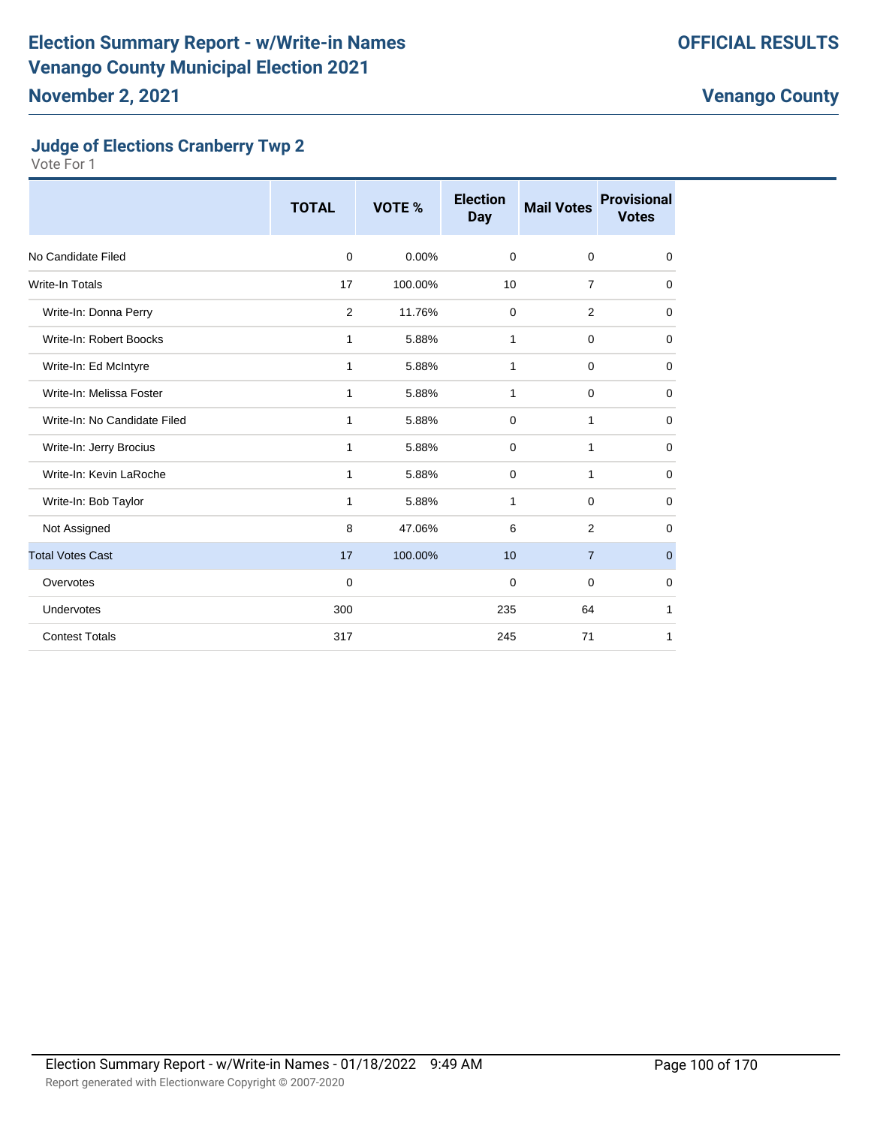### **Judge of Elections Cranberry Twp 2**

|                              | <b>TOTAL</b> | <b>VOTE %</b> | <b>Election</b><br><b>Day</b> | <b>Mail Votes</b> | <b>Provisional</b><br><b>Votes</b> |
|------------------------------|--------------|---------------|-------------------------------|-------------------|------------------------------------|
| No Candidate Filed           | $\mathbf 0$  | 0.00%         | $\mathbf 0$                   | $\mathbf 0$       | $\mathbf 0$                        |
| <b>Write-In Totals</b>       | 17           | 100.00%       | 10                            | $\overline{7}$    | $\mathbf 0$                        |
| Write-In: Donna Perry        | 2            | 11.76%        | 0                             | $\overline{2}$    | 0                                  |
| Write-In: Robert Boocks      | $\mathbf{1}$ | 5.88%         | 1                             | $\mathbf 0$       | $\mathbf 0$                        |
| Write-In: Ed McIntyre        | $\mathbf{1}$ | 5.88%         | 1                             | $\mathbf 0$       | $\mathbf 0$                        |
| Write-In: Melissa Foster     | $\mathbf{1}$ | 5.88%         | 1                             | $\mathbf 0$       | $\mathbf 0$                        |
| Write-In: No Candidate Filed | 1            | 5.88%         | $\mathbf 0$                   | $\mathbf{1}$      | $\mathbf 0$                        |
| Write-In: Jerry Brocius      | $\mathbf{1}$ | 5.88%         | 0                             | 1                 | $\mathbf 0$                        |
| Write-In: Kevin LaRoche      | 1            | 5.88%         | $\mathbf 0$                   | 1                 | $\mathbf 0$                        |
| Write-In: Bob Taylor         | 1            | 5.88%         | 1                             | $\mathbf 0$       | 0                                  |
| Not Assigned                 | 8            | 47.06%        | 6                             | $\overline{2}$    | 0                                  |
| <b>Total Votes Cast</b>      | 17           | 100.00%       | 10                            | $\overline{7}$    | $\mathbf{0}$                       |
| Overvotes                    | $\mathbf 0$  |               | $\mathbf 0$                   | $\mathbf 0$       | $\mathbf 0$                        |
| Undervotes                   | 300          |               | 235                           | 64                | 1                                  |
| <b>Contest Totals</b>        | 317          |               | 245                           | 71                | 1                                  |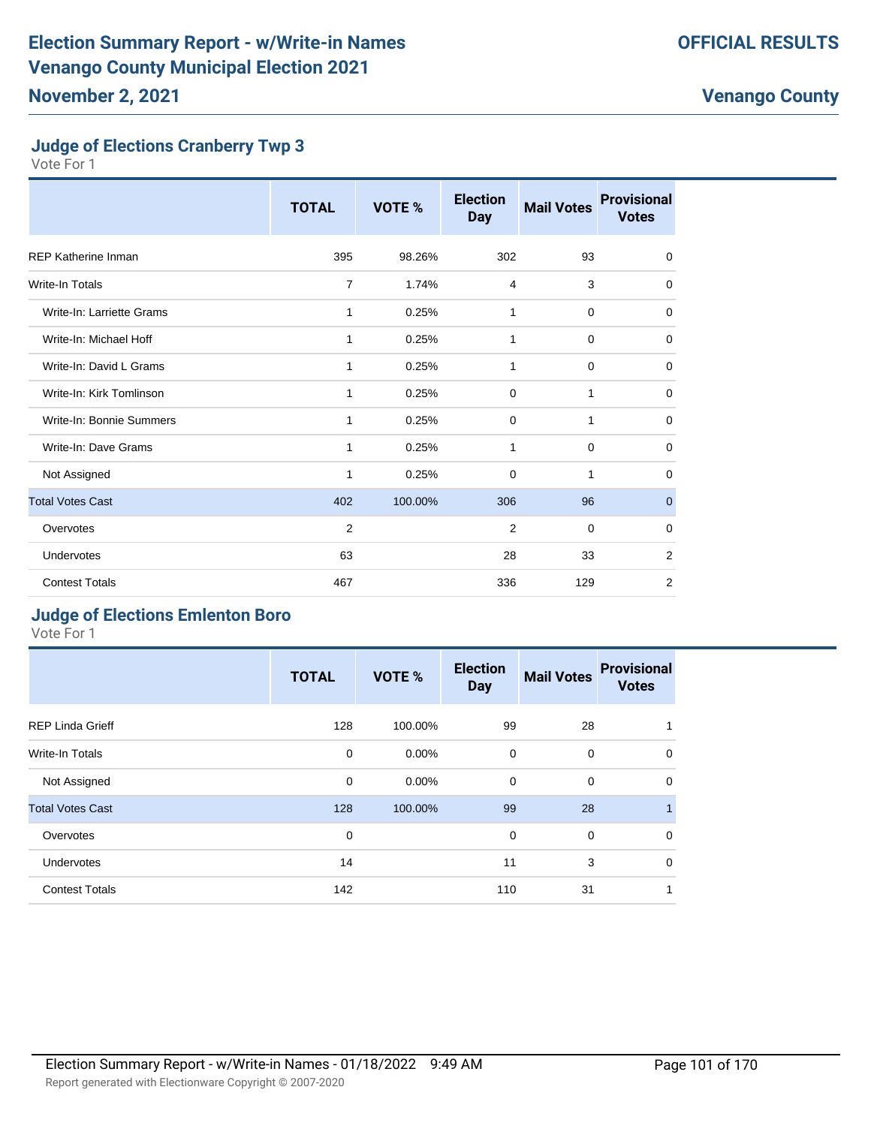#### **Judge of Elections Cranberry Twp 3**

Vote For 1

|                            | <b>TOTAL</b>   | VOTE %  | <b>Election</b><br><b>Day</b> | <b>Mail Votes</b> | <b>Provisional</b><br><b>Votes</b> |
|----------------------------|----------------|---------|-------------------------------|-------------------|------------------------------------|
| <b>REP Katherine Inman</b> | 395            | 98.26%  | 302                           | 93                | 0                                  |
| Write-In Totals            | $\overline{7}$ | 1.74%   | $\overline{4}$                | 3                 | 0                                  |
| Write-In: Larriette Grams  | 1              | 0.25%   | 1                             | $\mathbf 0$       | 0                                  |
| Write-In: Michael Hoff     | 1              | 0.25%   | 1                             | $\mathbf 0$       | 0                                  |
| Write-In: David L Grams    | 1              | 0.25%   | 1                             | $\mathbf 0$       | $\mathbf 0$                        |
| Write-In: Kirk Tomlinson   | 1              | 0.25%   | $\Omega$                      | 1                 | $\mathbf 0$                        |
| Write-In: Bonnie Summers   | 1              | 0.25%   | $\mathbf 0$                   | 1                 | 0                                  |
| Write-In: Dave Grams       | 1              | 0.25%   | 1                             | $\mathbf 0$       | 0                                  |
| Not Assigned               | 1              | 0.25%   | 0                             | 1                 | 0                                  |
| <b>Total Votes Cast</b>    | 402            | 100.00% | 306                           | 96                | $\mathbf{0}$                       |
| Overvotes                  | $\overline{2}$ |         | $\overline{2}$                | $\mathbf 0$       | 0                                  |
| Undervotes                 | 63             |         | 28                            | 33                | 2                                  |
| <b>Contest Totals</b>      | 467            |         | 336                           | 129               | $\overline{2}$                     |

### **Judge of Elections Emlenton Boro**

|                         | <b>TOTAL</b> | VOTE %   | <b>Election</b><br><b>Day</b> | <b>Mail Votes</b> | <b>Provisional</b><br><b>Votes</b> |
|-------------------------|--------------|----------|-------------------------------|-------------------|------------------------------------|
| <b>REP Linda Grieff</b> | 128          | 100.00%  | 99                            | 28                | 1                                  |
| Write-In Totals         | $\mathbf 0$  | $0.00\%$ | $\mathbf 0$                   | $\mathbf 0$       | $\mathbf 0$                        |
| Not Assigned            | 0            | $0.00\%$ | $\mathbf 0$                   | $\mathbf 0$       | $\mathbf 0$                        |
| <b>Total Votes Cast</b> | 128          | 100.00%  | 99                            | 28                | $\mathbf{1}$                       |
| Overvotes               | $\mathbf 0$  |          | $\Omega$                      | $\mathbf 0$       | $\mathbf 0$                        |
| Undervotes              | 14           |          | 11                            | 3                 | $\mathbf 0$                        |
| <b>Contest Totals</b>   | 142          |          | 110                           | 31                | 1                                  |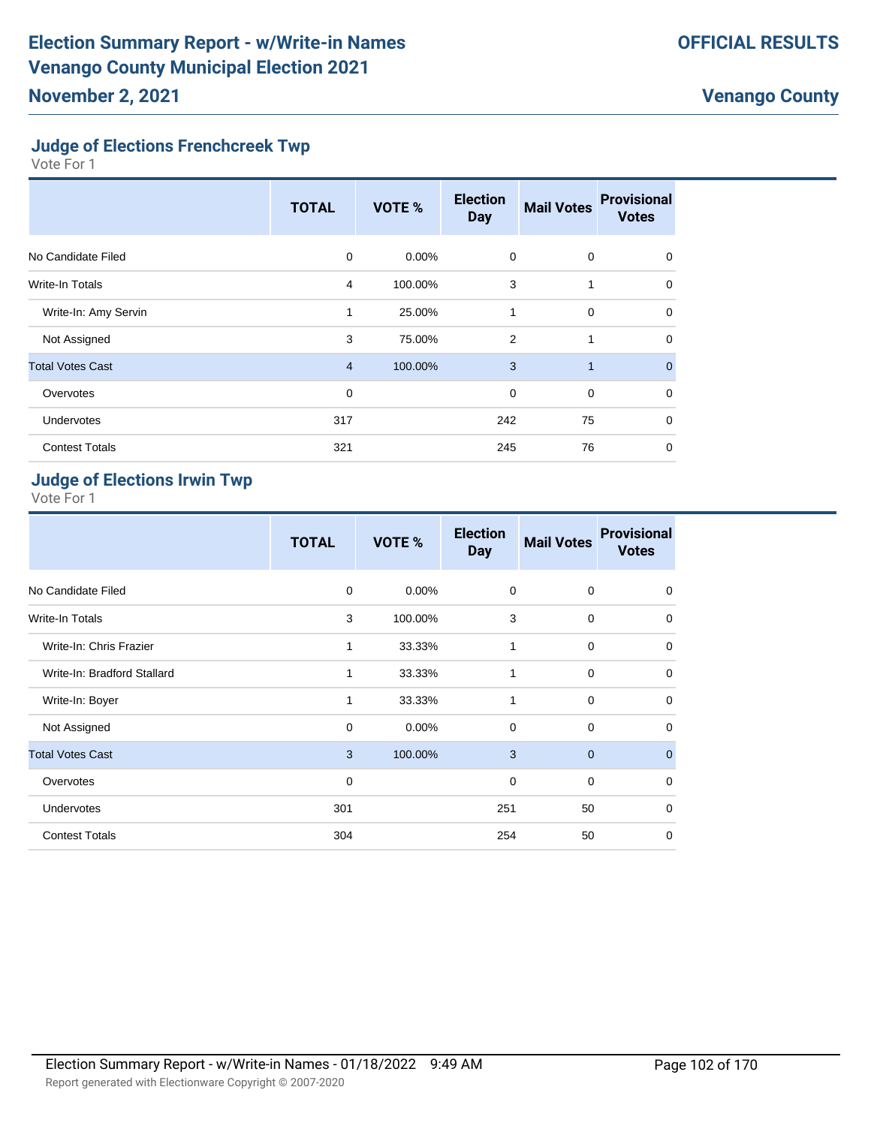### **Judge of Elections Frenchcreek Twp**

Vote For 1

|                         | <b>TOTAL</b>   | <b>VOTE %</b> | <b>Election</b><br><b>Day</b> | <b>Mail Votes</b> | <b>Provisional</b><br><b>Votes</b> |
|-------------------------|----------------|---------------|-------------------------------|-------------------|------------------------------------|
| No Candidate Filed      | 0              | $0.00\%$      | $\mathbf 0$                   | $\mathbf 0$       | 0                                  |
| Write-In Totals         | 4              | 100.00%       | 3                             | 1                 | 0                                  |
| Write-In: Amy Servin    | 1              | 25.00%        | 1                             | $\mathbf 0$       | $\Omega$                           |
| Not Assigned            | 3              | 75.00%        | $\overline{2}$                | 1                 | $\Omega$                           |
| <b>Total Votes Cast</b> | $\overline{4}$ | 100.00%       | 3                             | 1                 | $\mathbf{0}$                       |
| Overvotes               | 0              |               | $\mathbf 0$                   | $\mathbf 0$       | $\Omega$                           |
| <b>Undervotes</b>       | 317            |               | 242                           | 75                | 0                                  |
| <b>Contest Totals</b>   | 321            |               | 245                           | 76                | 0                                  |

## **Judge of Elections Irwin Twp**

|                             | <b>TOTAL</b> | VOTE %   | <b>Election</b><br><b>Day</b> | <b>Mail Votes</b> | <b>Provisional</b><br><b>Votes</b> |
|-----------------------------|--------------|----------|-------------------------------|-------------------|------------------------------------|
| No Candidate Filed          | 0            | $0.00\%$ | 0                             | $\mathbf 0$       | 0                                  |
| <b>Write-In Totals</b>      | 3            | 100.00%  | 3                             | $\mathbf 0$       | $\mathbf 0$                        |
| Write-In: Chris Frazier     | 1            | 33.33%   | 1                             | 0                 | $\mathbf 0$                        |
| Write-In: Bradford Stallard | 1            | 33.33%   | 1                             | $\mathbf 0$       | $\mathbf 0$                        |
| Write-In: Boyer             | 1            | 33.33%   | 1                             | $\mathbf 0$       | $\mathbf 0$                        |
| Not Assigned                | 0            | 0.00%    | $\mathbf 0$                   | $\mathbf 0$       | $\mathbf 0$                        |
| <b>Total Votes Cast</b>     | 3            | 100.00%  | 3                             | $\mathbf 0$       | $\overline{0}$                     |
| Overvotes                   | $\mathbf 0$  |          | 0                             | $\mathbf 0$       | $\mathbf 0$                        |
| Undervotes                  | 301          |          | 251                           | 50                | $\mathbf 0$                        |
| <b>Contest Totals</b>       | 304          |          | 254                           | 50                | $\mathbf 0$                        |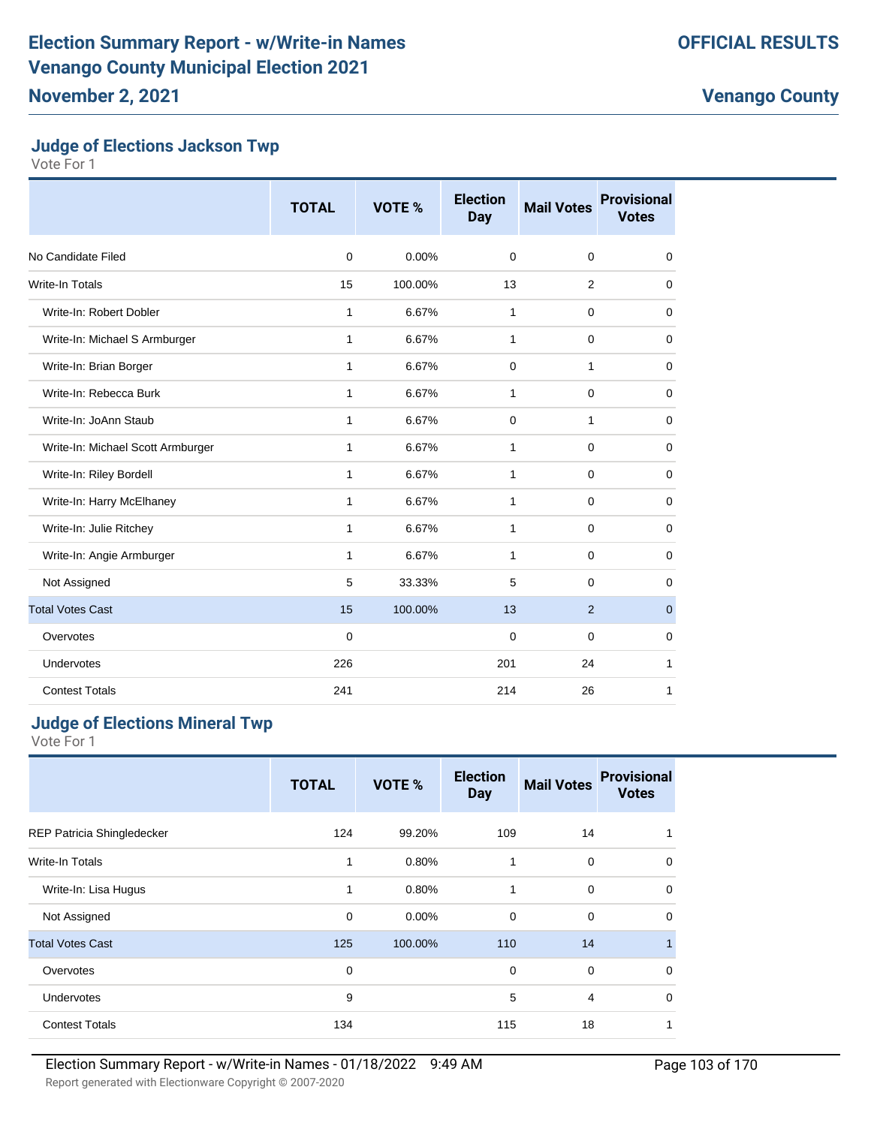### **Judge of Elections Jackson Twp**

Vote For 1

|                                   | <b>TOTAL</b> | <b>VOTE %</b> | <b>Election</b><br>Day | <b>Mail Votes</b> | <b>Provisional</b><br><b>Votes</b> |
|-----------------------------------|--------------|---------------|------------------------|-------------------|------------------------------------|
| No Candidate Filed                | $\mathbf 0$  | 0.00%         | $\mathbf 0$            | $\mathbf 0$       | 0                                  |
| Write-In Totals                   | 15           | 100.00%       | 13                     | 2                 | 0                                  |
| Write-In: Robert Dobler           | 1            | 6.67%         | 1                      | $\mathbf 0$       | 0                                  |
| Write-In: Michael S Armburger     | 1            | 6.67%         | 1                      | $\mathbf 0$       | 0                                  |
| Write-In: Brian Borger            | $\mathbf{1}$ | 6.67%         | $\mathbf 0$            | $\mathbf{1}$      | 0                                  |
| Write-In: Rebecca Burk            | 1            | 6.67%         | 1                      | $\mathbf 0$       | 0                                  |
| Write-In: JoAnn Staub             | 1            | 6.67%         | $\mathbf 0$            | 1                 | 0                                  |
| Write-In: Michael Scott Armburger | 1            | 6.67%         | 1                      | $\mathbf 0$       | 0                                  |
| Write-In: Riley Bordell           | $\mathbf{1}$ | 6.67%         | $\mathbf{1}$           | $\mathbf 0$       | 0                                  |
| Write-In: Harry McElhaney         | $\mathbf{1}$ | 6.67%         | $\mathbf{1}$           | $\mathbf 0$       | 0                                  |
| Write-In: Julie Ritchey           | $\mathbf{1}$ | 6.67%         | $\mathbf{1}$           | $\mathbf 0$       | 0                                  |
| Write-In: Angie Armburger         | $\mathbf{1}$ | 6.67%         | $\mathbf{1}$           | $\mathbf 0$       | 0                                  |
| Not Assigned                      | 5            | 33.33%        | 5                      | $\mathbf 0$       | 0                                  |
| <b>Total Votes Cast</b>           | 15           | 100.00%       | 13                     | $\overline{2}$    | 0                                  |
| Overvotes                         | 0            |               | $\mathbf 0$            | $\mathbf 0$       | 0                                  |
| Undervotes                        | 226          |               | 201                    | 24                | 1                                  |
| <b>Contest Totals</b>             | 241          |               | 214                    | 26                | 1                                  |

## **Judge of Elections Mineral Twp**

|                            | <b>TOTAL</b> | VOTE %  | <b>Election</b><br><b>Day</b> | <b>Mail Votes</b> | <b>Provisional</b><br><b>Votes</b> |
|----------------------------|--------------|---------|-------------------------------|-------------------|------------------------------------|
| REP Patricia Shingledecker | 124          | 99.20%  | 109                           | 14                | 1                                  |
| Write-In Totals            | 1            | 0.80%   | 1                             | 0                 | $\mathbf 0$                        |
| Write-In: Lisa Hugus       | 1            | 0.80%   | 1                             | $\mathbf 0$       | $\mathbf 0$                        |
| Not Assigned               | $\mathbf 0$  | 0.00%   | 0                             | $\mathbf 0$       | $\mathbf 0$                        |
| <b>Total Votes Cast</b>    | 125          | 100.00% | 110                           | 14                | 1                                  |
| Overvotes                  | $\mathbf 0$  |         | $\mathbf 0$                   | $\mathbf 0$       | $\mathbf 0$                        |
| <b>Undervotes</b>          | 9            |         | 5                             | 4                 | $\mathbf 0$                        |
| <b>Contest Totals</b>      | 134          |         | 115                           | 18                | 1                                  |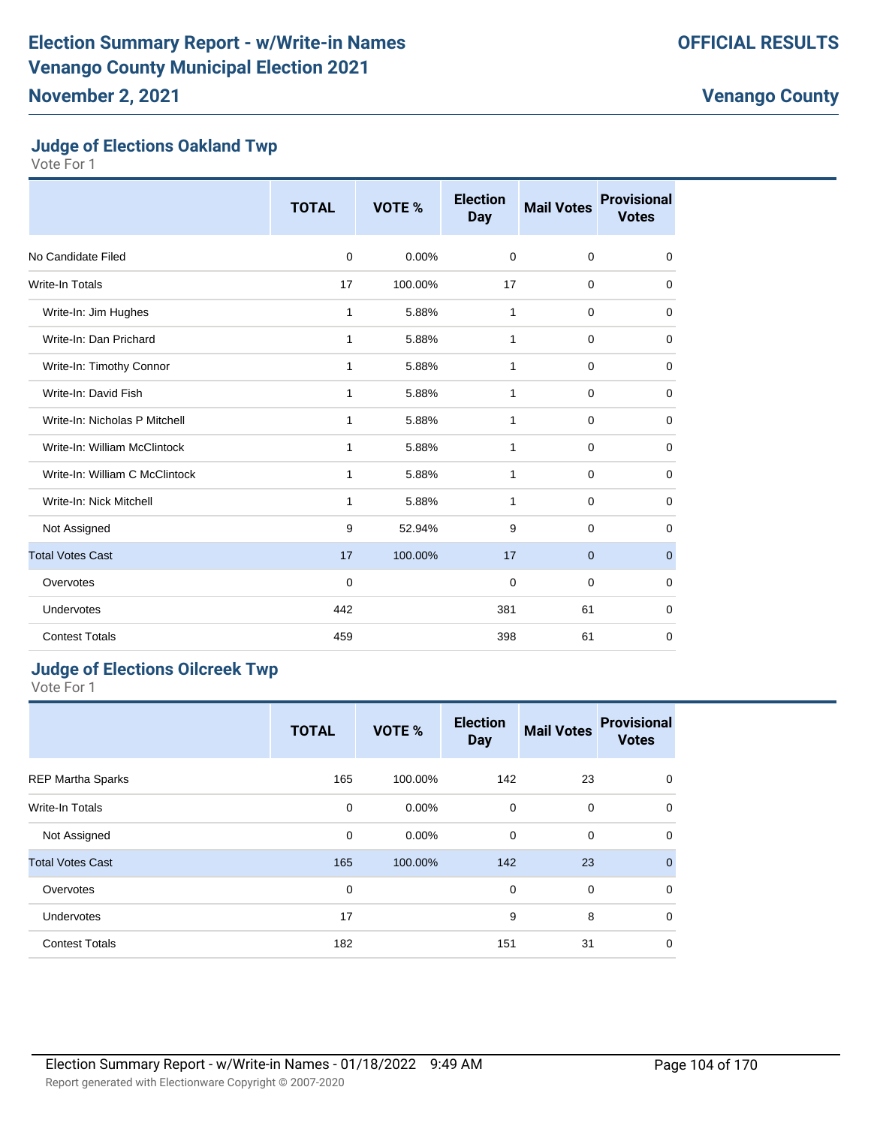#### **Judge of Elections Oakland Twp**

Vote For 1

|                                | <b>TOTAL</b> | VOTE %  | <b>Election</b><br><b>Day</b> | <b>Mail Votes</b> | <b>Provisional</b><br><b>Votes</b> |
|--------------------------------|--------------|---------|-------------------------------|-------------------|------------------------------------|
| No Candidate Filed             | 0            | 0.00%   | 0                             | $\mathbf 0$       | 0                                  |
| <b>Write-In Totals</b>         | 17           | 100.00% | 17                            | $\mathbf 0$       | 0                                  |
| Write-In: Jim Hughes           | 1            | 5.88%   | 1                             | $\mathbf 0$       | 0                                  |
| Write-In: Dan Prichard         | 1            | 5.88%   | 1                             | $\mathbf 0$       | 0                                  |
| Write-In: Timothy Connor       | 1            | 5.88%   | $\mathbf{1}$                  | $\mathbf 0$       | $\mathbf 0$                        |
| Write-In: David Fish           | 1            | 5.88%   | 1                             | $\mathbf 0$       | 0                                  |
| Write-In: Nicholas P Mitchell  | 1            | 5.88%   | $\mathbf{1}$                  | $\mathbf 0$       | $\mathbf 0$                        |
| Write-In: William McClintock   | 1            | 5.88%   | 1                             | $\mathbf 0$       | $\mathbf 0$                        |
| Write-In: William C McClintock | 1            | 5.88%   | 1                             | $\mathbf 0$       | 0                                  |
| Write-In: Nick Mitchell        | 1            | 5.88%   | 1                             | $\mathbf 0$       | $\mathbf 0$                        |
| Not Assigned                   | 9            | 52.94%  | 9                             | $\mathbf 0$       | 0                                  |
| <b>Total Votes Cast</b>        | 17           | 100.00% | 17                            | $\mathbf 0$       | $\mathbf{0}$                       |
| Overvotes                      | 0            |         | $\mathbf 0$                   | $\mathbf 0$       | $\mathbf 0$                        |
| <b>Undervotes</b>              | 442          |         | 381                           | 61                | $\mathbf 0$                        |
| <b>Contest Totals</b>          | 459          |         | 398                           | 61                | 0                                  |

## **Judge of Elections Oilcreek Twp**

|                          | <b>TOTAL</b> | VOTE %   | <b>Election</b><br><b>Day</b> | <b>Mail Votes</b> | <b>Provisional</b><br><b>Votes</b> |
|--------------------------|--------------|----------|-------------------------------|-------------------|------------------------------------|
| <b>REP Martha Sparks</b> | 165          | 100.00%  | 142                           | 23                | $\mathbf 0$                        |
| <b>Write-In Totals</b>   | $\mathbf 0$  | $0.00\%$ | 0                             | 0                 | $\mathbf 0$                        |
| Not Assigned             | $\mathbf 0$  | $0.00\%$ | 0                             | $\mathbf 0$       | $\mathbf 0$                        |
| <b>Total Votes Cast</b>  | 165          | 100.00%  | 142                           | 23                | $\mathbf{0}$                       |
| Overvotes                | 0            |          | $\mathbf 0$                   | $\mathbf 0$       | $\mathbf 0$                        |
| Undervotes               | 17           |          | 9                             | 8                 | $\mathbf 0$                        |
| <b>Contest Totals</b>    | 182          |          | 151                           | 31                | 0                                  |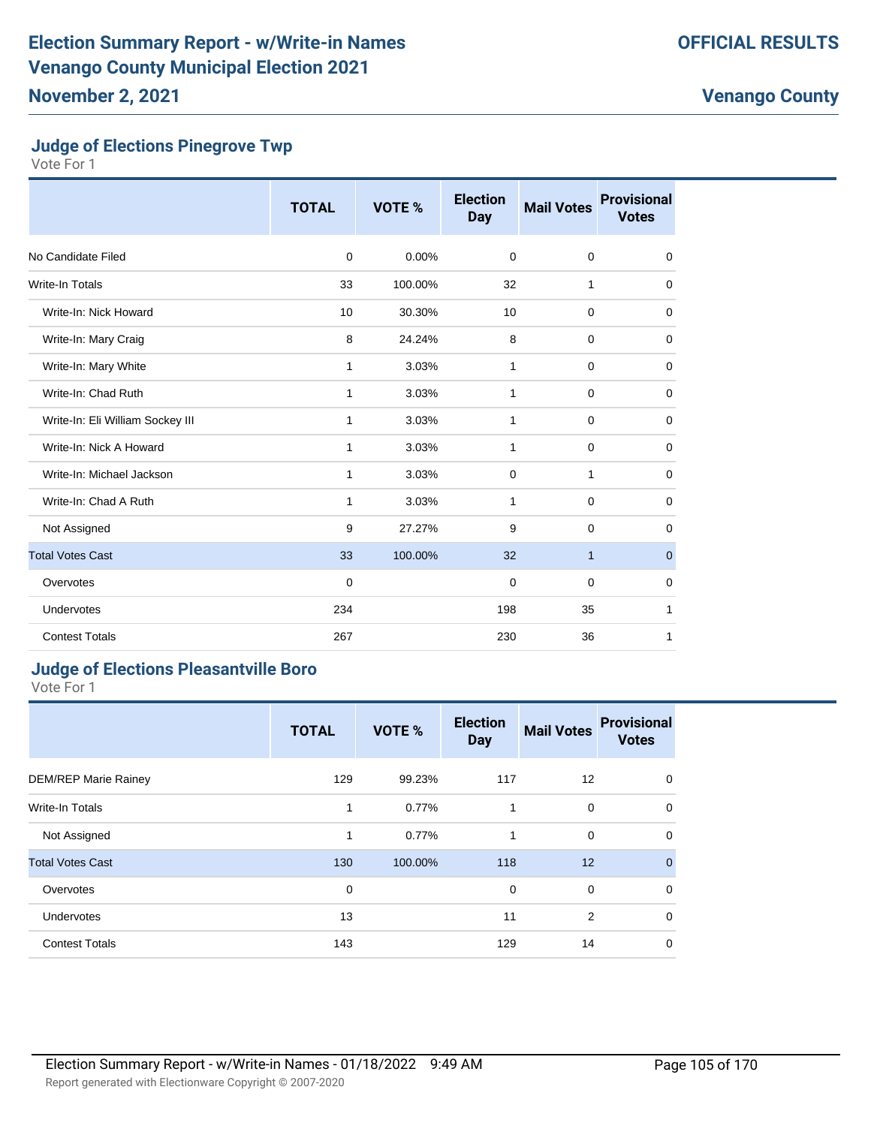## **Judge of Elections Pinegrove Twp**

Vote For 1

|                                  | <b>TOTAL</b> | VOTE %  | <b>Election</b><br><b>Day</b> | <b>Mail Votes</b> | <b>Provisional</b><br><b>Votes</b> |
|----------------------------------|--------------|---------|-------------------------------|-------------------|------------------------------------|
| No Candidate Filed               | 0            | 0.00%   | $\mathbf 0$                   | $\mathbf 0$       | 0                                  |
| <b>Write-In Totals</b>           | 33           | 100.00% | 32                            | 1                 | $\mathbf 0$                        |
| Write-In: Nick Howard            | 10           | 30.30%  | 10                            | $\mathbf 0$       | 0                                  |
| Write-In: Mary Craig             | 8            | 24.24%  | 8                             | $\mathbf 0$       | $\mathbf 0$                        |
| Write-In: Mary White             | 1            | 3.03%   | 1                             | $\mathbf 0$       | 0                                  |
| Write-In: Chad Ruth              | 1            | 3.03%   | 1                             | $\mathbf 0$       | $\mathbf 0$                        |
| Write-In: Eli William Sockey III | 1            | 3.03%   | $\mathbf{1}$                  | $\mathbf 0$       | $\mathbf 0$                        |
| Write-In: Nick A Howard          | 1            | 3.03%   | $\mathbf{1}$                  | $\mathbf 0$       | $\mathbf 0$                        |
| Write-In: Michael Jackson        | 1            | 3.03%   | $\mathbf 0$                   | 1                 | $\mathbf 0$                        |
| Write-In: Chad A Ruth            | 1            | 3.03%   | 1                             | $\mathbf 0$       | 0                                  |
| Not Assigned                     | 9            | 27.27%  | 9                             | $\mathbf 0$       | 0                                  |
| <b>Total Votes Cast</b>          | 33           | 100.00% | 32                            | $\mathbf{1}$      | $\mathbf{0}$                       |
| Overvotes                        | $\mathbf 0$  |         | $\mathbf 0$                   | $\mathbf 0$       | $\mathbf 0$                        |
| Undervotes                       | 234          |         | 198                           | 35                | 1                                  |
| <b>Contest Totals</b>            | 267          |         | 230                           | 36                | 1                                  |

## **Judge of Elections Pleasantville Boro**

|                             | <b>TOTAL</b> | VOTE %  | <b>Election</b><br><b>Day</b> | <b>Mail Votes</b> | <b>Provisional</b><br><b>Votes</b> |
|-----------------------------|--------------|---------|-------------------------------|-------------------|------------------------------------|
| <b>DEM/REP Marie Rainey</b> | 129          | 99.23%  | 117                           | 12                | $\mathbf 0$                        |
| <b>Write-In Totals</b>      | 1            | 0.77%   | 1                             | 0                 | $\mathbf 0$                        |
| Not Assigned                | 1            | 0.77%   | 1                             | $\mathbf 0$       | $\mathbf 0$                        |
| <b>Total Votes Cast</b>     | 130          | 100.00% | 118                           | 12                | $\mathbf{0}$                       |
| Overvotes                   | 0            |         | 0                             | $\mathbf 0$       | $\mathbf 0$                        |
| Undervotes                  | 13           |         | 11                            | 2                 | $\mathbf 0$                        |
| <b>Contest Totals</b>       | 143          |         | 129                           | 14                | 0                                  |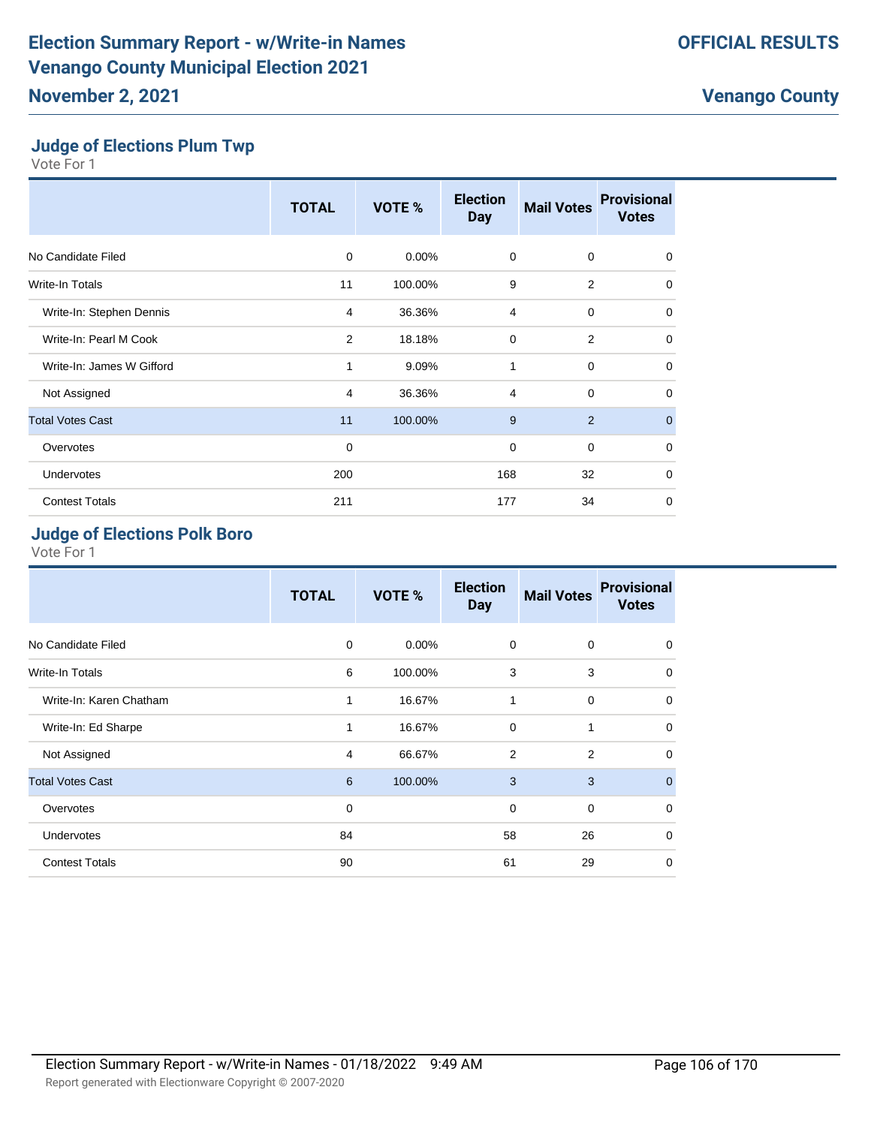# **Judge of Elections Plum Twp**

Vote For 1

|                           | <b>TOTAL</b> | VOTE %  | <b>Election</b><br><b>Day</b> | <b>Mail Votes</b> | <b>Provisional</b><br><b>Votes</b> |
|---------------------------|--------------|---------|-------------------------------|-------------------|------------------------------------|
| No Candidate Filed        | $\mathbf 0$  | 0.00%   | $\mathbf 0$                   | $\mathbf 0$       | $\mathbf 0$                        |
| Write-In Totals           | 11           | 100.00% | 9                             | 2                 | $\mathbf 0$                        |
| Write-In: Stephen Dennis  | 4            | 36.36%  | $\overline{4}$                | $\mathbf 0$       | $\mathbf 0$                        |
| Write-In: Pearl M Cook    | 2            | 18.18%  | $\mathbf 0$                   | $\overline{2}$    | 0                                  |
| Write-In: James W Gifford | 1            | 9.09%   | 1                             | 0                 | 0                                  |
| Not Assigned              | 4            | 36.36%  | $\overline{4}$                | $\mathbf 0$       | $\mathbf 0$                        |
| <b>Total Votes Cast</b>   | 11           | 100.00% | 9                             | 2                 | $\overline{0}$                     |
| Overvotes                 | $\mathbf 0$  |         | 0                             | 0                 | $\mathbf 0$                        |
| Undervotes                | 200          |         | 168                           | 32                | $\mathbf 0$                        |
| <b>Contest Totals</b>     | 211          |         | 177                           | 34                | $\mathbf 0$                        |

## **Judge of Elections Polk Boro**

|                         | <b>TOTAL</b> | VOTE %   | <b>Election</b><br><b>Day</b> | <b>Mail Votes</b> | <b>Provisional</b><br><b>Votes</b> |
|-------------------------|--------------|----------|-------------------------------|-------------------|------------------------------------|
| No Candidate Filed      | $\mathbf 0$  | $0.00\%$ | 0                             | 0                 | 0                                  |
| Write-In Totals         | 6            | 100.00%  | 3                             | 3                 | 0                                  |
| Write-In: Karen Chatham | 1            | 16.67%   | 1                             | 0                 | 0                                  |
| Write-In: Ed Sharpe     | 1            | 16.67%   | 0                             | 1                 | $\mathbf 0$                        |
| Not Assigned            | 4            | 66.67%   | $\overline{2}$                | 2                 | $\mathbf 0$                        |
| <b>Total Votes Cast</b> | 6            | 100.00%  | 3                             | 3                 | $\Omega$                           |
| Overvotes               | 0            |          | 0                             | 0                 | $\mathbf 0$                        |
| Undervotes              | 84           |          | 58                            | 26                | 0                                  |
| <b>Contest Totals</b>   | 90           |          | 61                            | 29                | 0                                  |
|                         |              |          |                               |                   |                                    |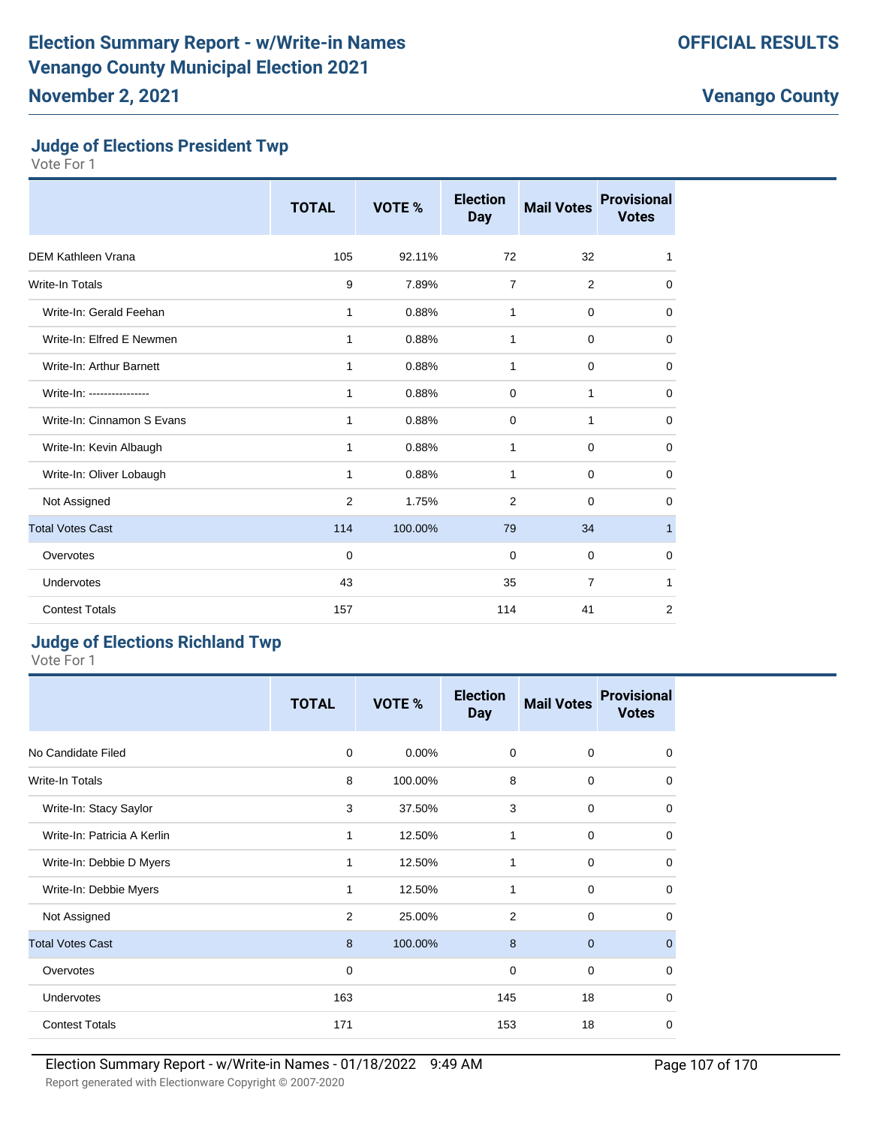## **Judge of Elections President Twp**

Vote For 1

|                            | <b>TOTAL</b> | VOTE %  | <b>Election</b><br><b>Day</b> | <b>Mail Votes</b> | <b>Provisional</b><br><b>Votes</b> |
|----------------------------|--------------|---------|-------------------------------|-------------------|------------------------------------|
| <b>DEM Kathleen Vrana</b>  | 105          | 92.11%  | 72                            | 32                | 1                                  |
| Write-In Totals            | 9            | 7.89%   | $\overline{7}$                | 2                 | 0                                  |
| Write-In: Gerald Feehan    | 1            | 0.88%   | 1                             | $\mathbf 0$       | $\mathbf 0$                        |
| Write-In: Elfred E Newmen  | 1            | 0.88%   | 1                             | 0                 | 0                                  |
| Write-In: Arthur Barnett   | 1            | 0.88%   | 1                             | 0                 | 0                                  |
| Write-In: ---------------- | 1            | 0.88%   | 0                             | $\mathbf{1}$      | 0                                  |
| Write-In: Cinnamon S Evans | 1            | 0.88%   | 0                             | 1                 | 0                                  |
| Write-In: Kevin Albaugh    | 1            | 0.88%   | 1                             | 0                 | 0                                  |
| Write-In: Oliver Lobaugh   | 1            | 0.88%   | 1                             | $\mathbf 0$       | 0                                  |
| Not Assigned               | 2            | 1.75%   | 2                             | $\mathbf 0$       | 0                                  |
| <b>Total Votes Cast</b>    | 114          | 100.00% | 79                            | 34                | $\mathbf{1}$                       |
| Overvotes                  | $\mathbf 0$  |         | 0                             | 0                 | 0                                  |
| Undervotes                 | 43           |         | 35                            | $\overline{7}$    | 1                                  |
| <b>Contest Totals</b>      | 157          |         | 114                           | 41                | 2                                  |

#### **Judge of Elections Richland Twp**

|                             | <b>TOTAL</b> | VOTE %   | <b>Election</b><br><b>Day</b> | <b>Mail Votes</b> | <b>Provisional</b><br><b>Votes</b> |
|-----------------------------|--------------|----------|-------------------------------|-------------------|------------------------------------|
| No Candidate Filed          | 0            | $0.00\%$ | 0                             | $\mathbf 0$       | 0                                  |
| Write-In Totals             | 8            | 100.00%  | 8                             | $\mathbf 0$       | 0                                  |
| Write-In: Stacy Saylor      | 3            | 37.50%   | 3                             | $\mathbf 0$       | 0                                  |
| Write-In: Patricia A Kerlin | 1            | 12.50%   | 1                             | $\mathbf 0$       | $\mathbf 0$                        |
| Write-In: Debbie D Myers    | 1            | 12.50%   | 1                             | $\mathbf 0$       | $\mathbf 0$                        |
| Write-In: Debbie Myers      | 1            | 12.50%   | 1                             | $\mathbf 0$       | $\mathbf 0$                        |
| Not Assigned                | 2            | 25.00%   | 2                             | $\mathbf 0$       | 0                                  |
| <b>Total Votes Cast</b>     | 8            | 100.00%  | 8                             | $\mathbf{0}$      | $\mathbf 0$                        |
| Overvotes                   | 0            |          | $\mathbf 0$                   | $\mathbf 0$       | 0                                  |
| Undervotes                  | 163          |          | 145                           | 18                | 0                                  |
| <b>Contest Totals</b>       | 171          |          | 153                           | 18                | 0                                  |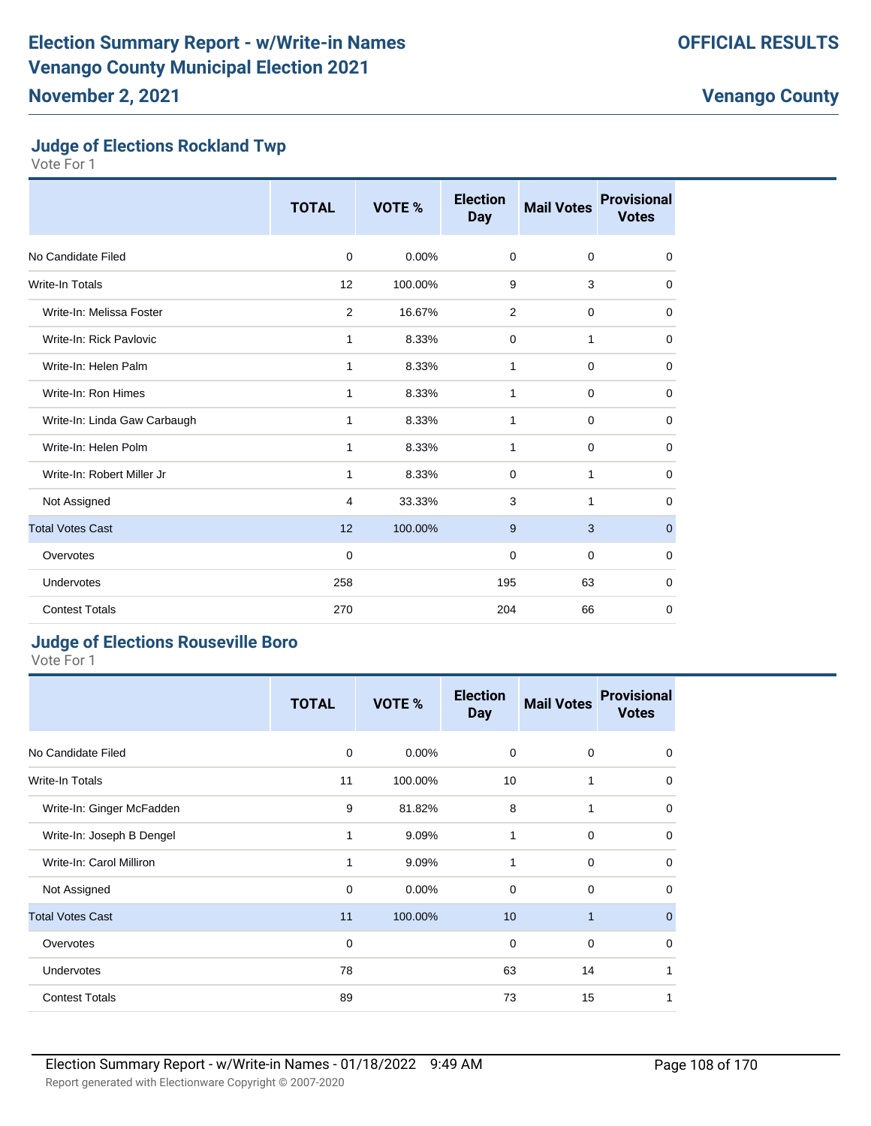## **Judge of Elections Rockland Twp**

Vote For 1

|                              | <b>TOTAL</b> | VOTE %  | <b>Election</b><br><b>Day</b> | <b>Mail Votes</b> | <b>Provisional</b><br><b>Votes</b> |
|------------------------------|--------------|---------|-------------------------------|-------------------|------------------------------------|
| No Candidate Filed           | $\Omega$     | 0.00%   | $\Omega$                      | 0                 | $\mathbf 0$                        |
| Write-In Totals              | 12           | 100.00% | 9                             | 3                 | $\mathbf 0$                        |
| Write-In: Melissa Foster     | 2            | 16.67%  | 2                             | 0                 | $\mathbf 0$                        |
| Write-In: Rick Pavlovic      | 1            | 8.33%   | $\mathbf 0$                   | 1                 | 0                                  |
| Write-In: Helen Palm         | 1            | 8.33%   | 1                             | 0                 | $\mathbf 0$                        |
| Write-In: Ron Himes          | 1            | 8.33%   | 1                             | 0                 | 0                                  |
| Write-In: Linda Gaw Carbaugh | 1            | 8.33%   | 1                             | 0                 | $\mathbf 0$                        |
| Write-In: Helen Polm         | 1            | 8.33%   | 1                             | 0                 | 0                                  |
| Write-In: Robert Miller Jr   | 1            | 8.33%   | $\mathbf 0$                   | 1                 | $\mathbf 0$                        |
| Not Assigned                 | 4            | 33.33%  | 3                             | 1                 | 0                                  |
| <b>Total Votes Cast</b>      | 12           | 100.00% | 9                             | 3                 | $\mathbf 0$                        |
| Overvotes                    | $\mathbf 0$  |         | 0                             | 0                 | $\mathbf 0$                        |
| Undervotes                   | 258          |         | 195                           | 63                | 0                                  |
| <b>Contest Totals</b>        | 270          |         | 204                           | 66                | $\mathbf 0$                        |

#### **Judge of Elections Rouseville Boro**

|                           | <b>TOTAL</b> | VOTE %   | <b>Election</b><br><b>Day</b> | <b>Mail Votes</b> | <b>Provisional</b><br><b>Votes</b> |
|---------------------------|--------------|----------|-------------------------------|-------------------|------------------------------------|
| No Candidate Filed        | 0            | $0.00\%$ | $\mathbf 0$                   | $\mathbf 0$       | $\mathbf 0$                        |
| Write-In Totals           | 11           | 100.00%  | 10                            | 1                 | $\mathbf 0$                        |
| Write-In: Ginger McFadden | 9            | 81.82%   | 8                             | 1                 | $\mathbf 0$                        |
| Write-In: Joseph B Dengel | 1            | 9.09%    | 1                             | $\mathbf 0$       | $\mathbf 0$                        |
| Write-In: Carol Milliron  | 1            | 9.09%    | 1                             | $\mathbf 0$       | $\mathbf 0$                        |
| Not Assigned              | 0            | $0.00\%$ | $\Omega$                      | $\mathbf 0$       | $\mathbf 0$                        |
| <b>Total Votes Cast</b>   | 11           | 100.00%  | 10                            | $\mathbf{1}$      | $\mathbf 0$                        |
| Overvotes                 | 0            |          | $\mathbf 0$                   | $\mathbf 0$       | $\mathbf 0$                        |
| Undervotes                | 78           |          | 63                            | 14                | 1                                  |
| <b>Contest Totals</b>     | 89           |          | 73                            | 15                | 1                                  |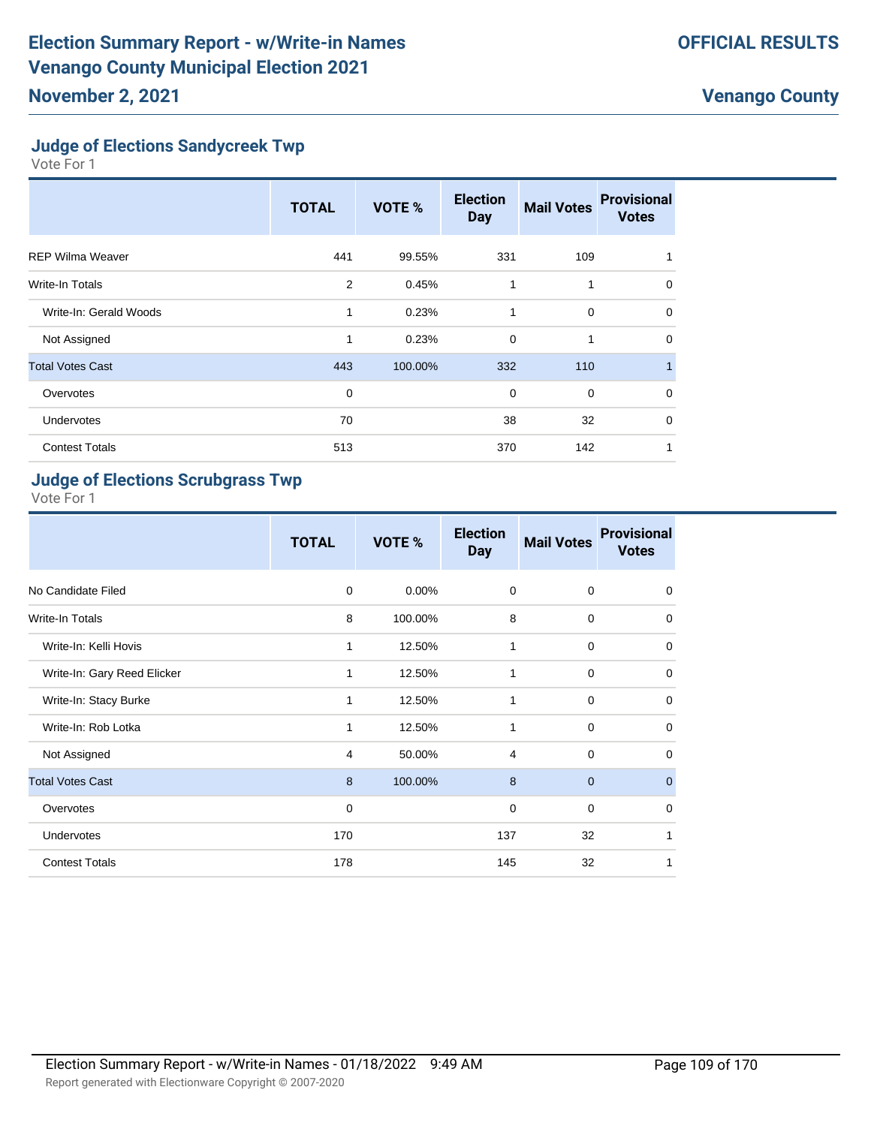### **Judge of Elections Sandycreek Twp**

Vote For 1

|                         | <b>TOTAL</b> | VOTE %  | <b>Election</b><br><b>Day</b> | <b>Mail Votes</b> | <b>Provisional</b><br><b>Votes</b> |
|-------------------------|--------------|---------|-------------------------------|-------------------|------------------------------------|
| <b>REP Wilma Weaver</b> | 441          | 99.55%  | 331                           | 109               |                                    |
| Write-In Totals         | 2            | 0.45%   | $\mathbf{1}$                  | 1                 | $\mathbf 0$                        |
| Write-In: Gerald Woods  | 1            | 0.23%   | 1                             | $\mathbf 0$       | $\Omega$                           |
| Not Assigned            | 1            | 0.23%   | $\mathbf 0$                   | 1                 | $\Omega$                           |
| <b>Total Votes Cast</b> | 443          | 100.00% | 332                           | 110               | $\blacksquare$                     |
| Overvotes               | 0            |         | $\mathbf 0$                   | $\mathbf 0$       | $\Omega$                           |
| Undervotes              | 70           |         | 38                            | 32                | $\Omega$                           |
| <b>Contest Totals</b>   | 513          |         | 370                           | 142               | 1                                  |

# **Judge of Elections Scrubgrass Twp**

|                             | <b>TOTAL</b> | VOTE %  | <b>Election</b><br><b>Day</b> | <b>Mail Votes</b> | <b>Provisional</b><br><b>Votes</b> |
|-----------------------------|--------------|---------|-------------------------------|-------------------|------------------------------------|
| No Candidate Filed          | $\mathbf 0$  | 0.00%   | $\mathbf 0$                   | $\mathbf 0$       | 0                                  |
| Write-In Totals             | 8            | 100.00% | 8                             | $\mathbf 0$       | $\mathbf 0$                        |
| Write-In: Kelli Hovis       | 1            | 12.50%  | 1                             | $\mathbf 0$       | $\mathbf 0$                        |
| Write-In: Gary Reed Elicker | 1            | 12.50%  | 1                             | $\mathbf 0$       | $\mathbf 0$                        |
| Write-In: Stacy Burke       | 1            | 12.50%  | 1                             | $\mathbf 0$       | $\mathbf 0$                        |
| Write-In: Rob Lotka         | 1            | 12.50%  | 1                             | $\mathbf 0$       | $\mathbf 0$                        |
| Not Assigned                | 4            | 50.00%  | 4                             | 0                 | $\mathbf 0$                        |
| <b>Total Votes Cast</b>     | 8            | 100.00% | 8                             | $\mathbf{0}$      | $\mathbf{0}$                       |
| Overvotes                   | 0            |         | 0                             | $\mathbf 0$       | $\mathbf 0$                        |
| Undervotes                  | 170          |         | 137                           | 32                | 1                                  |
| <b>Contest Totals</b>       | 178          |         | 145                           | 32                | 1                                  |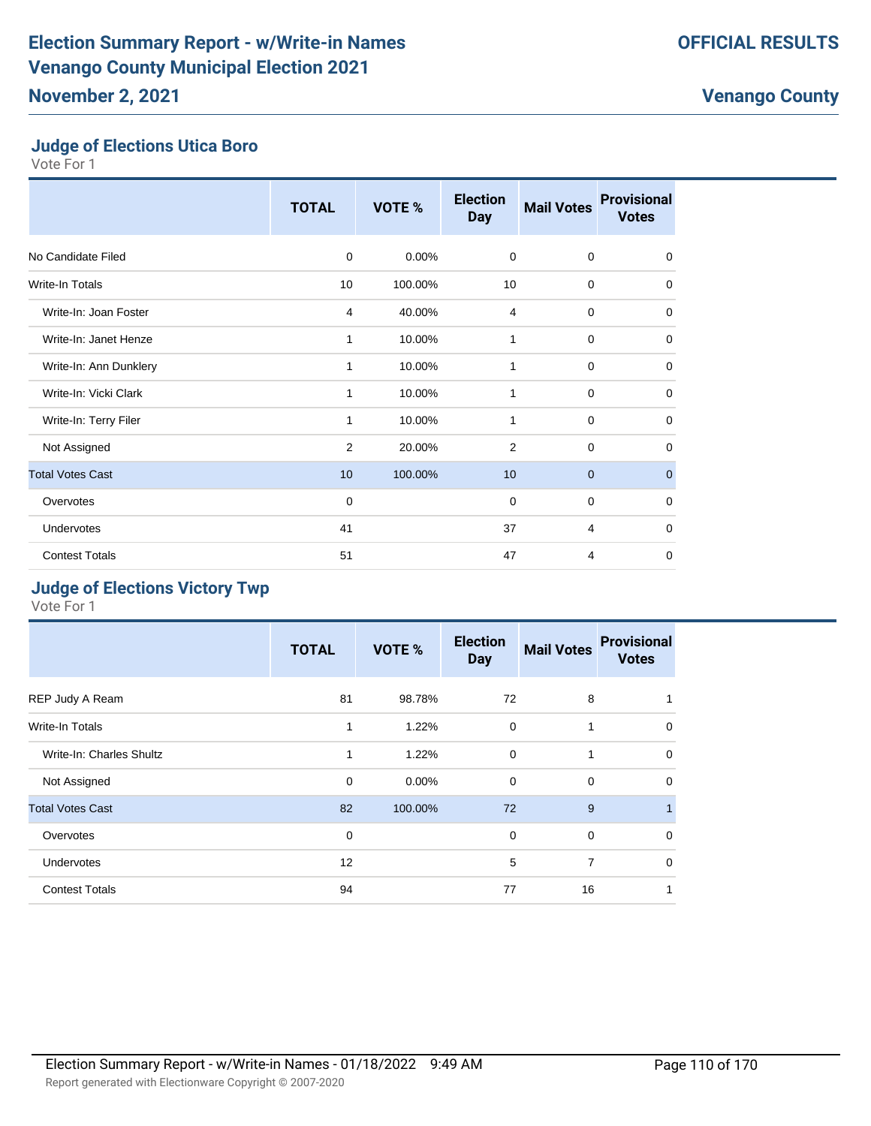#### **Judge of Elections Utica Boro**

Vote For 1

|                         | <b>TOTAL</b> | VOTE %  | <b>Election</b><br><b>Day</b> | <b>Mail Votes</b> | <b>Provisional</b><br><b>Votes</b> |
|-------------------------|--------------|---------|-------------------------------|-------------------|------------------------------------|
| No Candidate Filed      | $\mathbf 0$  | 0.00%   | $\mathbf 0$                   | $\mathbf 0$       | $\mathbf 0$                        |
| Write-In Totals         | 10           | 100.00% | 10                            | $\mathbf 0$       | $\mathbf 0$                        |
| Write-In: Joan Foster   | 4            | 40.00%  | 4                             | $\mathbf 0$       | 0                                  |
| Write-In: Janet Henze   | 1            | 10.00%  | 1                             | $\mathbf 0$       | $\mathbf 0$                        |
| Write-In: Ann Dunklery  | 1            | 10.00%  | 1                             | $\mathbf 0$       | $\mathbf 0$                        |
| Write-In: Vicki Clark   | 1            | 10.00%  | 1                             | $\mathbf 0$       | $\mathbf 0$                        |
| Write-In: Terry Filer   | 1            | 10.00%  | 1                             | $\mathbf 0$       | $\mathbf 0$                        |
| Not Assigned            | 2            | 20.00%  | 2                             | $\mathbf 0$       | $\mathbf 0$                        |
| <b>Total Votes Cast</b> | 10           | 100.00% | 10                            | $\mathbf{0}$      | $\mathbf 0$                        |
| Overvotes               | 0            |         | 0                             | $\mathbf 0$       | $\mathbf 0$                        |
| Undervotes              | 41           |         | 37                            | $\overline{4}$    | $\mathbf 0$                        |
| <b>Contest Totals</b>   | 51           |         | 47                            | 4                 | $\mathbf 0$                        |

### **Judge of Elections Victory Twp**

|                          | <b>TOTAL</b> | VOTE %   | <b>Election</b><br><b>Day</b> | <b>Mail Votes</b> | <b>Provisional</b><br><b>Votes</b> |
|--------------------------|--------------|----------|-------------------------------|-------------------|------------------------------------|
| REP Judy A Ream          | 81           | 98.78%   | 72                            | 8                 | 1                                  |
| <b>Write-In Totals</b>   | 1            | 1.22%    | $\mathbf 0$                   | 1                 | $\mathbf 0$                        |
| Write-In: Charles Shultz | 1            | 1.22%    | $\mathbf 0$                   | 1                 | $\mathbf 0$                        |
| Not Assigned             | $\mathbf 0$  | $0.00\%$ | $\mathbf 0$                   | 0                 | $\mathbf 0$                        |
| <b>Total Votes Cast</b>  | 82           | 100.00%  | 72                            | 9                 | $\mathbf{1}$                       |
| Overvotes                | $\mathbf 0$  |          | $\Omega$                      | $\mathbf 0$       | $\mathbf 0$                        |
| <b>Undervotes</b>        | 12           |          | 5                             | $\overline{7}$    | 0                                  |
| <b>Contest Totals</b>    | 94           |          | 77                            | 16                | 1                                  |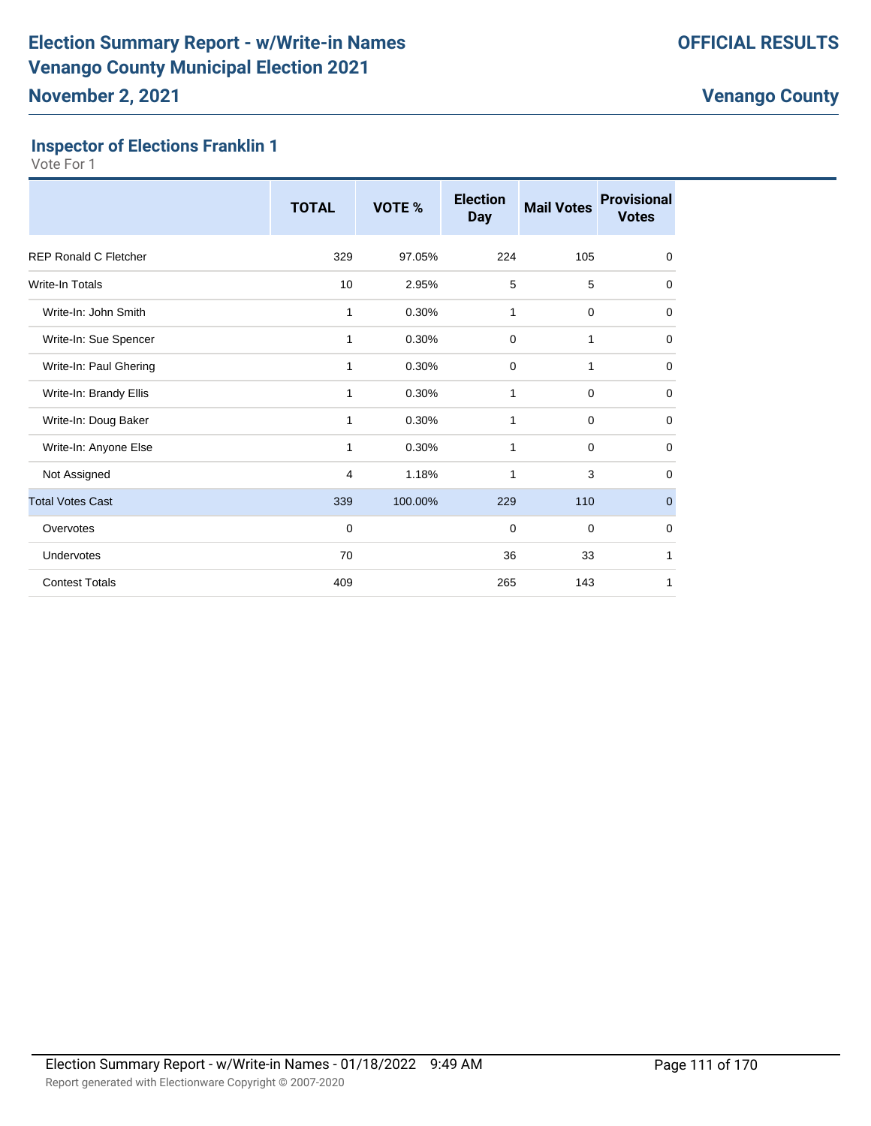#### **Inspector of Elections Franklin 1**

|                              | <b>TOTAL</b> | VOTE %  | <b>Election</b><br><b>Day</b> | <b>Mail Votes</b> | <b>Provisional</b><br><b>Votes</b> |
|------------------------------|--------------|---------|-------------------------------|-------------------|------------------------------------|
| <b>REP Ronald C Fletcher</b> | 329          | 97.05%  | 224                           | 105               | $\mathbf 0$                        |
| Write-In Totals              | 10           | 2.95%   | 5                             | 5                 | $\Omega$                           |
| Write-In: John Smith         | 1            | 0.30%   | 1                             | $\mathbf 0$       | $\mathbf 0$                        |
| Write-In: Sue Spencer        | 1            | 0.30%   | $\mathbf 0$                   | 1                 | $\mathbf 0$                        |
| Write-In: Paul Ghering       | 1            | 0.30%   | $\mathbf 0$                   | 1                 | $\mathbf 0$                        |
| Write-In: Brandy Ellis       | 1            | 0.30%   | 1                             | $\mathbf 0$       | 0                                  |
| Write-In: Doug Baker         | 1            | 0.30%   | 1                             | 0                 | 0                                  |
| Write-In: Anyone Else        | 1            | 0.30%   | 1                             | $\mathbf 0$       | $\mathbf 0$                        |
| Not Assigned                 | 4            | 1.18%   | 1                             | 3                 | $\Omega$                           |
| <b>Total Votes Cast</b>      | 339          | 100.00% | 229                           | 110               | $\mathbf 0$                        |
| Overvotes                    | $\mathbf 0$  |         | $\mathbf 0$                   | $\mathbf 0$       | $\mathbf 0$                        |
| Undervotes                   | 70           |         | 36                            | 33                | 1                                  |
| <b>Contest Totals</b>        | 409          |         | 265                           | 143               | 1                                  |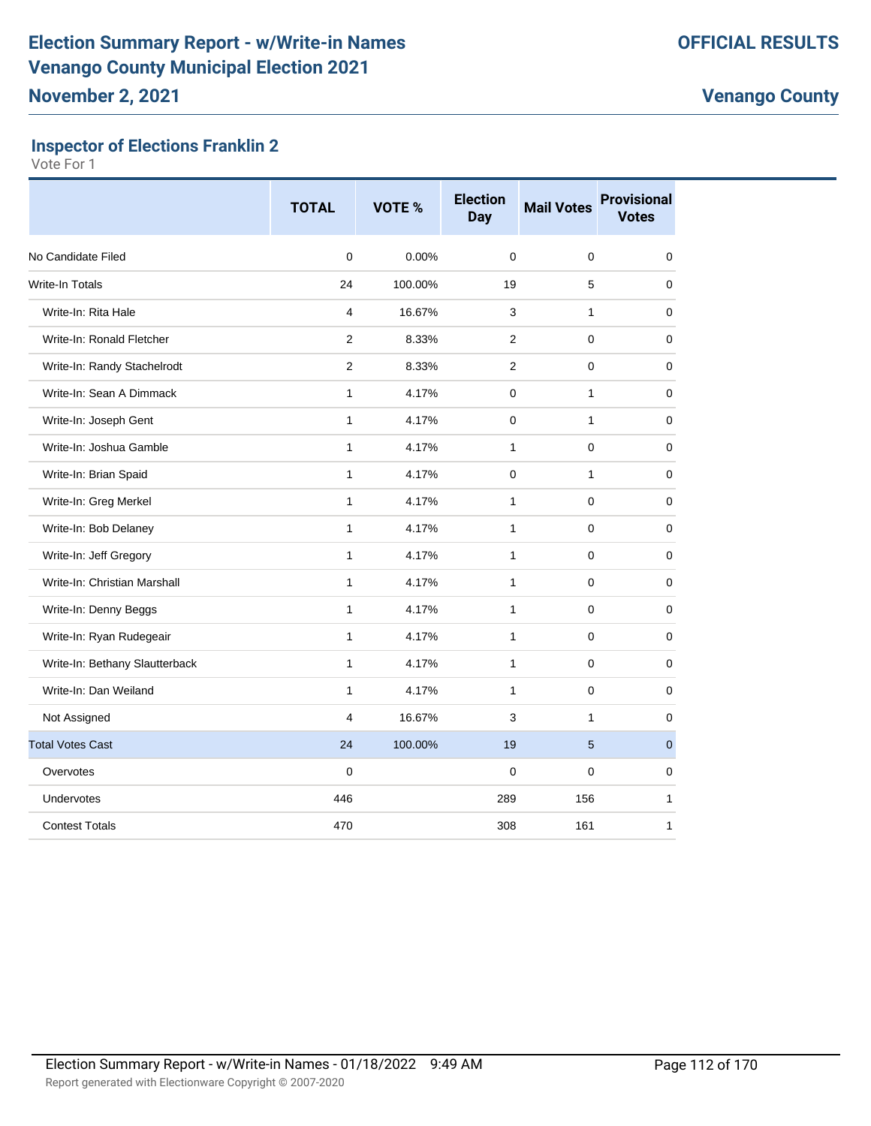## **Inspector of Elections Franklin 2**

|                                | <b>TOTAL</b>   | VOTE %  | <b>Election</b><br><b>Day</b> | <b>Mail Votes</b> | <b>Provisional</b><br><b>Votes</b> |
|--------------------------------|----------------|---------|-------------------------------|-------------------|------------------------------------|
| No Candidate Filed             | $\mathbf 0$    | 0.00%   | 0                             | $\mathbf 0$       | 0                                  |
| <b>Write-In Totals</b>         | 24             | 100.00% | 19                            | 5                 | 0                                  |
| Write-In: Rita Hale            | $\overline{4}$ | 16.67%  | 3                             | $\mathbf{1}$      | 0                                  |
| Write-In: Ronald Fletcher      | $\overline{2}$ | 8.33%   | $\overline{2}$                | $\mathbf 0$       | 0                                  |
| Write-In: Randy Stachelrodt    | 2              | 8.33%   | $\overline{2}$                | $\mathbf 0$       | 0                                  |
| Write-In: Sean A Dimmack       | 1              | 4.17%   | 0                             | $\mathbf{1}$      | 0                                  |
| Write-In: Joseph Gent          | $\mathbf{1}$   | 4.17%   | 0                             | $\mathbf{1}$      | 0                                  |
| Write-In: Joshua Gamble        | 1              | 4.17%   | $\mathbf{1}$                  | 0                 | 0                                  |
| Write-In: Brian Spaid          | $\mathbf{1}$   | 4.17%   | 0                             | $\mathbf{1}$      | 0                                  |
| Write-In: Greg Merkel          | $\mathbf{1}$   | 4.17%   | $\mathbf{1}$                  | $\mathbf 0$       | 0                                  |
| Write-In: Bob Delaney          | $\mathbf{1}$   | 4.17%   | $\mathbf{1}$                  | $\mathbf 0$       | 0                                  |
| Write-In: Jeff Gregory         | $\mathbf{1}$   | 4.17%   | $\mathbf{1}$                  | $\mathbf 0$       | 0                                  |
| Write-In: Christian Marshall   | $\mathbf{1}$   | 4.17%   | 1                             | 0                 | 0                                  |
| Write-In: Denny Beggs          | $\mathbf{1}$   | 4.17%   | $\mathbf{1}$                  | $\mathbf 0$       | 0                                  |
| Write-In: Ryan Rudegeair       | $\mathbf{1}$   | 4.17%   | 1                             | 0                 | 0                                  |
| Write-In: Bethany Slautterback | $\mathbf{1}$   | 4.17%   | 1                             | $\mathbf 0$       | 0                                  |
| Write-In: Dan Weiland          | $\mathbf{1}$   | 4.17%   | 1                             | $\mathbf 0$       | 0                                  |
| Not Assigned                   | 4              | 16.67%  | 3                             | $\mathbf{1}$      | 0                                  |
| <b>Total Votes Cast</b>        | 24             | 100.00% | 19                            | 5                 | $\mathbf 0$                        |
| Overvotes                      | $\mathbf 0$    |         | 0                             | $\mathbf 0$       | 0                                  |
| Undervotes                     | 446            |         | 289                           | 156               | 1                                  |
| <b>Contest Totals</b>          | 470            |         | 308                           | 161               | $\mathbf{1}$                       |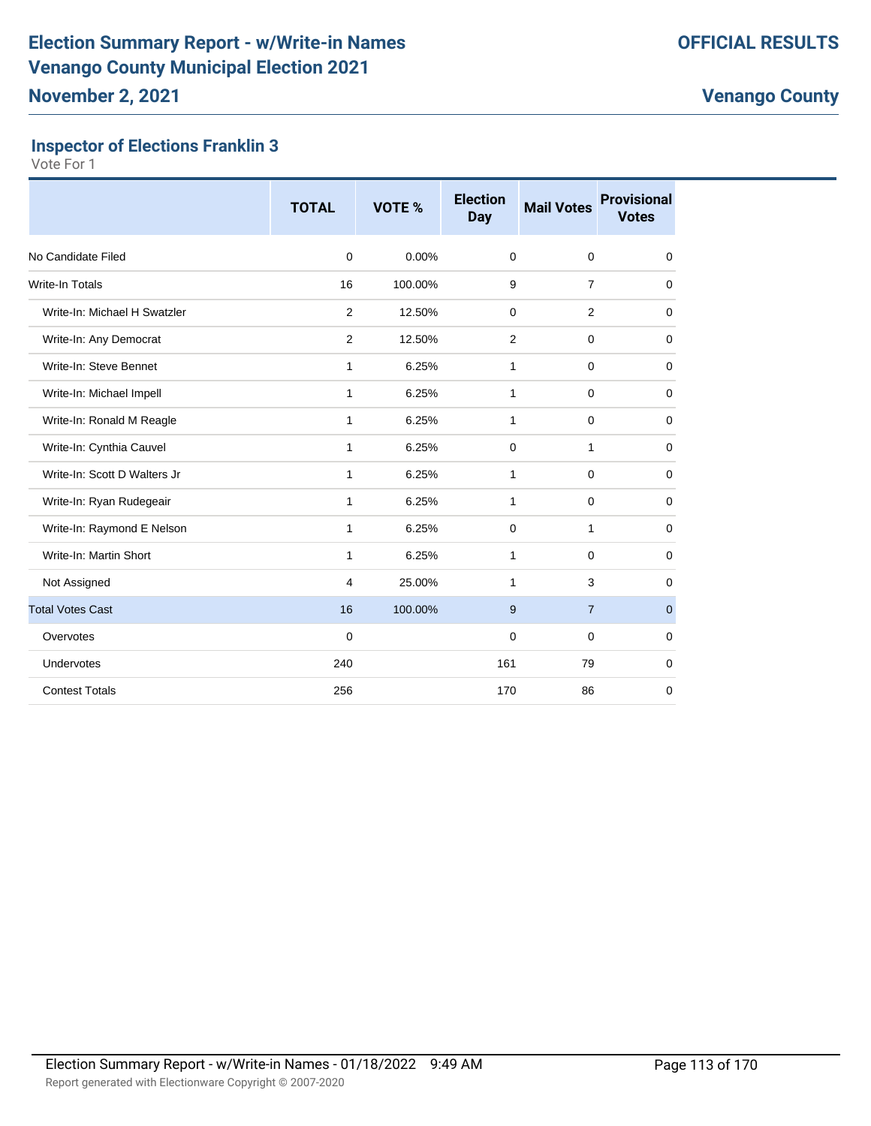## **Inspector of Elections Franklin 3**

|                              | <b>TOTAL</b> | <b>VOTE %</b> | <b>Election</b><br><b>Day</b> | <b>Mail Votes</b> | <b>Provisional</b><br><b>Votes</b> |
|------------------------------|--------------|---------------|-------------------------------|-------------------|------------------------------------|
| No Candidate Filed           | $\mathbf 0$  | 0.00%         | $\mathbf 0$                   | $\mathbf 0$       | 0                                  |
| <b>Write-In Totals</b>       | 16           | 100.00%       | 9                             | $\overline{7}$    | $\mathbf 0$                        |
| Write-In: Michael H Swatzler | 2            | 12.50%        | $\mathbf 0$                   | 2                 | $\mathbf 0$                        |
| Write-In: Any Democrat       | 2            | 12.50%        | 2                             | $\mathbf 0$       | $\mathbf 0$                        |
| Write-In: Steve Bennet       | $\mathbf{1}$ | 6.25%         | 1                             | $\mathbf 0$       | 0                                  |
| Write-In: Michael Impell     | 1            | 6.25%         | 1                             | $\mathbf 0$       | 0                                  |
| Write-In: Ronald M Reagle    | $\mathbf{1}$ | 6.25%         | 1                             | $\mathbf 0$       | $\mathbf 0$                        |
| Write-In: Cynthia Cauvel     | $\mathbf{1}$ | 6.25%         | $\mathbf 0$                   | $\mathbf{1}$      | $\mathbf 0$                        |
| Write-In: Scott D Walters Jr | $\mathbf{1}$ | 6.25%         | 1                             | $\mathbf 0$       | $\mathbf 0$                        |
| Write-In: Ryan Rudegeair     | $\mathbf{1}$ | 6.25%         | 1                             | $\mathbf 0$       | 0                                  |
| Write-In: Raymond E Nelson   | $\mathbf{1}$ | 6.25%         | $\mathbf 0$                   | $\mathbf{1}$      | $\mathbf 0$                        |
| Write-In: Martin Short       | $\mathbf{1}$ | 6.25%         | 1                             | 0                 | 0                                  |
| Not Assigned                 | 4            | 25.00%        | 1                             | 3                 | 0                                  |
| <b>Total Votes Cast</b>      | 16           | 100.00%       | 9                             | $\overline{7}$    | $\mathbf{0}$                       |
| Overvotes                    | $\mathbf 0$  |               | 0                             | $\mathbf 0$       | $\mathbf 0$                        |
| Undervotes                   | 240          |               | 161                           | 79                | $\mathbf 0$                        |
| <b>Contest Totals</b>        | 256          |               | 170                           | 86                | 0                                  |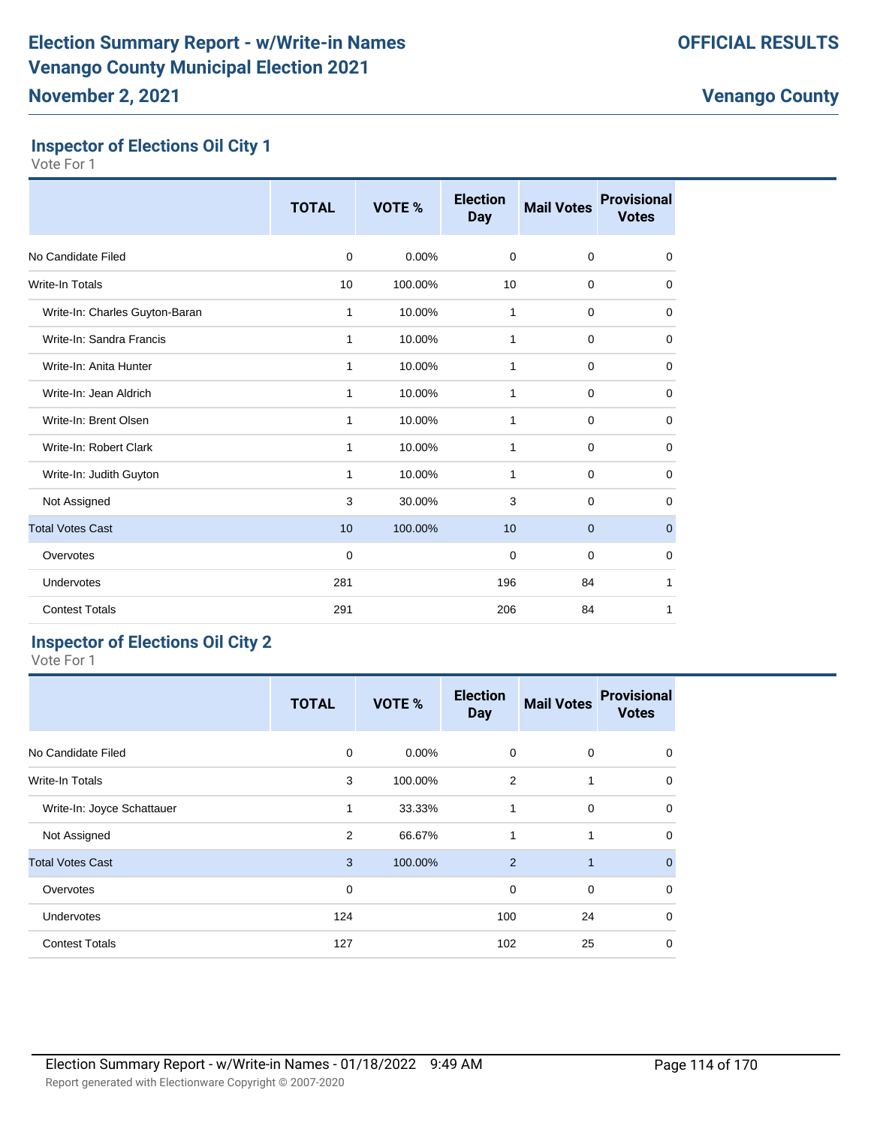## **Inspector of Elections Oil City 1**

Vote For 1

|                                | <b>TOTAL</b> | VOTE %  | <b>Election</b><br><b>Day</b> | <b>Mail Votes</b> | <b>Provisional</b><br><b>Votes</b> |
|--------------------------------|--------------|---------|-------------------------------|-------------------|------------------------------------|
| No Candidate Filed             | $\mathbf 0$  | 0.00%   | $\mathbf 0$                   | $\mathbf 0$       | 0                                  |
| <b>Write-In Totals</b>         | 10           | 100.00% | 10                            | $\mathbf 0$       | $\mathbf 0$                        |
| Write-In: Charles Guyton-Baran | 1            | 10.00%  | 1                             | $\mathbf 0$       | 0                                  |
| Write-In: Sandra Francis       | 1            | 10.00%  | 1                             | $\mathbf 0$       | 0                                  |
| Write-In: Anita Hunter         | 1            | 10.00%  | 1                             | 0                 | 0                                  |
| Write-In: Jean Aldrich         | 1            | 10.00%  | $\mathbf{1}$                  | $\mathbf 0$       | $\mathbf 0$                        |
| Write-In: Brent Olsen          | 1            | 10.00%  | 1                             | $\mathbf 0$       | $\mathbf 0$                        |
| Write-In: Robert Clark         | 1            | 10.00%  | 1                             | $\mathbf 0$       | 0                                  |
| Write-In: Judith Guyton        | $\mathbf{1}$ | 10.00%  | $\mathbf{1}$                  | $\mathbf 0$       | $\mathbf 0$                        |
| Not Assigned                   | 3            | 30.00%  | 3                             | $\mathbf 0$       | $\mathbf 0$                        |
| <b>Total Votes Cast</b>        | 10           | 100.00% | 10                            | $\mathbf 0$       | $\mathbf 0$                        |
| Overvotes                      | 0            |         | $\mathbf 0$                   | $\mathbf 0$       | 0                                  |
| Undervotes                     | 281          |         | 196                           | 84                | 1                                  |
| <b>Contest Totals</b>          | 291          |         | 206                           | 84                | 1                                  |

### **Inspector of Elections Oil City 2**

|                            | <b>TOTAL</b> | VOTE %  | <b>Election</b><br><b>Day</b> | <b>Mail Votes</b> | <b>Provisional</b><br><b>Votes</b> |
|----------------------------|--------------|---------|-------------------------------|-------------------|------------------------------------|
| No Candidate Filed         | 0            | 0.00%   | 0                             | $\mathbf 0$       | 0                                  |
| Write-In Totals            | 3            | 100.00% | 2                             | 1                 | $\mathbf 0$                        |
| Write-In: Joyce Schattauer | 1            | 33.33%  | 1                             | 0                 | $\mathbf 0$                        |
| Not Assigned               | 2            | 66.67%  | 1                             | 1                 | $\mathbf 0$                        |
| <b>Total Votes Cast</b>    | 3            | 100.00% | 2                             | $\mathbf{1}$      | $\mathbf{0}$                       |
| Overvotes                  | 0            |         | $\mathbf 0$                   | $\mathbf 0$       | 0                                  |
| Undervotes                 | 124          |         | 100                           | 24                | 0                                  |
| <b>Contest Totals</b>      | 127          |         | 102                           | 25                | $\mathbf 0$                        |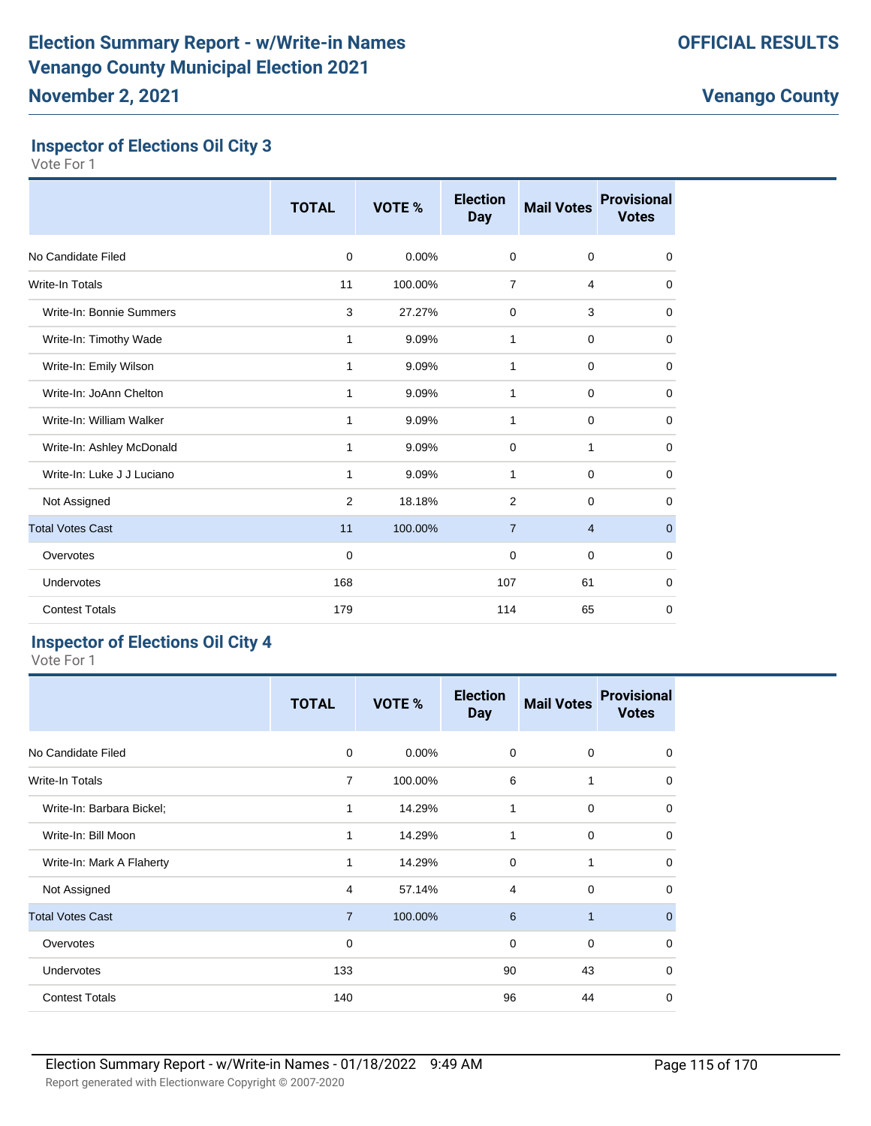# **Inspector of Elections Oil City 3**

Vote For 1

|                            | <b>TOTAL</b> | VOTE %  | <b>Election</b><br><b>Day</b> | <b>Mail Votes</b> | <b>Provisional</b><br><b>Votes</b> |
|----------------------------|--------------|---------|-------------------------------|-------------------|------------------------------------|
| No Candidate Filed         | $\Omega$     | 0.00%   | $\mathbf 0$                   | $\mathbf 0$       | $\mathbf 0$                        |
| <b>Write-In Totals</b>     | 11           | 100.00% | $\overline{7}$                | 4                 | $\mathbf 0$                        |
| Write-In: Bonnie Summers   | 3            | 27.27%  | $\mathbf 0$                   | 3                 | $\mathbf 0$                        |
| Write-In: Timothy Wade     | 1            | 9.09%   | 1                             | $\mathbf 0$       | $\mathbf 0$                        |
| Write-In: Emily Wilson     | 1            | 9.09%   | 1                             | $\mathbf 0$       | 0                                  |
| Write-In: JoAnn Chelton    | 1            | 9.09%   | $\mathbf{1}$                  | $\mathbf 0$       | $\mathbf 0$                        |
| Write-In: William Walker   | 1            | 9.09%   | 1                             | $\mathbf 0$       | $\mathbf 0$                        |
| Write-In: Ashley McDonald  | 1            | 9.09%   | 0                             | 1                 | 0                                  |
| Write-In: Luke J J Luciano | 1            | 9.09%   | 1                             | $\mathbf 0$       | $\mathbf 0$                        |
| Not Assigned               | 2            | 18.18%  | $\overline{2}$                | $\mathbf 0$       | 0                                  |
| <b>Total Votes Cast</b>    | 11           | 100.00% | $\overline{7}$                | $\overline{4}$    | $\mathbf 0$                        |
| Overvotes                  | 0            |         | 0                             | $\mathbf 0$       | 0                                  |
| Undervotes                 | 168          |         | 107                           | 61                | $\mathbf 0$                        |
| <b>Contest Totals</b>      | 179          |         | 114                           | 65                | $\mathbf 0$                        |

# **Inspector of Elections Oil City 4**

|                           | <b>TOTAL</b>   | VOTE %   | <b>Election</b><br><b>Day</b> | <b>Mail Votes</b> | <b>Provisional</b><br><b>Votes</b> |
|---------------------------|----------------|----------|-------------------------------|-------------------|------------------------------------|
| No Candidate Filed        | 0              | $0.00\%$ | $\mathbf 0$                   | $\mathbf 0$       | $\mathbf 0$                        |
| Write-In Totals           | $\overline{7}$ | 100.00%  | 6                             | 1                 | $\mathbf 0$                        |
| Write-In: Barbara Bickel; | 1              | 14.29%   | 1                             | $\mathbf 0$       | $\mathbf 0$                        |
| Write-In: Bill Moon       | 1              | 14.29%   | 1                             | $\mathbf 0$       | $\mathbf 0$                        |
| Write-In: Mark A Flaherty | 1              | 14.29%   | $\Omega$                      | 1                 | $\mathbf 0$                        |
| Not Assigned              | 4              | 57.14%   | $\overline{4}$                | $\mathbf 0$       | 0                                  |
| <b>Total Votes Cast</b>   | $\overline{7}$ | 100.00%  | 6                             | $\overline{1}$    | $\mathbf 0$                        |
| Overvotes                 | 0              |          | $\mathbf 0$                   | $\mathbf 0$       | $\mathbf 0$                        |
| Undervotes                | 133            |          | 90                            | 43                | $\mathbf 0$                        |
| <b>Contest Totals</b>     | 140            |          | 96                            | 44                | $\mathbf 0$                        |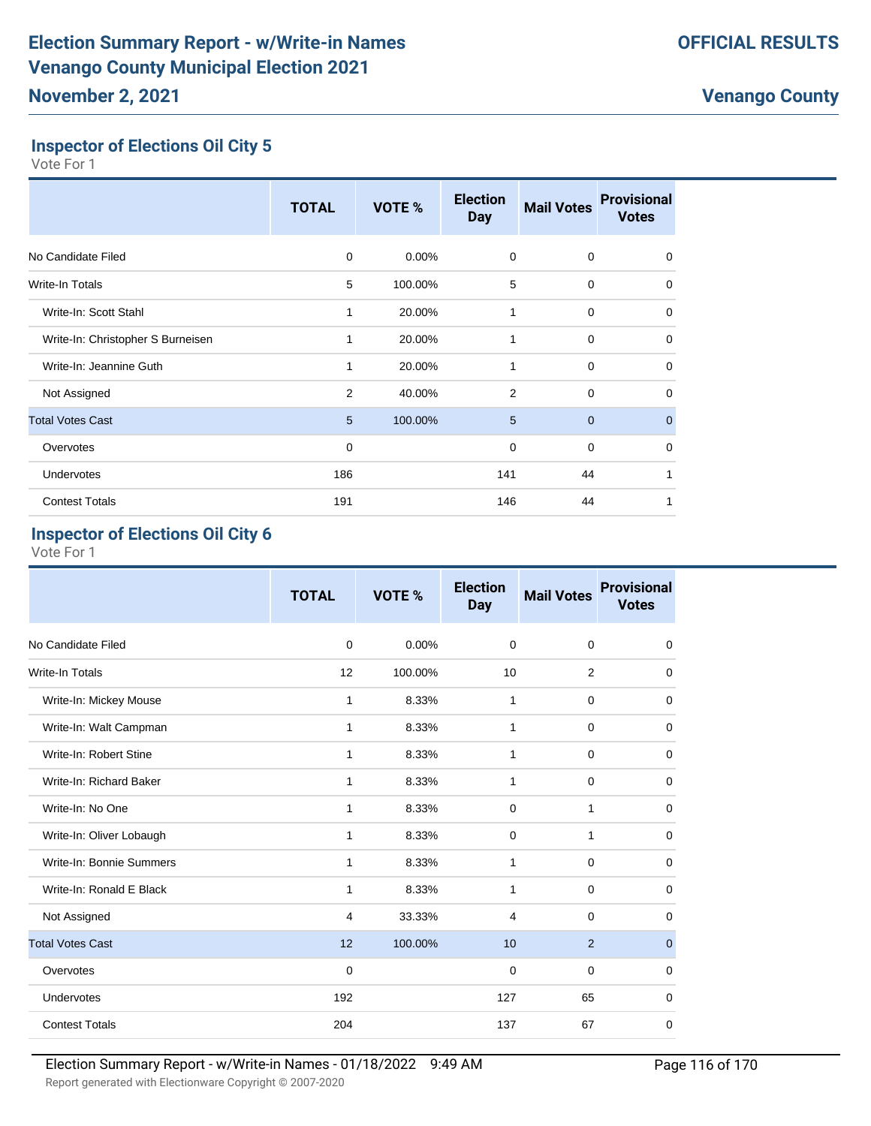# **Inspector of Elections Oil City 5**

Vote For 1

|                                   | <b>TOTAL</b>   | VOTE %  | <b>Election</b><br><b>Day</b> | <b>Mail Votes</b> | <b>Provisional</b><br><b>Votes</b> |
|-----------------------------------|----------------|---------|-------------------------------|-------------------|------------------------------------|
| No Candidate Filed                | 0              | 0.00%   | $\mathbf 0$                   | $\mathbf 0$       | $\mathbf 0$                        |
| <b>Write-In Totals</b>            | 5              | 100.00% | 5                             | 0                 | 0                                  |
| Write-In: Scott Stahl             |                | 20.00%  | 1                             | 0                 | $\mathbf 0$                        |
| Write-In: Christopher S Burneisen | 1              | 20.00%  | 1                             | $\mathbf 0$       | $\mathbf 0$                        |
| Write-In: Jeannine Guth           | 1              | 20.00%  | 1                             | $\mathbf 0$       | $\mathbf 0$                        |
| Not Assigned                      | $\overline{2}$ | 40.00%  | $\overline{2}$                | $\mathbf 0$       | $\mathbf 0$                        |
| <b>Total Votes Cast</b>           | 5              | 100.00% | 5                             | $\mathbf 0$       | $\mathbf{0}$                       |
| Overvotes                         | 0              |         | $\mathbf 0$                   | $\mathbf 0$       | $\mathbf 0$                        |
| Undervotes                        | 186            |         | 141                           | 44                | 1                                  |
| <b>Contest Totals</b>             | 191            |         | 146                           | 44                |                                    |

#### **Inspector of Elections Oil City 6**

|                          | <b>TOTAL</b> | <b>VOTE %</b> | <b>Election</b><br><b>Day</b> | <b>Mail Votes</b> | <b>Provisional</b><br><b>Votes</b> |
|--------------------------|--------------|---------------|-------------------------------|-------------------|------------------------------------|
| No Candidate Filed       | 0            | 0.00%         | 0                             | 0                 | 0                                  |
| Write-In Totals          | 12           | 100.00%       | 10                            | 2                 | 0                                  |
| Write-In: Mickey Mouse   | $\mathbf{1}$ | 8.33%         | $\mathbf{1}$                  | $\mathbf 0$       | 0                                  |
| Write-In: Walt Campman   | $\mathbf{1}$ | 8.33%         | $\mathbf{1}$                  | $\mathbf 0$       | 0                                  |
| Write-In: Robert Stine   | 1            | 8.33%         | 1                             | 0                 | 0                                  |
| Write-In: Richard Baker  | 1            | 8.33%         | 1                             | 0                 | 0                                  |
| Write-In: No One         | $\mathbf{1}$ | 8.33%         | 0                             | 1                 | 0                                  |
| Write-In: Oliver Lobaugh | $\mathbf{1}$ | 8.33%         | 0                             | 1                 | 0                                  |
| Write-In: Bonnie Summers | $\mathbf{1}$ | 8.33%         | $\mathbf{1}$                  | $\mathbf 0$       | 0                                  |
| Write-In: Ronald E Black | $\mathbf{1}$ | 8.33%         | $\mathbf{1}$                  | $\mathbf 0$       | 0                                  |
| Not Assigned             | 4            | 33.33%        | 4                             | $\mathbf 0$       | 0                                  |
| <b>Total Votes Cast</b>  | 12           | 100.00%       | 10                            | $\overline{2}$    | $\mathbf{0}$                       |
| Overvotes                | 0            |               | 0                             | $\mathbf 0$       | 0                                  |
| Undervotes               | 192          |               | 127                           | 65                | 0                                  |
| <b>Contest Totals</b>    | 204          |               | 137                           | 67                | 0                                  |
|                          |              |               |                               |                   |                                    |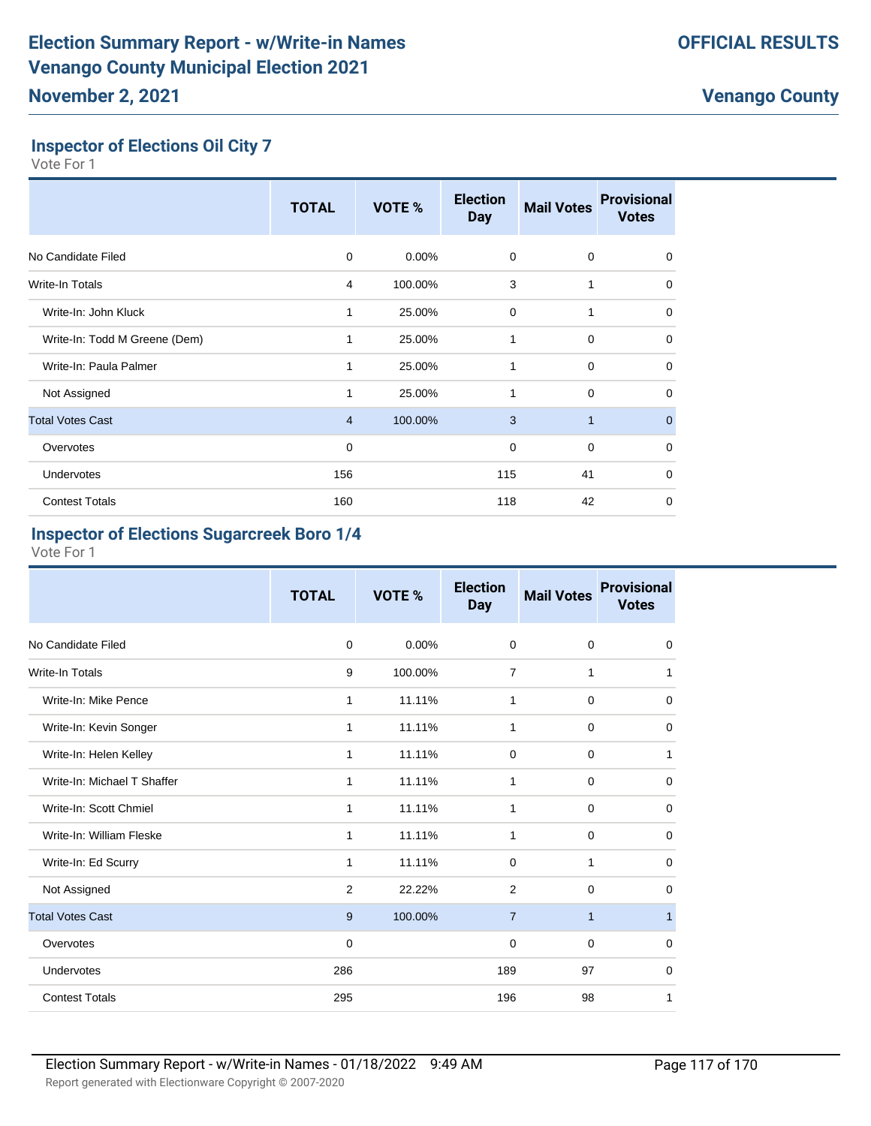### **Inspector of Elections Oil City 7**

Vote For 1

|                               | <b>TOTAL</b>   | VOTE %   | <b>Election</b><br><b>Day</b> | <b>Mail Votes</b> | <b>Provisional</b><br><b>Votes</b> |
|-------------------------------|----------------|----------|-------------------------------|-------------------|------------------------------------|
| No Candidate Filed            | $\Omega$       | $0.00\%$ | 0                             | 0                 | 0                                  |
| <b>Write-In Totals</b>        | 4              | 100.00%  | 3                             | 1                 | $\mathbf 0$                        |
| Write-In: John Kluck          |                | 25.00%   | 0                             | 1                 | $\mathbf 0$                        |
| Write-In: Todd M Greene (Dem) |                | 25.00%   | 1                             | $\mathbf 0$       | $\mathbf 0$                        |
| Write-In: Paula Palmer        | 1              | 25.00%   | 1                             | $\mathbf 0$       | $\mathbf 0$                        |
| Not Assigned                  | 1              | 25.00%   | 1                             | $\mathbf 0$       | $\mathbf 0$                        |
| <b>Total Votes Cast</b>       | $\overline{4}$ | 100.00%  | 3                             | $\mathbf{1}$      | $\mathbf{0}$                       |
| Overvotes                     | 0              |          | $\mathbf 0$                   | $\mathbf 0$       | $\mathbf 0$                        |
| Undervotes                    | 156            |          | 115                           | 41                | $\mathbf 0$                        |
| <b>Contest Totals</b>         | 160            |          | 118                           | 42                | 0                                  |

# **Inspector of Elections Sugarcreek Boro 1/4**

|                             | <b>TOTAL</b> | <b>VOTE %</b> | <b>Election</b><br><b>Day</b> | <b>Mail Votes</b> | <b>Provisional</b><br><b>Votes</b> |
|-----------------------------|--------------|---------------|-------------------------------|-------------------|------------------------------------|
| No Candidate Filed          | 0            | 0.00%         | 0                             | $\mathbf 0$       | $\mathbf 0$                        |
| <b>Write-In Totals</b>      | 9            | 100.00%       | $\overline{7}$                | $\mathbf{1}$      | 1                                  |
| Write-In: Mike Pence        | $\mathbf{1}$ | 11.11%        | $\mathbf{1}$                  | $\mathbf 0$       | $\mathbf 0$                        |
| Write-In: Kevin Songer      | $\mathbf{1}$ | 11.11%        | $\mathbf{1}$                  | $\mathbf 0$       | 0                                  |
| Write-In: Helen Kelley      | 1            | 11.11%        | 0                             | 0                 | 1                                  |
| Write-In: Michael T Shaffer | 1            | 11.11%        | 1                             | 0                 | 0                                  |
| Write-In: Scott Chmiel      | $\mathbf{1}$ | 11.11%        | $\mathbf{1}$                  | $\mathbf 0$       | 0                                  |
| Write-In: William Fleske    | $\mathbf{1}$ | 11.11%        | $\mathbf{1}$                  | $\mathbf 0$       | 0                                  |
| Write-In: Ed Scurry         | 1            | 11.11%        | 0                             | 1                 | $\mathbf 0$                        |
| Not Assigned                | 2            | 22.22%        | $\overline{2}$                | $\mathbf 0$       | 0                                  |
| <b>Total Votes Cast</b>     | 9            | 100.00%       | $\overline{7}$                | $\mathbf{1}$      |                                    |
| Overvotes                   | 0            |               | 0                             | $\mathbf 0$       | $\Omega$                           |
| Undervotes                  | 286          |               | 189                           | 97                | 0                                  |
| <b>Contest Totals</b>       | 295          |               | 196                           | 98                | 1                                  |
|                             |              |               |                               |                   |                                    |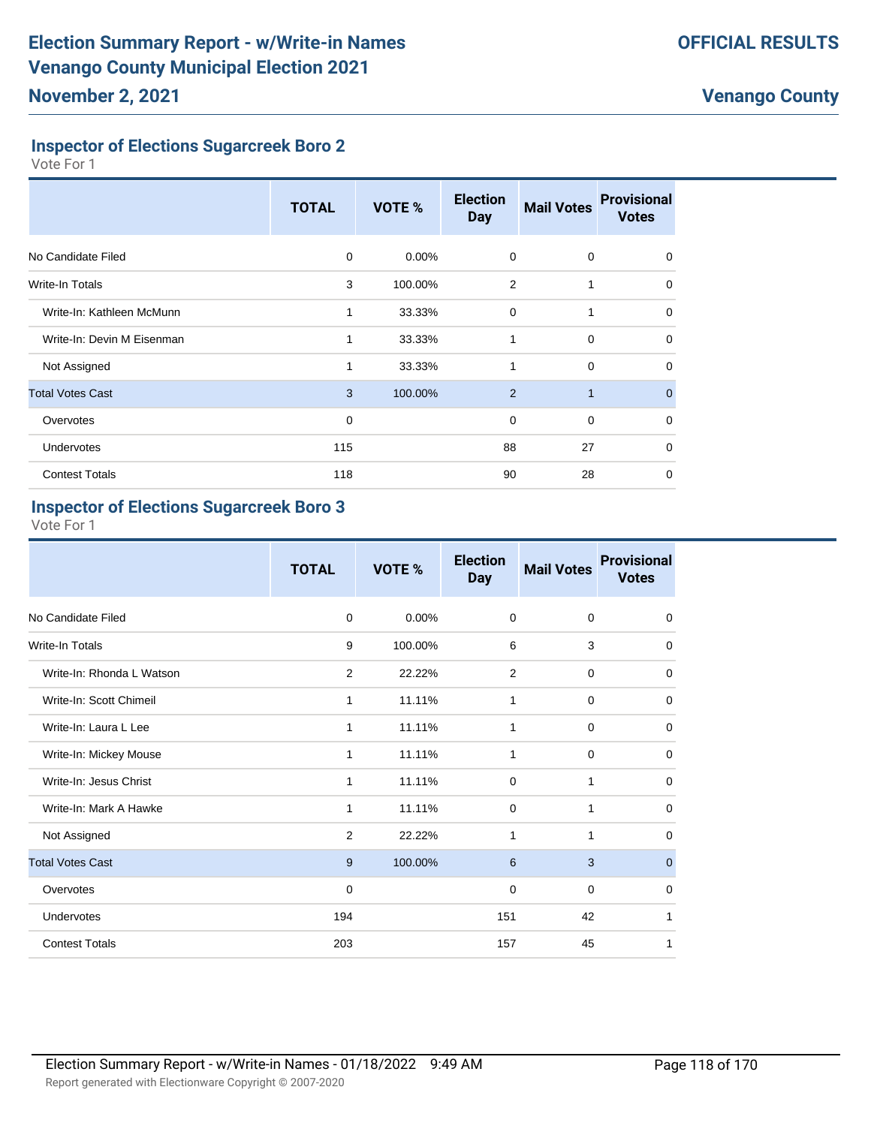#### **Inspector of Elections Sugarcreek Boro 2**

Vote For 1

|                            | <b>TOTAL</b> | VOTE %   | <b>Election</b><br><b>Day</b> | <b>Mail Votes</b> | <b>Provisional</b><br><b>Votes</b> |
|----------------------------|--------------|----------|-------------------------------|-------------------|------------------------------------|
| No Candidate Filed         | 0            | $0.00\%$ | $\mathbf 0$                   | $\mathbf 0$       | 0                                  |
| Write-In Totals            | 3            | 100.00%  | $\overline{2}$                | 1                 | 0                                  |
| Write-In: Kathleen McMunn  | 1            | 33.33%   | $\mathbf 0$                   | 1                 | 0                                  |
| Write-In: Devin M Eisenman | 1            | 33.33%   | 1                             | $\mathbf 0$       | $\Omega$                           |
| Not Assigned               | 1            | 33.33%   | 1                             | $\mathbf 0$       | 0                                  |
| <b>Total Votes Cast</b>    | 3            | 100.00%  | 2                             | $\mathbf{1}$      | $\mathbf{0}$                       |
| Overvotes                  | $\mathbf 0$  |          | $\mathbf 0$                   | $\mathbf 0$       | $\mathbf 0$                        |
| <b>Undervotes</b>          | 115          |          | 88                            | 27                | $\Omega$                           |
| <b>Contest Totals</b>      | 118          |          | 90                            | 28                | $\mathbf 0$                        |

#### **Inspector of Elections Sugarcreek Boro 3**

|                           | <b>TOTAL</b> | <b>VOTE %</b> | <b>Election</b><br><b>Day</b> | <b>Mail Votes</b> | <b>Provisional</b><br><b>Votes</b> |
|---------------------------|--------------|---------------|-------------------------------|-------------------|------------------------------------|
| No Candidate Filed        | $\mathbf 0$  | $0.00\%$      | $\mathbf 0$                   | $\mathbf 0$       | $\mathbf 0$                        |
| Write-In Totals           | 9            | 100.00%       | 6                             | 3                 | $\mathbf 0$                        |
| Write-In: Rhonda L Watson | 2            | 22.22%        | 2                             | $\mathbf 0$       | $\mathbf 0$                        |
| Write-In: Scott Chimeil   | 1            | 11.11%        | $\mathbf{1}$                  | $\mathbf 0$       | $\mathbf 0$                        |
| Write-In: Laura L Lee     | 1            | 11.11%        | 1                             | $\mathbf 0$       | $\mathbf 0$                        |
| Write-In: Mickey Mouse    | 1            | 11.11%        | 1                             | $\mathbf 0$       | 0                                  |
| Write-In: Jesus Christ    | 1            | 11.11%        | $\mathbf 0$                   | $\mathbf{1}$      | $\mathbf 0$                        |
| Write-In: Mark A Hawke    | 1            | 11.11%        | $\mathbf 0$                   | 1                 | $\mathbf 0$                        |
| Not Assigned              | 2            | 22.22%        | 1                             | 1                 | $\mathbf 0$                        |
| <b>Total Votes Cast</b>   | 9            | 100.00%       | 6                             | 3                 | $\mathbf 0$                        |
| Overvotes                 | 0            |               | $\mathbf 0$                   | $\mathbf 0$       | $\mathbf 0$                        |
| Undervotes                | 194          |               | 151                           | 42                | 1                                  |
| <b>Contest Totals</b>     | 203          |               | 157                           | 45                | 1                                  |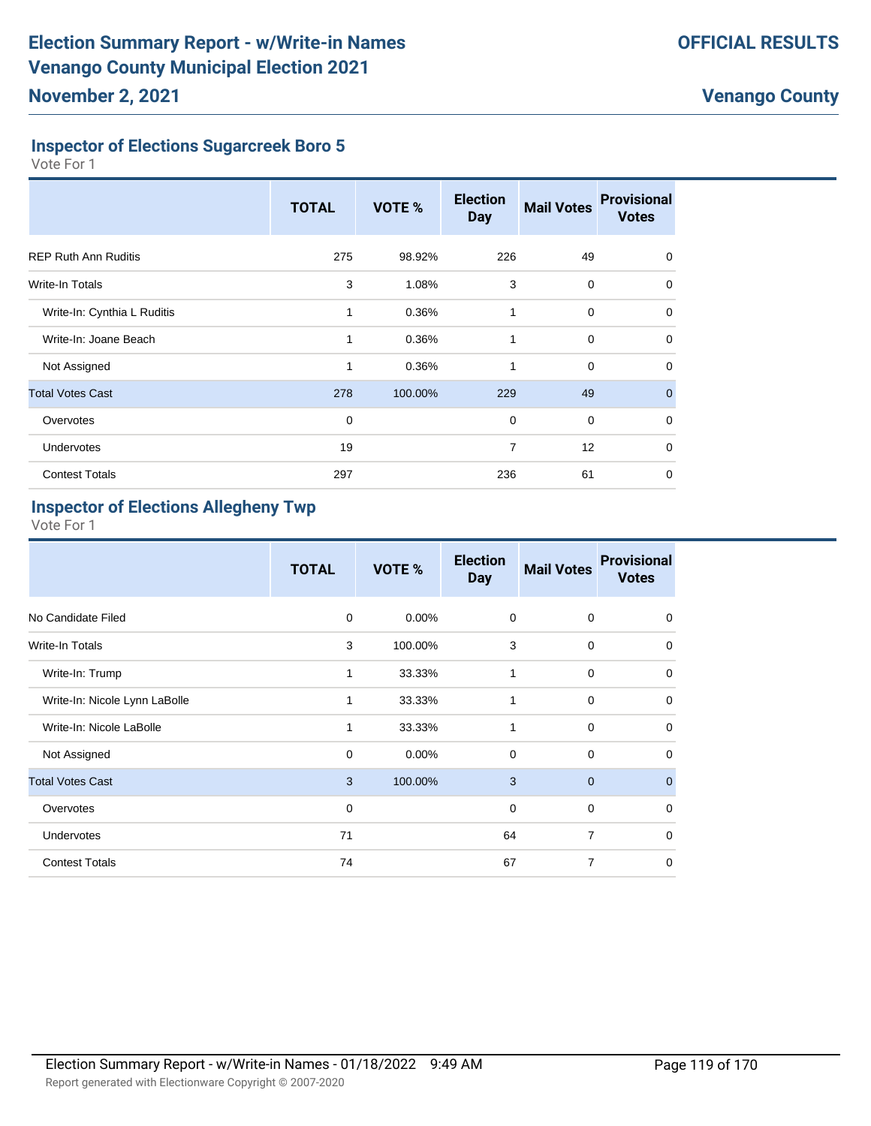### **Inspector of Elections Sugarcreek Boro 5**

Vote For 1

|                             | <b>TOTAL</b> | VOTE %  | <b>Election</b><br><b>Day</b> | <b>Mail Votes</b> | <b>Provisional</b><br><b>Votes</b> |
|-----------------------------|--------------|---------|-------------------------------|-------------------|------------------------------------|
| <b>REP Ruth Ann Ruditis</b> | 275          | 98.92%  | 226                           | 49                | $\Omega$                           |
| Write-In Totals             | 3            | 1.08%   | 3                             | $\mathbf 0$       | 0                                  |
| Write-In: Cynthia L Ruditis | 1            | 0.36%   | 1                             | $\mathbf 0$       | 0                                  |
| Write-In: Joane Beach       | 1            | 0.36%   | 1                             | $\mathbf 0$       | $\Omega$                           |
| Not Assigned                | 1            | 0.36%   | 1                             | $\mathbf 0$       | 0                                  |
| <b>Total Votes Cast</b>     | 278          | 100.00% | 229                           | 49                | $\mathbf{0}$                       |
| Overvotes                   | $\mathbf 0$  |         | $\mathbf 0$                   | $\mathbf 0$       | $\Omega$                           |
| <b>Undervotes</b>           | 19           |         | 7                             | 12                | 0                                  |
| <b>Contest Totals</b>       | 297          |         | 236                           | 61                | 0                                  |

### **Inspector of Elections Allegheny Twp**

|                               | <b>TOTAL</b> | VOTE %   | <b>Election</b><br><b>Day</b> | <b>Mail Votes</b> | <b>Provisional</b><br><b>Votes</b> |
|-------------------------------|--------------|----------|-------------------------------|-------------------|------------------------------------|
| No Candidate Filed            | 0            | $0.00\%$ | $\mathbf 0$                   | $\Omega$          | 0                                  |
| Write-In Totals               | 3            | 100.00%  | 3                             | $\mathbf 0$       | $\mathbf 0$                        |
| Write-In: Trump               | 1            | 33.33%   | 1                             | 0                 | $\mathbf 0$                        |
| Write-In: Nicole Lynn LaBolle | 1            | 33.33%   | 1                             | 0                 | $\mathbf 0$                        |
| Write-In: Nicole LaBolle      | 1            | 33.33%   | 1                             | 0                 | $\mathbf 0$                        |
| Not Assigned                  | 0            | $0.00\%$ | $\mathbf 0$                   | 0                 | $\mathbf 0$                        |
| <b>Total Votes Cast</b>       | 3            | 100.00%  | 3                             | $\mathbf{0}$      | $\mathbf{0}$                       |
| Overvotes                     | $\mathbf 0$  |          | $\mathbf 0$                   | 0                 | $\mathbf 0$                        |
| Undervotes                    | 71           |          | 64                            | $\overline{7}$    | $\mathbf 0$                        |
| <b>Contest Totals</b>         | 74           |          | 67                            | $\overline{7}$    | $\mathbf 0$                        |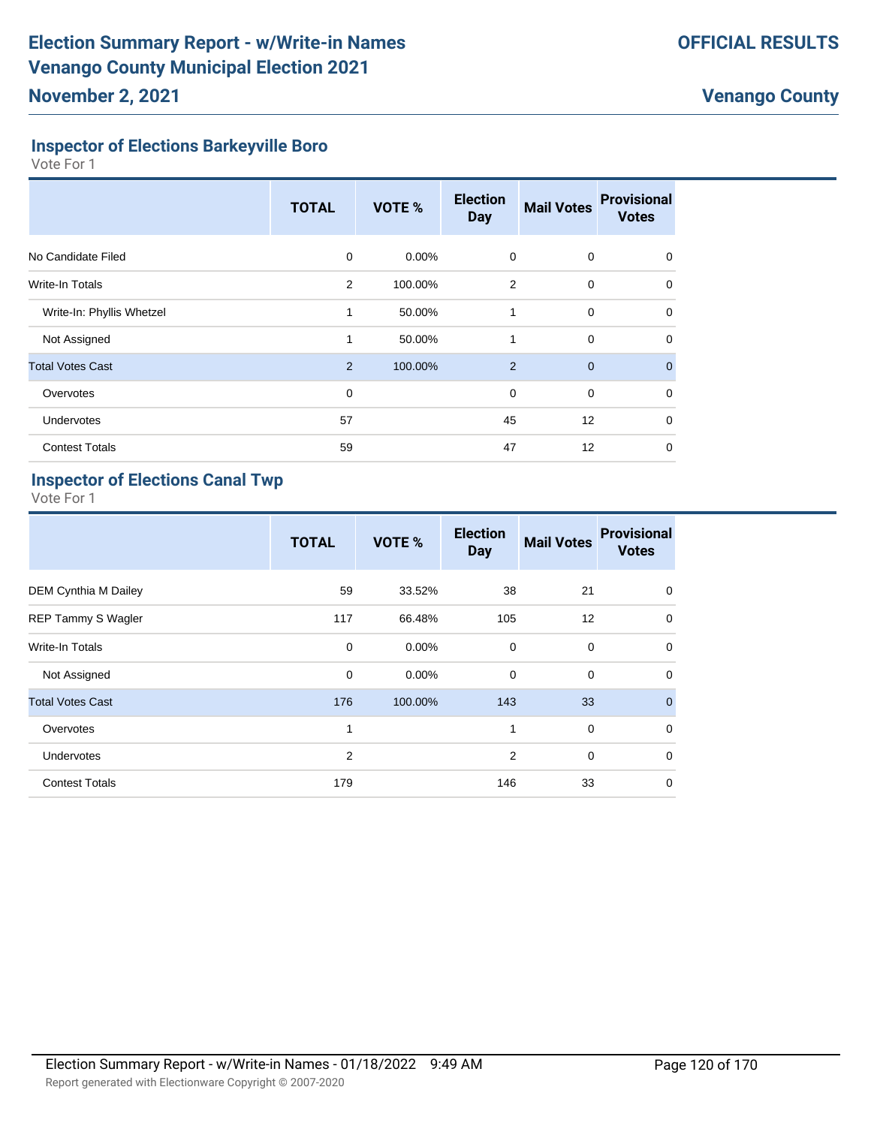### **Inspector of Elections Barkeyville Boro**

Vote For 1

|                           | <b>TOTAL</b> | <b>VOTE %</b> | <b>Election</b><br><b>Day</b> | <b>Mail Votes</b> | <b>Provisional</b><br><b>Votes</b> |
|---------------------------|--------------|---------------|-------------------------------|-------------------|------------------------------------|
| No Candidate Filed        | $\Omega$     | 0.00%         | $\mathbf 0$                   | 0                 | $\Omega$                           |
| Write-In Totals           | 2            | 100.00%       | $\overline{2}$                | $\mathbf 0$       | 0                                  |
| Write-In: Phyllis Whetzel | 1            | 50.00%        | 1                             | $\mathbf 0$       | $\Omega$                           |
| Not Assigned              | 1            | 50.00%        | 1                             | $\mathbf 0$       | $\Omega$                           |
| <b>Total Votes Cast</b>   | 2            | 100.00%       | 2                             | $\mathbf{0}$      | $\mathbf{0}$                       |
| Overvotes                 | $\mathbf 0$  |               | $\mathbf 0$                   | $\mathbf 0$       | 0                                  |
| Undervotes                | 57           |               | 45                            | 12                | 0                                  |
| <b>Contest Totals</b>     | 59           |               | 47                            | 12                | 0                                  |

# **Inspector of Elections Canal Twp**

|                           | <b>TOTAL</b>   | VOTE %   | <b>Election</b><br><b>Day</b> | <b>Mail Votes</b> | <b>Provisional</b><br><b>Votes</b> |
|---------------------------|----------------|----------|-------------------------------|-------------------|------------------------------------|
| DEM Cynthia M Dailey      | 59             | 33.52%   | 38                            | 21                | $\mathbf 0$                        |
| <b>REP Tammy S Wagler</b> | 117            | 66.48%   | 105                           | 12                | $\mathbf 0$                        |
| <b>Write-In Totals</b>    | 0              | $0.00\%$ | $\mathbf 0$                   | $\mathbf 0$       | $\mathbf 0$                        |
| Not Assigned              | $\mathbf 0$    | 0.00%    | 0                             | $\mathbf 0$       | $\mathbf 0$                        |
| <b>Total Votes Cast</b>   | 176            | 100.00%  | 143                           | 33                | $\mathbf{0}$                       |
| Overvotes                 | 1              |          | 1                             | $\mathbf 0$       | $\mathbf 0$                        |
| <b>Undervotes</b>         | $\overline{2}$ |          | 2                             | $\mathbf 0$       | $\mathbf 0$                        |
| <b>Contest Totals</b>     | 179            |          | 146                           | 33                | $\mathbf 0$                        |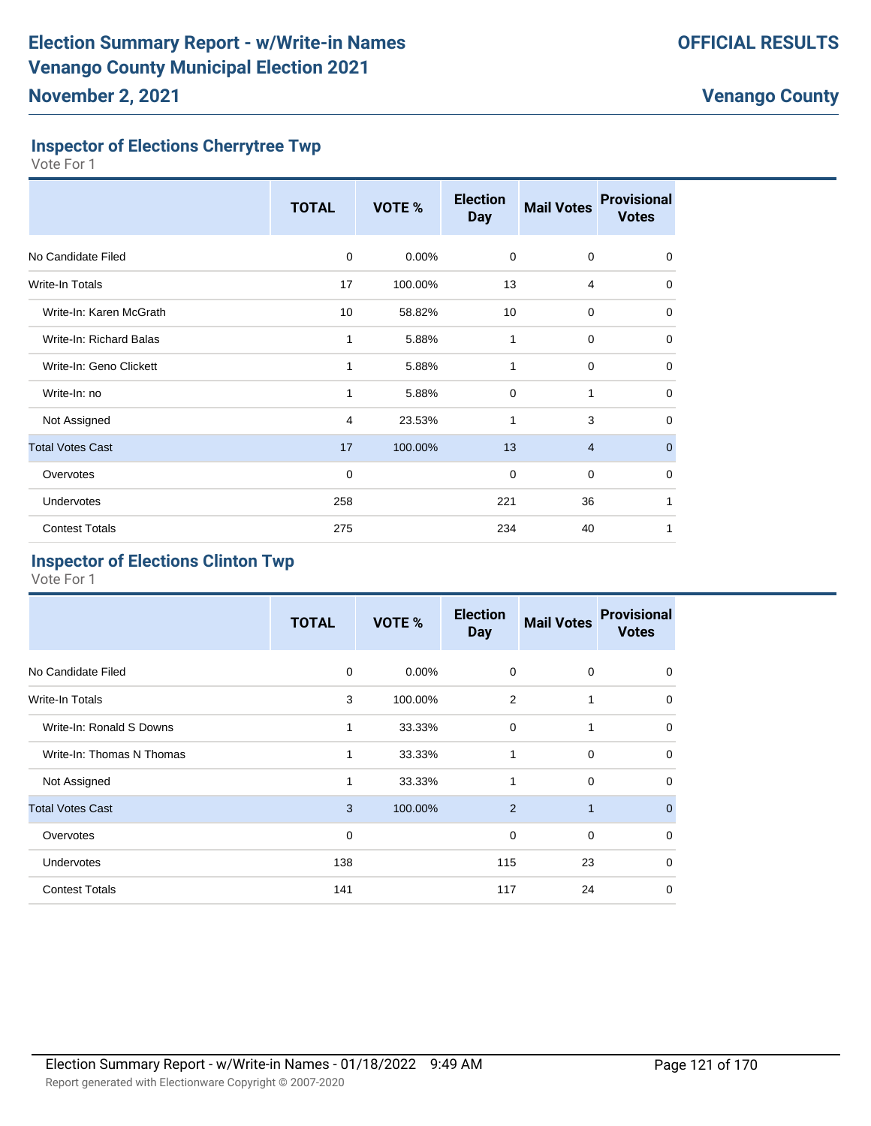### **Inspector of Elections Cherrytree Twp**

Vote For 1

|                         | <b>TOTAL</b> | VOTE %   | <b>Election</b><br><b>Day</b> | <b>Mail Votes</b> | <b>Provisional</b><br><b>Votes</b> |
|-------------------------|--------------|----------|-------------------------------|-------------------|------------------------------------|
| No Candidate Filed      | $\mathbf 0$  | $0.00\%$ | 0                             | $\mathbf 0$       | $\mathbf 0$                        |
| <b>Write-In Totals</b>  | 17           | 100.00%  | 13                            | 4                 | $\mathbf 0$                        |
| Write-In: Karen McGrath | 10           | 58.82%   | 10                            | $\mathbf 0$       | 0                                  |
| Write-In: Richard Balas | 1            | 5.88%    | 1                             | 0                 | 0                                  |
| Write-In: Geno Clickett | 1            | 5.88%    | $\mathbf{1}$                  | $\mathbf 0$       | $\mathbf 0$                        |
| Write-In: no            | 1            | 5.88%    | $\mathbf 0$                   | 1                 | $\mathbf 0$                        |
| Not Assigned            | 4            | 23.53%   | 1                             | 3                 | $\Omega$                           |
| <b>Total Votes Cast</b> | 17           | 100.00%  | 13                            | $\overline{4}$    | $\mathbf{0}$                       |
| Overvotes               | 0            |          | $\mathbf 0$                   | $\mathbf 0$       | 0                                  |
| Undervotes              | 258          |          | 221                           | 36                | 1                                  |
| <b>Contest Totals</b>   | 275          |          | 234                           | 40                | 1                                  |

#### **Inspector of Elections Clinton Twp**

|                           | <b>TOTAL</b> | VOTE %   | <b>Election</b><br><b>Day</b> | <b>Mail Votes</b> | <b>Provisional</b><br><b>Votes</b> |
|---------------------------|--------------|----------|-------------------------------|-------------------|------------------------------------|
| No Candidate Filed        | $\mathbf 0$  | $0.00\%$ | $\mathbf 0$                   | 0                 | 0                                  |
| <b>Write-In Totals</b>    | 3            | 100.00%  | 2                             | 1                 | 0                                  |
| Write-In: Ronald S Downs  | 1            | 33.33%   | $\mathbf 0$                   | 1                 | 0                                  |
| Write-In: Thomas N Thomas | 1            | 33.33%   | 1                             | 0                 | 0                                  |
| Not Assigned              | 1            | 33.33%   | 1                             | $\mathbf 0$       | 0                                  |
| <b>Total Votes Cast</b>   | 3            | 100.00%  | 2                             | 1                 | $\Omega$                           |
| Overvotes                 | $\mathbf 0$  |          | $\mathbf 0$                   | $\mathbf 0$       | 0                                  |
| Undervotes                | 138          |          | 115                           | 23                | $\Omega$                           |
| <b>Contest Totals</b>     | 141          |          | 117                           | 24                | 0                                  |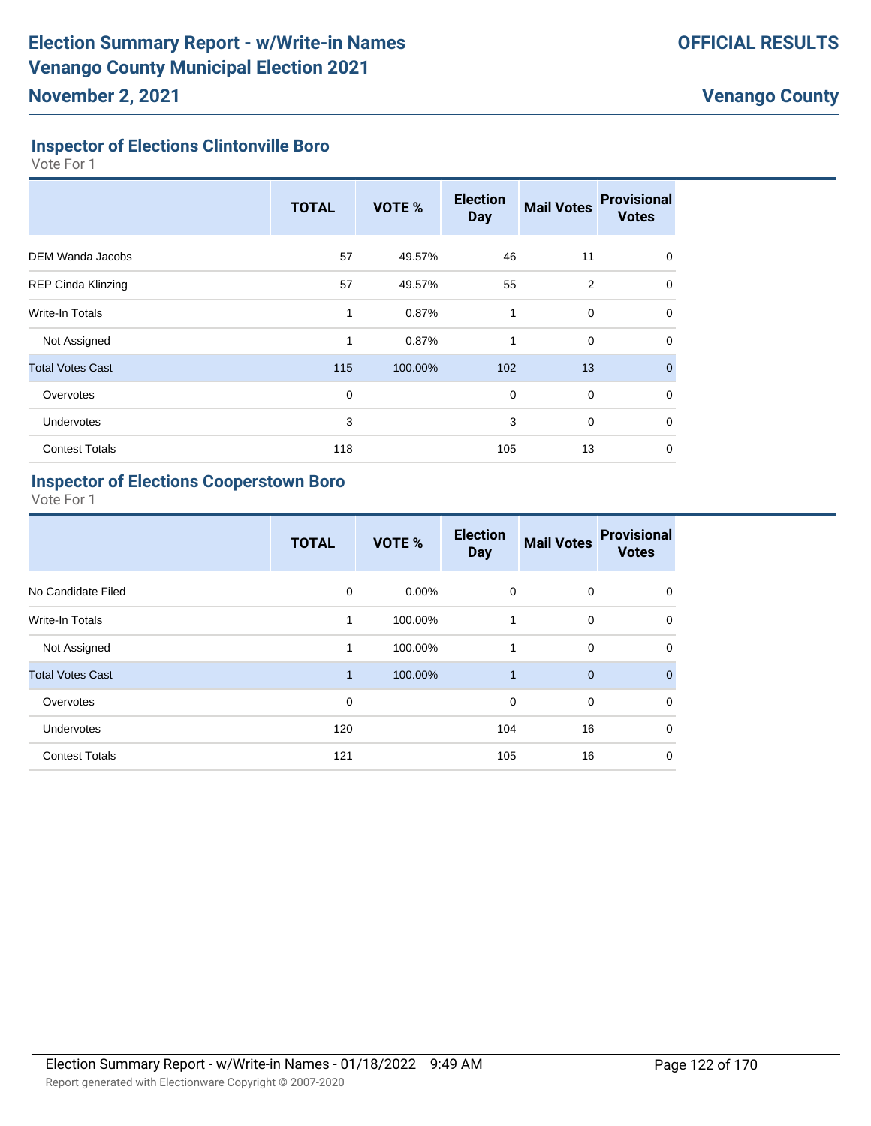### **Inspector of Elections Clintonville Boro**

Vote For 1

|                           | <b>TOTAL</b> | VOTE %  | <b>Election</b><br><b>Day</b> | <b>Mail Votes</b> | <b>Provisional</b><br><b>Votes</b> |
|---------------------------|--------------|---------|-------------------------------|-------------------|------------------------------------|
| <b>DEM Wanda Jacobs</b>   | 57           | 49.57%  | 46                            | 11                | $\Omega$                           |
| <b>REP Cinda Klinzing</b> | 57           | 49.57%  | 55                            | $\overline{2}$    | $\mathbf 0$                        |
| <b>Write-In Totals</b>    | 1            | 0.87%   | 1                             | $\mathbf 0$       | $\mathbf 0$                        |
| Not Assigned              | 1            | 0.87%   | 1                             | $\mathbf 0$       | $\Omega$                           |
| <b>Total Votes Cast</b>   | 115          | 100.00% | 102                           | 13                | $\mathbf{0}$                       |
| Overvotes                 | $\mathbf 0$  |         | 0                             | $\mathbf 0$       | $\Omega$                           |
| <b>Undervotes</b>         | 3            |         | 3                             | $\mathbf 0$       | $\mathbf 0$                        |
| <b>Contest Totals</b>     | 118          |         | 105                           | 13                | 0                                  |

#### **Inspector of Elections Cooperstown Boro**

|                         | <b>TOTAL</b> | VOTE %   | <b>Election</b><br><b>Day</b> | <b>Mail Votes</b> | <b>Provisional</b><br><b>Votes</b> |
|-------------------------|--------------|----------|-------------------------------|-------------------|------------------------------------|
| No Candidate Filed      | $\mathbf 0$  | $0.00\%$ | 0                             | 0                 | 0                                  |
| <b>Write-In Totals</b>  | 1            | 100.00%  | 1                             | $\mathbf 0$       | $\mathbf 0$                        |
| Not Assigned            | $\mathbf{1}$ | 100.00%  | 1                             | $\mathbf 0$       | $\mathbf 0$                        |
| <b>Total Votes Cast</b> | $\mathbf{1}$ | 100.00%  | $\overline{1}$                | $\overline{0}$    | $\mathbf{0}$                       |
| Overvotes               | 0            |          | 0                             | $\mathbf 0$       | $\mathbf 0$                        |
| Undervotes              | 120          |          | 104                           | 16                | $\Omega$                           |
| <b>Contest Totals</b>   | 121          |          | 105                           | 16                | $\mathbf 0$                        |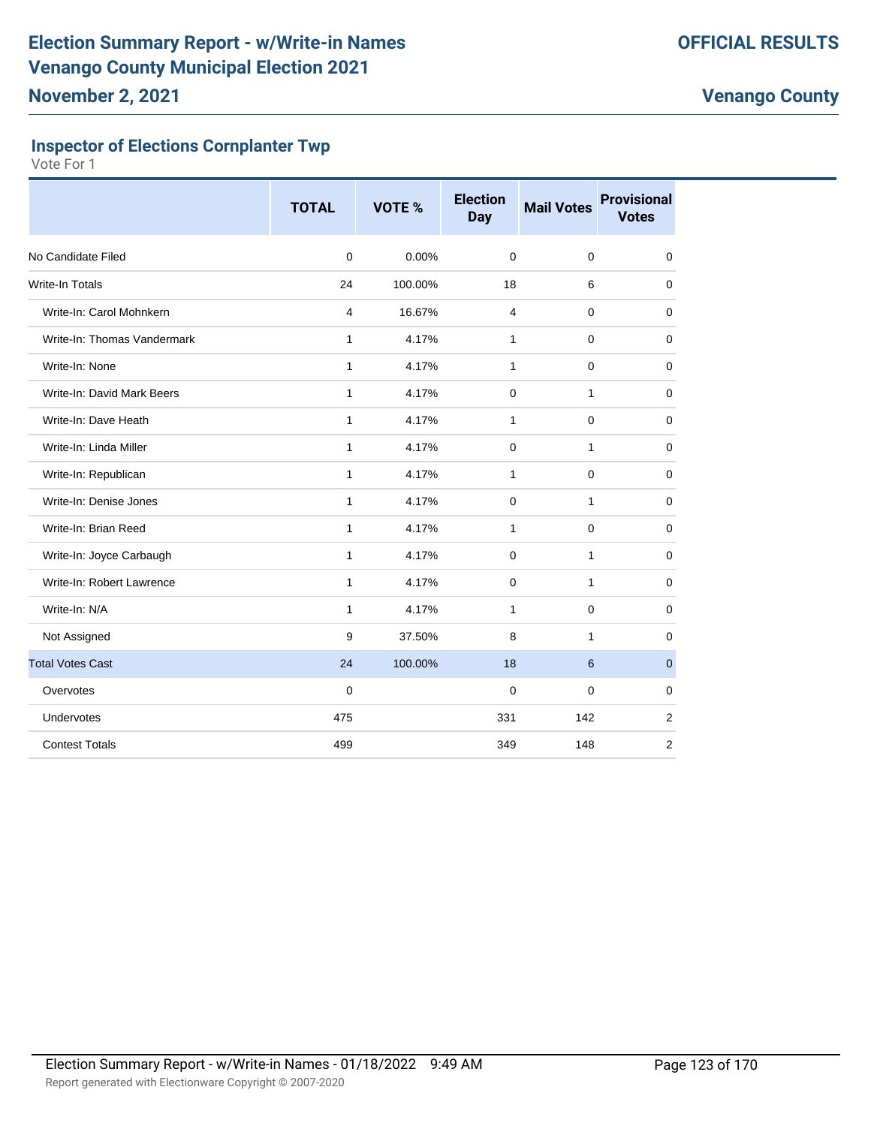## **Inspector of Elections Cornplanter Twp**

|                             | <b>TOTAL</b> | <b>VOTE %</b> | <b>Election</b><br><b>Day</b> | <b>Mail Votes</b> | <b>Provisional</b><br><b>Votes</b> |
|-----------------------------|--------------|---------------|-------------------------------|-------------------|------------------------------------|
| No Candidate Filed          | $\mathbf 0$  | 0.00%         | $\mathbf 0$                   | $\mathbf 0$       | $\mathbf 0$                        |
| <b>Write-In Totals</b>      | 24           | 100.00%       | 18                            | 6                 | $\mathbf 0$                        |
| Write-In: Carol Mohnkern    | 4            | 16.67%        | $\overline{4}$                | 0                 | $\mathbf 0$                        |
| Write-In: Thomas Vandermark | $\mathbf{1}$ | 4.17%         | $\mathbf{1}$                  | $\mathbf 0$       | $\mathbf 0$                        |
| Write-In: None              | $\mathbf{1}$ | 4.17%         | $\mathbf{1}$                  | $\mathbf 0$       | $\mathbf 0$                        |
| Write-In: David Mark Beers  | $\mathbf{1}$ | 4.17%         | $\Omega$                      | 1                 | $\mathbf 0$                        |
| Write-In: Dave Heath        | 1            | 4.17%         | 1                             | 0                 | 0                                  |
| Write-In: Linda Miller      | $\mathbf{1}$ | 4.17%         | $\mathbf 0$                   | 1                 | $\mathbf 0$                        |
| Write-In: Republican        | $\mathbf{1}$ | 4.17%         | $\mathbf{1}$                  | $\mathbf 0$       | $\mathbf 0$                        |
| Write-In: Denise Jones      | $\mathbf{1}$ | 4.17%         | $\Omega$                      | 1                 | $\mathbf 0$                        |
| Write-In: Brian Reed        | 1            | 4.17%         | 1                             | $\mathbf 0$       | $\mathbf 0$                        |
| Write-In: Joyce Carbaugh    | 1            | 4.17%         | 0                             | 1                 | $\mathbf 0$                        |
| Write-In: Robert Lawrence   | $\mathbf{1}$ | 4.17%         | $\mathbf 0$                   | 1                 | $\mathbf 0$                        |
| Write-In: N/A               | $\mathbf{1}$ | 4.17%         | $\mathbf{1}$                  | $\mathbf 0$       | $\mathbf 0$                        |
| Not Assigned                | 9            | 37.50%        | 8                             | 1                 | $\mathbf 0$                        |
| <b>Total Votes Cast</b>     | 24           | 100.00%       | 18                            | 6                 | $\mathbf{0}$                       |
| Overvotes                   | 0            |               | 0                             | 0                 | $\mathbf 0$                        |
| Undervotes                  | 475          |               | 331                           | 142               | $\overline{2}$                     |
| <b>Contest Totals</b>       | 499          |               | 349                           | 148               | $\overline{2}$                     |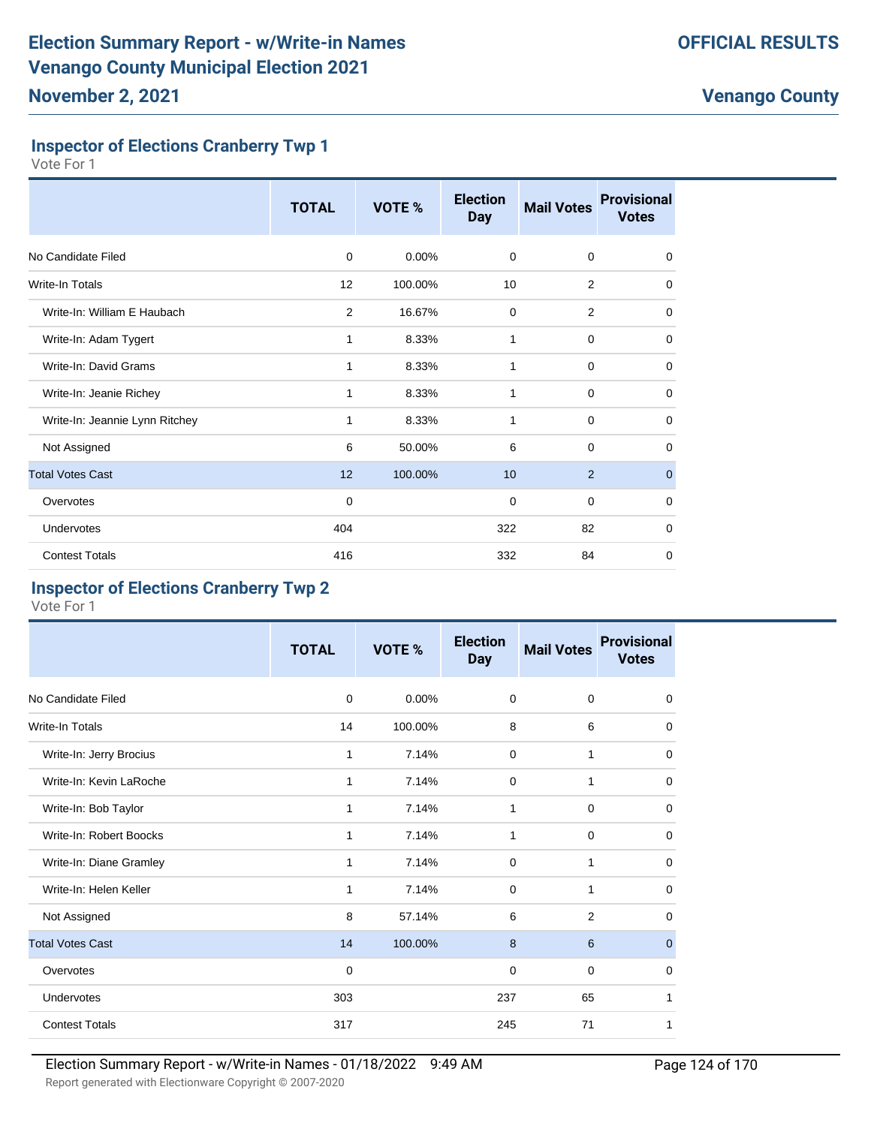### **Inspector of Elections Cranberry Twp 1**

Vote For 1

|                                | <b>TOTAL</b> | VOTE %   | <b>Election</b><br><b>Day</b> | <b>Mail Votes</b> | <b>Provisional</b><br><b>Votes</b> |
|--------------------------------|--------------|----------|-------------------------------|-------------------|------------------------------------|
| No Candidate Filed             | 0            | $0.00\%$ | 0                             | $\mathbf 0$       | $\mathbf 0$                        |
| Write-In Totals                | 12           | 100.00%  | 10                            | 2                 | $\mathbf 0$                        |
| Write-In: William E Haubach    | 2            | 16.67%   | $\mathbf 0$                   | 2                 | 0                                  |
| Write-In: Adam Tygert          | 1            | 8.33%    | 1                             | $\mathbf 0$       | $\mathbf 0$                        |
| Write-In: David Grams          | 1            | 8.33%    | 1                             | $\mathbf 0$       | 0                                  |
| Write-In: Jeanie Richey        | 1            | 8.33%    | 1                             | $\mathbf 0$       | $\mathbf 0$                        |
| Write-In: Jeannie Lynn Ritchey | 1            | 8.33%    | 1                             | $\mathbf 0$       | $\mathbf 0$                        |
| Not Assigned                   | 6            | 50.00%   | 6                             | $\mathbf 0$       | 0                                  |
| <b>Total Votes Cast</b>        | 12           | 100.00%  | 10                            | 2                 | $\mathbf 0$                        |
| Overvotes                      | $\mathbf 0$  |          | $\mathbf 0$                   | $\mathbf 0$       | $\mathbf 0$                        |
| Undervotes                     | 404          |          | 322                           | 82                | $\mathbf 0$                        |
| <b>Contest Totals</b>          | 416          |          | 332                           | 84                | $\mathbf 0$                        |

#### **Inspector of Elections Cranberry Twp 2**

|                         | <b>TOTAL</b> | VOTE %   | <b>Election</b><br><b>Day</b> | <b>Mail Votes</b> | <b>Provisional</b><br><b>Votes</b> |
|-------------------------|--------------|----------|-------------------------------|-------------------|------------------------------------|
| No Candidate Filed      | 0            | $0.00\%$ | 0                             | 0                 | 0                                  |
| <b>Write-In Totals</b>  | 14           | 100.00%  | 8                             | 6                 | $\mathbf 0$                        |
| Write-In: Jerry Brocius | 1            | 7.14%    | $\mathbf 0$                   | 1                 | $\mathbf 0$                        |
| Write-In: Kevin LaRoche | 1            | 7.14%    | 0                             | 1                 | $\mathbf 0$                        |
| Write-In: Bob Taylor    | 1            | 7.14%    | 1                             | 0                 | 0                                  |
| Write-In: Robert Boocks | 1            | 7.14%    | 1                             | $\mathbf 0$       | 0                                  |
| Write-In: Diane Gramley | 1            | 7.14%    | $\Omega$                      | 1                 | $\mathbf 0$                        |
| Write-In: Helen Keller  | 1            | 7.14%    | 0                             | 1                 | $\mathbf 0$                        |
| Not Assigned            | 8            | 57.14%   | 6                             | $\overline{2}$    | $\mathbf 0$                        |
| <b>Total Votes Cast</b> | 14           | 100.00%  | 8                             | 6                 | $\mathbf 0$                        |
| Overvotes               | $\mathbf 0$  |          | 0                             | $\mathbf 0$       | 0                                  |
| Undervotes              | 303          |          | 237                           | 65                | 1                                  |
| <b>Contest Totals</b>   | 317          |          | 245                           | 71                | 1                                  |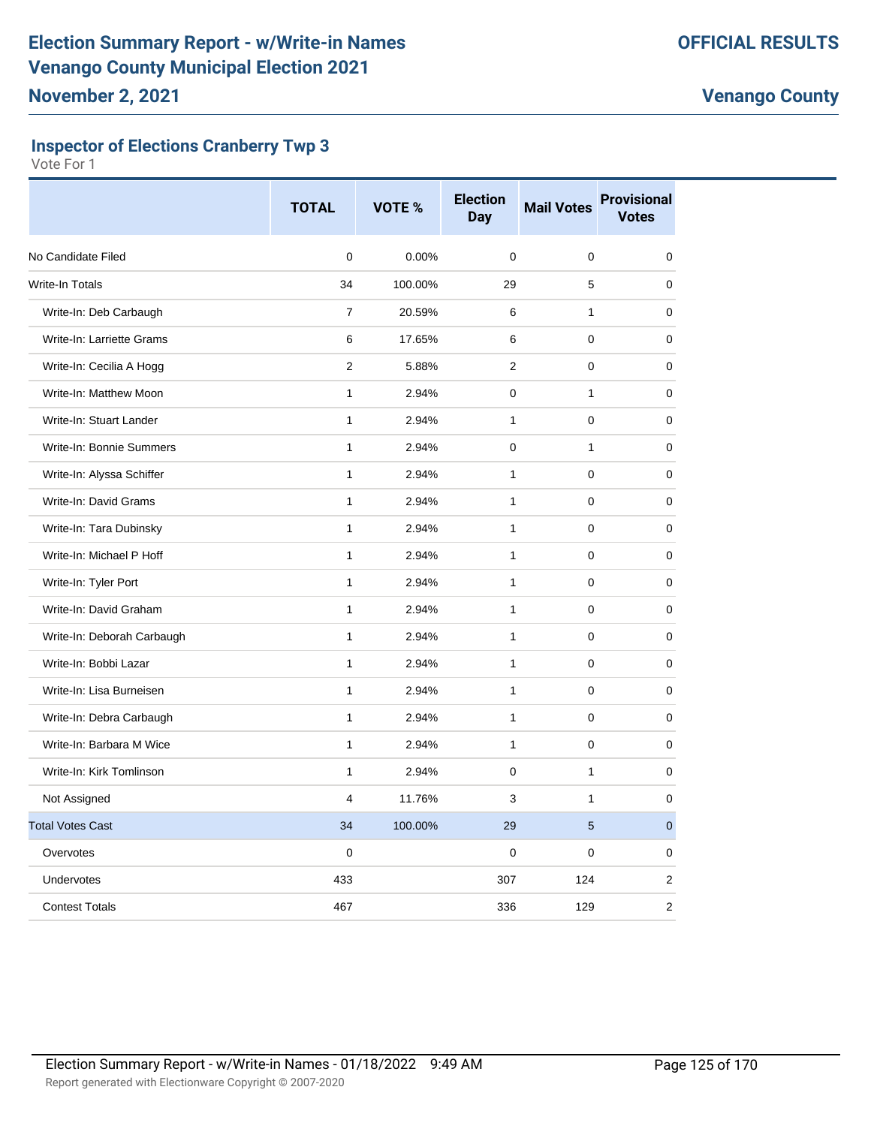### **Inspector of Elections Cranberry Twp 3**

|                            | <b>TOTAL</b>   | VOTE %   | <b>Election</b><br><b>Day</b> | <b>Mail Votes</b> | <b>Provisional</b><br><b>Votes</b> |
|----------------------------|----------------|----------|-------------------------------|-------------------|------------------------------------|
| No Candidate Filed         | $\Omega$       | $0.00\%$ | $\Omega$                      | 0                 | $\mathbf 0$                        |
| Write-In Totals            | 34             | 100.00%  | 29                            | 5                 | $\Omega$                           |
| Write-In: Deb Carbaugh     | $\overline{7}$ | 20.59%   | 6                             | $\mathbf{1}$      | 0                                  |
| Write-In: Larriette Grams  | 6              | 17.65%   | 6                             | 0                 | 0                                  |
| Write-In: Cecilia A Hogg   | $\overline{2}$ | 5.88%    | $\mathcal{P}$                 | 0                 | $\mathbf 0$                        |
| Write-In: Matthew Moon     | $\mathbf{1}$   | 2.94%    | $\Omega$                      | $\mathbf{1}$      | $\mathbf 0$                        |
| Write-In: Stuart Lander    | $\mathbf{1}$   | 2.94%    | $\mathbf{1}$                  | 0                 | 0                                  |
| Write-In: Bonnie Summers   | $\mathbf{1}$   | 2.94%    | $\mathbf 0$                   | $\mathbf{1}$      | $\mathbf 0$                        |
| Write-In: Alyssa Schiffer  | $\mathbf{1}$   | 2.94%    | $\mathbf{1}$                  | 0                 | $\mathbf 0$                        |
| Write-In: David Grams      | $\mathbf{1}$   | 2.94%    | $\mathbf{1}$                  | 0                 | $\mathbf 0$                        |
| Write-In: Tara Dubinsky    | $\mathbf{1}$   | 2.94%    | $\mathbf{1}$                  | 0                 | $\mathbf 0$                        |
| Write-In: Michael P Hoff   | $\mathbf{1}$   | 2.94%    | $\mathbf{1}$                  | 0                 | $\mathbf 0$                        |
| Write-In: Tyler Port       | $\mathbf{1}$   | 2.94%    | $\mathbf{1}$                  | 0                 | $\mathbf 0$                        |
| Write-In: David Graham     | $\mathbf{1}$   | 2.94%    | $\mathbf{1}$                  | 0                 | 0                                  |
| Write-In: Deborah Carbaugh | $\mathbf{1}$   | 2.94%    | $\mathbf{1}$                  | 0                 | 0                                  |
| Write-In: Bobbi Lazar      | $\mathbf{1}$   | 2.94%    | 1                             | 0                 | 0                                  |
| Write-In: Lisa Burneisen   | $\mathbf{1}$   | 2.94%    | $\mathbf{1}$                  | 0                 | $\mathbf 0$                        |
| Write-In: Debra Carbaugh   | $\mathbf{1}$   | 2.94%    | $\mathbf{1}$                  | 0                 | 0                                  |
| Write-In: Barbara M Wice   | $\mathbf{1}$   | 2.94%    | $\mathbf{1}$                  | 0                 | 0                                  |
| Write-In: Kirk Tomlinson   | $\mathbf{1}$   | 2.94%    | $\Omega$                      | 1                 | $\mathbf 0$                        |
| Not Assigned               | $\overline{4}$ | 11.76%   | 3                             | $\mathbf{1}$      | $\mathbf 0$                        |
| <b>Total Votes Cast</b>    | 34             | 100.00%  | 29                            | 5                 | $\mathbf{0}$                       |
| Overvotes                  | $\mathbf 0$    |          | $\mathbf 0$                   | 0                 | 0                                  |
| Undervotes                 | 433            |          | 307                           | 124               | 2                                  |
| <b>Contest Totals</b>      | 467            |          | 336                           | 129               | 2                                  |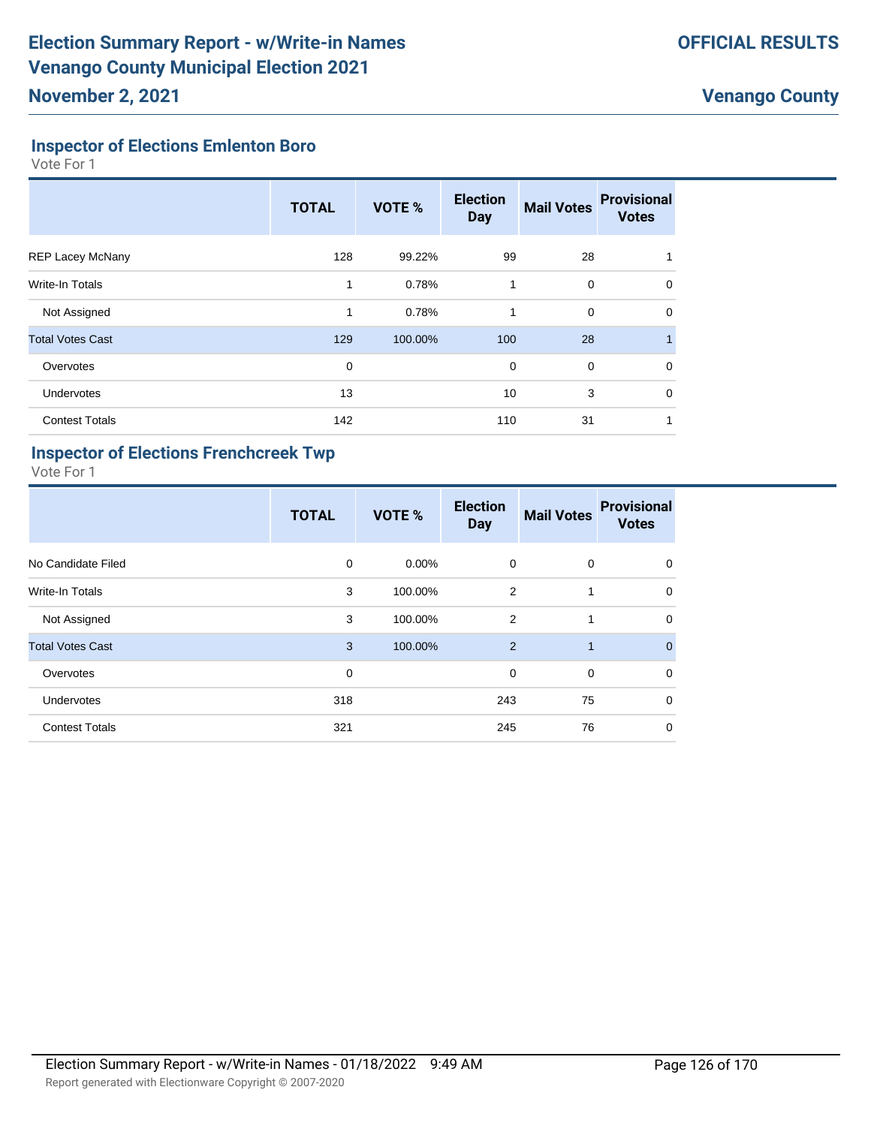# **Inspector of Elections Emlenton Boro**

Vote For 1

|                         | <b>TOTAL</b> | VOTE %  | <b>Election</b><br><b>Day</b> | <b>Mail Votes</b> | <b>Provisional</b><br><b>Votes</b> |
|-------------------------|--------------|---------|-------------------------------|-------------------|------------------------------------|
| <b>REP Lacey McNany</b> | 128          | 99.22%  | 99                            | 28                |                                    |
| Write-In Totals         | 1            | 0.78%   | 1                             | 0                 | 0                                  |
| Not Assigned            | 1            | 0.78%   | 1                             | $\mathbf 0$       | 0                                  |
| <b>Total Votes Cast</b> | 129          | 100.00% | 100                           | 28                |                                    |
| Overvotes               | 0            |         | $\mathbf 0$                   | $\mathbf 0$       | 0                                  |
| Undervotes              | 13           |         | 10                            | 3                 | 0                                  |
| <b>Contest Totals</b>   | 142          |         | 110                           | 31                |                                    |

#### **Inspector of Elections Frenchcreek Twp**

|                         | <b>TOTAL</b> | VOTE %   | <b>Election</b><br><b>Day</b> | <b>Mail Votes</b> | <b>Provisional</b><br><b>Votes</b> |
|-------------------------|--------------|----------|-------------------------------|-------------------|------------------------------------|
| No Candidate Filed      | 0            | $0.00\%$ | $\mathbf 0$                   | $\mathbf 0$       | $\mathbf 0$                        |
| <b>Write-In Totals</b>  | 3            | 100.00%  | 2                             | 1                 | $\mathbf 0$                        |
| Not Assigned            | 3            | 100.00%  | 2                             | 1                 | $\mathbf 0$                        |
| <b>Total Votes Cast</b> | 3            | 100.00%  | 2                             | $\mathbf{1}$      | $\overline{0}$                     |
| Overvotes               | 0            |          | $\mathbf 0$                   | $\mathbf 0$       | $\mathbf 0$                        |
| Undervotes              | 318          |          | 243                           | 75                | $\mathbf 0$                        |
| <b>Contest Totals</b>   | 321          |          | 245                           | 76                | $\mathbf 0$                        |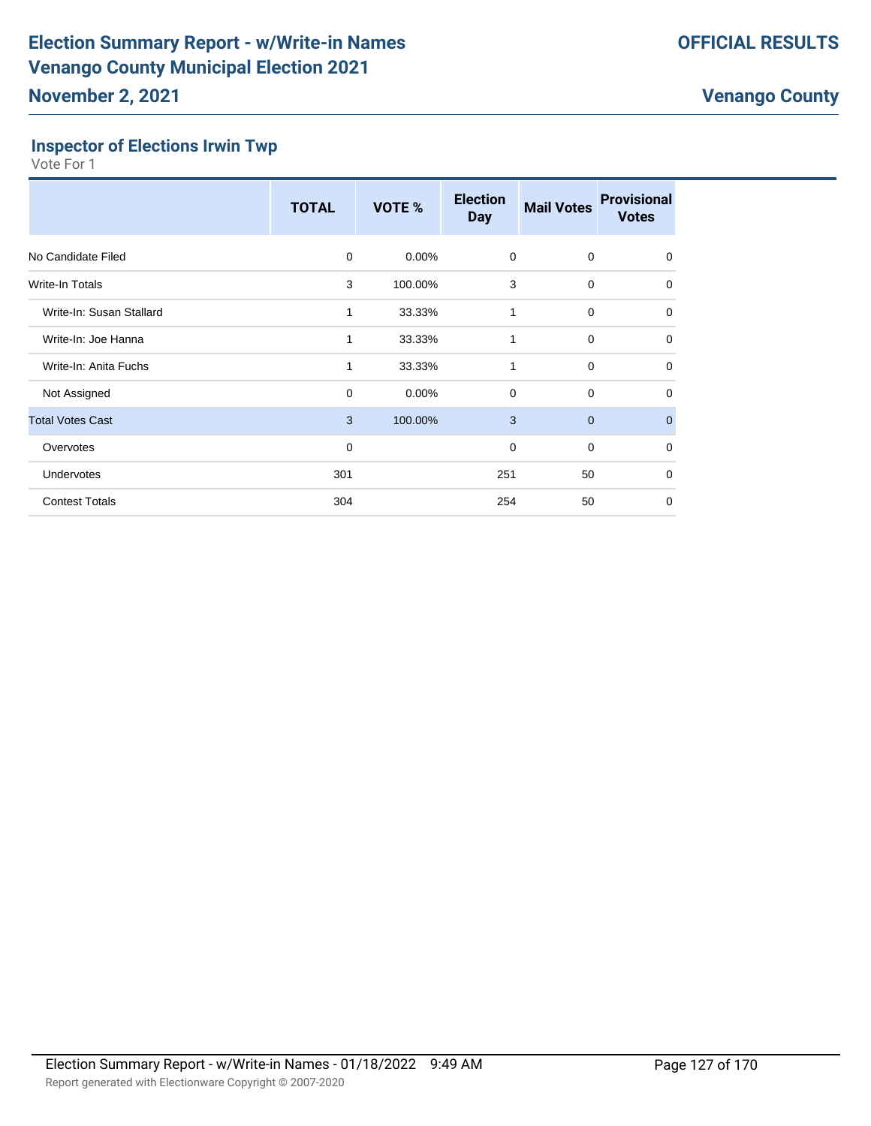### **Inspector of Elections Irwin Twp**

|                          | <b>TOTAL</b> | <b>VOTE %</b> | <b>Election</b><br><b>Day</b> | <b>Mail Votes</b> | <b>Provisional</b><br><b>Votes</b> |
|--------------------------|--------------|---------------|-------------------------------|-------------------|------------------------------------|
| No Candidate Filed       | $\Omega$     | $0.00\%$      | 0                             | 0                 | $\mathbf 0$                        |
| <b>Write-In Totals</b>   | 3            | 100.00%       | 3                             | $\mathbf 0$       | $\mathbf 0$                        |
| Write-In: Susan Stallard | 1            | 33.33%        | 1                             | $\mathbf 0$       | 0                                  |
| Write-In: Joe Hanna      | 1            | 33.33%        | 1                             | $\mathbf 0$       | $\mathbf 0$                        |
| Write-In: Anita Fuchs    | 1            | 33.33%        | 1                             | $\mathbf 0$       | 0                                  |
| Not Assigned             | $\mathbf 0$  | 0.00%         | $\mathbf 0$                   | $\mathbf 0$       | 0                                  |
| <b>Total Votes Cast</b>  | 3            | 100.00%       | 3                             | $\mathbf 0$       | $\mathbf{0}$                       |
| Overvotes                | 0            |               | 0                             | 0                 | 0                                  |
| <b>Undervotes</b>        | 301          |               | 251                           | 50                | $\mathbf 0$                        |
| <b>Contest Totals</b>    | 304          |               | 254                           | 50                | 0                                  |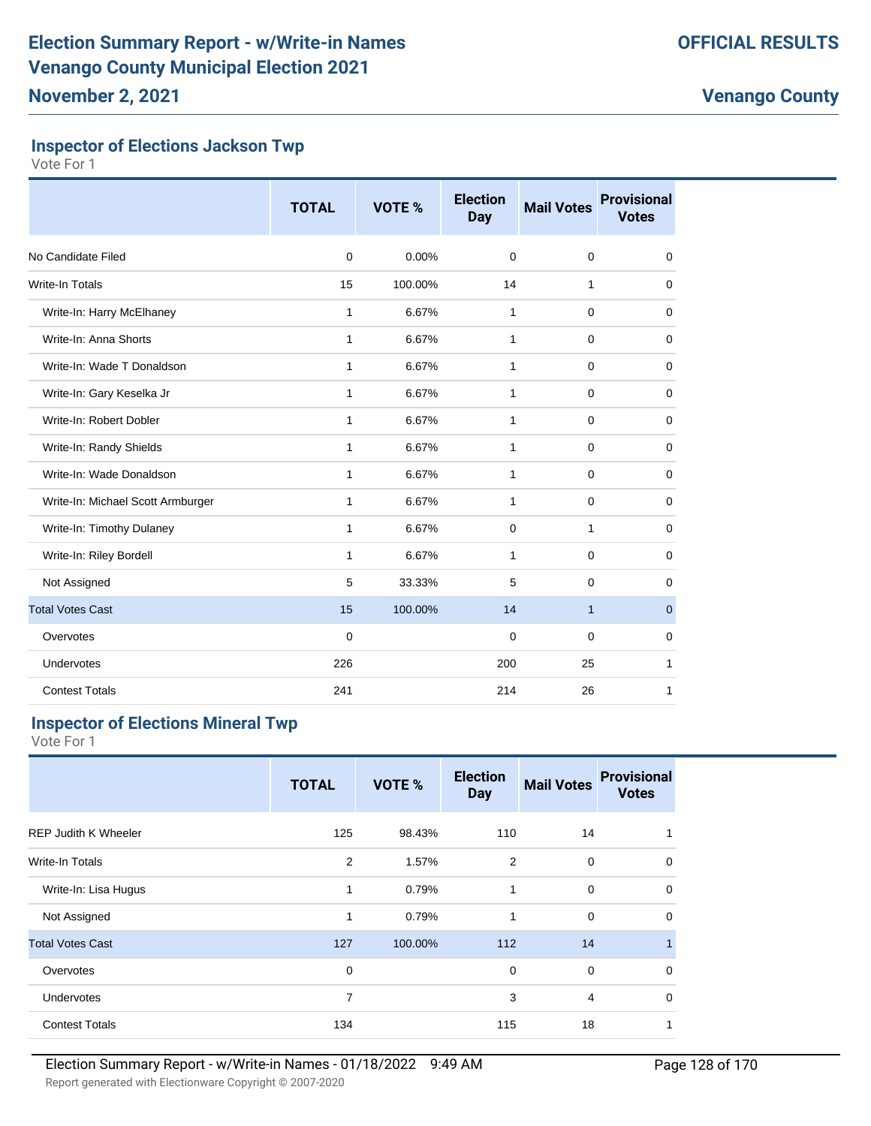### **Inspector of Elections Jackson Twp**

Vote For 1

|                                   | <b>TOTAL</b> | VOTE %  | <b>Election</b><br>Day | <b>Mail Votes</b> | <b>Provisional</b><br><b>Votes</b> |
|-----------------------------------|--------------|---------|------------------------|-------------------|------------------------------------|
| No Candidate Filed                | $\Omega$     | 0.00%   | $\Omega$               | 0                 | 0                                  |
| Write-In Totals                   | 15           | 100.00% | 14                     | 1                 | 0                                  |
| Write-In: Harry McElhaney         | 1            | 6.67%   | 1                      | 0                 | 0                                  |
| Write-In: Anna Shorts             | 1            | 6.67%   | 1                      | $\mathbf 0$       | 0                                  |
| Write-In: Wade T Donaldson        | $\mathbf{1}$ | 6.67%   | $\mathbf{1}$           | 0                 | 0                                  |
| Write-In: Gary Keselka Jr         | $\mathbf{1}$ | 6.67%   | $\mathbf{1}$           | 0                 | 0                                  |
| Write-In: Robert Dobler           | 1            | 6.67%   | 1                      | 0                 | 0                                  |
| Write-In: Randy Shields           | $\mathbf{1}$ | 6.67%   | 1                      | 0                 | 0                                  |
| Write-In: Wade Donaldson          | $\mathbf{1}$ | 6.67%   | 1                      | 0                 | 0                                  |
| Write-In: Michael Scott Armburger | $\mathbf{1}$ | 6.67%   | $\mathbf{1}$           | 0                 | 0                                  |
| Write-In: Timothy Dulaney         | $\mathbf{1}$ | 6.67%   | $\mathbf 0$            | $\mathbf{1}$      | $\mathbf 0$                        |
| Write-In: Riley Bordell           | $\mathbf{1}$ | 6.67%   | 1                      | $\mathbf 0$       | 0                                  |
| Not Assigned                      | 5            | 33.33%  | 5                      | 0                 | 0                                  |
| <b>Total Votes Cast</b>           | 15           | 100.00% | 14                     | $\mathbf{1}$      | $\mathbf{0}$                       |
| Overvotes                         | $\mathbf 0$  |         | $\mathbf 0$            | 0                 | 0                                  |
| Undervotes                        | 226          |         | 200                    | 25                | 1                                  |
| <b>Contest Totals</b>             | 241          |         | 214                    | 26                | 1                                  |

## **Inspector of Elections Mineral Twp**

|                             | <b>TOTAL</b>   | VOTE %  | <b>Election</b><br><b>Day</b> | <b>Mail Votes</b> | <b>Provisional</b><br><b>Votes</b> |
|-----------------------------|----------------|---------|-------------------------------|-------------------|------------------------------------|
| <b>REP Judith K Wheeler</b> | 125            | 98.43%  | 110                           | 14                | 1                                  |
| Write-In Totals             | 2              | 1.57%   | 2                             | $\mathbf 0$       | $\mathbf 0$                        |
| Write-In: Lisa Hugus        | 1              | 0.79%   | 1                             | 0                 | $\mathbf 0$                        |
| Not Assigned                | 1              | 0.79%   | 1                             | $\mathbf 0$       | $\mathbf 0$                        |
| <b>Total Votes Cast</b>     | 127            | 100.00% | 112                           | 14                | $\mathbf{1}$                       |
| Overvotes                   | $\mathbf 0$    |         | $\mathbf 0$                   | $\mathbf 0$       | $\mathbf 0$                        |
| <b>Undervotes</b>           | $\overline{7}$ |         | 3                             | 4                 | $\mathbf 0$                        |
| <b>Contest Totals</b>       | 134            |         | 115                           | 18                | 1                                  |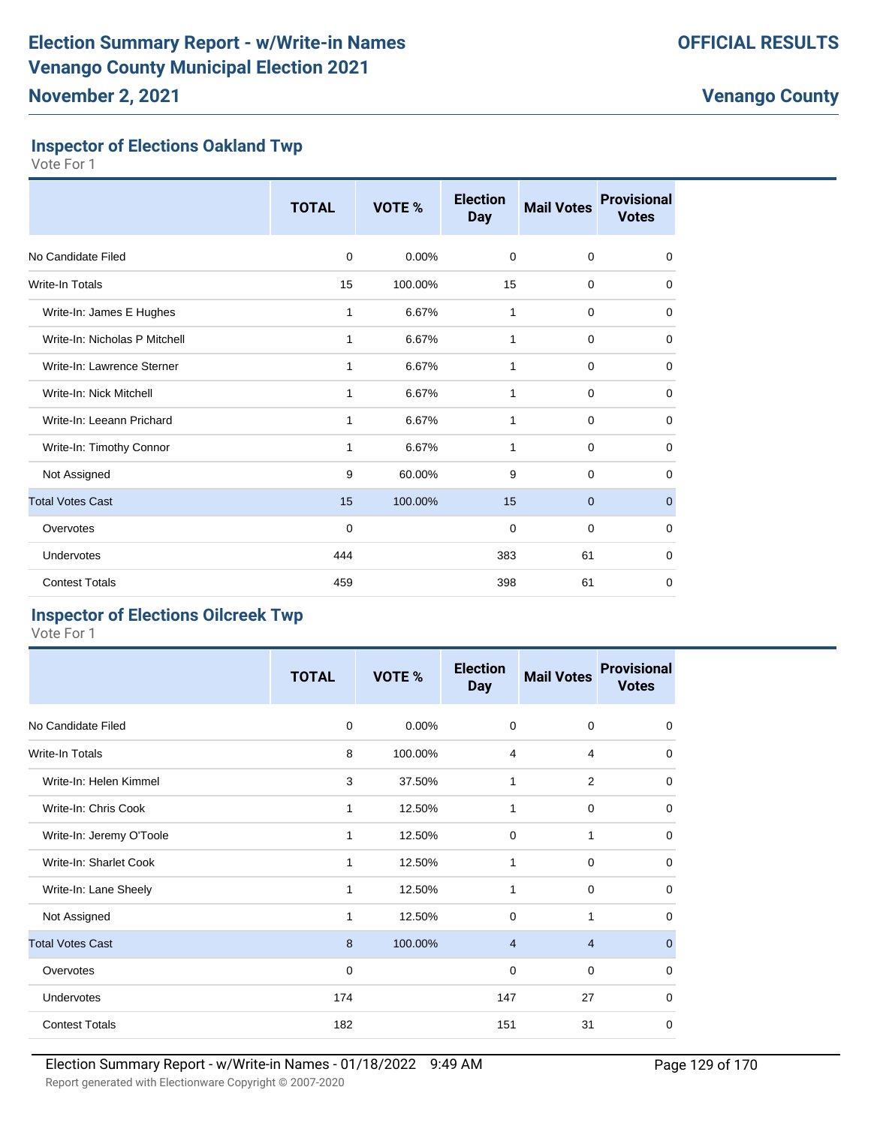## **Inspector of Elections Oakland Twp**

Vote For 1

|                               | <b>TOTAL</b> | VOTE %  | <b>Election</b><br><b>Day</b> | <b>Mail Votes</b> | <b>Provisional</b><br><b>Votes</b> |
|-------------------------------|--------------|---------|-------------------------------|-------------------|------------------------------------|
| No Candidate Filed            | 0            | 0.00%   | $\mathbf 0$                   | $\mathbf 0$       | 0                                  |
| Write-In Totals               | 15           | 100.00% | 15                            | $\mathbf 0$       | 0                                  |
| Write-In: James E Hughes      | 1            | 6.67%   | 1                             | $\mathbf 0$       | 0                                  |
| Write-In: Nicholas P Mitchell | 1            | 6.67%   | 1                             | $\mathbf 0$       | $\mathbf 0$                        |
| Write-In: Lawrence Sterner    | 1            | 6.67%   | 1                             | $\mathbf 0$       | $\mathbf 0$                        |
| Write-In: Nick Mitchell       | 1            | 6.67%   | $\mathbf{1}$                  | $\mathbf 0$       | $\mathbf 0$                        |
| Write-In: Leeann Prichard     | 1            | 6.67%   | 1                             | 0                 | 0                                  |
| Write-In: Timothy Connor      | 1            | 6.67%   | 1                             | $\mathbf 0$       | 0                                  |
| Not Assigned                  | 9            | 60.00%  | 9                             | $\Omega$          | $\Omega$                           |
| <b>Total Votes Cast</b>       | 15           | 100.00% | 15                            | $\mathbf 0$       | $\mathbf{0}$                       |
| Overvotes                     | $\mathbf 0$  |         | 0                             | $\mathbf 0$       | $\mathbf 0$                        |
| Undervotes                    | 444          |         | 383                           | 61                | $\mathbf 0$                        |
| <b>Contest Totals</b>         | 459          |         | 398                           | 61                | 0                                  |

# **Inspector of Elections Oilcreek Twp**

|                          | <b>TOTAL</b> | VOTE %  | <b>Election</b><br><b>Day</b> | <b>Mail Votes</b> | <b>Provisional</b><br><b>Votes</b> |
|--------------------------|--------------|---------|-------------------------------|-------------------|------------------------------------|
| No Candidate Filed       | $\mathbf 0$  | 0.00%   | 0                             | $\mathbf 0$       | 0                                  |
| Write-In Totals          | 8            | 100.00% | $\overline{4}$                | 4                 | 0                                  |
| Write-In: Helen Kimmel   | 3            | 37.50%  | 1                             | $\overline{2}$    | $\mathbf 0$                        |
| Write-In: Chris Cook     | 1            | 12.50%  | 1                             | $\mathbf 0$       | 0                                  |
| Write-In: Jeremy O'Toole | 1            | 12.50%  | 0                             | 1                 | 0                                  |
| Write-In: Sharlet Cook   | 1            | 12.50%  | 1                             | $\mathbf 0$       | $\mathbf 0$                        |
| Write-In: Lane Sheely    | 1            | 12.50%  | $\mathbf{1}$                  | $\mathbf 0$       | $\mathbf 0$                        |
| Not Assigned             | 1            | 12.50%  | $\Omega$                      | 1                 | $\Omega$                           |
| <b>Total Votes Cast</b>  | 8            | 100.00% | $\overline{4}$                | $\overline{4}$    | $\mathbf 0$                        |
| Overvotes                | 0            |         | 0                             | $\mathbf 0$       | 0                                  |
| Undervotes               | 174          |         | 147                           | 27                | 0                                  |
| <b>Contest Totals</b>    | 182          |         | 151                           | 31                | 0                                  |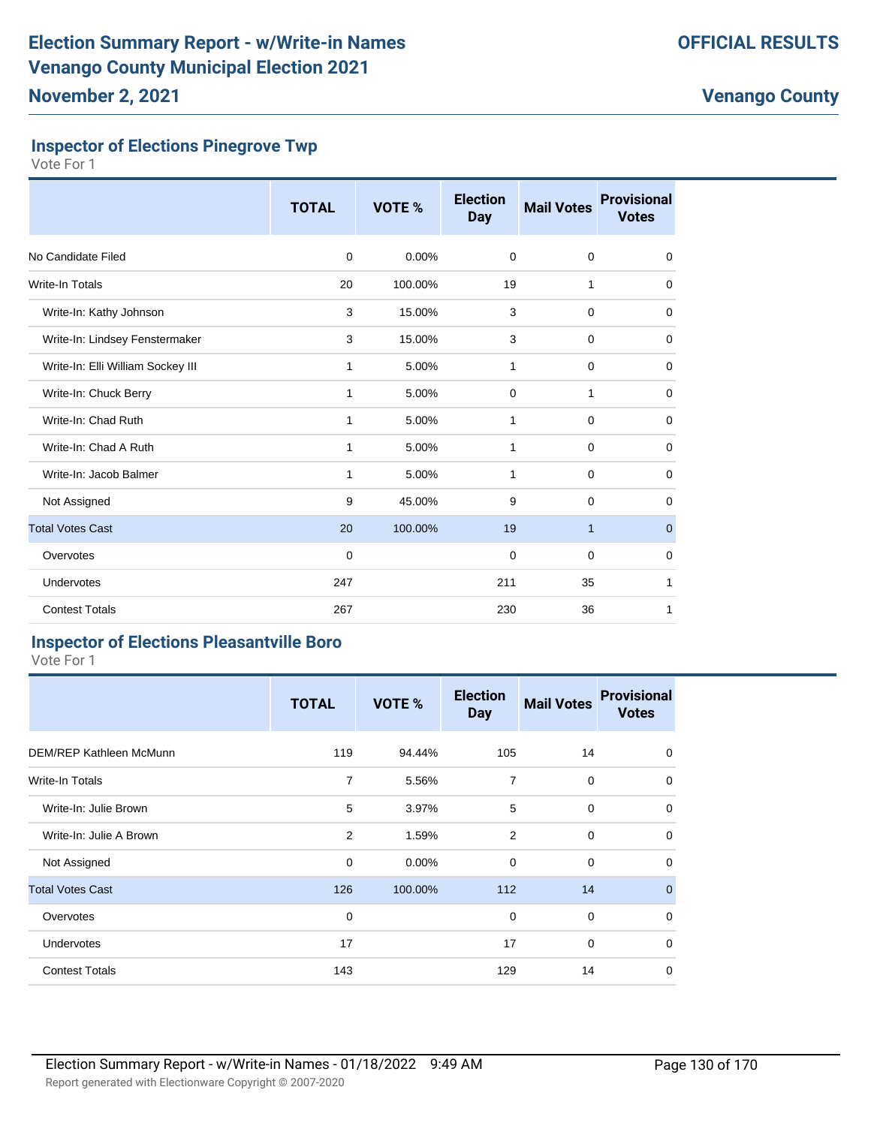#### **Inspector of Elections Pinegrove Twp**

Vote For 1

|                                   | <b>TOTAL</b> | VOTE %  | <b>Election</b><br><b>Day</b> | <b>Mail Votes</b> | <b>Provisional</b><br><b>Votes</b> |
|-----------------------------------|--------------|---------|-------------------------------|-------------------|------------------------------------|
| No Candidate Filed                | $\mathbf 0$  | 0.00%   | $\mathbf 0$                   | $\mathbf 0$       | $\mathbf 0$                        |
| Write-In Totals                   | 20           | 100.00% | 19                            | 1                 | 0                                  |
| Write-In: Kathy Johnson           | 3            | 15.00%  | 3                             | $\mathbf 0$       | $\mathbf 0$                        |
| Write-In: Lindsey Fenstermaker    | 3            | 15.00%  | 3                             | 0                 | 0                                  |
| Write-In: Elli William Sockey III | 1            | 5.00%   | 1                             | $\mathbf 0$       | 0                                  |
| Write-In: Chuck Berry             | 1            | 5.00%   | $\mathbf 0$                   | $\mathbf{1}$      | $\mathbf 0$                        |
| Write-In: Chad Ruth               | 1            | 5.00%   | 1                             | $\mathbf 0$       | $\mathbf 0$                        |
| Write-In: Chad A Ruth             | 1            | 5.00%   | 1                             | 0                 | 0                                  |
| Write-In: Jacob Balmer            | 1            | 5.00%   | 1                             | $\mathbf 0$       | 0                                  |
| Not Assigned                      | 9            | 45.00%  | 9                             | $\mathbf 0$       | $\mathbf 0$                        |
| <b>Total Votes Cast</b>           | 20           | 100.00% | 19                            | $\mathbf{1}$      | $\mathbf{0}$                       |
| Overvotes                         | 0            |         | $\mathbf 0$                   | $\mathbf 0$       | 0                                  |
| Undervotes                        | 247          |         | 211                           | 35                | 1                                  |
| <b>Contest Totals</b>             | 267          |         | 230                           | 36                | 1                                  |

#### **Inspector of Elections Pleasantville Boro**

|                                | <b>TOTAL</b> | VOTE %  | <b>Election</b><br><b>Day</b> | <b>Mail Votes</b> | <b>Provisional</b><br><b>Votes</b> |
|--------------------------------|--------------|---------|-------------------------------|-------------------|------------------------------------|
| <b>DEM/REP Kathleen McMunn</b> | 119          | 94.44%  | 105                           | 14                | 0                                  |
| Write-In Totals                | 7            | 5.56%   | 7                             | 0                 | 0                                  |
| Write-In: Julie Brown          | 5            | 3.97%   | 5                             | 0                 | $\mathbf 0$                        |
| Write-In: Julie A Brown        | 2            | 1.59%   | 2                             | $\Omega$          | $\mathbf 0$                        |
| Not Assigned                   | $\mathbf 0$  | 0.00%   | $\Omega$                      | $\mathbf 0$       | $\mathbf 0$                        |
| <b>Total Votes Cast</b>        | 126          | 100.00% | 112                           | 14                | $\mathbf 0$                        |
| Overvotes                      | 0            |         | 0                             | $\mathbf 0$       | $\mathbf 0$                        |
| Undervotes                     | 17           |         | 17                            | 0                 | $\mathbf 0$                        |
| <b>Contest Totals</b>          | 143          |         | 129                           | 14                | 0                                  |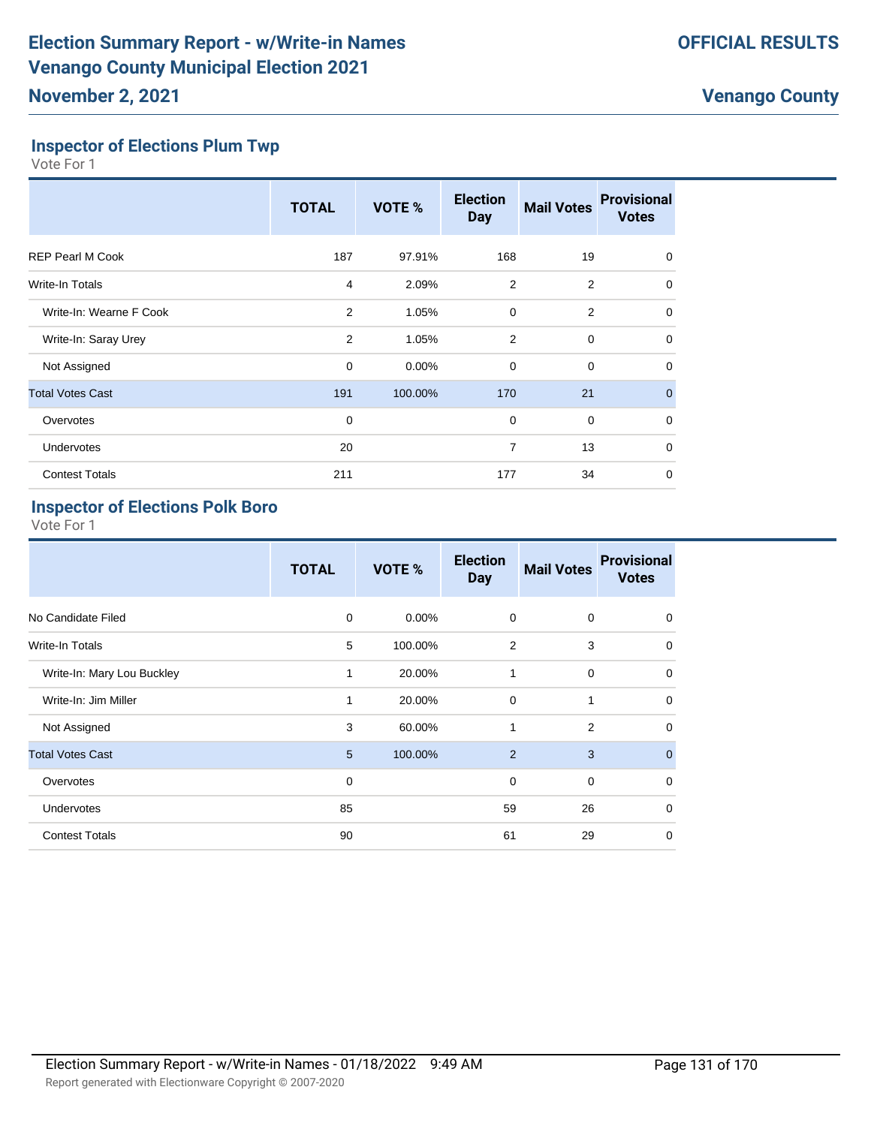### **Inspector of Elections Plum Twp**

Vote For 1

|                         | <b>TOTAL</b> | VOTE %  | <b>Election</b><br><b>Day</b> | <b>Mail Votes</b> | <b>Provisional</b><br><b>Votes</b> |
|-------------------------|--------------|---------|-------------------------------|-------------------|------------------------------------|
| <b>REP Pearl M Cook</b> | 187          | 97.91%  | 168                           | 19                | 0                                  |
| Write-In Totals         | 4            | 2.09%   | $\overline{2}$                | 2                 | $\mathbf 0$                        |
| Write-In: Wearne F Cook | 2            | 1.05%   | $\mathbf 0$                   | $\overline{2}$    | 0                                  |
| Write-In: Saray Urey    | 2            | 1.05%   | 2                             | $\mathbf 0$       | $\Omega$                           |
| Not Assigned            | $\mathbf 0$  | 0.00%   | $\mathbf 0$                   | $\mathbf 0$       | 0                                  |
| <b>Total Votes Cast</b> | 191          | 100.00% | 170                           | 21                | $\mathbf{0}$                       |
| Overvotes               | $\mathbf 0$  |         | $\mathbf 0$                   | $\mathbf 0$       | $\Omega$                           |
| <b>Undervotes</b>       | 20           |         | 7                             | 13                | $\Omega$                           |
| <b>Contest Totals</b>   | 211          |         | 177                           | 34                | 0                                  |

# **Inspector of Elections Polk Boro**

|                            | <b>TOTAL</b> | VOTE %   | <b>Election</b><br><b>Day</b> | <b>Mail Votes</b> | <b>Provisional</b><br><b>Votes</b> |
|----------------------------|--------------|----------|-------------------------------|-------------------|------------------------------------|
| No Candidate Filed         | 0            | $0.00\%$ | $\mathbf 0$                   | 0                 | $\mathbf 0$                        |
| <b>Write-In Totals</b>     | 5            | 100.00%  | 2                             | 3                 | $\mathbf 0$                        |
| Write-In: Mary Lou Buckley | 1            | 20.00%   | 1                             | 0                 | $\mathbf 0$                        |
| Write-In: Jim Miller       | 1            | 20.00%   | 0                             | 1                 | $\mathbf 0$                        |
| Not Assigned               | 3            | 60.00%   | $\mathbf{1}$                  | 2                 | $\mathbf 0$                        |
| <b>Total Votes Cast</b>    | 5            | 100.00%  | 2                             | 3                 | $\overline{0}$                     |
| Overvotes                  | 0            |          | $\mathbf 0$                   | 0                 | $\mathbf 0$                        |
| <b>Undervotes</b>          | 85           |          | 59                            | 26                | $\mathbf 0$                        |
| <b>Contest Totals</b>      | 90           |          | 61                            | 29                | $\mathbf 0$                        |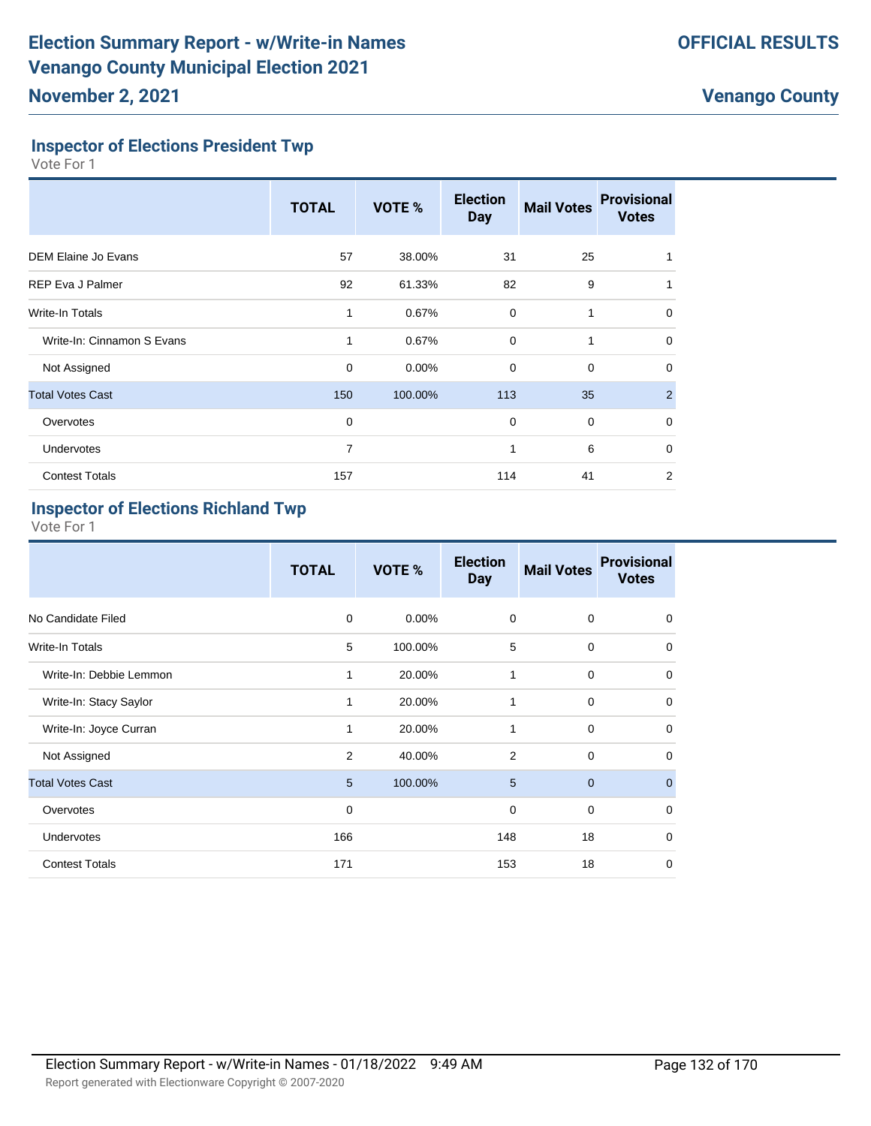### **Inspector of Elections President Twp**

Vote For 1

|                            | <b>TOTAL</b>   | VOTE %  | <b>Election</b><br><b>Day</b> | <b>Mail Votes</b> | <b>Provisional</b><br><b>Votes</b> |
|----------------------------|----------------|---------|-------------------------------|-------------------|------------------------------------|
| <b>DEM Elaine Jo Evans</b> | 57             | 38.00%  | 31                            | 25                |                                    |
| <b>REP Eva J Palmer</b>    | 92             | 61.33%  | 82                            | 9                 |                                    |
| <b>Write-In Totals</b>     | 1              | 0.67%   | $\mathbf 0$                   | 1                 | 0                                  |
| Write-In: Cinnamon S Evans | 1              | 0.67%   | $\mathbf 0$                   | 1                 | $\mathbf 0$                        |
| Not Assigned               | $\mathbf 0$    | 0.00%   | $\mathbf 0$                   | $\mathbf 0$       | 0                                  |
| <b>Total Votes Cast</b>    | 150            | 100.00% | 113                           | 35                | 2                                  |
| Overvotes                  | $\mathbf 0$    |         | $\mathbf 0$                   | $\mathbf 0$       | $\mathbf 0$                        |
| Undervotes                 | $\overline{7}$ |         | 1                             | 6                 | $\mathbf 0$                        |
| <b>Contest Totals</b>      | 157            |         | 114                           | 41                | 2                                  |

#### **Inspector of Elections Richland Twp**

|                         | <b>TOTAL</b>   | VOTE %  | <b>Election</b><br><b>Day</b> | <b>Mail Votes</b> | <b>Provisional</b><br><b>Votes</b> |
|-------------------------|----------------|---------|-------------------------------|-------------------|------------------------------------|
| No Candidate Filed      | $\mathbf 0$    | 0.00%   | 0                             | 0                 | 0                                  |
| Write-In Totals         | 5              | 100.00% | 5                             | $\mathbf 0$       | 0                                  |
| Write-In: Debbie Lemmon | 1              | 20.00%  | 1                             | 0                 | $\Omega$                           |
| Write-In: Stacy Saylor  | 1              | 20.00%  | 1                             | 0                 | $\mathbf 0$                        |
| Write-In: Joyce Curran  | 1              | 20.00%  | 1                             | 0                 | $\mathbf 0$                        |
| Not Assigned            | $\overline{2}$ | 40.00%  | 2                             | 0                 | $\mathbf 0$                        |
| <b>Total Votes Cast</b> | 5              | 100.00% | 5                             | $\mathbf{0}$      | $\mathbf 0$                        |
| Overvotes               | 0              |         | $\mathbf 0$                   | 0                 | $\mathbf 0$                        |
| Undervotes              | 166            |         | 148                           | 18                | $\mathbf 0$                        |
| <b>Contest Totals</b>   | 171            |         | 153                           | 18                | $\mathbf 0$                        |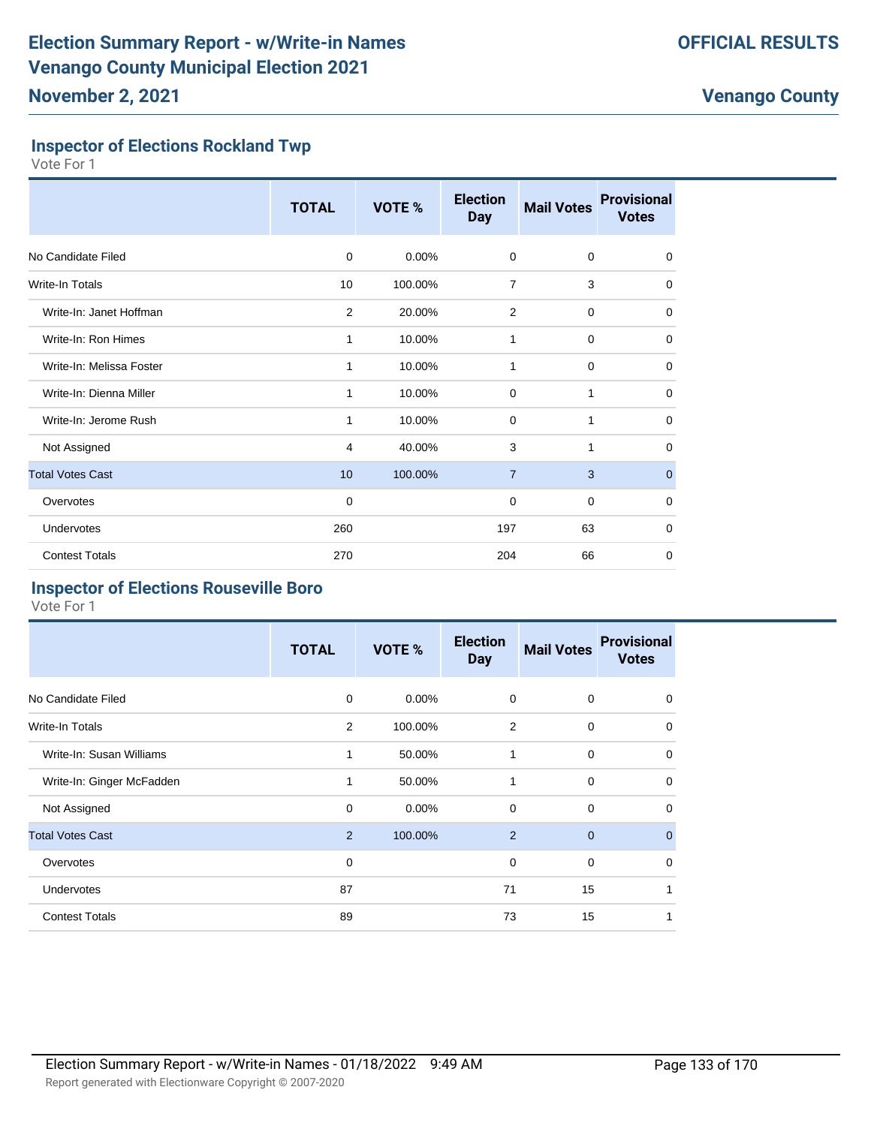### **Inspector of Elections Rockland Twp**

Vote For 1

|                          | <b>TOTAL</b> | VOTE %   | <b>Election</b><br><b>Day</b> | <b>Mail Votes</b> | <b>Provisional</b><br><b>Votes</b> |
|--------------------------|--------------|----------|-------------------------------|-------------------|------------------------------------|
| No Candidate Filed       | $\Omega$     | $0.00\%$ | $\mathbf 0$                   | 0                 | 0                                  |
| Write-In Totals          | 10           | 100.00%  | $\overline{7}$                | 3                 | 0                                  |
| Write-In: Janet Hoffman  | 2            | 20.00%   | 2                             | 0                 | 0                                  |
| Write-In: Ron Himes      | 1            | 10.00%   | 1                             | 0                 | $\mathbf 0$                        |
| Write-In: Melissa Foster | 1            | 10.00%   | 1                             | 0                 | 0                                  |
| Write-In: Dienna Miller  | 1            | 10.00%   | $\mathbf 0$                   | $\mathbf{1}$      | $\mathbf 0$                        |
| Write-In: Jerome Rush    | $\mathbf{1}$ | 10.00%   | 0                             | 1                 | 0                                  |
| Not Assigned             | 4            | 40.00%   | 3                             | 1                 | 0                                  |
| <b>Total Votes Cast</b>  | 10           | 100.00%  | $\overline{7}$                | 3                 | $\mathbf{0}$                       |
| Overvotes                | $\Omega$     |          | 0                             | 0                 | 0                                  |
| Undervotes               | 260          |          | 197                           | 63                | 0                                  |
| <b>Contest Totals</b>    | 270          |          | 204                           | 66                | $\mathbf 0$                        |

# **Inspector of Elections Rouseville Boro**

|                           | <b>TOTAL</b> | VOTE %   | <b>Election</b><br><b>Day</b> | <b>Mail Votes</b> | <b>Provisional</b><br><b>Votes</b> |
|---------------------------|--------------|----------|-------------------------------|-------------------|------------------------------------|
| No Candidate Filed        | 0            | $0.00\%$ | 0                             | 0                 | 0                                  |
| <b>Write-In Totals</b>    | 2            | 100.00%  | 2                             | 0                 | $\mathbf 0$                        |
| Write-In: Susan Williams  | 1            | 50.00%   | 1                             | $\mathbf 0$       | 0                                  |
| Write-In: Ginger McFadden | $\mathbf{1}$ | 50.00%   | 1                             | 0                 | $\mathbf 0$                        |
| Not Assigned              | 0            | $0.00\%$ | $\Omega$                      | $\Omega$          | 0                                  |
| <b>Total Votes Cast</b>   | 2            | 100.00%  | 2                             | $\mathbf{0}$      | $\mathbf{0}$                       |
| Overvotes                 | $\mathbf 0$  |          | 0                             | 0                 | $\mathbf 0$                        |
| Undervotes                | 87           |          | 71                            | 15                | 1                                  |
| <b>Contest Totals</b>     | 89           |          | 73                            | 15                | 1                                  |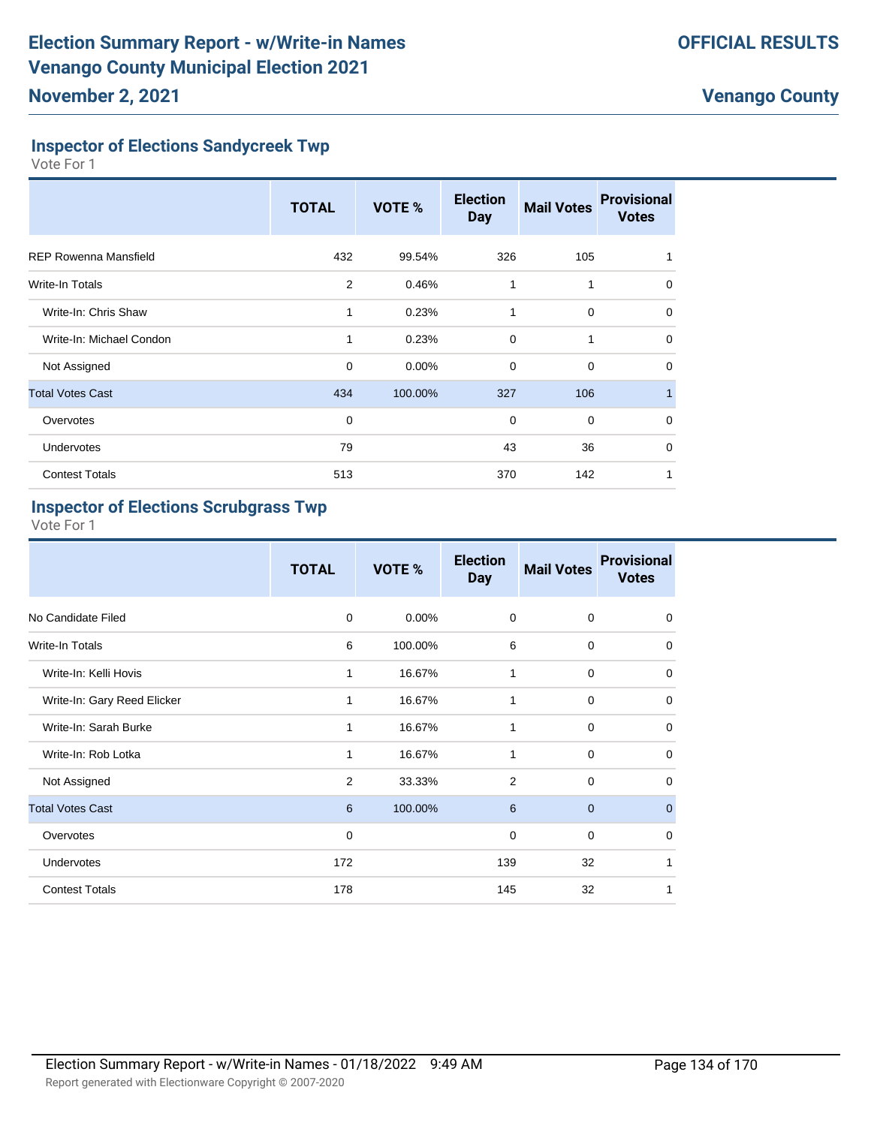### **Inspector of Elections Sandycreek Twp**

Vote For 1

|                              | <b>TOTAL</b> | VOTE %  | <b>Election</b><br><b>Day</b> | <b>Mail Votes</b> | <b>Provisional</b><br><b>Votes</b> |
|------------------------------|--------------|---------|-------------------------------|-------------------|------------------------------------|
| <b>REP Rowenna Mansfield</b> | 432          | 99.54%  | 326                           | 105               |                                    |
| Write-In Totals              | 2            | 0.46%   | 1                             | 1                 | 0                                  |
| Write-In: Chris Shaw         | 1            | 0.23%   | 1                             | $\mathbf 0$       | 0                                  |
| Write-In: Michael Condon     | 1            | 0.23%   | $\Omega$                      | 1                 | $\Omega$                           |
| Not Assigned                 | $\mathbf 0$  | 0.00%   | $\mathbf 0$                   | $\mathbf 0$       | 0                                  |
| <b>Total Votes Cast</b>      | 434          | 100.00% | 327                           | 106               |                                    |
| Overvotes                    | $\mathbf 0$  |         | $\mathbf 0$                   | $\mathbf 0$       | $\Omega$                           |
| Undervotes                   | 79           |         | 43                            | 36                | $\Omega$                           |
| <b>Contest Totals</b>        | 513          |         | 370                           | 142               |                                    |

### **Inspector of Elections Scrubgrass Twp**

|                             | <b>TOTAL</b> | VOTE %  | <b>Election</b><br><b>Day</b> | <b>Mail Votes</b> | <b>Provisional</b><br><b>Votes</b> |
|-----------------------------|--------------|---------|-------------------------------|-------------------|------------------------------------|
| No Candidate Filed          | $\mathbf 0$  | 0.00%   | $\mathbf 0$                   | 0                 | 0                                  |
| <b>Write-In Totals</b>      | 6            | 100.00% | 6                             | 0                 | 0                                  |
| Write-In: Kelli Hovis       | 1            | 16.67%  | 1                             | $\mathbf 0$       | $\Omega$                           |
| Write-In: Gary Reed Elicker | 1            | 16.67%  | 1                             | $\mathbf 0$       | $\mathbf 0$                        |
| Write-In: Sarah Burke       | 1            | 16.67%  | 1                             | $\mathbf 0$       | $\mathbf 0$                        |
| Write-In: Rob Lotka         | 1            | 16.67%  | 1                             | $\mathbf 0$       | $\mathbf 0$                        |
| Not Assigned                | 2            | 33.33%  | $\overline{2}$                | 0                 | $\mathbf 0$                        |
| <b>Total Votes Cast</b>     | 6            | 100.00% | 6                             | $\mathbf{0}$      | $\mathbf{0}$                       |
| Overvotes                   | $\mathbf 0$  |         | $\mathbf 0$                   | $\mathbf 0$       | $\mathbf 0$                        |
| <b>Undervotes</b>           | 172          |         | 139                           | 32                | 1                                  |
| <b>Contest Totals</b>       | 178          |         | 145                           | 32                | 1                                  |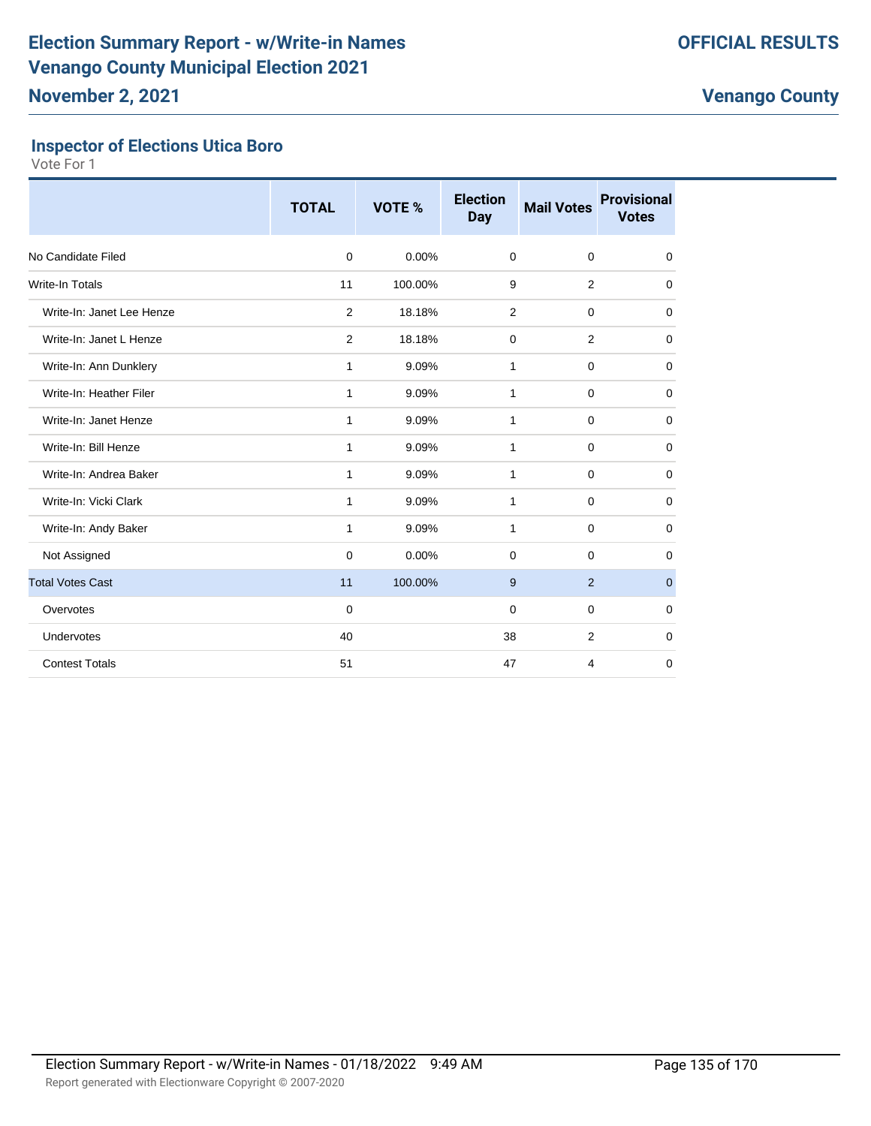## **Inspector of Elections Utica Boro**

|                           | <b>TOTAL</b> | VOTE %  | <b>Election</b><br><b>Day</b> | <b>Mail Votes</b> | <b>Provisional</b><br><b>Votes</b> |
|---------------------------|--------------|---------|-------------------------------|-------------------|------------------------------------|
| No Candidate Filed        | 0            | 0.00%   | 0                             | $\mathbf 0$       | 0                                  |
| <b>Write-In Totals</b>    | 11           | 100.00% | 9                             | 2                 | 0                                  |
| Write-In: Janet Lee Henze | 2            | 18.18%  | 2                             | $\mathbf 0$       | 0                                  |
| Write-In: Janet L Henze   | 2            | 18.18%  | 0                             | 2                 | $\mathbf 0$                        |
| Write-In: Ann Dunklery    | 1            | 9.09%   | 1                             | $\mathbf 0$       | 0                                  |
| Write-In: Heather Filer   | 1            | 9.09%   | $\mathbf{1}$                  | $\mathbf 0$       | $\mathbf 0$                        |
| Write-In: Janet Henze     | 1            | 9.09%   | 1                             | $\mathbf 0$       | $\mathbf 0$                        |
| Write-In: Bill Henze      | 1            | 9.09%   | 1                             | $\mathbf 0$       | $\mathbf 0$                        |
| Write-In: Andrea Baker    | 1            | 9.09%   | 1                             | $\mathbf 0$       | $\mathbf 0$                        |
| Write-In: Vicki Clark     | 1            | 9.09%   | 1                             | $\mathbf 0$       | $\mathbf 0$                        |
| Write-In: Andy Baker      | 1            | 9.09%   | 1                             | $\mathbf 0$       | $\mathbf 0$                        |
| Not Assigned              | 0            | 0.00%   | $\Omega$                      | $\Omega$          | 0                                  |
| <b>Total Votes Cast</b>   | 11           | 100.00% | 9                             | 2                 | $\mathbf{0}$                       |
| Overvotes                 | $\Omega$     |         | $\Omega$                      | $\Omega$          | $\mathbf 0$                        |
| Undervotes                | 40           |         | 38                            | 2                 | $\mathbf 0$                        |
| <b>Contest Totals</b>     | 51           |         | 47                            | 4                 | $\mathbf 0$                        |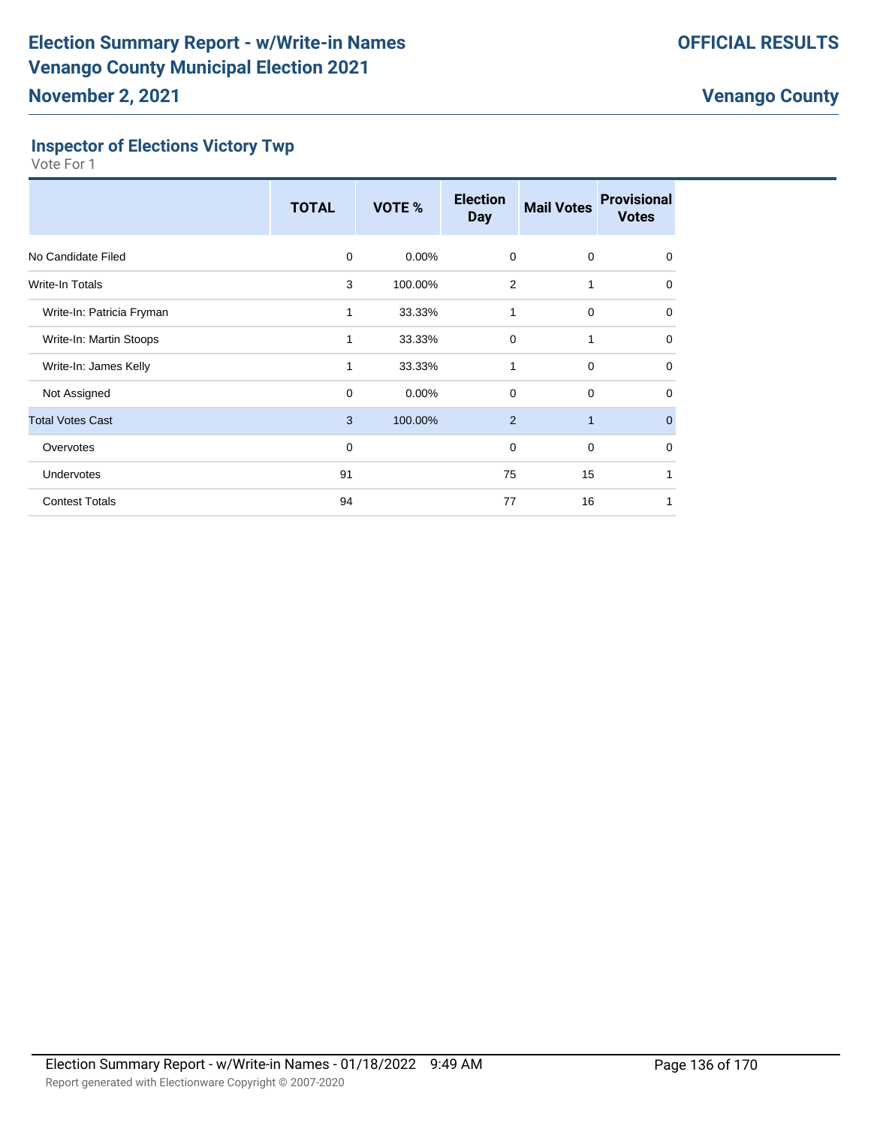## **Inspector of Elections Victory Twp**

|                           | <b>TOTAL</b> | <b>VOTE %</b> | <b>Election</b><br><b>Day</b> | <b>Mail Votes</b> | <b>Provisional</b><br><b>Votes</b> |
|---------------------------|--------------|---------------|-------------------------------|-------------------|------------------------------------|
| No Candidate Filed        | $\Omega$     | $0.00\%$      | 0                             | 0                 | $\mathbf 0$                        |
| Write-In Totals           | 3            | 100.00%       | 2                             | 1                 | 0                                  |
| Write-In: Patricia Fryman | 1            | 33.33%        | 1                             | $\mathbf 0$       | 0                                  |
| Write-In: Martin Stoops   | 1            | 33.33%        | $\mathbf 0$                   | 1                 | 0                                  |
| Write-In: James Kelly     | 1            | 33.33%        | 1                             | $\mathbf 0$       | 0                                  |
| Not Assigned              | 0            | $0.00\%$      | $\mathbf 0$                   | $\mathbf 0$       | 0                                  |
| <b>Total Votes Cast</b>   | 3            | 100.00%       | 2                             | $\mathbf{1}$      | $\mathbf{0}$                       |
| Overvotes                 | 0            |               | $\mathbf 0$                   | $\mathbf 0$       | 0                                  |
| <b>Undervotes</b>         | 91           |               | 75                            | 15                | 1                                  |
| <b>Contest Totals</b>     | 94           |               | 77                            | 16                |                                    |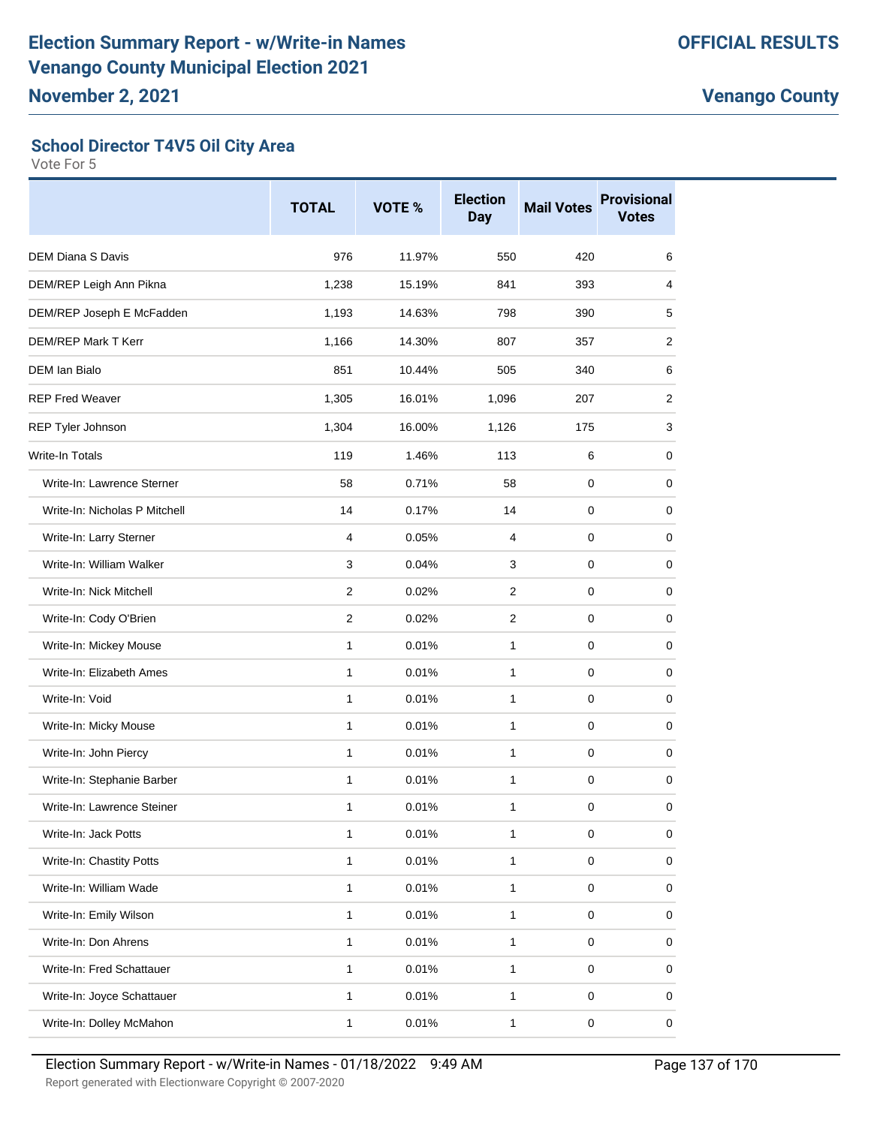## **School Director T4V5 Oil City Area**

|                               | <b>TOTAL</b>   | VOTE % | <b>Election</b><br><b>Day</b> | <b>Mail Votes</b> | <b>Provisional</b><br><b>Votes</b> |
|-------------------------------|----------------|--------|-------------------------------|-------------------|------------------------------------|
| <b>DEM Diana S Davis</b>      | 976            | 11.97% | 550                           | 420               | 6                                  |
| DEM/REP Leigh Ann Pikna       | 1,238          | 15.19% | 841                           | 393               | 4                                  |
| DEM/REP Joseph E McFadden     | 1,193          | 14.63% | 798                           | 390               | 5                                  |
| <b>DEM/REP Mark T Kerr</b>    | 1,166          | 14.30% | 807                           | 357               | 2                                  |
| DEM Ian Bialo                 | 851            | 10.44% | 505                           | 340               | 6                                  |
| <b>REP Fred Weaver</b>        | 1,305          | 16.01% | 1,096                         | 207               | 2                                  |
| REP Tyler Johnson             | 1,304          | 16.00% | 1,126                         | 175               | 3                                  |
| <b>Write-In Totals</b>        | 119            | 1.46%  | 113                           | 6                 | 0                                  |
| Write-In: Lawrence Sterner    | 58             | 0.71%  | 58                            | 0                 | 0                                  |
| Write-In: Nicholas P Mitchell | 14             | 0.17%  | 14                            | $\mathbf 0$       | 0                                  |
| Write-In: Larry Sterner       | $\overline{4}$ | 0.05%  | 4                             | 0                 | 0                                  |
| Write-In: William Walker      | 3              | 0.04%  | 3                             | 0                 | 0                                  |
| Write-In: Nick Mitchell       | $\overline{2}$ | 0.02%  | $\overline{2}$                | $\mathbf 0$       | 0                                  |
| Write-In: Cody O'Brien        | 2              | 0.02%  | 2                             | 0                 | 0                                  |
| Write-In: Mickey Mouse        | $\mathbf{1}$   | 0.01%  | 1                             | 0                 | 0                                  |
| Write-In: Elizabeth Ames      | $\mathbf{1}$   | 0.01%  | $\mathbf{1}$                  | $\mathbf 0$       | 0                                  |
| Write-In: Void                | 1              | 0.01%  | $\mathbf{1}$                  | 0                 | 0                                  |
| Write-In: Micky Mouse         | $\mathbf{1}$   | 0.01%  | 1                             | 0                 | 0                                  |
| Write-In: John Piercy         | $\mathbf{1}$   | 0.01%  | $\mathbf{1}$                  | 0                 | 0                                  |
| Write-In: Stephanie Barber    | 1              | 0.01%  | $\mathbf{1}$                  | 0                 | 0                                  |
| Write-In: Lawrence Steiner    | 1              | 0.01%  | 1                             | 0                 | 0                                  |
| Write-In: Jack Potts          | $\mathbf{1}$   | 0.01%  | $\mathbf{1}$                  | $\mathbf 0$       | 0                                  |
| Write-In: Chastity Potts      | $\mathbf{1}$   | 0.01%  | $\mathbf{1}$                  | $\pmb{0}$         | 0                                  |
| Write-In: William Wade        | $\mathbf{1}$   | 0.01%  | $\mathbf{1}$                  | $\pmb{0}$         | 0                                  |
| Write-In: Emily Wilson        | $\mathbf{1}$   | 0.01%  | $\mathbf{1}$                  | $\pmb{0}$         | 0                                  |
| Write-In: Don Ahrens          | $\mathbf{1}$   | 0.01%  | $\mathbf{1}$                  | $\pmb{0}$         | 0                                  |
| Write-In: Fred Schattauer     | $\mathbf{1}$   | 0.01%  | $\mathbf{1}$                  | $\pmb{0}$         | 0                                  |
| Write-In: Joyce Schattauer    | $\mathbf{1}$   | 0.01%  | $\mathbf{1}$                  | $\pmb{0}$         | 0                                  |
| Write-In: Dolley McMahon      | $\mathbf{1}$   | 0.01%  | $\mathbf{1}$                  | $\pmb{0}$         | $\mathsf 0$                        |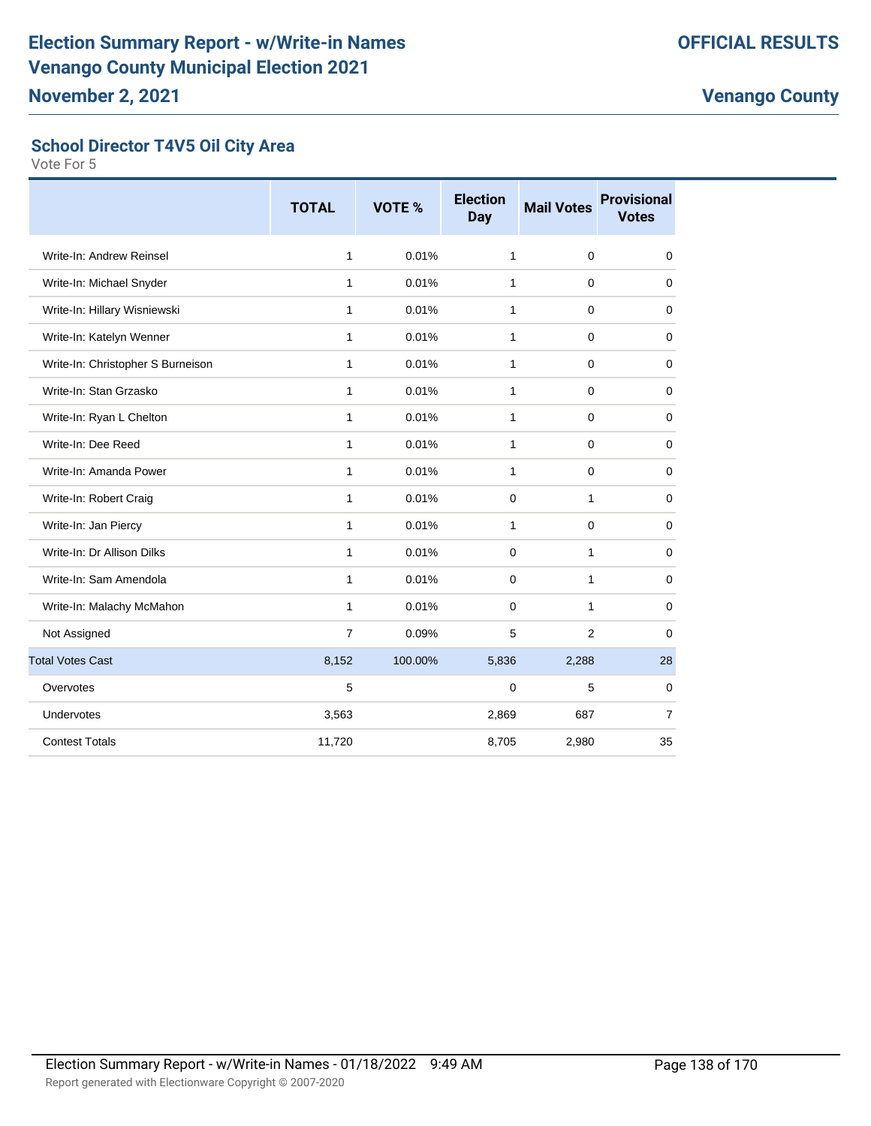### **School Director T4V5 Oil City Area**

|                                   | <b>TOTAL</b>   | VOTE %  | <b>Election</b><br><b>Day</b> | <b>Mail Votes</b> | <b>Provisional</b><br><b>Votes</b> |
|-----------------------------------|----------------|---------|-------------------------------|-------------------|------------------------------------|
| Write-In: Andrew Reinsel          | $\mathbf{1}$   | 0.01%   | $\mathbf{1}$                  | $\mathbf 0$       | 0                                  |
| Write-In: Michael Snyder          | 1              | 0.01%   | 1                             | $\Omega$          | $\mathbf 0$                        |
| Write-In: Hillary Wisniewski      | $\mathbf{1}$   | 0.01%   | $\mathbf{1}$                  | $\mathbf 0$       | 0                                  |
| Write-In: Katelyn Wenner          | $\mathbf{1}$   | 0.01%   | 1                             | $\mathbf 0$       | 0                                  |
| Write-In: Christopher S Burneison | $\mathbf{1}$   | 0.01%   | $\mathbf{1}$                  | $\mathbf 0$       | $\mathbf 0$                        |
| Write-In: Stan Grzasko            | 1              | 0.01%   | 1                             | $\mathbf 0$       | $\mathbf 0$                        |
| Write-In: Ryan L Chelton          | $\mathbf{1}$   | 0.01%   | 1                             | $\mathbf 0$       | $\mathbf 0$                        |
| Write-In: Dee Reed                | $\mathbf{1}$   | 0.01%   | 1                             | $\mathbf 0$       | 0                                  |
| Write-In: Amanda Power            | $\mathbf{1}$   | 0.01%   | $\mathbf{1}$                  | $\mathbf 0$       | $\mathbf 0$                        |
| Write-In: Robert Craig            | $\mathbf{1}$   | 0.01%   | 0                             | 1                 | $\mathbf 0$                        |
| Write-In: Jan Piercy              | $\mathbf{1}$   | 0.01%   | 1                             | $\Omega$          | $\mathbf 0$                        |
| Write-In: Dr Allison Dilks        | $\mathbf{1}$   | 0.01%   | $\Omega$                      | 1                 | $\mathbf 0$                        |
| Write-In: Sam Amendola            | $\mathbf{1}$   | 0.01%   | $\mathbf 0$                   | $\mathbf{1}$      | $\mathbf 0$                        |
| Write-In: Malachy McMahon         | $\mathbf{1}$   | 0.01%   | $\Omega$                      | 1                 | $\mathbf 0$                        |
| Not Assigned                      | $\overline{7}$ | 0.09%   | 5                             | 2                 | $\mathbf 0$                        |
| <b>Total Votes Cast</b>           | 8,152          | 100.00% | 5,836                         | 2,288             | 28                                 |
| Overvotes                         | 5              |         | 0                             | 5                 | $\mathbf 0$                        |
| Undervotes                        | 3,563          |         | 2,869                         | 687               | $\overline{7}$                     |
| <b>Contest Totals</b>             | 11,720         |         | 8,705                         | 2,980             | 35                                 |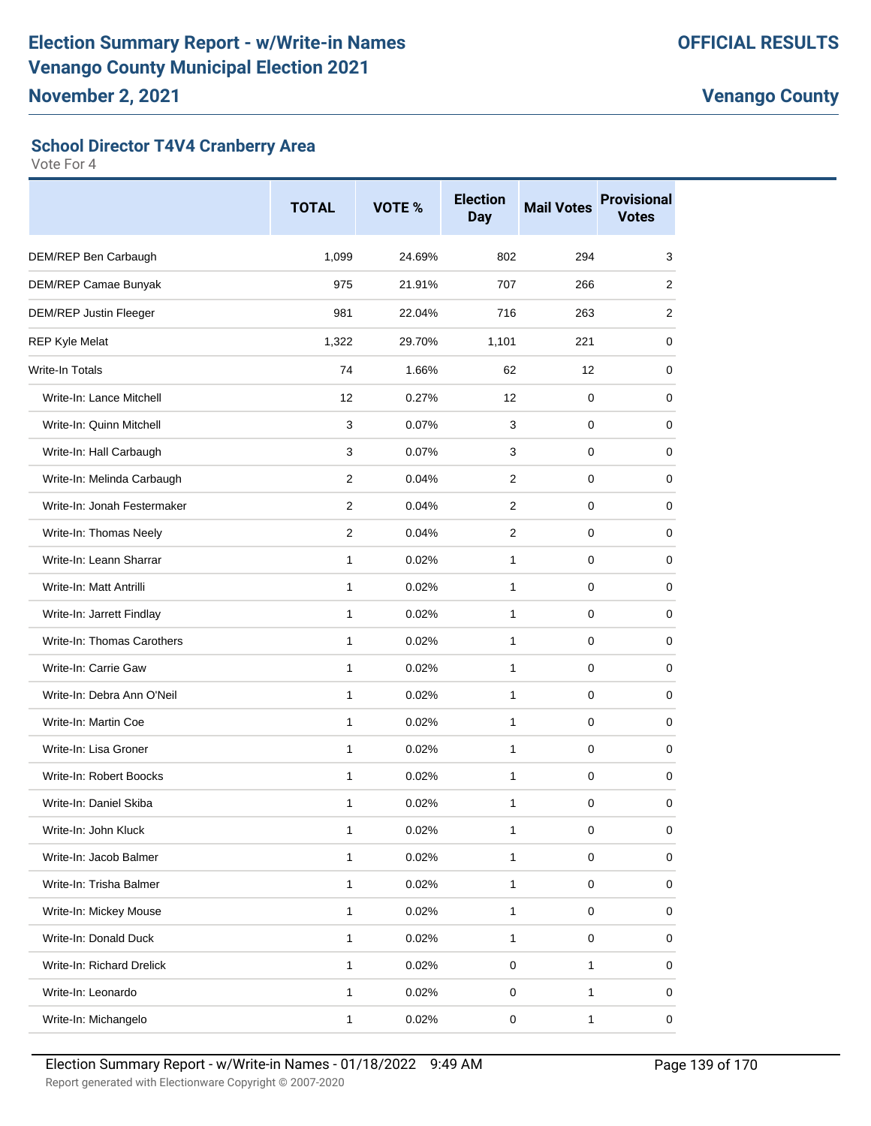#### **School Director T4V4 Cranberry Area**

|                               | <b>TOTAL</b> | VOTE % | <b>Election</b><br><b>Day</b> | <b>Mail Votes</b> | <b>Provisional</b><br><b>Votes</b> |
|-------------------------------|--------------|--------|-------------------------------|-------------------|------------------------------------|
| DEM/REP Ben Carbaugh          | 1,099        | 24.69% | 802                           | 294               | 3                                  |
| DEM/REP Camae Bunyak          | 975          | 21.91% | 707                           | 266               | 2                                  |
| <b>DEM/REP Justin Fleeger</b> | 981          | 22.04% | 716                           | 263               | 2                                  |
| <b>REP Kyle Melat</b>         | 1,322        | 29.70% | 1,101                         | 221               | 0                                  |
| <b>Write-In Totals</b>        | 74           | 1.66%  | 62                            | 12                | 0                                  |
| Write-In: Lance Mitchell      | 12           | 0.27%  | 12                            | 0                 | 0                                  |
| Write-In: Quinn Mitchell      | 3            | 0.07%  | 3                             | 0                 | 0                                  |
| Write-In: Hall Carbaugh       | 3            | 0.07%  | 3                             | 0                 | 0                                  |
| Write-In: Melinda Carbaugh    | 2            | 0.04%  | $\overline{2}$                | 0                 | 0                                  |
| Write-In: Jonah Festermaker   | 2            | 0.04%  | $\overline{2}$                | 0                 | 0                                  |
| Write-In: Thomas Neely        | 2            | 0.04%  | $\overline{2}$                | $\mathbf 0$       | 0                                  |
| Write-In: Leann Sharrar       | $\mathbf{1}$ | 0.02%  | $\mathbf{1}$                  | 0                 | 0                                  |
| Write-In: Matt Antrilli       | $\mathbf{1}$ | 0.02%  | $\mathbf{1}$                  | 0                 | 0                                  |
| Write-In: Jarrett Findlay     | 1            | 0.02%  | $\mathbf{1}$                  | 0                 | 0                                  |
| Write-In: Thomas Carothers    | $\mathbf{1}$ | 0.02%  | $\mathbf{1}$                  | 0                 | 0                                  |
| Write-In: Carrie Gaw          | 1            | 0.02%  | $\mathbf{1}$                  | 0                 | 0                                  |
| Write-In: Debra Ann O'Neil    | $\mathbf{1}$ | 0.02%  | $\mathbf{1}$                  | $\mathbf 0$       | 0                                  |
| Write-In: Martin Coe          | $\mathbf{1}$ | 0.02%  | $\mathbf{1}$                  | 0                 | 0                                  |
| Write-In: Lisa Groner         | 1            | 0.02%  | $\mathbf{1}$                  | 0                 | 0                                  |
| Write-In: Robert Boocks       | $\mathbf{1}$ | 0.02%  | 1                             | 0                 | 0                                  |
| Write-In: Daniel Skiba        | 1            | 0.02%  | 1                             | 0                 | 0                                  |
| Write-In: John Kluck          | 1            | 0.02%  | 1                             | $\pmb{0}$         | 0                                  |
| Write-In: Jacob Balmer        | $\mathbf{1}$ | 0.02%  | $\mathbf{1}$                  | $\pmb{0}$         | 0                                  |
| Write-In: Trisha Balmer       | $\mathbf{1}$ | 0.02%  | $\mathbf{1}$                  | $\mathbf 0$       | 0                                  |
| Write-In: Mickey Mouse        | $\mathbf{1}$ | 0.02%  | $\mathbf{1}$                  | $\pmb{0}$         | 0                                  |
| Write-In: Donald Duck         | $\mathbf{1}$ | 0.02%  | $\mathbf{1}$                  | $\pmb{0}$         | 0                                  |
| Write-In: Richard Drelick     | $\mathbf{1}$ | 0.02%  | $\pmb{0}$                     | 1                 | 0                                  |
| Write-In: Leonardo            | $\mathbf{1}$ | 0.02%  | $\mathsf 0$                   | 1                 | 0                                  |
| Write-In: Michangelo          | $\mathbf{1}$ | 0.02%  | $\pmb{0}$                     | 1                 | 0                                  |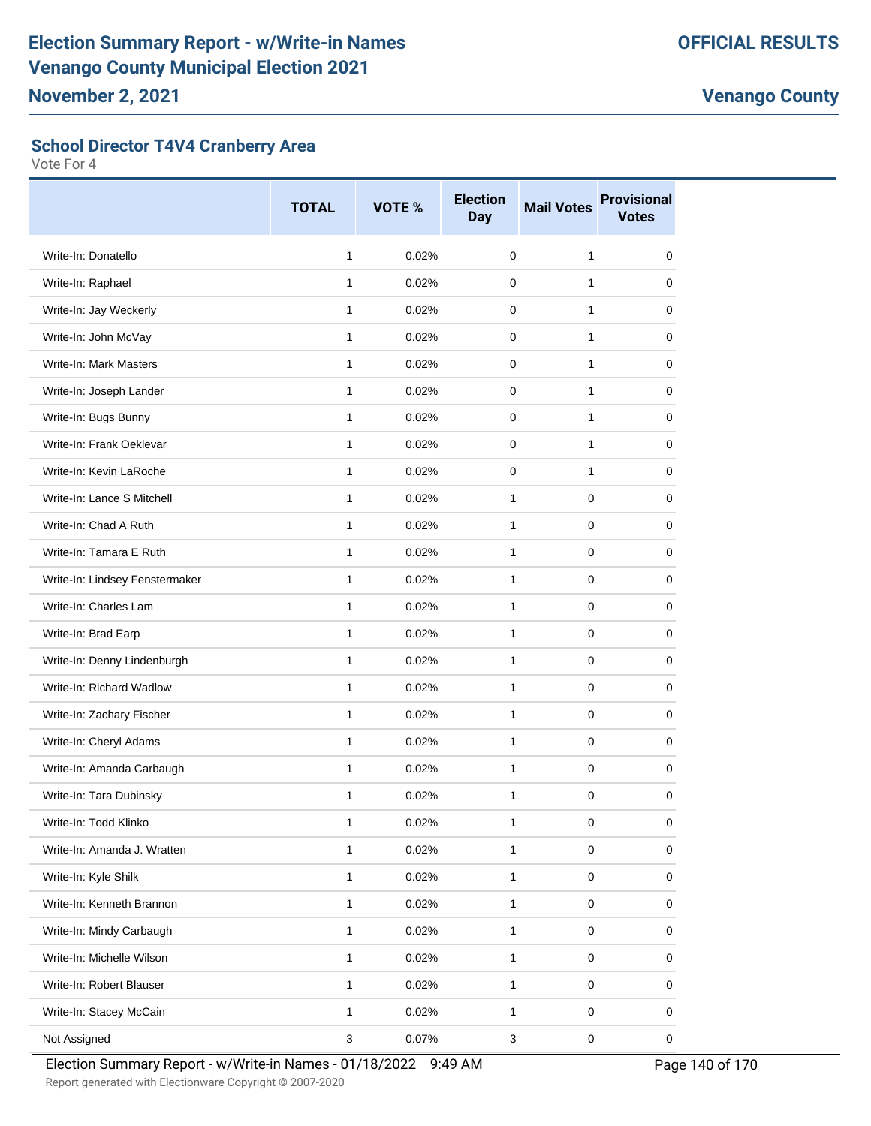#### **School Director T4V4 Cranberry Area**

Vote For 4

|                                | <b>TOTAL</b>              | VOTE % | <b>Election</b><br><b>Day</b> | <b>Mail Votes</b> | <b>Provisional</b><br><b>Votes</b> |
|--------------------------------|---------------------------|--------|-------------------------------|-------------------|------------------------------------|
| Write-In: Donatello            | $\mathbf{1}$              | 0.02%  | $\Omega$                      | 1                 | $\mathbf 0$                        |
| Write-In: Raphael              | 1                         | 0.02%  | $\mathbf 0$                   | 1                 | 0                                  |
| Write-In: Jay Weckerly         | 1                         | 0.02%  | $\Omega$                      | 1                 | 0                                  |
| Write-In: John McVay           | $\mathbf{1}$              | 0.02%  | $\Omega$                      | 1                 | $\Omega$                           |
| Write-In: Mark Masters         | $\mathbf{1}$              | 0.02%  | $\Omega$                      | 1                 | 0                                  |
| Write-In: Joseph Lander        | 1                         | 0.02%  | 0                             | 1                 | 0                                  |
| Write-In: Bugs Bunny           | $\mathbf{1}$              | 0.02%  | $\mathbf 0$                   | 1                 | 0                                  |
| Write-In: Frank Oeklevar       | 1                         | 0.02%  | $\Omega$                      | 1                 | $\Omega$                           |
| Write-In: Kevin LaRoche        | 1                         | 0.02%  | $\Omega$                      | 1                 | 0                                  |
| Write-In: Lance S Mitchell     | $\mathbf{1}$              | 0.02%  | $\mathbf{1}$                  | $\Omega$          | $\Omega$                           |
| Write-In: Chad A Ruth          | $\mathbf{1}$              | 0.02%  | $\mathbf{1}$                  | $\Omega$          | 0                                  |
| Write-In: Tamara E Ruth        | 1                         | 0.02%  | $\mathbf{1}$                  | 0                 | 0                                  |
| Write-In: Lindsey Fenstermaker | 1                         | 0.02%  | $\mathbf{1}$                  | $\Omega$          | 0                                  |
| Write-In: Charles Lam          | $\mathbf{1}$              | 0.02%  | $\mathbf{1}$                  | $\Omega$          | 0                                  |
| Write-In: Brad Earp            | 1                         | 0.02%  | $\mathbf{1}$                  | $\Omega$          | 0                                  |
| Write-In: Denny Lindenburgh    | 1                         | 0.02%  | $\mathbf{1}$                  | $\Omega$          | 0                                  |
| Write-In: Richard Wadlow       | $\mathbf{1}$              | 0.02%  | $\mathbf{1}$                  | $\Omega$          | 0                                  |
| Write-In: Zachary Fischer      | 1                         | 0.02%  | 1                             | 0                 | 0                                  |
| Write-In: Cheryl Adams         | $\mathbf{1}$              | 0.02%  | $\mathbf{1}$                  | $\Omega$          | 0                                  |
| Write-In: Amanda Carbaugh      | 1                         | 0.02%  | $\mathbf{1}$                  | $\Omega$          | $\Omega$                           |
| Write-In: Tara Dubinsky        | 1                         | 0.02%  | 1                             | 0                 | 0                                  |
| Write-In: Todd Klinko          | 1                         | 0.02%  | 1                             | 0                 | $\pmb{0}$                          |
| Write-In: Amanda J. Wratten    | 1                         | 0.02%  | $\mathbf{1}$                  | $\mathbf 0$       | $\mathbf 0$                        |
| Write-In: Kyle Shilk           | $\mathbf{1}$              | 0.02%  | $\mathbf{1}$                  | $\pmb{0}$         | 0                                  |
| Write-In: Kenneth Brannon      | $\mathbf{1}$              | 0.02%  | $\mathbf{1}$                  | $\pmb{0}$         | 0                                  |
| Write-In: Mindy Carbaugh       | 1                         | 0.02%  | 1                             | 0                 | 0                                  |
| Write-In: Michelle Wilson      | $\mathbf{1}$              | 0.02%  | 1                             | $\mathsf 0$       | 0                                  |
| Write-In: Robert Blauser       | $\mathbf{1}$              | 0.02%  | $\mathbf{1}$                  | $\pmb{0}$         | 0                                  |
| Write-In: Stacey McCain        | $\mathbf{1}$              | 0.02%  | $\mathbf{1}$                  | $\pmb{0}$         | 0                                  |
| Not Assigned                   | $\ensuremath{\mathsf{3}}$ | 0.07%  | $\mathbf{3}$                  | $\pmb{0}$         | 0                                  |

Election Summary Report - w/Write-in Names - 01/18/2022 9:49 AM Page 140 of 170

Report generated with Electionware Copyright © 2007-2020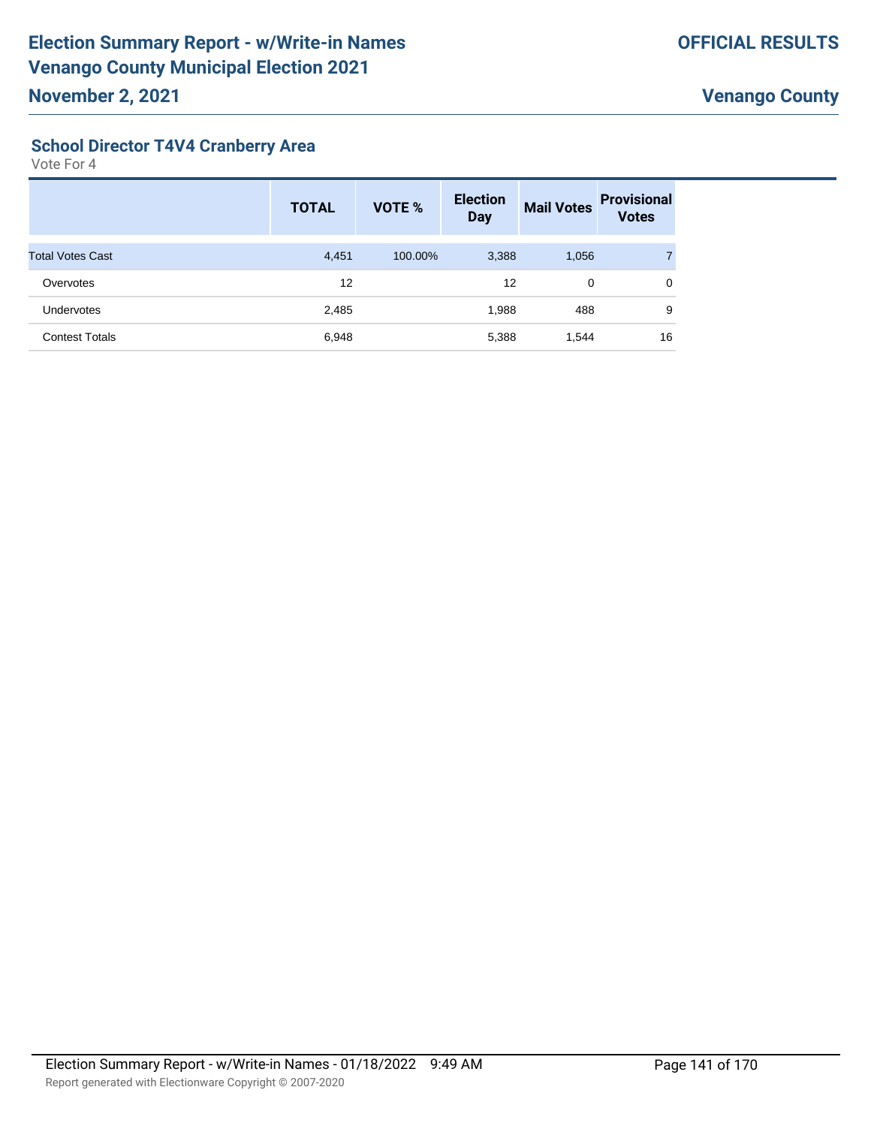#### **School Director T4V4 Cranberry Area**

|                         | <b>TOTAL</b> | VOTE %  | <b>Election</b><br><b>Day</b> | <b>Mail Votes</b> | <b>Provisional</b><br><b>Votes</b> |
|-------------------------|--------------|---------|-------------------------------|-------------------|------------------------------------|
| <b>Total Votes Cast</b> | 4,451        | 100.00% | 3,388                         | 1,056             |                                    |
| Overvotes               | 12           |         | 12                            | 0                 | 0                                  |
| <b>Undervotes</b>       | 2,485        |         | 1,988                         | 488               | 9                                  |
| <b>Contest Totals</b>   | 6,948        |         | 5,388                         | 1,544             | 16                                 |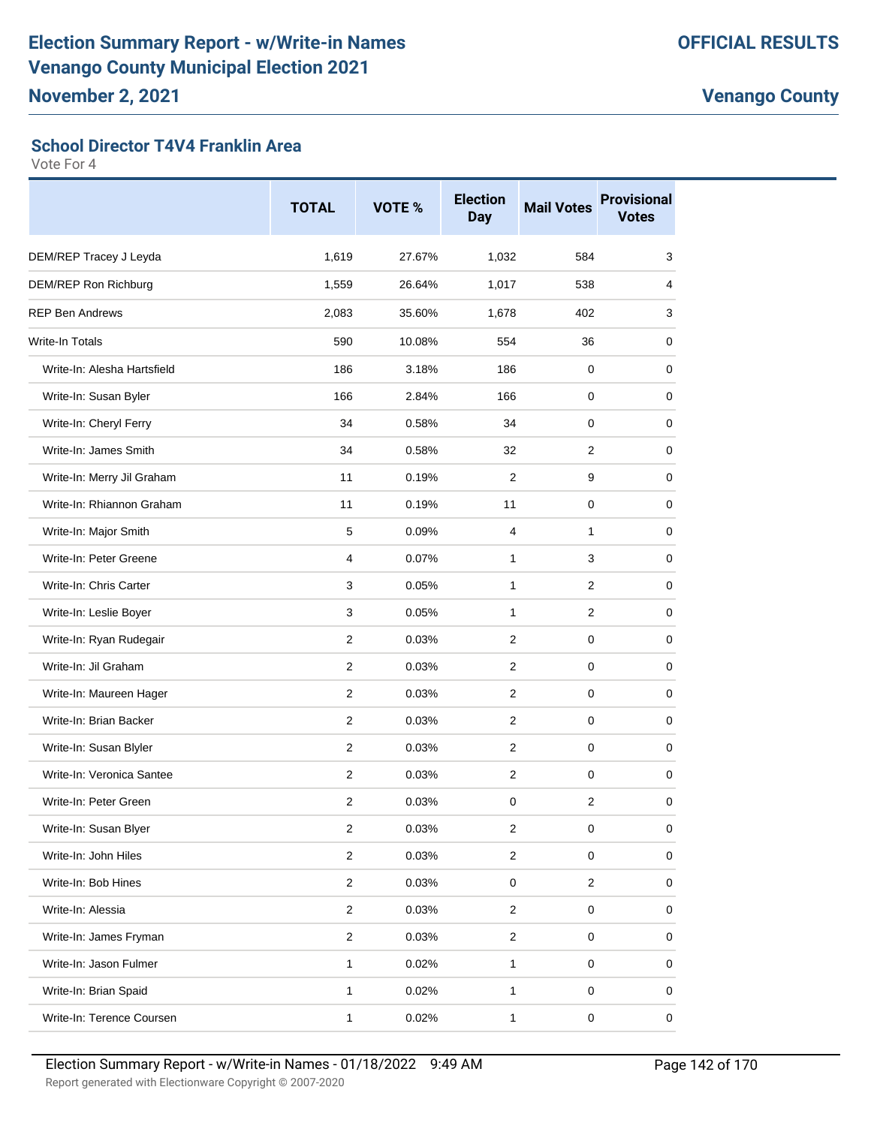#### **School Director T4V4 Franklin Area**

|                             | <b>TOTAL</b>            | VOTE % | <b>Election</b><br><b>Day</b> | <b>Mail Votes</b> | <b>Provisional</b><br><b>Votes</b> |
|-----------------------------|-------------------------|--------|-------------------------------|-------------------|------------------------------------|
| DEM/REP Tracey J Leyda      | 1,619                   | 27.67% | 1,032                         | 584               | 3                                  |
| DEM/REP Ron Richburg        | 1,559                   | 26.64% | 1,017                         | 538               | 4                                  |
| <b>REP Ben Andrews</b>      | 2,083                   | 35.60% | 1,678                         | 402               | 3                                  |
| Write-In Totals             | 590                     | 10.08% | 554                           | 36                | 0                                  |
| Write-In: Alesha Hartsfield | 186                     | 3.18%  | 186                           | 0                 | 0                                  |
| Write-In: Susan Byler       | 166                     | 2.84%  | 166                           | 0                 | 0                                  |
| Write-In: Cheryl Ferry      | 34                      | 0.58%  | 34                            | 0                 | 0                                  |
| Write-In: James Smith       | 34                      | 0.58%  | 32                            | 2                 | 0                                  |
| Write-In: Merry Jil Graham  | 11                      | 0.19%  | 2                             | 9                 | 0                                  |
| Write-In: Rhiannon Graham   | 11                      | 0.19%  | 11                            | 0                 | 0                                  |
| Write-In: Major Smith       | 5                       | 0.09%  | 4                             | 1                 | 0                                  |
| Write-In: Peter Greene      | 4                       | 0.07%  | 1                             | 3                 | 0                                  |
| Write-In: Chris Carter      | 3                       | 0.05%  | 1                             | $\overline{2}$    | 0                                  |
| Write-In: Leslie Boyer      | 3                       | 0.05%  | $\mathbf{1}$                  | 2                 | 0                                  |
| Write-In: Ryan Rudegair     | $\overline{2}$          | 0.03%  | 2                             | 0                 | 0                                  |
| Write-In: Jil Graham        | 2                       | 0.03%  | 2                             | 0                 | 0                                  |
| Write-In: Maureen Hager     | $\overline{2}$          | 0.03%  | $\mathbf{2}$                  | 0                 | 0                                  |
| Write-In: Brian Backer      | 2                       | 0.03%  | $\overline{2}$                | 0                 | 0                                  |
| Write-In: Susan Blyler      | 2                       | 0.03%  | 2                             | 0                 | 0                                  |
| Write-In: Veronica Santee   | $\overline{2}$          | 0.03%  | 2                             | $\mathbf 0$       | 0                                  |
| Write-In: Peter Green       | 2                       | 0.03%  | 0                             | 2                 | 0                                  |
| Write-In: Susan Blyer       | 2                       | 0.03%  | 2                             | $\pmb{0}$         | 0                                  |
| Write-In: John Hiles        | $\overline{c}$          | 0.03%  | $\overline{2}$                | 0                 | 0                                  |
| Write-In: Bob Hines         | $\overline{2}$          | 0.03%  | $\pmb{0}$                     | $\overline{2}$    | 0                                  |
| Write-In: Alessia           | $\overline{\mathbf{c}}$ | 0.03%  | $\overline{c}$                | $\pmb{0}$         | 0                                  |
| Write-In: James Fryman      | $\overline{c}$          | 0.03%  | $\overline{c}$                | $\mathsf 0$       | 0                                  |
| Write-In: Jason Fulmer      | 1                       | 0.02%  | $\mathbf{1}$                  | $\mathsf 0$       | 0                                  |
| Write-In: Brian Spaid       | 1                       | 0.02%  | $\mathbf{1}$                  | $\mathsf 0$       | 0                                  |
| Write-In: Terence Coursen   | 1                       | 0.02%  | $\mathbf{1}$                  | $\pmb{0}$         | $\mathbf 0$                        |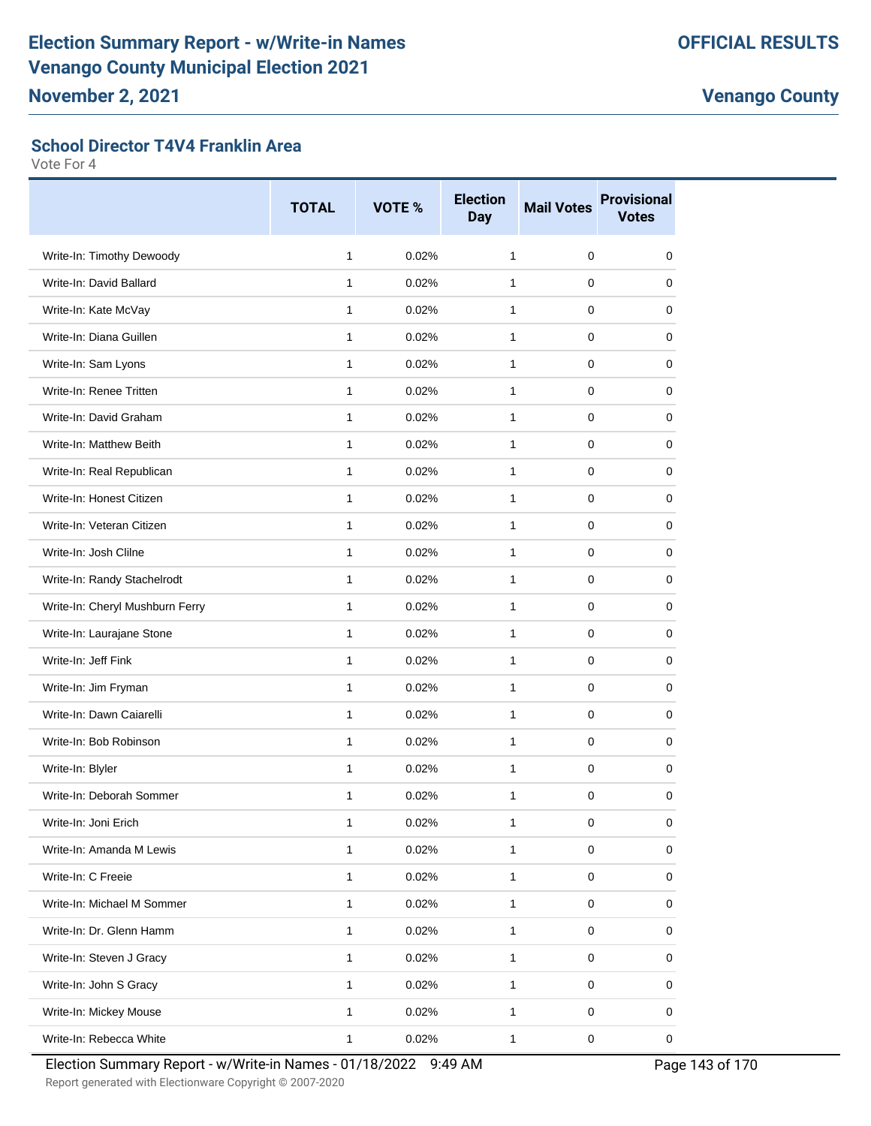#### **School Director T4V4 Franklin Area**

|                                 | <b>TOTAL</b> | VOTE % | <b>Election</b><br><b>Day</b> | <b>Mail Votes</b> | <b>Provisional</b><br><b>Votes</b> |
|---------------------------------|--------------|--------|-------------------------------|-------------------|------------------------------------|
| Write-In: Timothy Dewoody       | 1            | 0.02%  | $\mathbf{1}$                  | $\mathbf 0$       | 0                                  |
| Write-In: David Ballard         | $\mathbf{1}$ | 0.02%  | 1                             | 0                 | 0                                  |
| Write-In: Kate McVay            | $\mathbf{1}$ | 0.02%  | 1                             | 0                 | 0                                  |
| Write-In: Diana Guillen         | $\mathbf{1}$ | 0.02%  | $\mathbf{1}$                  | 0                 | 0                                  |
| Write-In: Sam Lyons             | $\mathbf{1}$ | 0.02%  | 1                             | 0                 | 0                                  |
| Write-In: Renee Tritten         | $\mathbf{1}$ | 0.02%  | $\mathbf{1}$                  | 0                 | 0                                  |
| Write-In: David Graham          | $\mathbf{1}$ | 0.02%  | $\mathbf{1}$                  | 0                 | 0                                  |
| Write-In: Matthew Beith         | 1            | 0.02%  | 1                             | 0                 | 0                                  |
| Write-In: Real Republican       | $\mathbf{1}$ | 0.02%  | 1                             | 0                 | 0                                  |
| Write-In: Honest Citizen        | $\mathbf{1}$ | 0.02%  | $\mathbf{1}$                  | 0                 | 0                                  |
| Write-In: Veteran Citizen       | 1            | 0.02%  | 1                             | 0                 | 0                                  |
| Write-In: Josh Clilne           | $\mathbf{1}$ | 0.02%  | $\mathbf{1}$                  | 0                 | 0                                  |
| Write-In: Randy Stachelrodt     | $\mathbf{1}$ | 0.02%  | 1                             | 0                 | 0                                  |
| Write-In: Cheryl Mushburn Ferry | $\mathbf{1}$ | 0.02%  | $\mathbf{1}$                  | 0                 | 0                                  |
| Write-In: Laurajane Stone       | $\mathbf{1}$ | 0.02%  | 1                             | 0                 | 0                                  |
| Write-In: Jeff Fink             | $\mathbf{1}$ | 0.02%  | 1                             | 0                 | 0                                  |
| Write-In: Jim Fryman            | $\mathbf{1}$ | 0.02%  | $\mathbf{1}$                  | 0                 | 0                                  |
| Write-In: Dawn Caiarelli        | 1            | 0.02%  | 1                             | 0                 | 0                                  |
| Write-In: Bob Robinson          | $\mathbf{1}$ | 0.02%  | 1                             | 0                 | 0                                  |
| Write-In: Blyler                | $\mathbf{1}$ | 0.02%  | 1                             | 0                 | 0                                  |
| Write-In: Deborah Sommer        | 1            | 0.02%  | 1                             | 0                 | 0                                  |
| Write-In: Joni Erich            | 1            | 0.02%  | 1                             | $\pmb{0}$         | 0                                  |
| Write-In: Amanda M Lewis        | $\mathbf{1}$ | 0.02%  | $\mathbf{1}$                  | 0                 | $\mathbf 0$                        |
| Write-In: C Freeie              | $\mathbf{1}$ | 0.02%  | $\mathbf{1}$                  | 0                 | 0                                  |
| Write-In: Michael M Sommer      | $\mathbf{1}$ | 0.02%  | $\mathbf{1}$                  | $\mathsf 0$       | 0                                  |
| Write-In: Dr. Glenn Hamm        | $\mathbf{1}$ | 0.02%  | 1                             | 0                 | 0                                  |
| Write-In: Steven J Gracy        | $\mathbf{1}$ | 0.02%  | $\mathbf{1}$                  | $\mathsf 0$       | 0                                  |
| Write-In: John S Gracy          | $\mathbf{1}$ | 0.02%  | $\mathbf{1}$                  | 0                 | 0                                  |
| Write-In: Mickey Mouse          | $\mathbf{1}$ | 0.02%  | $\mathbf{1}$                  | $\pmb{0}$         | 0                                  |
| Write-In: Rebecca White         | $\mathbf{1}$ | 0.02%  | $\mathbf{1}$                  | $\mathsf 0$       | $\mathbf 0$                        |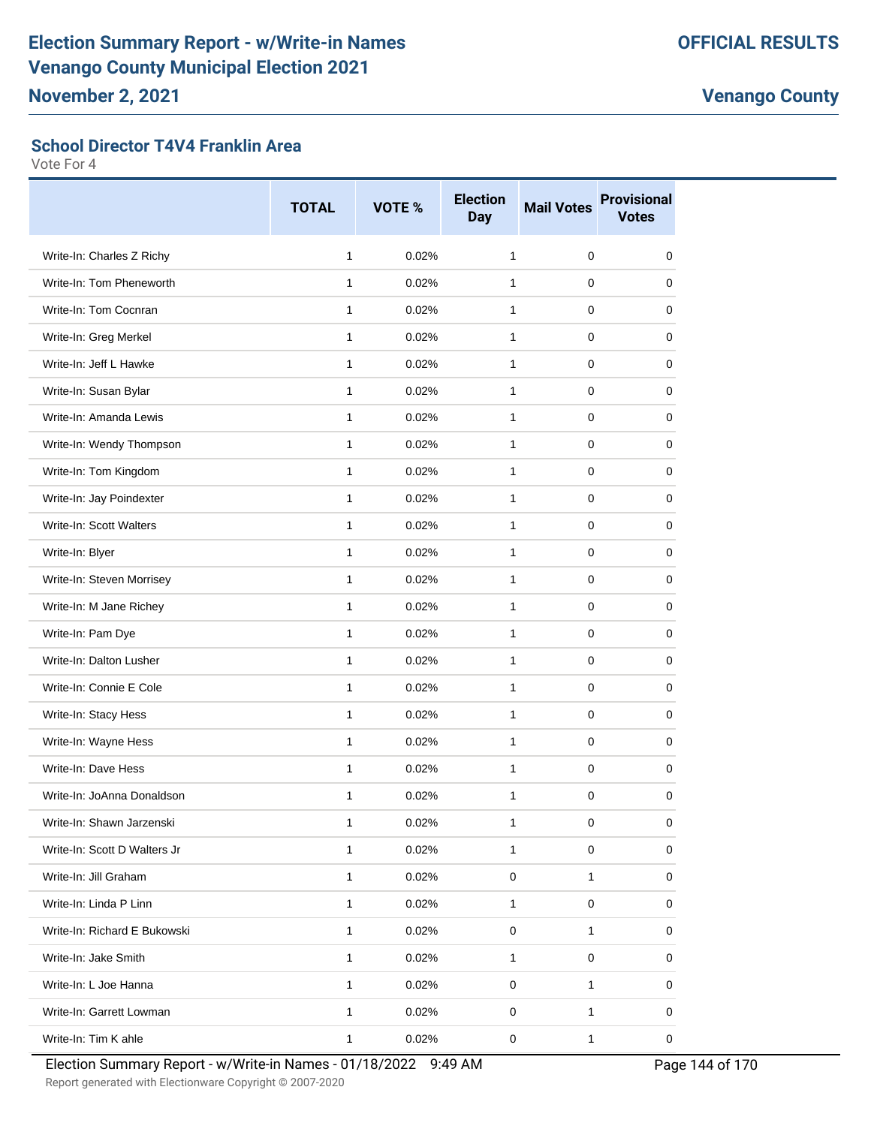#### **School Director T4V4 Franklin Area**

Vote For 4

|                              | <b>TOTAL</b> | VOTE % | <b>Election</b><br><b>Day</b> | <b>Mail Votes</b> | <b>Provisional</b><br><b>Votes</b> |
|------------------------------|--------------|--------|-------------------------------|-------------------|------------------------------------|
| Write-In: Charles Z Richy    | $\mathbf{1}$ | 0.02%  | $\mathbf{1}$                  | $\mathbf 0$       | 0                                  |
| Write-In: Tom Pheneworth     | 1            | 0.02%  | 1                             | 0                 | 0                                  |
| Write-In: Tom Cocnran        | 1            | 0.02%  | $\mathbf{1}$                  | 0                 | 0                                  |
| Write-In: Greg Merkel        | $\mathbf{1}$ | 0.02%  | $\mathbf{1}$                  | 0                 | 0                                  |
| Write-In: Jeff L Hawke       | $\mathbf{1}$ | 0.02%  | $\mathbf{1}$                  | 0                 | 0                                  |
| Write-In: Susan Bylar        | 1            | 0.02%  | $\mathbf{1}$                  | 0                 | 0                                  |
| Write-In: Amanda Lewis       | $\mathbf{1}$ | 0.02%  | $\mathbf{1}$                  | 0                 | 0                                  |
| Write-In: Wendy Thompson     | $\mathbf{1}$ | 0.02%  | $\mathbf{1}$                  | 0                 | 0                                  |
| Write-In: Tom Kingdom        | $\mathbf{1}$ | 0.02%  | $\mathbf{1}$                  | 0                 | 0                                  |
| Write-In: Jay Poindexter     | $\mathbf{1}$ | 0.02%  | $\mathbf{1}$                  | 0                 | 0                                  |
| Write-In: Scott Walters      | $\mathbf{1}$ | 0.02%  | $\mathbf{1}$                  | 0                 | 0                                  |
| Write-In: Blyer              | $\mathbf{1}$ | 0.02%  | $\mathbf{1}$                  | 0                 | 0                                  |
| Write-In: Steven Morrisey    | $\mathbf{1}$ | 0.02%  | $\mathbf{1}$                  | 0                 | 0                                  |
| Write-In: M Jane Richey      | $\mathbf{1}$ | 0.02%  | $\mathbf{1}$                  | 0                 | 0                                  |
| Write-In: Pam Dye            | $\mathbf{1}$ | 0.02%  | $\mathbf{1}$                  | 0                 | 0                                  |
| Write-In: Dalton Lusher      | $\mathbf{1}$ | 0.02%  | $\mathbf{1}$                  | 0                 | $\Omega$                           |
| Write-In: Connie E Cole      | $\mathbf{1}$ | 0.02%  | $\mathbf{1}$                  | 0                 | 0                                  |
| Write-In: Stacy Hess         | $\mathbf{1}$ | 0.02%  | 1                             | 0                 | 0                                  |
| Write-In: Wayne Hess         | $\mathbf{1}$ | 0.02%  | $\mathbf{1}$                  | 0                 | 0                                  |
| Write-In: Dave Hess          | $\mathbf{1}$ | 0.02%  | $\mathbf{1}$                  | 0                 | 0                                  |
| Write-In: JoAnna Donaldson   | 1            | 0.02%  | 1                             | 0                 | 0                                  |
| Write-In: Shawn Jarzenski    | 1            | 0.02%  | $\mathbf{1}$                  | $\pmb{0}$         | 0                                  |
| Write-In: Scott D Walters Jr | 1            | 0.02%  | $\mathbf{1}$                  | 0                 | 0                                  |
| Write-In: Jill Graham        | $\mathbf{1}$ | 0.02%  | 0                             | 1                 | 0                                  |
| Write-In: Linda P Linn       | $\mathbf{1}$ | 0.02%  | $\mathbf{1}$                  | $\pmb{0}$         | 0                                  |
| Write-In: Richard E Bukowski | 1            | 0.02%  | 0                             | 1                 | 0                                  |
| Write-In: Jake Smith         | $\mathbf{1}$ | 0.02%  | $\mathbf{1}$                  | 0                 | 0                                  |
| Write-In: L Joe Hanna        | $\mathbf{1}$ | 0.02%  | 0                             | 1                 | 0                                  |
| Write-In: Garrett Lowman     | 1            | 0.02%  | 0                             | $\mathbf{1}$      | 0                                  |
| Write-In: Tim K ahle         | $\mathbf{1}$ | 0.02%  | $\pmb{0}$                     | 1                 | 0                                  |

Election Summary Report - w/Write-in Names - 01/18/2022 9:49 AM Page 144 of 170

Report generated with Electionware Copyright © 2007-2020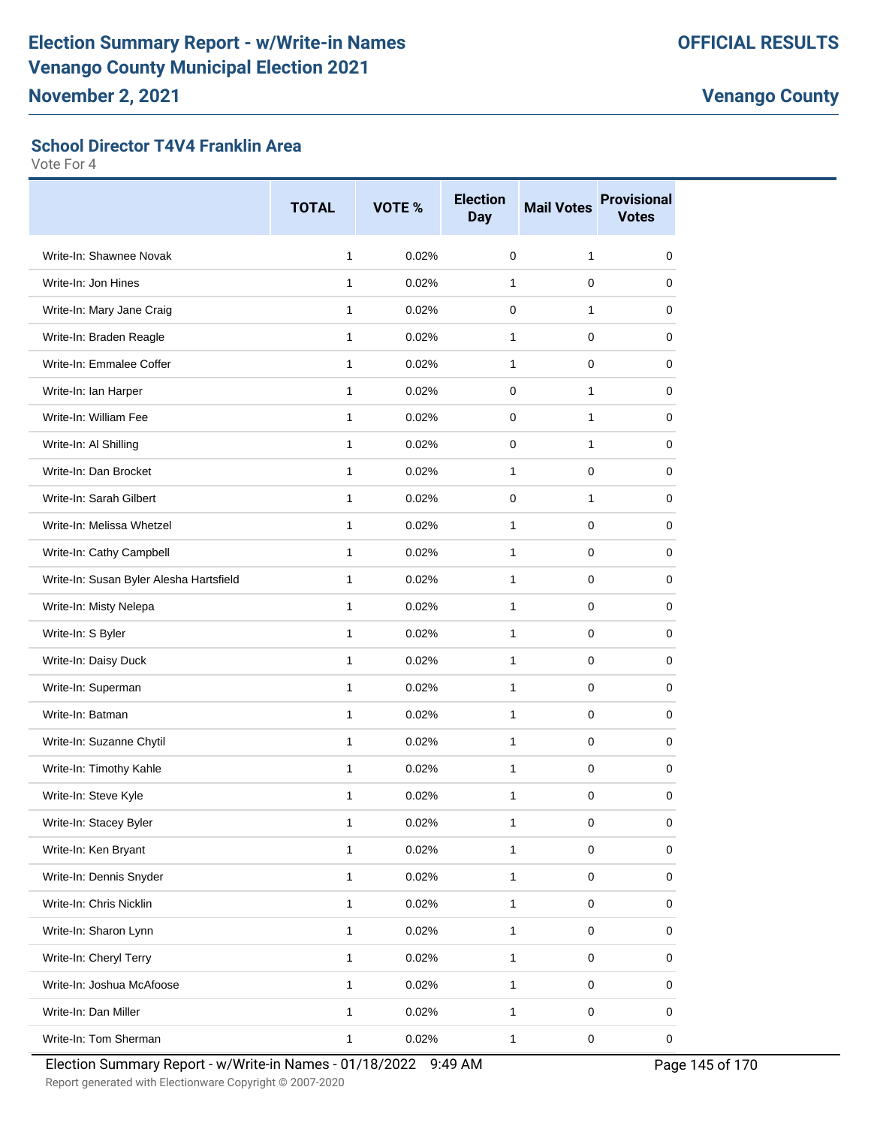#### **School Director T4V4 Franklin Area**

Vote For 4

|                                         | <b>TOTAL</b> | VOTE % | <b>Election</b><br><b>Day</b> | <b>Mail Votes</b> | <b>Provisional</b><br><b>Votes</b> |
|-----------------------------------------|--------------|--------|-------------------------------|-------------------|------------------------------------|
| Write-In: Shawnee Novak                 | 1            | 0.02%  | $\pmb{0}$                     | 1                 | 0                                  |
| Write-In: Jon Hines                     | 1            | 0.02%  | 1                             | $\mathbf 0$       | 0                                  |
| Write-In: Mary Jane Craig               | 1            | 0.02%  | $\mathbf 0$                   | 1                 | 0                                  |
| Write-In: Braden Reagle                 | 1            | 0.02%  | 1                             | 0                 | 0                                  |
| Write-In: Emmalee Coffer                | $\mathbf{1}$ | 0.02%  | $\mathbf{1}$                  | $\mathbf 0$       | 0                                  |
| Write-In: Ian Harper                    | 1            | 0.02%  | 0                             | 1                 | 0                                  |
| Write-In: William Fee                   | 1            | 0.02%  | 0                             | 1                 | 0                                  |
| Write-In: Al Shilling                   | $\mathbf{1}$ | 0.02%  | $\mathbf 0$                   | 1                 | 0                                  |
| Write-In: Dan Brocket                   | 1            | 0.02%  | 1                             | 0                 | 0                                  |
| Write-In: Sarah Gilbert                 | 1            | 0.02%  | $\mathbf 0$                   | 1                 | 0                                  |
| Write-In: Melissa Whetzel               | $\mathbf{1}$ | 0.02%  | $\mathbf{1}$                  | $\mathbf 0$       | 0                                  |
| Write-In: Cathy Campbell                | $\mathbf{1}$ | 0.02%  | 1                             | $\mathbf 0$       | 0                                  |
| Write-In: Susan Byler Alesha Hartsfield | 1            | 0.02%  | 1                             | 0                 | 0                                  |
| Write-In: Misty Nelepa                  | 1            | 0.02%  | 1                             | 0                 | 0                                  |
| Write-In: S Byler                       | 1            | 0.02%  | 1                             | $\mathbf 0$       | 0                                  |
| Write-In: Daisy Duck                    | 1            | 0.02%  | 1                             | 0                 | 0                                  |
| Write-In: Superman                      | $\mathbf{1}$ | 0.02%  | $\mathbf{1}$                  | $\mathbf 0$       | 0                                  |
| Write-In: Batman                        | 1            | 0.02%  | 1                             | 0                 | 0                                  |
| Write-In: Suzanne Chytil                | 1            | 0.02%  | 1                             | 0                 | 0                                  |
| Write-In: Timothy Kahle                 | $\mathbf{1}$ | 0.02%  | $\mathbf{1}$                  | $\mathbf 0$       | 0                                  |
| Write-In: Steve Kyle                    | 1            | 0.02%  | 1                             | 0                 | 0                                  |
| Write-In: Stacey Byler                  | 1            | 0.02%  | $\mathbf{1}$                  | $\pmb{0}$         | 0                                  |
| Write-In: Ken Bryant                    | $\mathbf{1}$ | 0.02%  | 1                             | $\mathbf 0$       | 0                                  |
| Write-In: Dennis Snyder                 | 1            | 0.02%  | 1                             | $\pmb{0}$         | 0                                  |
| Write-In: Chris Nicklin                 | 1            | 0.02%  | $\mathbf{1}$                  | $\pmb{0}$         | 0                                  |
| Write-In: Sharon Lynn                   | 1            | 0.02%  | 1                             | $\pmb{0}$         | 0                                  |
| Write-In: Cheryl Terry                  | 1            | 0.02%  | $\mathbf{1}$                  | $\pmb{0}$         | 0                                  |
| Write-In: Joshua McAfoose               | 1            | 0.02%  | $\mathbf{1}$                  | $\pmb{0}$         | 0                                  |
| Write-In: Dan Miller                    | 1            | 0.02%  | $\mathbf{1}$                  | $\pmb{0}$         | 0                                  |
| Write-In: Tom Sherman                   | $\mathbf{1}$ | 0.02%  | $\mathbf{1}$                  | $\mathbf 0$       | $\mathbf 0$                        |

Election Summary Report - w/Write-in Names - 01/18/2022 9:49 AM Page 145 of 170

Report generated with Electionware Copyright © 2007-2020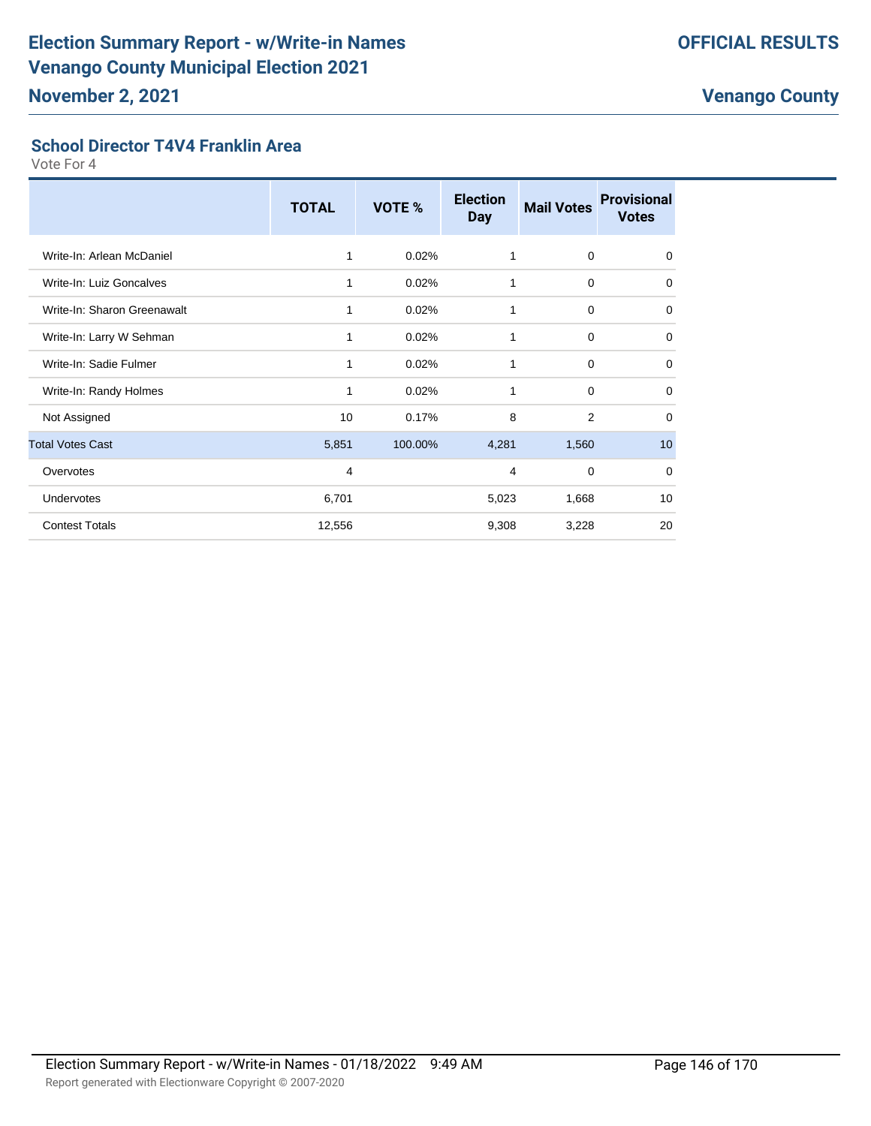#### **School Director T4V4 Franklin Area**

|                             | <b>TOTAL</b> | VOTE %  | <b>Election</b><br><b>Day</b> | <b>Mail Votes</b> | <b>Provisional</b><br><b>Votes</b> |
|-----------------------------|--------------|---------|-------------------------------|-------------------|------------------------------------|
| Write-In: Arlean McDaniel   | 1            | 0.02%   | 1                             | $\mathbf 0$       | $\mathbf 0$                        |
| Write-In: Luiz Goncalves    | 1            | 0.02%   | 1                             | $\mathbf 0$       | 0                                  |
| Write-In: Sharon Greenawalt | 1            | 0.02%   | 1                             | $\mathbf 0$       | $\mathbf 0$                        |
| Write-In: Larry W Sehman    | 1            | 0.02%   | 1                             | $\mathbf 0$       | $\mathbf 0$                        |
| Write-In: Sadie Fulmer      | 1            | 0.02%   | 1                             | $\mathbf 0$       | $\mathbf 0$                        |
| Write-In: Randy Holmes      | 1            | 0.02%   | 1                             | $\mathbf 0$       | $\mathbf 0$                        |
| Not Assigned                | 10           | 0.17%   | 8                             | $\overline{2}$    | $\mathbf 0$                        |
| <b>Total Votes Cast</b>     | 5,851        | 100.00% | 4,281                         | 1,560             | 10                                 |
| Overvotes                   | 4            |         | 4                             | $\mathbf 0$       | $\mathbf 0$                        |
| <b>Undervotes</b>           | 6,701        |         | 5,023                         | 1,668             | 10                                 |
| <b>Contest Totals</b>       | 12,556       |         | 9,308                         | 3,228             | 20                                 |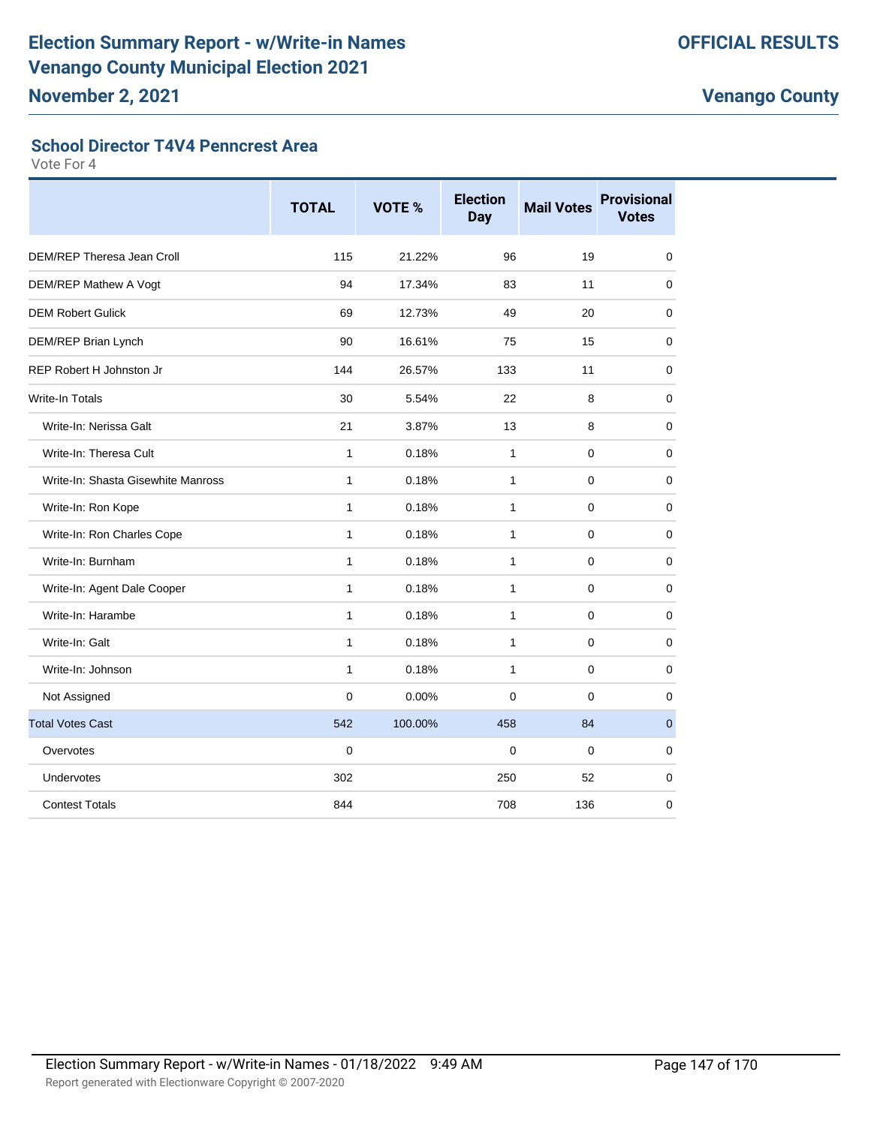#### **School Director T4V4 Penncrest Area**

|                                    | <b>TOTAL</b> | <b>VOTE %</b> | <b>Election</b><br>Day | <b>Mail Votes</b> | <b>Provisional</b><br><b>Votes</b> |
|------------------------------------|--------------|---------------|------------------------|-------------------|------------------------------------|
| DEM/REP Theresa Jean Croll         | 115          | 21.22%        | 96                     | 19                | $\mathbf 0$                        |
| DEM/REP Mathew A Vogt              | 94           | 17.34%        | 83                     | 11                | $\mathbf 0$                        |
| <b>DEM Robert Gulick</b>           | 69           | 12.73%        | 49                     | 20                | $\mathbf 0$                        |
| DEM/REP Brian Lynch                | 90           | 16.61%        | 75                     | 15                | 0                                  |
| <b>REP Robert H Johnston Jr</b>    | 144          | 26.57%        | 133                    | 11                | $\mathbf 0$                        |
| <b>Write-In Totals</b>             | 30           | 5.54%         | 22                     | 8                 | 0                                  |
| Write-In: Nerissa Galt             | 21           | 3.87%         | 13                     | 8                 | 0                                  |
| Write-In: Theresa Cult             | $\mathbf{1}$ | 0.18%         | $\mathbf{1}$           | 0                 | 0                                  |
| Write-In: Shasta Gisewhite Manross | 1            | 0.18%         | $\mathbf{1}$           | 0                 | 0                                  |
| Write-In: Ron Kope                 | $\mathbf{1}$ | 0.18%         | $\mathbf{1}$           | $\mathbf 0$       | $\mathbf 0$                        |
| Write-In: Ron Charles Cope         | 1            | 0.18%         | $\mathbf{1}$           | $\mathbf 0$       | $\mathbf 0$                        |
| Write-In: Burnham                  | 1            | 0.18%         | $\mathbf{1}$           | $\mathbf 0$       | $\mathbf 0$                        |
| Write-In: Agent Dale Cooper        | $\mathbf{1}$ | 0.18%         | $\mathbf{1}$           | $\mathbf 0$       | $\mathbf 0$                        |
| Write-In: Harambe                  | $\mathbf{1}$ | 0.18%         | 1                      | 0                 | 0                                  |
| Write-In: Galt                     | 1            | 0.18%         | $\mathbf{1}$           | $\mathbf 0$       | $\mathbf 0$                        |
| Write-In: Johnson                  | 1            | 0.18%         | $\mathbf{1}$           | $\mathbf 0$       | $\mathbf 0$                        |
| Not Assigned                       | 0            | 0.00%         | $\mathbf 0$            | $\mathbf 0$       | 0                                  |
| <b>Total Votes Cast</b>            | 542          | 100.00%       | 458                    | 84                | $\pmb{0}$                          |
| Overvotes                          | $\mathbf 0$  |               | 0                      | 0                 | 0                                  |
| Undervotes                         | 302          |               | 250                    | 52                | 0                                  |
| <b>Contest Totals</b>              | 844          |               | 708                    | 136               | 0                                  |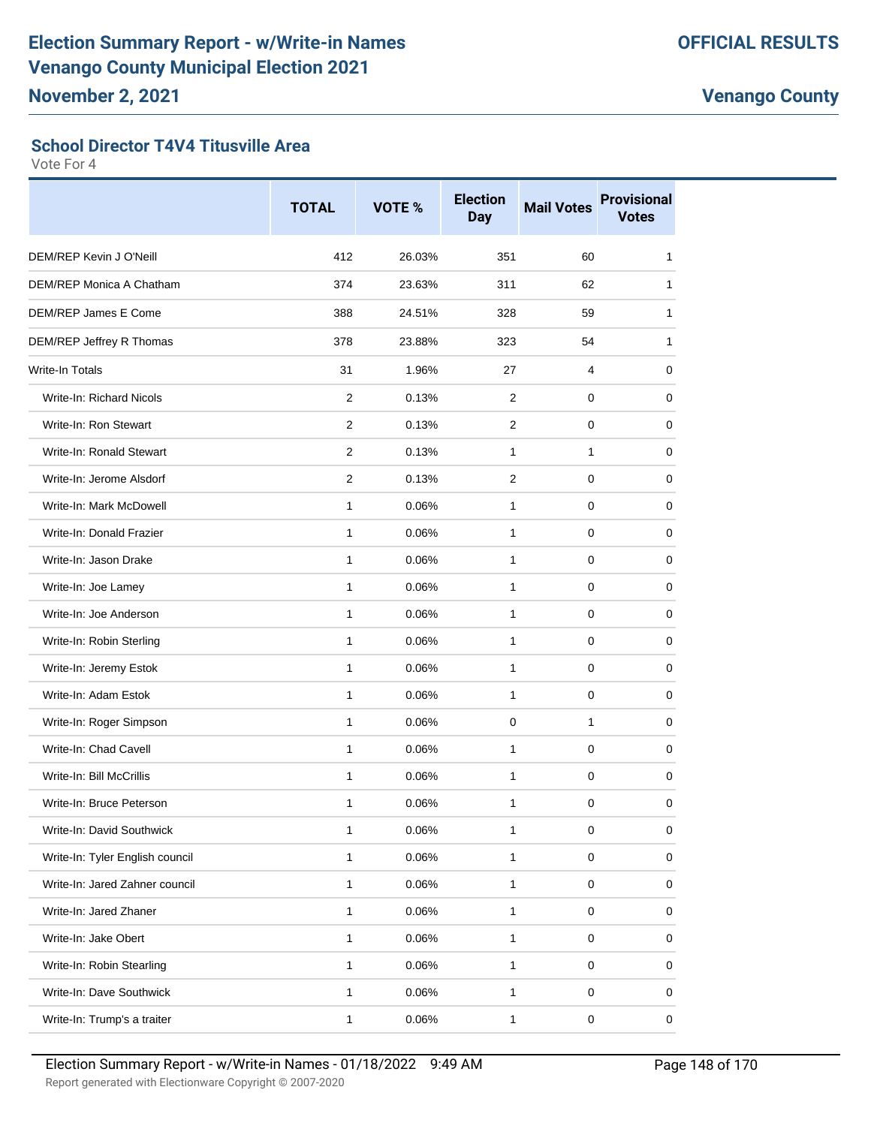#### **School Director T4V4 Titusville Area**

|                                 | <b>TOTAL</b>   | VOTE % | <b>Election</b><br><b>Day</b> | <b>Mail Votes</b> | <b>Provisional</b><br><b>Votes</b> |
|---------------------------------|----------------|--------|-------------------------------|-------------------|------------------------------------|
| DEM/REP Kevin J O'Neill         | 412            | 26.03% | 351                           | 60                | 1                                  |
| DEM/REP Monica A Chatham        | 374            | 23.63% | 311                           | 62                | 1                                  |
| DEM/REP James E Come            | 388            | 24.51% | 328                           | 59                | 1                                  |
| DEM/REP Jeffrey R Thomas        | 378            | 23.88% | 323                           | 54                | 1                                  |
| <b>Write-In Totals</b>          | 31             | 1.96%  | 27                            | 4                 | 0                                  |
| Write-In: Richard Nicols        | $\overline{2}$ | 0.13%  | 2                             | 0                 | 0                                  |
| Write-In: Ron Stewart           | 2              | 0.13%  | 2                             | 0                 | 0                                  |
| Write-In: Ronald Stewart        | $\overline{2}$ | 0.13%  | $\mathbf{1}$                  | 1                 | 0                                  |
| Write-In: Jerome Alsdorf        | $\overline{2}$ | 0.13%  | $\mathbf{2}$                  | 0                 | 0                                  |
| Write-In: Mark McDowell         | $\mathbf{1}$   | 0.06%  | 1                             | 0                 | 0                                  |
| Write-In: Donald Frazier        | $\mathbf{1}$   | 0.06%  | 1                             | 0                 | 0                                  |
| Write-In: Jason Drake           | $\mathbf{1}$   | 0.06%  | $\mathbf{1}$                  | 0                 | 0                                  |
| Write-In: Joe Lamey             | $\mathbf{1}$   | 0.06%  | $\mathbf{1}$                  | 0                 | 0                                  |
| Write-In: Joe Anderson          | 1              | 0.06%  | 1                             | 0                 | 0                                  |
| Write-In: Robin Sterling        | $\mathbf{1}$   | 0.06%  | $\mathbf{1}$                  | 0                 | 0                                  |
| Write-In: Jeremy Estok          | 1              | 0.06%  | 1                             | 0                 | 0                                  |
| Write-In: Adam Estok            | 1              | 0.06%  | 1                             | 0                 | 0                                  |
| Write-In: Roger Simpson         | $\mathbf{1}$   | 0.06%  | $\mathbf 0$                   | $\mathbf{1}$      | 0                                  |
| Write-In: Chad Cavell           | 1              | 0.06%  | $\mathbf{1}$                  | 0                 | 0                                  |
| Write-In: Bill McCrillis        | $\mathbf{1}$   | 0.06%  | $\mathbf{1}$                  | 0                 | 0                                  |
| Write-In: Bruce Peterson        | 1              | 0.06%  | 1                             | 0                 | 0                                  |
| Write-In: David Southwick       | $\mathbf{1}$   | 0.06%  | $\mathbf{1}$                  | $\pmb{0}$         | $\pmb{0}$                          |
| Write-In: Tyler English council | $\mathbf{1}$   | 0.06%  | $\mathbf{1}$                  | $\mathbf 0$       | 0                                  |
| Write-In: Jared Zahner council  | $\mathbf{1}$   | 0.06%  | $\mathbf{1}$                  | 0                 | $\pmb{0}$                          |
| Write-In: Jared Zhaner          | $\mathbf{1}$   | 0.06%  | 1                             | $\pmb{0}$         | 0                                  |
| Write-In: Jake Obert            | $\mathbf{1}$   | 0.06%  | $\mathbf 1$                   | $\mathsf 0$       | 0                                  |
| Write-In: Robin Stearling       | $\mathbf{1}$   | 0.06%  | $\mathbf{1}$                  | 0                 | 0                                  |
| Write-In: Dave Southwick        | $\mathbf{1}$   | 0.06%  | $\mathbf{1}$                  | $\mathsf 0$       | 0                                  |
| Write-In: Trump's a traiter     | $\mathbf{1}$   | 0.06%  | 1                             | $\pmb{0}$         | 0                                  |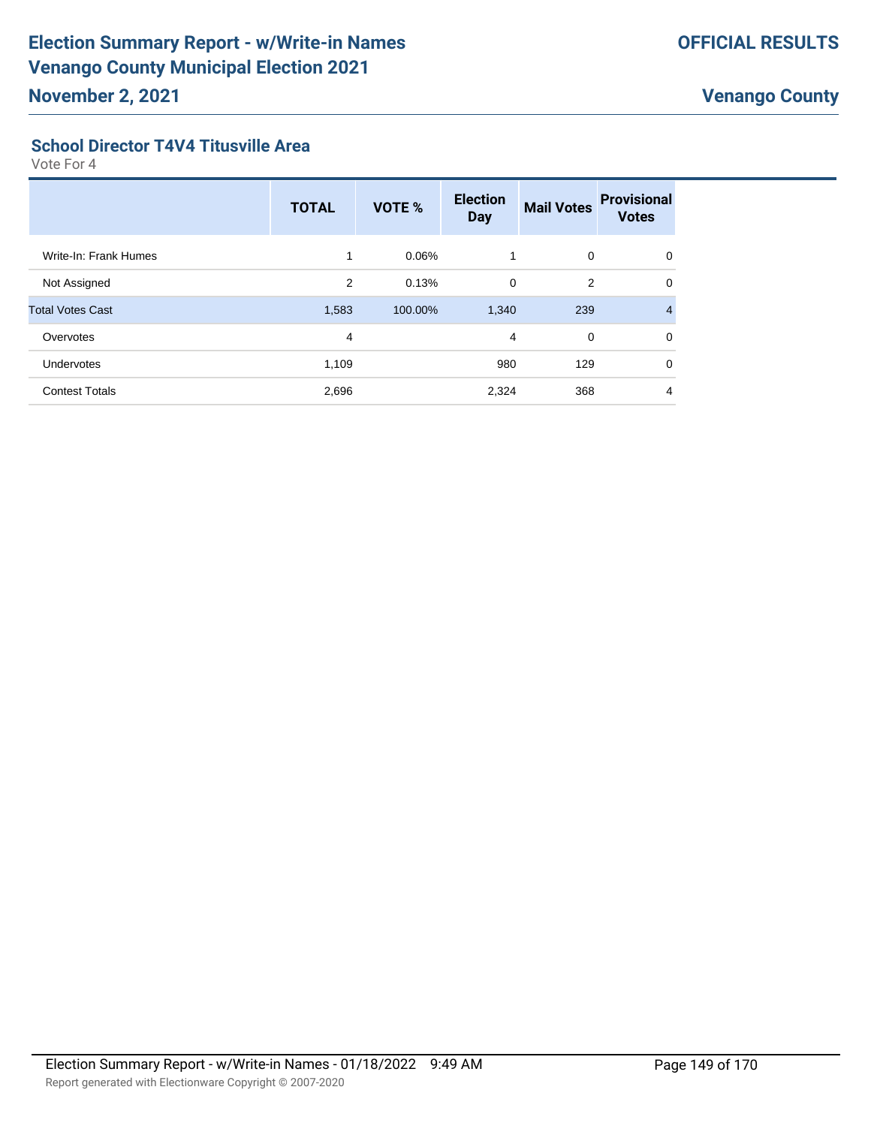#### **School Director T4V4 Titusville Area**

|                         | <b>TOTAL</b> | <b>VOTE %</b> | <b>Election</b><br><b>Day</b> | <b>Mail Votes</b> | <b>Provisional</b><br><b>Votes</b> |
|-------------------------|--------------|---------------|-------------------------------|-------------------|------------------------------------|
| Write-In: Frank Humes   | 1            | 0.06%         | 1                             | 0                 | $\Omega$                           |
| Not Assigned            | 2            | 0.13%         | $\mathbf 0$                   | 2                 | $\mathbf 0$                        |
| <b>Total Votes Cast</b> | 1,583        | 100.00%       | 1,340                         | 239               | 4                                  |
| Overvotes               | 4            |               | 4                             | $\mathbf 0$       | $\Omega$                           |
| <b>Undervotes</b>       | 1,109        |               | 980                           | 129               | $\Omega$                           |
| <b>Contest Totals</b>   | 2,696        |               | 2,324                         | 368               | 4                                  |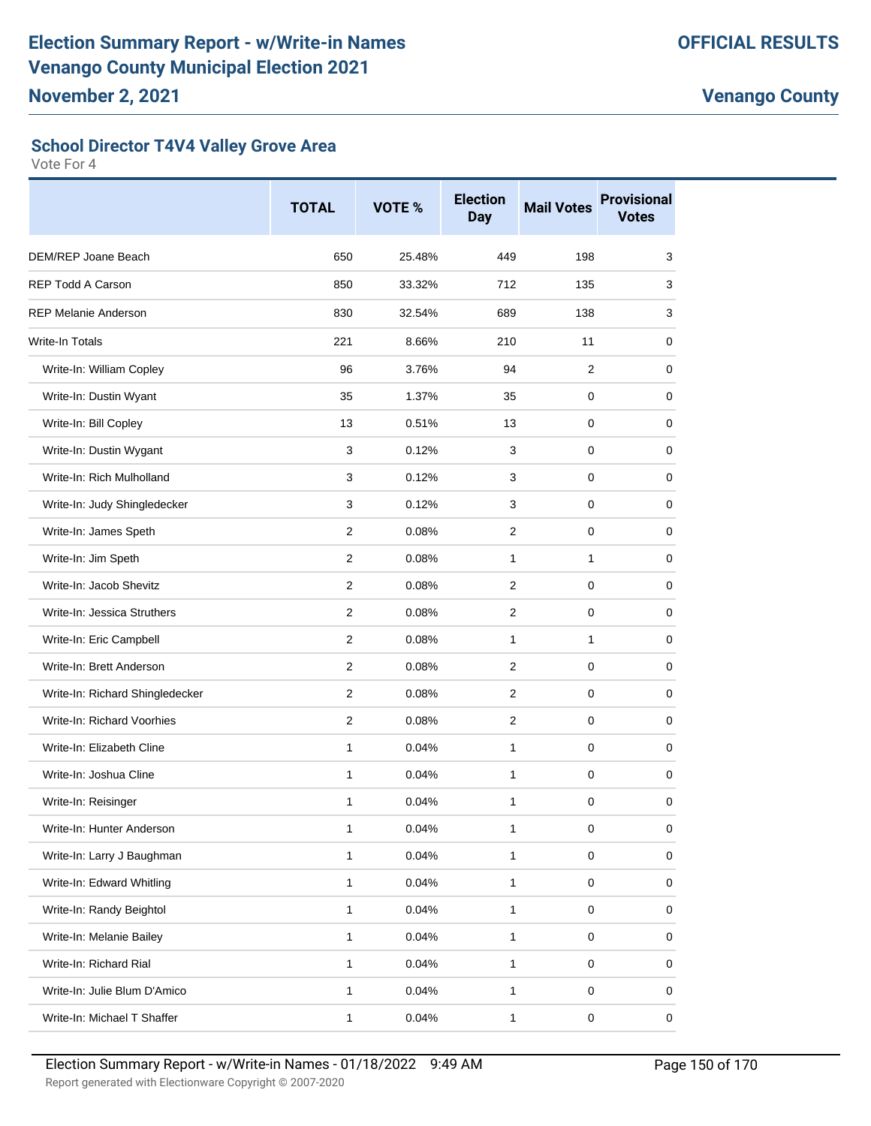#### **School Director T4V4 Valley Grove Area**

|                                 | <b>TOTAL</b>   | VOTE % | <b>Election</b><br><b>Day</b> | <b>Mail Votes</b> | <b>Provisional</b><br><b>Votes</b> |
|---------------------------------|----------------|--------|-------------------------------|-------------------|------------------------------------|
| DEM/REP Joane Beach             | 650            | 25.48% | 449                           | 198               | 3                                  |
| <b>REP Todd A Carson</b>        | 850            | 33.32% | 712                           | 135               | 3                                  |
| <b>REP Melanie Anderson</b>     | 830            | 32.54% | 689                           | 138               | 3                                  |
| <b>Write-In Totals</b>          | 221            | 8.66%  | 210                           | 11                | 0                                  |
| Write-In: William Copley        | 96             | 3.76%  | 94                            | $\overline{2}$    | 0                                  |
| Write-In: Dustin Wyant          | 35             | 1.37%  | 35                            | 0                 | 0                                  |
| Write-In: Bill Copley           | 13             | 0.51%  | 13                            | 0                 | 0                                  |
| Write-In: Dustin Wygant         | 3              | 0.12%  | 3                             | 0                 | 0                                  |
| Write-In: Rich Mulholland       | 3              | 0.12%  | 3                             | 0                 | 0                                  |
| Write-In: Judy Shingledecker    | 3              | 0.12%  | 3                             | 0                 | 0                                  |
| Write-In: James Speth           | 2              | 0.08%  | $\overline{2}$                | 0                 | 0                                  |
| Write-In: Jim Speth             | $\overline{2}$ | 0.08%  | $\mathbf{1}$                  | $\mathbf{1}$      | 0                                  |
| Write-In: Jacob Shevitz         | 2              | 0.08%  | 2                             | 0                 | 0                                  |
| Write-In: Jessica Struthers     | 2              | 0.08%  | 2                             | 0                 | 0                                  |
| Write-In: Eric Campbell         | $\overline{2}$ | 0.08%  | $\mathbf{1}$                  | $\mathbf{1}$      | 0                                  |
| Write-In: Brett Anderson        | 2              | 0.08%  | $\overline{2}$                | 0                 | 0                                  |
| Write-In: Richard Shingledecker | 2              | 0.08%  | 2                             | 0                 | 0                                  |
| Write-In: Richard Voorhies      | $\overline{2}$ | 0.08%  | $\overline{2}$                | 0                 | 0                                  |
| Write-In: Elizabeth Cline       | $\mathbf{1}$   | 0.04%  | 1                             | 0                 | 0                                  |
| Write-In: Joshua Cline          | 1              | 0.04%  | $\mathbf{1}$                  | 0                 | 0                                  |
| Write-In: Reisinger             | 1              | 0.04%  | 1                             | 0                 | 0                                  |
| Write-In: Hunter Anderson       | 1              | 0.04%  | 1                             | 0                 | 0                                  |
| Write-In: Larry J Baughman      | $\mathbf{1}$   | 0.04%  | $\mathbf{1}$                  | $\mathbf 0$       | 0                                  |
| Write-In: Edward Whitling       | 1              | 0.04%  | 1                             | $\pmb{0}$         | 0                                  |
| Write-In: Randy Beightol        | $\mathbf{1}$   | 0.04%  | $\mathbf{1}$                  | $\mathsf 0$       | 0                                  |
| Write-In: Melanie Bailey        | $\mathbf{1}$   | 0.04%  | $\mathbf{1}$                  | $\mathsf 0$       | 0                                  |
| Write-In: Richard Rial          | 1              | 0.04%  | 1                             | 0                 | 0                                  |
| Write-In: Julie Blum D'Amico    | $\mathbf 1$    | 0.04%  | 1                             | 0                 | 0                                  |
| Write-In: Michael T Shaffer     | 1              | 0.04%  | 1                             | 0                 | 0                                  |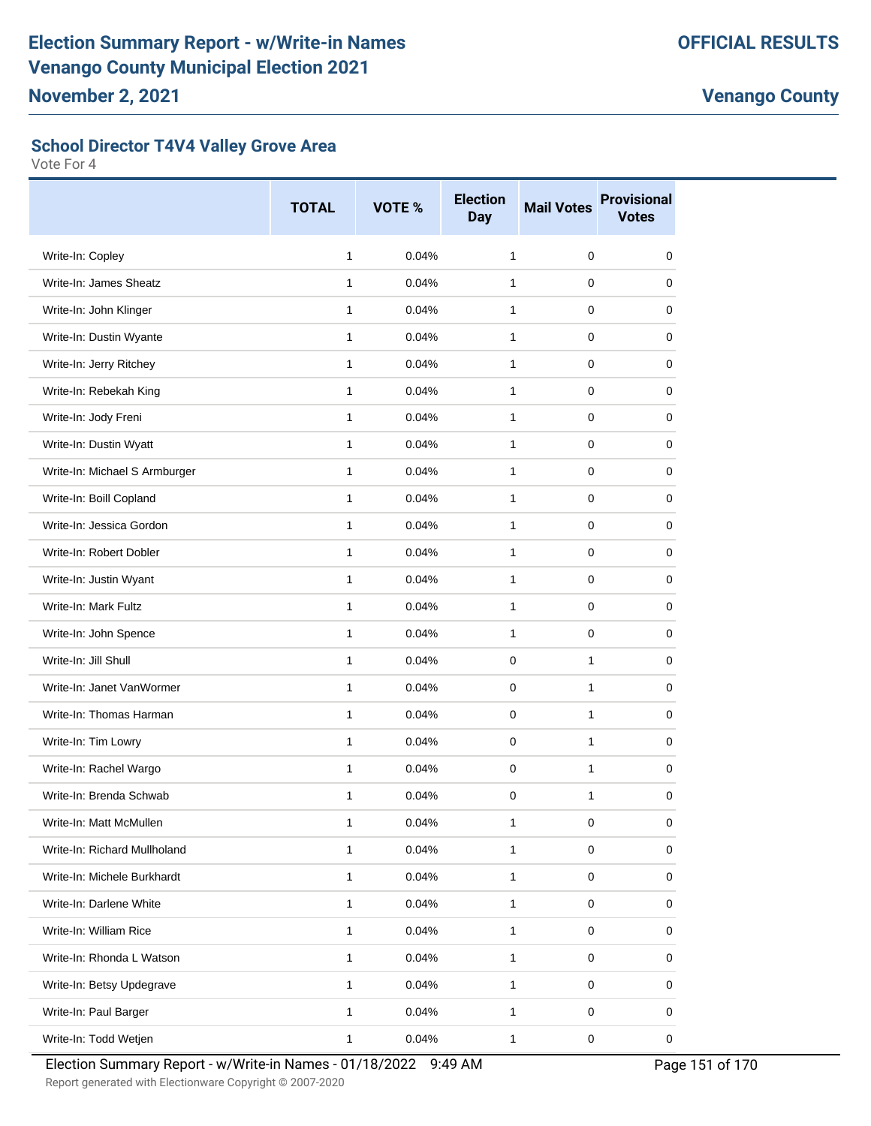#### **School Director T4V4 Valley Grove Area**

Vote For 4

|                               | <b>TOTAL</b> | VOTE % | <b>Election</b><br><b>Day</b> | <b>Mail Votes</b> | <b>Provisional</b><br><b>Votes</b> |
|-------------------------------|--------------|--------|-------------------------------|-------------------|------------------------------------|
| Write-In: Copley              | $\mathbf{1}$ | 0.04%  | $\mathbf{1}$                  | 0                 | 0                                  |
| Write-In: James Sheatz        | $\mathbf{1}$ | 0.04%  | $\mathbf{1}$                  | $\pmb{0}$         | 0                                  |
| Write-In: John Klinger        | 1            | 0.04%  | 1                             | $\mathbf 0$       | 0                                  |
| Write-In: Dustin Wyante       | $\mathbf{1}$ | 0.04%  | 1                             | $\mathbf 0$       | 0                                  |
| Write-In: Jerry Ritchey       | $\mathbf{1}$ | 0.04%  | $\mathbf{1}$                  | $\pmb{0}$         | 0                                  |
| Write-In: Rebekah King        | 1            | 0.04%  | 1                             | $\pmb{0}$         | 0                                  |
| Write-In: Jody Freni          | $\mathbf{1}$ | 0.04%  | 1                             | 0                 | 0                                  |
| Write-In: Dustin Wyatt        | $\mathbf{1}$ | 0.04%  | $\mathbf{1}$                  | $\pmb{0}$         | 0                                  |
| Write-In: Michael S Armburger | $\mathbf{1}$ | 0.04%  | 1                             | $\mathbf 0$       | 0                                  |
| Write-In: Boill Copland       | $\mathbf{1}$ | 0.04%  | 1                             | 0                 | 0                                  |
| Write-In: Jessica Gordon      | $\mathbf{1}$ | 0.04%  | $\mathbf{1}$                  | 0                 | 0                                  |
| Write-In: Robert Dobler       | $\mathbf{1}$ | 0.04%  | 1                             | $\mathbf 0$       | 0                                  |
| Write-In: Justin Wyant        | 1            | 0.04%  | 1                             | 0                 | 0                                  |
| Write-In: Mark Fultz          | $\mathbf{1}$ | 0.04%  | $\mathbf{1}$                  | $\pmb{0}$         | 0                                  |
| Write-In: John Spence         | 1            | 0.04%  | 1                             | $\mathbf 0$       | 0                                  |
| Write-In: Jill Shull          | $\mathbf{1}$ | 0.04%  | 0                             | $\mathbf{1}$      | 0                                  |
| Write-In: Janet VanWormer     | $\mathbf{1}$ | 0.04%  | $\mathbf 0$                   | $\mathbf{1}$      | $\mathbf 0$                        |
| Write-In: Thomas Harman       | 1            | 0.04%  | 0                             | 1                 | 0                                  |
| Write-In: Tim Lowry           | $\mathbf{1}$ | 0.04%  | 0                             | 1                 | 0                                  |
| Write-In: Rachel Wargo        | $\mathbf{1}$ | 0.04%  | $\mathbf 0$                   | 1                 | 0                                  |
| Write-In: Brenda Schwab       | 1            | 0.04%  | $\mathbf 0$                   | $\mathbf{1}$      | 0                                  |
| Write-In: Matt McMullen       | 1            | 0.04%  | $\mathbf{1}$                  | $\pmb{0}$         | 0                                  |
| Write-In: Richard Mullholand  | $\mathbf{1}$ | 0.04%  | $\mathbf{1}$                  | $\pmb{0}$         | 0                                  |
| Write-In: Michele Burkhardt   | 1            | 0.04%  | 1                             | $\pmb{0}$         | 0                                  |
| Write-In: Darlene White       | $\mathbf{1}$ | 0.04%  | 1                             | $\pmb{0}$         | 0                                  |
| Write-In: William Rice        | 1            | 0.04%  | $\mathbf{1}$                  | $\pmb{0}$         | 0                                  |
| Write-In: Rhonda L Watson     | 1            | 0.04%  | 1                             | $\pmb{0}$         | 0                                  |
| Write-In: Betsy Updegrave     | 1            | 0.04%  | $\mathbf{1}$                  | $\mathbf 0$       | 0                                  |
| Write-In: Paul Barger         | $\mathbf{1}$ | 0.04%  | $\mathbf{1}$                  | $\pmb{0}$         | 0                                  |
| Write-In: Todd Wetjen         | $\mathbf{1}$ | 0.04%  | $\mathbf{1}$                  | $\pmb{0}$         | 0                                  |

Election Summary Report - w/Write-in Names - 01/18/2022 9:49 AM Page 151 of 170

Report generated with Electionware Copyright © 2007-2020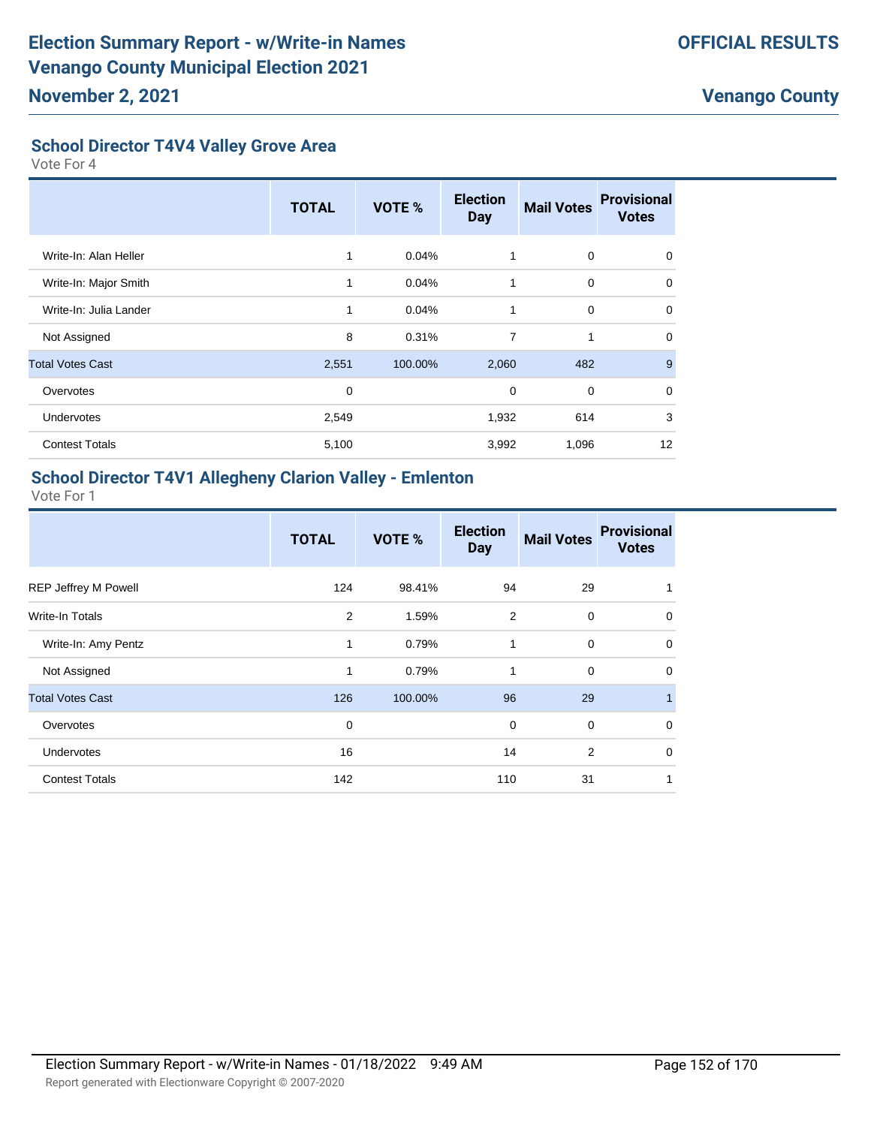#### **School Director T4V4 Valley Grove Area**

Vote For 4

|                         | <b>TOTAL</b> | <b>VOTE %</b> | <b>Election</b><br><b>Day</b> | <b>Mail Votes</b> | <b>Provisional</b><br><b>Votes</b> |
|-------------------------|--------------|---------------|-------------------------------|-------------------|------------------------------------|
| Write-In: Alan Heller   | 1            | 0.04%         | 1                             | 0                 | $\mathbf 0$                        |
| Write-In: Major Smith   | 1            | 0.04%         | 1                             | $\mathbf 0$       | $\mathbf 0$                        |
| Write-In: Julia Lander  | 1            | 0.04%         | $\mathbf{1}$                  | $\mathbf 0$       | $\Omega$                           |
| Not Assigned            | 8            | 0.31%         | 7                             | 1                 | $\Omega$                           |
| <b>Total Votes Cast</b> | 2,551        | 100.00%       | 2,060                         | 482               | 9                                  |
| Overvotes               | $\mathbf 0$  |               | 0                             | $\mathbf 0$       | $\Omega$                           |
| <b>Undervotes</b>       | 2,549        |               | 1,932                         | 614               | 3                                  |
| <b>Contest Totals</b>   | 5,100        |               | 3,992                         | 1,096             | 12                                 |

#### **School Director T4V1 Allegheny Clarion Valley - Emlenton**

|                         | <b>TOTAL</b> | <b>VOTE %</b> | <b>Election</b><br><b>Day</b> | <b>Mail Votes</b> | <b>Provisional</b><br><b>Votes</b> |
|-------------------------|--------------|---------------|-------------------------------|-------------------|------------------------------------|
| REP Jeffrey M Powell    | 124          | 98.41%        | 94                            | 29                | 1                                  |
| Write-In Totals         | 2            | 1.59%         | 2                             | $\mathbf 0$       | 0                                  |
| Write-In: Amy Pentz     | 1            | 0.79%         | 1                             | $\mathbf 0$       | $\mathbf 0$                        |
| Not Assigned            | 1            | 0.79%         | 1                             | 0                 | $\mathbf 0$                        |
| <b>Total Votes Cast</b> | 126          | 100.00%       | 96                            | 29                | $\mathbf{1}$                       |
| Overvotes               | 0            |               | 0                             | $\mathbf 0$       | $\mathbf 0$                        |
| <b>Undervotes</b>       | 16           |               | 14                            | $\overline{2}$    | 0                                  |
| <b>Contest Totals</b>   | 142          |               | 110                           | 31                | 1                                  |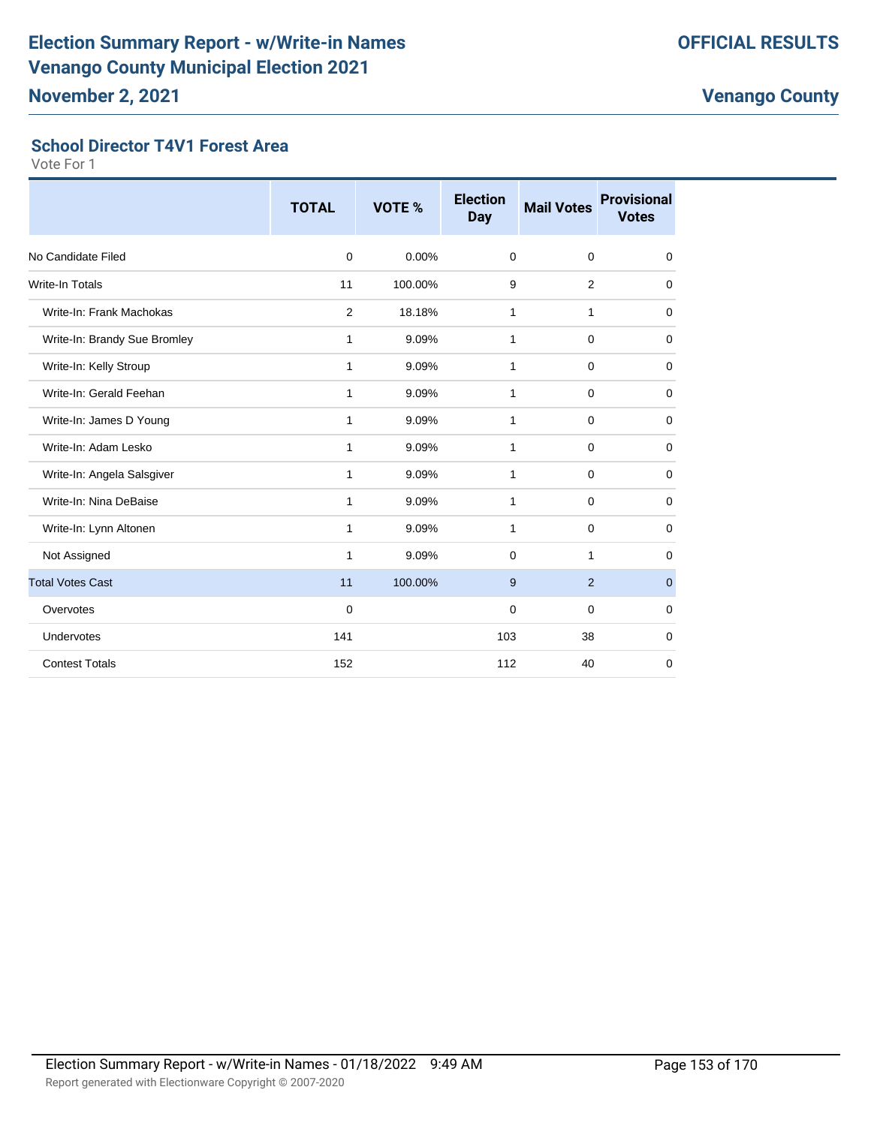#### **School Director T4V1 Forest Area**

|                              | <b>TOTAL</b>   | VOTE %   | <b>Election</b><br><b>Day</b> | <b>Mail Votes</b> | <b>Provisional</b><br><b>Votes</b> |
|------------------------------|----------------|----------|-------------------------------|-------------------|------------------------------------|
| No Candidate Filed           | $\mathbf 0$    | $0.00\%$ | $\mathbf 0$                   | $\mathbf 0$       | 0                                  |
| <b>Write-In Totals</b>       | 11             | 100.00%  | 9                             | 2                 | 0                                  |
| Write-In: Frank Machokas     | $\overline{2}$ | 18.18%   | 1                             | 1                 | 0                                  |
| Write-In: Brandy Sue Bromley | 1              | 9.09%    | 1                             | $\mathbf 0$       | $\mathbf 0$                        |
| Write-In: Kelly Stroup       | 1              | 9.09%    | 1                             | $\mathbf 0$       | $\mathbf 0$                        |
| Write-In: Gerald Feehan      | 1              | 9.09%    | 1                             | $\mathbf 0$       | 0                                  |
| Write-In: James D Young      | 1              | 9.09%    | 1                             | $\mathbf 0$       | $\mathbf 0$                        |
| Write-In: Adam Lesko         | 1              | 9.09%    | 1                             | $\mathbf 0$       | $\mathbf 0$                        |
| Write-In: Angela Salsgiver   | 1              | 9.09%    | 1                             | $\mathbf 0$       | $\mathbf 0$                        |
| Write-In: Nina DeBaise       | 1              | 9.09%    | 1                             | $\mathbf 0$       | $\mathbf 0$                        |
| Write-In: Lynn Altonen       | 1              | 9.09%    | 1                             | $\mathbf 0$       | $\mathbf 0$                        |
| Not Assigned                 | 1              | 9.09%    | $\Omega$                      | 1                 | $\mathbf 0$                        |
| <b>Total Votes Cast</b>      | 11             | 100.00%  | 9                             | $\overline{2}$    | $\mathbf 0$                        |
| Overvotes                    | $\Omega$       |          | $\Omega$                      | $\Omega$          | $\mathbf 0$                        |
| Undervotes                   | 141            |          | 103                           | 38                | $\mathbf 0$                        |
| <b>Contest Totals</b>        | 152            |          | 112                           | 40                | $\mathbf 0$                        |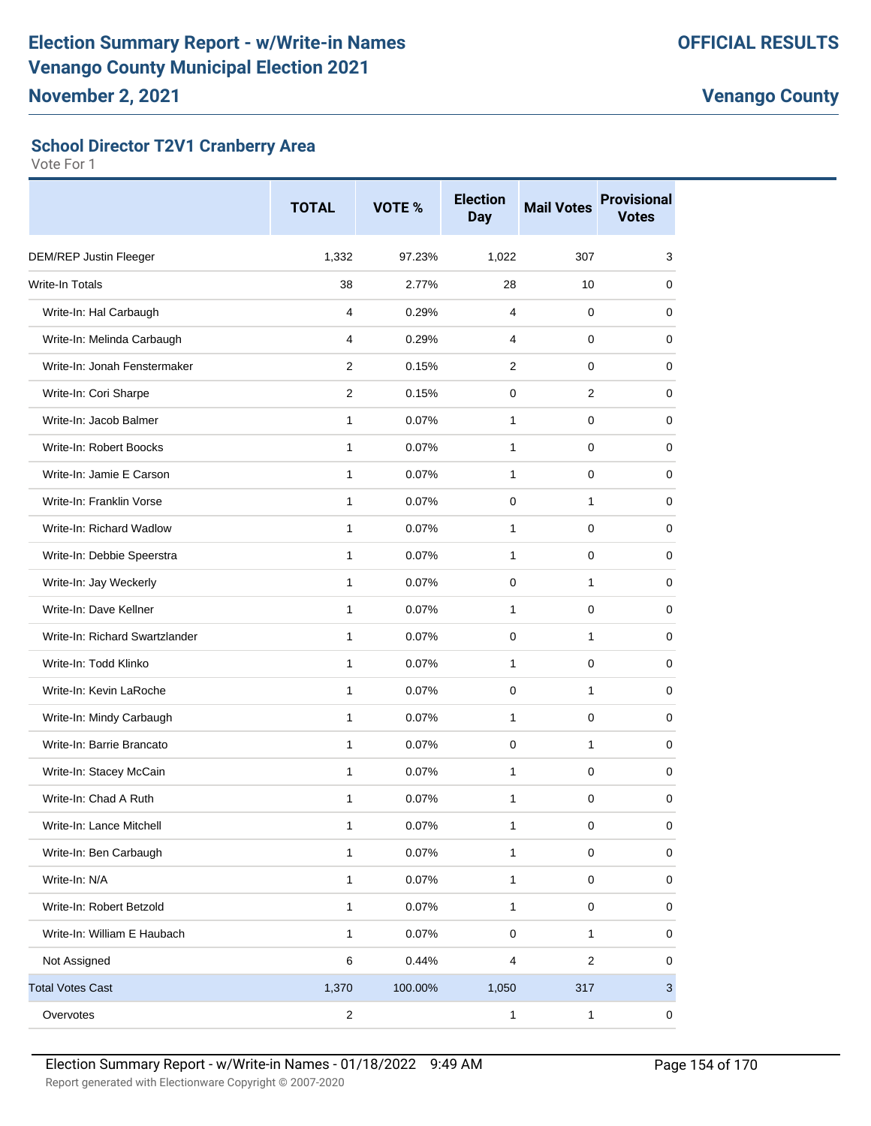#### **School Director T2V1 Cranberry Area**

|                                | <b>TOTAL</b>   | VOTE %  | <b>Election</b><br><b>Day</b> | <b>Mail Votes</b> | <b>Provisional</b><br><b>Votes</b> |
|--------------------------------|----------------|---------|-------------------------------|-------------------|------------------------------------|
| DEM/REP Justin Fleeger         | 1,332          | 97.23%  | 1,022                         | 307               | 3                                  |
| <b>Write-In Totals</b>         | 38             | 2.77%   | 28                            | 10                | 0                                  |
| Write-In: Hal Carbaugh         | 4              | 0.29%   | 4                             | $\mathbf 0$       | 0                                  |
| Write-In: Melinda Carbaugh     | 4              | 0.29%   | 4                             | 0                 | 0                                  |
| Write-In: Jonah Fenstermaker   | $\overline{2}$ | 0.15%   | $\overline{2}$                | $\mathbf 0$       | 0                                  |
| Write-In: Cori Sharpe          | 2              | 0.15%   | 0                             | $\overline{2}$    | 0                                  |
| Write-In: Jacob Balmer         | 1              | 0.07%   | $\mathbf{1}$                  | 0                 | 0                                  |
| Write-In: Robert Boocks        | $\mathbf{1}$   | 0.07%   | 1                             | 0                 | 0                                  |
| Write-In: Jamie E Carson       | 1              | 0.07%   | 1                             | 0                 | 0                                  |
| Write-In: Franklin Vorse       | 1              | 0.07%   | 0                             | 1                 | 0                                  |
| Write-In: Richard Wadlow       | $\mathbf{1}$   | 0.07%   | 1                             | 0                 | 0                                  |
| Write-In: Debbie Speerstra     | $\mathbf{1}$   | 0.07%   | 1                             | 0                 | 0                                  |
| Write-In: Jay Weckerly         | 1              | 0.07%   | 0                             | 1                 | 0                                  |
| Write-In: Dave Kellner         | $\mathbf{1}$   | 0.07%   | 1                             | $\mathbf 0$       | 0                                  |
| Write-In: Richard Swartzlander | 1              | 0.07%   | 0                             | 1                 | 0                                  |
| Write-In: Todd Klinko          | 1              | 0.07%   | 1                             | 0                 | 0                                  |
| Write-In: Kevin LaRoche        | $\mathbf{1}$   | 0.07%   | 0                             | $\mathbf{1}$      | $\mathbf 0$                        |
| Write-In: Mindy Carbaugh       | 1              | 0.07%   | 1                             | 0                 | 0                                  |
| Write-In: Barrie Brancato      | $\mathbf{1}$   | 0.07%   | 0                             | 1                 | 0                                  |
| Write-In: Stacey McCain        | $\mathbf{1}$   | 0.07%   | 1                             | 0                 | $\Omega$                           |
| Write-In: Chad A Ruth          | 1              | 0.07%   | 1                             | 0                 | 0                                  |
| Write-In: Lance Mitchell       | 1              | 0.07%   | $\mathbf{1}$                  | 0                 | 0                                  |
| Write-In: Ben Carbaugh         | 1              | 0.07%   | 1                             | $\pmb{0}$         | $\pmb{0}$                          |
| Write-In: N/A                  | 1              | 0.07%   | 1                             | 0                 | 0                                  |
| Write-In: Robert Betzold       | 1              | 0.07%   | $\mathbf{1}$                  | 0                 | 0                                  |
| Write-In: William E Haubach    | 1              | 0.07%   | 0                             | 1                 | 0                                  |
| Not Assigned                   | 6              | 0.44%   | 4                             | $\sqrt{2}$        | 0                                  |
| <b>Total Votes Cast</b>        | 1,370          | 100.00% | 1,050                         | 317               | $\mathbf{3}$                       |
| Overvotes                      | $\mathbf 2$    |         | $\mathbf{1}$                  | $\mathbf{1}$      | $\pmb{0}$                          |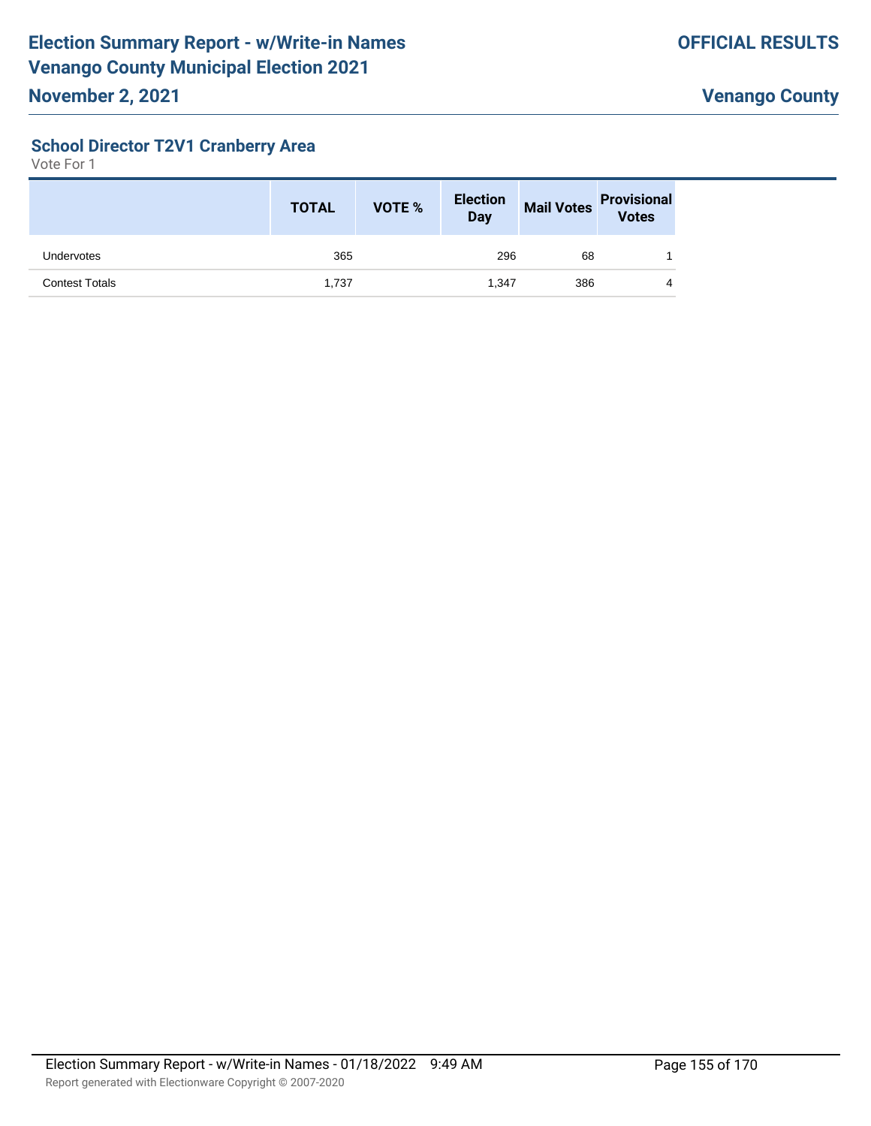### **School Director T2V1 Cranberry Area**

|                       | <b>TOTAL</b> | <b>VOTE %</b> | <b>Election</b><br><b>Day</b> | <b>Mail Votes</b> | <b>Provisional</b><br><b>Votes</b> |
|-----------------------|--------------|---------------|-------------------------------|-------------------|------------------------------------|
| Undervotes            | 365          |               | 296                           | 68                |                                    |
| <b>Contest Totals</b> | 1,737        |               | 1.347                         | 386               | 4                                  |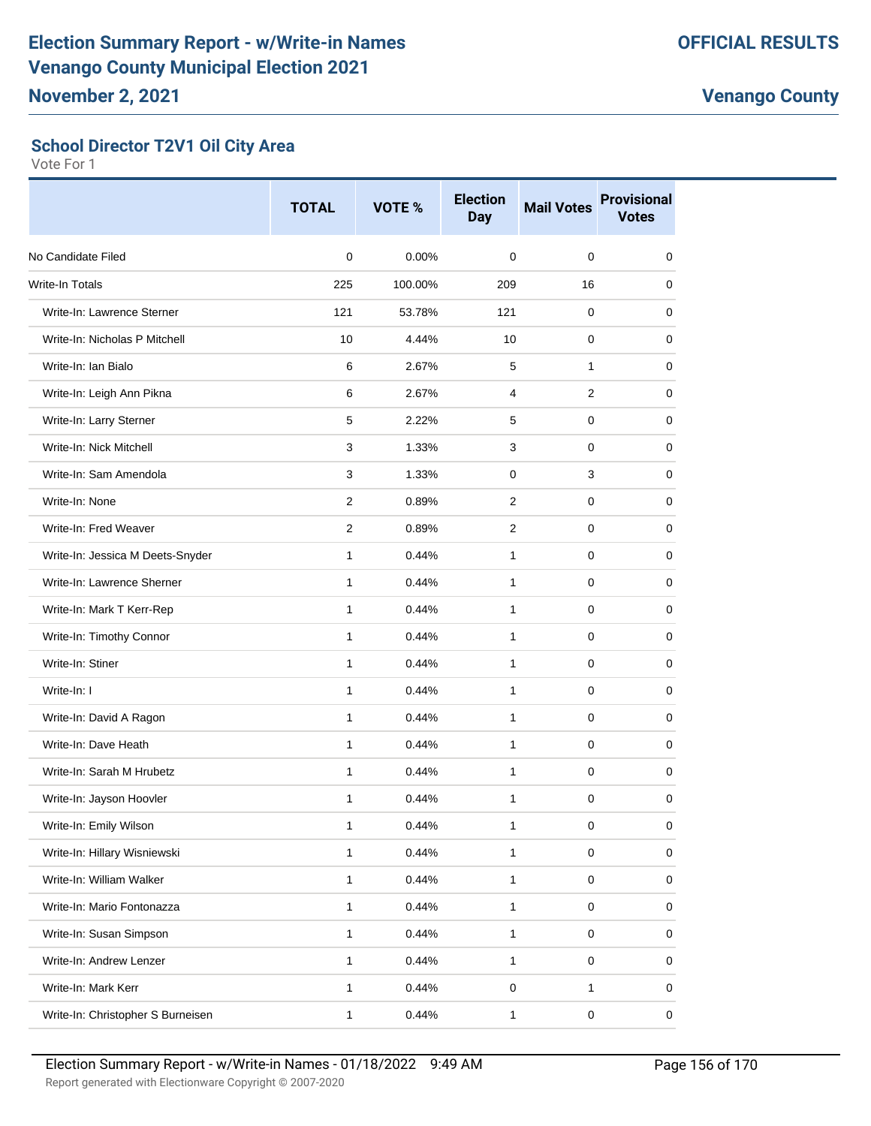#### **School Director T2V1 Oil City Area**

|                                   | <b>TOTAL</b>   | VOTE %  | <b>Election</b><br><b>Day</b> | <b>Mail Votes</b> | <b>Provisional</b><br><b>Votes</b> |
|-----------------------------------|----------------|---------|-------------------------------|-------------------|------------------------------------|
| No Candidate Filed                | $\mathbf 0$    | 0.00%   | 0                             | 0                 | 0                                  |
| Write-In Totals                   | 225            | 100.00% | 209                           | 16                | 0                                  |
| Write-In: Lawrence Sterner        | 121            | 53.78%  | 121                           | 0                 | 0                                  |
| Write-In: Nicholas P Mitchell     | 10             | 4.44%   | 10                            | 0                 | 0                                  |
| Write-In: Ian Bialo               | 6              | 2.67%   | 5                             | 1                 | 0                                  |
| Write-In: Leigh Ann Pikna         | 6              | 2.67%   | 4                             | 2                 | 0                                  |
| Write-In: Larry Sterner           | 5              | 2.22%   | 5                             | 0                 | 0                                  |
| Write-In: Nick Mitchell           | 3              | 1.33%   | 3                             | 0                 | 0                                  |
| Write-In: Sam Amendola            | 3              | 1.33%   | 0                             | 3                 | 0                                  |
| Write-In: None                    | $\overline{2}$ | 0.89%   | $\overline{2}$                | $\mathbf 0$       | 0                                  |
| Write-In: Fred Weaver             | 2              | 0.89%   | 2                             | 0                 | 0                                  |
| Write-In: Jessica M Deets-Snyder  | $\mathbf{1}$   | 0.44%   | $\mathbf{1}$                  | 0                 | 0                                  |
| Write-In: Lawrence Sherner        | 1              | 0.44%   | $\mathbf{1}$                  | 0                 | 0                                  |
| Write-In: Mark T Kerr-Rep         | 1              | 0.44%   | $\mathbf{1}$                  | 0                 | 0                                  |
| Write-In: Timothy Connor          | $\mathbf{1}$   | 0.44%   | 1                             | 0                 | 0                                  |
| Write-In: Stiner                  | 1              | 0.44%   | $\mathbf{1}$                  | 0                 | 0                                  |
| Write-In: I                       | $\mathbf{1}$   | 0.44%   | $\mathbf{1}$                  | $\mathbf 0$       | 0                                  |
| Write-In: David A Ragon           | $\mathbf{1}$   | 0.44%   | $\mathbf{1}$                  | 0                 | 0                                  |
| Write-In: Dave Heath              | 1              | 0.44%   | $\mathbf{1}$                  | 0                 | 0                                  |
| Write-In: Sarah M Hrubetz         | 1              | 0.44%   | 1                             | 0                 | 0                                  |
| Write-In: Jayson Hoovler          | 1              | 0.44%   | 1                             | 0                 | 0                                  |
| Write-In: Emily Wilson            | 1              | 0.44%   | $\mathbf{1}$                  | $\pmb{0}$         | $\pmb{0}$                          |
| Write-In: Hillary Wisniewski      | $\mathbf{1}$   | 0.44%   | $\mathbf{1}$                  | $\mathbf 0$       | 0                                  |
| Write-In: William Walker          | $\mathbf{1}$   | 0.44%   | $\mathbf{1}$                  | 0                 | 0                                  |
| Write-In: Mario Fontonazza        | $\mathbf{1}$   | 0.44%   | $\mathbf{1}$                  | $\mathsf 0$       | 0                                  |
| Write-In: Susan Simpson           | $\mathbf{1}$   | 0.44%   | $\mathbf{1}$                  | $\pmb{0}$         | 0                                  |
| Write-In: Andrew Lenzer           | $\mathbf{1}$   | 0.44%   | $\mathbf{1}$                  | $\pmb{0}$         | 0                                  |
| Write-In: Mark Kerr               | $\mathbf{1}$   | 0.44%   | $\mathbf 0$                   | 1                 | 0                                  |
| Write-In: Christopher S Burneisen | $\mathbf{1}$   | 0.44%   | $\mathbf{1}$                  | $\pmb{0}$         | 0                                  |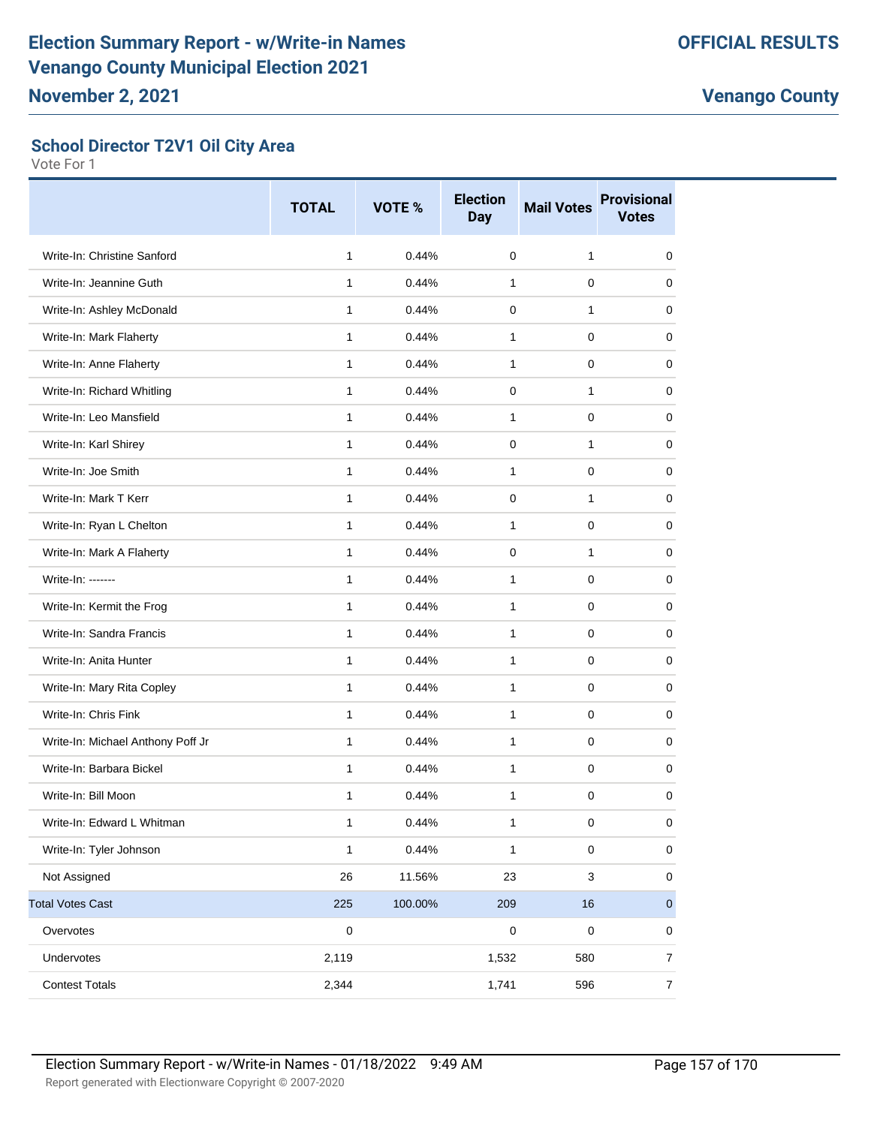#### **School Director T2V1 Oil City Area**

|                                   | <b>TOTAL</b> | VOTE %  | <b>Election</b><br><b>Day</b> | <b>Mail Votes</b> | <b>Provisional</b><br><b>Votes</b> |
|-----------------------------------|--------------|---------|-------------------------------|-------------------|------------------------------------|
| Write-In: Christine Sanford       | 1            | 0.44%   | 0                             | $\mathbf{1}$      | 0                                  |
| Write-In: Jeannine Guth           | 1            | 0.44%   | $\mathbf{1}$                  | 0                 | 0                                  |
| Write-In: Ashley McDonald         | $\mathbf{1}$ | 0.44%   | 0                             | 1                 | 0                                  |
| Write-In: Mark Flaherty           | 1            | 0.44%   | 1                             | 0                 | 0                                  |
| Write-In: Anne Flaherty           | 1            | 0.44%   | 1                             | $\mathbf 0$       | 0                                  |
| Write-In: Richard Whitling        | $\mathbf{1}$ | 0.44%   | $\Omega$                      | 1                 | 0                                  |
| Write-In: Leo Mansfield           | 1            | 0.44%   | $\mathbf{1}$                  | 0                 | 0                                  |
| Write-In: Karl Shirey             | 1            | 0.44%   | 0                             | 1                 | 0                                  |
| Write-In: Joe Smith               | $\mathbf{1}$ | 0.44%   | $\mathbf{1}$                  | 0                 | 0                                  |
| Write-In: Mark T Kerr             | 1            | 0.44%   | 0                             | 1                 | 0                                  |
| Write-In: Ryan L Chelton          | 1            | 0.44%   | $\mathbf{1}$                  | $\mathbf 0$       | 0                                  |
| Write-In: Mark A Flaherty         | 1            | 0.44%   | $\Omega$                      | 1                 | 0                                  |
| Write-In: -------                 | 1            | 0.44%   | 1                             | 0                 | 0                                  |
| Write-In: Kermit the Frog         | 1            | 0.44%   | $\mathbf{1}$                  | 0                 | 0                                  |
| Write-In: Sandra Francis          | $\mathbf{1}$ | 0.44%   | 1                             | 0                 | 0                                  |
| Write-In: Anita Hunter            | $\mathbf{1}$ | 0.44%   | 1                             | 0                 | 0                                  |
| Write-In: Mary Rita Copley        | 1            | 0.44%   | 1                             | 0                 | 0                                  |
| Write-In: Chris Fink              | $\mathbf{1}$ | 0.44%   | $\mathbf{1}$                  | 0                 | 0                                  |
| Write-In: Michael Anthony Poff Jr | 1            | 0.44%   | $\mathbf{1}$                  | 0                 | 0                                  |
| Write-In: Barbara Bickel          | 1            | 0.44%   | $\mathbf{1}$                  | 0                 | 0                                  |
| Write-In: Bill Moon               | $\mathbf{1}$ | 0.44%   | $\mathbf{1}$                  | 0                 | 0                                  |
| Write-In: Edward L Whitman        | 1            | 0.44%   | 1                             | 0                 | 0                                  |
| Write-In: Tyler Johnson           | $\mathbf{1}$ | 0.44%   | $\mathbf{1}$                  | $\mathbf 0$       | $\pmb{0}$                          |
| Not Assigned                      | 26           | 11.56%  | 23                            | 3                 | $\pmb{0}$                          |
| <b>Total Votes Cast</b>           | 225          | 100.00% | 209                           | 16                | $\pmb{0}$                          |
| Overvotes                         | $\pmb{0}$    |         | $\mathbf 0$                   | $\pmb{0}$         | 0                                  |
| Undervotes                        | 2,119        |         | 1,532                         | 580               | $\overline{7}$                     |
| <b>Contest Totals</b>             | 2,344        |         | 1,741                         | 596               | $\overline{7}$                     |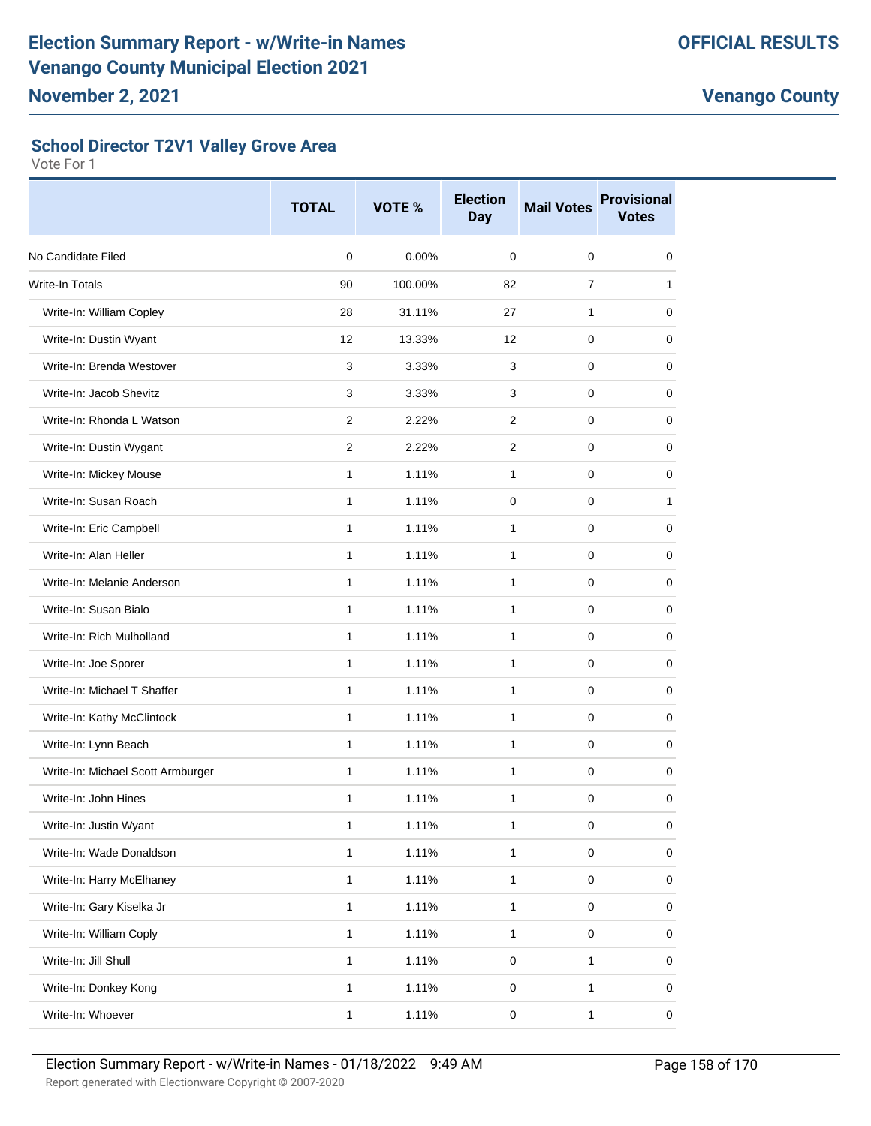#### **School Director T2V1 Valley Grove Area**

|                                   | <b>TOTAL</b>   | VOTE %  | <b>Election</b><br><b>Day</b> | <b>Mail Votes</b> | <b>Provisional</b><br><b>Votes</b> |
|-----------------------------------|----------------|---------|-------------------------------|-------------------|------------------------------------|
| No Candidate Filed                | $\mathbf 0$    | 0.00%   | 0                             | 0                 | 0                                  |
| <b>Write-In Totals</b>            | 90             | 100.00% | 82                            | $\overline{7}$    | 1                                  |
| Write-In: William Copley          | 28             | 31.11%  | 27                            | 1                 | 0                                  |
| Write-In: Dustin Wyant            | 12             | 13.33%  | 12                            | 0                 | 0                                  |
| Write-In: Brenda Westover         | 3              | 3.33%   | 3                             | 0                 | 0                                  |
| Write-In: Jacob Shevitz           | 3              | 3.33%   | 3                             | 0                 | 0                                  |
| Write-In: Rhonda L Watson         | 2              | 2.22%   | 2                             | 0                 | 0                                  |
| Write-In: Dustin Wygant           | $\overline{2}$ | 2.22%   | 2                             | 0                 | 0                                  |
| Write-In: Mickey Mouse            | 1              | 1.11%   | $\mathbf{1}$                  | 0                 | 0                                  |
| Write-In: Susan Roach             | $\mathbf{1}$   | 1.11%   | $\mathbf 0$                   | $\pmb{0}$         | 1                                  |
| Write-In: Eric Campbell           | 1              | 1.11%   | 1                             | 0                 | 0                                  |
| Write-In: Alan Heller             | 1              | 1.11%   | 1                             | 0                 | 0                                  |
| Write-In: Melanie Anderson        | 1              | 1.11%   | 1                             | 0                 | 0                                  |
| Write-In: Susan Bialo             | 1              | 1.11%   | 1                             | 0                 | 0                                  |
| Write-In: Rich Mulholland         | $\mathbf{1}$   | 1.11%   | $\mathbf{1}$                  | 0                 | 0                                  |
| Write-In: Joe Sporer              | 1              | 1.11%   | $\mathbf{1}$                  | 0                 | 0                                  |
| Write-In: Michael T Shaffer       | $\mathbf{1}$   | 1.11%   | 1                             | 0                 | 0                                  |
| Write-In: Kathy McClintock        | 1              | 1.11%   | 1                             | 0                 | 0                                  |
| Write-In: Lynn Beach              | 1              | 1.11%   | 1                             | 0                 | 0                                  |
| Write-In: Michael Scott Armburger | 1              | 1.11%   | 1                             | 0                 | 0                                  |
| Write-In: John Hines              | 1              | 1.11%   | 1                             | 0                 | 0                                  |
| Write-In: Justin Wyant            | 1              | 1.11%   | $\mathbf{1}$                  | $\pmb{0}$         | 0                                  |
| Write-In: Wade Donaldson          | 1              | 1.11%   | $\mathbf{1}$                  | 0                 | 0                                  |
| Write-In: Harry McElhaney         | 1              | 1.11%   | 1                             | 0                 | 0                                  |
| Write-In: Gary Kiselka Jr         | 1              | 1.11%   | $\mathbf 1$                   | 0                 | 0                                  |
| Write-In: William Coply           | 1              | 1.11%   | $\mathbf{1}$                  | 0                 | 0                                  |
| Write-In: Jill Shull              | 1              | 1.11%   | $\mathsf 0$                   | $\mathbf{1}$      | 0                                  |
| Write-In: Donkey Kong             | 1              | 1.11%   | $\pmb{0}$                     | $\mathbf{1}$      | 0                                  |
| Write-In: Whoever                 | $\mathbf 1$    | 1.11%   | 0                             | 1                 | 0                                  |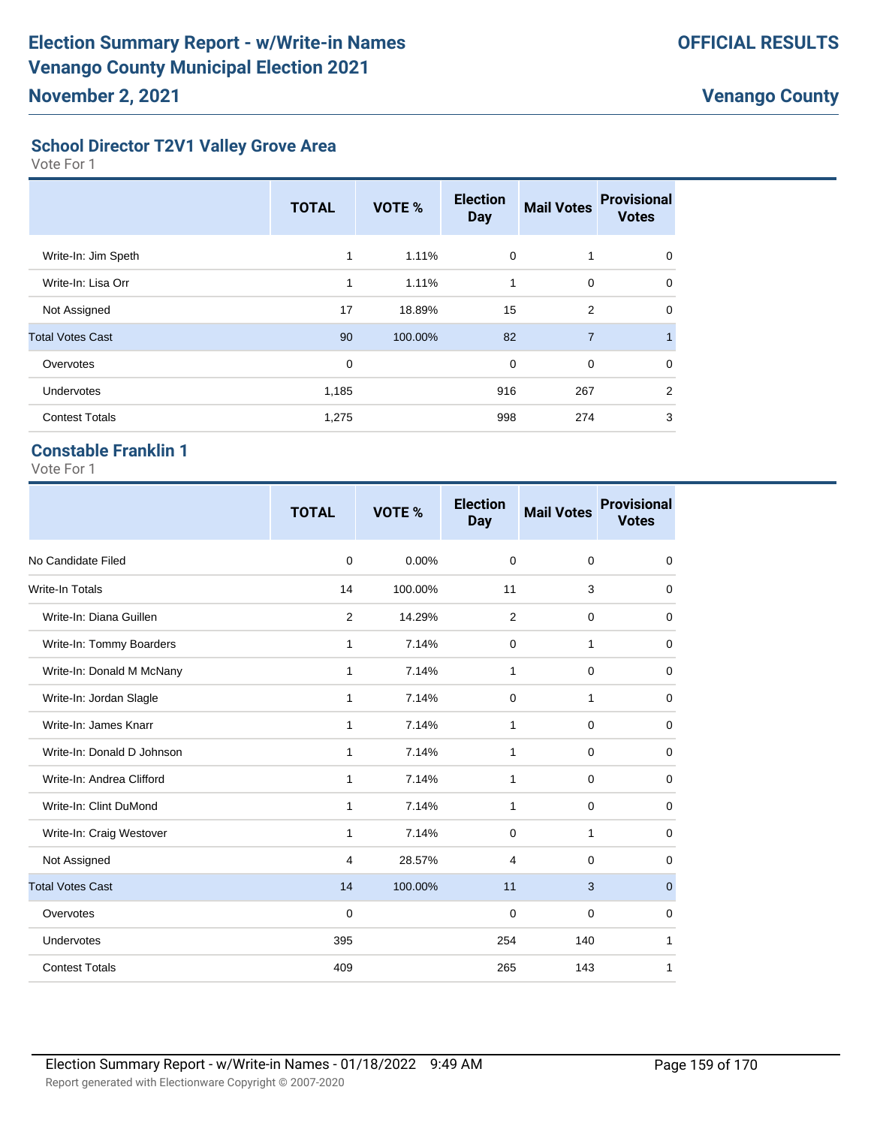#### **School Director T2V1 Valley Grove Area**

Vote For 1

|                         | <b>TOTAL</b> | VOTE %  | <b>Election</b><br><b>Day</b> | <b>Mail Votes</b> | <b>Provisional</b><br><b>Votes</b> |
|-------------------------|--------------|---------|-------------------------------|-------------------|------------------------------------|
| Write-In: Jim Speth     | 1            | 1.11%   | $\mathbf 0$                   |                   | $\Omega$                           |
| Write-In: Lisa Orr      | 1            | 1.11%   | 1                             | $\mathbf 0$       | $\Omega$                           |
| Not Assigned            | 17           | 18.89%  | 15                            | $\overline{2}$    | $\Omega$                           |
| <b>Total Votes Cast</b> | 90           | 100.00% | 82                            | $\overline{7}$    | $\overline{1}$                     |
| Overvotes               | 0            |         | $\mathbf 0$                   | $\mathbf 0$       | $\Omega$                           |
| Undervotes              | 1,185        |         | 916                           | 267               | 2                                  |
| <b>Contest Totals</b>   | 1,275        |         | 998                           | 274               | 3                                  |

#### **Constable Franklin 1**

|                            | <b>TOTAL</b>   | VOTE %  | <b>Election</b><br><b>Day</b> | <b>Mail Votes</b> | <b>Provisional</b><br><b>Votes</b> |
|----------------------------|----------------|---------|-------------------------------|-------------------|------------------------------------|
| No Candidate Filed         | $\mathbf 0$    | 0.00%   | $\mathbf 0$                   | $\mathbf 0$       | 0                                  |
| <b>Write-In Totals</b>     | 14             | 100.00% | 11                            | 3                 | 0                                  |
| Write-In: Diana Guillen    | $\overline{2}$ | 14.29%  | 2                             | 0                 | 0                                  |
| Write-In: Tommy Boarders   | 1              | 7.14%   | 0                             | 1                 | 0                                  |
| Write-In: Donald M McNany  | 1              | 7.14%   | 1                             | 0                 | 0                                  |
| Write-In: Jordan Slagle    | $\mathbf{1}$   | 7.14%   | 0                             | 1                 | 0                                  |
| Write-In: James Knarr      | $\mathbf{1}$   | 7.14%   | 1                             | $\mathbf 0$       | $\mathbf 0$                        |
| Write-In: Donald D Johnson | 1              | 7.14%   | 1                             | $\mathbf 0$       | 0                                  |
| Write-In: Andrea Clifford  | 1              | 7.14%   | 1                             | $\mathbf 0$       | 0                                  |
| Write-In: Clint DuMond     | $\mathbf{1}$   | 7.14%   | 1                             | $\mathbf 0$       | $\mathbf 0$                        |
| Write-In: Craig Westover   | $\mathbf{1}$   | 7.14%   | $\mathbf 0$                   | $\mathbf{1}$      | $\mathbf 0$                        |
| Not Assigned               | 4              | 28.57%  | 4                             | $\mathbf 0$       | 0                                  |
| <b>Total Votes Cast</b>    | 14             | 100.00% | 11                            | 3                 | $\mathbf{0}$                       |
| Overvotes                  | $\mathbf 0$    |         | $\mathbf 0$                   | $\mathbf 0$       | $\mathbf 0$                        |
| Undervotes                 | 395            |         | 254                           | 140               | 1                                  |
| <b>Contest Totals</b>      | 409            |         | 265                           | 143               | 1                                  |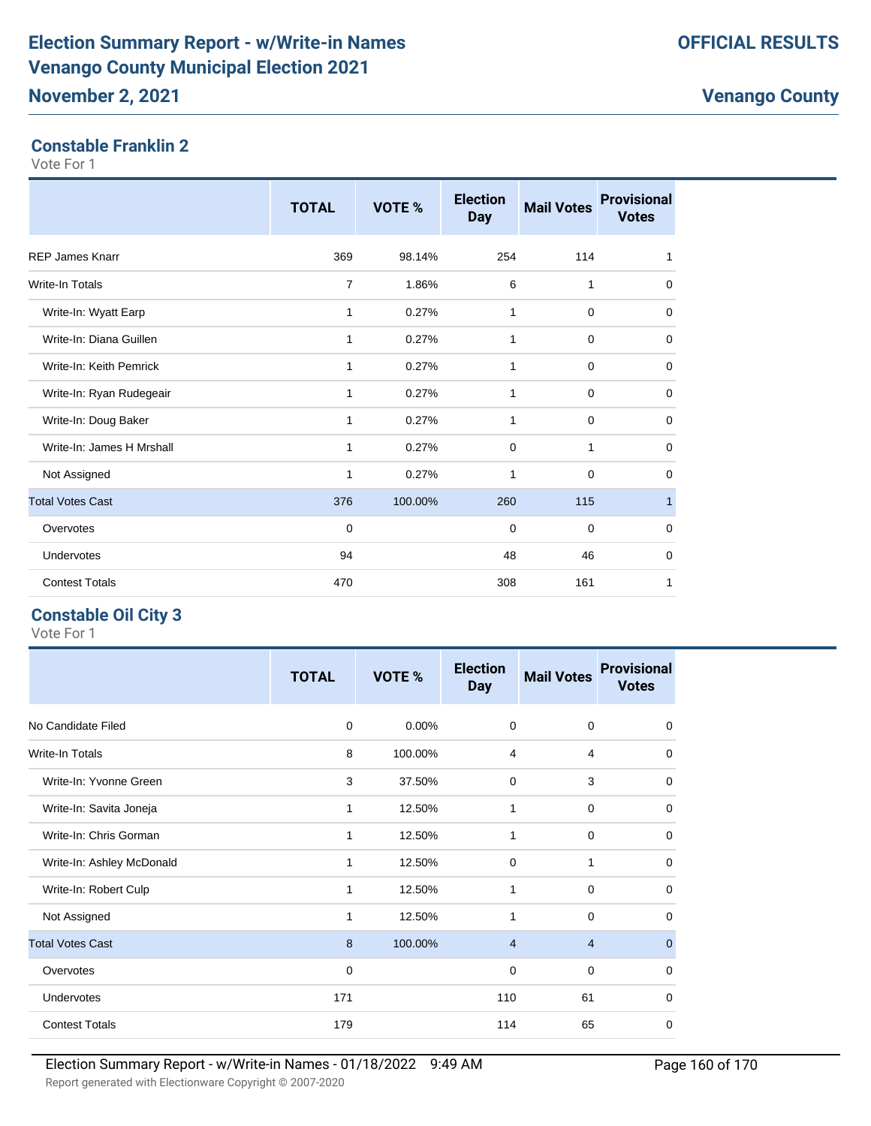#### **Constable Franklin 2**

Vote For 1

|                           | <b>TOTAL</b>   | VOTE %  | <b>Election</b><br><b>Day</b> | <b>Mail Votes</b> | <b>Provisional</b><br><b>Votes</b> |
|---------------------------|----------------|---------|-------------------------------|-------------------|------------------------------------|
| <b>REP James Knarr</b>    | 369            | 98.14%  | 254                           | 114               | 1                                  |
| <b>Write-In Totals</b>    | $\overline{7}$ | 1.86%   | 6                             | 1                 | 0                                  |
| Write-In: Wyatt Earp      | $\mathbf{1}$   | 0.27%   | 1                             | $\mathbf 0$       | 0                                  |
| Write-In: Diana Guillen   | 1              | 0.27%   | 1                             | $\mathbf 0$       | 0                                  |
| Write-In: Keith Pemrick   | 1              | 0.27%   | 1                             | $\mathbf 0$       | 0                                  |
| Write-In: Ryan Rudegeair  | 1              | 0.27%   | 1                             | $\mathbf 0$       | 0                                  |
| Write-In: Doug Baker      | 1              | 0.27%   | 1                             | $\mathbf 0$       | $\mathbf 0$                        |
| Write-In: James H Mrshall | 1              | 0.27%   | $\mathbf 0$                   | 1                 | $\mathbf 0$                        |
| Not Assigned              | 1              | 0.27%   | 1                             | $\mathbf 0$       | $\mathbf 0$                        |
| <b>Total Votes Cast</b>   | 376            | 100.00% | 260                           | 115               | $\mathbf{1}$                       |
| Overvotes                 | 0              |         | 0                             | $\mathbf 0$       | 0                                  |
| Undervotes                | 94             |         | 48                            | 46                | $\mathbf 0$                        |
| <b>Contest Totals</b>     | 470            |         | 308                           | 161               | 1                                  |

#### **Constable Oil City 3**

|                           | <b>TOTAL</b> | VOTE %  | <b>Election</b><br><b>Day</b> | <b>Mail Votes</b> | <b>Provisional</b><br><b>Votes</b> |
|---------------------------|--------------|---------|-------------------------------|-------------------|------------------------------------|
| No Candidate Filed        | 0            | 0.00%   | $\mathbf 0$                   | $\mathbf 0$       | 0                                  |
| <b>Write-In Totals</b>    | 8            | 100.00% | 4                             | $\overline{4}$    | 0                                  |
| Write-In: Yvonne Green    | 3            | 37.50%  | $\mathbf 0$                   | 3                 | 0                                  |
| Write-In: Savita Joneja   | $\mathbf{1}$ | 12.50%  | 1                             | $\mathbf 0$       | $\mathbf 0$                        |
| Write-In: Chris Gorman    | $\mathbf{1}$ | 12.50%  | 1                             | $\mathbf 0$       | $\mathbf 0$                        |
| Write-In: Ashley McDonald | 1            | 12.50%  | $\mathbf 0$                   | 1                 | 0                                  |
| Write-In: Robert Culp     | 1            | 12.50%  | 1                             | $\mathbf 0$       | 0                                  |
| Not Assigned              | $\mathbf{1}$ | 12.50%  | 1                             | $\mathbf 0$       | $\mathbf 0$                        |
| <b>Total Votes Cast</b>   | 8            | 100.00% | $\overline{4}$                | $\overline{4}$    | $\mathbf{0}$                       |
| Overvotes                 | 0            |         | 0                             | $\mathbf 0$       | $\mathbf 0$                        |
| Undervotes                | 171          |         | 110                           | 61                | $\mathbf 0$                        |
| <b>Contest Totals</b>     | 179          |         | 114                           | 65                | $\mathbf 0$                        |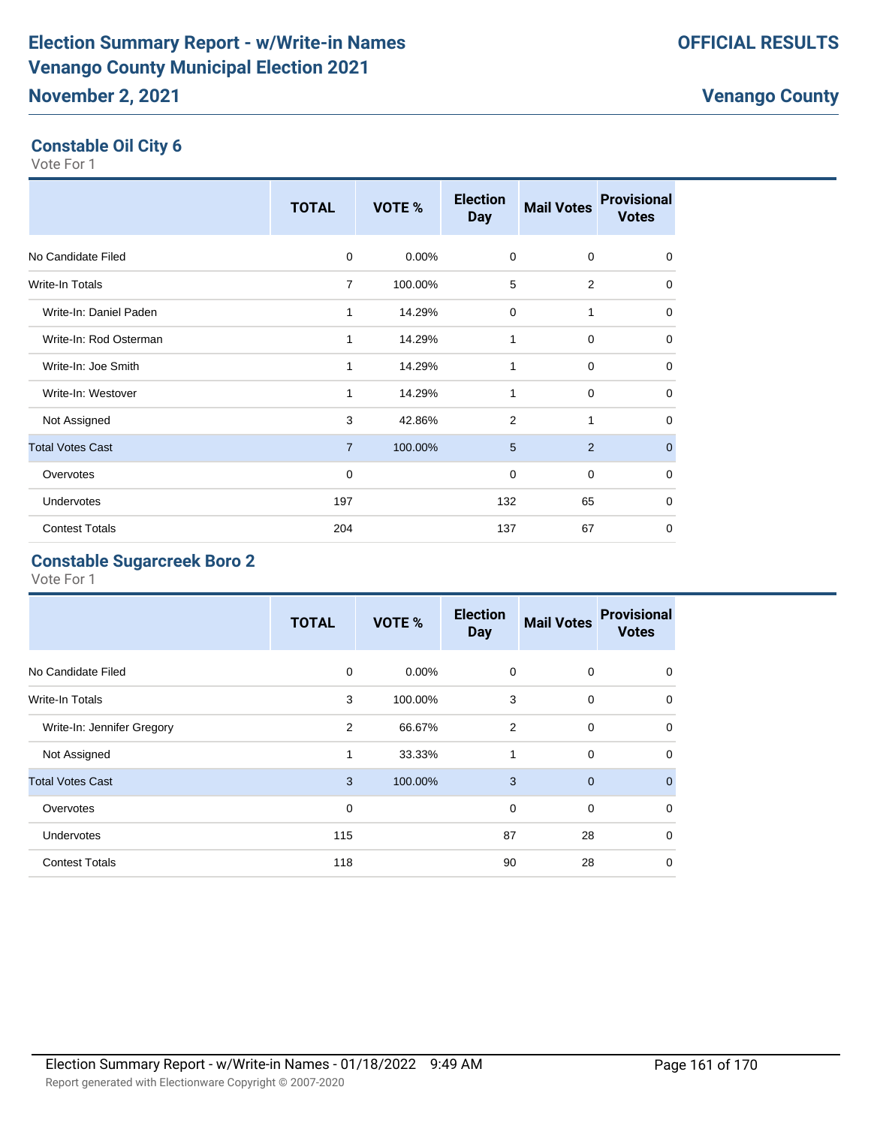**Constable Oil City 6** Vote For 1

|                         | <b>TOTAL</b>   | VOTE %   | <b>Election</b><br><b>Day</b> | <b>Mail Votes</b> | <b>Provisional</b><br><b>Votes</b> |
|-------------------------|----------------|----------|-------------------------------|-------------------|------------------------------------|
| No Candidate Filed      | $\mathbf 0$    | $0.00\%$ | $\mathbf 0$                   | 0                 | 0                                  |
| <b>Write-In Totals</b>  | $\overline{7}$ | 100.00%  | 5                             | 2                 | 0                                  |
| Write-In: Daniel Paden  | 1              | 14.29%   | $\Omega$                      | 1                 | $\mathbf 0$                        |
| Write-In: Rod Osterman  | 1              | 14.29%   | 1                             | $\mathbf 0$       | $\mathbf 0$                        |
| Write-In: Joe Smith     | 1              | 14.29%   | 1                             | $\mathbf 0$       | $\mathbf 0$                        |
| Write-In: Westover      | 1              | 14.29%   | 1                             | $\mathbf 0$       | $\mathbf 0$                        |
| Not Assigned            | 3              | 42.86%   | $\overline{2}$                | 1                 | $\mathbf 0$                        |
| <b>Total Votes Cast</b> | $\overline{7}$ | 100.00%  | 5                             | 2                 | $\mathbf 0$                        |
| Overvotes               | 0              |          | 0                             | $\mathbf 0$       | $\mathbf 0$                        |
| Undervotes              | 197            |          | 132                           | 65                | $\mathbf 0$                        |
| <b>Contest Totals</b>   | 204            |          | 137                           | 67                | $\mathbf 0$                        |

#### **Constable Sugarcreek Boro 2**

|                            | <b>TOTAL</b>   | VOTE %   | <b>Election</b><br><b>Day</b> | <b>Mail Votes</b> | <b>Provisional</b><br><b>Votes</b> |
|----------------------------|----------------|----------|-------------------------------|-------------------|------------------------------------|
| No Candidate Filed         | 0              | $0.00\%$ | 0                             | 0                 | 0                                  |
| <b>Write-In Totals</b>     | 3              | 100.00%  | 3                             | 0                 | $\Omega$                           |
| Write-In: Jennifer Gregory | $\overline{2}$ | 66.67%   | $\overline{2}$                | 0                 | 0                                  |
| Not Assigned               | $\mathbf{1}$   | 33.33%   | 1                             | $\mathbf 0$       | 0                                  |
| <b>Total Votes Cast</b>    | 3              | 100.00%  | 3                             | $\mathbf{0}$      | $\Omega$                           |
| Overvotes                  | 0              |          | $\mathbf 0$                   | 0                 | $\Omega$                           |
| Undervotes                 | 115            |          | 87                            | 28                | $\Omega$                           |
| <b>Contest Totals</b>      | 118            |          | 90                            | 28                | 0                                  |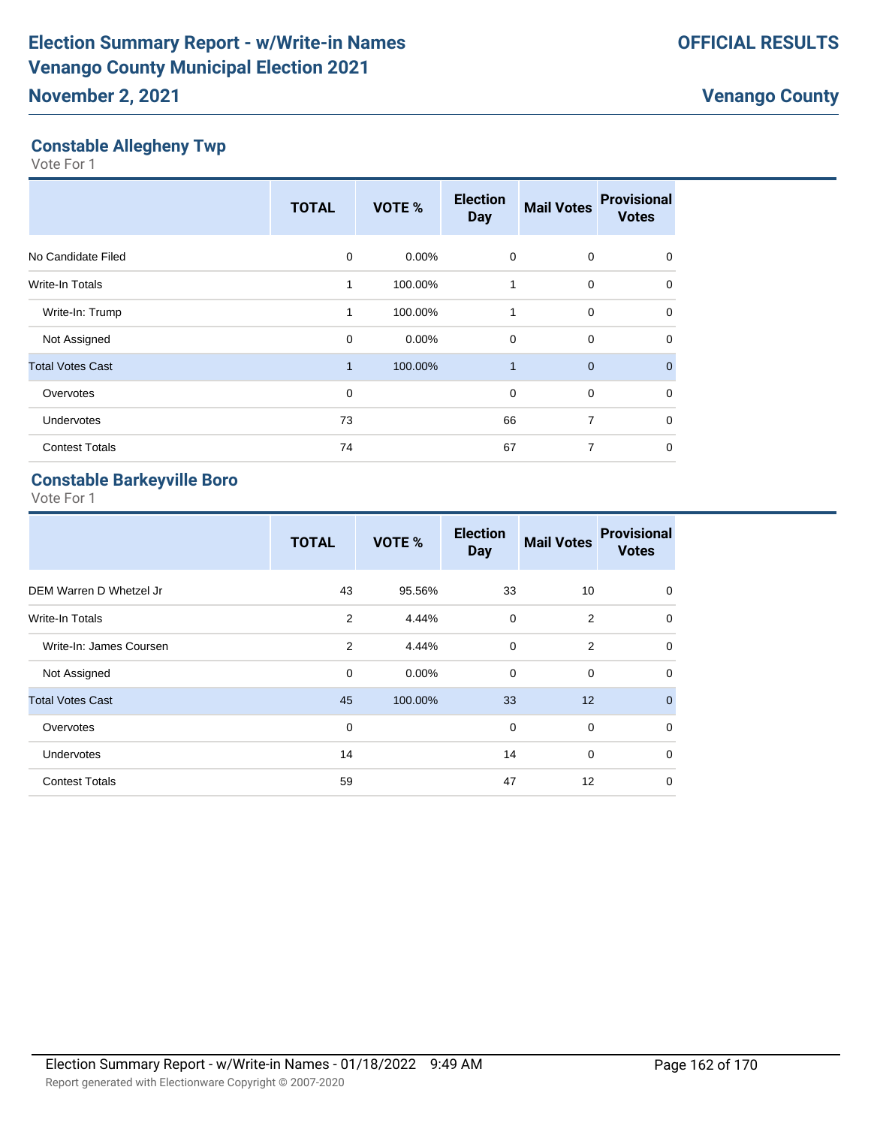#### **Constable Allegheny Twp**

Vote For 1

|                         | <b>TOTAL</b> | VOTE %  | <b>Election</b><br><b>Day</b> | <b>Mail Votes</b> | <b>Provisional</b><br><b>Votes</b> |
|-------------------------|--------------|---------|-------------------------------|-------------------|------------------------------------|
| No Candidate Filed      | $\Omega$     | 0.00%   | 0                             | $\mathbf 0$       | $\Omega$                           |
| <b>Write-In Totals</b>  | 1            | 100.00% | 1                             | 0                 | $\mathbf 0$                        |
| Write-In: Trump         | $\mathbf{1}$ | 100.00% | 1                             | $\mathbf 0$       | $\Omega$                           |
| Not Assigned            | $\mathbf 0$  | 0.00%   | $\mathbf 0$                   | $\mathbf 0$       | $\mathbf 0$                        |
| <b>Total Votes Cast</b> | 1            | 100.00% | 1                             | $\overline{0}$    | $\mathbf{0}$                       |
| Overvotes               | $\mathbf 0$  |         | 0                             | $\mathbf 0$       | $\Omega$                           |
| Undervotes              | 73           |         | 66                            | $\overline{7}$    | $\mathbf 0$                        |
| <b>Contest Totals</b>   | 74           |         | 67                            | 7                 | $\mathbf 0$                        |

#### **Constable Barkeyville Boro**

|                         | <b>TOTAL</b> | VOTE %   | <b>Election</b><br><b>Day</b> | <b>Mail Votes</b> | <b>Provisional</b><br><b>Votes</b> |
|-------------------------|--------------|----------|-------------------------------|-------------------|------------------------------------|
| DEM Warren D Whetzel Jr | 43           | 95.56%   | 33                            | 10                | 0                                  |
| Write-In Totals         | 2            | 4.44%    | $\mathbf 0$                   | 2                 | $\mathbf 0$                        |
| Write-In: James Coursen | 2            | 4.44%    | $\mathbf 0$                   | 2                 | $\mathbf 0$                        |
| Not Assigned            | $\mathbf 0$  | $0.00\%$ | $\mathbf 0$                   | 0                 | $\mathbf 0$                        |
| <b>Total Votes Cast</b> | 45           | 100.00%  | 33                            | 12                | $\mathbf{0}$                       |
| Overvotes               | $\mathbf 0$  |          | 0                             | 0                 | $\mathbf 0$                        |
| <b>Undervotes</b>       | 14           |          | 14                            | $\mathbf 0$       | $\mathbf 0$                        |
| <b>Contest Totals</b>   | 59           |          | 47                            | 12                | $\mathbf 0$                        |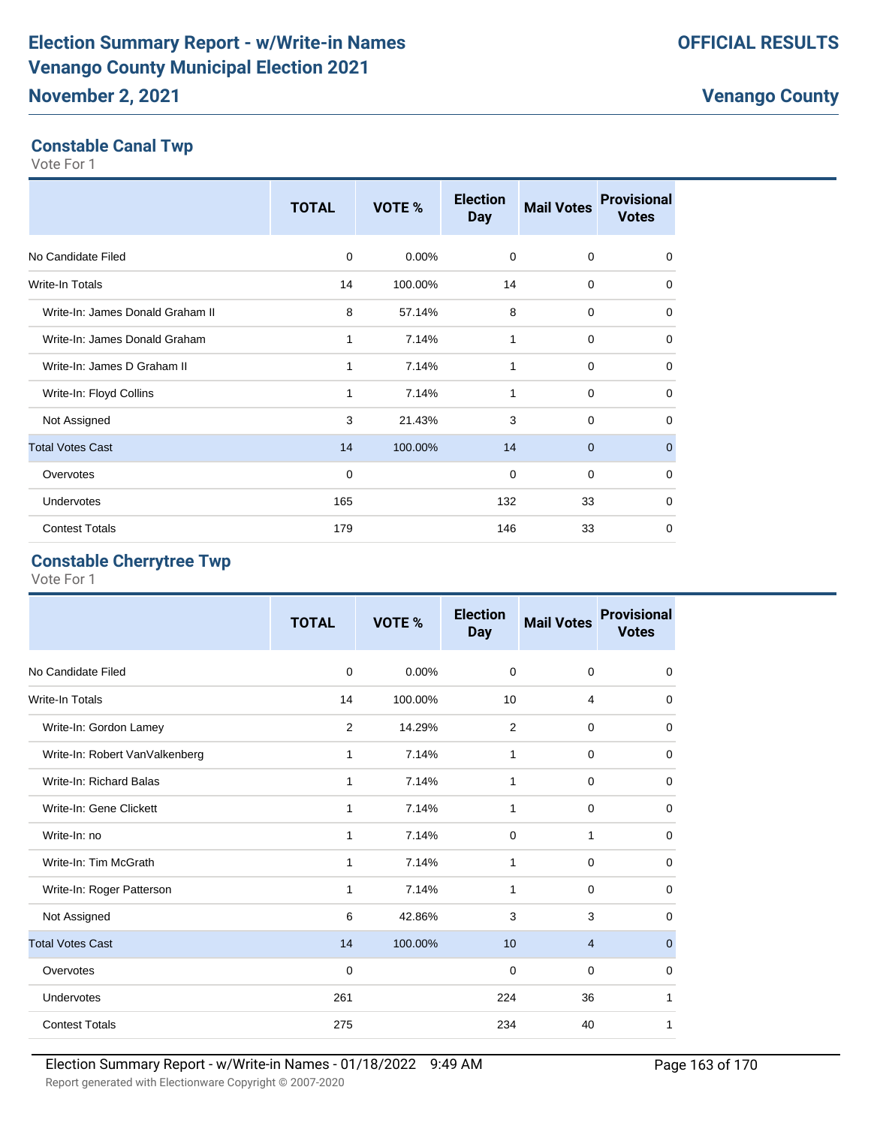## **Constable Canal Twp**

Vote For 1

|                                  | <b>TOTAL</b> | VOTE %  | <b>Election</b><br><b>Day</b> | <b>Mail Votes</b> | <b>Provisional</b><br><b>Votes</b> |
|----------------------------------|--------------|---------|-------------------------------|-------------------|------------------------------------|
| No Candidate Filed               | $\mathbf 0$  | 0.00%   | $\mathbf 0$                   | 0                 | 0                                  |
| <b>Write-In Totals</b>           | 14           | 100.00% | 14                            | 0                 | 0                                  |
| Write-In: James Donald Graham II | 8            | 57.14%  | 8                             | $\mathbf 0$       | $\mathbf 0$                        |
| Write-In: James Donald Graham    | 1            | 7.14%   | 1                             | $\mathbf 0$       | $\mathbf 0$                        |
| Write-In: James D Graham II      | 1            | 7.14%   | 1                             | $\mathbf 0$       | $\mathbf 0$                        |
| Write-In: Floyd Collins          | 1            | 7.14%   | 1                             | 0                 | $\mathbf 0$                        |
| Not Assigned                     | 3            | 21.43%  | 3                             | $\mathbf 0$       | $\Omega$                           |
| <b>Total Votes Cast</b>          | 14           | 100.00% | 14                            | $\overline{0}$    | $\mathbf{0}$                       |
| Overvotes                        | 0            |         | $\mathbf 0$                   | $\mathbf 0$       | $\Omega$                           |
| Undervotes                       | 165          |         | 132                           | 33                | $\mathbf 0$                        |
| <b>Contest Totals</b>            | 179          |         | 146                           | 33                | $\mathbf 0$                        |

#### **Constable Cherrytree Twp**

|                                | <b>TOTAL</b> | <b>VOTE %</b> | <b>Election</b><br><b>Day</b> | <b>Mail Votes</b> | <b>Provisional</b><br><b>Votes</b> |
|--------------------------------|--------------|---------------|-------------------------------|-------------------|------------------------------------|
| No Candidate Filed             | $\mathbf 0$  | 0.00%         | $\mathbf 0$                   | $\mathbf 0$       | $\mathbf 0$                        |
| <b>Write-In Totals</b>         | 14           | 100.00%       | 10                            | 4                 | 0                                  |
| Write-In: Gordon Lamey         | 2            | 14.29%        | 2                             | $\mathbf 0$       | 0                                  |
| Write-In: Robert VanValkenberg | 1            | 7.14%         | 1                             | $\mathbf 0$       | 0                                  |
| Write-In: Richard Balas        | 1            | 7.14%         | 1                             | $\mathbf 0$       | 0                                  |
| Write-In: Gene Clickett        | 1            | 7.14%         | 1                             | $\mathbf 0$       | 0                                  |
| Write-In: no                   | 1            | 7.14%         | $\mathbf 0$                   | 1                 | 0                                  |
| Write-In: Tim McGrath          | 1            | 7.14%         | 1                             | $\mathbf 0$       | 0                                  |
| Write-In: Roger Patterson      | 1            | 7.14%         | 1                             | 0                 | 0                                  |
| Not Assigned                   | 6            | 42.86%        | 3                             | 3                 | 0                                  |
| <b>Total Votes Cast</b>        | 14           | 100.00%       | 10                            | $\overline{4}$    | 0                                  |
| Overvotes                      | $\mathbf 0$  |               | $\mathbf 0$                   | $\mathbf 0$       | 0                                  |
| Undervotes                     | 261          |               | 224                           | 36                | 1                                  |
| <b>Contest Totals</b>          | 275          |               | 234                           | 40                | 1                                  |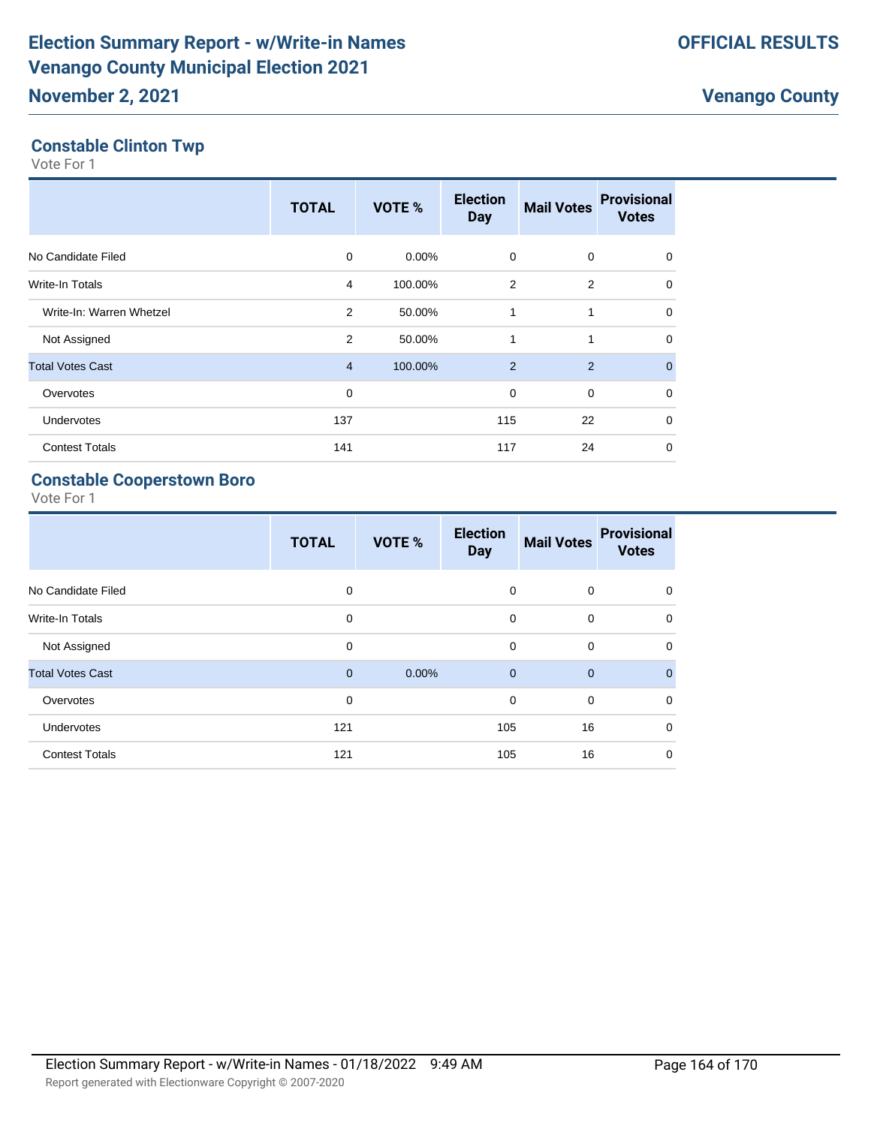#### **Constable Clinton Twp**

Vote For 1

|                          | <b>TOTAL</b>   | VOTE %   | <b>Election</b><br><b>Day</b> | <b>Mail Votes</b> | <b>Provisional</b><br><b>Votes</b> |
|--------------------------|----------------|----------|-------------------------------|-------------------|------------------------------------|
| No Candidate Filed       | $\Omega$       | $0.00\%$ | 0                             | $\mathbf 0$       | $\mathbf 0$                        |
| <b>Write-In Totals</b>   | 4              | 100.00%  | 2                             | $\overline{2}$    | $\mathbf 0$                        |
| Write-In: Warren Whetzel | 2              | 50.00%   | 1                             | 1                 | $\mathbf 0$                        |
| Not Assigned             | 2              | 50.00%   | 1                             | 1                 | $\mathbf 0$                        |
| <b>Total Votes Cast</b>  | $\overline{4}$ | 100.00%  | 2                             | 2                 | $\mathbf{0}$                       |
| Overvotes                | 0              |          | 0                             | $\mathbf 0$       | 0                                  |
| Undervotes               | 137            |          | 115                           | 22                | $\mathbf 0$                        |
| <b>Contest Totals</b>    | 141            |          | 117                           | 24                | $\mathbf 0$                        |

#### **Constable Cooperstown Boro**

|                         | <b>TOTAL</b> | VOTE % | <b>Election</b><br><b>Day</b> | <b>Mail Votes</b> | <b>Provisional</b><br><b>Votes</b> |
|-------------------------|--------------|--------|-------------------------------|-------------------|------------------------------------|
| No Candidate Filed      | 0            |        | 0                             | $\mathbf 0$       | 0                                  |
| <b>Write-In Totals</b>  | 0            |        | $\mathbf 0$                   | $\mathbf 0$       | $\mathbf 0$                        |
| Not Assigned            | $\mathbf 0$  |        | $\mathbf 0$                   | $\mathbf 0$       | 0                                  |
| <b>Total Votes Cast</b> | $\mathbf{0}$ | 0.00%  | $\mathbf{0}$                  | $\overline{0}$    | $\mathbf{0}$                       |
| Overvotes               | $\mathbf 0$  |        | $\mathbf 0$                   | $\mathbf 0$       | $\mathbf 0$                        |
| Undervotes              | 121          |        | 105                           | 16                | $\mathbf 0$                        |
| <b>Contest Totals</b>   | 121          |        | 105                           | 16                | $\mathbf 0$                        |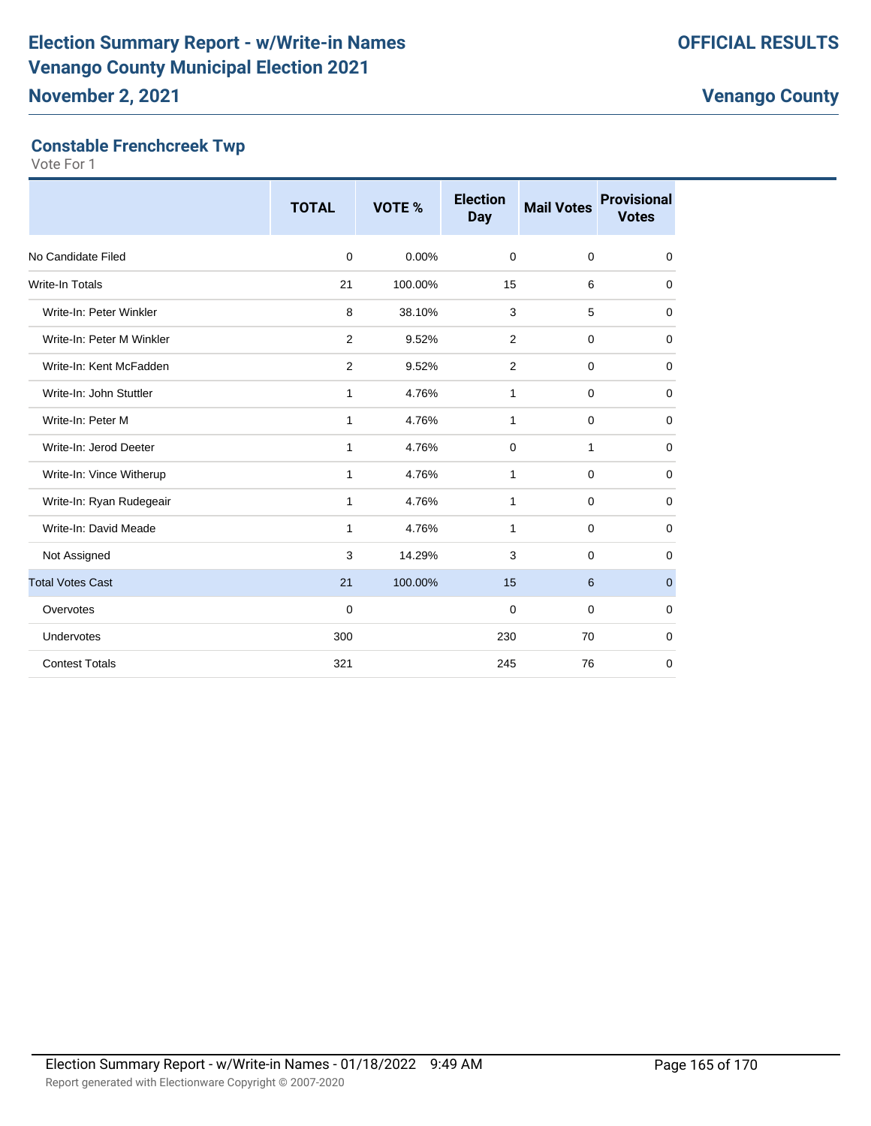#### **Constable Frenchcreek Twp**

|                           | <b>TOTAL</b> | <b>VOTE %</b> | <b>Election</b><br><b>Day</b> | <b>Mail Votes</b> | <b>Provisional</b><br><b>Votes</b> |
|---------------------------|--------------|---------------|-------------------------------|-------------------|------------------------------------|
| No Candidate Filed        | $\mathbf 0$  | 0.00%         | $\mathbf 0$                   | $\mathbf 0$       | 0                                  |
| <b>Write-In Totals</b>    | 21           | 100.00%       | 15                            | 6                 | 0                                  |
| Write-In: Peter Winkler   | 8            | 38.10%        | 3                             | 5                 | 0                                  |
| Write-In: Peter M Winkler | 2            | 9.52%         | 2                             | $\mathbf 0$       | 0                                  |
| Write-In: Kent McFadden   | 2            | 9.52%         | 2                             | $\mathbf 0$       | $\mathbf 0$                        |
| Write-In: John Stuttler   | $\mathbf{1}$ | 4.76%         | 1                             | $\mathbf 0$       | 0                                  |
| Write-In: Peter M         | $\mathbf{1}$ | 4.76%         | 1                             | $\mathbf 0$       | 0                                  |
| Write-In: Jerod Deeter    | $\mathbf{1}$ | 4.76%         | $\mathbf 0$                   | $\mathbf{1}$      | $\mathbf 0$                        |
| Write-In: Vince Witherup  | $\mathbf{1}$ | 4.76%         | 1                             | $\mathbf 0$       | 0                                  |
| Write-In: Ryan Rudegeair  | 1            | 4.76%         | 1                             | $\mathbf 0$       | 0                                  |
| Write-In: David Meade     | 1            | 4.76%         | 1                             | $\mathbf 0$       | $\mathbf 0$                        |
| Not Assigned              | 3            | 14.29%        | 3                             | $\mathbf 0$       | 0                                  |
| <b>Total Votes Cast</b>   | 21           | 100.00%       | 15                            | 6                 | $\mathbf{0}$                       |
| Overvotes                 | 0            |               | 0                             | $\mathbf 0$       | 0                                  |
| Undervotes                | 300          |               | 230                           | 70                | $\mathbf 0$                        |
| <b>Contest Totals</b>     | 321          |               | 245                           | 76                | $\mathbf 0$                        |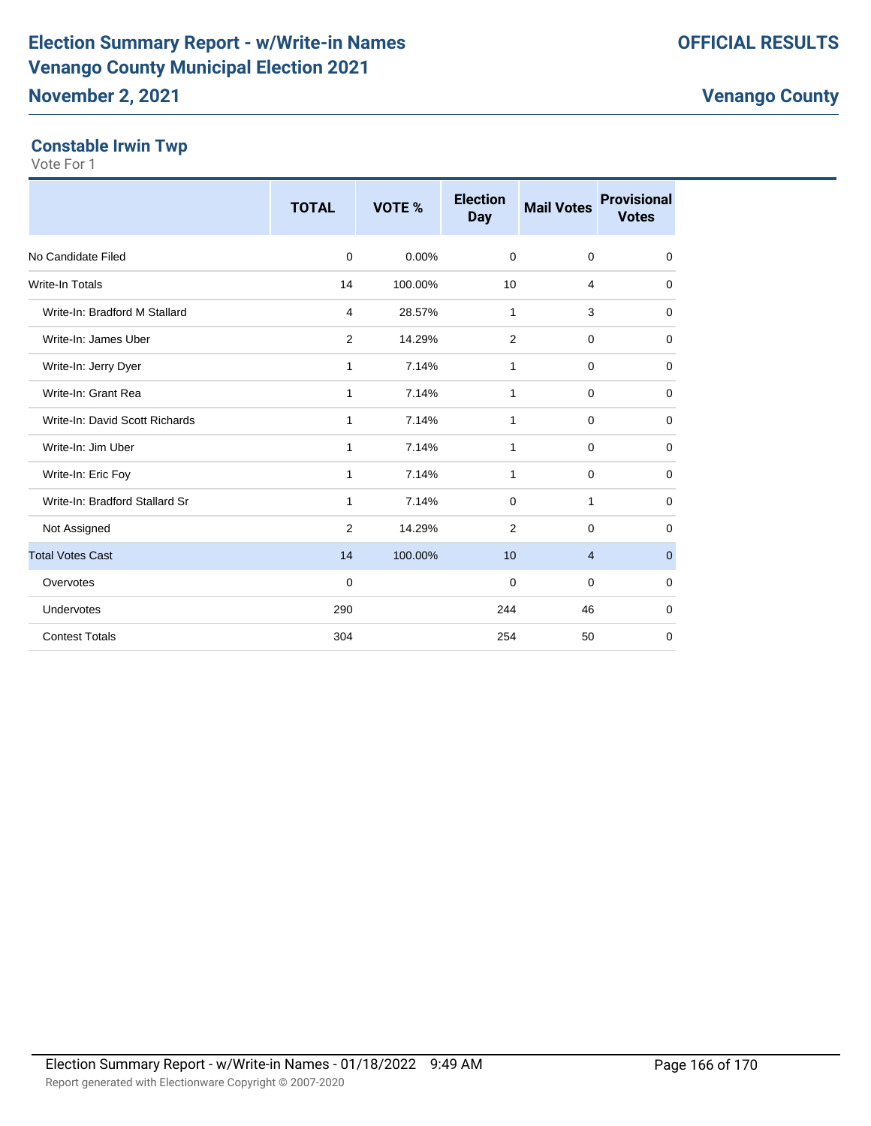### **Constable Irwin Twp**

|                                | <b>TOTAL</b>   | <b>VOTE %</b> | <b>Election</b><br><b>Day</b> | <b>Mail Votes</b> | <b>Provisional</b><br><b>Votes</b> |
|--------------------------------|----------------|---------------|-------------------------------|-------------------|------------------------------------|
| No Candidate Filed             | $\mathbf 0$    | 0.00%         | $\Omega$                      | $\mathbf 0$       | 0                                  |
| <b>Write-In Totals</b>         | 14             | 100.00%       | 10                            | $\overline{4}$    | 0                                  |
| Write-In: Bradford M Stallard  | $\overline{4}$ | 28.57%        | 1                             | 3                 | $\mathbf 0$                        |
| Write-In: James Uber           | 2              | 14.29%        | 2                             | $\mathbf 0$       | $\mathbf 0$                        |
| Write-In: Jerry Dyer           | 1              | 7.14%         | 1                             | $\mathbf 0$       | 0                                  |
| Write-In: Grant Rea            | 1              | 7.14%         | $\mathbf{1}$                  | $\mathbf 0$       | $\mathbf 0$                        |
| Write-In: David Scott Richards | 1              | 7.14%         | 1                             | $\mathbf 0$       | 0                                  |
| Write-In: Jim Uber             | 1              | 7.14%         | 1                             | $\mathbf 0$       | 0                                  |
| Write-In: Eric Foy             | 1              | 7.14%         | 1                             | $\mathbf 0$       | $\mathbf 0$                        |
| Write-In: Bradford Stallard Sr | 1              | 7.14%         | $\Omega$                      | 1                 | $\mathbf 0$                        |
| Not Assigned                   | 2              | 14.29%        | 2                             | $\mathbf 0$       | 0                                  |
| <b>Total Votes Cast</b>        | 14             | 100.00%       | 10                            | $\overline{4}$    | $\mathbf{0}$                       |
| Overvotes                      | $\mathbf 0$    |               | $\Omega$                      | $\Omega$          | $\mathbf 0$                        |
| Undervotes                     | 290            |               | 244                           | 46                | $\mathbf 0$                        |
| <b>Contest Totals</b>          | 304            |               | 254                           | 50                | 0                                  |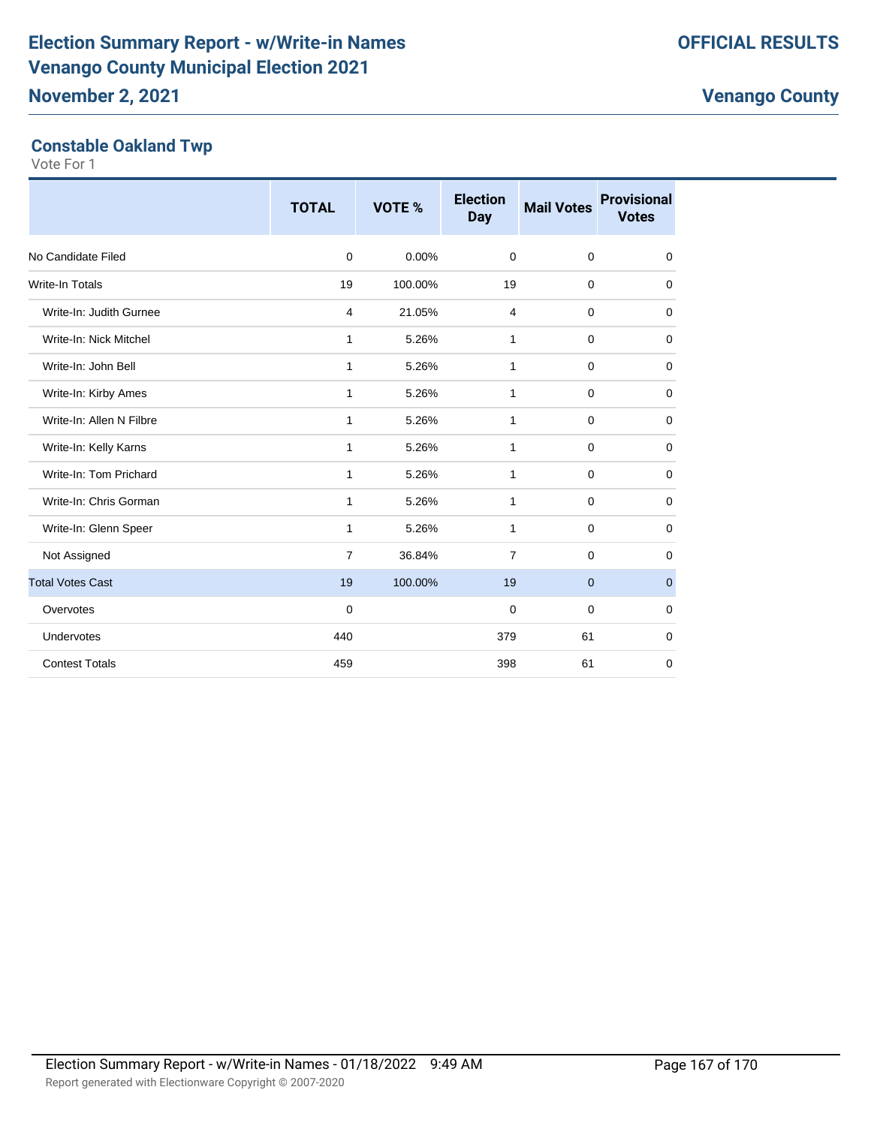#### **Constable Oakland Twp**

|                          | <b>TOTAL</b>   | VOTE %  | <b>Election</b><br><b>Day</b> | <b>Mail Votes</b> | <b>Provisional</b><br><b>Votes</b> |
|--------------------------|----------------|---------|-------------------------------|-------------------|------------------------------------|
| No Candidate Filed       | $\mathbf 0$    | 0.00%   | $\mathbf 0$                   | $\mathbf 0$       | $\mathbf 0$                        |
| <b>Write-In Totals</b>   | 19             | 100.00% | 19                            | 0                 | 0                                  |
| Write-In: Judith Gurnee  | 4              | 21.05%  | 4                             | 0                 | $\mathbf 0$                        |
| Write-In: Nick Mitchel   | $\mathbf{1}$   | 5.26%   | 1                             | 0                 | $\mathbf 0$                        |
| Write-In: John Bell      | 1              | 5.26%   | 1                             | 0                 | 0                                  |
| Write-In: Kirby Ames     | 1              | 5.26%   | 1                             | 0                 | $\mathbf 0$                        |
| Write-In: Allen N Filbre | 1              | 5.26%   | 1                             | 0                 | 0                                  |
| Write-In: Kelly Karns    | $\mathbf{1}$   | 5.26%   | $\mathbf{1}$                  | $\mathbf 0$       | $\mathbf 0$                        |
| Write-In: Tom Prichard   | $\mathbf{1}$   | 5.26%   | 1                             | 0                 | 0                                  |
| Write-In: Chris Gorman   | $\mathbf{1}$   | 5.26%   | 1                             | $\mathbf 0$       | 0                                  |
| Write-In: Glenn Speer    | $\mathbf{1}$   | 5.26%   | 1                             | $\mathbf 0$       | $\mathbf 0$                        |
| Not Assigned             | $\overline{7}$ | 36.84%  | $\overline{7}$                | $\mathbf 0$       | 0                                  |
| <b>Total Votes Cast</b>  | 19             | 100.00% | 19                            | $\mathbf{0}$      | $\mathbf 0$                        |
| Overvotes                | $\mathbf 0$    |         | 0                             | 0                 | $\mathbf 0$                        |
| Undervotes               | 440            |         | 379                           | 61                | $\mathbf 0$                        |
| <b>Contest Totals</b>    | 459            |         | 398                           | 61                | $\mathbf 0$                        |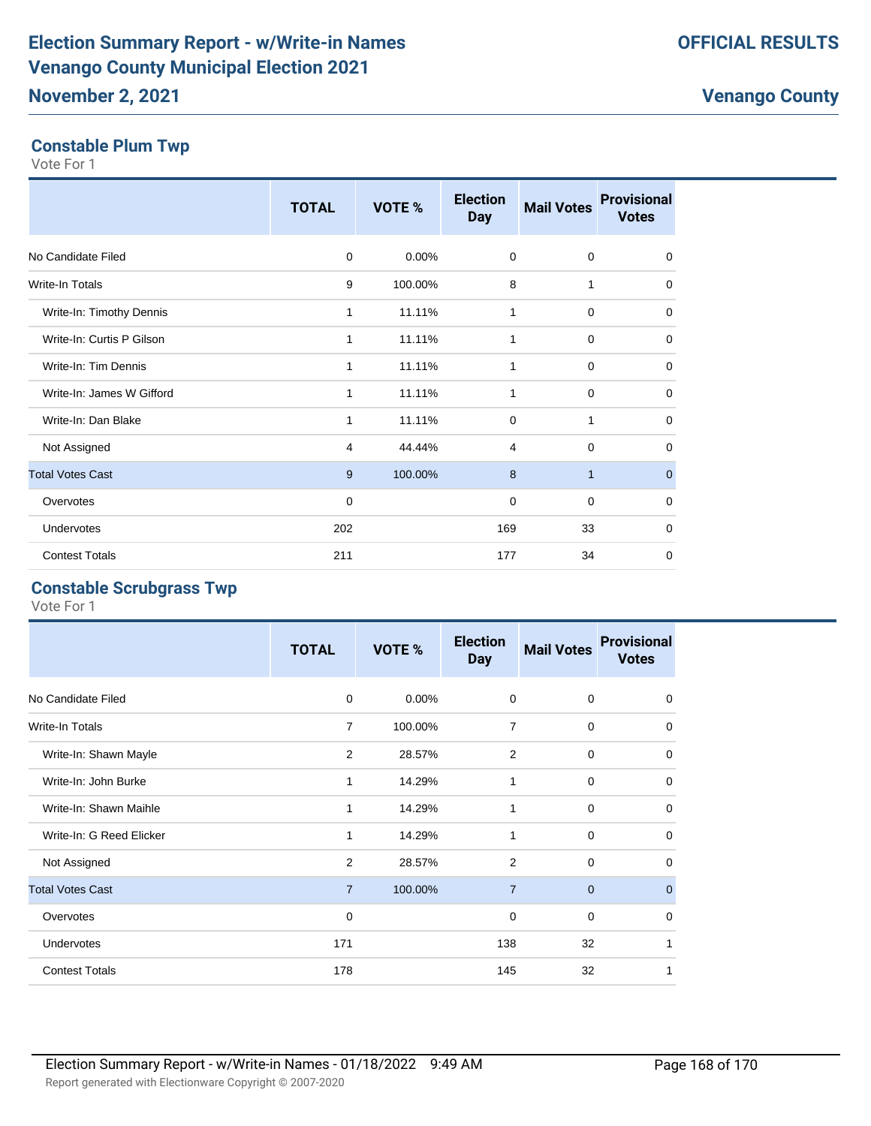#### **Constable Plum Twp**

Vote For 1

|                           | <b>TOTAL</b> | VOTE %   | <b>Election</b><br><b>Day</b> | <b>Mail Votes</b> | <b>Provisional</b><br><b>Votes</b> |
|---------------------------|--------------|----------|-------------------------------|-------------------|------------------------------------|
| No Candidate Filed        | $\mathbf 0$  | $0.00\%$ | $\mathbf 0$                   | $\mathbf 0$       | $\mathbf 0$                        |
| Write-In Totals           | 9            | 100.00%  | 8                             | 1                 | 0                                  |
| Write-In: Timothy Dennis  | 1            | 11.11%   | 1                             | $\mathbf 0$       | 0                                  |
| Write-In: Curtis P Gilson | 1            | 11.11%   | 1                             | 0                 | $\mathbf 0$                        |
| Write-In: Tim Dennis      | 1            | 11.11%   | 1                             | 0                 | 0                                  |
| Write-In: James W Gifford | 1            | 11.11%   | 1                             | $\mathbf 0$       | $\mathbf 0$                        |
| Write-In: Dan Blake       | 1            | 11.11%   | $\mathbf 0$                   | 1                 | 0                                  |
| Not Assigned              | 4            | 44.44%   | 4                             | $\mathbf 0$       | 0                                  |
| <b>Total Votes Cast</b>   | 9            | 100.00%  | 8                             | $\mathbf{1}$      | $\mathbf 0$                        |
| Overvotes                 | 0            |          | 0                             | $\mathbf 0$       | $\mathbf 0$                        |
| Undervotes                | 202          |          | 169                           | 33                | 0                                  |
| <b>Contest Totals</b>     | 211          |          | 177                           | 34                | $\Omega$                           |

#### **Constable Scrubgrass Twp**

|                          | <b>TOTAL</b>   | VOTE %   | <b>Election</b><br><b>Day</b> | <b>Mail Votes</b> | <b>Provisional</b><br><b>Votes</b> |
|--------------------------|----------------|----------|-------------------------------|-------------------|------------------------------------|
| No Candidate Filed       | 0              | $0.00\%$ | $\mathbf 0$                   | $\mathbf 0$       | 0                                  |
| <b>Write-In Totals</b>   | $\overline{7}$ | 100.00%  | 7                             | $\mathbf 0$       | 0                                  |
| Write-In: Shawn Mayle    | 2              | 28.57%   | 2                             | $\mathbf 0$       | $\mathbf 0$                        |
| Write-In: John Burke     | $\mathbf{1}$   | 14.29%   | 1                             | $\mathbf 0$       | $\mathbf 0$                        |
| Write-In: Shawn Maihle   | 1              | 14.29%   | 1                             | $\mathbf 0$       | $\Omega$                           |
| Write-In: G Reed Elicker |                | 14.29%   | 1                             | $\mathbf 0$       | $\mathbf 0$                        |
| Not Assigned             | 2              | 28.57%   | 2                             | $\mathbf 0$       | $\mathbf 0$                        |
| <b>Total Votes Cast</b>  | $\overline{7}$ | 100.00%  | $\overline{7}$                | $\mathbf{0}$      | $\mathbf{0}$                       |
| Overvotes                | 0              |          | 0                             | $\mathbf 0$       | $\mathbf 0$                        |
| <b>Undervotes</b>        | 171            |          | 138                           | 32                | 1                                  |
| <b>Contest Totals</b>    | 178            |          | 145                           | 32                |                                    |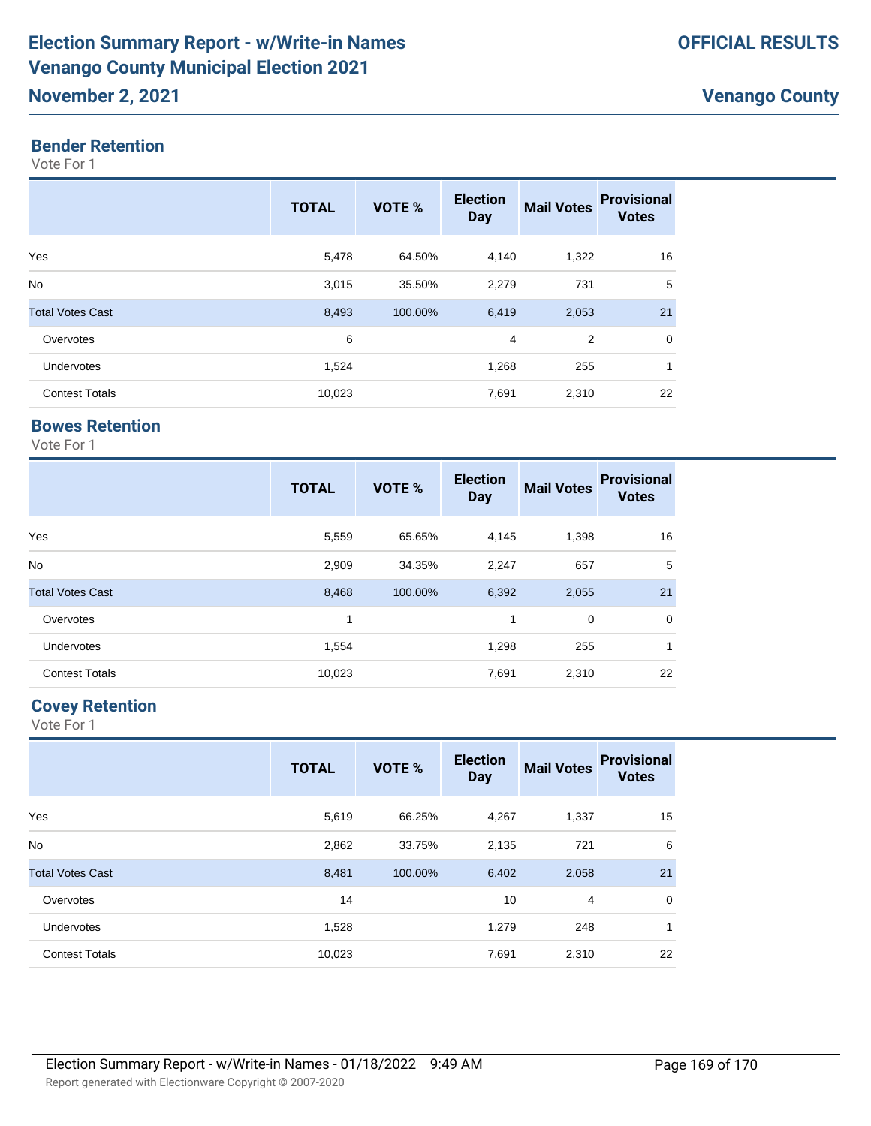### **November 2, 2021**

#### **Bender Retention**

Vote For 1

|                         | <b>TOTAL</b> | <b>VOTE %</b> | <b>Election</b><br><b>Day</b> | <b>Mail Votes</b> | <b>Provisional</b><br><b>Votes</b> |
|-------------------------|--------------|---------------|-------------------------------|-------------------|------------------------------------|
| Yes                     | 5,478        | 64.50%        | 4,140                         | 1,322             | 16                                 |
| <b>No</b>               | 3,015        | 35.50%        | 2,279                         | 731               | 5                                  |
| <b>Total Votes Cast</b> | 8,493        | 100.00%       | 6,419                         | 2,053             | 21                                 |
| Overvotes               | 6            |               | 4                             | 2                 | $\mathbf 0$                        |
| <b>Undervotes</b>       | 1,524        |               | 1,268                         | 255               | 1                                  |
| <b>Contest Totals</b>   | 10,023       |               | 7,691                         | 2,310             | 22                                 |

#### **Bowes Retention**

Vote For 1

|                         | <b>TOTAL</b> | VOTE %  | <b>Election</b><br><b>Day</b> | <b>Mail Votes</b> | <b>Provisional</b><br><b>Votes</b> |
|-------------------------|--------------|---------|-------------------------------|-------------------|------------------------------------|
| Yes                     | 5,559        | 65.65%  | 4,145                         | 1,398             | 16                                 |
| <b>No</b>               | 2,909        | 34.35%  | 2,247                         | 657               | 5                                  |
| <b>Total Votes Cast</b> | 8,468        | 100.00% | 6,392                         | 2,055             | 21                                 |
| Overvotes               | 1            |         | 1                             | 0                 | $\mathbf 0$                        |
| Undervotes              | 1,554        |         | 1,298                         | 255               | 1                                  |
| <b>Contest Totals</b>   | 10,023       |         | 7,691                         | 2,310             | 22                                 |

#### **Covey Retention**

|                         | <b>TOTAL</b> | VOTE %  | <b>Election</b><br><b>Day</b> | <b>Mail Votes</b> | <b>Provisional</b><br><b>Votes</b> |
|-------------------------|--------------|---------|-------------------------------|-------------------|------------------------------------|
| Yes                     | 5,619        | 66.25%  | 4,267                         | 1,337             | 15                                 |
| <b>No</b>               | 2,862        | 33.75%  | 2,135                         | 721               | 6                                  |
| <b>Total Votes Cast</b> | 8,481        | 100.00% | 6,402                         | 2,058             | 21                                 |
| Overvotes               | 14           |         | 10                            | 4                 | $\mathbf 0$                        |
| Undervotes              | 1,528        |         | 1,279                         | 248               | 1                                  |
| <b>Contest Totals</b>   | 10,023       |         | 7,691                         | 2,310             | 22                                 |